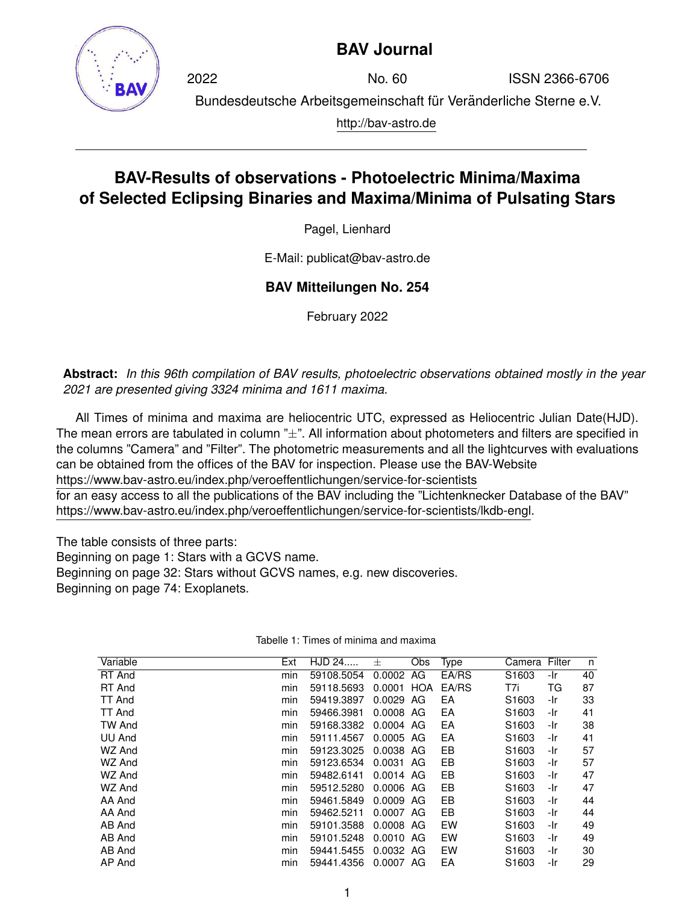

## **BAV Journal**

2022 No. 60 ISSN 2366-6706 Bundesdeutsche Arbeitsgemeinschaft für Veränderliche Sterne e.V. http://bav-astro.de

## **BAV-Results of observations - Photoelectric Minima/Maxima of Selected Eclipsing Binaries and Maxima/Minima of Pulsating Stars**

Pagel, Lienhard

E-Mail: publicat@bav-astro.de

## **BAV Mitteilungen No. 254**

February 2022

**Abstract:** *In this 96th compilation of BAV results, photoelectric observations obtained mostly in the year 2021 are presented giving 3324 minima and 1611 maxima.*

All Times of minima and maxima are heliocentric UTC, expressed as Heliocentric Julian Date(HJD). The mean errors are tabulated in column  $"_{\pm}$ ". All information about photometers and filters are specified in the columns "Camera" and "Filter". The photometric measurements and all the lightcurves with evaluations can be obtained from the offices of the BAV for inspection. Please use the BAV-Website https://www.bav-astro.eu/index.php/veroeffentlichungen/service-for-scientists

for an easy access to all the publications of the BAV including the "Lichtenknecker Database of the BAV" https://www.bav-astro.eu/index.php/veroeffentlichungen/service-for-scientists/lkdb-engl.

The table consists of three parts:

Beginning on page 1: Stars with a GCVS name.

Beginning on page 32: Stars without GCVS names, e.g. new discoveries.

Beginning on page 74: Exoplanets.

| Ext | HJD 24     | 士      | Obs | Type                                                                                                                                          |                   |     | n             |
|-----|------------|--------|-----|-----------------------------------------------------------------------------------------------------------------------------------------------|-------------------|-----|---------------|
| min | 59108.5054 | 0.0002 | AG  | EA/RS                                                                                                                                         | S <sub>1603</sub> | -Ir | 40            |
| min | 59118.5693 | 0.0001 |     | EA/RS                                                                                                                                         | T7i               | ТG  | 87            |
| min | 59419.3897 | 0.0029 |     | EA                                                                                                                                            | S <sub>1603</sub> | -Ir | 33            |
| min | 59466.3981 | 0.0008 |     | EA                                                                                                                                            | S <sub>1603</sub> | -Ir | 41            |
| min | 59168.3382 |        |     | EA                                                                                                                                            | S <sub>1603</sub> | -Ir | 38            |
| min | 59111.4567 |        |     | EA                                                                                                                                            | S <sub>1603</sub> | -Ir | 41            |
| min | 59123.3025 |        |     | EB                                                                                                                                            | S <sub>1603</sub> | -Ir | 57            |
| min | 59123.6534 | 0.0031 | AG  | EB                                                                                                                                            | S <sub>1603</sub> | -Ir | 57            |
| min | 59482.6141 | 0.0014 |     | EB                                                                                                                                            | S <sub>1603</sub> | -Ir | 47            |
| min | 59512.5280 |        |     | EB                                                                                                                                            | S <sub>1603</sub> | -Ir | 47            |
| min | 59461.5849 |        |     | EB                                                                                                                                            | S <sub>1603</sub> | -Ir | 44            |
| min | 59462.5211 | 0.0007 |     | EB                                                                                                                                            | S <sub>1603</sub> | -Ir | 44            |
| min | 59101.3588 |        |     | EW                                                                                                                                            | S <sub>1603</sub> | -Ir | 49            |
| min | 59101.5248 |        |     | EW                                                                                                                                            | S <sub>1603</sub> | -Ir | 49            |
| min | 59441.5455 | 0.0032 |     | EW                                                                                                                                            | S <sub>1603</sub> | -Ir | 30            |
| min | 59441.4356 | 0.0007 |     | EA                                                                                                                                            | S <sub>1603</sub> | -Ir | 29            |
|     |            |        |     | <b>HOA</b><br>AG<br>AG.<br>$0.0004$ AG<br>0.0005 AG<br>0.0038 AG<br>AG<br>0.0006 AG<br>0.0009 AG<br>AG<br>0.0008 AG<br>0.0010 AG<br>AG.<br>AG |                   |     | Camera Filter |

Tabelle 1: Times of minima and maxima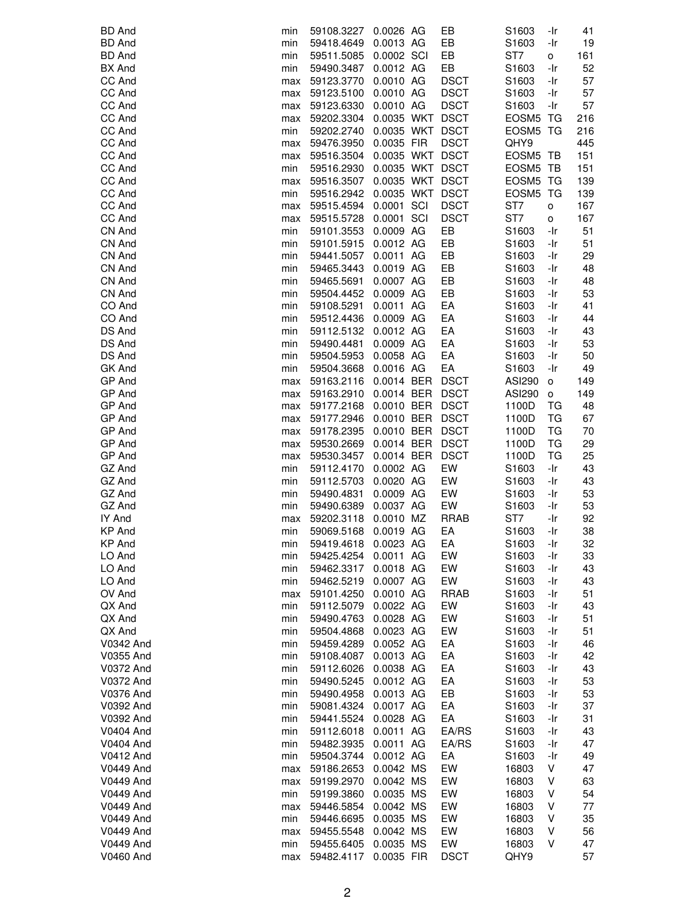| <b>BD</b> And    | min | 59108.3227 | 0.0026 AG       |     | EB          | S1603             | -Ir          | 41  |
|------------------|-----|------------|-----------------|-----|-------------|-------------------|--------------|-----|
| <b>BD</b> And    | min | 59418.4649 | 0.0013 AG       |     | EB          | S1603             | -Ir          | 19  |
| <b>BD</b> And    | min | 59511.5085 | 0.0002 SCI      |     | EB          | ST7               | o            | 161 |
| <b>BX</b> And    | min | 59490.3487 | 0.0012 AG       |     | EB          | S1603             | -Ir          | 52  |
| CC And           | max | 59123.3770 | 0.0010 AG       |     | <b>DSCT</b> | S1603             | -Ir          | 57  |
| CC And           | max | 59123.5100 | 0.0010 AG       |     | <b>DSCT</b> | S1603             | -Ir          | 57  |
| CC And           |     |            |                 |     | <b>DSCT</b> |                   |              |     |
|                  | max | 59123.6330 | 0.0010 AG       |     |             | S1603             | -Ir          | 57  |
| CC And           | max | 59202.3304 | 0.0035 WKT DSCT |     |             | EOSM <sub>5</sub> | TG           | 216 |
| CC And           | min | 59202.2740 | 0.0035 WKT DSCT |     |             | EOSM5 TG          |              | 216 |
| CC And           | max | 59476.3950 | 0.0035 FIR      |     | <b>DSCT</b> | QHY9              |              | 445 |
| CC And           | max | 59516.3504 | 0.0035 WKT DSCT |     |             | EOSM5 TB          |              | 151 |
| CC And           | min | 59516.2930 | 0.0035 WKT DSCT |     |             | EOSM <sub>5</sub> | TB           | 151 |
| CC And           | max | 59516.3507 | 0.0035 WKT DSCT |     |             | EOSM <sub>5</sub> | TG           | 139 |
| CC And           | min | 59516.2942 | 0.0035 WKT DSCT |     |             | EOSM <sub>5</sub> | TG           | 139 |
| CC And           | max | 59515.4594 | 0.0001          | SCI | <b>DSCT</b> | ST7               | o            | 167 |
| CC And           | max | 59515.5728 | 0.0001 SCI      |     | <b>DSCT</b> | ST7               | o            | 167 |
| CN And           | min | 59101.3553 | 0.0009 AG       |     | EB          | S1603             | -Ir          | 51  |
| CN And           | min | 59101.5915 | 0.0012 AG       |     | EB          | S1603             | -Ir          | 51  |
| CN And           | min | 59441.5057 | 0.0011 AG       |     | EB          | S1603             | -Ir          | 29  |
| CN And           | min | 59465.3443 | 0.0019 AG       |     | EB          | S1603             | -Ir          | 48  |
| CN And           | min | 59465.5691 | 0.0007 AG       |     | EВ          | S1603             | -Ir          | 48  |
| CN And           | min |            |                 |     | EB          | S <sub>1603</sub> | -Ir          |     |
|                  |     | 59504.4452 | 0.0009 AG       |     |             |                   |              | 53  |
| CO And           | min | 59108.5291 | 0.0011 AG       |     | EA          | S1603             | -Ir          | 41  |
| CO And           | min | 59512.4436 | 0.0009 AG       |     | EA          | S1603             | -Ir          | 44  |
| DS And           | min | 59112.5132 | 0.0012 AG       |     | EA          | S1603             | -Ir          | 43  |
| DS And           | min | 59490.4481 | 0.0009 AG       |     | EA          | S1603             | -Ir          | 53  |
| DS And           | min | 59504.5953 | 0.0058 AG       |     | EA          | S1603             | -Ir          | 50  |
| GK And           | min | 59504.3668 | 0.0016 AG       |     | EA          | S1603             | -Ir          | 49  |
| GP And           | max | 59163.2116 | 0.0014 BER      |     | <b>DSCT</b> | ASI290            | o            | 149 |
| GP And           | max | 59163.2910 | 0.0014 BER      |     | <b>DSCT</b> | <b>ASI290</b>     | $\mathsf{o}$ | 149 |
| GP And           | max | 59177.2168 | 0.0010 BER      |     | <b>DSCT</b> | 1100D             | TG           | 48  |
| GP And           | max | 59177.2946 | 0.0010 BER      |     | <b>DSCT</b> | 1100D             | ТG           | 67  |
| GP And           | max | 59178.2395 | 0.0010 BER      |     | <b>DSCT</b> | 1100D             | TG           | 70  |
| GP And           | max | 59530.2669 | 0.0014 BER      |     | <b>DSCT</b> | 1100D             | <b>TG</b>    | 29  |
| GP And           | max | 59530.3457 | 0.0014 BER      |     | <b>DSCT</b> | 1100D             | TG           | 25  |
| GZ And           |     |            |                 |     | EW          |                   | -Ir          | 43  |
|                  | min | 59112.4170 | 0.0002 AG       |     |             | S1603             |              |     |
| GZ And           | min | 59112.5703 | 0.0020 AG       |     | EW          | S1603             | -Ir          | 43  |
| GZ And           | min | 59490.4831 | 0.0009 AG       |     | EW          | S <sub>1603</sub> | -Ir          | 53  |
| GZ And           | min | 59490.6389 | 0.0037 AG       |     | EW          | S1603             | -Ir          | 53  |
| IY And           | max | 59202.3118 | 0.0010 MZ       |     | <b>RRAB</b> | ST7               | -Ir          | 92  |
| <b>KP And</b>    | min | 59069.5168 | 0.0019 AG       |     | EA          | S1603             | -Ir          | 38  |
| <b>KP And</b>    | min | 59419.4618 | 0.0023 AG       |     | EA          | S1603             | -Ir          | 32  |
| LO And           | min | 59425.4254 | 0.0011 AG       |     | EW          | S1603             | -Ir          | 33  |
| LO And           | min | 59462.3317 | 0.0018 AG       |     | EW          | S1603             | -Ir          | 43  |
| LO And           | min | 59462.5219 | 0.0007 AG       |     | EW          | S1603             | -Ir          | 43  |
| OV And           | max | 59101.4250 | 0.0010 AG       |     | <b>RRAB</b> | S1603             | -Ir          | 51  |
| QX And           | min | 59112.5079 | 0.0022 AG       |     | EW          | S1603             | -Ir          | 43  |
| QX And           | min | 59490.4763 | 0.0028 AG       |     | EW          | S1603             | -Ir          | 51  |
| QX And           | min | 59504.4868 | 0.0023 AG       |     | EW          | S1603             | -Ir          | 51  |
| V0342 And        | min | 59459.4289 | 0.0052 AG       |     | EA          | S1603             | -Ir          | 46  |
| V0355 And        | min | 59108.4087 | 0.0013 AG       |     | EA          | S <sub>1603</sub> | -Ir          | 42  |
| V0372 And        | min | 59112.6026 | 0.0038 AG       |     | EA          | S1603             | -Ir          | 43  |
|                  |     |            |                 |     |             |                   |              |     |
| V0372 And        | min | 59490.5245 | 0.0012 AG       |     | EA          | S1603             | -Ir          | 53  |
| V0376 And        | min | 59490.4958 | 0.0013 AG       |     | EB          | S1603             | -Ir          | 53  |
| V0392 And        | min | 59081.4324 | 0.0017 AG       |     | EA          | S1603             | -Ir          | 37  |
| V0392 And        | min | 59441.5524 | 0.0028 AG       |     | EA          | S1603             | -Ir          | 31  |
| <b>V0404 And</b> | min | 59112.6018 | 0.0011 AG       |     | EA/RS       | S1603             | -Ir          | 43  |
| V0404 And        | min | 59482.3935 | 0.0011 AG       |     | EA/RS       | S1603             | -Ir          | 47  |
| V0412 And        | min | 59504.3744 | 0.0012 AG       |     | EA          | S <sub>1603</sub> | -Ir          | 49  |
| <b>V0449 And</b> | max | 59186.2653 | 0.0042 MS       |     | EW          | 16803             | V            | 47  |
| <b>V0449 And</b> | max | 59199.2970 | 0.0042 MS       |     | EW          | 16803             | V            | 63  |
| <b>V0449 And</b> | min | 59199.3860 | 0.0035 MS       |     | EW          | 16803             | ٧            | 54  |
| <b>V0449 And</b> | max | 59446.5854 | 0.0042 MS       |     | EW          | 16803             | ٧            | 77  |
| <b>V0449 And</b> | min | 59446.6695 | 0.0035 MS       |     | EW          | 16803             | ٧            | 35  |
| <b>V0449 And</b> | max | 59455.5548 | 0.0042 MS       |     | EW          | 16803             | V            | 56  |
| <b>V0449 And</b> | min | 59455.6405 | 0.0035 MS       |     | EW          | 16803             | V            | 47  |
| <b>V0460 And</b> |     | 59482.4117 | 0.0035 FIR      |     | <b>DSCT</b> | QHY9              |              | 57  |
|                  | max |            |                 |     |             |                   |              |     |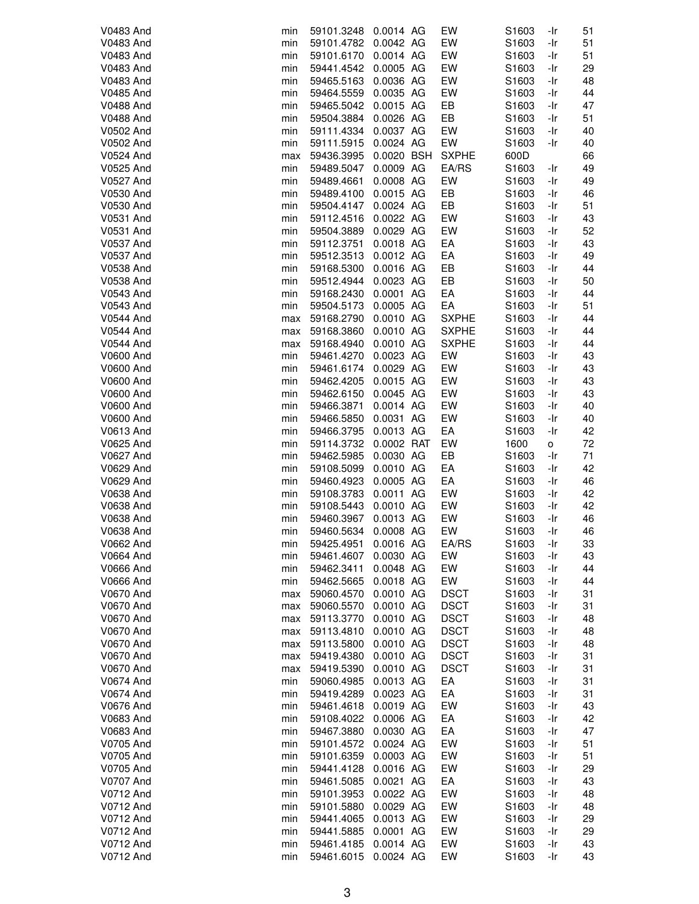| <b>V0483 And</b> | min | 59101.3248 | 0.0014 AG  | EW           | S1603             | -Ir | 51 |
|------------------|-----|------------|------------|--------------|-------------------|-----|----|
| <b>V0483 And</b> | min | 59101.4782 | 0.0042 AG  | EW           | S1603             | -Ir | 51 |
| <b>V0483 And</b> | min | 59101.6170 | 0.0014 AG  | EW           | S1603             | -Ir | 51 |
| V0483 And        | min | 59441.4542 | 0.0005 AG  | EW           | S1603             | -Ir | 29 |
| <b>V0483 And</b> | min | 59465.5163 | 0.0036 AG  | EW           | S1603             | -Ir | 48 |
| V0485 And        | min | 59464.5559 | 0.0035 AG  | EW           | S1603             | -Ir | 44 |
|                  |     |            |            |              |                   |     |    |
| <b>V0488 And</b> | min | 59465.5042 | 0.0015 AG  | EB           | S1603             | -Ir | 47 |
| <b>V0488 And</b> | min | 59504.3884 | 0.0026 AG  | EB           | S1603             | -Ir | 51 |
| V0502 And        | min | 59111.4334 | 0.0037 AG  | EW           | S1603             | -Ir | 40 |
| V0502 And        | min | 59111.5915 | 0.0024 AG  | EW           | S1603             | -Ir | 40 |
| V0524 And        | max | 59436.3995 | 0.0020 BSH | <b>SXPHE</b> | 600D              |     | 66 |
| <b>V0525 And</b> | min | 59489.5047 | 0.0009 AG  | EA/RS        | S1603             | -Ir | 49 |
| V0527 And        | min | 59489.4661 | 0.0008 AG  | EW           | S1603             | -Ir | 49 |
| V0530 And        | min | 59489.4100 | 0.0015 AG  | EB           | S1603             | -Ir | 46 |
| V0530 And        | min | 59504.4147 | 0.0024 AG  | EB           | S1603             | -Ir | 51 |
| V0531 And        | min | 59112.4516 | 0.0022 AG  | EW           | S1603             | -Ir | 43 |
| V0531 And        | min | 59504.3889 | 0.0029 AG  | EW           | S1603             | -Ir | 52 |
| V0537 And        | min | 59112.3751 | 0.0018 AG  | EA           | S1603             | -Ir | 43 |
| <b>V0537 And</b> | min | 59512.3513 | 0.0012 AG  | EA           | S1603             | -Ir | 49 |
| V0538 And        | min | 59168.5300 | 0.0016 AG  | EB           | S1603             | -Ir | 44 |
| V0538 And        | min | 59512.4944 | 0.0023 AG  | EB           | S1603             | -Ir | 50 |
| V0543 And        | min | 59168.2430 | 0.0001 AG  | EA           | S1603             | -Ir | 44 |
|                  |     |            | 0.0005 AG  | EA           |                   | -Ir | 51 |
| V0543 And        | min | 59504.5173 |            |              | S1603             |     |    |
| V0544 And        | max | 59168.2790 | 0.0010 AG  | <b>SXPHE</b> | S1603             | -Ir | 44 |
| V0544 And        | max | 59168.3860 | 0.0010 AG  | <b>SXPHE</b> | S1603             | -Ir | 44 |
| V0544 And        | max | 59168.4940 | 0.0010 AG  | <b>SXPHE</b> | S1603             | -Ir | 44 |
| <b>V0600 And</b> | min | 59461.4270 | 0.0023 AG  | EW           | S1603             | -Ir | 43 |
| <b>V0600 And</b> | min | 59461.6174 | 0.0029 AG  | EW           | S1603             | -Ir | 43 |
| <b>V0600 And</b> | min | 59462.4205 | 0.0015 AG  | EW           | S1603             | -Ir | 43 |
| <b>V0600 And</b> | min | 59462.6150 | 0.0045 AG  | EW           | S1603             | -Ir | 43 |
| <b>V0600 And</b> | min | 59466.3871 | 0.0014 AG  | EW           | S1603             | -Ir | 40 |
| <b>V0600 And</b> | min | 59466.5850 | 0.0031 AG  | EW           | S1603             | -Ir | 40 |
| V0613 And        | min | 59466.3795 | 0.0013 AG  | EA           | S1603             | -Ir | 42 |
| V0625 And        | min | 59114.3732 | 0.0002 RAT | EW           | 1600              | о   | 72 |
| V0627 And        | min | 59462.5985 | 0.0030 AG  | EB           | S1603             | -Ir | 71 |
| V0629 And        | min | 59108.5099 | 0.0010 AG  | EA           | S1603             | -Ir | 42 |
| V0629 And        | min | 59460.4923 | 0.0005 AG  | EA           | S1603             | -Ir | 46 |
| V0638 And        | min | 59108.3783 | 0.0011 AG  | EW           | S1603             | -Ir | 42 |
| V0638 And        | min | 59108.5443 | 0.0010 AG  | EW           | S1603             | -Ir | 42 |
| V0638 And        | min | 59460.3967 | 0.0013 AG  | EW           | S1603             | -Ir | 46 |
| V0638 And        | min | 59460.5634 | 0.0008 AG  | EW           | S1603             | -Ir | 46 |
|                  |     |            |            |              | S1603             |     |    |
| V0662 And        | min | 59425.4951 | 0.0016 AG  | EA/RS        |                   | -Ir | 33 |
| <b>V0664 And</b> | min | 59461.4607 | 0.0030 AG  | EW           | S1603             | -Ir | 43 |
| <b>V0666 And</b> | min | 59462.3411 | 0.0048 AG  | EW           | S1603             | -Ir | 44 |
| <b>V0666 And</b> | min | 59462.5665 | 0.0018 AG  | EW           | S1603             | -Ir | 44 |
| <b>V0670 And</b> | max | 59060.4570 | 0.0010 AG  | <b>DSCT</b>  | S1603             | -Ir | 31 |
| V0670 And        | max | 59060.5570 | 0.0010 AG  | <b>DSCT</b>  | S1603             | -Ir | 31 |
| <b>V0670 And</b> | max | 59113.3770 | 0.0010 AG  | <b>DSCT</b>  | S1603             | -Ir | 48 |
| V0670 And        | max | 59113.4810 | 0.0010 AG  | <b>DSCT</b>  | S1603             | -Ir | 48 |
| V0670 And        | max | 59113.5800 | 0.0010 AG  | <b>DSCT</b>  | S1603             | -Ir | 48 |
| <b>V0670 And</b> | max | 59419.4380 | 0.0010 AG  | <b>DSCT</b>  | S1603             | -Ir | 31 |
| V0670 And        | max | 59419.5390 | 0.0010 AG  | <b>DSCT</b>  | S1603             | -Ir | 31 |
| V0674 And        | min | 59060.4985 | 0.0013 AG  | EA           | S1603             | -Ir | 31 |
| V0674 And        | min | 59419.4289 | 0.0023 AG  | EA           | S1603             | -Ir | 31 |
| V0676 And        | min | 59461.4618 | 0.0019 AG  | EW           | S1603             | -Ir | 43 |
| <b>V0683 And</b> | min | 59108.4022 | 0.0006 AG  | EA           | S1603             | -Ir | 42 |
| V0683 And        | min | 59467.3880 | 0.0030 AG  | EA           | S1603             | -Ir | 47 |
| V0705 And        | min | 59101.4572 | 0.0024 AG  | EW           | S1603             | -Ir | 51 |
| V0705 And        | min | 59101.6359 | 0.0003 AG  | EW           | S1603             | -Ir | 51 |
| V0705 And        | min | 59441.4128 | 0.0016 AG  | EW           | S1603             | -Ir | 29 |
| <b>V0707 And</b> | min | 59461.5085 | 0.0021 AG  | EA           | S1603             | -Ir | 43 |
|                  |     |            |            | EW           |                   |     |    |
| V0712 And        | min | 59101.3953 | 0.0022 AG  |              | S1603             | -Ir | 48 |
| V0712 And        | min | 59101.5880 | 0.0029 AG  | EW           | S <sub>1603</sub> | -Ir | 48 |
| V0712 And        | min | 59441.4065 | 0.0013 AG  | EW           | S1603             | -Ir | 29 |
| V0712 And        | min | 59441.5885 | 0.0001 AG  | EW           | S1603             | -Ir | 29 |
| V0712 And        | min | 59461.4185 | 0.0014 AG  | EW           | S1603             | -Ir | 43 |
| V0712 And        | min | 59461.6015 | 0.0024 AG  | EW           | S1603             | -Ir | 43 |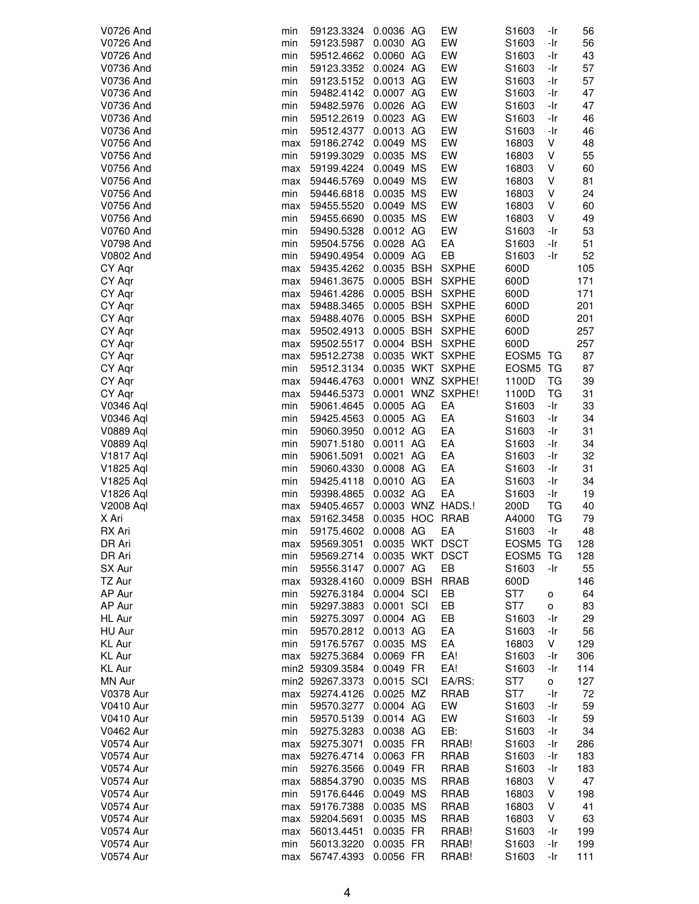| V0726 And        | min | 59123.3324      | 0.0036 AG       |    | EW                | S1603             | -Ir       | 56  |
|------------------|-----|-----------------|-----------------|----|-------------------|-------------------|-----------|-----|
| V0726 And        | min | 59123.5987      | 0.0030 AG       |    | EW                | S1603             | -Ir       | 56  |
| <b>V0726 And</b> | min | 59512.4662      | 0.0060 AG       |    | EW                | S1603             | -Ir       | 43  |
| <b>V0736 And</b> | min | 59123.3352      | 0.0024 AG       |    | EW                | S1603             | -Ir       | 57  |
| V0736 And        | min | 59123.5152      | 0.0013 AG       |    | EW                | S <sub>1603</sub> | -Ir       | 57  |
|                  |     |                 |                 |    | EW                |                   |           |     |
| V0736 And        | min | 59482.4142      | 0.0007 AG       |    |                   | S1603             | -Ir       | 47  |
| V0736 And        | min | 59482.5976      | 0.0026 AG       |    | EW                | S1603             | -Ir       | 47  |
| V0736 And        | min | 59512.2619      | 0.0023 AG       |    | EW                | S1603             | -Ir       | 46  |
| V0736 And        | min | 59512.4377      | 0.0013 AG       |    | EW                | S1603             | -Ir       | 46  |
| <b>V0756 And</b> | max | 59186.2742      | 0.0049 MS       |    | EW                | 16803             | V         | 48  |
|                  | min |                 | 0.0035 MS       |    | EW                |                   | ٧         |     |
| V0756 And        |     | 59199.3029      |                 |    |                   | 16803             |           | 55  |
| V0756 And        | max | 59199.4224      | 0.0049 MS       |    | EW                | 16803             | V         | 60  |
| V0756 And        | max | 59446.5769      | 0.0049 MS       |    | EW                | 16803             | V         | 81  |
| <b>V0756 And</b> | min | 59446.6818      | 0.0035 MS       |    | EW                | 16803             | V         | 24  |
| V0756 And        | max | 59455.5520      | 0.0049 MS       |    | EW                | 16803             | V         | 60  |
| V0756 And        | min | 59455.6690      | 0.0035 MS       |    | EW                | 16803             | V         | 49  |
| V0760 And        | min | 59490.5328      | 0.0012 AG       |    | EW                | S1603             | -Ir       | 53  |
|                  |     |                 |                 |    |                   |                   |           |     |
| V0798 And        | min | 59504.5756      | 0.0028 AG       |    | EA                | S1603             | -Ir       | 51  |
| V0802 And        | min | 59490.4954      | 0.0009 AG       |    | EB                | S1603             | -Ir       | 52  |
| CY Aqr           | max | 59435.4262      | 0.0035 BSH      |    | <b>SXPHE</b>      | 600D              |           | 105 |
| CY Aqr           | max | 59461.3675      | 0.0005 BSH      |    | <b>SXPHE</b>      | 600D              |           | 171 |
| CY Aqr           | max | 59461.4286      | 0.0005 BSH      |    | <b>SXPHE</b>      | 600D              |           | 171 |
|                  |     |                 | 0.0005 BSH      |    | <b>SXPHE</b>      |                   |           | 201 |
| CY Aqr           | max | 59488.3465      |                 |    |                   | 600D              |           |     |
| CY Aqr           | max | 59488.4076      | 0.0005 BSH      |    | <b>SXPHE</b>      | 600D              |           | 201 |
| CY Aqr           | max | 59502.4913      | 0.0005 BSH      |    | <b>SXPHE</b>      | 600D              |           | 257 |
| CY Aqr           | max | 59502.5517      | 0.0004 BSH      |    | <b>SXPHE</b>      | 600D              |           | 257 |
| CY Aqr           | max | 59512.2738      |                 |    | 0.0035 WKT SXPHE  | EOSM5 TG          |           | 87  |
| CY Aqr           | min | 59512.3134      |                 |    | 0.0035 WKT SXPHE  | EOSM5 TG          |           | 87  |
| CY Aqr           | max | 59446.4763      |                 |    | 0.0001 WNZ SXPHE! | 1100D             | TG        | 39  |
| CY Aqr           |     |                 |                 |    | 0.0001 WNZ SXPHE! |                   | ТG        | 31  |
|                  | max | 59446.5373      |                 |    |                   | 1100D             |           |     |
| V0346 Aql        | min | 59061.4645      | 0.0005 AG       |    | EA                | S1603             | -Ir       | 33  |
| V0346 Aql        | min | 59425.4563      | 0.0005 AG       |    | EA                | S1603             | -Ir       | 34  |
| V0889 Aql        | min | 59060.3950      | 0.0012 AG       |    | EA                | S1603             | -Ir       | 31  |
| <b>V0889 Aql</b> | min | 59071.5180      | 0.0011 AG       |    | EA                | S1603             | -Ir       | 34  |
| <b>V1817 Aql</b> | min | 59061.5091      | 0.0021          | AG | EA                | S1603             | -Ir       | 32  |
| V1825 Aql        | min | 59060.4330      | 0.0008 AG       |    | EA                | S1603             | -Ir       | 31  |
| V1825 Aql        | min | 59425.4118      | 0.0010 AG       |    | EA                | S1603             | -Ir       | 34  |
|                  |     |                 |                 |    |                   |                   |           |     |
| V1826 Aql        | min | 59398.4865      | 0.0032 AG       |    | EA                | S1603             | -Ir       | 19  |
| <b>V2008 Aql</b> | max | 59405.4657      |                 |    | 0.0003 WNZ HADS.! | 200D              | TG        | 40  |
| X Ari            | max | 59162.3458      | 0.0035 HOC      |    | <b>RRAB</b>       | A4000             | <b>TG</b> | 79  |
| RX Ari           | min | 59175.4602      | 0.0008 AG       |    | EA                | S1603             | -Ir       | 48  |
| DR Ari           | max | 59569.3051      | 0.0035 WKT DSCT |    |                   | EOSM5 TG          |           | 128 |
| DR Ari           | min | 59569.2714      | 0.0035 WKT DSCT |    |                   | EOSM5 TG          |           | 128 |
| SX Aur           | min | 59556.3147      | 0.0007 AG       |    | EB                | S <sub>1603</sub> | -Ir       | 55  |
|                  |     |                 | 0.0009 BSH      |    |                   | 600D              |           |     |
| TZ Aur           | max | 59328.4160      |                 |    | RRAB              |                   |           | 146 |
| AP Aur           | min | 59276.3184      | 0.0004 SCI      |    | EB                | ST7               | o         | 64  |
| AP Aur           | min | 59297.3883      | 0.0001 SCI      |    | EB                | ST7               | о         | 83  |
| HL Aur           | min | 59275.3097      | 0.0004 AG       |    | EB                | S1603             | -Ir       | 29  |
| HU Aur           | min | 59570.2812      | 0.0013 AG       |    | EA                | S1603             | -Ir       | 56  |
| KL Aur           | min | 59176.5767      | 0.0035 MS       |    | EA                | 16803             | V         | 129 |
| KL Aur           | max | 59275.3684      | 0.0069 FR       |    | EA!               | S1603             | -Ir       | 306 |
|                  |     |                 | 0.0049 FR       |    |                   |                   |           |     |
| KL Aur           |     | min2 59309.3584 |                 |    | EA!               | S1603             | -Ir       | 114 |
| MN Aur           |     | min2 59267.3373 | 0.0015 SCI      |    | EA/RS:            | ST7               | o         | 127 |
| <b>V0378 Aur</b> | max | 59274.4126      | 0.0025 MZ       |    | <b>RRAB</b>       | ST7               | -Ir       | 72  |
| <b>V0410 Aur</b> | min | 59570.3277      | 0.0004 AG       |    | EW                | S1603             | -Ir       | 59  |
| <b>V0410 Aur</b> | min | 59570.5139      | 0.0014 AG       |    | EW                | S <sub>1603</sub> | -Ir       | 59  |
| <b>V0462 Aur</b> | min | 59275.3283      | 0.0038 AG       |    | EB:               | S1603             | -Ir       | 34  |
| <b>V0574 Aur</b> | max | 59275.3071      | 0.0035 FR       |    | RRAB!             | S1603             | -Ir       | 286 |
|                  |     |                 |                 |    |                   |                   |           |     |
| <b>V0574 Aur</b> | max | 59276.4714      | 0.0063 FR       |    | RRAB              | S1603             | -Ir       | 183 |
| <b>V0574 Aur</b> | min | 59276.3566      | 0.0049 FR       |    | RRAB              | S <sub>1603</sub> | -Ir       | 183 |
| <b>V0574 Aur</b> | max | 58854.3790      | 0.0035 MS       |    | <b>RRAB</b>       | 16803             | V         | 47  |
| <b>V0574 Aur</b> | min | 59176.6446      | 0.0049 MS       |    | RRAB              | 16803             | V         | 198 |
| <b>V0574 Aur</b> | max | 59176.7388      | 0.0035 MS       |    | RRAB              | 16803             | V         | 41  |
| <b>V0574 Aur</b> | max | 59204.5691      | 0.0035 MS       |    | <b>RRAB</b>       | 16803             | V         | 63  |
| <b>V0574 Aur</b> | max | 56013.4451      | 0.0035 FR       |    | RRAB!             | S1603             | -Ir       | 199 |
| <b>V0574 Aur</b> | min | 56013.3220      | 0.0035 FR       |    | RRAB!             | S1603             | -Ir       | 199 |
|                  |     |                 |                 |    |                   |                   |           |     |
| <b>V0574 Aur</b> | max | 56747.4393      | 0.0056 FR       |    | RRAB!             | S1603             | -Ir       | 111 |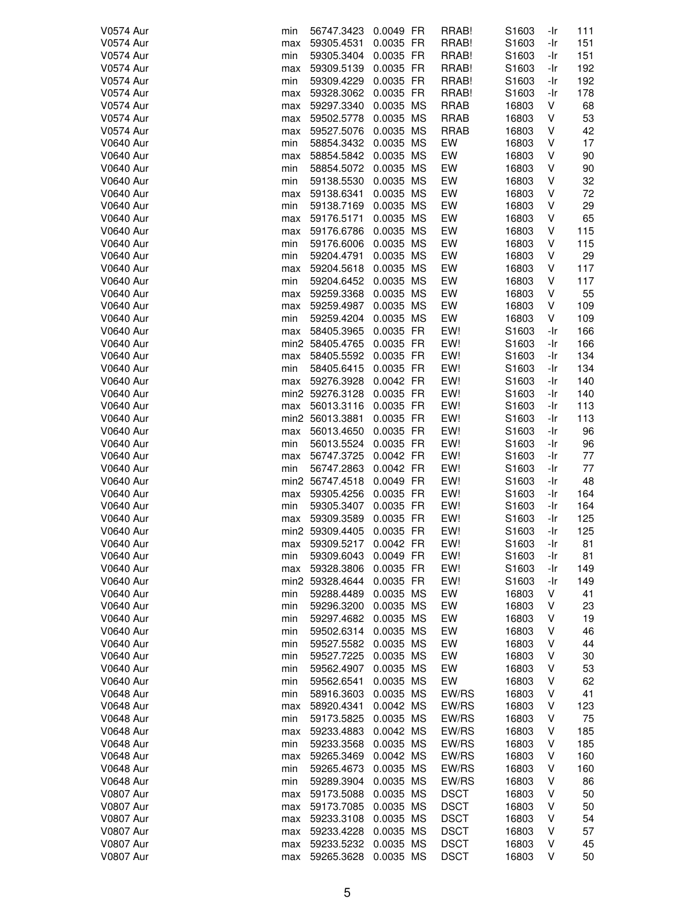| <b>V0574 Aur</b> | min  | 56747.3423      | 0.0049 FR | RRAB!       | S1603 | -Ir | 111 |
|------------------|------|-----------------|-----------|-------------|-------|-----|-----|
| <b>V0574 Aur</b> | max  | 59305.4531      | 0.0035 FR | RRAB!       | S1603 | -Ir | 151 |
| <b>V0574 Aur</b> | min  | 59305.3404      | 0.0035 FR | RRAB!       | S1603 | -Ir | 151 |
| <b>V0574 Aur</b> | max  | 59309.5139      | 0.0035 FR | RRAB!       | S1603 | -Ir | 192 |
| <b>V0574 Aur</b> | min  | 59309.4229      | 0.0035 FR | RRAB!       | S1603 | -Ir | 192 |
|                  |      |                 |           |             |       |     |     |
| <b>V0574 Aur</b> | max  | 59328.3062      | 0.0035 FR | RRAB!       | S1603 | -Ir | 178 |
| <b>V0574 Aur</b> | max  | 59297.3340      | 0.0035 MS | <b>RRAB</b> | 16803 | ٧   | 68  |
| <b>V0574 Aur</b> | max  | 59502.5778      | 0.0035 MS | <b>RRAB</b> | 16803 | ٧   | 53  |
| <b>V0574 Aur</b> | max  | 59527.5076      | 0.0035 MS | <b>RRAB</b> | 16803 | ٧   | 42  |
| <b>V0640 Aur</b> |      | 58854.3432      | 0.0035 MS | EW          |       | ٧   | 17  |
|                  | min  |                 |           |             | 16803 |     |     |
| <b>V0640 Aur</b> | max  | 58854.5842      | 0.0035 MS | EW          | 16803 | ٧   | 90  |
| <b>V0640 Aur</b> | min  | 58854.5072      | 0.0035 MS | EW          | 16803 | V   | 90  |
| <b>V0640 Aur</b> | min  | 59138.5530      | 0.0035 MS | EW          | 16803 | V   | 32  |
| <b>V0640 Aur</b> | max  | 59138.6341      | 0.0035 MS | EW          | 16803 | V   | 72  |
| <b>V0640 Aur</b> | min  | 59138.7169      | 0.0035 MS | EW          | 16803 | ٧   | 29  |
|                  |      |                 |           |             |       |     |     |
| <b>V0640 Aur</b> | max  | 59176.5171      | 0.0035 MS | EW          | 16803 | ٧   | 65  |
| <b>V0640 Aur</b> | max  | 59176.6786      | 0.0035 MS | EW          | 16803 | ٧   | 115 |
| <b>V0640 Aur</b> | min  | 59176.6006      | 0.0035 MS | EW          | 16803 | ٧   | 115 |
| <b>V0640 Aur</b> | min  | 59204.4791      | 0.0035 MS | EW          | 16803 | V   | 29  |
| <b>V0640 Aur</b> | max  | 59204.5618      | 0.0035 MS | EW          | 16803 | V   | 117 |
| <b>V0640 Aur</b> |      | 59204.6452      | 0.0035 MS | EW          | 16803 | ٧   | 117 |
|                  | min  |                 |           |             |       |     |     |
| <b>V0640 Aur</b> | max  | 59259.3368      | 0.0035 MS | EW          | 16803 | ٧   | 55  |
| <b>V0640 Aur</b> | max  | 59259.4987      | 0.0035 MS | EW          | 16803 | ٧   | 109 |
| <b>V0640 Aur</b> | min  | 59259.4204      | 0.0035 MS | EW          | 16803 | V   | 109 |
| <b>V0640 Aur</b> | max  | 58405.3965      | 0.0035 FR | EW!         | S1603 | -Ir | 166 |
| <b>V0640 Aur</b> |      | min2 58405.4765 | 0.0035 FR | EW!         | S1603 | -Ir | 166 |
|                  |      |                 |           |             |       |     |     |
| <b>V0640 Aur</b> | max  | 58405.5592      | 0.0035 FR | EW!         | S1603 | -Ir | 134 |
| <b>V0640 Aur</b> | min  | 58405.6415      | 0.0035 FR | EW!         | S1603 | -Ir | 134 |
| <b>V0640 Aur</b> | max  | 59276.3928      | 0.0042 FR | EW!         | S1603 | -Ir | 140 |
| <b>V0640 Aur</b> |      | min2 59276.3128 | 0.0035 FR | EW!         | S1603 | -Ir | 140 |
| <b>V0640 Aur</b> | max  | 56013.3116      | 0.0035 FR | EW!         | S1603 | -Ir | 113 |
| <b>V0640 Aur</b> |      | min2 56013.3881 | 0.0035 FR | EW!         | S1603 | -Ir | 113 |
| <b>V0640 Aur</b> | max  | 56013.4650      | 0.0035 FR | EW!         | S1603 | -Ir | 96  |
| <b>V0640 Aur</b> |      |                 | 0.0035 FR | EW!         | S1603 |     | 96  |
|                  | min  | 56013.5524      |           |             |       | -Ir |     |
| <b>V0640 Aur</b> | max  | 56747.3725      | 0.0042 FR | EW!         | S1603 | -Ir | 77  |
| <b>V0640 Aur</b> | min  | 56747.2863      | 0.0042 FR | EW!         | S1603 | -Ir | 77  |
| <b>V0640 Aur</b> |      | min2 56747.4518 | 0.0049 FR | EW!         | S1603 | -Ir | 48  |
| <b>V0640 Aur</b> | max  | 59305.4256      | 0.0035 FR | EW!         | S1603 | -Ir | 164 |
| <b>V0640 Aur</b> | min  | 59305.3407      | 0.0035 FR | EW!         | S1603 | -Ir | 164 |
| <b>V0640 Aur</b> | max  | 59309.3589      | 0.0035 FR | EW!         | S1603 | -Ir | 125 |
| <b>V0640 Aur</b> |      | min2 59309.4405 | 0.0035 FR | EW!         | S1603 | -Ir | 125 |
|                  |      |                 |           |             |       |     |     |
| <b>V0640 Aur</b> | max  | 59309.5217      | 0.0042 FR | EW!         | S1603 | -Ir | 81  |
| <b>V0640 Aur</b> | min  | 59309.6043      | 0.0049 FR | EW!         | S1603 | -Ir | 81  |
| <b>V0640 Aur</b> | max  | 59328.3806      | 0.0035 FR | EW!         | S1603 | -Ir | 149 |
| <b>V0640 Aur</b> | min2 | 59328.4644      | 0.0035 FR | EW!         | S1603 | -Ir | 149 |
| <b>V0640 Aur</b> | min  | 59288.4489      | 0.0035 MS | EW          | 16803 | ٧   | 41  |
| <b>V0640 Aur</b> | min  | 59296.3200      | 0.0035 MS | EW          | 16803 | V   | 23  |
|                  |      |                 |           |             |       |     |     |
| <b>V0640 Aur</b> | min  | 59297.4682      | 0.0035 MS | EW          | 16803 | V   | 19  |
| <b>V0640 Aur</b> | min  | 59502.6314      | 0.0035 MS | EW          | 16803 | V   | 46  |
| <b>V0640 Aur</b> | min  | 59527.5582      | 0.0035 MS | EW          | 16803 | ٧   | 44  |
| <b>V0640 Aur</b> | min  | 59527.7225      | 0.0035 MS | EW          | 16803 | V   | 30  |
| <b>V0640 Aur</b> | min  | 59562.4907      | 0.0035 MS | EW          | 16803 | V   | 53  |
| <b>V0640 Aur</b> | min  | 59562.6541      | 0.0035 MS | EW          | 16803 | V   | 62  |
|                  |      |                 |           |             |       |     |     |
| <b>V0648 Aur</b> | min  | 58916.3603      | 0.0035 MS | EW/RS       | 16803 | V   | 41  |
| <b>V0648 Aur</b> | max  | 58920.4341      | 0.0042 MS | EW/RS       | 16803 | V   | 123 |
| <b>V0648 Aur</b> | min  | 59173.5825      | 0.0035 MS | EW/RS       | 16803 | V   | 75  |
| <b>V0648 Aur</b> | max  | 59233.4883      | 0.0042 MS | EW/RS       | 16803 | V   | 185 |
| <b>V0648 Aur</b> | min  | 59233.3568      | 0.0035 MS | EW/RS       | 16803 | V   | 185 |
| <b>V0648 Aur</b> | max  | 59265.3469      | 0.0042 MS | EW/RS       | 16803 | V   | 160 |
| <b>V0648 Aur</b> | min  | 59265.4673      | 0.0035 MS | EW/RS       | 16803 | V   | 160 |
| <b>V0648 Aur</b> |      |                 | 0.0035 MS | EW/RS       | 16803 | V   |     |
|                  | min  | 59289.3904      |           |             |       |     | 86  |
| <b>V0807 Aur</b> | max  | 59173.5088      | 0.0035 MS | <b>DSCT</b> | 16803 | ٧   | 50  |
| <b>V0807 Aur</b> | max  | 59173.7085      | 0.0035 MS | <b>DSCT</b> | 16803 | V   | 50  |
| <b>V0807 Aur</b> | max  | 59233.3108      | 0.0035 MS | <b>DSCT</b> | 16803 | V   | 54  |
| <b>V0807 Aur</b> | max  | 59233.4228      | 0.0035 MS | <b>DSCT</b> | 16803 | V   | 57  |
| <b>V0807 Aur</b> | max  | 59233.5232      | 0.0035 MS | <b>DSCT</b> | 16803 | V   | 45  |
| <b>V0807 Aur</b> | max  | 59265.3628      | 0.0035 MS | <b>DSCT</b> | 16803 | ٧   | 50  |
|                  |      |                 |           |             |       |     |     |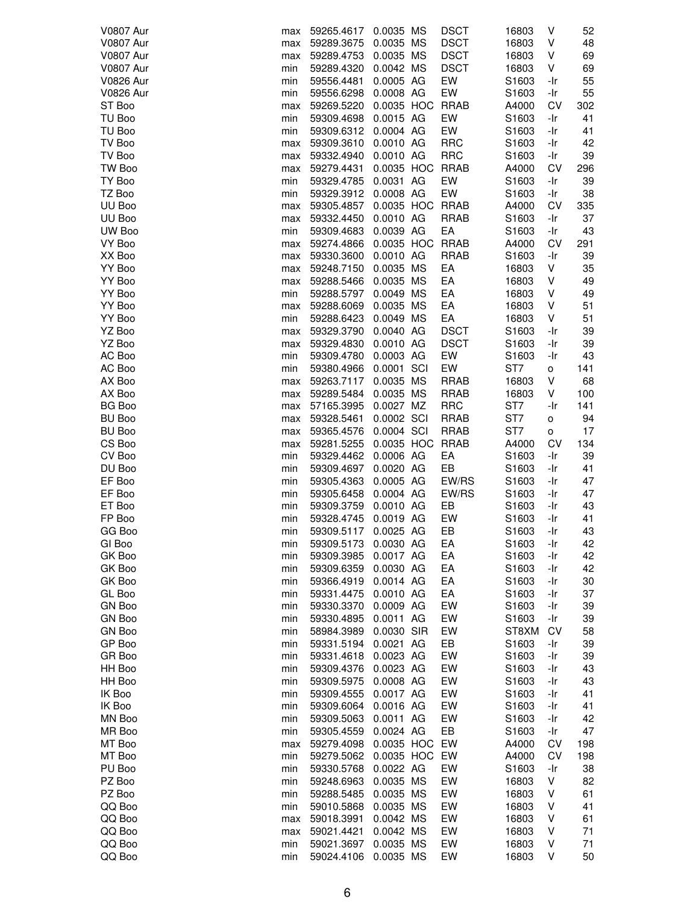| <b>V0807 Aur</b> | max        | 59265.4617               | 0.0035 MS              | <b>DSCT</b> | 16803             | V            | 52       |
|------------------|------------|--------------------------|------------------------|-------------|-------------------|--------------|----------|
| <b>V0807 Aur</b> | max        | 59289.3675               | 0.0035 MS              | <b>DSCT</b> | 16803             | V            | 48       |
| <b>V0807 Aur</b> | max        | 59289.4753               | 0.0035 MS              | <b>DSCT</b> | 16803             | V            | 69       |
| <b>V0807 Aur</b> | min        | 59289.4320               | 0.0042 MS              | <b>DSCT</b> | 16803             | V            | 69       |
| <b>V0826 Aur</b> | min        | 59556.4481               | 0.0005 AG              | EW          | S1603             | -Ir          | 55       |
| <b>V0826 Aur</b> | min        | 59556.6298               | 0.0008 AG              | EW          | S1603             | -Ir          | 55       |
|                  |            |                          |                        |             |                   |              |          |
| ST Boo           | max        | 59269.5220               | 0.0035 HOC RRAB        |             | A4000             | CV           | 302      |
| TU Boo           | min        | 59309.4698               | 0.0015 AG              | EW          | S1603             | -Ir          | 41       |
| TU Boo           | min        | 59309.6312               | 0.0004 AG              | EW          | S1603             | -Ir          | 41       |
| TV Boo           | max        | 59309.3610               | 0.0010 AG              | <b>RRC</b>  | S1603             | -Ir          | 42       |
| TV Boo           | max        | 59332.4940               | 0.0010 AG              | <b>RRC</b>  | S1603             | -Ir          | 39       |
| TW Boo           | max        | 59279.4431               | 0.0035 HOC RRAB        |             | A4000             | CV           | 296      |
| TY Boo           | min        | 59329.4785               | 0.0031 AG              | EW          | S1603             | -Ir          | 39       |
| TZ Boo           | min        | 59329.3912               | 0.0008 AG              | EW          | S1603             | -Ir          | 38       |
| UU Boo           | max        | 59305.4857               | 0.0035 HOC RRAB        |             | A4000             | <b>CV</b>    | 335      |
| UU Boo           | max        | 59332.4450               | 0.0010 AG              | RRAB        | S1603             | -Ir          | 37       |
| UW Boo           | min        | 59309.4683               | 0.0039 AG              | EA          | S1603             | -Ir          | 43       |
|                  |            |                          | 0.0035 HOC RRAB        |             |                   | CV           |          |
| VY Boo           | max        | 59274.4866               |                        |             | A4000             |              | 291      |
| XX Boo           | max        | 59330.3600               | 0.0010 AG              | <b>RRAB</b> | S1603             | -Ir          | 39       |
| YY Boo           | max        | 59248.7150               | 0.0035 MS              | EA          | 16803             | V            | 35       |
| YY Boo           | max        | 59288.5466               | 0.0035 MS              | EA          | 16803             | V            | 49       |
| YY Boo           | min        | 59288.5797               | 0.0049 MS              | EA          | 16803             | V            | 49       |
| YY Boo           | max        | 59288.6069               | 0.0035 MS              | EA          | 16803             | V            | 51       |
| YY Boo           | min        | 59288.6423               | 0.0049 MS              | EA          | 16803             | V            | 51       |
| YZ Boo           | max        | 59329.3790               | 0.0040 AG              | <b>DSCT</b> | S1603             | -Ir          | 39       |
| YZ Boo           | max        | 59329.4830               | 0.0010 AG              | <b>DSCT</b> | S1603             | -Ir          | 39       |
| AC Boo           | min        | 59309.4780               | 0.0003 AG              | EW          | S1603             | -Ir          | 43       |
| AC Boo           | min        | 59380.4966               | 0.0001 SCI             | EW          | ST7               | o            | 141      |
|                  |            |                          |                        |             |                   |              |          |
| AX Boo           | max        | 59263.7117               | 0.0035 MS              | <b>RRAB</b> | 16803             | V            | 68       |
| AX Boo           | max        | 59289.5484               | 0.0035 MS              | <b>RRAB</b> | 16803             | V            | 100      |
| BG Boo           | max        | 57165.3995               | 0.0027 MZ              | <b>RRC</b>  | ST7               | -Ir          | 141      |
| <b>BU Boo</b>    | max        | 59328.5461               | 0.0002 SCI             | <b>RRAB</b> | ST7               | $\mathsf{o}$ | 94       |
| <b>BU Boo</b>    | max        | 59365.4576               | 0.0004 SCI             | <b>RRAB</b> | ST7               | о            | 17       |
| CS Boo           | max        | 59281.5255               | 0.0035 HOC             | <b>RRAB</b> | A4000             | CV           | 134      |
| CV Boo           | min        | 59329.4462               | 0.0006 AG              | EA          | S1603             | -Ir          | 39       |
| DU Boo           | min        | 59309.4697               | 0.0020 AG              | EB          | S1603             | -Ir          | 41       |
| EF Boo           | min        | 59305.4363               | 0.0005 AG              | EW/RS       | S1603             | -Ir          | 47       |
| EF Boo           | min        | 59305.6458               | 0.0004 AG              | EW/RS       | S1603             | -Ir          | 47       |
| ET Boo           | min        | 59309.3759               | 0.0010 AG              | EB          | S <sub>1603</sub> | -Ir          | 43       |
| FP Boo           | min        | 59328.4745               | 0.0019 AG              | EW          | S1603             | -Ir          | 41       |
|                  |            |                          | 0.0025 AG              | EB          |                   | -Ir          | 43       |
| GG Boo           | min        | 59309.5117               |                        |             | S1603             |              |          |
| GI Boo           | min        |                          |                        |             |                   |              |          |
|                  |            | 59309.5173               | 0.0030 AG              | EA          | S1603             | -Ir          | 42       |
| GK Boo           | min        | 59309.3985               | 0.0017 AG              | EA          | S1603             | -Ir          | 42       |
| GK Boo           | min        | 59309.6359               | 0.0030 AG              | EA          | S1603             | -Ir          | 42       |
| GK Boo           | min        | 59366.4919               | 0.0014 AG              | EA          | S <sub>1603</sub> | -Ir          | 30       |
| GL Boo           | min        | 59331.4475               | 0.0010 AG              | EA          | S1603             | -Ir          | 37       |
| <b>GN Boo</b>    | min        | 59330.3370               | 0.0009 AG              | EW          | S1603             | -Ir          | 39       |
|                  | min        |                          |                        |             |                   |              |          |
| <b>GN Boo</b>    |            | 59330.4895               | 0.0011 AG              | EW          | S1603             | -Ir          | 39       |
| <b>GN Boo</b>    | min        | 58984.3989               | 0.0030 SIR             | EW          | ST8XM             | CV           | 58       |
| GP Boo           | min        | 59331.5194               | 0.0021 AG              | EB          | S1603             | -Ir          | 39       |
| GR Boo           | min        | 59331.4618               | 0.0023 AG              | EW          | S1603             | -Ir          | 39       |
| HH Boo           | min        | 59309.4376               | 0.0023 AG              | EW          | S1603             | -Ir          | 43       |
| HH Boo           | min        | 59309.5975               | 0.0008 AG              | EW          | S1603             | -Ir          | 43       |
| IK Boo           | min        | 59309.4555               | 0.0017 AG              | EW          | S1603             | -Ir          | 41       |
| IK Boo           | min        | 59309.6064               | 0.0016 AG              | EW          | S1603             | -Ir          | 41       |
| MN Boo           | min        | 59309.5063               | 0.0011 AG              | EW          | S1603             | -Ir          | 42       |
| MR Boo           | min        | 59305.4559               | 0.0024 AG              | EB          | S1603             | -Ir          | 47       |
| MT Boo           | max        | 59279.4098               | 0.0035 HOC EW          |             | A4000             | CV           | 198      |
|                  |            |                          |                        |             | A4000             |              |          |
| MT Boo<br>PU Boo | min        | 59279.5062               | 0.0035 HOC EW          |             |                   | CV           | 198      |
|                  | min        | 59330.5768               | 0.0022 AG              | EW          | S1603             | -Ir          | 38       |
| PZ Boo           | min        | 59248.6963               | 0.0035 MS              | EW          | 16803             | V            | 82       |
| PZ Boo           | min        | 59288.5485               | 0.0035 MS              | EW          | 16803             | ٧            | 61       |
| QQ Boo           | min        | 59010.5868               | 0.0035 MS              | EW          | 16803             | V            | 41       |
| QQ Boo           | max        | 59018.3991               | 0.0042 MS              | EW          | 16803             | V            | 61       |
| QQ Boo           | max        | 59021.4421               | 0.0042 MS              | EW          | 16803             | V            | 71       |
| QQ Boo<br>QQ Boo | min<br>min | 59021.3697<br>59024.4106 | 0.0035 MS<br>0.0035 MS | EW<br>EW    | 16803<br>16803    | V<br>V       | 71<br>50 |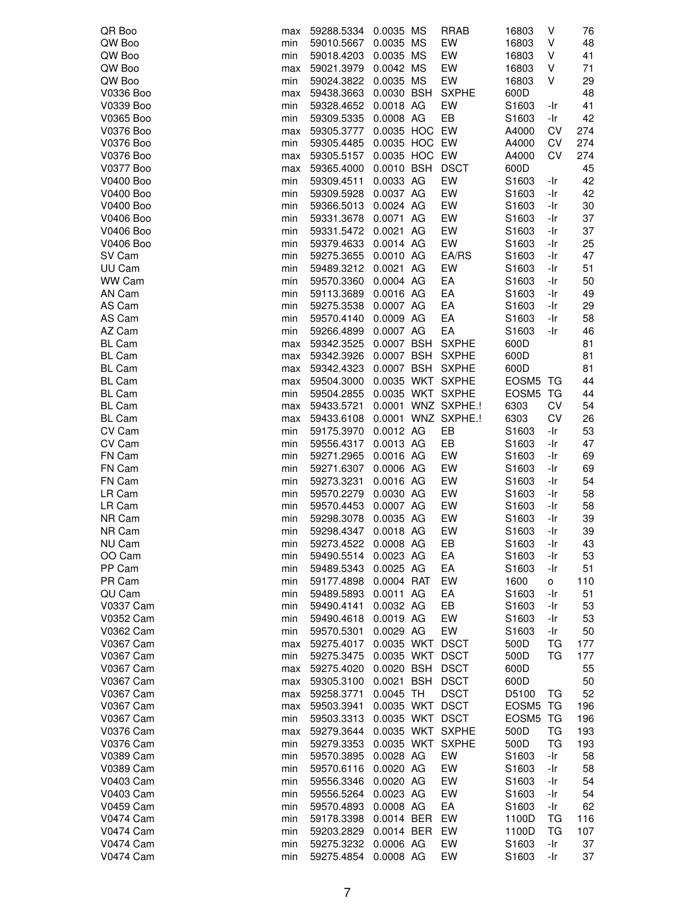| QR Boo           | max | 59288.5334 | 0.0035 MS       | <b>RRAB</b>        | 16803             | V         | 76  |
|------------------|-----|------------|-----------------|--------------------|-------------------|-----------|-----|
| QW Boo           | min | 59010.5667 | 0.0035 MS       | EW                 | 16803             | V         | 48  |
| QW Boo           | min | 59018.4203 | 0.0035 MS       | EW                 | 16803             | V         | 41  |
| QW Boo           | max | 59021.3979 | 0.0042 MS       | EW                 | 16803             | V         | 71  |
| QW Boo           | min | 59024.3822 | 0.0035 MS       | EW                 | 16803             | V         | 29  |
| V0336 Boo        | max | 59438.3663 | 0.0030 BSH      | <b>SXPHE</b>       | 600D              |           | 48  |
| V0339 Boo        | min | 59328.4652 | 0.0018 AG       | EW                 | S1603             | -Ir       | 41  |
| V0365 Boo        | min | 59309.5335 | 0.0008 AG       | EB                 | S1603             | -Ir       | 42  |
| V0376 Boo        | max | 59305.3777 | 0.0035 HOC EW   |                    | A4000             | CV        | 274 |
| V0376 Boo        | min | 59305.4485 | 0.0035 HOC EW   |                    | A4000             | CV        | 274 |
| V0376 Boo        | max | 59305.5157 | 0.0035 HOC EW   |                    | A4000             | CV        | 274 |
| V0377 Boo        | max | 59365.4000 | 0.0010 BSH      | <b>DSCT</b>        | 600D              |           | 45  |
| V0400 Boo        | min | 59309.4511 | 0.0033 AG       | EW                 | S1603             | -Ir       | 42  |
| V0400 Boo        | min | 59309.5928 | 0.0037 AG       | EW                 | S1603             | -Ir       | 42  |
| V0400 Boo        | min | 59366.5013 | 0.0024 AG       | EW                 | S1603             | -Ir       | 30  |
| V0406 Boo        | min | 59331.3678 | 0.0071 AG       | EW                 | S1603             | -Ir       | 37  |
| V0406 Boo        | min | 59331.5472 | 0.0021 AG       | EW                 | S1603             | -Ir       | 37  |
| V0406 Boo        | min | 59379.4633 | 0.0014 AG       | EW                 | S1603             | -Ir       | 25  |
| SV Cam           | min | 59275.3655 | 0.0010 AG       | EA/RS              | S1603             | -Ir       | 47  |
| UU Cam           | min | 59489.3212 | 0.0021 AG       | EW                 | S1603             | -Ir       | 51  |
| WW Cam           | min | 59570.3360 | 0.0004 AG       | EA                 | S1603             | -Ir       | 50  |
| AN Cam           | min | 59113.3689 | 0.0016 AG       | EA                 | S1603             | -Ir       | 49  |
| AS Cam           | min | 59275.3538 | 0.0007 AG       | EA                 | S1603             | -Ir       | 29  |
| AS Cam           | min | 59570.4140 | 0.0009 AG       | EA                 | S1603             | -Ir       | 58  |
| AZ Cam           | min | 59266.4899 | 0.0007 AG       | EA                 | S1603             | -Ir       | 46  |
| <b>BL Cam</b>    | max | 59342.3525 | 0.0007 BSH      | <b>SXPHE</b>       | 600D              |           | 81  |
| <b>BL Cam</b>    | max | 59342.3926 | 0.0007 BSH      | <b>SXPHE</b>       | 600D              |           | 81  |
| <b>BL Cam</b>    | max | 59342.4323 | 0.0007 BSH      | <b>SXPHE</b>       | 600D              |           | 81  |
| <b>BL Cam</b>    | max | 59504.3000 |                 | 0.0035 WKT SXPHE   | EOSM5             | TG        | 44  |
| <b>BL Cam</b>    | min | 59504.2855 |                 | 0.0035 WKT SXPHE   | EOSM <sub>5</sub> | TG        | 44  |
| <b>BL Cam</b>    | max | 59433.5721 |                 | 0.0001 WNZ SXPHE.! | 6303              | CV        | 54  |
| <b>BL Cam</b>    | max | 59433.6108 |                 | 0.0001 WNZ SXPHE.! | 6303              | CV        | 26  |
| CV Cam           | min | 59175.3970 | 0.0012 AG       | EB                 | S1603             | -Ir       | 53  |
| CV Cam           | min | 59556.4317 | 0.0013 AG       | EB                 | S1603             | -Ir       | 47  |
| FN Cam           | min | 59271.2965 | 0.0016 AG       | EW                 | S1603             | -Ir       | 69  |
| FN Cam           | min | 59271.6307 | 0.0006 AG       | EW                 | S1603             | -Ir       | 69  |
| FN Cam           | min | 59273.3231 | 0.0016 AG       | EW                 | S1603             | -Ir       | 54  |
| LR Cam           | min | 59570.2279 | 0.0030 AG       | EW                 | S1603             | -Ir       | 58  |
| LR Cam           | min | 59570.4453 | 0.0007 AG       | EW                 | S1603             | -Ir       | 58  |
| NR Cam           | min | 59298.3078 | 0.0035 AG       | EW                 | S1603             | -Ir       | 39  |
| NR Cam           | min | 59298.4347 | 0.0018 AG       | EW                 | S1603             | -Ir       | 39  |
| NU Cam           | min | 59273.4522 | 0.0008 AG       | EB                 | S1603             | -Ir       | 43  |
| OO Cam           | min | 59490.5514 | 0.0023 AG       | EA                 | S1603             | -Ir       | 53  |
| PP Cam           | min | 59489.5343 | 0.0025 AG       | EA                 | S1603             | -Ir       | 51  |
| PR Cam           | min | 59177.4898 | 0.0004 RAT      | EW                 | 1600              | о         | 110 |
| QU Cam           | min | 59489.5893 | 0.0011 AG       | EA                 | S1603             | -Ir       | 51  |
| <b>V0337 Cam</b> | min | 59490.4141 | 0.0032 AG       | EB                 | S1603             | -Ir       | 53  |
| V0352 Cam        | min | 59490.4618 | 0.0019 AG       | EW                 | S1603             | -Ir       | 53  |
| V0362 Cam        | min | 59570.5301 | 0.0029 AG       | EW                 | S1603             | -Ir       | 50  |
| V0367 Cam        | max | 59275.4017 | 0.0035 WKT DSCT |                    | 500D              | ТG        | 177 |
| V0367 Cam        | min | 59275.3475 | 0.0035 WKT DSCT |                    | 500D              | TG        | 177 |
| V0367 Cam        | max | 59275.4020 | 0.0020 BSH      | <b>DSCT</b>        | 600D              |           | 55  |
| V0367 Cam        | max | 59305.3100 | 0.0021 BSH DSCT |                    | 600D              |           | 50  |
| V0367 Cam        | max | 59258.3771 | 0.0045 TH       | <b>DSCT</b>        | D5100             | TG        | 52  |
| <b>V0367 Cam</b> | max | 59503.3941 | 0.0035 WKT DSCT |                    | EOSM <sub>5</sub> | TG        | 196 |
| V0367 Cam        | min | 59503.3313 | 0.0035 WKT DSCT |                    | EOSM <sub>5</sub> | TG        | 196 |
| V0376 Cam        | max | 59279.3644 |                 | 0.0035 WKT SXPHE   | 500D              | ТG        | 193 |
| V0376 Cam        | min | 59279.3353 |                 | 0.0035 WKT SXPHE   | 500D              | <b>TG</b> | 193 |
| V0389 Cam        | min | 59570.3895 | 0.0028 AG       | EW                 | S1603             | -Ir       | 58  |
| <b>V0389 Cam</b> | min | 59570.6116 | 0.0020 AG       | EW                 | S1603             | -Ir       | 58  |
| V0403 Cam        | min | 59556.3346 | 0.0020 AG       | EW                 | S1603             | -Ir       | 54  |
| <b>V0403 Cam</b> | min | 59556.5264 | 0.0023 AG       | EW                 | S1603             | -Ir       | 54  |
| V0459 Cam        | min | 59570.4893 | 0.0008 AG       | EA                 | S1603             | -Ir       | 62  |
| <b>V0474 Cam</b> | min | 59178.3398 | 0.0014 BER      | EW                 | 1100D             | ТG        | 116 |
| <b>V0474 Cam</b> | min | 59203.2829 | 0.0014 BER      | EW                 | 1100D             | TG        | 107 |
| <b>V0474 Cam</b> | min | 59275.3232 | 0.0006 AG       | EW                 | S1603             | -Ir       | 37  |
| <b>V0474 Cam</b> | min | 59275.4854 | 0.0008 AG       | EW                 | S1603             | -Ir       | 37  |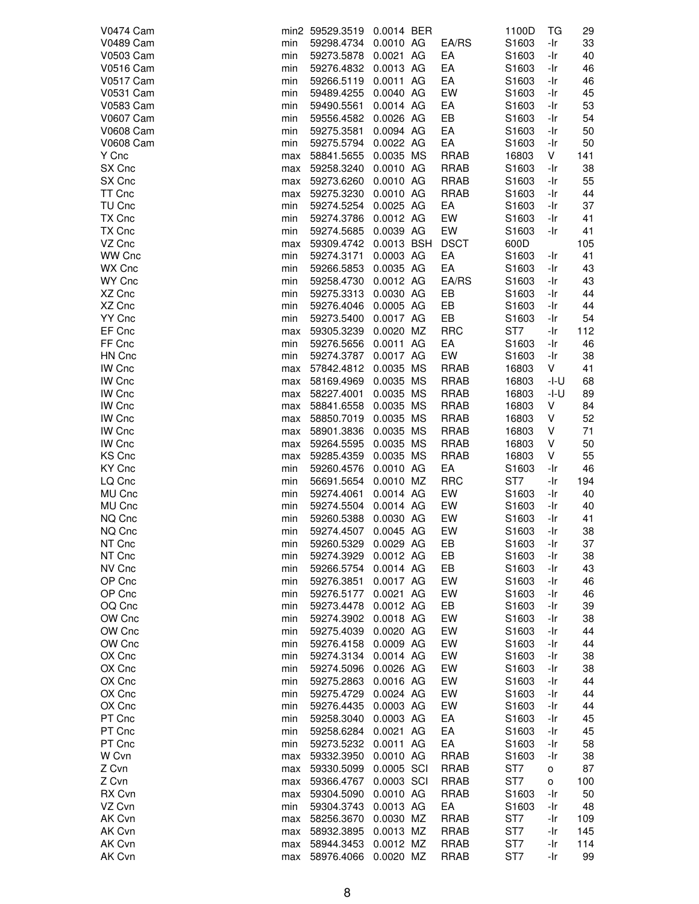| <b>V0474 Cam</b> |     | min2 59529.3519 | 0.0014 BER |             | 1100D             | ТG       | 29  |
|------------------|-----|-----------------|------------|-------------|-------------------|----------|-----|
| <b>V0489 Cam</b> | min | 59298.4734      | 0.0010 AG  | EA/RS       | S1603             | -Ir      | 33  |
| <b>V0503 Cam</b> | min | 59273.5878      | 0.0021 AG  | EA          | S <sub>1603</sub> | -Ir      | 40  |
| <b>V0516 Cam</b> | min | 59276.4832      | 0.0013 AG  | EA          | S1603             | -Ir      | 46  |
| V0517 Cam        | min | 59266.5119      | 0.0011 AG  | EA          | S1603             | -Ir      | 46  |
| <b>V0531 Cam</b> | min | 59489.4255      | 0.0040 AG  | EW          | S <sub>1603</sub> | -Ir      | 45  |
| V0583 Cam        | min | 59490.5561      | 0.0014 AG  | EA          | S <sub>1603</sub> | -Ir      | 53  |
| <b>V0607 Cam</b> | min | 59556.4582      | 0.0026 AG  | EB          | S1603             | -Ir      | 54  |
| <b>V0608 Cam</b> | min | 59275.3581      | 0.0094 AG  | EA          | S1603             | -Ir      | 50  |
| <b>V0608 Cam</b> | min | 59275.5794      | 0.0022 AG  | EA          | S1603             | -Ir      | 50  |
| Y Cnc            | max | 58841.5655      | 0.0035 MS  | <b>RRAB</b> | 16803             | V        | 141 |
| SX Cnc           | max | 59258.3240      | 0.0010 AG  | <b>RRAB</b> | S1603             | -Ir      | 38  |
| SX Cnc           | max | 59273.6260      | 0.0010 AG  | <b>RRAB</b> | S <sub>1603</sub> | -Ir      | 55  |
| TT Cnc           | max | 59275.3230      | 0.0010 AG  | <b>RRAB</b> | S1603             | -Ir      | 44  |
| TU Cnc           | min | 59274.5254      | 0.0025 AG  | EA          | S1603             | -Ir      | 37  |
| TX Cnc           | min | 59274.3786      | 0.0012 AG  | EW          | S1603             | -Ir      | 41  |
| TX Cnc           | min | 59274.5685      | 0.0039 AG  | EW          | S <sub>1603</sub> | -Ir      | 41  |
| VZ Cnc           | max | 59309.4742      | 0.0013 BSH | <b>DSCT</b> | 600D              |          | 105 |
| WW Cnc           | min | 59274.3171      | 0.0003 AG  | EA          | S <sub>1603</sub> | -Ir      | 41  |
| WX Cnc           | min | 59266.5853      | 0.0035 AG  | EA          | S <sub>1603</sub> | -Ir      | 43  |
| WY Cnc           | min | 59258.4730      | 0.0012 AG  | EA/RS       | S1603             | -Ir      | 43  |
| XZ Cnc           | min | 59275.3313      | 0.0030 AG  | EB          | S1603             | -Ir      | 44  |
| XZ Cnc           | min | 59276.4046      | 0.0005 AG  | EB          | S1603             | -Ir      | 44  |
| YY Cnc           | min | 59273.5400      | 0.0017 AG  | EB          | S1603             | -Ir      | 54  |
| EF Cnc           | max | 59305.3239      | 0.0020 MZ  | <b>RRC</b>  | ST7               | -Ir      | 112 |
| FF Cnc           | min | 59276.5656      | 0.0011 AG  | EA          | S1603             | -Ir      | 46  |
|                  |     |                 |            | EW          |                   |          |     |
| HN Cnc           | min | 59274.3787      | 0.0017 AG  |             | S <sub>1603</sub> | -Ir<br>V | 38  |
| IW Cnc           | max | 57842.4812      | 0.0035 MS  | <b>RRAB</b> | 16803             |          | 41  |
| IW Cnc           | max | 58169.4969      | 0.0035 MS  | <b>RRAB</b> | 16803             | -I-U     | 68  |
| IW Cnc           | max | 58227.4001      | 0.0035 MS  | <b>RRAB</b> | 16803             | -I-U     | 89  |
| <b>IW Cnc</b>    | max | 58841.6558      | 0.0035 MS  | <b>RRAB</b> | 16803             | V        | 84  |
| <b>IW Cnc</b>    | max | 58850.7019      | 0.0035 MS  | RRAB        | 16803             | V        | 52  |
| <b>IW Cnc</b>    | max | 58901.3836      | 0.0035 MS  | <b>RRAB</b> | 16803             | ٧        | 71  |
| IW Cnc           | max | 59264.5595      | 0.0035 MS  | <b>RRAB</b> | 16803             | V        | 50  |
| KS Cnc           | max | 59285.4359      | 0.0035 MS  | <b>RRAB</b> | 16803             | V        | 55  |
| KY Cnc           | min | 59260.4576      | 0.0010 AG  | EA          | S1603             | -Ir      | 46  |
| LQ Cnc           | min | 56691.5654      | 0.0010 MZ  | <b>RRC</b>  | ST7               | -Ir      | 194 |
| MU Cnc           | min | 59274.4061      | 0.0014 AG  | EW          | S1603             | -Ir      | 40  |
| MU Cnc           | min | 59274.5504      | 0.0014 AG  | EW          | S1603             | -Ir      | 40  |
| NQ Cnc           | min | 59260.5388      | 0.0030 AG  | EW          | S1603             | -Ir      | 41  |
| NQ Cnc           | min | 59274.4507      | 0.0045 AG  | EW          | S1603             | -Ir      | 38  |
| NT Cnc           | min | 59260.5329      | 0.0029 AG  | EB          | S1603             | -Ir      | 37  |
| NT Cnc           | min | 59274.3929      | 0.0012 AG  | EB          | S1603             | -Ir      | 38  |
| NV Cnc           | min | 59266.5754      | 0.0014 AG  | EB          | S1603             | -Ir      | 43  |
| OP Cnc           | min | 59276.3851      | 0.0017 AG  | EW          | S1603             | -Ir      | 46  |
| OP Cnc           | min | 59276.5177      | 0.0021 AG  | EW          | S1603             | -Ir      | 46  |
| OQ Cnc           | min | 59273.4478      | 0.0012 AG  | EB          | S1603             | -Ir      | 39  |
| OW Cnc           | min | 59274.3902      | 0.0018 AG  | EW          | S1603             | -Ir      | 38  |
| OW Cnc           | min | 59275.4039      | 0.0020 AG  | EW          | S1603             | -Ir      | 44  |
| OW Cnc           | min | 59276.4158      | 0.0009 AG  | EW          | S1603             | -Ir      | 44  |
| OX Cnc           | min | 59274.3134      | 0.0014 AG  | EW          | S1603             | -Ir      | 38  |
| OX Cnc           | min | 59274.5096      | 0.0026 AG  | EW          | S1603             | -Ir      | 38  |
| OX Cnc           | min | 59275.2863      | 0.0016 AG  | EW          | S1603             | -Ir      | 44  |
| OX Cnc           | min | 59275.4729      | 0.0024 AG  | EW          | S1603             | -Ir      | 44  |
| OX Cnc           | min | 59276.4435      | 0.0003 AG  | EW          | S1603             | -Ir      | 44  |
| PT Cnc           | min | 59258.3040      | 0.0003 AG  | EA          | S1603             | -Ir      | 45  |
| PT Cnc           | min | 59258.6284      | 0.0021 AG  | EA          | S1603             | -Ir      | 45  |
| PT Cnc           | min | 59273.5232      | 0.0011 AG  | EA          | S1603             | -Ir      | 58  |
| W Cvn            | max | 59332.3950      | 0.0010 AG  | <b>RRAB</b> | S1603             | -Ir      | 38  |
| Z Cvn            | max | 59330.5099      | 0.0005 SCI | <b>RRAB</b> | ST7               | о        | 87  |
| Z Cvn            | max | 59366.4767      | 0.0003 SCI | RRAB        | ST7               | о        | 100 |
| RX Cvn           | max | 59304.5090      | 0.0010 AG  | <b>RRAB</b> | S1603             | -Ir      | 50  |
| VZ Cvn           | min | 59304.3743      | 0.0013 AG  | EA          | S1603             | -Ir      | 48  |
| AK Cvn           |     | 58256.3670      | 0.0030 MZ  | <b>RRAB</b> | ST7               | -Ir      | 109 |
| AK Cvn           | max |                 | 0.0013 MZ  | <b>RRAB</b> | ST <sub>7</sub>   |          | 145 |
| AK Cvn           | max | 58932.3895      | 0.0012 MZ  | <b>RRAB</b> | ST <sub>7</sub>   | -Ir      |     |
|                  | max | 58944.3453      |            |             |                   | -Ir      | 114 |
| AK Cvn           | max | 58976.4066      | 0.0020 MZ  | RRAB        | ST7               | -Ir      | 99  |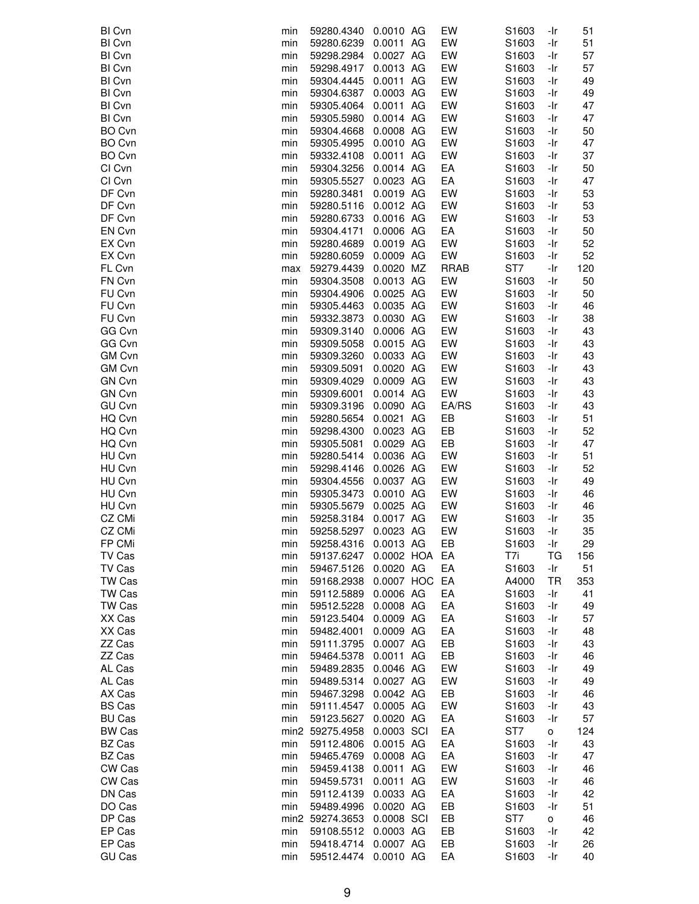| BI Cvn        | min | 59280.4340      | 0.0010 AG     | EW          | S1603             | -Ir       | 51  |
|---------------|-----|-----------------|---------------|-------------|-------------------|-----------|-----|
| BI Cvn        | min | 59280.6239      | 0.0011 AG     | EW          | S1603             | -Ir       | 51  |
| <b>BI Cvn</b> | min | 59298.2984      | 0.0027 AG     | EW          | S1603             | -Ir       | 57  |
| BI Cvn        | min | 59298.4917      | 0.0013 AG     | EW          | S1603             | -Ir       | 57  |
| BI Cvn        | min | 59304.4445      | 0.0011 AG     | EW          | S1603             | -Ir       | 49  |
| <b>BI Cvn</b> | min | 59304.6387      | 0.0003 AG     | EW          | S1603             | -Ir       | 49  |
| <b>BI Cvn</b> | min | 59305.4064      | 0.0011 AG     | EW          | S1603             | -Ir       | 47  |
| BI Cvn        |     |                 | 0.0014 AG     | EW          |                   |           | 47  |
|               | min | 59305.5980      |               |             | S1603             | -Ir       |     |
| BO Cvn        | min | 59304.4668      | 0.0008 AG     | EW          | S1603             | -Ir       | 50  |
| BO Cvn        | min | 59305.4995      | 0.0010 AG     | EW          | S1603             | -Ir       | 47  |
| BO Cvn        | min | 59332.4108      | 0.0011 AG     | EW          | S1603             | -Ir       | 37  |
| CI Cvn        | min | 59304.3256      | 0.0014 AG     | EA          | S1603             | -Ir       | 50  |
| CI Cvn        | min | 59305.5527      | 0.0023 AG     | EA          | S1603             | -Ir       | 47  |
| DF Cvn        | min | 59280.3481      | 0.0019 AG     | EW          | S1603             | -Ir       | 53  |
| DF Cvn        | min | 59280.5116      | 0.0012 AG     | EW          | S1603             | -Ir       | 53  |
| DF Cvn        | min | 59280.6733      | 0.0016 AG     | EW          | S1603             | -Ir       | 53  |
| EN Cvn        | min | 59304.4171      | 0.0006 AG     | EA          | S1603             | -Ir       | 50  |
| EX Cvn        | min | 59280.4689      | 0.0019 AG     | EW          | S1603             | -Ir       | 52  |
| EX Cvn        | min | 59280.6059      | 0.0009 AG     | EW          | S1603             | -Ir       | 52  |
| FL Cvn        | max | 59279.4439      | 0.0020 MZ     | <b>RRAB</b> | ST7               | -Ir       | 120 |
| FN Cvn        | min | 59304.3508      | 0.0013 AG     | EW          | S1603             | -Ir       | 50  |
| FU Cvn        | min | 59304.4906      | 0.0025 AG     | EW          | S1603             | -Ir       | 50  |
| FU Cvn        | min | 59305.4463      | 0.0035 AG     | EW          | S1603             | -Ir       | 46  |
| FU Cvn        |     | 59332.3873      | 0.0030 AG     | EW          | S1603             | -Ir       | 38  |
|               | min |                 |               |             |                   |           |     |
| GG Cvn        | min | 59309.3140      | 0.0006 AG     | EW          | S1603             | -Ir       | 43  |
| GG Cvn        | min | 59309.5058      | 0.0015 AG     | EW          | S1603             | -Ir       | 43  |
| GM Cvn        | min | 59309.3260      | 0.0033 AG     | EW          | S1603             | -Ir       | 43  |
| GM Cvn        | min | 59309.5091      | 0.0020 AG     | EW          | S1603             | -Ir       | 43  |
| <b>GN Cvn</b> | min | 59309.4029      | 0.0009 AG     | EW          | S1603             | -Ir       | 43  |
| <b>GN Cvn</b> | min | 59309.6001      | 0.0014 AG     | EW          | S1603             | -Ir       | 43  |
| <b>GU Cvn</b> | min | 59309.3196      | 0.0090 AG     | EA/RS       | S1603             | -Ir       | 43  |
| HQ Cvn        | min | 59280.5654      | 0.0021 AG     | EB          | S1603             | -Ir       | 51  |
| HQ Cvn        | min | 59298.4300      | 0.0023 AG     | EB          | S1603             | -Ir       | 52  |
| HQ Cvn        | min | 59305.5081      | 0.0029 AG     | EB          | S1603             | -Ir       | 47  |
| HU Cvn        | min | 59280.5414      | 0.0036 AG     | EW          | S1603             | -Ir       | 51  |
| HU Cvn        | min | 59298.4146      | 0.0026 AG     | EW          | S1603             | -Ir       | 52  |
| HU Cvn        | min | 59304.4556      | 0.0037 AG     | EW          | S1603             | -Ir       | 49  |
| HU Cvn        | min | 59305.3473      | 0.0010 AG     | EW          | S1603             | -Ir       | 46  |
| HU Cvn        | min | 59305.5679      | 0.0025 AG     | EW          | S1603             | -Ir       | 46  |
| CZ CMi        | min | 59258.3184      | 0.0017 AG     | EW          | S1603             | -Ir       | 35  |
| CZ CMi        | min | 59258.5297      | 0.0023 AG     | EW          | S1603             | -Ir       | 35  |
|               |     |                 |               |             |                   |           |     |
| FP CMi        | min | 59258.4316      | 0.0013 AG     | EB          | S1603             | -Ir       | 29  |
| TV Cas        | min | 59137.6247      | 0.0002 HOA    | EA          | T7i               | ТG        | 156 |
| TV Cas        | min | 59467.5126      | 0.0020 AG     | EA          | S1603             | -Ir       | 51  |
| TW Cas        | min | 59168.2938      | 0.0007 HOC EA |             | A4000             | <b>TR</b> | 353 |
| TW Cas        | min | 59112.5889      | 0.0006 AG     | EA          | S1603             | -Ir       | 41  |
| TW Cas        | min | 59512.5228      | 0.0008 AG     | EA          | S1603             | -Ir       | 49  |
| XX Cas        | min | 59123.5404      | 0.0009 AG     | EA          | S1603             | -Ir       | 57  |
| XX Cas        | min | 59482.4001      | 0.0009 AG     | EA          | S1603             | -Ir       | 48  |
| ZZ Cas        | min | 59111.3795      | 0.0007 AG     | EB          | S <sub>1603</sub> | -Ir       | 43  |
| ZZ Cas        | min | 59464.5378      | 0.0011 AG     | EB          | S1603             | -Ir       | 46  |
| AL Cas        | min | 59489.2835      | 0.0046 AG     | EW          | S1603             | -Ir       | 49  |
| AL Cas        | min | 59489.5314      | 0.0027 AG     | EW          | S1603             | -Ir       | 49  |
| AX Cas        | min | 59467.3298      | 0.0042 AG     | EB          | S1603             | -Ir       | 46  |
| <b>BS Cas</b> | min | 59111.4547      | 0.0005 AG     | EW          | S1603             | -Ir       | 43  |
| <b>BU Cas</b> | min | 59123.5627      | 0.0020 AG     | EA          | S1603             | -Ir       | 57  |
| <b>BW Cas</b> |     | min2 59275.4958 | 0.0003 SCI    | EA          | ST7               | o         | 124 |
| BZ Cas        | min | 59112.4806      | 0.0015 AG     | EA          | S1603             | -Ir       | 43  |
| BZ Cas        | min | 59465.4769      | 0.0008 AG     | EA          | S1603             | -Ir       | 47  |
| CW Cas        | min | 59459.4138      | 0.0011 AG     | EW          | S1603             | -Ir       | 46  |
| CW Cas        | min | 59459.5731      | 0.0011 AG     | EW          | S1603             | -Ir       | 46  |
|               |     |                 |               |             |                   |           |     |
| DN Cas        | min | 59112.4139      | 0.0033 AG     | EA          | S1603             | -Ir       | 42  |
| DO Cas        | min | 59489.4996      | 0.0020 AG     | EB          | S1603             | -Ir       | 51  |
| DP Cas        |     | min2 59274.3653 | 0.0008 SCI    | EB          | ST7               | o         | 46  |
| EP Cas        | min | 59108.5512      | 0.0003 AG     | EB          | S1603             | -Ir       | 42  |
| EP Cas        | min | 59418.4714      | 0.0007 AG     | EB          | S1603             | -Ir       | 26  |
| <b>GU Cas</b> | min | 59512.4474      | 0.0010 AG     | EA          | S1603             | -Ir       | 40  |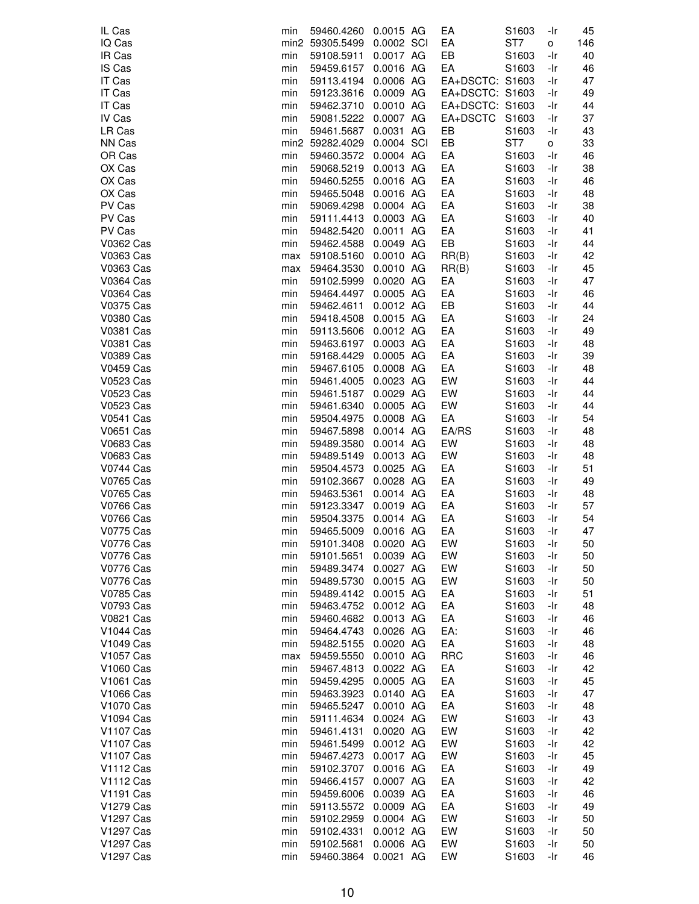| IL Cas                | min        | 59460.4260      | 0.0015 AG  | EA              | S1603             | -Ir | 45  |
|-----------------------|------------|-----------------|------------|-----------------|-------------------|-----|-----|
| IQ Cas                |            | min2 59305.5499 | 0.0002 SCI | EA              | ST <sub>7</sub>   | o   | 146 |
| IR Cas                | min        | 59108.5911      | 0.0017 AG  | EB              | S1603             | -Ir | 40  |
| IS Cas                | min        | 59459.6157      | 0.0016 AG  | EA              | S <sub>1603</sub> | -Ir | 46  |
| IT Cas                | min        | 59113.4194      | 0.0006 AG  | EA+DSCTC: S1603 |                   | -Ir | 47  |
| IT Cas                | min        | 59123.3616      | 0.0009 AG  | EA+DSCTC: S1603 |                   | -Ir | 49  |
| IT Cas                | min        | 59462.3710      | 0.0010 AG  | EA+DSCTC: S1603 |                   | -Ir | 44  |
| IV Cas                | min        | 59081.5222      | 0.0007 AG  | EA+DSCTC        | S1603             | -Ir | 37  |
| LR Cas                | min        | 59461.5687      | 0.0031 AG  | EB              | S1603             | -Ir | 43  |
| NN Cas                |            | min2 59282.4029 | 0.0004 SCI | EB              | ST7               | о   | 33  |
| OR Cas                | min        | 59460.3572      | 0.0004 AG  | EA              | S1603             | -Ir | 46  |
| OX Cas                | min        | 59068.5219      | 0.0013 AG  | EA              | S1603             | -Ir | 38  |
| OX Cas                | min        | 59460.5255      | 0.0016 AG  | EA              | S1603             | -Ir | 46  |
| OX Cas                | min        | 59465.5048      | 0.0016 AG  | EA              | S1603             | -Ir | 48  |
| PV Cas                | min        | 59069.4298      | 0.0004 AG  | EA              | S1603             | -Ir | 38  |
| PV Cas                | min        | 59111.4413      | 0.0003 AG  | EA              | S1603             | -Ir | 40  |
| PV Cas                | min        | 59482.5420      | 0.0011 AG  | EA              | S1603             | -Ir | 41  |
| V0362 Cas             | min        | 59462.4588      | 0.0049 AG  | EB              | S1603             | -Ir | 44  |
| V0363 Cas             | max        | 59108.5160      | 0.0010 AG  | RR(B)           | S1603             | -Ir | 42  |
| V0363 Cas             | max        | 59464.3530      | 0.0010 AG  | RR(B)           | S1603             | -Ir | 45  |
| V0364 Cas             | min        | 59102.5999      | 0.0020 AG  | EA              | S <sub>1603</sub> | -Ir | 47  |
| V0364 Cas             | min        | 59464.4497      | 0.0005 AG  | EA              | S1603             | -Ir | 46  |
| V0375 Cas             | min        | 59462.4611      | 0.0012 AG  | EB              | S1603             | -Ir | 44  |
| <b>V0380 Cas</b>      | min        | 59418.4508      | 0.0015 AG  | EA              | S1603             | -Ir | 24  |
| V0381 Cas             | min        | 59113.5606      | 0.0012 AG  | EA              | S1603             | -Ir | 49  |
| V0381 Cas             | min        | 59463.6197      | 0.0003 AG  | EA              | S1603             | -Ir | 48  |
| V0389 Cas             | min        | 59168.4429      | 0.0005 AG  | EA              | S1603             | -Ir | 39  |
| <b>V0459 Cas</b>      | min        | 59467.6105      | 0.0008 AG  | EA              | S1603             | -Ir | 48  |
| <b>V0523 Cas</b>      | min        | 59461.4005      | 0.0023 AG  | EW              | S1603             | -Ir | 44  |
| V0523 Cas             | min        | 59461.5187      | 0.0029 AG  | EW              | S1603             | -Ir | 44  |
| V0523 Cas             | min        | 59461.6340      | 0.0005 AG  | EW              | S1603             | -Ir | 44  |
| V0541 Cas             | min        | 59504.4975      | 0.0008 AG  | EA              | S1603             | -Ir | 54  |
| V0651 Cas             | min        | 59467.5898      | 0.0014 AG  | EA/RS           | S <sub>1603</sub> | -Ir | 48  |
| V0683 Cas             | min        | 59489.3580      | 0.0014 AG  | EW              | S1603             | -Ir | 48  |
| V0683 Cas             | min        | 59489.5149      | 0.0013 AG  | EW              | S1603             | -Ir | 48  |
| V0744 Cas             | min        | 59504.4573      | 0.0025 AG  | EA              | S1603             | -Ir | 51  |
| V0765 Cas             | min        | 59102.3667      | 0.0028 AG  | EA              | S1603             | -Ir | 49  |
| V0765 Cas             | min        | 59463.5361      | 0.0014 AG  | EA              | S1603             | -Ir | 48  |
| <b>V0766 Cas</b>      | min        | 59123.3347      | 0.0019 AG  | EA              | S1603             | -Ir | 57  |
| V0766 Cas             | min        | 59504.3375      | 0.0014 AG  | EA              | S1603             | -Ir | 54  |
| V0775 Cas             | min        | 59465.5009      | 0.0016 AG  | EA              | S1603             | -Ir | 47  |
| V0776 Cas             |            | 59101.3408      | 0.0020 AG  | EW              | S1603             | -Ir | 50  |
| <b>V0776 Cas</b>      | min<br>min | 59101.5651      | 0.0039 AG  | EW              | S1603             | -Ir | 50  |
| V0776 Cas             | min        | 59489.3474      | 0.0027 AG  | EW              | S1603             | -Ir | 50  |
| V0776 Cas             | min        | 59489.5730      | 0.0015 AG  | EW              | S1603             | -Ir | 50  |
| V0785 Cas             | min        | 59489.4142      | 0.0015 AG  | EA              | S1603             | -Ir | 51  |
| V0793 Cas             | min        | 59463.4752      | 0.0012 AG  | EA              | S1603             | -Ir | 48  |
| V0821 Cas             | min        | 59460.4682      | 0.0013 AG  | EA              | S1603             | -Ir | 46  |
| V <sub>1044</sub> Cas | min        | 59464.4743      | 0.0026 AG  | EA:             | S1603             | -Ir | 46  |
| V1049 Cas             | min        | 59482.5155      | 0.0020 AG  | EA              | S1603             | -Ir | 48  |
| V1057 Cas             |            | 59459.5550      | 0.0010 AG  | <b>RRC</b>      |                   | -Ir | 46  |
| V1060 Cas             | max        | 59467.4813      | 0.0022 AG  | EA              | S1603             |     | 42  |
| V1061 Cas             | min        |                 | 0.0005 AG  | EA              | S1603<br>S1603    | -Ir | 45  |
|                       | min        | 59459.4295      |            |                 |                   | -Ir | 47  |
| V1066 Cas             | min        | 59463.3923      | 0.0140 AG  | EA              | S1603             | -Ir |     |
| V <sub>1070</sub> Cas | min        | 59465.5247      | 0.0010 AG  | EA              | S1603             | -Ir | 48  |
| V1094 Cas             | min        | 59111.4634      | 0.0024 AG  | EW              | S1603             | -Ir | 43  |
| V1107 Cas             | min        | 59461.4131      | 0.0020 AG  | EW              | S1603             | -Ir | 42  |
| V1107 Cas             | min        | 59461.5499      | 0.0012 AG  | EW              | S1603             | -Ir | 42  |
| V1107 Cas             | min        | 59467.4273      | 0.0017 AG  | EW              | S1603             | -Ir | 45  |
| <b>V1112 Cas</b>      | min        | 59102.3707      | 0.0016 AG  | EA              | S1603             | -Ir | 49  |
| V1112 Cas             | min        | 59466.4157      | 0.0007 AG  | EA              | S1603             | -Ir | 42  |
| V1191 Cas             | min        | 59459.6006      | 0.0039 AG  | EA              | S1603             | -Ir | 46  |
| V1279 Cas             | min        | 59113.5572      | 0.0009 AG  | EA              | S1603             | -Ir | 49  |
| <b>V1297 Cas</b>      | min        | 59102.2959      | 0.0004 AG  | EW              | S1603             | -Ir | 50  |
| V1297 Cas             | min        | 59102.4331      | 0.0012 AG  | EW              | S1603             | -Ir | 50  |
| V1297 Cas             | min        | 59102.5681      | 0.0006 AG  | EW              | S1603             | -Ir | 50  |
| <b>V1297 Cas</b>      | min        | 59460.3864      | 0.0021 AG  | EW              | S1603             | -Ir | 46  |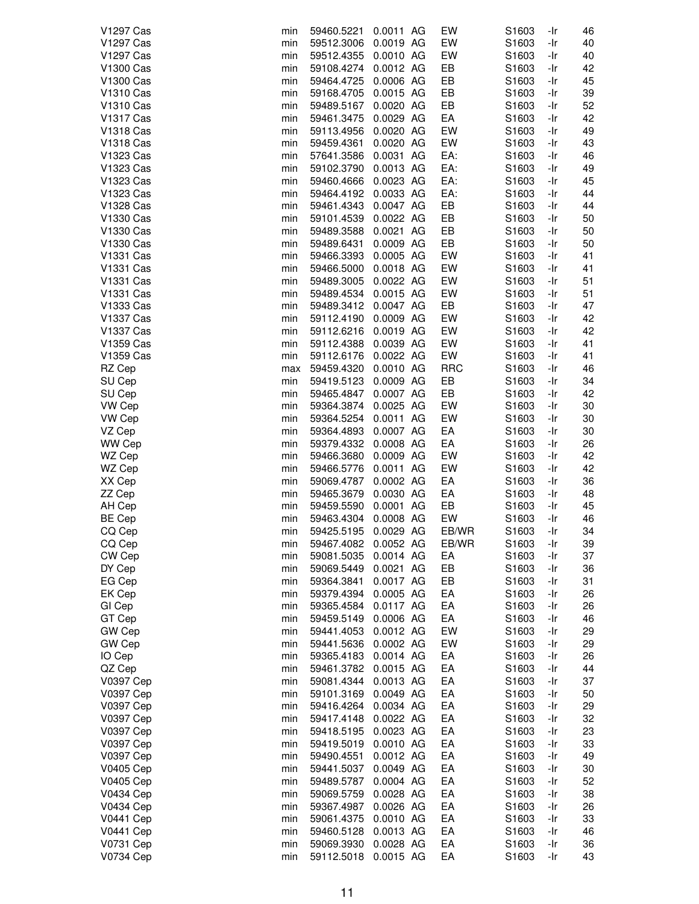| V1297 Cas        | min | 59460.5221 | 0.0011 AG | EW         | S1603             | -Ir | 46 |
|------------------|-----|------------|-----------|------------|-------------------|-----|----|
| V1297 Cas        | min | 59512.3006 | 0.0019 AG | EW         | S1603             | -Ir | 40 |
| V1297 Cas        | min | 59512.4355 | 0.0010 AG | EW         | S1603             | -Ir | 40 |
|                  |     |            |           |            |                   |     |    |
| V1300 Cas        | min | 59108.4274 | 0.0012 AG | EB         | S1603             | -Ir | 42 |
| V1300 Cas        | min | 59464.4725 | 0.0006 AG | EB         | S1603             | -Ir | 45 |
| V1310 Cas        | min | 59168.4705 | 0.0015 AG | EB         | S1603             | -Ir | 39 |
| V1310 Cas        | min | 59489.5167 | 0.0020 AG | EB         | S1603             | -Ir | 52 |
| V1317 Cas        | min | 59461.3475 | 0.0029 AG | EA         | S1603             | -Ir | 42 |
| V1318 Cas        | min | 59113.4956 | 0.0020 AG | EW         | S1603             | -Ir | 49 |
| V1318 Cas        | min | 59459.4361 | 0.0020 AG | EW         | S1603             | -Ir | 43 |
| V1323 Cas        | min | 57641.3586 | 0.0031 AG | EA:        | S1603             | -Ir | 46 |
|                  |     |            |           |            |                   |     |    |
| V1323 Cas        | min | 59102.3790 | 0.0013 AG | EA:        | S1603             | -Ir | 49 |
| V1323 Cas        | min | 59460.4666 | 0.0023 AG | EA:        | S1603             | -Ir | 45 |
| V1323 Cas        | min | 59464.4192 | 0.0033 AG | EA:        | S1603             | -Ir | 44 |
| V1328 Cas        | min | 59461.4343 | 0.0047 AG | EB         | S1603             | -Ir | 44 |
| V1330 Cas        | min | 59101.4539 | 0.0022 AG | EB         | S1603             | -Ir | 50 |
| V1330 Cas        | min | 59489.3588 | 0.0021 AG | EB         | S1603             | -Ir | 50 |
| V1330 Cas        | min | 59489.6431 | 0.0009 AG | EB         | S1603             | -Ir | 50 |
| V1331 Cas        | min | 59466.3393 | 0.0005 AG | EW         | S1603             | -Ir | 41 |
|                  |     |            |           |            |                   |     |    |
| V1331 Cas        | min | 59466.5000 | 0.0018 AG | EW         | S1603             | -Ir | 41 |
| V1331 Cas        | min | 59489.3005 | 0.0022 AG | EW         | S1603             | -Ir | 51 |
| V1331 Cas        | min | 59489.4534 | 0.0015 AG | EW         | S1603             | -Ir | 51 |
| V1333 Cas        | min | 59489.3412 | 0.0047 AG | EB         | S1603             | -Ir | 47 |
| <b>V1337 Cas</b> | min | 59112.4190 | 0.0009 AG | EW         | S1603             | -Ir | 42 |
| V1337 Cas        | min | 59112.6216 | 0.0019 AG | EW         | S1603             | -Ir | 42 |
| V1359 Cas        | min | 59112.4388 | 0.0039 AG | EW         | S1603             | -Ir | 41 |
| V1359 Cas        | min | 59112.6176 | 0.0022 AG | EW         | S1603             | -Ir | 41 |
|                  |     |            | 0.0010 AG | <b>RRC</b> |                   |     | 46 |
| RZ Cep           | max | 59459.4320 |           |            | S1603             | -Ir |    |
| SU Cep           | min | 59419.5123 | 0.0009 AG | EB         | S1603             | -Ir | 34 |
| SU Cep           | min | 59465.4847 | 0.0007 AG | EB         | S1603             | -Ir | 42 |
| VW Cep           | min | 59364.3874 | 0.0025 AG | EW         | S1603             | -Ir | 30 |
| VW Cep           | min | 59364.5254 | 0.0011 AG | EW         | S1603             | -Ir | 30 |
| VZ Cep           | min | 59364.4893 | 0.0007 AG | EA         | S <sub>1603</sub> | -Ir | 30 |
| WW Cep           | min | 59379.4332 | 0.0008 AG | EA         | S1603             | -Ir | 26 |
| WZ Cep           | min | 59466.3680 | 0.0009 AG | EW         | S1603             | -Ir | 42 |
| WZ Cep           | min | 59466.5776 | 0.0011 AG | EW         | S1603             | -Ir | 42 |
| XX Cep           | min | 59069.4787 | 0.0002 AG | EA         | S1603             | -Ir | 36 |
|                  |     |            |           |            |                   |     |    |
| ZZ Cep           | min | 59465.3679 | 0.0030 AG | EA         | S1603             | -Ir | 48 |
| AH Cep           | min | 59459.5590 | 0.0001 AG | EB         | S <sub>1603</sub> | -Ir | 45 |
| <b>BE Cep</b>    | min | 59463.4304 | 0.0008 AG | EW         | S1603             | -Ir | 46 |
| CQ Cep           | min | 59425.5195 | 0.0029 AG | EB/WR      | S1603             | -Ir | 34 |
| CQ Cep           | min | 59467.4082 | 0.0052 AG | EB/WR      | S1603             | -Ir | 39 |
| CW Cep           | min | 59081.5035 | 0.0014 AG | EA         | S1603             | -Ir | 37 |
| DY Cep           | min | 59069.5449 | 0.0021 AG | EB         | S1603             | -Ir | 36 |
| EG Cep           | min | 59364.3841 | 0.0017 AG | EB         | S1603             | -Ir | 31 |
| EK Cep           | min | 59379.4394 | 0.0005 AG | EA         | S1603             | -Ir | 26 |
|                  |     |            |           |            |                   |     |    |
| GI Cep           | min | 59365.4584 | 0.0117 AG | EA         | S1603             | -Ir | 26 |
| GT Cep           | min | 59459.5149 | 0.0006 AG | EA         | S1603             | -Ir | 46 |
| GW Cep           | min | 59441.4053 | 0.0012 AG | EW         | S1603             | -Ir | 29 |
| GW Cep           | min | 59441.5636 | 0.0002 AG | EW         | S1603             | -Ir | 29 |
| IO Cep           | min | 59365.4183 | 0.0014 AG | EA         | S1603             | -Ir | 26 |
| QZ Cep           | min | 59461.3782 | 0.0015 AG | EA         | S1603             | -Ir | 44 |
| V0397 Cep        | min | 59081.4344 | 0.0013 AG | EA         | S1603             | -Ir | 37 |
| V0397 Cep        | min | 59101.3169 | 0.0049 AG | EA         | S1603             | -Ir | 50 |
| V0397 Cep        | min | 59416.4264 | 0.0034 AG | EA         | S1603             | -Ir | 29 |
|                  |     |            |           |            |                   |     |    |
| V0397 Cep        | min | 59417.4148 | 0.0022 AG | EA         | S1603             | -Ir | 32 |
| V0397 Cep        | min | 59418.5195 | 0.0023 AG | EA         | S1603             | -Ir | 23 |
| V0397 Cep        | min | 59419.5019 | 0.0010 AG | EA         | S1603             | -Ir | 33 |
| V0397 Cep        | min | 59490.4551 | 0.0012 AG | EA         | S1603             | -Ir | 49 |
| V0405 Cep        | min | 59441.5037 | 0.0049 AG | EA         | S1603             | -Ir | 30 |
| V0405 Cep        | min | 59489.5787 | 0.0004 AG | EA         | S1603             | -Ir | 52 |
| V0434 Cep        | min | 59069.5759 | 0.0028 AG | EA         | S <sub>1603</sub> | -Ir | 38 |
| <b>V0434 Cep</b> | min | 59367.4987 | 0.0026 AG | EA         | S1603             | -Ir | 26 |
| <b>V0441 Cep</b> | min | 59061.4375 | 0.0010 AG | EA         | S1603             | -Ir | 33 |
|                  |     |            |           | EA         |                   |     | 46 |
| <b>V0441 Cep</b> | min | 59460.5128 | 0.0013 AG |            | S1603             | -Ir |    |
| V0731 Cep        | min | 59069.3930 | 0.0028 AG | EA         | S1603             | -Ir | 36 |
| V0734 Cep        | min | 59112.5018 | 0.0015 AG | EA         | S1603             | -Ir | 43 |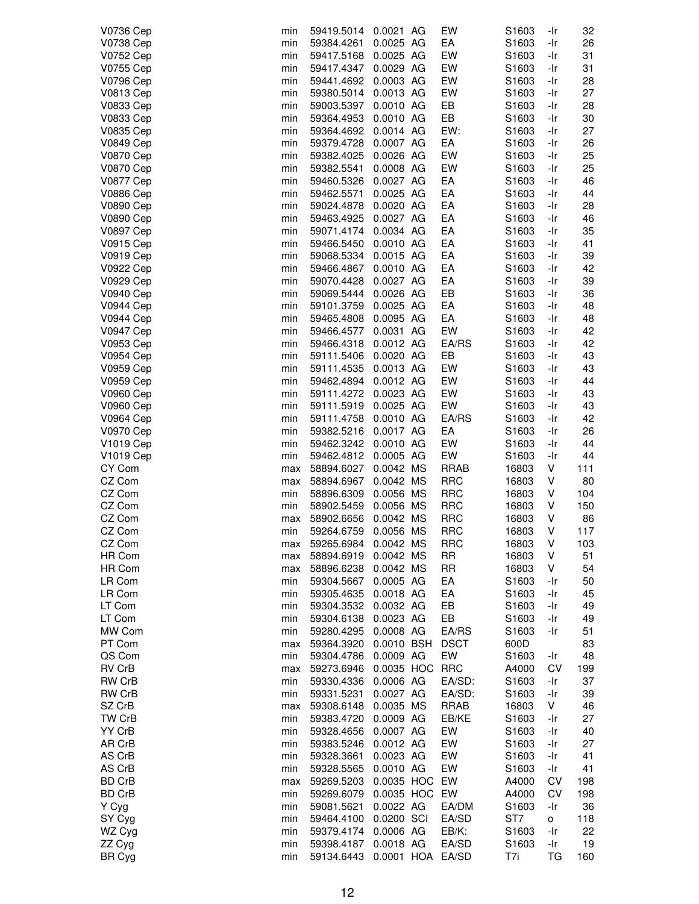|                       |     |            |                  | EW          |                   |     |     |
|-----------------------|-----|------------|------------------|-------------|-------------------|-----|-----|
| V0736 Cep             | min | 59419.5014 | 0.0021 AG        |             | S1603             | -Ir | 32  |
| <b>V0738 Cep</b>      | min | 59384.4261 | 0.0025 AG        | EA          | S1603             | -Ir | 26  |
| V0752 Cep             | min | 59417.5168 | 0.0025 AG        | EW          | S1603             | -Ir | 31  |
| V0755 Cep             | min | 59417.4347 | 0.0029 AG        | EW          | S1603             | -Ir | 31  |
|                       |     |            |                  |             |                   |     |     |
| V0796 Cep             | min | 59441.4692 | 0.0003 AG        | EW          | S <sub>1603</sub> | -Ir | 28  |
| <b>V0813 Cep</b>      | min | 59380.5014 | 0.0013 AG        | EW          | S1603             | -Ir | 27  |
| V0833 Cep             | min | 59003.5397 | 0.0010 AG        | EB          | S1603             | -Ir | 28  |
|                       |     |            |                  |             |                   |     |     |
| V0833 Cep             | min | 59364.4953 | 0.0010 AG        | EB          | S1603             | -Ir | 30  |
| V0835 Cep             | min | 59364.4692 | 0.0014 AG        | EW:         | S1603             | -Ir | 27  |
| <b>V0849 Cep</b>      | min | 59379.4728 | 0.0007 AG        | EA          | S1603             | -Ir | 26  |
|                       |     | 59382.4025 | 0.0026 AG        | EW          |                   | -Ir | 25  |
| <b>V0870 Cep</b>      | min |            |                  |             | S1603             |     |     |
| <b>V0870 Cep</b>      | min | 59382.5541 | 0.0008 AG        | EW          | S1603             | -Ir | 25  |
| <b>V0877 Cep</b>      | min | 59460.5326 | 0.0027 AG        | EA          | S1603             | -Ir | 46  |
| <b>V0886 Cep</b>      | min | 59462.5571 | 0.0025 AG        | EA          | S1603             | -Ir | 44  |
|                       |     |            |                  |             |                   |     |     |
| V0890 Cep             | min | 59024.4878 | 0.0020 AG        | EA          | S1603             | -Ir | 28  |
| V0890 Cep             | min | 59463.4925 | 0.0027 AG        | EA          | S1603             | -Ir | 46  |
| <b>V0897 Cep</b>      | min | 59071.4174 | 0.0034 AG        | EA          | S1603             | -Ir | 35  |
| V0915 Cep             | min | 59466.5450 | 0.0010 AG        | EA          | S1603             | -Ir | 41  |
|                       |     |            |                  |             |                   |     |     |
| <b>V0919 Cep</b>      | min | 59068.5334 | 0.0015 AG        | EA          | S1603             | -Ir | 39  |
| <b>V0922 Cep</b>      | min | 59466.4867 | 0.0010 AG        | EA          | S1603             | -Ir | 42  |
| <b>V0929 Cep</b>      | min | 59070.4428 | 0.0027 AG        | EA          | S1603             | -Ir | 39  |
|                       |     |            | 0.0026 AG        | EB          |                   | -Ir |     |
| V0940 Cep             | min | 59069.5444 |                  |             | S <sub>1603</sub> |     | 36  |
| <b>V0944 Cep</b>      | min | 59101.3759 | 0.0025 AG        | EA          | S1603             | -Ir | 48  |
| <b>V0944 Cep</b>      | min | 59465.4808 | 0.0095 AG        | EA          | S1603             | -Ir | 48  |
| <b>V0947 Cep</b>      | min | 59466.4577 | 0.0031 AG        | EW          | S1603             | -Ir | 42  |
|                       |     |            |                  |             |                   |     |     |
| V0953 Cep             | min | 59466.4318 | 0.0012 AG        | EA/RS       | S1603             | -Ir | 42  |
| <b>V0954 Cep</b>      | min | 59111.5406 | 0.0020 AG        | EB          | S1603             | -Ir | 43  |
| V0959 Cep             | min | 59111.4535 | 0.0013 AG        | EW          | S1603             | -Ir | 43  |
| V0959 Cep             | min | 59462.4894 | 0.0012 AG        | EW          | S1603             | -Ir | 44  |
|                       |     |            |                  |             |                   |     |     |
| <b>V0960 Cep</b>      | min | 59111.4272 | 0.0023 AG        | EW          | S1603             | -Ir | 43  |
| <b>V0960 Cep</b>      | min | 59111.5919 | 0.0025 AG        | EW          | S1603             | -Ir | 43  |
| <b>V0964 Cep</b>      | min | 59111.4758 | 0.0010 AG        | EA/RS       | S1603             | -Ir | 42  |
| <b>V0970 Cep</b>      | min | 59382.5216 | 0.0017 AG        | EA          | S1603             | -Ir | 26  |
|                       |     |            |                  |             |                   |     |     |
| V <sub>1019</sub> Cep | min | 59462.3242 | 0.0010 AG        | EW          | S1603             | -Ir | 44  |
| V1019 Cep             | min | 59462.4812 | 0.0005 AG        | EW          | S1603             | -Ir | 44  |
| CY Com                | max | 58894.6027 | 0.0042 MS        | <b>RRAB</b> | 16803             | V   | 111 |
| CZ Com                |     | 58894.6967 | 0.0042 MS        | <b>RRC</b>  | 16803             | ٧   | 80  |
|                       | max |            |                  |             |                   |     |     |
| CZ Com                | min | 58896.6309 | 0.0056 MS        | <b>RRC</b>  | 16803             | ٧   | 104 |
| CZ Com                | min | 58902.5459 | 0.0056 MS        | <b>RRC</b>  | 16803             | ٧   | 150 |
| CZ Com                | max | 58902.6656 | 0.0042 MS        | <b>RRC</b>  | 16803             | ٧   | 86  |
| CZ Com                |     |            | 0.0056 MS        | <b>RRC</b>  |                   | ٧   | 117 |
|                       | min | 59264.6759 |                  |             | 16803             |     |     |
| CZ Com                | max | 59265.6984 | 0.0042 MS        | <b>RRC</b>  | 16803             | V   | 103 |
| HR Com                | max | 58894.6919 | 0.0042 MS        | <b>RR</b>   | 16803             | V   | 51  |
| HR Com                | max | 58896.6238 | 0.0042 MS        | <b>RR</b>   | 16803             | ٧   | 54  |
|                       |     |            |                  |             |                   |     |     |
| LR Com                | min | 59304.5667 | 0.0005 AG        | EA          | S1603             | -Ir | 50  |
| LR Com                | min | 59305.4635 | 0.0018 AG        | EA          | S1603             | -Ir | 45  |
| LT Com                | min | 59304.3532 | 0.0032 AG        | EB          | S <sub>1603</sub> | -Ir | 49  |
| LT Com                | min | 59304.6138 | 0.0023 AG        | EB          | S1603             | -Ir | 49  |
|                       |     |            |                  |             |                   |     |     |
| MW Com                | min | 59280.4295 | 0.0008 AG        | EA/RS       | S <sub>1603</sub> | -Ir | 51  |
| PT Com                | max | 59364.3920 | 0.0010 BSH       | <b>DSCT</b> | 600D              |     | 83  |
| QS Com                | min | 59304.4786 | 0.0009 AG        | EW          | S <sub>1603</sub> | -Ir | 48  |
| RV CrB                |     | 59273.6946 | 0.0035 HOC RRC   |             | A4000             | CV  | 199 |
|                       | max |            |                  |             |                   |     |     |
| <b>RW CrB</b>         | min | 59330.4336 | 0.0006 AG        | EA/SD:      | S1603             | -Ir | 37  |
| RW CrB                | min | 59331.5231 | 0.0027 AG        | EA/SD:      | S <sub>1603</sub> | -Ir | 39  |
| SZ CrB                | max | 59308.6148 | 0.0035 MS        | <b>RRAB</b> | 16803             | V   | 46  |
|                       |     |            |                  |             |                   |     |     |
| TW CrB                | min | 59383.4720 | 0.0009 AG        | EB/KE       | S1603             | -Ir | 27  |
| YY CrB                | min | 59328.4656 | 0.0007 AG        | EW          | S1603             | -Ir | 40  |
| AR CrB                | min | 59383.5246 | 0.0012 AG        | EW          | S1603             | -Ir | 27  |
| AS CrB                | min | 59328.3661 | 0.0023 AG        | EW          | S <sub>1603</sub> | -Ir | 41  |
|                       |     |            |                  |             |                   |     |     |
| AS CrB                | min | 59328.5565 | 0.0010 AG        | EW          | S <sub>1603</sub> | -Ir | 41  |
| BD CrB                | max | 59269.5203 | 0.0035 HOC EW    |             | A4000             | CV  | 198 |
| BD CrB                | min | 59269.6079 | 0.0035 HOC EW    |             | A4000             | CV  | 198 |
| Y Cyg                 | min | 59081.5621 | 0.0022 AG        | EA/DM       | S1603             | -Ir | 36  |
|                       |     |            |                  |             |                   |     |     |
| SY Cyg                | min | 59464.4100 | 0.0200 SCI       | EA/SD       | ST7               | o   | 118 |
| WZ Cyg                | min | 59379.4174 | 0.0006 AG        | EB/K:       | S1603             | -Ir | 22  |
| ZZ Cyg                | min | 59398.4187 | 0.0018 AG        | EA/SD       | S1603             | -Ir | 19  |
|                       |     |            |                  |             |                   |     |     |
| <b>BR Cyg</b>         | min | 59134.6443 | 0.0001 HOA EA/SD |             | T7i               | ТG  | 160 |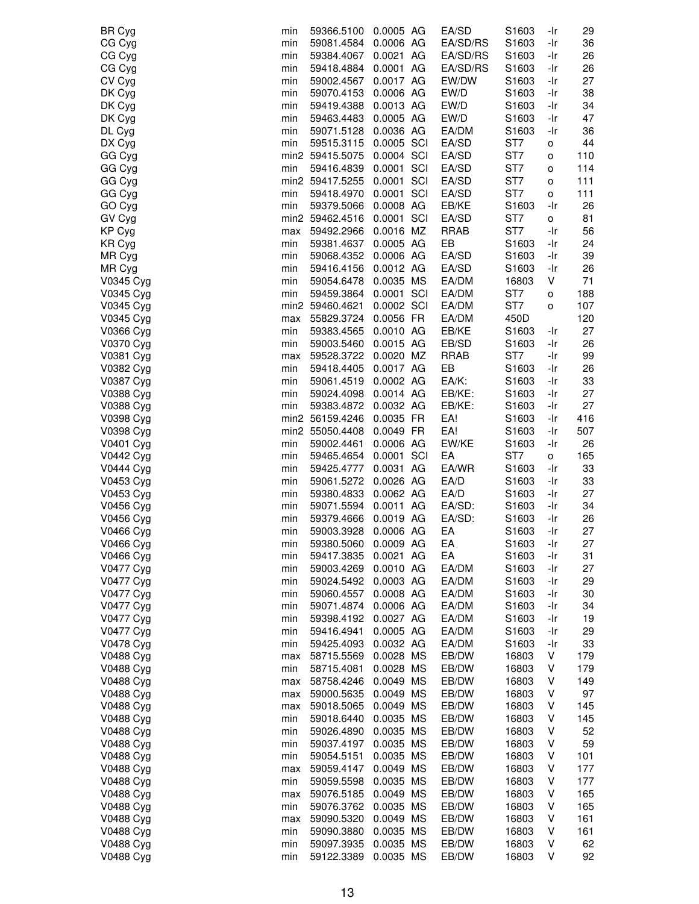| <b>BR Cyg</b>          | min        | 59366.5100               | 0.0005 AG               | EA/SD                | S1603                  | -Ir        | 29       |
|------------------------|------------|--------------------------|-------------------------|----------------------|------------------------|------------|----------|
| CG Cyg                 | min        | 59081.4584               | 0.0006 AG               | EA/SD/RS             | S1603                  | -Ir        | 36       |
| CG Cyg                 | min        | 59384.4067               | 0.0021 AG               | EA/SD/RS             | S1603                  | -Ir        | 26       |
| CG Cyg                 | min        | 59418.4884               | 0.0001 AG               | EA/SD/RS             | S1603                  | -Ir        | 26       |
| CV Cyg                 | min        | 59002.4567               | 0.0017 AG               | EW/DW                | S1603                  | -Ir        | 27       |
| DK Cyg                 | min        | 59070.4153               | 0.0006 AG               | EW/D                 | S1603                  | -Ir        | 38       |
| DK Cyg                 | min        | 59419.4388               | 0.0013 AG               | EW/D                 | S1603                  | -Ir        | 34       |
| DK Cyg                 | min        | 59463.4483               | 0.0005 AG               | EW/D                 | S1603                  | -Ir        | 47       |
| DL Cyg                 | min        | 59071.5128               | 0.0036 AG               | EA/DM                | S1603                  | -Ir        | 36       |
| DX Cyg                 | min        | 59515.3115               | 0.0005 SCI              | EA/SD                | ST7                    | о          | 44       |
| GG Cyg                 |            | min2 59415.5075          | 0.0004 SCI              | EA/SD                | ST7                    | о          | 110      |
| GG Cyg                 | min        | 59416.4839               | 0.0001 SCI              | EA/SD                | ST7                    | o          | 114      |
| GG Cyg                 |            | min2 59417.5255          | 0.0001 SCI              | EA/SD                | ST7                    | о          | 111      |
| GG Cyg                 | min        | 59418.4970               | 0.0001 SCI              | EA/SD                | ST7                    | o          | 111      |
| GO Cyg                 | min        | 59379.5066               | 0.0008 AG               | EB/KE                | S1603                  | -Ir        | 26       |
| GV Cyg<br>KP Cyg       |            | min2 59462.4516          | 0.0001 SCI<br>0.0016 MZ | EA/SD<br><b>RRAB</b> | ST <sub>7</sub><br>ST7 | о<br>-Ir   | 81       |
| KR Cyg                 | max<br>min | 59492.2966<br>59381.4637 | 0.0005 AG               | EB                   | S1603                  | -Ir        | 56<br>24 |
| MR Cyg                 | min        | 59068.4352               | 0.0006 AG               | EA/SD                | S1603                  | -Ir        | 39       |
| MR Cyg                 | min        | 59416.4156               | 0.0012 AG               | EA/SD                | S1603                  | -Ir        | 26       |
| V0345 Cyg              | min        | 59054.6478               | 0.0035 MS               | EA/DM                | 16803                  | V          | 71       |
| V0345 Cyg              | min        | 59459.3864               | 0.0001 SCI              | EA/DM                | ST7                    | о          | 188      |
| V0345 Cyg              |            | min2 59460.4621          | 0.0002 SCI              | EA/DM                | ST7                    | о          | 107      |
| V0345 Cyg              | max        | 55829.3724               | 0.0056 FR               | EA/DM                | 450D                   |            | 120      |
| V0366 Cyg              | min        | 59383.4565               | 0.0010 AG               | EB/KE                | S1603                  | -Ir        | 27       |
| V0370 Cyg              | min        | 59003.5460               | 0.0015 AG               | EB/SD                | S1603                  | -Ir        | 26       |
| V0381 Cyg              | max        | 59528.3722               | 0.0020 MZ               | <b>RRAB</b>          | ST7                    | -Ir        | 99       |
| V0382 Cyg              | min        | 59418.4405               | 0.0017 AG               | EB                   | S1603                  | -Ir        | 26       |
| V0387 Cyg              | min        | 59061.4519               | 0.0002 AG               | EA/K:                | S1603                  | -Ir        | 33       |
| V0388 Cyg              | min        | 59024.4098               | 0.0014 AG               | EB/KE:               | S1603                  | -Ir        | 27       |
| V0388 Cyg              | min        | 59383.4872 0.0032 AG     |                         | EB/KE:               | S1603                  | -Ir        | 27       |
| V0398 Cyg              |            | min2 56159.4246          | 0.0035 FR               | EA!                  | S1603                  | -Ir        | 416      |
| V0398 Cyg              |            | min2 55050.4408          | 0.0049 FR               | EA!                  | S1603                  | -Ir        | 507      |
| V0401 Cyg              | min        | 59002.4461               | 0.0006 AG               | EW/KE                | S1603                  | -Ir        | 26       |
| V0442 Cyg              | min        | 59465.4654               | 0.0001 SCI              | EA                   | ST <sub>7</sub>        | о          | 165      |
| V0444 Cyg              | min        | 59425.4777               | 0.0031 AG               | EA/WR                | S1603                  | -Ir        | 33       |
| V0453 Cyg              | min        | 59061.5272               | 0.0026 AG               | EA/D                 | S1603                  | -Ir        | 33       |
| V0453 Cyg              | min        | 59380.4833               | 0.0062 AG               | EA/D                 | S1603                  | -Ir        | 27       |
| V0456 Cyg              | min        | 59071.5594               | 0.0011 AG               | EA/SD:               | S1603                  | -Ir        | 34       |
| V0456 Cyg              | min        | 59379.4666               | 0.0019 AG               | EA/SD:               | S1603                  | -Ir        | 26       |
| V0466 Cyg              | min        | 59003.3928               | 0.0006 AG               | EA                   | S1603                  | -Ir        | 27       |
| V0466 Cyg              | min        | 59380.5060               | 0.0009 AG               | EA                   | S1603                  | -Ir        | 27       |
| V0466 Cyg              | min        | 59417.3835               | 0.0021 AG               | EA                   | S1603                  | -Ir        | 31       |
| V0477 Cyg              | min        | 59003.4269               | 0.0010 AG               | EA/DM                | S1603                  | -Ir        | 27       |
| V0477 Cyg              | min        | 59024.5492               | 0.0003 AG               | EA/DM                | S1603                  | -Ir        | 29       |
| V0477 Cyg<br>V0477 Cyg | min        | 59060.4557               | 0.0008 AG<br>0.0006 AG  | EA/DM<br>EA/DM       | S1603                  | -Ir        | 30<br>34 |
| V0477 Cyg              | min<br>min | 59071.4874<br>59398.4192 | 0.0027 AG               | EA/DM                | S1603<br>S1603         | -Ir<br>-Ir | 19       |
| V0477 Cyg              | min        | 59416.4941               | 0.0005 AG               | EA/DM                | S1603                  | -Ir        | 29       |
| V0478 Cyg              | min        | 59425.4093               | 0.0032 AG               | EA/DM                | S1603                  | -Ir        | 33       |
| V0488 Cyg              | max        | 58715.5569               | 0.0028 MS               | EB/DW                | 16803                  | V          | 179      |
| V0488 Cyg              | min        | 58715.4081               | 0.0028 MS               | EB/DW                | 16803                  | V          | 179      |
| V0488 Cyg              | max        | 58758.4246               | 0.0049 MS               | EB/DW                | 16803                  | V          | 149      |
| V0488 Cyg              | max        | 59000.5635               | 0.0049 MS               | EB/DW                | 16803                  | V          | 97       |
| V0488 Cyg              | max        | 59018.5065               | 0.0049 MS               | EB/DW                | 16803                  | V          | 145      |
| V0488 Cyg              | min        | 59018.6440               | 0.0035 MS               | EB/DW                | 16803                  | V          | 145      |
| V0488 Cyg              | min        | 59026.4890               | 0.0035 MS               | EB/DW                | 16803                  | ٧          | 52       |
| V0488 Cyg              | min        | 59037.4197               | 0.0035 MS               | EB/DW                | 16803                  | V          | 59       |
| V0488 Cyg              | min        | 59054.5151               | 0.0035 MS               | EB/DW                | 16803                  | V          | 101      |
| V0488 Cyg              | max        | 59059.4147               | 0.0049 MS               | EB/DW                | 16803                  | ٧          | 177      |
| V0488 Cyg              | min        | 59059.5598               | 0.0035 MS               | EB/DW                | 16803                  | V          | 177      |
| V0488 Cyg              | max        | 59076.5185               | 0.0049 MS               | EB/DW                | 16803                  | ٧          | 165      |
| V0488 Cyg              | min        | 59076.3762               | 0.0035 MS               | EB/DW                | 16803                  | ٧          | 165      |
| V0488 Cyg              | max        | 59090.5320               | 0.0049 MS               | EB/DW                | 16803                  | V          | 161      |
| V0488 Cyg              | min        | 59090.3880               | 0.0035 MS               | EB/DW                | 16803                  | V          | 161      |
| V0488 Cyg              | min        | 59097.3935               | 0.0035 MS               | EB/DW                | 16803                  | ٧          | 62       |
| V0488 Cyg              | min        | 59122.3389               | 0.0035 MS               | EB/DW                | 16803                  | V          | 92       |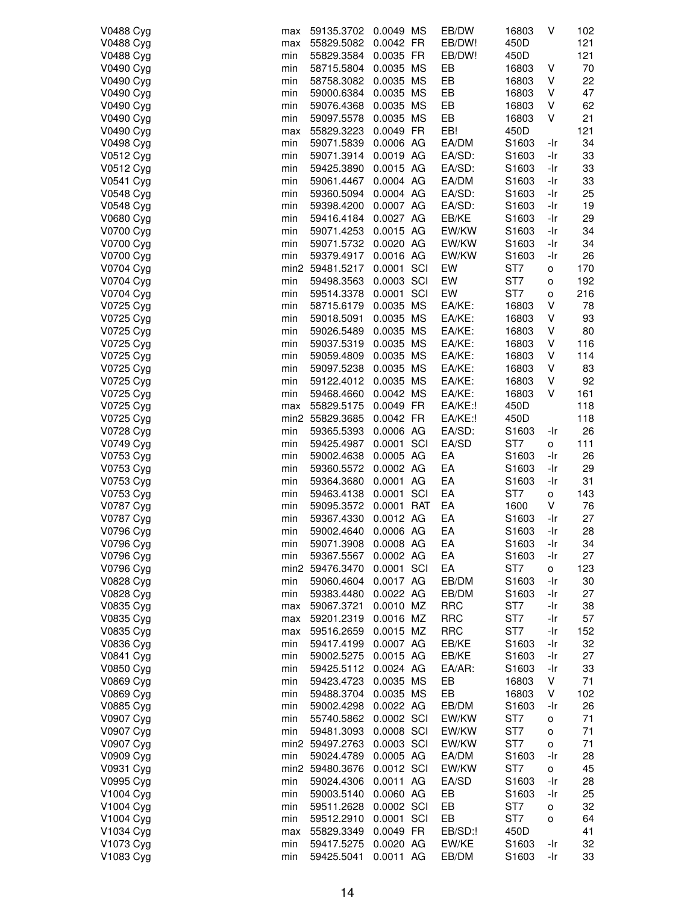| V0488 Cyg | max | 59135.3702           | 0.0049 MS  | EB/DW      | 16803             | V            | 102 |
|-----------|-----|----------------------|------------|------------|-------------------|--------------|-----|
| V0488 Cyg | max | 55829.5082           | 0.0042 FR  | EB/DW!     | 450D              |              | 121 |
| V0488 Cyg | min | 55829.3584           | 0.0035 FR  | EB/DW!     | 450D              |              | 121 |
| V0490 Cyg | min | 58715.5804           | 0.0035 MS  | EB         | 16803             | V            | 70  |
| V0490 Cyg | min | 58758.3082           | 0.0035 MS  | EB         | 16803             | V            | 22  |
| V0490 Cyg | min | 59000.6384           | 0.0035 MS  | EB         | 16803             | ٧            | 47  |
| V0490 Cyg |     |                      |            |            |                   |              |     |
|           | min | 59076.4368           | 0.0035 MS  | EB         | 16803             | V            | 62  |
| V0490 Cyg | min | 59097.5578           | 0.0035 MS  | EB         | 16803             | V            | 21  |
| V0490 Cyg | max | 55829.3223           | 0.0049 FR  | EB!        | 450D              |              | 121 |
| V0498 Cyg | min | 59071.5839           | 0.0006 AG  | EA/DM      | S1603             | -Ir          | 34  |
| V0512 Cyg | min | 59071.3914           | 0.0019 AG  | EA/SD:     | S <sub>1603</sub> | -Ir          | 33  |
| V0512 Cyg | min | 59425.3890           | 0.0015 AG  | EA/SD:     | S1603             | -Ir          | 33  |
| V0541 Cyg | min | 59061.4467           | 0.0004 AG  | EA/DM      | S1603             | -Ir          | 33  |
| V0548 Cyg | min | 59360.5094           | 0.0004 AG  | EA/SD:     | S1603             | -Ir          | 25  |
| V0548 Cyg | min | 59398.4200           | 0.0007 AG  | EA/SD:     | S1603             | -Ir          | 19  |
| V0680 Cyg | min | 59416.4184           | 0.0027 AG  | EB/KE      | S1603             | -Ir          | 29  |
| V0700 Cyg | min | 59071.4253           | 0.0015 AG  | EW/KW      | S1603             | -Ir          | 34  |
| V0700 Cyg | min | 59071.5732 0.0020 AG |            | EW/KW      | S1603             | -Ir          | 34  |
| V0700 Cyg | min | 59379.4917           | 0.0016 AG  | EW/KW      | S <sub>1603</sub> | -Ir          | 26  |
| V0704 Cyg |     | min2 59481.5217      | 0.0001 SCI | EW         | ST7               | о            | 170 |
| V0704 Cyg | min | 59498.3563           | 0.0003 SCI | EW         | ST7               |              | 192 |
|           |     |                      |            |            | ST7               | о            |     |
| V0704 Cyg | min | 59514.3378           | 0.0001 SCI | EW         |                   | o            | 216 |
| V0725 Cyg | min | 58715.6179           | 0.0035 MS  | EA/KE:     | 16803             | V            | 78  |
| V0725 Cyg | min | 59018.5091           | 0.0035 MS  | EA/KE:     | 16803             | V            | 93  |
| V0725 Cyg | min | 59026.5489           | 0.0035 MS  | EA/KE:     | 16803             | V            | 80  |
| V0725 Cyg | min | 59037.5319           | 0.0035 MS  | EA/KE:     | 16803             | V            | 116 |
| V0725 Cyg | min | 59059.4809           | 0.0035 MS  | EA/KE:     | 16803             | V            | 114 |
| V0725 Cyg | min | 59097.5238           | 0.0035 MS  | EA/KE:     | 16803             | V            | 83  |
| V0725 Cyg | min | 59122.4012           | 0.0035 MS  | EA/KE:     | 16803             | V            | 92  |
| V0725 Cyg | min | 59468.4660           | 0.0042 MS  | EA/KE:     | 16803             | V            | 161 |
| V0725 Cyg | max | 55829.5175           | 0.0049 FR  | EA/KE:!    | 450D              |              | 118 |
| V0725 Cyg |     | min2 55829.3685      | 0.0042 FR  | EA/KE:!    | 450D              |              | 118 |
| V0728 Cyg | min | 59365.5393           | 0.0006 AG  | EA/SD:     | S <sub>1603</sub> | -Ir          | 26  |
| V0749 Cyg | min | 59425.4987           | 0.0001 SCI | EA/SD      | ST7               | о            | 111 |
| V0753 Cyg | min | 59002.4638           | 0.0005 AG  | EA         | S1603             | -Ir          | 26  |
| V0753 Cyg | min | 59360.5572           | 0.0002 AG  | EA         | S1603             | -Ir          | 29  |
|           |     |                      |            | EA         |                   |              |     |
| V0753 Cyg | min | 59364.3680           | 0.0001 AG  |            | S1603             | -Ir          | 31  |
| V0753 Cyg | min | 59463.4138           | 0.0001 SCI | EA         | ST7               | $\mathsf{o}$ | 143 |
| V0787 Cyg | min | 59095.3572           | 0.0001 RAT | EA         | 1600              | V            | 76  |
| V0787 Cyg | min | 59367.4330           | 0.0012 AG  | EA         | S1603             | -Ir          | 27  |
| V0796 Cyg | min | 59002.4640           | 0.0006 AG  | EA         | S1603             | -Ir          | 28  |
| V0796 Cyg | min | 59071.3908           | 0.0008 AG  | EA         | S1603             | -Ir          | 34  |
| V0796 Cyg | min | 59367.5567           | 0.0002 AG  | EA         | S1603             | -Ir          | 27  |
| V0796 Cyg |     | min2 59476.3470      | 0.0001 SCI | EA         | ST7               | о            | 123 |
| V0828 Cyg | min | 59060.4604           | 0.0017 AG  | EB/DM      | S1603             | -Ir          | 30  |
| V0828 Cyg | min | 59383.4480           | 0.0022 AG  | EB/DM      | S1603             | -Ir          | 27  |
| V0835 Cyg | max | 59067.3721           | 0.0010 MZ  | <b>RRC</b> | ST7               | -Ir          | 38  |
| V0835 Cyg | max | 59201.2319           | 0.0016 MZ  | <b>RRC</b> | ST7               | -Ir          | 57  |
| V0835 Cyg | max | 59516.2659           | 0.0015 MZ  | <b>RRC</b> | ST7               | -Ir          | 152 |
| V0836 Cyg | min | 59417.4199           | 0.0007 AG  | EB/KE      | S1603             | -Ir          | 32  |
| V0841 Cyg | min | 59002.5275           | 0.0015 AG  | EB/KE      | S1603             | -Ir          | 27  |
| V0850 Cyg | min | 59425.5112           | 0.0024 AG  | EA/AR:     | S1603             | -Ir          | 33  |
|           |     |                      | 0.0035 MS  | EB         |                   | V            | 71  |
| V0869 Cyg | min | 59423.4723           |            |            | 16803             |              |     |
| V0869 Cyg | min | 59488.3704           | 0.0035 MS  | EB         | 16803             | V            | 102 |
| V0885 Cyg | min | 59002.4298           | 0.0022 AG  | EB/DM      | S1603             | -Ir          | 26  |
| V0907 Cyg | min | 55740.5862           | 0.0002 SCI | EW/KW      | ST7               | o            | 71  |
| V0907 Cyg | min | 59481.3093           | 0.0008 SCI | EW/KW      | ST7               | 0            | 71  |
| V0907 Cyg |     | min2 59497.2763      | 0.0003 SCI | EW/KW      | ST7               | о            | 71  |
| V0909 Cyg | min | 59024.4789           | 0.0005 AG  | EA/DM      | S1603             | -Ir          | 28  |
| V0931 Cyg |     | min2 59480.3676      | 0.0012 SCI | EW/KW      | ST <sub>7</sub>   | o            | 45  |
| V0995 Cyg | min | 59024.4306           | 0.0011 AG  | EA/SD      | S1603             | -Ir          | 28  |
| V1004 Cyg | min | 59003.5140           | 0.0060 AG  | EB         | S1603             | -Ir          | 25  |
| V1004 Cyg | min | 59511.2628           | 0.0002 SCI | EB         | ST <sub>7</sub>   | 0            | 32  |
| V1004 Cyg | min | 59512.2910           | 0.0001 SCI | EB         | ST7               | о            | 64  |
| V1034 Cyg | max | 55829.3349           | 0.0049 FR  | EB/SD:!    | 450D              |              | 41  |
| V1073 Cyg | min | 59417.5275           | 0.0020 AG  | EW/KE      | S1603             | -Ir          | 32  |
| V1083 Cyg |     |                      | 0.0011 AG  | EB/DM      |                   |              | 33  |
|           | min | 59425.5041           |            |            | S1603             | -Ir          |     |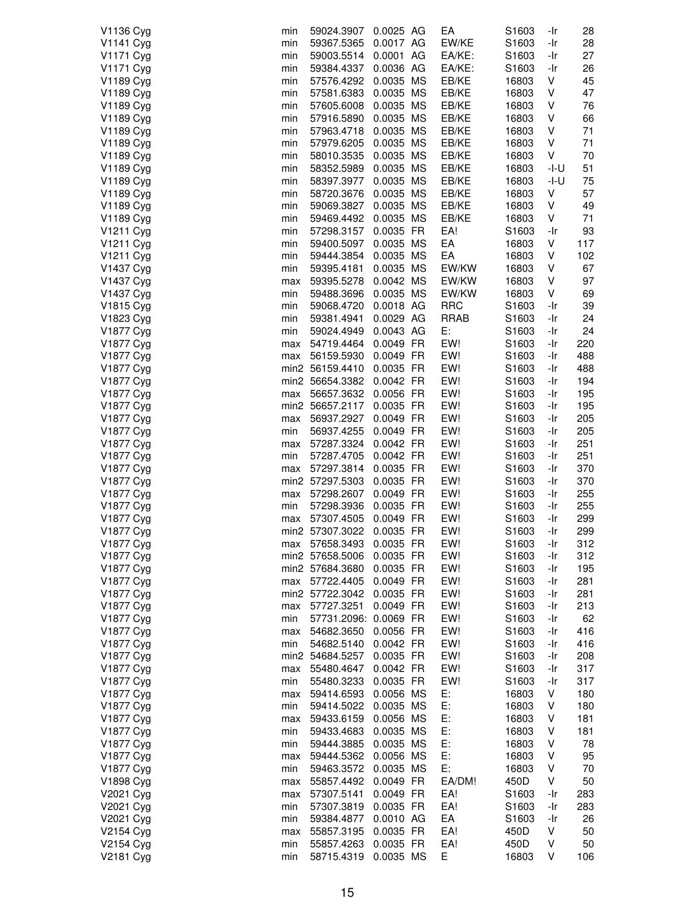| V1136 Cyg              | min        | 59024.3907                | 0.0025 AG | EA          | S1603                      | -Ir        | 28  |
|------------------------|------------|---------------------------|-----------|-------------|----------------------------|------------|-----|
| V1141 Cyg              | min        | 59367.5365                | 0.0017 AG | EW/KE       | S1603                      | -Ir        | 28  |
| V1171 Cyg              | min        | 59003.5514                | 0.0001 AG | EA/KE:      | S <sub>1603</sub>          | -Ir        | 27  |
| V1171 Cyg              | min        | 59384.4337                | 0.0036 AG | EA/KE:      | S1603                      | -Ir        | 26  |
| V1189 Cyg              | min        | 57576.4292                | 0.0035 MS | EB/KE       | 16803                      | V          | 45  |
| V1189 Cyg              | min        | 57581.6383                | 0.0035 MS | EB/KE       | 16803                      | V          | 47  |
| V1189 Cyg              | min        | 57605.6008                | 0.0035 MS | EB/KE       | 16803                      | V          | 76  |
| V1189 Cyg              | min        | 57916.5890                | 0.0035 MS | EB/KE       | 16803                      | V          | 66  |
| V1189 Cyg              | min        | 57963.4718                | 0.0035 MS | EB/KE       | 16803                      | V          | 71  |
| V1189 Cyg              | min        | 57979.6205                | 0.0035 MS | EB/KE       | 16803                      | V          | 71  |
| V1189 Cyg              | min        | 58010.3535                | 0.0035 MS | EB/KE       | 16803                      | V          | 70  |
| V1189 Cyg              | min        | 58352.5989                | 0.0035 MS | EB/KE       | 16803                      | -I-U       | 51  |
| V1189 Cyg              | min        | 58397.3977                | 0.0035 MS | EB/KE       | 16803                      | -l-U       | 75  |
| V1189 Cyg              | min        | 58720.3676                | 0.0035 MS | EB/KE       | 16803                      | V          | 57  |
| V1189 Cyg              | min        | 59069.3827                | 0.0035 MS | EB/KE       | 16803                      | ٧          | 49  |
| V1189 Cyg              | min        | 59469.4492                | 0.0035 MS | EB/KE       | 16803                      | V          | 71  |
| V1211 Cyg              | min        | 57298.3157                | 0.0035 FR | EA!         | S1603                      | -Ir        | 93  |
| V1211 Cyg              | min        | 59400.5097                | 0.0035 MS | EA          | 16803                      | V          | 117 |
| V1211 Cyg              | min        | 59444.3854                | 0.0035 MS | EA          | 16803                      | V          | 102 |
| V1437 Cyg              | min        | 59395.4181                | 0.0035 MS | EW/KW       | 16803                      | V          | 67  |
| V1437 Cyg              | max        | 59395.5278                | 0.0042 MS | EW/KW       | 16803                      | V          | 97  |
| V1437 Cyg              | min        | 59488.3696                | 0.0035 MS | EW/KW       | 16803                      | V          | 69  |
| V1815 Cyg              | min        | 59068.4720                | 0.0018 AG | <b>RRC</b>  | S1603                      | -Ir        | 39  |
| V1823 Cyg              | min        | 59381.4941                | 0.0029 AG | <b>RRAB</b> |                            | -Ir        | 24  |
|                        |            | 59024.4949                | 0.0043 AG | E:          | S1603                      |            | 24  |
| V1877 Cyg<br>V1877 Cyg | min        |                           | 0.0049 FR | EW!         | S1603                      | -Ir        | 220 |
| V1877 Cyg              | max<br>max | 54719.4464<br>56159.5930  | 0.0049 FR | EW!         | S1603<br>S1603             | -Ir<br>-Ir | 488 |
| V1877 Cyg              |            | min2 56159.4410           | 0.0035 FR | EW!         |                            | -Ir        | 488 |
| V1877 Cyg              |            | min2 56654.3382           | 0.0042 FR | EW!         | S1603<br>S <sub>1603</sub> | -Ir        | 194 |
| V1877 Cyg              | max        | 56657.3632                | 0.0056 FR | EW!         | S1603                      | -Ir        | 195 |
| V1877 Cyg              |            | min2 56657.2117           | 0.0035 FR | EW!         | S1603                      | -Ir        | 195 |
| V1877 Cyg              | max        | 56937.2927                | 0.0049 FR | EW!         | S1603                      | -Ir        | 205 |
| V1877 Cyg              | min        | 56937.4255                | 0.0049 FR | EW!         | S1603                      | -Ir        | 205 |
| V1877 Cyg              | max        | 57287.3324                | 0.0042 FR | EW!         | S1603                      | -Ir        | 251 |
| V1877 Cyg              | min        | 57287.4705                | 0.0042 FR | EW!         | S1603                      | -Ir        | 251 |
| V1877 Cyg              | max        | 57297.3814                | 0.0035 FR | EW!         | S1603                      | -Ir        | 370 |
| V1877 Cyg              |            | min2 57297.5303           | 0.0035 FR | EW!         | S1603                      | -Ir        | 370 |
| V1877 Cyg              | max        | 57298.2607                | 0.0049 FR | EW!         | S1603                      | -Ir        | 255 |
| V1877 Cyg              | min        | 57298.3936                | 0.0035 FR | EW!         | S1603                      | -Ir        | 255 |
| V1877 Cyg              | max        | 57307.4505                | 0.0049 FR | EW!         | S1603                      | -Ir        | 299 |
| V1877 Cyg              |            | min2 57307.3022           | 0.0035 FR | EW!         | S1603                      | -Ir        | 299 |
| V1877 Cyg              |            | max 57658.3493            | 0.0035 FR | EW!         | S1603                      | -Ir        | 312 |
| V1877 Cyg              |            | min2 57658.5006           | 0.0035 FR | EW!         | S1603                      | -Ir        | 312 |
| V1877 Cyg              |            | min2 57684.3680           | 0.0035 FR | EW!         | S1603                      | -Ir        | 195 |
| V1877 Cyg              |            | max 57722.4405            | 0.0049 FR | EW!         | S1603                      | -Ir        | 281 |
| V1877 Cyg              |            | min2 57722.3042 0.0035 FR |           | EW!         | S1603                      | -Ir        | 281 |
| V1877 Cyg              | max        | 57727.3251                | 0.0049 FR | EW!         | S1603                      | -Ir        | 213 |
| V1877 Cyg              | min        | 57731.2096: 0.0069 FR     |           | EW!         | S1603                      | -Ir        | 62  |
| V1877 Cyg              | max        | 54682.3650                | 0.0056 FR | EW!         | S <sub>1603</sub>          | -Ir        | 416 |
| V1877 Cyg              | min        | 54682.5140                | 0.0042 FR | EW!         | S1603                      | -Ir        | 416 |
| V1877 Cyg              |            | min2 54684.5257           | 0.0035 FR | EW!         | S1603                      | -Ir        | 208 |
| V1877 Cyg              | max        | 55480.4647                | 0.0042 FR | EW!         | S1603                      | -Ir        | 317 |
| V1877 Cyg              | min        | 55480.3233                | 0.0035 FR | EW!         | S1603                      | -Ir        | 317 |
| V1877 Cyg              | max        | 59414.6593                | 0.0056 MS | E:          | 16803                      | V          | 180 |
| V1877 Cyg              | min        | 59414.5022                | 0.0035 MS | E:          | 16803                      | V          | 180 |
| V1877 Cyg              | max        | 59433.6159                | 0.0056 MS | E:          | 16803                      | V          | 181 |
| V1877 Cyg              | min        | 59433.4683                | 0.0035 MS | E:          | 16803                      | V          | 181 |
| V1877 Cyg              | min        | 59444.3885                | 0.0035 MS | E:          | 16803                      | ٧          | 78  |
| V1877 Cyg              | max        | 59444.5362                | 0.0056 MS | E:          | 16803                      | V          | 95  |
| V1877 Cyg              | min        | 59463.3572                | 0.0035 MS | E:          | 16803                      | V          | 70  |
| V1898 Cyg              | max        | 55857.4492                | 0.0049 FR | EA/DM!      | 450D                       | V          | 50  |
| V2021 Cyg              | max        | 57307.5141                | 0.0049 FR | EA!         | S1603                      | -Ir        | 283 |
| V2021 Cyg              | min        | 57307.3819                | 0.0035 FR | EA!         | S1603                      | -Ir        | 283 |
| V2021 Cyg              | min        | 59384.4877                | 0.0010 AG | EA          | S <sub>1603</sub>          | -Ir        | 26  |
| V2154 Cyg              | max        | 55857.3195                | 0.0035 FR | EA!         | 450D                       | V          | 50  |
| V2154 Cyg              | min        | 55857.4263                | 0.0035 FR | EA!         | 450D                       | V          | 50  |
| V2181 Cyg              | min        | 58715.4319                | 0.0035 MS | Е           | 16803                      | V          | 106 |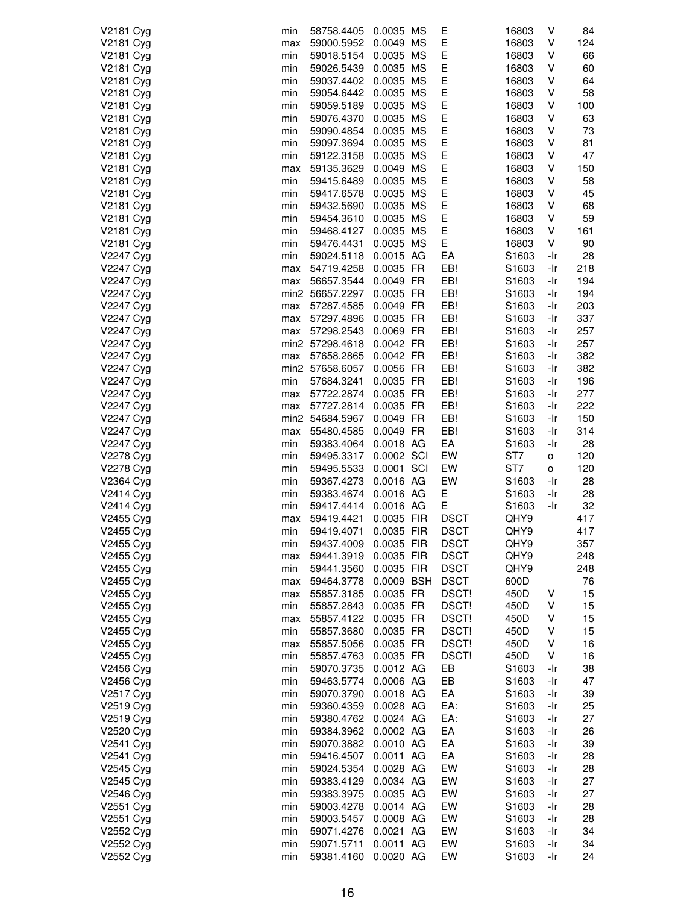| V2181 Cyg | min | 58758.4405           | 0.0035 MS  | Е           | 16803             | ٧   | 84  |
|-----------|-----|----------------------|------------|-------------|-------------------|-----|-----|
| V2181 Cyg | max | 59000.5952           | 0.0049 MS  | E           | 16803             | V   | 124 |
| V2181 Cyg | min | 59018.5154           | 0.0035 MS  | Е           | 16803             | ٧   | 66  |
| V2181 Cyg | min | 59026.5439           | 0.0035 MS  | Е           | 16803             | ٧   | 60  |
| V2181 Cyg | min | 59037.4402           | 0.0035 MS  | E           | 16803             | ٧   | 64  |
| V2181 Cyg | min | 59054.6442           | 0.0035 MS  | E           | 16803             | ٧   | 58  |
|           |     | 59059.5189 0.0035 MS |            | E           |                   |     |     |
| V2181 Cyg | min |                      |            |             | 16803             | ٧   | 100 |
| V2181 Cyg | min | 59076.4370           | 0.0035 MS  | Е           | 16803             | V   | 63  |
| V2181 Cyg | min | 59090.4854           | 0.0035 MS  | Е           | 16803             | V   | 73  |
| V2181 Cyg | min | 59097.3694           | 0.0035 MS  | Е           | 16803             | ٧   | 81  |
| V2181 Cyg | min | 59122.3158           | 0.0035 MS  | E           | 16803             | ٧   | 47  |
| V2181 Cyg | max | 59135.3629           | 0.0049 MS  | E           | 16803             | V   | 150 |
| V2181 Cyg | min | 59415.6489           | 0.0035 MS  | E           | 16803             | ٧   | 58  |
| V2181 Cyg | min | 59417.6578           | 0.0035 MS  | Е           | 16803             | V   | 45  |
| V2181 Cyg | min | 59432.5690           | 0.0035 MS  | Е           | 16803             | ٧   | 68  |
| V2181 Cyg | min | 59454.3610           | 0.0035 MS  | E           | 16803             | ٧   | 59  |
| V2181 Cyg | min | 59468.4127           | 0.0035 MS  | Е           | 16803             | V   | 161 |
| V2181 Cyg | min | 59476.4431           | 0.0035 MS  | Е           | 16803             | V   | 90  |
|           |     |                      |            |             |                   |     |     |
| V2247 Cyg | min | 59024.5118           | 0.0015 AG  | EA          | S <sub>1603</sub> | -Ir | 28  |
| V2247 Cyg | max | 54719.4258           | 0.0035 FR  | EB!         | S1603             | -Ir | 218 |
| V2247 Cyg | max | 56657.3544           | 0.0049 FR  | EB!         | S <sub>1603</sub> | -Ir | 194 |
| V2247 Cyg |     | min2 56657.2297      | 0.0035 FR  | EB!         | S1603             | -Ir | 194 |
| V2247 Cyg | max | 57287.4585           | 0.0049 FR  | EB!         | S1603             | -Ir | 203 |
| V2247 Cyg | max | 57297.4896           | 0.0035 FR  | EB!         | S1603             | -Ir | 337 |
| V2247 Cyg | max | 57298.2543           | 0.0069 FR  | EB!         | S1603             | -Ir | 257 |
| V2247 Cyg |     | min2 57298.4618      | 0.0042 FR  | EB!         | S <sub>1603</sub> | -Ir | 257 |
| V2247 Cyg | max | 57658.2865           | 0.0042 FR  | EB!         | S1603             | -Ir | 382 |
| V2247 Cyg |     | min2 57658.6057      | 0.0056 FR  | EB!         | S1603             | -Ir | 382 |
| V2247 Cyg | min | 57684.3241           | 0.0035 FR  | EB!         | S1603             | -Ir | 196 |
|           |     |                      |            | EB!         |                   |     |     |
| V2247 Cyg | max | 57722.2874           | 0.0035 FR  |             | S1603             | -Ir | 277 |
| V2247 Cyg | max | 57727.2814           | 0.0035 FR  | EB!         | S1603             | -Ir | 222 |
| V2247 Cyg |     | min2 54684.5967      | 0.0049 FR  | EB!         | S1603             | -Ir | 150 |
| V2247 Cyg | max | 55480.4585           | 0.0049 FR  | EB!         | S <sub>1603</sub> | -Ir | 314 |
| V2247 Cyg | min | 59383.4064           | 0.0018 AG  | EA          | S1603             | -Ir | 28  |
| V2278 Cyg | min | 59495.3317           | 0.0002 SCI | EW          | ST <sub>7</sub>   | O   | 120 |
| V2278 Cyg | min | 59495.5533           | 0.0001 SCI | EW          | ST <sub>7</sub>   | o   | 120 |
| V2364 Cyg | min | 59367.4273           | 0.0016 AG  | EW          | S1603             | -Ir | 28  |
| V2414 Cyg | min | 59383.4674           | 0.0016 AG  | Е           | S1603             | -Ir | 28  |
| V2414 Cyg | min | 59417.4414           | 0.0016 AG  | Е           | S1603             | -Ir | 32  |
| V2455 Cyg | max | 59419.4421           | 0.0035 FIR | <b>DSCT</b> | QHY9              |     | 417 |
| V2455 Cyg |     | 59419.4071           | 0.0035 FIR | <b>DSCT</b> | QHY9              |     | 417 |
|           | min |                      |            |             |                   |     |     |
| V2455 Cyg | min | 59437.4009           | 0.0035 FIR | <b>DSCT</b> | QHY9              |     | 357 |
| V2455 Cyg | max | 59441.3919           | 0.0035 FIR | <b>DSCT</b> | QHY9              |     | 248 |
| V2455 Cyg | min | 59441.3560           | 0.0035 FIR | <b>DSCT</b> | QHY9              |     | 248 |
| V2455 Cyg | max | 59464.3778           | 0.0009 BSH | <b>DSCT</b> | 600D              |     | 76  |
| V2455 Cyg | max | 55857.3185           | 0.0035 FR  | DSCT!       | 450D              | ٧   | 15  |
| V2455 Cyg | min | 55857.2843           | 0.0035 FR  | DSCT!       | 450D              | ٧   | 15  |
| V2455 Cyg | max | 55857.4122           | 0.0035 FR  | DSCT!       | 450D              | ٧   | 15  |
| V2455 Cyg | min | 55857.3680           | 0.0035 FR  | DSCT!       | 450D              | V   | 15  |
| V2455 Cyg | max | 55857.5056           | 0.0035 FR  | DSCT!       | 450D              | ٧   | 16  |
| V2455 Cyg | min | 55857.4763           | 0.0035 FR  | DSCT!       | 450D              | V   | 16  |
|           |     |                      |            |             |                   |     |     |
| V2456 Cyg | min | 59070.3735           | 0.0012 AG  | EB          | S1603             | -Ir | 38  |
| V2456 Cyg | min | 59463.5774 0.0006 AG |            | EB          | S1603             | -Ir | 47  |
| V2517 Cyg | min | 59070.3790           | 0.0018 AG  | EA          | S1603             | -Ir | 39  |
| V2519 Cyg | min | 59360.4359           | 0.0028 AG  | EA:         | S <sub>1603</sub> | -Ir | 25  |
| V2519 Cyg | min | 59380.4762           | 0.0024 AG  | EA:         | S1603             | -Ir | 27  |
| V2520 Cyg | min | 59384.3962           | 0.0002 AG  | EA          | S1603             | -Ir | 26  |
| V2541 Cyg | min | 59070.3882           | 0.0010 AG  | EA          | S1603             | -Ir | 39  |
| V2541 Cyg | min | 59416.4507           | 0.0011 AG  | EA          | S1603             | -Ir | 28  |
| V2545 Cyg | min | 59024.5354           | 0.0028 AG  | EW          | S1603             | -Ir | 28  |
| V2545 Cyg | min | 59383.4129           | 0.0034 AG  | EW          | S <sub>1603</sub> | -Ir | 27  |
|           |     |                      | 0.0035 AG  | EW          | S <sub>1603</sub> |     |     |
| V2546 Cyg | min | 59383.3975           |            |             |                   | -Ir | 27  |
| V2551 Cyg | min | 59003.4278           | 0.0014 AG  | EW          | S1603             | -Ir | 28  |
| V2551 Cyg | min | 59003.5457           | 0.0008 AG  | EW          | S1603             | -Ir | 28  |
| V2552 Cyg | min | 59071.4276           | 0.0021 AG  | EW          | S1603             | -Ir | 34  |
| V2552 Cyg | min | 59071.5711           | 0.0011 AG  | EW          | S1603             | -Ir | 34  |
| V2552 Cyg | min | 59381.4160           | 0.0020 AG  | EW          | S1603             | -Ir | 24  |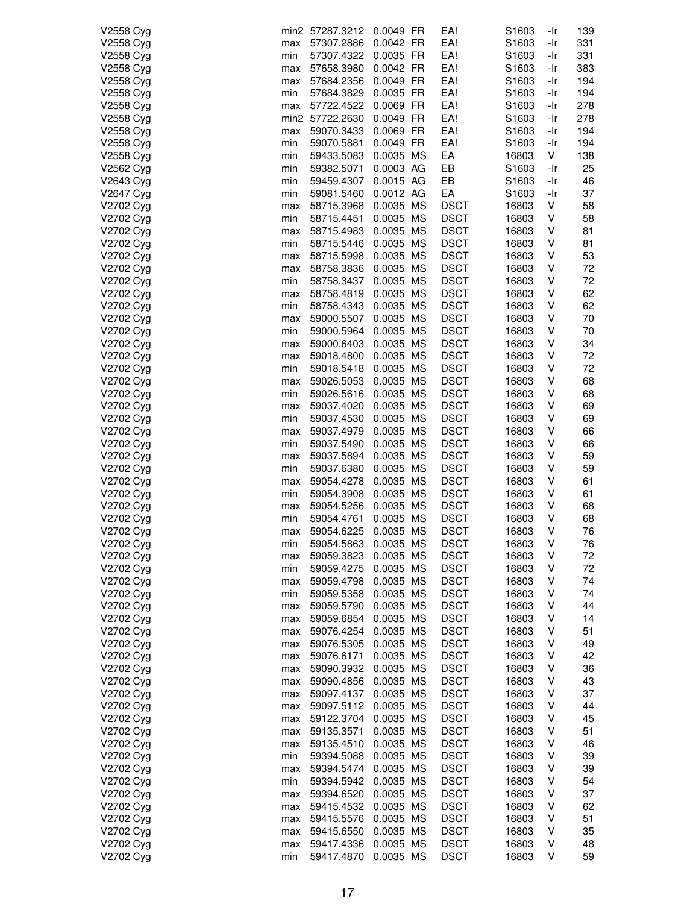| V2558 Cyg              |            | min2 57287.3212          | 0.0049 FR              | EA!                        | S1603          | -Ir        | 139      |
|------------------------|------------|--------------------------|------------------------|----------------------------|----------------|------------|----------|
| V2558 Cyg              | max        | 57307.2886               | 0.0042 FR              | EA!                        | S1603          | -Ir        | 331      |
| V2558 Cyg              | min        | 57307.4322               | 0.0035 FR              | EA!                        | S1603          | -Ir        | 331      |
| V2558 Cyg              | max        | 57658.3980               | 0.0042 FR              | EA!                        | S1603          | -Ir        | 383      |
| V2558 Cyg              | max        | 57684.2356               | 0.0049 FR              | EA!                        | S1603          | -Ir        | 194      |
| V2558 Cyg              | min        | 57684.3829               | 0.0035 FR              | EA!                        | S1603          | -Ir        | 194      |
| V2558 Cyg              | max        | 57722.4522               | 0.0069 FR              | EA!                        | S1603          | -Ir        | 278      |
| V2558 Cyg              |            | min2 57722.2630          | 0.0049 FR              | EA!                        | S1603          | -Ir        | 278      |
| V2558 Cyg              | max        | 59070.3433               | 0.0069 FR              | EA!                        | S1603          | -Ir        | 194      |
| V2558 Cyg              | min        | 59070.5881               | 0.0049 FR              | EA!                        | S1603          | -Ir        | 194      |
| V2558 Cyg              | min        | 59433.5083               | 0.0035 MS              | EA                         | 16803          | V          | 138      |
| V2562 Cyg              | min        | 59382.5071               | 0.0003 AG<br>0.0015 AG | EB<br>EB                   | S1603          | -Ir<br>-Ir | 25<br>46 |
| V2643 Cyg<br>V2647 Cyg | min<br>min | 59459.4307<br>59081.5460 | 0.0012 AG              | EA                         | S1603<br>S1603 | -Ir        | 37       |
| V2702 Cyg              | max        | 58715.3968               | 0.0035 MS              | <b>DSCT</b>                | 16803          | V          | 58       |
| V2702 Cyg              | min        | 58715.4451               | 0.0035 MS              | <b>DSCT</b>                | 16803          | ٧          | 58       |
| V2702 Cyg              | max        | 58715.4983               | 0.0035 MS              | <b>DSCT</b>                | 16803          | ٧          | 81       |
| V2702 Cyg              | min        | 58715.5446               | 0.0035 MS              | <b>DSCT</b>                | 16803          | ٧          | 81       |
| V2702 Cyg              | max        | 58715.5998               | 0.0035 MS              | <b>DSCT</b>                | 16803          | ٧          | 53       |
| V2702 Cyg              | max        | 58758.3836               | 0.0035 MS              | <b>DSCT</b>                | 16803          | V          | 72       |
| V2702 Cyg              | min        | 58758.3437               | 0.0035 MS              | <b>DSCT</b>                | 16803          | V          | 72       |
| V2702 Cyg              | max        | 58758.4819               | 0.0035 MS              | <b>DSCT</b>                | 16803          | ٧          | 62       |
| V2702 Cyg              | min        | 58758.4343               | 0.0035 MS              | <b>DSCT</b>                | 16803          | V          | 62       |
| V2702 Cyg              | max        | 59000.5507               | 0.0035 MS              | <b>DSCT</b>                | 16803          | V          | 70       |
| V2702 Cyg              | min        | 59000.5964               | 0.0035 MS              | <b>DSCT</b>                | 16803          | ٧          | 70       |
| V2702 Cyg              | max        | 59000.6403               | 0.0035 MS              | <b>DSCT</b>                | 16803          | ٧          | 34       |
| V2702 Cyg              | max        | 59018.4800               | 0.0035 MS              | <b>DSCT</b>                | 16803          | ٧          | 72       |
| V2702 Cyg              | min        | 59018.5418               | 0.0035 MS              | <b>DSCT</b>                | 16803          | ٧          | 72       |
| V2702 Cyg              | max        | 59026.5053               | 0.0035 MS              | <b>DSCT</b>                | 16803          | ٧          | 68       |
| V2702 Cyg              | min        | 59026.5616               | 0.0035 MS              | <b>DSCT</b>                | 16803          | ٧          | 68       |
| V2702 Cyg              | max        | 59037.4020               | 0.0035 MS              | <b>DSCT</b>                | 16803          | ٧          | 69       |
| V2702 Cyg              | min        | 59037.4530               | 0.0035 MS              | <b>DSCT</b>                | 16803          | V          | 69       |
| V2702 Cyg              | max        | 59037.4979               | 0.0035 MS              | <b>DSCT</b>                | 16803          | ٧          | 66       |
| V2702 Cyg              | min        | 59037.5490               | 0.0035 MS              | <b>DSCT</b>                | 16803          | ٧          | 66       |
| V2702 Cyg              | max        | 59037.5894               | 0.0035 MS              | <b>DSCT</b>                | 16803          | V          | 59       |
| V2702 Cyg              | min        | 59037.6380               | 0.0035 MS              | <b>DSCT</b>                | 16803          | ٧          | 59       |
| V2702 Cyg              | max        | 59054.4278               | 0.0035 MS              | <b>DSCT</b>                | 16803          | V          | 61       |
| V2702 Cyg              | min        | 59054.3908               | 0.0035 MS              | <b>DSCT</b>                | 16803          | ٧          | 61       |
| V2702 Cyg<br>V2702 Cyg | max        | 59054.5256<br>59054.4761 | 0.0035 MS<br>0.0035 MS | <b>DSCT</b><br><b>DSCT</b> | 16803          | V<br>٧     | 68<br>68 |
| V2702 Cyg              | min<br>max | 59054.6225               | 0.0035 MS              | <b>DSCT</b>                | 16803<br>16803 | V          | 76       |
| V2702 Cyg              | min        | 59054.5863               | 0.0035 MS              | <b>DSCT</b>                | 16803          | V          | 76       |
| V2702 Cyg              | max        | 59059.3823               | 0.0035 MS              | <b>DSCT</b>                | 16803          | V          | 72       |
| V2702 Cyg              | min        | 59059.4275               | 0.0035 MS              | <b>DSCT</b>                | 16803          | ٧          | 72       |
| V2702 Cyg              | max        | 59059.4798               | 0.0035 MS              | <b>DSCT</b>                | 16803          | V          | 74       |
| V2702 Cyg              | min        | 59059.5358               | 0.0035 MS              | <b>DSCT</b>                | 16803          | ٧          | 74       |
| V2702 Cyg              | max        | 59059.5790               | 0.0035 MS              | <b>DSCT</b>                | 16803          | V          | 44       |
| V2702 Cyg              | max        | 59059.6854               | 0.0035 MS              | <b>DSCT</b>                | 16803          | V          | 14       |
| V2702 Cyg              | max        | 59076.4254               | 0.0035 MS              | <b>DSCT</b>                | 16803          | V          | 51       |
| V2702 Cyg              | max        | 59076.5305               | 0.0035 MS              | <b>DSCT</b>                | 16803          | ٧          | 49       |
| V2702 Cyg              | max        | 59076.6171               | 0.0035 MS              | <b>DSCT</b>                | 16803          | ٧          | 42       |
| V2702 Cyg              | max        | 59090.3932               | 0.0035 MS              | <b>DSCT</b>                | 16803          | V          | 36       |
| V2702 Cyg              | max        | 59090.4856               | 0.0035 MS              | <b>DSCT</b>                | 16803          | ٧          | 43       |
| V2702 Cyg              | max        | 59097.4137               | 0.0035 MS              | <b>DSCT</b>                | 16803          | V          | 37       |
| V2702 Cyg              | max        | 59097.5112               | 0.0035 MS              | <b>DSCT</b>                | 16803          | ٧          | 44       |
| V2702 Cyg              | max        | 59122.3704               | 0.0035 MS              | <b>DSCT</b>                | 16803          | V          | 45       |
| V2702 Cyg              | max        | 59135.3571               | 0.0035 MS              | <b>DSCT</b>                | 16803          | V          | 51       |
| V2702 Cyg              | max        | 59135.4510               | 0.0035 MS              | <b>DSCT</b>                | 16803          | V          | 46       |
| V2702 Cyg              | min        | 59394.5088               | 0.0035 MS              | <b>DSCT</b>                | 16803          | V          | 39       |
| V2702 Cyg              | max        | 59394.5474               | 0.0035 MS              | <b>DSCT</b>                | 16803          | V          | 39       |
| V2702 Cyg<br>V2702 Cyg | min        | 59394.5942<br>59394.6520 | 0.0035 MS<br>0.0035 MS | <b>DSCT</b><br><b>DSCT</b> | 16803<br>16803 | ٧<br>V     | 54<br>37 |
| V2702 Cyg              | max<br>max | 59415.4532               | 0.0035 MS              | <b>DSCT</b>                | 16803          | V          | 62       |
| V2702 Cyg              | max        | 59415.5576               | 0.0035 MS              | <b>DSCT</b>                | 16803          | ٧          | 51       |
| V2702 Cyg              | max        | 59415.6550               | 0.0035 MS              | <b>DSCT</b>                | 16803          | ٧          | 35       |
| V2702 Cyg              | max        | 59417.4336               | 0.0035 MS              | <b>DSCT</b>                | 16803          | ٧          | 48       |
| V2702 Cyg              | min        | 59417.4870               | 0.0035 MS              | <b>DSCT</b>                | 16803          | V          | 59       |
|                        |            |                          |                        |                            |                |            |          |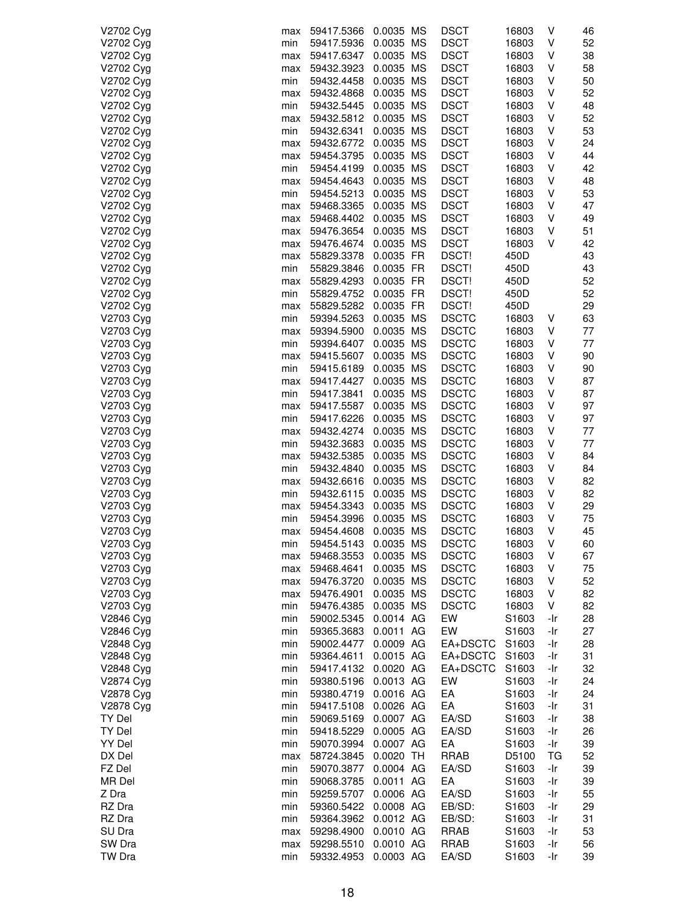| V2702 Cyg | max | 59417.5366 | 0.0035 MS   | <b>DSCT</b>  | 16803             | V   | 46 |
|-----------|-----|------------|-------------|--------------|-------------------|-----|----|
| V2702 Cyg | min | 59417.5936 | 0.0035 MS   | <b>DSCT</b>  | 16803             | V   | 52 |
| V2702 Cyg | max | 59417.6347 | 0.0035 MS   | <b>DSCT</b>  | 16803             | ٧   | 38 |
|           |     |            |             |              |                   |     |    |
| V2702 Cyg | max | 59432.3923 | 0.0035 MS   | <b>DSCT</b>  | 16803             | ٧   | 58 |
| V2702 Cyg | min | 59432.4458 | 0.0035 MS   | <b>DSCT</b>  | 16803             | ٧   | 50 |
| V2702 Cyg | max | 59432.4868 | 0.0035 MS   | <b>DSCT</b>  | 16803             | ٧   | 52 |
| V2702 Cyg | min | 59432.5445 | 0.0035 MS   | <b>DSCT</b>  | 16803             | ٧   | 48 |
| V2702 Cyg | max | 59432.5812 | 0.0035 MS   | <b>DSCT</b>  | 16803             | V   | 52 |
| V2702 Cyg | min | 59432.6341 | 0.0035 MS   | <b>DSCT</b>  | 16803             | V   | 53 |
| V2702 Cyg | max | 59432.6772 | 0.0035 MS   | <b>DSCT</b>  | 16803             | ٧   | 24 |
|           |     |            |             |              |                   |     |    |
| V2702 Cyg | max | 59454.3795 | 0.0035 MS   | <b>DSCT</b>  | 16803             | V   | 44 |
| V2702 Cyg | min | 59454.4199 | 0.0035 MS   | <b>DSCT</b>  | 16803             | ٧   | 42 |
| V2702 Cyg | max | 59454.4643 | 0.0035 MS   | <b>DSCT</b>  | 16803             | ٧   | 48 |
| V2702 Cyg | min | 59454.5213 | 0.0035 MS   | <b>DSCT</b>  | 16803             | ٧   | 53 |
| V2702 Cyg | max | 59468.3365 | 0.0035 MS   | <b>DSCT</b>  | 16803             | ٧   | 47 |
| V2702 Cyg | max | 59468.4402 | 0.0035 MS   | <b>DSCT</b>  | 16803             | ٧   | 49 |
| V2702 Cyg | max | 59476.3654 | 0.0035 MS   | <b>DSCT</b>  | 16803             | ٧   | 51 |
| V2702 Cyg |     | 59476.4674 | 0.0035 MS   | <b>DSCT</b>  | 16803             | V   | 42 |
|           | max |            |             |              |                   |     |    |
| V2702 Cyg | max | 55829.3378 | 0.0035 FR   | DSCT!        | 450D              |     | 43 |
| V2702 Cyg | min | 55829.3846 | 0.0035 FR   | DSCT!        | 450D              |     | 43 |
| V2702 Cyg | max | 55829.4293 | 0.0035 FR   | DSCT!        | 450D              |     | 52 |
| V2702 Cyg | min | 55829.4752 | 0.0035 FR   | DSCT!        | 450D              |     | 52 |
| V2702 Cyg | max | 55829.5282 | 0.0035 FR   | DSCT!        | 450D              |     | 29 |
| V2703 Cyg | min | 59394.5263 | 0.0035 MS   | <b>DSCTC</b> | 16803             | V   | 63 |
| V2703 Cyg | max | 59394.5900 | 0.0035 MS   | <b>DSCTC</b> | 16803             | V   | 77 |
|           |     |            |             |              |                   |     |    |
| V2703 Cyg | min | 59394.6407 | 0.0035 MS   | <b>DSCTC</b> | 16803             | ٧   | 77 |
| V2703 Cyg | max | 59415.5607 | 0.0035 MS   | <b>DSCTC</b> | 16803             | ٧   | 90 |
| V2703 Cyg | min | 59415.6189 | 0.0035 MS   | <b>DSCTC</b> | 16803             | ٧   | 90 |
| V2703 Cyg | max | 59417.4427 | 0.0035 MS   | <b>DSCTC</b> | 16803             | ٧   | 87 |
| V2703 Cyg | min | 59417.3841 | 0.0035 MS   | <b>DSCTC</b> | 16803             | ٧   | 87 |
| V2703 Cyg | max | 59417.5587 | 0.0035 MS   | <b>DSCTC</b> | 16803             | V   | 97 |
| V2703 Cyg | min | 59417.6226 | 0.0035 MS   | <b>DSCTC</b> | 16803             | V   | 97 |
| V2703 Cyg | max | 59432.4274 | 0.0035 MS   | <b>DSCTC</b> | 16803             | ٧   | 77 |
|           |     |            |             |              |                   |     |    |
| V2703 Cyg | min | 59432.3683 | 0.0035 MS   | <b>DSCTC</b> | 16803             | ٧   | 77 |
| V2703 Cyg | max | 59432.5385 | 0.0035 MS   | <b>DSCTC</b> | 16803             | ٧   | 84 |
| V2703 Cyg | min | 59432.4840 | 0.0035 MS   | <b>DSCTC</b> | 16803             | V   | 84 |
| V2703 Cyg | max | 59432.6616 | 0.0035 MS   | <b>DSCTC</b> | 16803             | ٧   | 82 |
| V2703 Cyg | min | 59432.6115 | 0.0035 MS   | <b>DSCTC</b> | 16803             | V   | 82 |
| V2703 Cyg | max | 59454.3343 | 0.0035 MS   | <b>DSCTC</b> | 16803             | V   | 29 |
| V2703 Cyg | min | 59454.3996 | 0.0035 MS   | <b>DSCTC</b> | 16803             | ٧   | 75 |
| V2703 Cyg |     | 59454.4608 | 0.0035 MS   | <b>DSCTC</b> |                   | V   | 45 |
|           | max |            |             |              | 16803             |     |    |
| V2703 Cyg | min | 59454.5143 | 0.0035 MS   | <b>DSCTC</b> | 16803             | V   | 60 |
| V2703 Cyg | max | 59468.3553 | 0.0035 MS   | <b>DSCTC</b> | 16803             | V   | 67 |
| V2703 Cyg | max | 59468.4641 | 0.0035 MS   | <b>DSCTC</b> | 16803             | ٧   | 75 |
| V2703 Cyg | max | 59476.3720 | 0.0035 MS   | <b>DSCTC</b> | 16803             | V   | 52 |
| V2703 Cyg | max | 59476.4901 | 0.0035 MS   | <b>DSCTC</b> | 16803             | V   | 82 |
| V2703 Cyg | min | 59476.4385 | 0.0035 MS   | <b>DSCTC</b> | 16803             | V   | 82 |
| V2846 Cyg | min | 59002.5345 | 0.0014 AG   | EW           | S1603             | -Ir | 28 |
| V2846 Cyg | min | 59365.3683 | 0.0011 AG   | EW           | S1603             | -Ir | 27 |
|           |     |            |             |              |                   |     |    |
| V2848 Cyg | min | 59002.4477 | 0.0009 AG   | EA+DSCTC     | S1603             | -Ir | 28 |
| V2848 Cyg | min | 59364.4611 | 0.0015 AG   | EA+DSCTC     | S1603             | -Ir | 31 |
| V2848 Cyg | min | 59417.4132 | 0.0020 AG   | EA+DSCTC     | S1603             | -Ir | 32 |
| V2874 Cyg | min | 59380.5196 | 0.0013 AG   | EW           | S1603             | -Ir | 24 |
| V2878 Cyg | min | 59380.4719 | 0.0016 AG   | EA           | S1603             | -Ir | 24 |
| V2878 Cyg | min | 59417.5108 | 0.0026 AG   | EA           | S1603             | -Ir | 31 |
| TY Del    | min | 59069.5169 | 0.0007 AG   | EA/SD        | S1603             | -Ir | 38 |
|           |     |            | 0.0005 AG   | EA/SD        |                   |     |    |
| TY Del    | min | 59418.5229 |             |              | S1603             | -Ir | 26 |
| YY Del    | min | 59070.3994 | 0.0007 AG   | EA           | S1603             | -Ir | 39 |
| DX Del    | max | 58724.3845 | $0.0020$ TH | RRAB         | D5100             | ТG  | 52 |
| FZ Del    | min | 59070.3877 | 0.0004 AG   | EA/SD        | S1603             | -Ir | 39 |
| MR Del    | min | 59068.3785 | 0.0011 AG   | EA           | S <sub>1603</sub> | -Ir | 39 |
| Z Dra     | min | 59259.5707 | 0.0006 AG   | EA/SD        | S <sub>1603</sub> | -Ir | 55 |
| RZ Dra    | min | 59360.5422 | 0.0008 AG   | EB/SD:       | S1603             | -Ir | 29 |
| RZ Dra    |     |            | 0.0012 AG   | EB/SD:       |                   |     | 31 |
|           | min | 59364.3962 |             |              | S1603             | -Ir |    |
| SU Dra    | max | 59298.4900 | 0.0010 AG   | RRAB         | S1603             | -Ir | 53 |
| SW Dra    | max | 59298.5510 | 0.0010 AG   | <b>RRAB</b>  | S1603             | -Ir | 56 |
| TW Dra    | min | 59332.4953 | 0.0003 AG   | EA/SD        | S1603             | -Ir | 39 |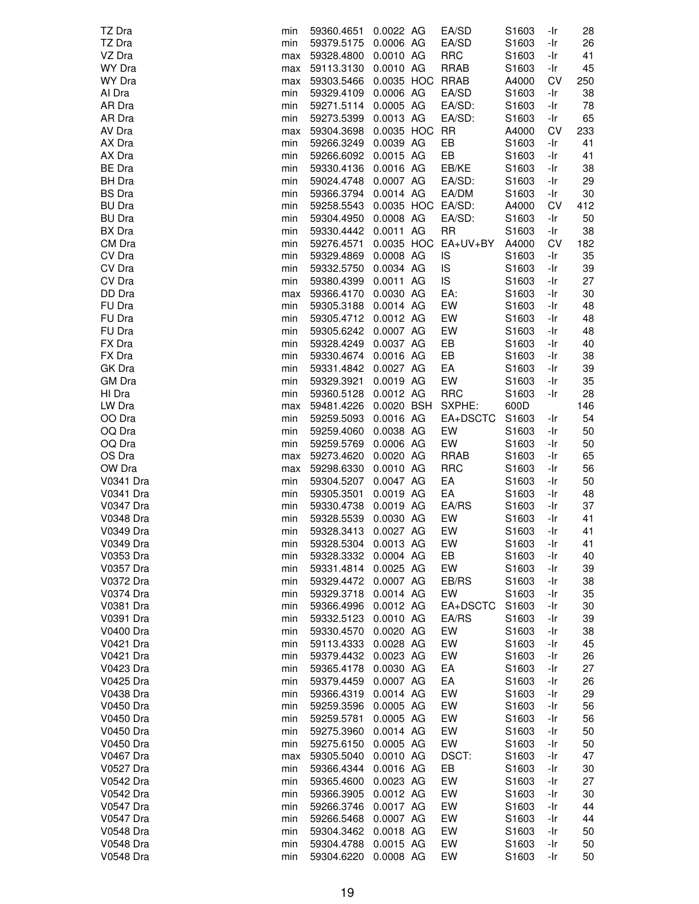| TZ Dra           | min | 59360.4651           | 0.0022 AG              | EA/SD             | S1603             | -Ir | 28       |
|------------------|-----|----------------------|------------------------|-------------------|-------------------|-----|----------|
| TZ Dra           | min | 59379.5175           | 0.0006 AG              | EA/SD             | S1603             | -Ir | 26       |
| VZ Dra           | max | 59328.4800           | 0.0010 AG              | <b>RRC</b>        | S1603             | -Ir | 41       |
| WY Dra           | max | 59113.3130           | 0.0010 AG              | <b>RRAB</b>       | S1603             | -Ir | 45       |
| WY Dra           | max | 59303.5466           | 0.0035 HOC RRAB        |                   | A4000             | CV  | 250      |
| Al Dra           | min | 59329.4109           | 0.0006 AG              | EA/SD             | S1603             | -Ir | 38       |
| AR Dra           | min | 59271.5114           | 0.0005 AG              | EA/SD:            | S1603             | -Ir | 78       |
| AR Dra           | min | 59273.5399           | 0.0013 AG              | EA/SD:            | S1603             | -Ir | 65       |
| AV Dra           | max | 59304.3698           | 0.0035 HOC RR          |                   | A4000             | CV  | 233      |
| AX Dra           | min | 59266.3249           | 0.0039 AG              | EB                | S1603             | -Ir | 41       |
| AX Dra           | min | 59266.6092           | 0.0015 AG              | EB                | S1603             | -Ir | 41       |
| BE Dra           | min | 59330.4136           | 0.0016 AG              | EB/KE             | S1603             | -Ir | 38       |
| <b>BH</b> Dra    | min | 59024.4748           | 0.0007 AG              | EA/SD:            | S1603             | -Ir | 29       |
| <b>BS</b> Dra    | min | 59366.3794           | 0.0014 AG              | EA/DM             | S1603             | -Ir | 30       |
| <b>BU Dra</b>    | min | 59258.5543           |                        | 0.0035 HOC EA/SD: | A4000             | CV  | 412      |
| <b>BU Dra</b>    | min | 59304.4950           | 0.0008 AG              | EA/SD:            | S <sub>1603</sub> | -Ir | 50       |
| <b>BX</b> Dra    | min | 59330.4442           | 0.0011 AG              | <b>RR</b>         | S <sub>1603</sub> | -Ir | 38       |
| CM Dra           | min | 59276.4571           | 0.0035 HOC             | EA+UV+BY          | A4000             | CV  | 182      |
| CV Dra           |     |                      | 0.0008 AG              | IS                | S <sub>1603</sub> | -Ir | 35       |
| CV Dra           | min | 59329.4869           | 0.0034 AG              | IS                | S1603             |     | 39       |
| CV Dra           | min | 59332.5750           |                        |                   |                   | -Ir |          |
|                  | min | 59380.4399           | 0.0011 AG              | IS                | S1603             | -Ir | 27       |
| DD Dra           | max | 59366.4170           | 0.0030 AG              | EA:               | S1603             | -Ir | 30       |
| FU Dra           | min | 59305.3188           | 0.0014 AG              | EW                | S1603             | -Ir | 48       |
| FU Dra           | min | 59305.4712 0.0012 AG |                        | EW                | S1603             | -Ir | 48       |
| FU Dra           | min | 59305.6242 0.0007 AG |                        | EW                | S1603             | -Ir | 48       |
| FX Dra           | min | 59328.4249           | 0.0037 AG              | EB                | S1603             | -Ir | 40       |
| FX Dra           | min | 59330.4674           | 0.0016 AG              | EB                | S1603             | -Ir | 38       |
| GK Dra           | min | 59331.4842           | 0.0027 AG              | EA                | S1603             | -Ir | 39       |
| GM Dra           | min | 59329.3921           | 0.0019 AG              | EW                | S1603             | -Ir | 35       |
| HI Dra           | min | 59360.5128           | 0.0012 AG              | <b>RRC</b>        | S1603             | -Ir | 28       |
| LW Dra           | max | 59481.4226           | 0.0020 BSH             | SXPHE:            | 600D              |     | 146      |
| OO Dra           | min | 59259.5093           | 0.0016 AG              | EA+DSCTC          | S1603             | -Ir | 54       |
| OQ Dra           | min | 59259.4060           | 0.0038 AG              | EW                | S1603             | -Ir | 50       |
| OQ Dra           | min | 59259.5769           | 0.0006 AG              | EW                | S1603             | -Ir | 50       |
| OS Dra           | max | 59273.4620           | 0.0020 AG              | <b>RRAB</b>       | S1603             | -Ir | 65       |
| OW Dra           | max | 59298.6330           | 0.0010 AG              | <b>RRC</b>        | S1603             | -Ir | 56       |
| V0341 Dra        | min | 59304.5207           | 0.0047 AG              | EA                | S1603             | -Ir | 50       |
| V0341 Dra        | min | 59305.3501           | 0.0019 AG              | EA                | S1603             | -Ir | 48       |
| V0347 Dra        | min | 59330.4738           | 0.0019 AG              | EA/RS             | S1603             | -Ir | 37       |
| <b>V0348 Dra</b> | min | 59328.5539           | 0.0030 AG              | EW                | S1603             | -Ir | 41       |
| V0349 Dra        | min | 59328.3413           | 0.0027 AG              | EW                | S1603             | -Ir | 41       |
| V0349 Dra        | min | 59328.5304           | 0.0013 AG              | EW                | S1603             | -Ir | 41       |
| V0353 Dra        | min | 59328.3332           | 0.0004 AG              | EB                | S1603             | -Ir | 40       |
| V0357 Dra        | min | 59331.4814           | 0.0025 AG              | EW                | S1603             | -Ir | 39       |
| V0372 Dra        | min | 59329.4472           | 0.0007 AG              | EB/RS             | S1603             | -Ir | 38       |
| V0374 Dra        | min | 59329.3718           | 0.0014 AG              | EW                | S1603             | -Ir | 35       |
| V0381 Dra        | min | 59366.4996           | 0.0012 AG              | EA+DSCTC          | S1603             | -Ir | 30       |
| V0391 Dra        | min | 59332.5123           | 0.0010 AG              | EA/RS             | S1603             | -Ir | 39       |
| <b>V0400 Dra</b> | min | 59330.4570           | 0.0020 AG              | EW                | S1603             | -Ir | 38       |
| V0421 Dra        | min | 59113.4333           | 0.0028 AG              | EW                | S <sub>1603</sub> | -Ir | 45       |
| V0421 Dra        | min | 59379.4432           | 0.0023 AG              | EW                | S1603             | -Ir | 26       |
| V0423 Dra        | min | 59365.4178           | 0.0030 AG              | EA                | S1603             | -Ir | 27       |
| V0425 Dra        | min | 59379.4459           | 0.0007 AG              | EA                | S1603             | -Ir | 26       |
| V0438 Dra        | min | 59366.4319           | 0.0014 AG              | EW                | S1603             | -Ir | 29       |
| <b>V0450 Dra</b> | min | 59259.3596           | 0.0005 AG              | EW                | S1603             | -Ir | 56       |
| V0450 Dra        | min | 59259.5781           | 0.0005 AG              | EW                | S1603             | -Ir | 56       |
| V0450 Dra        | min | 59275.3960           | 0.0014 AG              | EW                | S1603             | -Ir | 50       |
| V0450 Dra        | min | 59275.6150           | 0.0005 AG              | EW                | S1603             | -Ir | 50       |
| V0467 Dra        | max | 59305.5040           | 0.0010 AG              | DSCT:             | S1603             | -Ir | 47       |
| V0527 Dra        | min | 59366.4344           | 0.0016 AG              | EB                | S1603             | -Ir | 30       |
| V0542 Dra        | min | 59365.4600           | 0.0023 AG              | EW                | S1603             | -Ir | 27       |
| V0542 Dra        | min | 59366.3905           | 0.0012 AG              | EW                | S1603             | -Ir | 30       |
| V0547 Dra        |     |                      |                        | EW                |                   |     | 44       |
|                  | min | 59266.3746           | 0.0017 AG              |                   | S <sub>1603</sub> | -Ir |          |
| <b>V0547 Dra</b> | min | 59266.5468           | 0.0007 AG              | EW                | S1603             | -Ir | 44       |
| V0548 Dra        | min | 59304.3462           | 0.0018 AG              | EW                | S1603             | -Ir | 50       |
| V0548 Dra        | min | 59304.4788           | 0.0015 AG<br>0.0008 AG | EW<br>EW          | S1603             | -Ir | 50<br>50 |
| V0548 Dra        | min | 59304.6220           |                        |                   | S1603             | -Ir |          |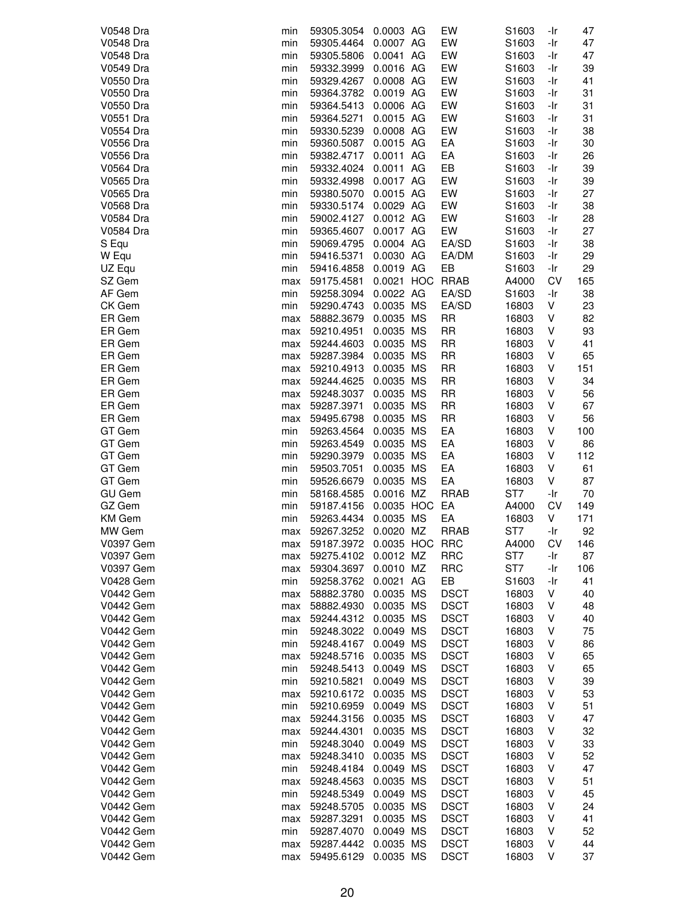| V0548 Dra        | min | 59305.3054 | 0.0003 AG  | EW          | S1603           | -Ir   | 47  |
|------------------|-----|------------|------------|-------------|-----------------|-------|-----|
| V0548 Dra        | min | 59305.4464 | 0.0007 AG  | EW          | S1603           | $-Ir$ | 47  |
| V0548 Dra        |     |            | 0.0041 AG  | EW          |                 |       |     |
|                  | min | 59305.5806 |            |             | S1603           | -Ir   | 47  |
| V0549 Dra        | min | 59332.3999 | 0.0016 AG  | EW          | S1603           | -Ir   | 39  |
| V0550 Dra        | min | 59329.4267 | 0.0008 AG  | EW          | S1603           | -Ir   | 41  |
| V0550 Dra        | min | 59364.3782 | 0.0019 AG  | EW          | S1603           | -Ir   | 31  |
| V0550 Dra        | min | 59364.5413 | 0.0006 AG  | EW          | S1603           | -Ir   | 31  |
| V0551 Dra        | min | 59364.5271 | 0.0015 AG  | EW          | S1603           | -Ir   | 31  |
| V0554 Dra        | min | 59330.5239 | 0.0008 AG  | EW          | S1603           | -Ir   | 38  |
| V0556 Dra        | min | 59360.5087 | 0.0015 AG  | EA          | S1603           | -Ir   | 30  |
| <b>V0556 Dra</b> | min | 59382.4717 | 0.0011 AG  | EA          | S1603           | -Ir   | 26  |
|                  |     |            |            |             |                 |       |     |
| V0564 Dra        | min | 59332.4024 | 0.0011 AG  | EB          | S1603           | -Ir   | 39  |
| V0565 Dra        | min | 59332.4998 | 0.0017 AG  | EW          | S1603           | -Ir   | 39  |
| V0565 Dra        | min | 59380.5070 | 0.0015 AG  | EW          | S1603           | -Ir   | 27  |
| V0568 Dra        | min | 59330.5174 | 0.0029 AG  | EW          | S1603           | -Ir   | 38  |
| V0584 Dra        | min | 59002.4127 | 0.0012 AG  | EW          | S1603           | -Ir   | 28  |
| <b>V0584 Dra</b> | min | 59365.4607 | 0.0017 AG  | EW          | S1603           | -Ir   | 27  |
| S Equ            | min | 59069.4795 | 0.0004 AG  | EA/SD       | S1603           | -Ir   | 38  |
| W Equ            | min | 59416.5371 | 0.0030 AG  | EA/DM       | S1603           | -Ir   | 29  |
| UZ Equ           | min | 59416.4858 | 0.0019 AG  | EB          | S1603           | -Ir   | 29  |
| SZ Gem           |     |            | 0.0021 HOC | <b>RRAB</b> | A4000           | CV    |     |
|                  | max | 59175.4581 |            |             |                 |       | 165 |
| AF Gem           | min | 59258.3094 | 0.0022 AG  | EA/SD       | S1603           | -Ir   | 38  |
| CK Gem           | min | 59290.4743 | 0.0035 MS  | EA/SD       | 16803           | ٧     | 23  |
| ER Gem           | max | 58882.3679 | 0.0035 MS  | <b>RR</b>   | 16803           | V     | 82  |
| ER Gem           | max | 59210.4951 | 0.0035 MS  | <b>RR</b>   | 16803           | V     | 93  |
| ER Gem           | max | 59244.4603 | 0.0035 MS  | <b>RR</b>   | 16803           | V     | 41  |
| ER Gem           | max | 59287.3984 | 0.0035 MS  | <b>RR</b>   | 16803           | V     | 65  |
| ER Gem           | max | 59210.4913 | 0.0035 MS  | <b>RR</b>   | 16803           | ٧     | 151 |
| ER Gem           | max | 59244.4625 | 0.0035 MS  | <b>RR</b>   | 16803           | V     | 34  |
| ER Gem           | max | 59248.3037 | 0.0035 MS  | <b>RR</b>   | 16803           | V     | 56  |
|                  |     |            |            |             |                 |       |     |
| ER Gem           | max | 59287.3971 | 0.0035 MS  | <b>RR</b>   | 16803           | V     | 67  |
| ER Gem           | max | 59495.6798 | 0.0035 MS  | <b>RR</b>   | 16803           | V     | 56  |
| GT Gem           | min | 59263.4564 | 0.0035 MS  | EA          | 16803           | V     | 100 |
| GT Gem           | min | 59263.4549 | 0.0035 MS  | EA          | 16803           | V     | 86  |
| GT Gem           | min | 59290.3979 | 0.0035 MS  | EA          | 16803           | V     | 112 |
| GT Gem           | min | 59503.7051 | 0.0035 MS  | EA          | 16803           | V     | 61  |
| GT Gem           | min | 59526.6679 | 0.0035 MS  | EA          | 16803           | V     | 87  |
| <b>GU Gem</b>    | min | 58168.4585 | 0.0016 MZ  | <b>RRAB</b> | ST7             | -Ir   | 70  |
| GZ Gem           | min | 59187.4156 | 0.0035 HOC | EA          | A4000           | CV    | 149 |
| KM Gem           | min | 59263.4434 | 0.0035 MS  | EA          | 16803           | V     | 171 |
| MW Gem           |     | 59267.3252 | 0.0020 MZ  | <b>RRAB</b> | ST <sub>7</sub> | -Ir   | 92  |
|                  | max |            |            |             |                 |       |     |
| V0397 Gem        | max | 59187.3972 | 0.0035 HOC | <b>RRC</b>  | A4000           | CV    | 146 |
| <b>V0397 Gem</b> | max | 59275.4102 | 0.0012 MZ  | <b>RRC</b>  | ST7             | -Ir   | 87  |
| V0397 Gem        | max | 59304.3697 | 0.0010 MZ  | <b>RRC</b>  | ST7             | -Ir   | 106 |
| <b>V0428 Gem</b> | min | 59258.3762 | 0.0021 AG  | EB          | S1603           | -Ir   | 41  |
| <b>V0442 Gem</b> | max | 58882.3780 | 0.0035 MS  | <b>DSCT</b> | 16803           | V     | 40  |
| <b>V0442 Gem</b> | max | 58882.4930 | 0.0035 MS  | <b>DSCT</b> | 16803           | ٧     | 48  |
| <b>V0442 Gem</b> | max | 59244.4312 | 0.0035 MS  | <b>DSCT</b> | 16803           | V     | 40  |
| <b>V0442 Gem</b> | min | 59248.3022 | 0.0049 MS  | <b>DSCT</b> | 16803           | V     | 75  |
| V0442 Gem        | min | 59248.4167 | 0.0049 MS  | <b>DSCT</b> | 16803           | ٧     | 86  |
| <b>V0442 Gem</b> | max | 59248.5716 | 0.0035 MS  | <b>DSCT</b> | 16803           | V     | 65  |
| <b>V0442 Gem</b> |     | 59248.5413 | 0.0049 MS  | <b>DSCT</b> | 16803           | V     | 65  |
|                  | min |            |            |             |                 |       |     |
| <b>V0442 Gem</b> | min | 59210.5821 | 0.0049 MS  | <b>DSCT</b> | 16803           | V     | 39  |
| <b>V0442 Gem</b> | max | 59210.6172 | 0.0035 MS  | <b>DSCT</b> | 16803           | V     | 53  |
| <b>V0442 Gem</b> | min | 59210.6959 | 0.0049 MS  | <b>DSCT</b> | 16803           | V     | 51  |
| <b>V0442 Gem</b> | max | 59244.3156 | 0.0035 MS  | <b>DSCT</b> | 16803           | V     | 47  |
| <b>V0442 Gem</b> | max | 59244.4301 | 0.0035 MS  | <b>DSCT</b> | 16803           | V     | 32  |
| <b>V0442 Gem</b> | min | 59248.3040 | 0.0049 MS  | <b>DSCT</b> | 16803           | V     | 33  |
| <b>V0442 Gem</b> | max | 59248.3410 | 0.0035 MS  | <b>DSCT</b> | 16803           | V     | 52  |
| <b>V0442 Gem</b> | min | 59248.4184 | 0.0049 MS  | <b>DSCT</b> | 16803           | V     | 47  |
| <b>V0442 Gem</b> | max | 59248.4563 | 0.0035 MS  | <b>DSCT</b> | 16803           | V     | 51  |
| <b>V0442 Gem</b> |     |            |            | <b>DSCT</b> |                 |       | 45  |
|                  | min | 59248.5349 | 0.0049 MS  |             | 16803           | ٧     |     |
| <b>V0442 Gem</b> | max | 59248.5705 | 0.0035 MS  | <b>DSCT</b> | 16803           | V     | 24  |
| <b>V0442 Gem</b> | max | 59287.3291 | 0.0035 MS  | <b>DSCT</b> | 16803           | ٧     | 41  |
| <b>V0442 Gem</b> | min | 59287.4070 | 0.0049 MS  | <b>DSCT</b> | 16803           | V     | 52  |
| <b>V0442 Gem</b> | max | 59287.4442 | 0.0035 MS  | <b>DSCT</b> | 16803           | V     | 44  |
| <b>V0442 Gem</b> | max | 59495.6129 | 0.0035 MS  | <b>DSCT</b> | 16803           | V     | 37  |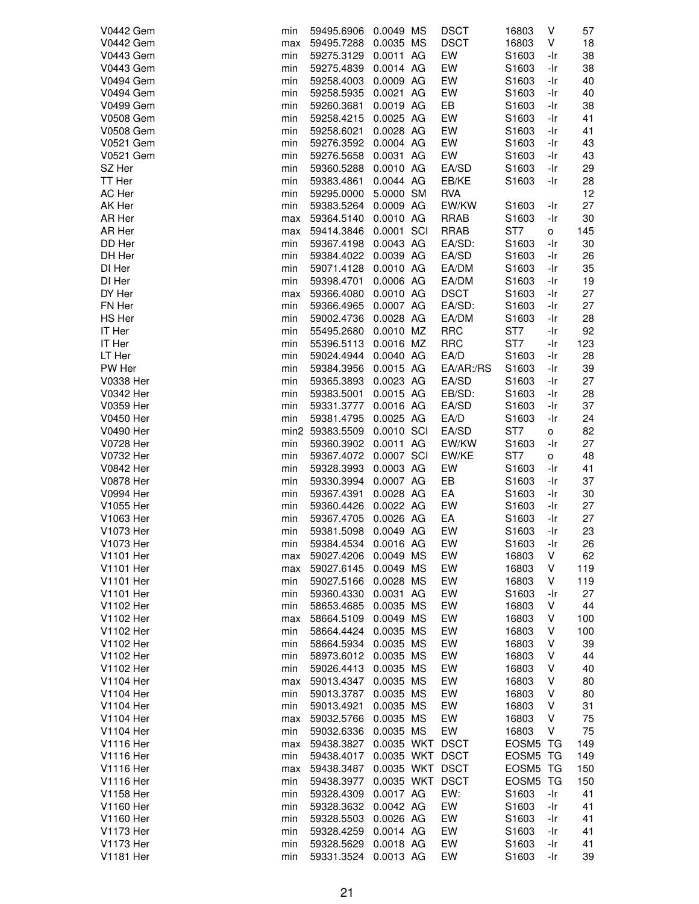| <b>V0442 Gem</b> | min | 59495.6906      | 0.0049 MS       | <b>DSCT</b> | 16803             | V   | 57  |
|------------------|-----|-----------------|-----------------|-------------|-------------------|-----|-----|
| <b>V0442 Gem</b> |     |                 | 0.0035 MS       |             |                   |     |     |
|                  | max | 59495.7288      |                 | <b>DSCT</b> | 16803             | ٧   | 18  |
| <b>V0443 Gem</b> | min | 59275.3129      | 0.0011 AG       | EW          | S1603             | -Ir | 38  |
| <b>V0443 Gem</b> | min | 59275.4839      | 0.0014 AG       | EW          | S1603             | -Ir | 38  |
| <b>V0494 Gem</b> | min | 59258.4003      | 0.0009 AG       | EW          | S1603             | -Ir | 40  |
| <b>V0494 Gem</b> | min | 59258.5935      | 0.0021 AG       | EW          | S1603             | -Ir | 40  |
| <b>V0499 Gem</b> | min | 59260.3681      | 0.0019 AG       | EB          | S1603             | -Ir | 38  |
|                  |     |                 |                 |             |                   |     |     |
| <b>V0508 Gem</b> | min | 59258.4215      | 0.0025 AG       | EW          | S1603             | -Ir | 41  |
| <b>V0508 Gem</b> | min | 59258.6021      | 0.0028 AG       | EW          | S1603             | -Ir | 41  |
| V0521 Gem        | min | 59276.3592      | 0.0004 AG       | EW          | S1603             | -Ir | 43  |
| V0521 Gem        | min | 59276.5658      | 0.0031 AG       | EW          | S1603             | -Ir | 43  |
| SZ Her           | min | 59360.5288      | 0.0010 AG       | EA/SD       | S1603             | -Ir | 29  |
| TT Her           | min | 59383.4861      | 0.0044 AG       | EB/KE       | S1603             | -Ir | 28  |
| AC Her           | min | 59295.0000      | 5.0000 SM       | <b>RVA</b>  |                   |     | 12  |
| AK Her           | min | 59383.5264      | 0.0009 AG       | EW/KW       | S1603             | -Ir | 27  |
| AR Her           |     |                 | 0.0010 AG       | <b>RRAB</b> | S <sub>1603</sub> | -Ir |     |
|                  | max | 59364.5140      |                 |             |                   |     | 30  |
| AR Her           | max | 59414.3846      | 0.0001 SCI      | <b>RRAB</b> | ST <sub>7</sub>   | о   | 145 |
| DD Her           | min | 59367.4198      | 0.0043 AG       | EA/SD:      | S1603             | -Ir | 30  |
| DH Her           | min | 59384.4022      | 0.0039 AG       | EA/SD       | S1603             | -Ir | 26  |
| DI Her           | min | 59071.4128      | 0.0010 AG       | EA/DM       | S1603             | -Ir | 35  |
| DI Her           | min | 59398.4701      | 0.0006 AG       | EA/DM       | S1603             | -Ir | 19  |
| DY Her           | max | 59366.4080      | 0.0010 AG       | <b>DSCT</b> | S1603             | -Ir | 27  |
| FN Her           | min | 59366.4965      | 0.0007 AG       | EA/SD:      | S1603             | -Ir | 27  |
| HS Her           | min | 59002.4736      | 0.0028 AG       | EA/DM       | S1603             | -Ir | 28  |
| IT Her           |     |                 |                 | <b>RRC</b>  |                   |     |     |
|                  | min | 55495.2680      | 0.0010 MZ       |             | ST7               | -Ir | 92  |
| IT Her           | min | 55396.5113      | 0.0016 MZ       | <b>RRC</b>  | ST <sub>7</sub>   | -Ir | 123 |
| LT Her           | min | 59024.4944      | 0.0040 AG       | EA/D        | S1603             | -Ir | 28  |
| PW Her           | min | 59384.3956      | 0.0015 AG       | EA/AR:/RS   | S1603             | -Ir | 39  |
| <b>V0338 Her</b> | min | 59365.3893      | 0.0023 AG       | EA/SD       | S1603             | -Ir | 27  |
| V0342 Her        | min | 59383.5001      | 0.0015 AG       | EB/SD:      | S1603             | -Ir | 28  |
| V0359 Her        | min | 59331.3777      | 0.0016 AG       | EA/SD       | S1603             | -Ir | 37  |
| V0450 Her        | min | 59381.4795      | 0.0025 AG       | EA/D        | S1603             | -Ir | 24  |
| <b>V0490 Her</b> |     | min2 59383.5509 | 0.0010 SCI      | EA/SD       | ST7               |     | 82  |
|                  |     |                 |                 |             |                   | о   |     |
| <b>V0728 Her</b> | min | 59360.3902      | 0.0011 AG       | EW/KW       | S1603             | -Ir | 27  |
| V0732 Her        | min | 59367.4072      | 0.0007 SCI      | EW/KE       | ST <sub>7</sub>   | o   | 48  |
| V0842 Her        | min | 59328.3993      | 0.0003 AG       | EW          | S1603             | -Ir | 41  |
| V0878 Her        | min | 59330.3994      | 0.0007 AG       | EB          | S1603             | -Ir | 37  |
| <b>V0994 Her</b> | min | 59367.4391      | 0.0028 AG       | EA          | S1603             | -Ir | 30  |
| V1055 Her        | min | 59360.4426      | 0.0022 AG       | EW          | S1603             | -Ir | 27  |
| V1063 Her        | min | 59367.4705      | 0.0026 AG       | EA          | S1603             | -Ir | 27  |
| V1073 Her        | min | 59381.5098      | 0.0049 AG       | EW          | S1603             | -Ir | 23  |
| V1073 Her        | min | 59384.4534      | 0.0016 AG       | EW          | S1603             | -Ir | 26  |
| V1101 Her        | max | 59027.4206      | 0.0049 MS       | EW          | 16803             | V   | 62  |
| <b>V1101 Her</b> |     | 59027.6145      | 0.0049 MS       | EW          | 16803             | V   | 119 |
|                  | max |                 |                 |             |                   |     |     |
| V1101 Her        | min | 59027.5166      | 0.0028 MS       | EW          | 16803             | V   | 119 |
| <b>V1101 Her</b> | min | 59360.4330      | 0.0031 AG       | EW          | S1603             | -Ir | 27  |
| V1102 Her        | min | 58653.4685      | 0.0035 MS       | EW          | 16803             | ٧   | 44  |
| V1102 Her        | max | 58664.5109      | 0.0049 MS       | EW          | 16803             | V   | 100 |
| V1102 Her        | min | 58664.4424      | 0.0035 MS       | EW          | 16803             | ٧   | 100 |
| V1102 Her        | min | 58664.5934      | 0.0035 MS       | EW          | 16803             | ٧   | 39  |
| V1102 Her        | min | 58973.6012      | 0.0035 MS       | EW          | 16803             | V   | 44  |
| V1102 Her        | min | 59026.4413      | 0.0035 MS       | EW          | 16803             | V   | 40  |
| <b>V1104 Her</b> | max | 59013.4347      | 0.0035 MS       | EW          | 16803             | V   | 80  |
|                  |     |                 |                 | EW          |                   | V   | 80  |
| <b>V1104 Her</b> | min | 59013.3787      | 0.0035 MS       |             | 16803             |     |     |
| <b>V1104 Her</b> | min | 59013.4921      | 0.0035 MS       | EW          | 16803             | V   | 31  |
| <b>V1104 Her</b> | max | 59032.5766      | 0.0035 MS       | EW          | 16803             | V   | 75  |
| <b>V1104 Her</b> | min | 59032.6336      | 0.0035 MS       | EW          | 16803             | ٧   | 75  |
| V1116 Her        | max | 59438.3827      | 0.0035 WKT DSCT |             | EOSM5 TG          |     | 149 |
| <b>V1116 Her</b> | min | 59438.4017      | 0.0035 WKT DSCT |             | EOSM5 TG          |     | 149 |
| <b>V1116 Her</b> | max | 59438.3487      | 0.0035 WKT DSCT |             | EOSM5 TG          |     | 150 |
| V1116 Her        | min | 59438.3977      | 0.0035 WKT DSCT |             | <b>EOSM5 TG</b>   |     | 150 |
| V1158 Her        | min | 59328.4309      | 0.0017 AG       | EW:         | S1603             | -Ir | 41  |
| V1160 Her        | min | 59328.3632      | 0.0042 AG       | EW          | S1603             | -Ir | 41  |
|                  |     |                 |                 |             |                   |     |     |
| V1160 Her        | min | 59328.5503      | 0.0026 AG       | EW          | S1603             | -Ir | 41  |
| V1173 Her        | min | 59328.4259      | 0.0014 AG       | EW          | S1603             | -Ir | 41  |
| V1173 Her        | min | 59328.5629      | 0.0018 AG       | EW          | S1603             | -Ir | 41  |
| V1181 Her        | min | 59331.3524      | 0.0013 AG       | EW          | S1603             | -Ir | 39  |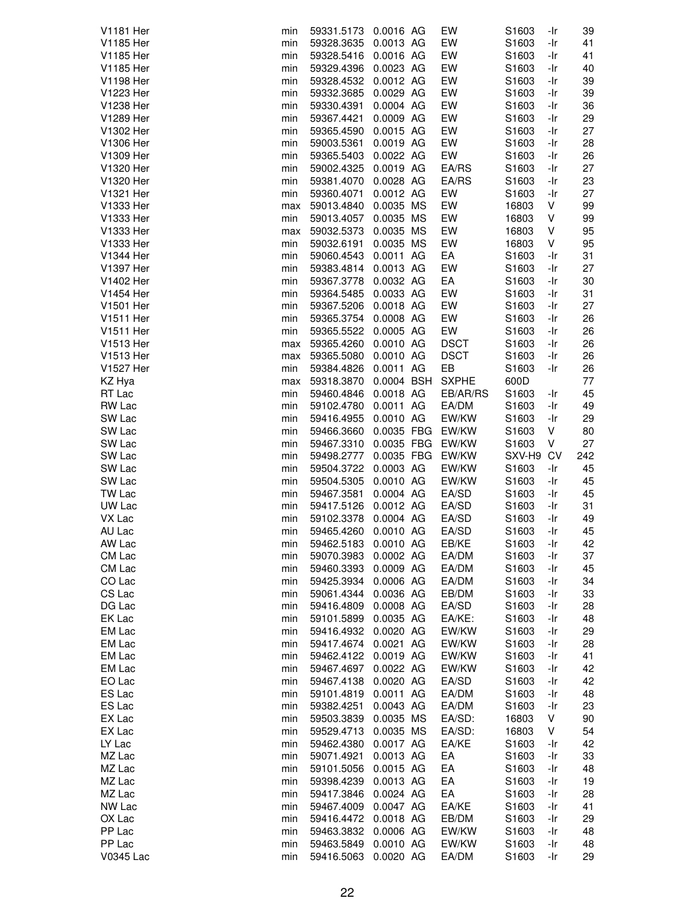| V1181 Her           | min        | 59331.5173               | 0.0016 AG              | EW               | S1603             | -Ir        | 39       |
|---------------------|------------|--------------------------|------------------------|------------------|-------------------|------------|----------|
| V1185 Her           | min        | 59328.3635               | 0.0013 AG              | EW               | S1603             | -Ir        | 41       |
| V1185 Her           | min        | 59328.5416               | 0.0016 AG              | EW               | S1603             | -Ir        | 41       |
| V1185 Her           | min        | 59329.4396               | 0.0023 AG              | EW               | S1603             | -Ir        | 40       |
| V1198 Her           | min        | 59328.4532               | 0.0012 AG              | EW               | S1603             | -Ir        | 39       |
| V1223 Her           | min        | 59332.3685               | 0.0029 AG              | EW               | S1603             | -Ir        | 39       |
| V1238 Her           | min        | 59330.4391               | 0.0004 AG              | EW               | S1603             | -Ir        | 36       |
|                     |            |                          |                        |                  |                   |            |          |
| V1289 Her           | min        | 59367.4421               | 0.0009 AG              | EW               | S1603             | -Ir        | 29       |
| V1302 Her           | min        | 59365.4590               | 0.0015 AG              | EW               | S1603             | -Ir        | 27       |
| V1306 Her           | min        | 59003.5361               | 0.0019 AG              | EW               | S1603             | -Ir        | 28       |
| V1309 Her           | min        | 59365.5403               | 0.0022 AG              | EW               | S1603             | -Ir        | 26       |
| V1320 Her           | min        | 59002.4325               | 0.0019 AG              | EA/RS            | S1603             | -Ir        | 27       |
| V1320 Her           | min        | 59381.4070               | 0.0028 AG              | EA/RS            | S1603             | -Ir        | 23       |
| V1321 Her           | min        | 59360.4071               | 0.0012 AG              | EW               | S1603             | -Ir        | 27       |
| V1333 Her           | max        | 59013.4840               | 0.0035 MS              | EW               | 16803             | V          | 99       |
| V1333 Her           | min        | 59013.4057               | 0.0035 MS              | EW               | 16803             | ٧          | 99       |
| V1333 Her           | max        | 59032.5373               | 0.0035 MS              | EW               | 16803             | V          | 95       |
| V1333 Her           | min        | 59032.6191               | 0.0035 MS              | EW               | 16803             | V          | 95       |
| <b>V1344 Her</b>    | min        | 59060.4543               | 0.0011 AG              | EA               | S1603             | -Ir        | 31       |
| V1397 Her           | min        | 59383.4814               | 0.0013 AG              | EW               | S1603             | -Ir        | 27       |
| V1402 Her           | min        | 59367.3778               | 0.0032 AG              | EA               | S1603             | -Ir        | 30       |
|                     |            |                          |                        |                  |                   |            |          |
| V1454 Her           | min        | 59364.5485               | 0.0033 AG              | EW               | S1603             | -Ir        | 31       |
| V1501 Her           | min        | 59367.5206               | 0.0018 AG              | EW               | S1603             | -Ir        | 27       |
| V1511 Her           | min        | 59365.3754               | 0.0008 AG              | EW               | S1603             | -Ir        | 26       |
| V1511 Her           | min        | 59365.5522               | 0.0005 AG              | EW               | S1603             | -Ir        | 26       |
| V1513 Her           | max        | 59365.4260               | 0.0010 AG              | <b>DSCT</b>      | S1603             | -Ir        | 26       |
| V1513 Her           | max        | 59365.5080               | 0.0010 AG              | <b>DSCT</b>      | S1603             | -Ir        | 26       |
| V1527 Her           | min        | 59384.4826               | 0.0011 AG              | EB               | S1603             | -Ir        | 26       |
| KZ Hya              | max        | 59318.3870               | 0.0004 BSH             | <b>SXPHE</b>     | 600D              |            | 77       |
| RT Lac              | min        | 59460.4846               | 0.0018 AG              | EB/AR/RS         | S <sub>1603</sub> | -Ir        | 45       |
| RW Lac              | min        | 59102.4780               | 0.0011 AG              | EA/DM            | S1603             | -Ir        | 49       |
| SW Lac              | min        | 59416.4955               | 0.0010 AG              | EW/KW            | S1603             | -Ir        | 29       |
| SW Lac              | min        | 59466.3660               | 0.0035 FBG             | EW/KW            | S1603             | V          | 80       |
|                     |            |                          |                        |                  |                   |            |          |
|                     |            |                          |                        |                  |                   |            |          |
| SW Lac              | min        | 59467.3310               | 0.0035 FBG             | EW/KW            | S1603             | V          | 27       |
| SW Lac              | min        | 59498.2777               |                        | 0.0035 FBG EW/KW | SXV-H9            | CV         | 242      |
| SW Lac              | min        | 59504.3722               | 0.0003 AG              | EW/KW            | S1603             | -Ir        | 45       |
| SW Lac              | min        | 59504.5305               | 0.0010 AG              | EW/KW            | S1603             | -Ir        | 45       |
| TW Lac              | min        | 59467.3581               | 0.0004 AG              | EA/SD            | S1603             | -Ir        | 45       |
| UW Lac              | min        | 59417.5126               | 0.0012 AG              | EA/SD            | S1603             | -Ir        | 31       |
| VX Lac              | min        | 59102.3378               | 0.0004 AG              | EA/SD            | S1603             | -Ir        | 49       |
| AU Lac              | min        | 59465.4260               | 0.0010 AG              | EA/SD            | S1603             | -Ir        | 45       |
| AW Lac              | min        | 59462.5183               | 0.0010 AG              | EB/KE            | S1603             | -Ir        | 42       |
| CM Lac              | min        | 59070.3983               | 0.0002 AG              | EA/DM            | S1603             | -Ir        | 37       |
| CM Lac              | min        | 59460.3393               | 0.0009 AG              | EA/DM            | S1603             | -Ir        | 45       |
| CO Lac              | min        | 59425.3934               | 0.0006 AG              | EA/DM            | S1603             | -Ir        | 34       |
| CS Lac              | min        | 59061.4344               | 0.0036 AG              | EB/DM            | S1603             | -Ir        | 33       |
|                     | min        |                          |                        |                  | S1603             |            |          |
| DG Lac              |            | 59416.4809               | 0.0008 AG              | EA/SD            |                   | -Ir        | 28       |
| EK Lac              | min        | 59101.5899               | 0.0035 AG              | EA/KE:           | S1603             | -Ir        | 48       |
| EM Lac              | min        | 59416.4932               | 0.0020 AG              | EW/KW            | S1603             | -Ir        | 29       |
| EM Lac              | min        | 59417.4674               | 0.0021 AG              | EW/KW            | S1603             | -Ir        | 28       |
| EM Lac              | min        | 59462.4122               | 0.0019 AG              | EW/KW            | S1603             | -Ir        | 41       |
| EM Lac              | min        | 59467.4697               | 0.0022 AG              | EW/KW            | S1603             | -Ir        | 42       |
| EO Lac              | min        | 59467.4138               | 0.0020 AG              | EA/SD            | S1603             | -Ir        | 42       |
| ES Lac              | min        | 59101.4819               | 0.0011 AG              | EA/DM            | S1603             | -Ir        | 48       |
| ES Lac              | min        | 59382.4251               | 0.0043 AG              | EA/DM            | S1603             | -Ir        | 23       |
| EX Lac              | min        | 59503.3839               | 0.0035 MS              | EA/SD:           | 16803             | V          | 90       |
| EX Lac              | min        | 59529.4713               | 0.0035 MS              | EA/SD:           | 16803             | V          | 54       |
| LY Lac              | min        | 59462.4380               | 0.0017 AG              | EA/KE            | S1603             | -Ir        | 42       |
| MZ Lac              | min        | 59071.4921               | 0.0013 AG              | EA               | S1603             | -Ir        | 33       |
| MZ Lac              | min        | 59101.5056               | 0.0015 AG              | EA               | S1603             | -Ir        | 48       |
| MZ Lac              | min        | 59398.4239               | 0.0013 AG              | EA               | S1603             | -Ir        | 19       |
|                     | min        |                          |                        |                  | S <sub>1603</sub> |            |          |
| MZ Lac              |            | 59417.3846               | 0.0024 AG              | EA               |                   | -Ir        | 28       |
| NW Lac              | min        | 59467.4009               | 0.0047 AG              | EA/KE            | S1603             | -Ir        | 41       |
| OX Lac              | min        | 59416.4472               | 0.0018 AG              | EB/DM            | S1603             | -Ir        | 29       |
| PP Lac              | min        | 59463.3832               | 0.0006 AG              | EW/KW            | S1603             | -Ir        | 48       |
| PP Lac<br>V0345 Lac | min<br>min | 59463.5849<br>59416.5063 | 0.0010 AG<br>0.0020 AG | EW/KW<br>EA/DM   | S1603<br>S1603    | -Ir<br>-Ir | 48<br>29 |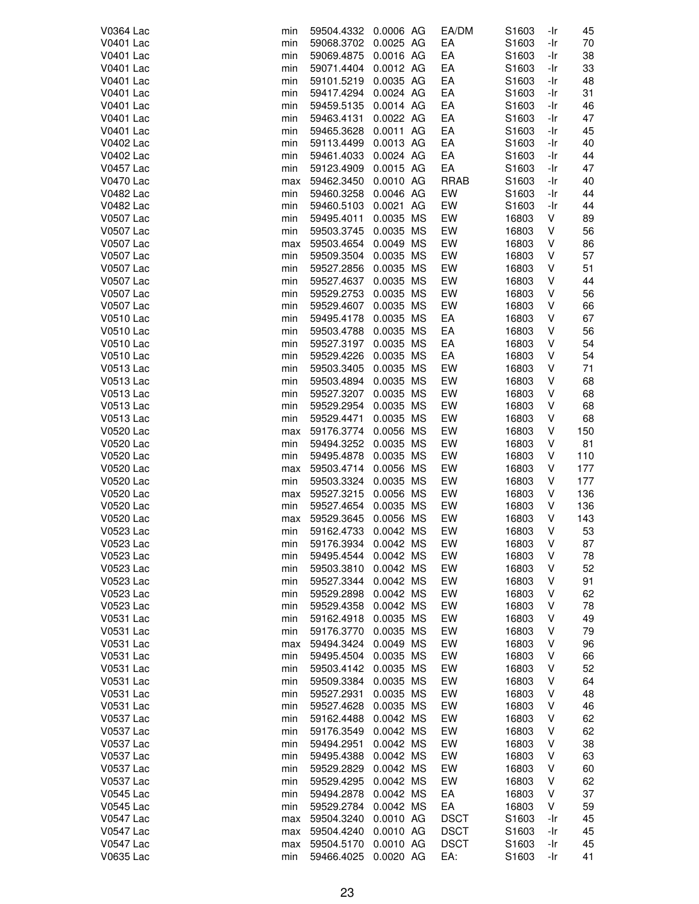| V0364 Lac        | min | 59504.4332 | 0.0006 AG | EA/DM       | S1603             | -Ir | 45  |
|------------------|-----|------------|-----------|-------------|-------------------|-----|-----|
| V0401 Lac        | min | 59068.3702 | 0.0025 AG | EA          | S1603             | -Ir | 70  |
| V0401 Lac        | min | 59069.4875 | 0.0016 AG | EA          | S <sub>1603</sub> | -Ir | 38  |
| V0401 Lac        | min | 59071.4404 | 0.0012 AG | EA          | S1603             | -Ir | 33  |
| V0401 Lac        | min | 59101.5219 | 0.0035 AG | EA          | S1603             | -Ir | 48  |
| V0401 Lac        | min | 59417.4294 | 0.0024 AG | EA          | S1603             | -Ir | 31  |
| <b>V0401 Lac</b> | min | 59459.5135 | 0.0014 AG | EA          | S1603             | -Ir | 46  |
|                  |     |            | 0.0022 AG |             | S <sub>1603</sub> |     | 47  |
| V0401 Lac        | min | 59463.4131 |           | EA          |                   | -Ir |     |
| V0401 Lac        | min | 59465.3628 | 0.0011 AG | EA          | S1603             | -Ir | 45  |
| V0402 Lac        | min | 59113.4499 | 0.0013 AG | EA          | S1603             | -Ir | 40  |
| V0402 Lac        | min | 59461.4033 | 0.0024 AG | EA          | S1603             | -Ir | 44  |
| <b>V0457 Lac</b> | min | 59123.4909 | 0.0015 AG | EA          | S1603             | -Ir | 47  |
| V0470 Lac        | max | 59462.3450 | 0.0010 AG | <b>RRAB</b> | S1603             | -Ir | 40  |
| V0482 Lac        | min | 59460.3258 | 0.0046 AG | EW          | S1603             | -Ir | 44  |
| V0482 Lac        | min | 59460.5103 | 0.0021 AG | EW          | S1603             | -Ir | 44  |
| V0507 Lac        | min | 59495.4011 | 0.0035 MS | EW          | 16803             | ٧   | 89  |
| V0507 Lac        | min | 59503.3745 | 0.0035 MS | EW          | 16803             | ٧   | 56  |
| V0507 Lac        | max | 59503.4654 | 0.0049 MS | EW          | 16803             | V   | 86  |
| <b>V0507 Lac</b> | min | 59509.3504 | 0.0035 MS | EW          | 16803             | ٧   | 57  |
| V0507 Lac        | min | 59527.2856 | 0.0035 MS | EW          | 16803             | ٧   | 51  |
| V0507 Lac        | min | 59527.4637 | 0.0035 MS | EW          | 16803             | ٧   | 44  |
| V0507 Lac        | min | 59529.2753 | 0.0035 MS | EW          | 16803             | V   | 56  |
| <b>V0507 Lac</b> |     | 59529.4607 | 0.0035 MS | EW          |                   | V   | 66  |
|                  | min |            |           |             | 16803             |     |     |
| <b>V0510 Lac</b> | min | 59495.4178 | 0.0035 MS | EA          | 16803             | V   | 67  |
| V0510 Lac        | min | 59503.4788 | 0.0035 MS | EA          | 16803             | ٧   | 56  |
| V0510 Lac        | min | 59527.3197 | 0.0035 MS | EA          | 16803             | ٧   | 54  |
| V0510 Lac        | min | 59529.4226 | 0.0035 MS | EA          | 16803             | ٧   | 54  |
| V0513 Lac        | min | 59503.3405 | 0.0035 MS | EW          | 16803             | V   | 71  |
| V0513 Lac        | min | 59503.4894 | 0.0035 MS | EW          | 16803             | V   | 68  |
| V0513 Lac        | min | 59527.3207 | 0.0035 MS | EW          | 16803             | ٧   | 68  |
| V0513 Lac        | min | 59529.2954 | 0.0035 MS | EW          | 16803             | ٧   | 68  |
| V0513 Lac        | min | 59529.4471 | 0.0035 MS | EW          | 16803             | ٧   | 68  |
| V0520 Lac        | max | 59176.3774 | 0.0056 MS | EW          | 16803             | ٧   | 150 |
| V0520 Lac        | min | 59494.3252 | 0.0035 MS | EW          | 16803             | V   | 81  |
| V0520 Lac        | min | 59495.4878 | 0.0035 MS | EW          | 16803             | V   | 110 |
| V0520 Lac        | max | 59503.4714 | 0.0056 MS | EW          | 16803             | ٧   | 177 |
| V0520 Lac        | min | 59503.3324 | 0.0035 MS | EW          | 16803             | ٧   | 177 |
| V0520 Lac        | max | 59527.3215 | 0.0056 MS | EW          | 16803             | ٧   | 136 |
| V0520 Lac        |     |            | 0.0035 MS | EW          |                   | ٧   |     |
|                  | min | 59527.4654 |           |             | 16803             |     | 136 |
| V0520 Lac        | max | 59529.3645 | 0.0056 MS | EW          | 16803             | ٧   | 143 |
| V0523 Lac        | min | 59162.4733 | 0.0042 MS | EW          | 16803             | V   | 53  |
| V0523 Lac        | min | 59176.3934 | 0.0042 MS | EW          | 16803             | ٧   | 87  |
| V0523 Lac        | min | 59495.4544 | 0.0042 MS | EW          | 16803             | ٧   | 78  |
| V0523 Lac        | min | 59503.3810 | 0.0042 MS | EW          | 16803             | ٧   | 52  |
| V0523 Lac        | min | 59527.3344 | 0.0042 MS | EW          | 16803             | V   | 91  |
| V0523 Lac        | min | 59529.2898 | 0.0042 MS | EW          | 16803             | ٧   | 62  |
| V0523 Lac        | min | 59529.4358 | 0.0042 MS | EW          | 16803             | V   | 78  |
| V0531 Lac        | min | 59162.4918 | 0.0035 MS | EW          | 16803             | ٧   | 49  |
| V0531 Lac        | min | 59176.3770 | 0.0035 MS | EW          | 16803             | ٧   | 79  |
| V0531 Lac        | max | 59494.3424 | 0.0049 MS | EW          | 16803             | ٧   | 96  |
| V0531 Lac        | min | 59495.4504 | 0.0035 MS | EW          | 16803             | V   | 66  |
| V0531 Lac        | min | 59503.4142 | 0.0035 MS | EW          | 16803             | ٧   | 52  |
| V0531 Lac        | min | 59509.3384 | 0.0035 MS | EW          | 16803             | V   | 64  |
| V0531 Lac        | min | 59527.2931 | 0.0035 MS | EW          | 16803             | V   | 48  |
| V0531 Lac        | min | 59527.4628 | 0.0035 MS | EW          | 16803             | ٧   | 46  |
|                  |     |            |           |             |                   |     |     |
| V0537 Lac        | min | 59162.4488 | 0.0042 MS | EW          | 16803             | ٧   | 62  |
| V0537 Lac        | min | 59176.3549 | 0.0042 MS | EW          | 16803             | V   | 62  |
| V0537 Lac        | min | 59494.2951 | 0.0042 MS | EW          | 16803             | V   | 38  |
| V0537 Lac        | min | 59495.4388 | 0.0042 MS | EW          | 16803             | ٧   | 63  |
| V0537 Lac        | min | 59529.2829 | 0.0042 MS | EW          | 16803             | ٧   | 60  |
| V0537 Lac        | min | 59529.4295 | 0.0042 MS | EW          | 16803             | ٧   | 62  |
| V0545 Lac        | min | 59494.2878 | 0.0042 MS | EA          | 16803             | V   | 37  |
| V0545 Lac        | min | 59529.2784 | 0.0042 MS | EA          | 16803             | V   | 59  |
| V0547 Lac        | max | 59504.3240 | 0.0010 AG | <b>DSCT</b> | S1603             | -Ir | 45  |
| V0547 Lac        | max | 59504.4240 | 0.0010 AG | <b>DSCT</b> | S1603             | -Ir | 45  |
| V0547 Lac        | max | 59504.5170 | 0.0010 AG | <b>DSCT</b> | S <sub>1603</sub> | -Ir | 45  |
| V0635 Lac        | min | 59466.4025 | 0.0020 AG | EA:         | S1603             | -Ir | 41  |
|                  |     |            |           |             |                   |     |     |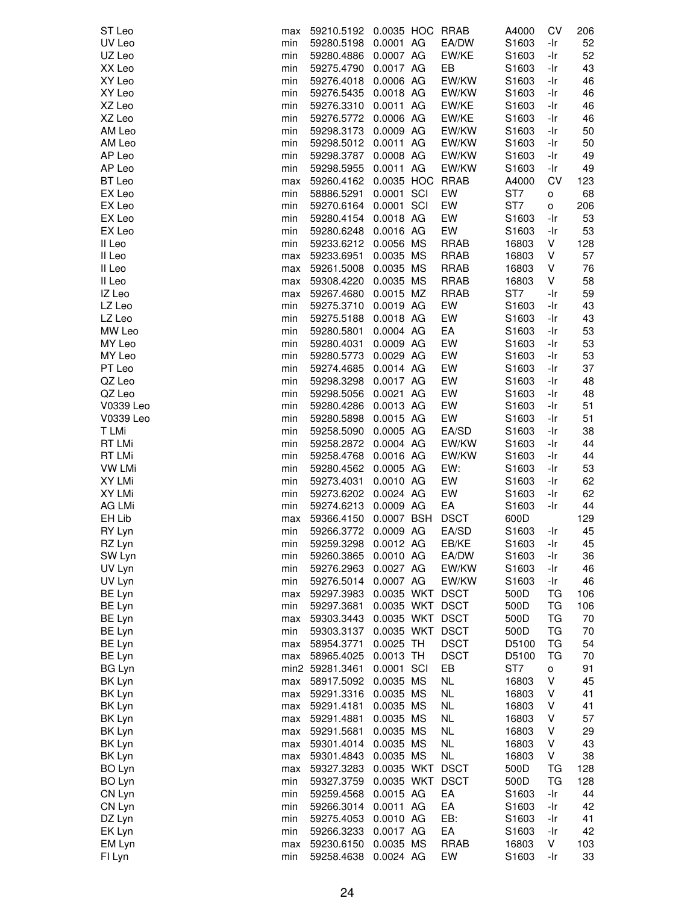| ST Leo        | max | 59210.5192      | 0.0035 HOC RRAB |             | A4000             | CV  | 206 |
|---------------|-----|-----------------|-----------------|-------------|-------------------|-----|-----|
| UV Leo        | min | 59280.5198      | 0.0001 AG       | EA/DW       | S1603             | -Ir | 52  |
| UZ Leo        | min | 59280.4886      | 0.0007 AG       | EW/KE       | S <sub>1603</sub> | -Ir | 52  |
|               |     |                 |                 |             |                   |     |     |
| XX Leo        | min | 59275.4790      | 0.0017 AG       | EB          | S1603             | -Ir | 43  |
| XY Leo        | min | 59276.4018      | 0.0006 AG       | EW/KW       | S1603             | -Ir | 46  |
| XY Leo        | min | 59276.5435      | 0.0018 AG       | EW/KW       | S1603             | -Ir | 46  |
| XZ Leo        | min | 59276.3310      | 0.0011 AG       | EW/KE       | S <sub>1603</sub> | -Ir | 46  |
| XZ Leo        | min | 59276.5772      | 0.0006 AG       | EW/KE       | S1603             | -Ir | 46  |
| AM Leo        | min | 59298.3173      | 0.0009 AG       | EW/KW       | S1603             | -Ir | 50  |
| AM Leo        | min | 59298.5012      | 0.0011 AG       | EW/KW       | S1603             | -Ir | 50  |
| AP Leo        |     |                 | 0.0008 AG       | EW/KW       | S1603             | -Ir | 49  |
|               | min | 59298.3787      |                 |             |                   |     |     |
| AP Leo        | min | 59298.5955      | 0.0011 AG       | EW/KW       | S1603             | -Ir | 49  |
| BT Leo        | max | 59260.4162      | 0.0035 HOC RRAB |             | A4000             | CV  | 123 |
| EX Leo        | min | 58886.5291      | 0.0001 SCI      | EW          | ST7               | O   | 68  |
| EX Leo        | min | 59270.6164      | 0.0001 SCI      | EW          | ST7               | o   | 206 |
| EX Leo        | min | 59280.4154      | 0.0018 AG       | EW          | S1603             | -Ir | 53  |
| EX Leo        | min | 59280.6248      | 0.0016 AG       | EW          | S1603             | -Ir | 53  |
| II Leo        | min | 59233.6212      | 0.0056 MS       | <b>RRAB</b> | 16803             | V   | 128 |
| II Leo        |     |                 | 0.0035 MS       | <b>RRAB</b> |                   | V   | 57  |
|               | max | 59233.6951      |                 |             | 16803             |     |     |
| II Leo        | max | 59261.5008      | 0.0035 MS       | <b>RRAB</b> | 16803             | V   | 76  |
| II Leo        | max | 59308.4220      | 0.0035 MS       | RRAB        | 16803             | V   | 58  |
| IZ Leo        | max | 59267.4680      | 0.0015 MZ       | <b>RRAB</b> | ST7               | -Ir | 59  |
| LZ Leo        | min | 59275.3710      | 0.0019 AG       | EW          | S1603             | -Ir | 43  |
| LZ Leo        | min | 59275.5188      | 0.0018 AG       | EW          | S1603             | -Ir | 43  |
| MW Leo        | min | 59280.5801      | 0.0004 AG       | EA          | S1603             | -Ir | 53  |
| MY Leo        | min | 59280.4031      | 0.0009 AG       | EW          | S1603             | -Ir | 53  |
| MY Leo        |     | 59280.5773      |                 | EW          |                   |     |     |
|               | min |                 | 0.0029 AG       |             | S1603             | -Ir | 53  |
| PT Leo        | min | 59274.4685      | 0.0014 AG       | EW          | S1603             | -Ir | 37  |
| QZ Leo        | min | 59298.3298      | 0.0017 AG       | EW          | S1603             | -Ir | 48  |
| QZ Leo        | min | 59298.5056      | 0.0021 AG       | EW          | S1603             | -Ir | 48  |
| V0339 Leo     | min | 59280.4286      | 0.0013 AG       | EW          | S1603             | -Ir | 51  |
| V0339 Leo     | min | 59280.5898      | 0.0015 AG       | EW          | S1603             | -Ir | 51  |
| T LMi         | min | 59258.5090      | 0.0005 AG       | EA/SD       | S <sub>1603</sub> | -Ir | 38  |
| <b>RT LMi</b> | min | 59258.2872      | 0.0004 AG       | EW/KW       | S1603             | -Ir | 44  |
| <b>RT LMi</b> | min | 59258.4768      | 0.0016 AG       | EW/KW       | S1603             | -Ir | 44  |
|               |     |                 |                 |             |                   |     |     |
| <b>VW LMi</b> | min | 59280.4562      | 0.0005 AG       | EW:         | S1603             | -Ir | 53  |
| XY LMi        | min | 59273.4031      | 0.0010 AG       | EW          | S1603             | -Ir | 62  |
| XY LMi        | min | 59273.6202      | 0.0024 AG       | EW          | S1603             | -Ir | 62  |
| AG LMi        | min | 59274.6213      | 0.0009 AG       | EA          | S1603             | -Ir | 44  |
| EH Lib        | max | 59366.4150      | 0.0007 BSH      | <b>DSCT</b> | 600D              |     | 129 |
| RY Lyn        | min | 59266.3772      | 0.0009 AG       | EA/SD       | S1603             | -Ir | 45  |
| RZ Lyn        | min | 59259.3298      | 0.0012 AG       | EB/KE       | S1603             | -Ir | 45  |
| SW Lyn        | min | 59260.3865      | 0.0010 AG       | EA/DW       | S1603             | -Ir | 36  |
| UV Lyn        | min | 59276.2963      | 0.0027 AG       | EW/KW       | S1603             | -Ir | 46  |
|               |     |                 |                 |             |                   |     |     |
| UV Lyn        | min | 59276.5014      | 0.0007 AG       | EW/KW       | S1603             | -Ir | 46  |
| BE Lyn        | max | 59297.3983      | 0.0035 WKT DSCT |             | 500D              | TG  | 106 |
| BE Lyn        | min | 59297.3681      | 0.0035 WKT DSCT |             | 500D              | TG  | 106 |
| BE Lyn        | max | 59303.3443      | 0.0035 WKT DSCT |             | 500D              | TG  | 70  |
| BE Lyn        | min | 59303.3137      | 0.0035 WKT DSCT |             | 500D              | ТG  | 70  |
| BE Lyn        | max | 58954.3771      | $0.0025$ TH     | <b>DSCT</b> | D5100             | TG  | 54  |
| BE Lyn        | max | 58965.4025      | 0.0013 TH       | <b>DSCT</b> | D5100             | TG  | 70  |
| <b>BG Lyn</b> |     | min2 59281.3461 | 0.0001 SCI      | EB          | ST7               | o   | 91  |
| BK Lyn        |     | 58917.5092      | 0.0035 MS       | <b>NL</b>   | 16803             | V   | 45  |
|               | max |                 |                 |             |                   |     |     |
| BK Lyn        | max | 59291.3316      | 0.0035 MS       | <b>NL</b>   | 16803             | V   | 41  |
| BK Lyn        | max | 59291.4181      | 0.0035 MS       | <b>NL</b>   | 16803             | V   | 41  |
| BK Lyn        | max | 59291.4881      | 0.0035 MS       | <b>NL</b>   | 16803             | V   | 57  |
| BK Lyn        | max | 59291.5681      | 0.0035 MS       | <b>NL</b>   | 16803             | V   | 29  |
| BK Lyn        | max | 59301.4014      | 0.0035 MS       | <b>NL</b>   | 16803             | V   | 43  |
| BK Lyn        | max | 59301.4843      | 0.0035 MS       | <b>NL</b>   | 16803             | V   | 38  |
| BO Lyn        | max | 59327.3283      | 0.0035 WKT DSCT |             | 500D              | ТG  | 128 |
|               | min | 59327.3759      | 0.0035 WKT DSCT |             | 500D              | TG  | 128 |
| BO Lyn        |     |                 |                 |             |                   |     |     |
| CN Lyn        | min | 59259.4568      | 0.0015 AG       | EA          | S1603             | -Ir | 44  |
| CN Lyn        | min | 59266.3014      | 0.0011 AG       | EA          | S1603             | -Ir | 42  |
| DZ Lyn        | min | 59275.4053      | 0.0010 AG       | EB:         | S1603             | -Ir | 41  |
| EK Lyn        | min | 59266.3233      | 0.0017 AG       | EA          | S1603             | -Ir | 42  |
| EM Lyn        | max | 59230.6150      | 0.0035 MS       | <b>RRAB</b> | 16803             | V   | 103 |
| FI Lyn        | min | 59258.4638      | 0.0024 AG       | EW          | S1603             | -Ir | 33  |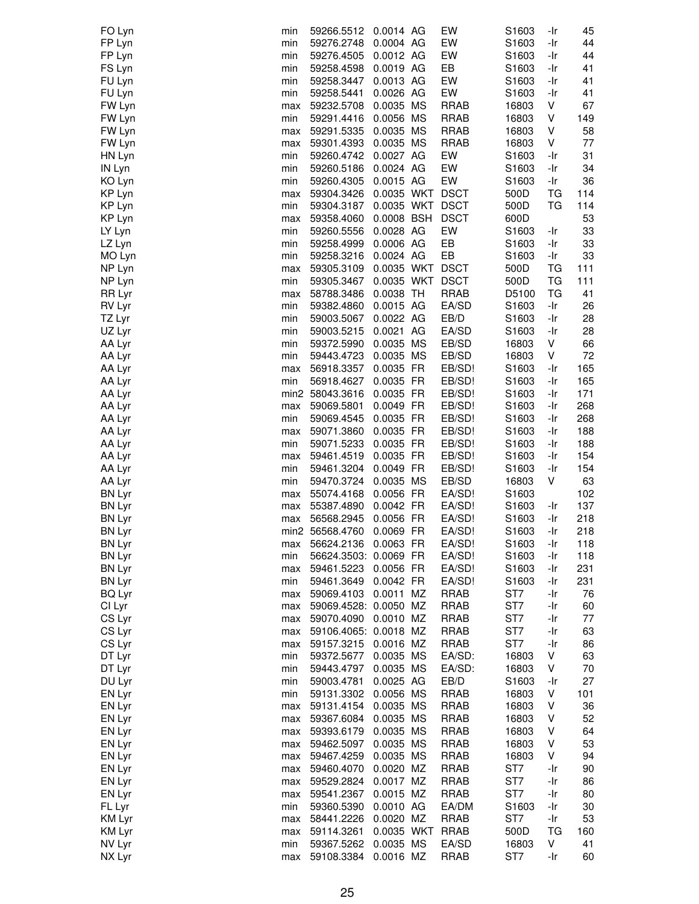| FO Lyn        | min | 59266.5512            | 0.0014 AG       | EW          | S1603             | -Ir       | 45  |
|---------------|-----|-----------------------|-----------------|-------------|-------------------|-----------|-----|
| FP Lyn        | min | 59276.2748            | 0.0004 AG       | EW          | S1603             | -Ir       | 44  |
| FP Lyn        | min | 59276.4505            | 0.0012 AG       | EW          | S <sub>1603</sub> | -Ir       | 44  |
| FS Lyn        | min | 59258.4598            | 0.0019 AG       | EB          | S1603             | -Ir       | 41  |
| FU Lyn        | min | 59258.3447            | 0.0013 AG       | EW          | S1603             | -Ir       | 41  |
| FU Lyn        | min | 59258.5441            | 0.0026 AG       | EW          | S1603             | -Ir       | 41  |
| FW Lyn        | max | 59232.5708            | 0.0035 MS       | <b>RRAB</b> | 16803             | V         | 67  |
| FW Lyn        | min | 59291.4416            | 0.0056 MS       | <b>RRAB</b> | 16803             | V         | 149 |
| FW Lyn        | max | 59291.5335            | 0.0035 MS       | <b>RRAB</b> | 16803             | V         | 58  |
| FW Lyn        | max | 59301.4393            | 0.0035 MS       | RRAB        | 16803             | V         | 77  |
| HN Lyn        | min | 59260.4742            | 0.0027 AG       | EW          | S1603             | -Ir       | 31  |
| IN Lyn        | min | 59260.5186            | 0.0024 AG       | EW          | S1603             | -Ir       | 34  |
| KO Lyn        | min | 59260.4305 0.0015 AG  |                 | EW          | S1603             | -Ir       | 36  |
| KP Lyn        | max | 59304.3426            | 0.0035 WKT DSCT |             | 500D              | ТG        | 114 |
| KP Lyn        | min | 59304.3187            | 0.0035 WKT DSCT |             | 500D              | TG        | 114 |
| KP Lyn        | max | 59358.4060            | 0.0008 BSH      | <b>DSCT</b> | 600D              |           | 53  |
| LY Lyn        | min | 59260.5556            | 0.0028 AG       | EW          | S1603             | -Ir       | 33  |
| LZ Lyn        | min | 59258.4999            | 0.0006 AG       | EB          | S1603             | -Ir       | 33  |
| MO Lyn        | min | 59258.3216 0.0024 AG  |                 | EB          | S1603             | -Ir       | 33  |
| NP Lyn        | max | 59305.3109            | 0.0035 WKT DSCT |             | 500D              | ТG        | 111 |
| NP Lyn        | min | 59305.3467            | 0.0035 WKT DSCT |             | 500D              | TG        | 111 |
| RR Lyr        | max | 58788.3486            | 0.0038 TH       | <b>RRAB</b> | D5100             | <b>TG</b> | 41  |
| RV Lyr        | min | 59382.4860            | 0.0015 AG       | EA/SD       | S1603             | -Ir       | 26  |
| TZ Lyr        | min | 59003.5067 0.0022 AG  |                 | EB/D        | S1603             | -Ir       | 28  |
| UZ Lyr        | min | 59003.5215            | 0.0021 AG       | EA/SD       | S1603             | -Ir       | 28  |
| AA Lyr        | min | 59372.5990            | 0.0035 MS       | EB/SD       | 16803             | V         | 66  |
| AA Lyr        | min | 59443.4723            | 0.0035 MS       | EB/SD       | 16803             | V         | 72  |
| AA Lyr        | max | 56918.3357            | 0.0035 FR       | EB/SD!      | S1603             | -Ir       | 165 |
| AA Lyr        | min | 56918.4627            | 0.0035 FR       | EB/SD!      | S1603             | -Ir       | 165 |
| AA Lyr        |     | min2 58043.3616       | 0.0035 FR       | EB/SD!      | S1603             | -Ir       | 171 |
| AA Lyr        | max | 59069.5801            | 0.0049 FR       | EB/SD!      | S1603             | -Ir       | 268 |
| AA Lyr        | min | 59069.4545            | 0.0035 FR       | EB/SD!      | S1603             | -Ir       | 268 |
| AA Lyr        | max | 59071.3860            | 0.0035 FR       | EB/SD!      | S1603             | -Ir       | 188 |
| AA Lyr        | min | 59071.5233            | 0.0035 FR       | EB/SD!      | S1603             | -Ir       | 188 |
| AA Lyr        | max | 59461.4519            | 0.0035 FR       | EB/SD!      | S1603             | -Ir       | 154 |
| AA Lyr        | min | 59461.3204            | 0.0049 FR       | EB/SD!      | S1603             | -Ir       | 154 |
| AA Lyr        | min | 59470.3724            | 0.0035 MS       | EB/SD       | 16803             | V         | 63  |
| <b>BN Lyr</b> | max | 55074.4168            | 0.0056 FR       | EA/SD!      | S1603             |           | 102 |
| BN Lyr        | max | 55387.4890            | 0.0042 FR       | EA/SD!      | S <sub>1603</sub> | -Ir       | 137 |
| <b>BN Lyr</b> | max | 56568.2945            | 0.0056 FR       | EA/SD!      | S1603             | -Ir       | 218 |
| <b>BN Lyr</b> |     | min2 56568.4760       | 0.0069 FR       | EA/SD!      | S1603             | -Ir       | 218 |
| <b>BN Lyr</b> | max | 56624.2136 0.0063 FR  |                 | EA/SD!      | S1603             | -Ir       | 118 |
| <b>BN Lyr</b> | min | 56624.3503: 0.0069 FR |                 | EA/SD!      | S1603             | -Ir       | 118 |
| <b>BN Lyr</b> | max | 59461.5223 0.0056 FR  |                 | EA/SD!      | S1603             | -Ir       | 231 |
| BN Lyr        | min | 59461.3649 0.0042 FR  |                 | EA/SD!      | S1603             | -Ir       | 231 |
| <b>BQ Lyr</b> | max | 59069.4103  0.0011 MZ |                 | <b>RRAB</b> | ST7               | -Ir       | 76  |
| CI Lyr        | max | 59069.4528: 0.0050 MZ |                 | <b>RRAB</b> | ST7               | -Ir       | 60  |
| CS Lyr        | max | 59070.4090            | 0.0010 MZ       | <b>RRAB</b> | ST7               | -Ir       | 77  |
| CS Lyr        | max | 59106.4065: 0.0018 MZ |                 | <b>RRAB</b> | ST7               | -Ir       | 63  |
| CS Lyr        | max | 59157.3215            | 0.0016 MZ       | RRAB        | ST7               | -Ir       | 86  |
| DT Lyr        | min | 59372.5677            | 0.0035 MS       | EA/SD:      | 16803             | V         | 63  |
| DT Lyr        | min | 59443.4797            | 0.0035 MS       | EA/SD:      | 16803             | V         | 70  |
| DU Lyr        | min | 59003.4781            | 0.0025 AG       | EB/D        | S1603             | -Ir       | 27  |
| EN Lyr        | min | 59131.3302            | 0.0056 MS       | <b>RRAB</b> | 16803             | V         | 101 |
| EN Lyr        | max | 59131.4154            | 0.0035 MS       | <b>RRAB</b> | 16803             | V         | 36  |
| EN Lyr        | max | 59367.6084            | 0.0035 MS       | RRAB        | 16803             | V         | 52  |
| EN Lyr        | max | 59393.6179            | 0.0035 MS       | <b>RRAB</b> | 16803             | V         | 64  |
| EN Lyr        | max | 59462.5097            | 0.0035 MS       | RRAB        | 16803             | V         | 53  |
| EN Lyr        | max | 59467.4259            | 0.0035 MS       | RRAB        | 16803             | V         | 94  |
| EN Lyr        | max | 59460.4070            | 0.0020 MZ       | <b>RRAB</b> | ST7               | -Ir       | 90  |
| EN Lyr        | max | 59529.2824            | 0.0017 MZ       | <b>RRAB</b> | ST7               | -Ir       | 86  |
| EN Lyr        | max | 59541.2367            | 0.0015 MZ       | RRAB        | ST7               | -Ir       | 80  |
| FL Lyr        | min | 59360.5390            | 0.0010 AG       | EA/DM       | S1603             | -Ir       | 30  |
| KM Lyr        | max | 58441.2226            | 0.0020 MZ       | <b>RRAB</b> | ST7               | -Ir       | 53  |
| KM Lyr        | max | 59114.3261            | 0.0035 WKT RRAB |             | 500D              | TG        | 160 |
| NV Lyr        | min | 59367.5262            | 0.0035 MS       | EA/SD       | 16803             | V         | 41  |
| NX Lyr        | max | 59108.3384            | 0.0016 MZ       | <b>RRAB</b> | ST7               | -Ir       | 60  |
|               |     |                       |                 |             |                   |           |     |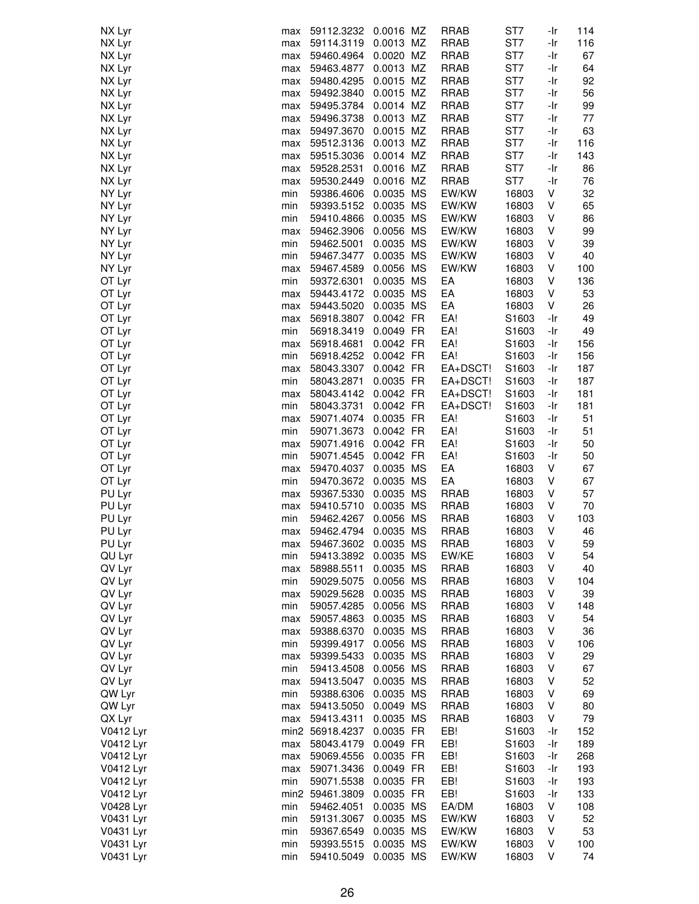| NX Lyr    | max | 59112.3232           | 0.0016 MZ | <b>RRAB</b> | ST7   | -Ir    | 114 |
|-----------|-----|----------------------|-----------|-------------|-------|--------|-----|
| NX Lyr    | max | 59114.3119           | 0.0013 MZ | <b>RRAB</b> | ST7   | -Ir    | 116 |
| NX Lyr    | max | 59460.4964           | 0.0020 MZ | <b>RRAB</b> | ST7   | -Ir    | 67  |
| NX Lyr    | max | 59463.4877           | 0.0013 MZ | RRAB        | ST7   | -Ir    | 64  |
| NX Lyr    | max | 59480.4295           | 0.0015 MZ | RRAB        | ST7   | -Ir    | 92  |
| NX Lyr    |     | 59492.3840           | 0.0015 MZ | <b>RRAB</b> | ST7   | -Ir    | 56  |
|           | max | 59495.3784           | 0.0014 MZ | <b>RRAB</b> | ST7   | -Ir    | 99  |
| NX Lyr    | max |                      |           |             |       |        |     |
| NX Lyr    | max | 59496.3738           | 0.0013 MZ | RRAB        | ST7   | -Ir    | 77  |
| NX Lyr    | max | 59497.3670           | 0.0015 MZ | <b>RRAB</b> | ST7   | -Ir    | 63  |
| NX Lyr    | max | 59512.3136           | 0.0013 MZ | <b>RRAB</b> | ST7   | -Ir    | 116 |
| NX Lyr    | max | 59515.3036           | 0.0014 MZ | RRAB        | ST7   | -Ir    | 143 |
| NX Lyr    | max | 59528.2531           | 0.0016 MZ | <b>RRAB</b> | ST7   | -Ir    | 86  |
| NX Lyr    | max | 59530.2449           | 0.0016 MZ | <b>RRAB</b> | ST7   | -Ir    | 76  |
| NY Lyr    | min | 59386.4606           | 0.0035 MS | EW/KW       | 16803 | V      | 32  |
| NY Lyr    | min | 59393.5152           | 0.0035 MS | EW/KW       | 16803 | V      | 65  |
| NY Lyr    | min | 59410.4866           | 0.0035 MS | EW/KW       | 16803 | ٧      | 86  |
| NY Lyr    | max | 59462.3906           | 0.0056 MS | EW/KW       | 16803 | ٧      | 99  |
| NY Lyr    | min | 59462.5001           | 0.0035 MS | EW/KW       | 16803 | ٧      | 39  |
| NY Lyr    | min | 59467.3477           | 0.0035 MS | EW/KW       | 16803 | V      | 40  |
| NY Lyr    | max | 59467.4589           | 0.0056 MS | EW/KW       | 16803 | V      | 100 |
| OT Lyr    | min | 59372.6301           | 0.0035 MS | EA          | 16803 | V      | 136 |
| OT Lyr    | max | 59443.4172           | 0.0035 MS | EA          | 16803 | ٧      | 53  |
| OT Lyr    |     | 59443.5020           | 0.0035 MS | EA          | 16803 | V      | 26  |
|           | max |                      |           |             |       |        |     |
| OT Lyr    | max | 56918.3807           | 0.0042 FR | EA!         | S1603 | -Ir    | 49  |
| OT Lyr    | min | 56918.3419           | 0.0049 FR | EA!         | S1603 | -Ir    | 49  |
| OT Lyr    | max | 56918.4681           | 0.0042 FR | EA!         | S1603 | -Ir    | 156 |
| OT Lyr    | min | 56918.4252           | 0.0042 FR | EA!         | S1603 | -Ir    | 156 |
| OT Lyr    | max | 58043.3307           | 0.0042 FR | EA+DSCT!    | S1603 | -Ir    | 187 |
| OT Lyr    | min | 58043.2871           | 0.0035 FR | EA+DSCT!    | S1603 | -Ir    | 187 |
| OT Lyr    | max | 58043.4142           | 0.0042 FR | EA+DSCT!    | S1603 | -Ir    | 181 |
| OT Lyr    | min | 58043.3731           | 0.0042 FR | EA+DSCT!    | S1603 | -Ir    | 181 |
| OT Lyr    | max | 59071.4074           | 0.0035 FR | EA!         | S1603 | -Ir    | 51  |
| OT Lyr    | min | 59071.3673           | 0.0042 FR | EA!         | S1603 | -Ir    | 51  |
| OT Lyr    | max | 59071.4916           | 0.0042 FR | EA!         | S1603 | -Ir    | 50  |
| OT Lyr    | min | 59071.4545           | 0.0042 FR | EA!         | S1603 | -Ir    | 50  |
| OT Lyr    | max | 59470.4037           | 0.0035 MS | EA          | 16803 | V      | 67  |
| OT Lyr    | min | 59470.3672 0.0035 MS |           | EA          | 16803 | V      | 67  |
| PU Lyr    | max | 59367.5330           | 0.0035 MS | <b>RRAB</b> | 16803 | V      | 57  |
| PU Lyr    | max | 59410.5710           | 0.0035 MS | <b>RRAB</b> | 16803 | ٧      | 70  |
| PU Lyr    | min | 59462.4267           | 0.0056 MS | <b>RRAB</b> | 16803 | V      | 103 |
| PU Lyr    | max | 59462.4794           | 0.0035 MS | <b>RRAB</b> | 16803 | $\vee$ | 46  |
| PU Lyr    | max | 59467.3602           | 0.0035 MS | <b>RRAB</b> | 16803 | V      | 59  |
| QU Lyr    | min | 59413.3892           | 0.0035 MS | EW/KE       | 16803 | V      | 54  |
| QV Lyr    |     | 58988.5511           | 0.0035 MS | <b>RRAB</b> | 16803 | V      | 40  |
|           | max |                      |           |             |       | V      |     |
| QV Lyr    | min | 59029.5075           | 0.0056 MS | RRAB        | 16803 |        | 104 |
| QV Lyr    | max | 59029.5628           | 0.0035 MS | <b>RRAB</b> | 16803 | ٧      | 39  |
| QV Lyr    | min | 59057.4285           | 0.0056 MS | <b>RRAB</b> | 16803 | ٧      | 148 |
| QV Lyr    | max | 59057.4863           | 0.0035 MS | RRAB        | 16803 | V      | 54  |
| QV Lyr    | max | 59388.6370           | 0.0035 MS | RRAB        | 16803 | V      | 36  |
| QV Lyr    | min | 59399.4917           | 0.0056 MS | RRAB        | 16803 | V      | 106 |
| QV Lyr    | max | 59399.5433           | 0.0035 MS | <b>RRAB</b> | 16803 | V      | 29  |
| QV Lyr    | min | 59413.4508           | 0.0056 MS | <b>RRAB</b> | 16803 | V      | 67  |
| QV Lyr    | max | 59413.5047           | 0.0035 MS | <b>RRAB</b> | 16803 | V      | 52  |
| QW Lyr    | min | 59388.6306           | 0.0035 MS | <b>RRAB</b> | 16803 | V      | 69  |
| QW Lyr    | max | 59413.5050           | 0.0049 MS | <b>RRAB</b> | 16803 | V      | 80  |
| QX Lyr    | max | 59413.4311           | 0.0035 MS | <b>RRAB</b> | 16803 | V      | 79  |
| V0412 Lyr |     | min2 56918.4237      | 0.0035 FR | EB!         | S1603 | -Ir    | 152 |
| V0412 Lyr | max | 58043.4179           | 0.0049 FR | EB!         | S1603 | -Ir    | 189 |
| V0412 Lyr | max | 59069.4556           | 0.0035 FR | EB!         | S1603 | -Ir    | 268 |
| V0412 Lyr | max | 59071.3436           | 0.0049 FR | EB!         | S1603 | -Ir    | 193 |
| V0412 Lyr | min | 59071.5538           | 0.0035 FR | EB!         | S1603 | -Ir    | 193 |
| V0412 Lyr |     | min2 59461.3809      | 0.0035 FR | EB!         | S1603 | -Ir    | 133 |
| V0428 Lyr | min | 59462.4051           | 0.0035 MS | EA/DM       | 16803 | V      | 108 |
| V0431 Lyr | min | 59131.3067           | 0.0035 MS | EW/KW       | 16803 | V      | 52  |
| V0431 Lyr | min | 59367.6549           | 0.0035 MS | EW/KW       | 16803 | ٧      | 53  |
| V0431 Lyr |     |                      | 0.0035 MS |             |       | V      | 100 |
|           | min | 59393.5515           |           | EW/KW       | 16803 |        |     |
| V0431 Lyr | min | 59410.5049           | 0.0035 MS | EW/KW       | 16803 | V      | 74  |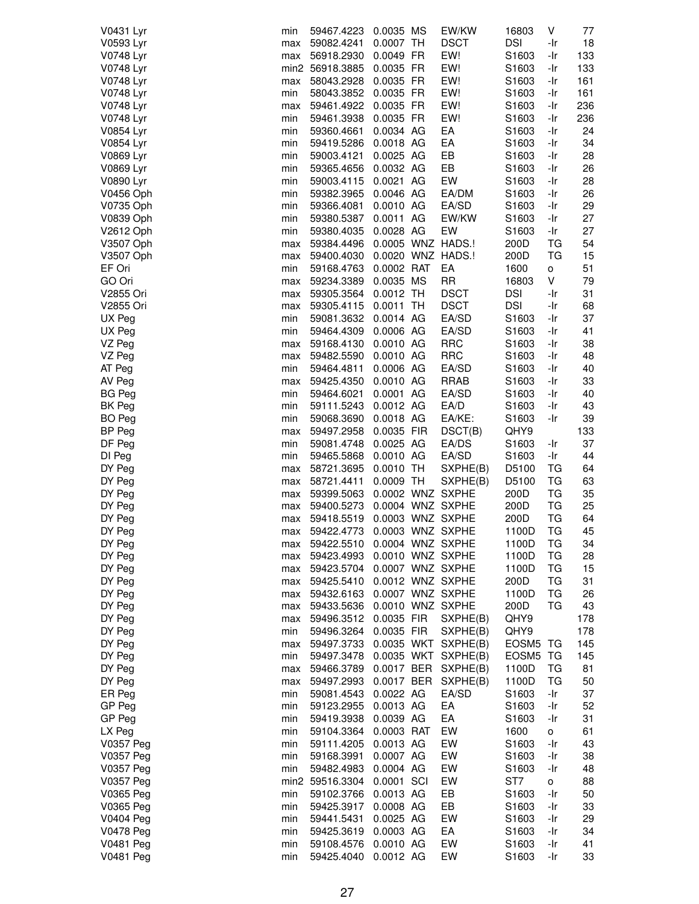| V0431 Lyr        | min | 59467.4223                        | 0.0035 MS   | EW/KW               | 16803             | V   | 77  |
|------------------|-----|-----------------------------------|-------------|---------------------|-------------------|-----|-----|
| V0593 Lyr        | max | 59082.4241                        | 0.0007 TH   | <b>DSCT</b>         | <b>DSI</b>        | -Ir | 18  |
| V0748 Lyr        | max | 56918.2930                        | 0.0049 FR   | EW!                 | S1603             | -Ir | 133 |
|                  |     |                                   |             |                     |                   |     |     |
| V0748 Lyr        |     | min2 56918.3885                   | 0.0035 FR   | EW!                 | S1603             | -Ir | 133 |
| V0748 Lyr        | max | 58043.2928                        | 0.0035 FR   | EW!                 | S <sub>1603</sub> | -Ir | 161 |
| V0748 Lyr        | min | 58043.3852                        | 0.0035 FR   | EW!                 | S1603             | -Ir | 161 |
| V0748 Lyr        | max | 59461.4922 0.0035 FR              |             | EW!                 | S1603             | -Ir | 236 |
| V0748 Lyr        | min | 59461.3938                        | 0.0035 FR   | EW!                 | S1603             | -Ir | 236 |
| V0854 Lyr        | min | 59360.4661                        | 0.0034 AG   | EA                  | S <sub>1603</sub> | -Ir | 24  |
| V0854 Lyr        | min | 59419.5286                        | 0.0018 AG   | EA                  | S1603             | -Ir | 34  |
|                  |     |                                   | 0.0025 AG   |                     |                   |     |     |
| V0869 Lyr        | min | 59003.4121                        |             | EB                  | S1603             | -Ir | 28  |
| V0869 Lyr        | min | 59365.4656                        | 0.0032 AG   | EB                  | S1603             | -Ir | 26  |
| V0890 Lyr        | min | 59003.4115 0.0021 AG              |             | EW                  | S1603             | -Ir | 28  |
| V0456 Oph        | min | 59382.3965                        | 0.0046 AG   | EA/DM               | S1603             | -Ir | 26  |
| V0735 Oph        | min | 59366.4081                        | 0.0010 AG   | EA/SD               | S1603             | -Ir | 29  |
| V0839 Oph        | min | 59380.5387                        | 0.0011 AG   | EW/KW               | S1603             | -Ir | 27  |
| V2612 Oph        | min | 59380.4035                        | 0.0028 AG   | EW                  | S1603             | -Ir | 27  |
| V3507 Oph        | max | 59384.4496                        |             | 0.0005 WNZ HADS.!   | 200D              | TG  | 54  |
| V3507 Oph        | max | 59400.4030  0.0020  WNZ  HADS.!   |             |                     | 200D              | TG  | 15  |
| EF Ori           |     |                                   | 0.0002 RAT  | EA                  |                   |     | 51  |
|                  | min | 59168.4763                        |             |                     | 1600              | о   |     |
| GO Ori           | max | 59234.3389                        | 0.0035 MS   | <b>RR</b>           | 16803             | V   | 79  |
| V2855 Ori        | max | 59305.3564                        | $0.0012$ TH | <b>DSCT</b>         | <b>DSI</b>        | -Ir | 31  |
| V2855 Ori        | max | 59305.4115                        | 0.0011 TH   | <b>DSCT</b>         | <b>DSI</b>        | -Ir | 68  |
| UX Peg           | min | 59081.3632 0.0014 AG              |             | EA/SD               | S1603             | -Ir | 37  |
| UX Peg           | min | 59464.4309                        | 0.0006 AG   | EA/SD               | S1603             | -Ir | 41  |
| VZ Peg           | max | 59168.4130                        | 0.0010 AG   | <b>RRC</b>          | S1603             | -Ir | 38  |
| VZ Peg           | max | 59482.5590                        | 0.0010 AG   | <b>RRC</b>          | S1603             | -Ir | 48  |
| AT Peg           | min | 59464.4811                        | 0.0006 AG   | EA/SD               | S1603             | -Ir | 40  |
| AV Peg           |     | 59425.4350                        | 0.0010 AG   | RRAB                | S1603             | -Ir | 33  |
|                  | max |                                   |             |                     |                   |     |     |
| <b>BG Peg</b>    | min | 59464.6021                        | 0.0001 AG   | EA/SD               | S1603             | -Ir | 40  |
| BK Peg           | min | 59111.5243                        | 0.0012 AG   | EA/D                | S <sub>1603</sub> | -Ir | 43  |
| BO Peg           | min | 59068.3690                        | 0.0018 AG   | EA/KE:              | S1603             | -Ir | 39  |
| BP Peg           | max | 59497.2958                        | 0.0035 FIR  | DSCT(B)             | QHY9              |     | 133 |
| DF Peg           | min | 59081.4748                        | 0.0025 AG   | EA/DS               | S <sub>1603</sub> | -Ir | 37  |
| DI Peg           | min | 59465.5868                        | 0.0010 AG   | EA/SD               | S1603             | -Ir | 44  |
| DY Peg           | max | 58721.3695                        | $0.0010$ TH | SXPHE(B)            | D5100             | ТG  | 64  |
| DY Peg           | max | 58721.4411                        | 0.0009 TH   | SXPHE(B)            | D5100             | TG  | 63  |
| DY Peg           | max | 59399.5063                        |             | 0.0002 WNZ SXPHE    | 200D              | TG  | 35  |
| DY Peg           |     | 59400.5273                        |             | 0.0004 WNZ SXPHE    |                   | TG  |     |
|                  | max |                                   |             |                     | 200D              |     | 25  |
| DY Peg           | max | 59418.5519                        |             | 0.0003 WNZ SXPHE    | 200D              | TG  | 64  |
| DY Peg           | max | 59422.4773                        |             | 0.0003 WNZ SXPHE    | 1100D             | ТG  | 45  |
| DY Peg           | max | 59422.5510                        |             | 0.0004 WNZ SXPHE    | 1100D             | ТG  | 34  |
| DY Peg           | max | 59423.4993                        |             | 0.0010 WNZ SXPHE    | 1100D             | ТG  | 28  |
| DY Peg           | max | 59423.5704                        |             | 0.0007 WNZ SXPHE    | 1100D             | ТG  | 15  |
| DY Peg           | max | 59425.5410                        |             | 0.0012 WNZ SXPHE    | 200D              | TG  | 31  |
| DY Peg           | max | 59432.6163                        |             | 0.0007 WNZ SXPHE    | 1100D             | TG  | 26  |
| DY Peg           | max | 59433.5636  0.0010 WNZ SXPHE      |             |                     | 200D              | ТG  | 43  |
| DY Peg           | max | 59496.3512 0.0035 FIR             |             | SXPHE(B)            | QHY9              |     | 178 |
| DY Peg           | min | 59496.3264                        | 0.0035 FIR  | SXPHE(B)            | QHY9              |     | 178 |
|                  |     |                                   |             |                     |                   |     |     |
| DY Peg           | max | 59497.3733                        |             | 0.0035 WKT SXPHE(B) | EOSM5 TG          |     | 145 |
| DY Peg           | min | 59497.3478                        |             | 0.0035 WKT SXPHE(B) | EOSM5 TG          |     | 145 |
| DY Peg           | max | 59466.3789                        |             | 0.0017 BER SXPHE(B) | 1100D             | ТG  | 81  |
| DY Peg           | max | 59497.2993  0.0017  BER  SXPHE(B) |             |                     | 1100D             | TG  | 50  |
| ER Peg           | min | 59081.4543                        | 0.0022 AG   | EA/SD               | S1603             | -Ir | 37  |
| GP Peg           | min | 59123.2955                        | 0.0013 AG   | EA                  | S1603             | -Ir | 52  |
| GP Peg           | min | 59419.3938                        | 0.0039 AG   | EA                  | S1603             | -Ir | 31  |
| LX Peg           | min | 59104.3364                        | 0.0003 RAT  | EW                  | 1600              | о   | 61  |
| V0357 Peg        | min | 59111.4205                        | 0.0013 AG   | EW                  | S1603             | -Ir | 43  |
| <b>V0357 Peg</b> |     |                                   |             | EW                  |                   |     | 38  |
|                  | min | 59168.3991                        | 0.0007 AG   |                     | S <sub>1603</sub> | -Ir |     |
| V0357 Peg        | min | 59482.4983                        | 0.0004 AG   | EW                  | S1603             | -Ir | 48  |
| V0357 Peg        |     | min2 59516.3304                   | 0.0001 SCI  | EW                  | ST7               | о   | 88  |
| V0365 Peg        | min | 59102.3766                        | 0.0013 AG   | EB                  | S1603             | -Ir | 50  |
| V0365 Peg        | min | 59425.3917                        | 0.0008 AG   | EB                  | S1603             | -Ir | 33  |
| <b>V0404 Peg</b> | min | 59441.5431                        | 0.0025 AG   | EW                  | S1603             | -Ir | 29  |
| <b>V0478 Peg</b> | min | 59425.3619                        | 0.0003 AG   | EA                  | S1603             | -Ir | 34  |
| <b>V0481 Peg</b> | min | 59108.4576                        | 0.0010 AG   | EW                  | S1603             | -Ir | 41  |
| <b>V0481 Peg</b> | min | 59425.4040                        | 0.0012 AG   | EW                  | S1603             | -Ir | 33  |
|                  |     |                                   |             |                     |                   |     |     |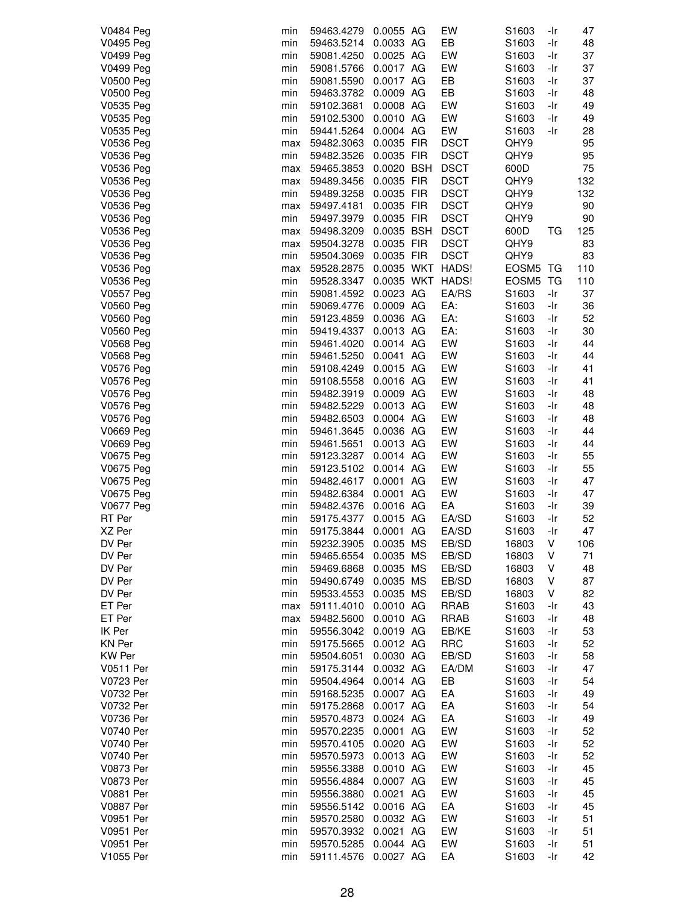| <b>V0484 Peg</b> | min | 59463.4279 | 0.0055 AG  | EW               | S1603             | -Ir | 47  |
|------------------|-----|------------|------------|------------------|-------------------|-----|-----|
| V0495 Peg        | min | 59463.5214 | 0.0033 AG  | EB               | S1603             | -Ir | 48  |
| V0499 Peg        | min | 59081.4250 | 0.0025 AG  | EW               | S1603             | -Ir | 37  |
| <b>V0499 Peg</b> | min | 59081.5766 | 0.0017 AG  | EW               | S1603             | -Ir | 37  |
| <b>V0500 Peg</b> | min | 59081.5590 | 0.0017 AG  | EB               | S <sub>1603</sub> | -Ir | 37  |
| <b>V0500 Peg</b> | min | 59463.3782 | 0.0009 AG  | EB               | S1603             | -Ir | 48  |
| V0535 Peg        | min | 59102.3681 | 0.0008 AG  | EW               | S1603             | -Ir | 49  |
| V0535 Peg        | min | 59102.5300 | 0.0010 AG  | EW               | S1603             | -Ir | 49  |
| V0535 Peg        | min | 59441.5264 | 0.0004 AG  | EW               | S1603             | -Ir | 28  |
| V0536 Peg        | max | 59482.3063 | 0.0035 FIR | <b>DSCT</b>      | QHY9              |     | 95  |
| V0536 Peg        | min | 59482.3526 | 0.0035 FIR | <b>DSCT</b>      | QHY9              |     | 95  |
| V0536 Peg        | max | 59465.3853 | 0.0020 BSH | <b>DSCT</b>      | 600D              |     | 75  |
| V0536 Peg        | max | 59489.3456 | 0.0035 FIR | <b>DSCT</b>      | QHY9              |     | 132 |
| V0536 Peg        | min | 59489.3258 | 0.0035 FIR | <b>DSCT</b>      | QHY9              |     | 132 |
| V0536 Peg        | max | 59497.4181 | 0.0035 FIR | <b>DSCT</b>      | QHY9              |     | 90  |
| V0536 Peg        | min | 59497.3979 | 0.0035 FIR | <b>DSCT</b>      | QHY9              |     | 90  |
| V0536 Peg        | max | 59498.3209 | 0.0035 BSH | <b>DSCT</b>      | 600D              | ТG  | 125 |
| V0536 Peg        | max | 59504.3278 | 0.0035 FIR | <b>DSCT</b>      | QHY9              |     | 83  |
| V0536 Peg        | min | 59504.3069 | 0.0035 FIR | <b>DSCT</b>      | QHY9              |     | 83  |
| V0536 Peg        | max | 59528.2875 |            | 0.0035 WKT HADS! | <b>EOSM5 TG</b>   |     | 110 |
| V0536 Peg        | min | 59528.3347 |            | 0.0035 WKT HADS! | EOSM5 TG          |     | 110 |
| <b>V0557 Peg</b> | min | 59081.4592 | 0.0023 AG  | EA/RS            | S <sub>1603</sub> | -Ir | 37  |
| V0560 Peg        | min | 59069.4776 | 0.0009 AG  | EA:              | S1603             | -Ir | 36  |
| <b>V0560 Peg</b> | min | 59123.4859 | 0.0036 AG  | EA:              | S1603             | -Ir | 52  |
| V0560 Peg        |     |            | 0.0013 AG  | EA:              |                   | -Ir | 30  |
|                  | min | 59419.4337 |            |                  | S1603             |     |     |
| V0568 Peg        | min | 59461.4020 | 0.0014 AG  | EW               | S1603             | -Ir | 44  |
| <b>V0568 Peg</b> | min | 59461.5250 | 0.0041 AG  | EW               | S1603             | -Ir | 44  |
| V0576 Peg        | min | 59108.4249 | 0.0015 AG  | EW               | S1603             | -Ir | 41  |
| V0576 Peg        | min | 59108.5558 | 0.0016 AG  | EW               | S1603             | -Ir | 41  |
| V0576 Peg        | min | 59482.3919 | 0.0009 AG  | EW               | S1603             | -Ir | 48  |
| <b>V0576 Peg</b> | min | 59482.5229 | 0.0013 AG  | EW               | S1603             | -Ir | 48  |
| V0576 Peg        | min | 59482.6503 | 0.0004 AG  | EW               | S1603             | -Ir | 48  |
| <b>V0669 Peg</b> | min | 59461.3645 | 0.0036 AG  | EW               | S1603             | -Ir | 44  |
| <b>V0669 Peg</b> | min | 59461.5651 | 0.0013 AG  | EW               | S1603             | -Ir | 44  |
| V0675 Peg        | min | 59123.3287 | 0.0014 AG  | EW               | S1603             | -Ir | 55  |
| V0675 Peg        | min | 59123.5102 | 0.0014 AG  | EW               | S1603             | -Ir | 55  |
| V0675 Peg        | min | 59482.4617 | 0.0001 AG  | EW               | S1603             | -Ir | 47  |
| V0675 Peg        | min | 59482.6384 | 0.0001 AG  | EW               | S1603             | -Ir | 47  |
| V0677 Peg        | min | 59482.4376 | 0.0016 AG  | EA               | S1603             | -Ir | 39  |
| RT Per           | min | 59175.4377 | 0.0015 AG  | EA/SD            | S1603             | -Ir | 52  |
| XZ Per           | min | 59175.3844 | 0.0001 AG  | EA/SD            | S1603             | -Ir | 47  |
| DV Per           | min | 59232.3905 | 0.0035 MS  | EB/SD            | 16803             | V   | 106 |
| DV Per           | min | 59465.6554 | 0.0035 MS  | EB/SD            | 16803             | V   | 71  |
| DV Per           | min | 59469.6868 | 0.0035 MS  | EB/SD            | 16803             | V   | 48  |
| DV Per           | min | 59490.6749 | 0.0035 MS  | EB/SD            | 16803             | V   | 87  |
| DV Per           | min | 59533.4553 | 0.0035 MS  | EB/SD            | 16803             | V   | 82  |
| ET Per           | max | 59111.4010 | 0.0010 AG  | <b>RRAB</b>      | S1603             | -Ir | 43  |
| ET Per           | max | 59482.5600 | 0.0010 AG  | RRAB             | S1603             | -Ir | 48  |
| IK Per           | min | 59556.3042 | 0.0019 AG  | EB/KE            | S1603             | -Ir | 53  |
| KN Per           | min | 59175.5665 | 0.0012 AG  | <b>RRC</b>       | S1603             | -Ir | 52  |
| <b>KW Per</b>    | min | 59504.6051 | 0.0030 AG  | EB/SD            | S <sub>1603</sub> | -Ir | 58  |
| V0511 Per        | min | 59175.3144 | 0.0032 AG  | EA/DM            | S1603             | -Ir | 47  |
| V0723 Per        | min | 59504.4964 | 0.0014 AG  | EB               | S1603             | -Ir | 54  |
| V0732 Per        | min | 59168.5235 | 0.0007 AG  | EA               | S1603             | -Ir | 49  |
| V0732 Per        | min | 59175.2868 | 0.0017 AG  | EA               | S1603             | -Ir | 54  |
| V0736 Per        | min | 59570.4873 | 0.0024 AG  | EA               | S1603             | -Ir | 49  |
| V0740 Per        | min | 59570.2235 | 0.0001 AG  | EW               | S1603             | -Ir | 52  |
| V0740 Per        | min | 59570.4105 | 0.0020 AG  | EW               | S1603             | -Ir | 52  |
| V0740 Per        | min | 59570.5973 | 0.0013 AG  | EW               | S1603             | -Ir | 52  |
| <b>V0873 Per</b> | min | 59556.3388 | 0.0010 AG  | EW               | S <sub>1603</sub> | -Ir | 45  |
| <b>V0873 Per</b> | min | 59556.4884 | 0.0007 AG  | EW               | S <sub>1603</sub> | -Ir | 45  |
| <b>V0881 Per</b> | min | 59556.3880 | 0.0021 AG  | EW               | S1603             | -Ir | 45  |
| <b>V0887 Per</b> | min | 59556.5142 | 0.0016 AG  | EA               | S1603             | -Ir | 45  |
| V0951 Per        | min | 59570.2580 | 0.0032 AG  | EW               | S1603             | -Ir | 51  |
| V0951 Per        | min | 59570.3932 | 0.0021 AG  | EW               | S1603             | -Ir | 51  |
| V0951 Per        | min | 59570.5285 | 0.0044 AG  | EW               | S1603             | -Ir | 51  |
| V1055 Per        | min | 59111.4576 | 0.0027 AG  | EA               | S1603             | -Ir | 42  |
|                  |     |            |            |                  |                   |     |     |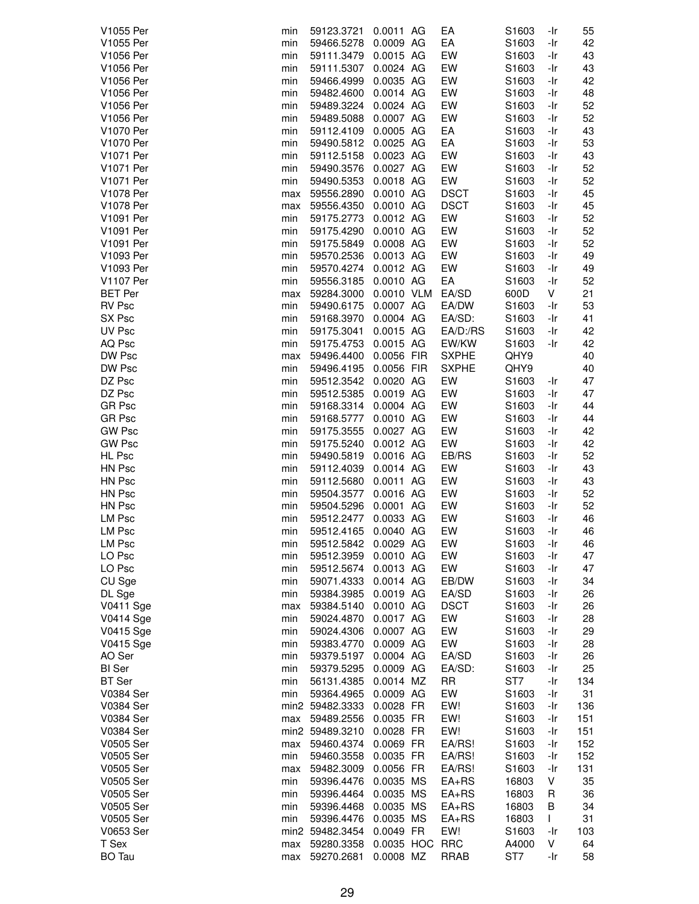| V1055 Per        | min | 59123.3721           | 0.0011 AG      | EA           | S1603             | -Ir | 55  |
|------------------|-----|----------------------|----------------|--------------|-------------------|-----|-----|
| V1055 Per        | min | 59466.5278           | 0.0009 AG      | EA           | S1603             | -Ir | 42  |
| V1056 Per        | min | 59111.3479           | 0.0015 AG      | EW           | S1603             | -Ir | 43  |
| V1056 Per        | min | 59111.5307           | 0.0024 AG      | EW           | S1603             | -Ir | 43  |
| V1056 Per        | min | 59466.4999           | 0.0035 AG      | EW           | S1603             | -Ir | 42  |
| V1056 Per        | min | 59482.4600           | 0.0014 AG      | EW           | S1603             | -Ir | 48  |
| V1056 Per        | min | 59489.3224           | 0.0024 AG      | EW           | S1603             | -Ir | 52  |
|                  |     |                      |                |              |                   |     |     |
| V1056 Per        | min | 59489.5088           | 0.0007 AG      | EW           | S1603             | -Ir | 52  |
| V1070 Per        | min | 59112.4109           | 0.0005 AG      | EA           | S1603             | -Ir | 43  |
| V1070 Per        | min | 59490.5812           | 0.0025 AG      | EA           | S1603             | -Ir | 53  |
| V1071 Per        | min | 59112.5158           | 0.0023 AG      | EW           | S1603             | -Ir | 43  |
| V1071 Per        | min | 59490.3576           | 0.0027 AG      | EW           | S1603             | -Ir | 52  |
| V1071 Per        | min | 59490.5353           | 0.0018 AG      | EW           | S1603             | -Ir | 52  |
| V1078 Per        | max | 59556.2890           | 0.0010 AG      | <b>DSCT</b>  | S1603             | -Ir | 45  |
| V1078 Per        | max | 59556.4350           | 0.0010 AG      | <b>DSCT</b>  | S1603             | -Ir | 45  |
| V1091 Per        | min | 59175.2773           | 0.0012 AG      | EW           | S1603             | -Ir | 52  |
| V1091 Per        | min | 59175.4290           | 0.0010 AG      | EW           | S1603             | -Ir | 52  |
| V1091 Per        | min | 59175.5849           | 0.0008 AG      | EW           | S1603             | -Ir | 52  |
| V1093 Per        | min | 59570.2536           | 0.0013 AG      | EW           | S1603             | -Ir | 49  |
| V1093 Per        | min | 59570.4274           | 0.0012 AG      | EW           | S1603             | -Ir | 49  |
| V1107 Per        | min | 59556.3185           | 0.0010 AG      | EA           | S1603             | -Ir | 52  |
|                  |     |                      | 0.0010 VLM     |              |                   |     |     |
| <b>BET</b> Per   | max | 59284.3000           |                | EA/SD        | 600D              | V   | 21  |
| <b>RV Psc</b>    | min | 59490.6175           | 0.0007 AG      | EA/DW        | S1603             | -Ir | 53  |
| SX Psc           | min | 59168.3970           | 0.0004 AG      | EA/SD:       | S1603             | -Ir | 41  |
| UV Psc           | min | 59175.3041           | 0.0015 AG      | EA/D:/RS     | S1603             | -Ir | 42  |
| AQ Psc           | min | 59175.4753           | 0.0015 AG      | EW/KW        | S1603             | -Ir | 42  |
| DW Psc           | max | 59496.4400           | 0.0056 FIR     | <b>SXPHE</b> | QHY9              |     | 40  |
| DW Psc           | min | 59496.4195           | 0.0056 FIR     | <b>SXPHE</b> | QHY9              |     | 40  |
| DZ Psc           | min | 59512.3542 0.0020 AG |                | EW           | S1603             | -Ir | 47  |
| DZ Psc           | min | 59512.5385           | 0.0019 AG      | EW           | S1603             | -Ir | 47  |
| <b>GR Psc</b>    | min | 59168.3314           | 0.0004 AG      | EW           | S1603             | -Ir | 44  |
| <b>GR Psc</b>    | min | 59168.5777           | 0.0010 AG      | EW           | S1603             | -Ir | 44  |
| <b>GW Psc</b>    | min | 59175.3555           | 0.0027 AG      | EW           | S1603             | -Ir | 42  |
| <b>GW Psc</b>    | min | 59175.5240           | 0.0012 AG      | EW           | S1603             | -Ir | 42  |
| HL Psc           | min | 59490.5819           | 0.0016 AG      | EB/RS        | S1603             | -Ir | 52  |
| HN Psc           |     |                      |                | EW           |                   |     |     |
|                  | min | 59112.4039           | 0.0014 AG      |              | S1603             | -Ir | 43  |
| HN Psc           | min | 59112.5680           | 0.0011 AG      | EW           | S1603             | -Ir | 43  |
| HN Psc           | min | 59504.3577           | 0.0016 AG      | EW           | S1603             | -Ir | 52  |
| HN Psc           | min | 59504.5296           | 0.0001 AG      | EW           | S1603             | -Ir | 52  |
| <b>LM Psc</b>    | min | 59512.2477           | 0.0033 AG      | EW           | S1603             | -Ir | 46  |
| <b>LM Psc</b>    | min | 59512.4165           | 0.0040 AG      | EW           | S1603             | -Ir | 46  |
| LM Psc           | min | 59512.5842           | 0.0029 AG      | EW           | S1603             | -Ir | 46  |
| LO Psc           | min | 59512.3959           | 0.0010 AG      | EW           | S1603             | -Ir | 47  |
| LO Psc           | min | 59512.5674           | 0.0013 AG      | EW           | S1603             | -Ir | 47  |
| CU Sge           | min | 59071.4333           | 0.0014 AG      | EB/DW        | S1603             | -Ir | 34  |
| DL Sge           | min | 59384.3985           | 0.0019 AG      | EA/SD        | S1603             | -Ir | 26  |
| <b>V0411 Sge</b> | max | 59384.5140           | 0.0010 AG      | <b>DSCT</b>  | S1603             | -Ir | 26  |
| <b>V0414 Sge</b> | min | 59024.4870           | 0.0017 AG      | EW           | S1603             | -Ir | 28  |
| V0415 Sge        | min | 59024.4306           | 0.0007 AG      | EW           | S1603             | -Ir | 29  |
| V0415 Sge        | min | 59383.4770           | 0.0009 AG      | EW           | S1603             | -Ir | 28  |
| AO Ser           | min | 59379.5197           | 0.0004 AG      | EA/SD        | S1603             | -Ir | 26  |
|                  |     |                      |                |              |                   |     |     |
| <b>BI</b> Ser    | min | 59379.5295           | 0.0009 AG      | EA/SD:       | S1603             | -Ir | 25  |
| <b>BT</b> Ser    | min | 56131.4385           | 0.0014 MZ      | <b>RR</b>    | ST7               | -Ir | 134 |
| V0384 Ser        | min | 59364.4965           | 0.0009 AG      | EW           | S1603             | -Ir | 31  |
| V0384 Ser        |     | min2 59482.3333      | 0.0028 FR      | EW!          | S <sub>1603</sub> | -Ir | 136 |
| V0384 Ser        | max | 59489.2556           | 0.0035 FR      | EW!          | S1603             | -Ir | 151 |
| V0384 Ser        |     | min2 59489.3210      | 0.0028 FR      | EW!          | S1603             | -Ir | 151 |
| V0505 Ser        | max | 59460.4374           | 0.0069 FR      | EA/RS!       | S1603             | -Ir | 152 |
| V0505 Ser        | min | 59460.3558           | 0.0035 FR      | EA/RS!       | S1603             | -Ir | 152 |
| V0505 Ser        | max | 59482.3009           | 0.0056 FR      | EA/RS!       | S1603             | -Ir | 131 |
| V0505 Ser        | min | 59396.4476           | 0.0035 MS      | $EA+RS$      | 16803             | V   | 35  |
| V0505 Ser        | min | 59396.4464           | 0.0035 MS      | $EA+RS$      | 16803             | R   | 36  |
| V0505 Ser        | min | 59396.4468           | 0.0035 MS      | $EA+RS$      | 16803             | B   | 34  |
| V0505 Ser        | min | 59396.4476           | 0.0035 MS      | $EA+RS$      | 16803             | L   | 31  |
| V0653 Ser        |     | min2 59482.3454      | 0.0049 FR      | EW!          | S1603             | -Ir | 103 |
| T Sex            | max | 59280.3358           | 0.0035 HOC RRC |              | A4000             | V   | 64  |
|                  |     |                      |                |              |                   |     |     |
| <b>BO</b> Tau    | max | 59270.2681           | 0.0008 MZ      | <b>RRAB</b>  | ST7               | -Ir | 58  |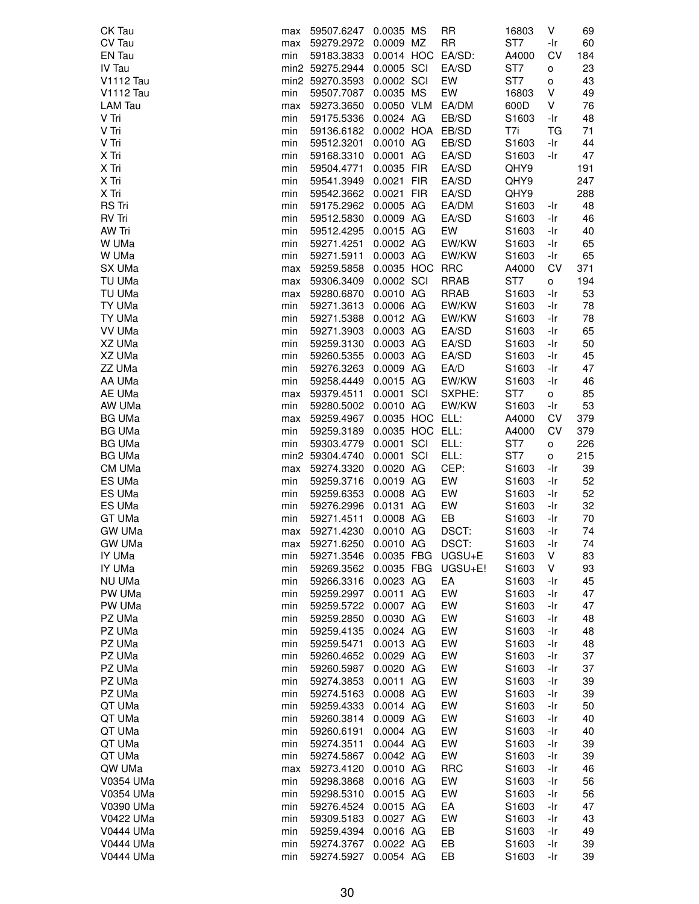| CK Tau                 | max        | 59507.6247               | 0.0035 MS                    | <b>RR</b>       | 16803                    | V          | 69       |
|------------------------|------------|--------------------------|------------------------------|-----------------|--------------------------|------------|----------|
| CV Tau                 | max        | 59279.2972               | 0.0009 MZ                    | <b>RR</b>       | ST7                      | -Ir        | 60       |
| EN Tau                 | min        | 59183.3833               | 0.0014 HOC                   | EA/SD:          | A4000                    | CV         | 184      |
| IV Tau                 |            | min2 59275.2944          | 0.0005 SCI                   | EA/SD           | ST7                      | о          | 23       |
| <b>V1112 Tau</b>       |            | min2 59270.3593          | 0.0002 SCI                   | EW              | ST <sub>7</sub>          | о          | 43       |
| <b>V1112 Tau</b>       | min        | 59507.7087               | 0.0035 MS                    | EW              | 16803                    | ٧          | 49       |
| <b>LAM Tau</b>         | max        | 59273.3650               | 0.0050 VLM                   | EA/DM           | 600D                     | V          | 76       |
| V Tri                  | min        | 59175.5336               | 0.0024 AG                    | EB/SD           | S1603                    | -Ir        | 48       |
| V Tri                  | min        | 59136.6182               | 0.0002 HOA EB/SD             |                 | T7i                      | ТG         | 71       |
| V Tri                  | min        | 59512.3201               | 0.0010 AG                    | EB/SD           | S1603                    | -Ir        | 44       |
| X Tri                  | min        | 59168.3310               | 0.0001 AG                    | EA/SD           | S1603                    | -Ir        | 47       |
| X Tri                  | min        | 59504.4771               | 0.0035 FIR                   | EA/SD           | QHY9                     |            | 191      |
| X Tri                  | min        | 59541.3949               | 0.0021 FIR                   | EA/SD           | QHY9                     |            | 247      |
| X Tri                  | min        | 59542.3662               | 0.0021 FIR                   | EA/SD           | QHY9                     |            | 288      |
| <b>RS Tri</b>          | min        | 59175.2962               | 0.0005 AG                    | EA/DM           | S1603                    | -Ir        | 48       |
| <b>RV Tri</b>          | min        | 59512.5830               | 0.0009 AG                    | EA/SD           | S1603                    | -Ir        | 46       |
| AW Tri                 | min        | 59512.4295               | 0.0015 AG                    | EW              | S1603                    | -Ir        | 40       |
| W UMa                  | min        | 59271.4251               | 0.0002 AG                    | EW/KW           | S1603                    | -Ir        | 65       |
| W UMa                  | min        | 59271.5911               | 0.0003 AG                    | EW/KW           | S <sub>1603</sub>        | -Ir        | 65       |
| SX UMa                 | max        | 59259.5858               | 0.0035 HOC                   | <b>RRC</b>      | A4000                    | CV         | 371      |
| TU UMa                 | max        | 59306.3409               | 0.0002 SCI                   | <b>RRAB</b>     | ST7                      | о          | 194      |
| TU UMa                 | max        | 59280.6870               | 0.0010 AG                    | RRAB            | S1603                    | -Ir        | 53       |
| TY UMa                 | min        | 59271.3613               | 0.0006 AG                    | EW/KW           | S1603                    | -Ir        | 78       |
| TY UMa                 | min        | 59271.5388               | 0.0012 AG                    | EW/KW           | S1603                    | -Ir        | 78       |
| VV UMa                 | min        | 59271.3903               | 0.0003 AG                    | EA/SD           | S1603                    | -Ir        | 65       |
| XZ UMa                 | min        | 59259.3130               | 0.0003 AG                    | EA/SD           | S1603                    | -Ir        | 50       |
| XZ UMa                 | min        | 59260.5355               | 0.0003 AG                    | EA/SD           | S1603                    | -Ir        | 45       |
| ZZ UMa                 | min        | 59276.3263               | 0.0009 AG                    | EA/D            | S <sub>1603</sub>        | -Ir        | 47       |
| AA UMa                 | min        | 59258.4449               | 0.0015 AG                    | EW/KW           | S1603                    | -Ir        | 46       |
| AE UMa<br>AW UMa       | max        | 59379.4511               | 0.0001 SCI                   | SXPHE:<br>EW/KW | ST7<br>S <sub>1603</sub> | o<br>-Ir   | 85<br>53 |
| <b>BG UMa</b>          | min        | 59280.5002<br>59259.4967 | 0.0010 AG<br>0.0035 HOC ELL: |                 | A4000                    | CV         | 379      |
| <b>BG UMa</b>          | max        |                          | 0.0035 HOC ELL:              |                 | A4000                    | CV         | 379      |
| <b>BG UMa</b>          | min<br>min | 59259.3189<br>59303.4779 | 0.0001 SCI                   | ELL:            | ST7                      |            | 226      |
| <b>BG UMa</b>          |            | min2 59304.4740          | 0.0001 SCI                   | ELL:            | ST7                      | о<br>о     | 215      |
| CM UMa                 | max        | 59274.3320               | 0.0020 AG                    | CEP:            | S1603                    | -Ir        | 39       |
| ES UMa                 | min        | 59259.3716               | 0.0019 AG                    | EW              | S <sub>1603</sub>        | -Ir        | 52       |
| ES UMa                 | min        | 59259.6353               | 0.0008 AG                    | EW              | S1603                    | -Ir        | 52       |
| ES UMa                 | min        | 59276.2996               | 0.0131 AG                    | EW              | S1603                    | -Ir        | 32       |
| GT UMa                 | min        | 59271.4511               | 0.0008 AG                    | EB              | S1603                    | -Ir        | 70       |
| <b>GW UMa</b>          | max        | 59271.4230               | 0.0010 AG                    | DSCT:           | S1603                    | -Ir        | 74       |
| <b>GW UMa</b>          | max        | 59271.6250               | 0.0010 AG                    | DSCT:           | S1603                    | -Ir        | 74       |
| IY UMa                 | min        | 59271.3546               | 0.0035 FBG                   | UGSU+E          | S1603                    | V          | 83       |
| IY UMa                 | min        | 59269.3562               | 0.0035 FBG                   | UGSU+E!         | S <sub>1603</sub>        | V          | 93       |
| NU UMa                 | min        | 59266.3316               | 0.0023 AG                    | EA              | S1603                    | -Ir        | 45       |
| PW UMa                 | min        | 59259.2997               | 0.0011 AG                    | EW              | S1603                    | -Ir        | 47       |
| PW UMa                 | min        | 59259.5722               | 0.0007 AG                    | EW              | S1603                    | -Ir        | 47       |
| PZ UMa                 | min        | 59259.2850               | 0.0030 AG                    | EW              | S <sub>1603</sub>        | -Ir        | 48       |
| PZ UMa                 | min        | 59259.4135               | 0.0024 AG                    | EW              | S1603                    | -Ir        | 48       |
| PZ UMa                 | min        | 59259.5471               | 0.0013 AG                    | EW              | S1603                    | -Ir        | 48       |
| PZ UMa                 | min        | 59260.4652               | 0.0029 AG                    | EW              | S1603                    | -Ir        | 37       |
| PZ UMa                 | min        | 59260.5987               | 0.0020 AG                    | EW              | S1603                    | -Ir        | 37       |
| PZ UMa                 | min        | 59274.3853               | 0.0011 AG                    | EW              | S1603                    | -Ir        | 39       |
| PZ UMa                 | min        | 59274.5163               | 0.0008 AG                    | EW              | S1603                    | -Ir        | 39       |
| QT UMa                 | min        | 59259.4333               | 0.0014 AG                    | EW              | S1603                    | -Ir        | 50       |
| QT UMa                 | min        | 59260.3814               | 0.0009 AG                    | EW              | S <sub>1603</sub>        | -Ir        | 40       |
| QT UMa                 | min        | 59260.6191               | 0.0004 AG                    | EW              | S <sub>1603</sub>        | -Ir        | 40       |
| QT UMa                 | min        | 59274.3511               | 0.0044 AG                    | EW              | S1603                    | -Ir        | 39       |
| QT UMa                 |            |                          | 0.0042 AG                    | EW              | S1603                    | -Ir        | 39       |
|                        | min        | 59274.5867               |                              |                 |                          |            |          |
| QW UMa                 | max        | 59273.4120               | 0.0010 AG                    | <b>RRC</b>      | S1603                    | -Ir        | 46       |
| V0354 UMa              | min        | 59298.3868               | 0.0016 AG                    | EW              | S1603                    | -Ir        | 56       |
| V0354 UMa              | min        | 59298.5310               | 0.0015 AG                    | EW              | S1603                    | -Ir        | 56       |
| V0390 UMa              | min        | 59276.4524               | 0.0015 AG                    | EA              | S1603                    | -Ir        | 47       |
| V0422 UMa              | min        | 59309.5183               | 0.0027 AG                    | EW              | S1603                    | -Ir        | 43       |
| V0444 UMa              | min        | 59259.4394               | 0.0016 AG                    | EB              | S1603                    | -Ir        | 49       |
| V0444 UMa<br>V0444 UMa | min<br>min | 59274.3767<br>59274.5927 | 0.0022 AG<br>0.0054 AG       | EB<br>EB        | S1603<br>S1603           | -Ir<br>-Ir | 39<br>39 |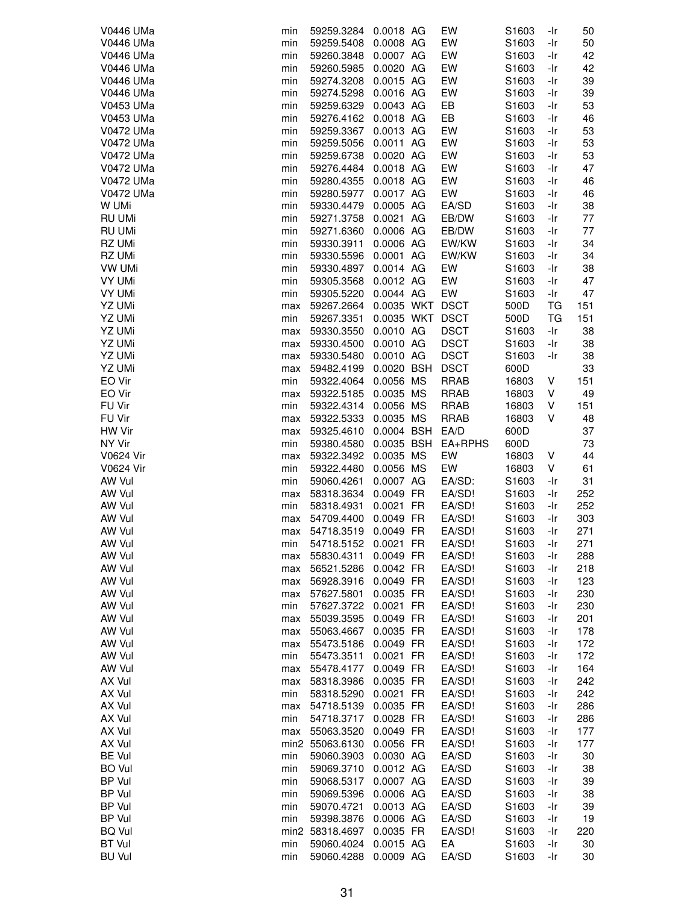| V0446 UMa                      | min        | 59259.3284               | 0.0018 AG              | EW               | S1603                      | -Ir        | 50         |
|--------------------------------|------------|--------------------------|------------------------|------------------|----------------------------|------------|------------|
| V0446 UMa                      | min        | 59259.5408               | 0.0008 AG              | EW               | S1603                      | -Ir        | 50         |
| V0446 UMa                      | min        | 59260.3848               | 0.0007 AG              | EW               | S1603                      | -Ir        | 42         |
| V0446 UMa                      | min        | 59260.5985               | 0.0020 AG              | EW               | S1603                      | -Ir        | 42         |
| V0446 UMa                      | min        | 59274.3208               | 0.0015 AG              | EW               | S1603                      | -Ir        | 39         |
| V0446 UMa                      | min        | 59274.5298               | 0.0016 AG              | EW               | S1603                      | -Ir        | 39         |
| V0453 UMa                      | min        | 59259.6329               | 0.0043 AG              | EB               | S1603                      | -Ir        | 53         |
| V0453 UMa                      | min        | 59276.4162               | 0.0018 AG              | EB               | S1603                      | -Ir        | 46         |
| V0472 UMa                      | min        | 59259.3367               | 0.0013 AG              | EW               | S1603                      | -Ir        | 53         |
| V0472 UMa                      | min        | 59259.5056               | 0.0011 AG              | EW               | S1603                      | -Ir        | 53         |
| V0472 UMa                      | min        | 59259.6738               | 0.0020 AG              | EW               | S1603                      | -Ir        | 53         |
| V0472 UMa<br>V0472 UMa         | min        | 59276.4484               | 0.0018 AG<br>0.0018 AG | EW<br>EW         | S1603                      | -Ir<br>-Ir | 47<br>46   |
| V0472 UMa                      | min<br>min | 59280.4355<br>59280.5977 | 0.0017 AG              | EW               | S1603<br>S1603             | -Ir        | 46         |
| W UMi                          | min        | 59330.4479               | 0.0005 AG              | EA/SD            | S1603                      | -Ir        | 38         |
| <b>RU UMi</b>                  | min        | 59271.3758               | 0.0021 AG              | EB/DW            | S1603                      | -Ir        | 77         |
| RU UMi                         | min        | 59271.6360               | 0.0006 AG              | EB/DW            | S1603                      | -Ir        | 77         |
| RZ UMi                         | min        | 59330.3911               | 0.0006 AG              | EW/KW            | S1603                      | -Ir        | 34         |
| RZ UMi                         | min        | 59330.5596               | 0.0001 AG              | EW/KW            | S1603                      | -Ir        | 34         |
| VW UMi                         | min        | 59330.4897               | 0.0014 AG              | EW               | S1603                      | -Ir        | 38         |
| <b>VY UMi</b>                  | min        | 59305.3568               | 0.0012 AG              | EW               | S <sub>1603</sub>          | -Ir        | 47         |
| VY UMi                         | min        | 59305.5220               | 0.0044 AG              | EW               | S1603                      | -Ir        | 47         |
| YZ UMi                         | max        | 59267.2664               | 0.0035 WKT DSCT        |                  | 500D                       | TG         | 151        |
| YZ UMi                         | min        | 59267.3351               | 0.0035 WKT DSCT        |                  | 500D                       | ТG         | 151        |
| YZ UMi                         | max        | 59330.3550               | 0.0010 AG              | <b>DSCT</b>      | S1603                      | -Ir        | 38         |
| YZ UMi                         | max        | 59330.4500               | 0.0010 AG              | <b>DSCT</b>      | S1603                      | -Ir        | 38         |
| YZ UMi                         | max        | 59330.5480               | 0.0010 AG              | <b>DSCT</b>      | S1603                      | -Ir        | 38         |
| YZ UMi                         | max        | 59482.4199               | 0.0020 BSH             | <b>DSCT</b>      | 600D                       |            | 33         |
| EO Vir                         | min        | 59322.4064               | 0.0056 MS              | <b>RRAB</b>      | 16803                      | V          | 151        |
| EO Vir                         | max        | 59322.5185               | 0.0035 MS              | <b>RRAB</b>      | 16803                      | V          | 49         |
| FU Vir                         | min        | 59322.4314               | 0.0056 MS              | <b>RRAB</b>      | 16803                      | V          | 151        |
| FU Vir                         | max        | 59322.5333               | 0.0035 MS              | <b>RRAB</b>      | 16803                      | V          | 48         |
| HW Vir                         | max        | 59325.4610               | 0.0004 BSH             | EA/D             | 600D                       |            | 37         |
| NY Vir                         | min        | 59380.4580               | 0.0035 BSH             | EA+RPHS          | 600D                       |            | 73         |
|                                |            |                          |                        |                  |                            |            |            |
| <b>V0624 Vir</b>               | max        | 59322.3492               | 0.0035 MS              | EW               | 16803                      | V          | 44         |
| <b>V0624 Vir</b>               | min        | 59322.4480               | 0.0056 MS              | EW               | 16803                      | V          | 61         |
| AW Vul                         | min        | 59060.4261               | 0.0007 AG              | EA/SD:           | S1603                      | -Ir        | 31         |
| AW Vul                         | max        | 58318.3634               | 0.0049 FR              | EA/SD!           | S1603                      | -Ir        | 252        |
| AW Vul                         | min        | 58318.4931               | 0.0021 FR              | EA/SD!           | S1603                      | -Ir        | 252        |
| AW Vul                         | max        | 54709.4400               | 0.0049 FR              | EA/SD!           | S1603                      | -Ir        | 303        |
| AW Vul                         | max        | 54718.3519               | 0.0049 FR              | EA/SD!           | S1603                      | -Ir        | 271        |
| AW Vul                         | min        | 54718.5152               | 0.0021 FR              | EA/SD!           | S1603                      | -Ir        | 271        |
| AW Vul<br>AW Vul               | max<br>max | 55830.4311               | 0.0049 FR              | EA/SD!           | S1603<br>S <sub>1603</sub> | -Ir<br>-Ir | 288<br>218 |
| AW Vul                         | max        | 56521.5286<br>56928.3916 | 0.0042 FR<br>0.0049 FR | EA/SD!<br>EA/SD! | S1603                      | -Ir        | 123        |
| AW Vul                         | max        | 57627.5801               | 0.0035 FR              | EA/SD!           | S1603                      | -Ir        | 230        |
| AW Vul                         | min        | 57627.3722               | 0.0021 FR              | EA/SD!           | S1603                      | -Ir        | 230        |
| AW Vul                         | max        | 55039.3595               | 0.0049 FR              | EA/SD!           | S1603                      | -Ir        | 201        |
| AW Vul                         | max        | 55063.4667               | 0.0035 FR              | EA/SD!           | S1603                      | -Ir        | 178        |
| AW Vul                         | max        | 55473.5186               | 0.0049 FR              | EA/SD!           | S1603                      | -Ir        | 172        |
| AW Vul                         | min        | 55473.3511               | 0.0021 FR              | EA/SD!           | S1603                      | -Ir        | 172        |
| AW Vul                         | max        | 55478.4177               | 0.0049 FR              | EA/SD!           | S1603                      | -Ir        | 164        |
| AX Vul                         | max        | 58318.3986               | 0.0035 FR              | EA/SD!           | S1603                      | -Ir        | 242        |
| AX Vul                         | min        | 58318.5290               | 0.0021 FR              | EA/SD!           | S1603                      | -Ir        | 242        |
| AX Vul                         | max        | 54718.5139               | 0.0035 FR              | EA/SD!           | S1603                      | -Ir        | 286        |
| AX Vul                         | min        | 54718.3717               | 0.0028 FR              | EA/SD!           | S <sub>1603</sub>          | -Ir        | 286        |
| AX Vul                         | max        | 55063.3520               | 0.0049 FR              | EA/SD!           | S1603                      | -Ir        | 177        |
| AX Vul                         |            | min2 55063.6130          | 0.0056 FR              | EA/SD!           | S1603                      | -Ir        | 177        |
| <b>BE Vul</b>                  | min        | 59060.3903               | 0.0030 AG              | EA/SD            | S1603                      | -Ir        | 30         |
| <b>BO</b> Vul                  | min        | 59069.3710               | 0.0012 AG              | EA/SD            | S <sub>1603</sub>          | -Ir        | 38         |
| BP Vul                         | min        | 59068.5317               | 0.0007 AG              | EA/SD            | S1603                      | -Ir        | 39         |
| BP Vul                         | min<br>min | 59069.5396               | 0.0006 AG              | EA/SD            | S1603                      | -Ir<br>-Ir | 38         |
| BP Vul<br>BP Vul               | min        | 59070.4721<br>59398.3876 | 0.0013 AG<br>0.0006 AG | EA/SD<br>EA/SD   | S1603<br>S1603             | -Ir        | 39<br>19   |
| <b>BQ Vul</b>                  |            | min2 58318.4697          | 0.0035 FR              | EA/SD!           | S1603                      | -Ir        | 220        |
| <b>BT Vul</b><br><b>BU Vul</b> | min        | 59060.4024               | 0.0015 AG              | EA<br>EA/SD      | S1603                      | -Ir        | 30<br>30   |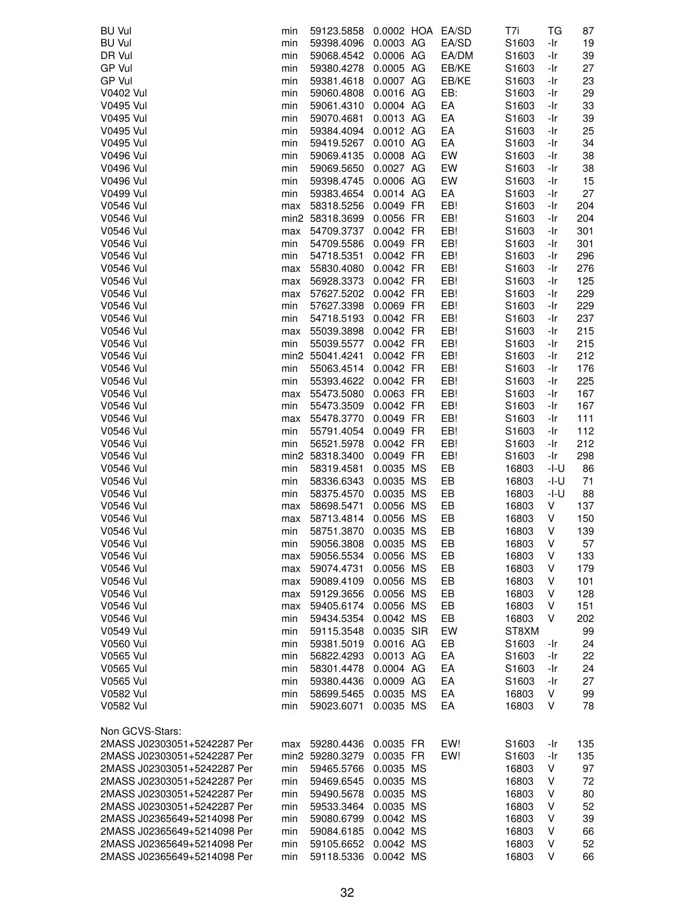| <b>BU Vul</b>               | min | 59123.5858      | 0.0002 HOA EA/SD |       | T7i               | ТG   | 87  |
|-----------------------------|-----|-----------------|------------------|-------|-------------------|------|-----|
| <b>BU Vul</b>               | min | 59398.4096      | 0.0003 AG        | EA/SD | S1603             | -Ir  | 19  |
| DR Vul                      | min | 59068.4542      | 0.0006 AG        | EA/DM | S1603             | -Ir  | 39  |
| GP Vul                      | min | 59380.4278      | 0.0005 AG        | EB/KE | S1603             | -Ir  | 27  |
| GP Vul                      | min | 59381.4618      | 0.0007 AG        | EB/KE | S1603             | -Ir  | 23  |
| V0402 Vul                   | min | 59060.4808      | 0.0016 AG        | EB:   | S <sub>1603</sub> | -Ir  | 29  |
| V0495 Vul                   | min | 59061.4310      | 0.0004 AG        | EA    | S1603             | -Ir  | 33  |
| V0495 Vul                   | min | 59070.4681      | 0.0013 AG        | EA    | S1603             | -Ir  | 39  |
| V0495 Vul                   | min | 59384.4094      | 0.0012 AG        | EA    | S1603             | -Ir  | 25  |
|                             |     |                 | 0.0010 AG        | EA    |                   |      |     |
| <b>V0495 Vul</b>            | min | 59419.5267      |                  |       | S1603             | -Ir  | 34  |
| <b>V0496 Vul</b>            | min | 59069.4135      | 0.0008 AG        | EW    | S1603             | -Ir  | 38  |
| <b>V0496 Vul</b>            | min | 59069.5650      | 0.0027 AG        | EW    | S1603             | -Ir  | 38  |
| <b>V0496 Vul</b>            | min | 59398.4745      | 0.0006 AG        | EW    | S1603             | -Ir  | 15  |
| <b>V0499 Vul</b>            | min | 59383.4654      | 0.0014 AG        | EA    | S1603             | -Ir  | 27  |
| V0546 Vul                   | max | 58318.5256      | 0.0049 FR        | EB!   | S1603             | -Ir  | 204 |
| V0546 Vul                   |     | min2 58318.3699 | 0.0056 FR        | EB!   | S1603             | -Ir  | 204 |
| V0546 Vul                   | max | 54709.3737      | 0.0042 FR        | EB!   | S1603             | -Ir  | 301 |
| <b>V0546 Vul</b>            | min | 54709.5586      | 0.0049 FR        | EB!   | S1603             | -Ir  | 301 |
| V0546 Vul                   | min | 54718.5351      | 0.0042 FR        | EB!   | S1603             | -Ir  | 296 |
| V0546 Vul                   | max | 55830.4080      | 0.0042 FR        | EB!   | S <sub>1603</sub> | -Ir  | 276 |
| <b>V0546 Vul</b>            | max | 56928.3373      | 0.0042 FR        | EB!   | S1603             | -Ir  | 125 |
| <b>V0546 Vul</b>            | max | 57627.5202      | 0.0042 FR        | EB!   | S1603             | -Ir  | 229 |
| V0546 Vul                   | min | 57627.3398      | 0.0069 FR        | EB!   | S1603             | -Ir  | 229 |
| <b>V0546 Vul</b>            | min | 54718.5193      | 0.0042 FR        | EB!   | S1603             | -Ir  | 237 |
| V0546 Vul                   | max | 55039.3898      | 0.0042 FR        | EB!   | S1603             | -Ir  | 215 |
| V0546 Vul                   | min | 55039.5577      | 0.0042 FR        | EB!   | S <sub>1603</sub> | -Ir  | 215 |
|                             |     |                 | 0.0042 FR        | EB!   |                   |      | 212 |
| V0546 Vul                   |     | min2 55041.4241 |                  |       | S1603             | -Ir  |     |
| V0546 Vul                   | min | 55063.4514      | 0.0042 FR        | EB!   | S1603             | -Ir  | 176 |
| V0546 Vul                   | min | 55393.4622      | 0.0042 FR        | EB!   | S1603             | -Ir  | 225 |
| <b>V0546 Vul</b>            | max | 55473.5080      | 0.0063 FR        | EB!   | S <sub>1603</sub> | -Ir  | 167 |
| V0546 Vul                   | min | 55473.3509      | 0.0042 FR        | EB!   | S1603             | -Ir  | 167 |
| <b>V0546 Vul</b>            | max | 55478.3770      | 0.0049 FR        | EB!   | S1603             | -Ir  | 111 |
| <b>V0546 Vul</b>            | min | 55791.4054      | 0.0049 FR        | EB!   | S1603             | -Ir  | 112 |
| V0546 Vul                   | min | 56521.5978      | 0.0042 FR        | EB!   | S1603             | -Ir  | 212 |
| <b>V0546 Vul</b>            |     | min2 58318.3400 | 0.0049 FR        | EB!   | S1603             | -Ir  | 298 |
| V0546 Vul                   | min | 58319.4581      | 0.0035 MS        | EB    | 16803             | -l-U | 86  |
| V0546 Vul                   | min | 58336.6343      | 0.0035 MS        | EB    | 16803             | -l-U | 71  |
| V0546 Vul                   | min | 58375.4570      | 0.0035 MS        | EB    | 16803             | -l-U | 88  |
| V0546 Vul                   | max | 58698.5471      | 0.0056 MS        | EB    | 16803             | V    | 137 |
| V0546 Vul                   | max | 58713.4814      | 0.0056 MS        | EB    | 16803             | V    | 150 |
| V0546 Vul                   | min | 58751.3870      | 0.0035 MS        | EB    | 16803             | ٧    | 139 |
| <b>V0546 Vul</b>            | min | 59056.3808      | 0.0035 MS        | EB    | 16803             | V    | 57  |
| <b>V0546 Vul</b>            | max | 59056.5534      | 0.0056 MS        | EB    | 16803             | V    | 133 |
| V0546 Vul                   | max | 59074.4731      | 0.0056 MS        | EB    | 16803             | V    | 179 |
| <b>V0546 Vul</b>            | max | 59089.4109      | 0.0056 MS        | EB    | 16803             | ٧    | 101 |
| V0546 Vul                   | max | 59129.3656      | 0.0056 MS        | EB    | 16803             | ٧    | 128 |
| V0546 Vul                   | max | 59405.6174      | 0.0056 MS        | EB    | 16803             | V    | 151 |
| V0546 Vul                   |     |                 | 0.0042 MS        | EB    | 16803             | V    | 202 |
|                             | min | 59434.5354      |                  |       |                   |      |     |
| <b>V0549 Vul</b>            | min | 59115.3548      | 0.0035 SIR       | EW    | ST8XM             |      | 99  |
| <b>V0560 Vul</b>            | min | 59381.5019      | 0.0016 AG        | EB    | S <sub>1603</sub> | -Ir  | 24  |
| V0565 Vul                   | min | 56822.4293      | 0.0013 AG        | EA    | S1603             | -Ir  | 22  |
| V0565 Vul                   | min | 58301.4478      | 0.0004 AG        | EA    | S1603             | -Ir  | 24  |
| <b>V0565 Vul</b>            | min | 59380.4436      | 0.0009 AG        | EA    | S1603             | -Ir  | 27  |
| V0582 Vul                   | min | 58699.5465      | 0.0035 MS        | EA    | 16803             | V    | 99  |
| V0582 Vul                   | min | 59023.6071      | 0.0035 MS        | EA    | 16803             | V    | 78  |
| Non GCVS-Stars:             |     |                 |                  |       |                   |      |     |
| 2MASS J02303051+5242287 Per | max | 59280.4436      | 0.0035 FR        | EW!   | S <sub>1603</sub> | -Ir  | 135 |
| 2MASS J02303051+5242287 Per |     | min2 59280.3279 | 0.0035 FR        | EW!   | S <sub>1603</sub> | -Ir  | 135 |
| 2MASS J02303051+5242287 Per | min | 59465.5766      | 0.0035 MS        |       | 16803             | V    | 97  |
| 2MASS J02303051+5242287 Per | min | 59469.6545      | 0.0035 MS        |       | 16803             | V    | 72  |
| 2MASS J02303051+5242287 Per | min | 59490.5678      | 0.0035 MS        |       | 16803             | V    | 80  |
| 2MASS J02303051+5242287 Per | min | 59533.3464      | 0.0035 MS        |       | 16803             | V    | 52  |
| 2MASS J02365649+5214098 Per | min | 59080.6799      | 0.0042 MS        |       | 16803             | V    | 39  |
|                             |     |                 |                  |       |                   |      |     |
| 2MASS J02365649+5214098 Per | min | 59084.6185      | 0.0042 MS        |       | 16803             | V    | 66  |
| 2MASS J02365649+5214098 Per | min | 59105.6652      | 0.0042 MS        |       | 16803             | ٧    | 52  |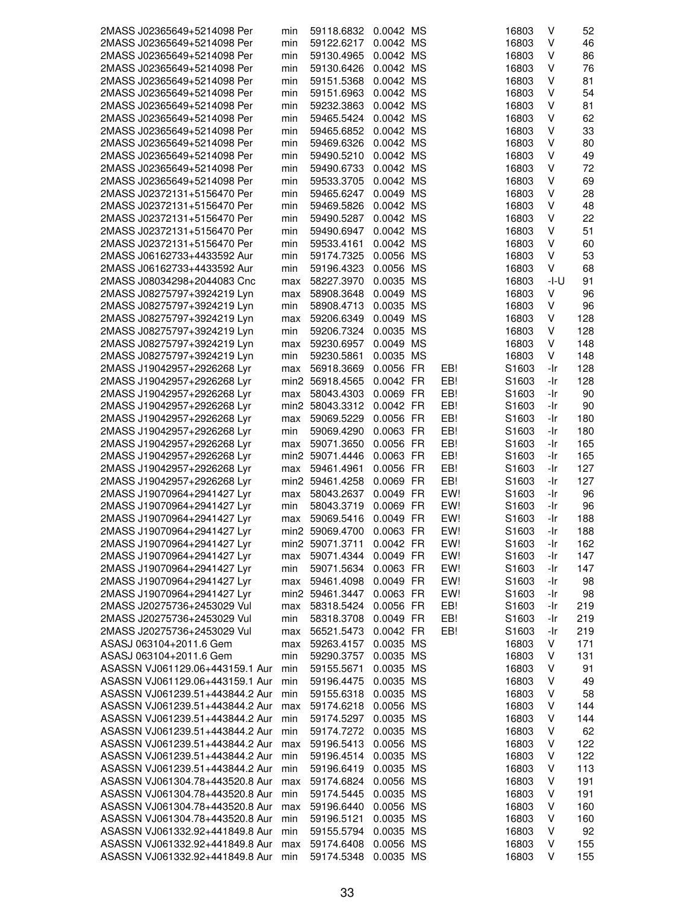| 2MASS J02365649+5214098 Per     | min | 59118.6832      | 0.0042 MS |     | 16803             | V    | 52  |
|---------------------------------|-----|-----------------|-----------|-----|-------------------|------|-----|
| 2MASS J02365649+5214098 Per     | min | 59122.6217      | 0.0042 MS |     | 16803             | V    | 46  |
| 2MASS J02365649+5214098 Per     | min | 59130.4965      | 0.0042 MS |     | 16803             | ٧    | 86  |
| 2MASS J02365649+5214098 Per     | min | 59130.6426      | 0.0042 MS |     | 16803             | ٧    | 76  |
| 2MASS J02365649+5214098 Per     | min | 59151.5368      | 0.0042 MS |     | 16803             | v    | 81  |
| 2MASS J02365649+5214098 Per     | min | 59151.6963      | 0.0042 MS |     | 16803             | V    | 54  |
| 2MASS J02365649+5214098 Per     | min | 59232.3863      | 0.0042 MS |     |                   | V    | 81  |
|                                 |     |                 |           |     | 16803             |      |     |
| 2MASS J02365649+5214098 Per     | min | 59465.5424      | 0.0042 MS |     | 16803             | V    | 62  |
| 2MASS J02365649+5214098 Per     | min | 59465.6852      | 0.0042 MS |     | 16803             | ٧    | 33  |
| 2MASS J02365649+5214098 Per     | min | 59469.6326      | 0.0042 MS |     | 16803             | ٧    | 80  |
| 2MASS J02365649+5214098 Per     | min | 59490.5210      | 0.0042 MS |     | 16803             | V    | 49  |
| 2MASS J02365649+5214098 Per     | min | 59490.6733      | 0.0042 MS |     | 16803             | V    | 72  |
| 2MASS J02365649+5214098 Per     | min | 59533.3705      | 0.0042 MS |     | 16803             | V    | 69  |
| 2MASS J02372131+5156470 Per     | min | 59465.6247      | 0.0049 MS |     | 16803             | ٧    | 28  |
| 2MASS J02372131+5156470 Per     | min | 59469.5826      | 0.0042 MS |     | 16803             | ٧    | 48  |
| 2MASS J02372131+5156470 Per     | min | 59490.5287      | 0.0042 MS |     | 16803             | V    | 22  |
| 2MASS J02372131+5156470 Per     | min | 59490.6947      | 0.0042 MS |     | 16803             | V    | 51  |
|                                 | min |                 | 0.0042 MS |     |                   | ٧    |     |
| 2MASS J02372131+5156470 Per     |     | 59533.4161      |           |     | 16803             |      | 60  |
| 2MASS J06162733+4433592 Aur     | min | 59174.7325      | 0.0056 MS |     | 16803             | V    | 53  |
| 2MASS J06162733+4433592 Aur     | min | 59196.4323      | 0.0056 MS |     | 16803             | V    | 68  |
| 2MASS J08034298+2044083 Cnc     | max | 58227.3970      | 0.0035 MS |     | 16803             | -l-U | 91  |
| 2MASS J08275797+3924219 Lyn     | max | 58908.3648      | 0.0049 MS |     | 16803             | V    | 96  |
| 2MASS J08275797+3924219 Lyn     | min | 58908.4713      | 0.0035 MS |     | 16803             | V    | 96  |
| 2MASS J08275797+3924219 Lyn     | max | 59206.6349      | 0.0049 MS |     | 16803             | V    | 128 |
| 2MASS J08275797+3924219 Lyn     | min | 59206.7324      | 0.0035 MS |     | 16803             | V    | 128 |
| 2MASS J08275797+3924219 Lyn     | max | 59230.6957      | 0.0049 MS |     | 16803             | ٧    | 148 |
| 2MASS J08275797+3924219 Lyn     | min | 59230.5861      | 0.0035 MS |     | 16803             | V    | 148 |
|                                 |     |                 |           |     |                   |      |     |
| 2MASS J19042957+2926268 Lyr     | max | 56918.3669      | 0.0056 FR | EB! | S1603             | -Ir  | 128 |
| 2MASS J19042957+2926268 Lyr     |     | min2 56918.4565 | 0.0042 FR | EB! | S1603             | -Ir  | 128 |
| 2MASS J19042957+2926268 Lyr     | max | 58043.4303      | 0.0069 FR | EB! | S <sub>1603</sub> | -Ir  | 90  |
| 2MASS J19042957+2926268 Lyr     |     | min2 58043.3312 | 0.0042 FR | EB! | S1603             | -Ir  | 90  |
| 2MASS J19042957+2926268 Lyr     | max | 59069.5229      | 0.0056 FR | EB! | S1603             | -Ir  | 180 |
| 2MASS J19042957+2926268 Lyr     | min | 59069.4290      | 0.0063 FR | EB! | S1603             | -Ir  | 180 |
| 2MASS J19042957+2926268 Lyr     | max | 59071.3650      | 0.0056 FR | EB! | S1603             | -Ir  | 165 |
| 2MASS J19042957+2926268 Lyr     |     | min2 59071.4446 | 0.0063 FR | EB! | S1603             | -Ir  | 165 |
| 2MASS J19042957+2926268 Lyr     | max | 59461.4961      | 0.0056 FR | EB! | S1603             | -Ir  | 127 |
| 2MASS J19042957+2926268 Lyr     |     | min2 59461.4258 | 0.0069 FR | EB! | S1603             | -Ir  | 127 |
| 2MASS J19070964+2941427 Lyr     | max | 58043.2637      | 0.0049 FR | EW! | S1603             | -Ir  | 96  |
| 2MASS J19070964+2941427 Lyr     | min | 58043.3719      | 0.0069 FR | EW! | S1603             | -Ir  | 96  |
|                                 |     |                 |           |     |                   |      |     |
| 2MASS J19070964+2941427 Lyr     | max | 59069.5416      | 0.0049 FR | EW! | S1603             | -Ir  | 188 |
| 2MASS J19070964+2941427 Lyr     |     | min2 59069.4700 | 0.0063 FR | EW! | S1603             | -Ir  | 188 |
| 2MASS J19070964+2941427 Lyr     |     | min2 59071.3711 | 0.0042 FR | EW! | S1603             | -Ir  | 162 |
| 2MASS J19070964+2941427 Lyr     | max | 59071.4344      | 0.0049 FR | EW! | S1603             | -Ir  | 147 |
| 2MASS J19070964+2941427 Lyr     | min | 59071.5634      | 0.0063 FR | EW! | S1603             | -Ir  | 147 |
| 2MASS J19070964+2941427 Lyr     | max | 59461.4098      | 0.0049 FR | EW! | S1603             | -Ir  | 98  |
| 2MASS J19070964+2941427 Lyr     |     | min2 59461.3447 | 0.0063 FR | EW! | S1603             | -Ir  | 98  |
| 2MASS J20275736+2453029 Vul     | max | 58318.5424      | 0.0056 FR | EB! | S1603             | -Ir  | 219 |
| 2MASS J20275736+2453029 Vul     | min | 58318.3708      | 0.0049 FR | EB! | S1603             | -Ir  | 219 |
| 2MASS J20275736+2453029 Vul     | max | 56521.5473      | 0.0042 FR | EB! | S1603             | -Ir  | 219 |
| ASASJ 063104+2011.6 Gem         | max | 59263.4157      | 0.0035 MS |     | 16803             | V    | 171 |
|                                 |     |                 |           |     |                   |      |     |
| ASASJ 063104+2011.6 Gem         | min | 59290.3757      | 0.0035 MS |     | 16803             | ٧    | 131 |
| ASASSN VJ061129.06+443159.1 Aur | min | 59155.5671      | 0.0035 MS |     | 16803             | ٧    | 91  |
| ASASSN VJ061129.06+443159.1 Aur | min | 59196.4475      | 0.0035 MS |     | 16803             | ٧    | 49  |
| ASASSN VJ061239.51+443844.2 Aur | min | 59155.6318      | 0.0035 MS |     | 16803             | V    | 58  |
| ASASSN VJ061239.51+443844.2 Aur | max | 59174.6218      | 0.0056 MS |     | 16803             | V    | 144 |
| ASASSN VJ061239.51+443844.2 Aur | min | 59174.5297      | 0.0035 MS |     | 16803             | V    | 144 |
| ASASSN VJ061239.51+443844.2 Aur | min | 59174.7272      | 0.0035 MS |     | 16803             | V    | 62  |
| ASASSN VJ061239.51+443844.2 Aur | max | 59196.5413      | 0.0056 MS |     | 16803             | ٧    | 122 |
| ASASSN VJ061239.51+443844.2 Aur | min | 59196.4514      | 0.0035 MS |     | 16803             | ٧    | 122 |
| ASASSN VJ061239.51+443844.2 Aur | min | 59196.6419      | 0.0035 MS |     | 16803             | V    | 113 |
| ASASSN VJ061304.78+443520.8 Aur |     |                 |           |     | 16803             | V    |     |
|                                 | max | 59174.6824      | 0.0056 MS |     |                   |      | 191 |
| ASASSN VJ061304.78+443520.8 Aur | min | 59174.5445      | 0.0035 MS |     | 16803             | V    | 191 |
| ASASSN VJ061304.78+443520.8 Aur | max | 59196.6440      | 0.0056 MS |     | 16803             | ٧    | 160 |
| ASASSN VJ061304.78+443520.8 Aur | min | 59196.5121      | 0.0035 MS |     | 16803             | ٧    | 160 |
| ASASSN VJ061332.92+441849.8 Aur | min | 59155.5794      | 0.0035 MS |     | 16803             | ٧    | 92  |
| ASASSN VJ061332.92+441849.8 Aur | max | 59174.6408      | 0.0056 MS |     | 16803             | ٧    | 155 |
| ASASSN VJ061332.92+441849.8 Aur | min | 59174.5348      | 0.0035 MS |     | 16803             | V    | 155 |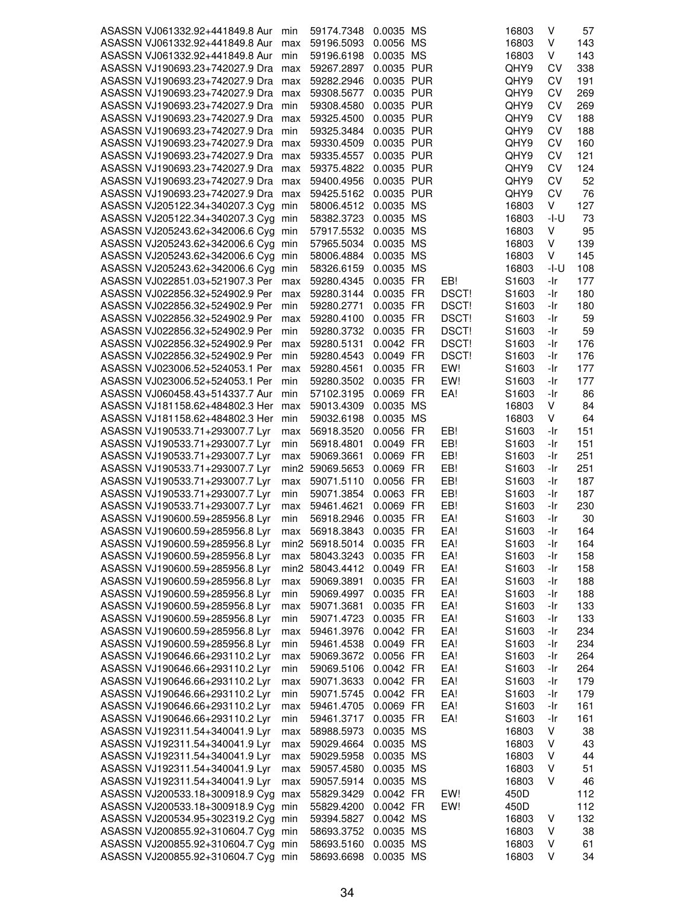| ASASSN VJ061332.92+441849.8 Aur     |      |                 | 0.0035 MS  |       | 16803             | V      |     |
|-------------------------------------|------|-----------------|------------|-------|-------------------|--------|-----|
|                                     | min  | 59174.7348      |            |       |                   |        | 57  |
| ASASSN VJ061332.92+441849.8 Aur     | max  | 59196.5093      | 0.0056 MS  |       | 16803             | V      | 143 |
| ASASSN VJ061332.92+441849.8 Aur     | min  | 59196.6198      | 0.0035 MS  |       | 16803             | V      | 143 |
| ASASSN VJ190693.23+742027.9 Dra max |      | 59267.2897      | 0.0035 PUR |       | QHY9              | CV     | 338 |
| ASASSN VJ190693.23+742027.9 Dra     | max  | 59282.2946      | 0.0035 PUR |       | QHY9              | CV     | 191 |
|                                     |      |                 |            |       |                   |        |     |
| ASASSN VJ190693.23+742027.9 Dra     | max  | 59308.5677      | 0.0035 PUR |       | QHY9              | CV     | 269 |
| ASASSN VJ190693.23+742027.9 Dra     | min  | 59308.4580      | 0.0035 PUR |       | QHY9              | CV     | 269 |
| ASASSN VJ190693.23+742027.9 Dra max |      | 59325.4500      | 0.0035 PUR |       | QHY9              | CV     | 188 |
| ASASSN VJ190693.23+742027.9 Dra min |      | 59325.3484      | 0.0035 PUR |       | QHY9              | CV     | 188 |
|                                     |      |                 |            |       |                   |        |     |
| ASASSN VJ190693.23+742027.9 Dra max |      | 59330.4509      | 0.0035 PUR |       | QHY9              | CV     | 160 |
| ASASSN VJ190693.23+742027.9 Dra max |      | 59335.4557      | 0.0035 PUR |       | QHY9              | CV     | 121 |
| ASASSN VJ190693.23+742027.9 Dra     | max  | 59375.4822      | 0.0035 PUR |       | QHY9              | CV     | 124 |
| ASASSN VJ190693.23+742027.9 Dra max |      | 59400.4956      | 0.0035 PUR |       | QHY9              | CV     | 52  |
|                                     |      | 59425.5162      | 0.0035 PUR |       | QHY9              | CV     | 76  |
| ASASSN VJ190693.23+742027.9 Dra max |      |                 |            |       |                   |        |     |
| ASASSN VJ205122.34+340207.3 Cyg min |      | 58006.4512      | 0.0035 MS  |       | 16803             | V      | 127 |
| ASASSN VJ205122.34+340207.3 Cyg min |      | 58382.3723      | 0.0035 MS  |       | 16803             | $-I-U$ | 73  |
| ASASSN VJ205243.62+342006.6 Cyg min |      | 57917.5532      | 0.0035 MS  |       | 16803             | V      | 95  |
| ASASSN VJ205243.62+342006.6 Cyg     | min  | 57965.5034      | 0.0035 MS  |       | 16803             | V      | 139 |
|                                     |      |                 |            |       |                   |        |     |
| ASASSN VJ205243.62+342006.6 Cyg     | min  | 58006.4884      | 0.0035 MS  |       | 16803             | V      | 145 |
| ASASSN VJ205243.62+342006.6 Cyg     | min  | 58326.6159      | 0.0035 MS  |       | 16803             | $-I-U$ | 108 |
| ASASSN VJ022851.03+521907.3 Per     | max  | 59280.4345      | 0.0035 FR  | EB!   | S <sub>1603</sub> | -Ir    | 177 |
| ASASSN VJ022856.32+524902.9 Per     | max  | 59280.3144      | 0.0035 FR  | DSCT! | S <sub>1603</sub> | -Ir    | 180 |
| ASASSN VJ022856.32+524902.9 Per     | min  | 59280.2771      | 0.0035 FR  | DSCT! | S1603             | -Ir    | 180 |
|                                     |      |                 |            |       |                   |        |     |
| ASASSN VJ022856.32+524902.9 Per     | max  | 59280.4100      | 0.0035 FR  | DSCT! | S <sub>1603</sub> | -Ir    | 59  |
| ASASSN VJ022856.32+524902.9 Per     | min  | 59280.3732      | 0.0035 FR  | DSCT! | S1603             | -Ir    | 59  |
| ASASSN VJ022856.32+524902.9 Per     | max  | 59280.5131      | 0.0042 FR  | DSCT! | S <sub>1603</sub> | -Ir    | 176 |
| ASASSN VJ022856.32+524902.9 Per     | min  | 59280.4543      | 0.0049 FR  | DSCT! | S <sub>1603</sub> | -Ir    | 176 |
|                                     |      |                 |            |       |                   |        |     |
| ASASSN VJ023006.52+524053.1 Per     | max  | 59280.4561      | 0.0035 FR  | EW!   | S <sub>1603</sub> | -Ir    | 177 |
| ASASSN VJ023006.52+524053.1 Per     | min  | 59280.3502      | 0.0035 FR  | EW!   | S <sub>1603</sub> | -Ir    | 177 |
| ASASSN VJ060458.43+514337.7 Aur     | min  | 57102.3195      | 0.0069 FR  | EA!   | S <sub>1603</sub> | -Ir    | 86  |
| ASASSN VJ181158.62+484802.3 Her     | max  | 59013.4309      | 0.0035 MS  |       | 16803             | V      | 84  |
| ASASSN VJ181158.62+484802.3 Her     | min  | 59032.6198      | 0.0035 MS  |       | 16803             | V      | 64  |
|                                     |      |                 |            |       |                   |        |     |
| ASASSN VJ190533.71+293007.7 Lyr     | max  | 56918.3520      | 0.0056 FR  | EB!   | S <sub>1603</sub> | -Ir    | 151 |
| ASASSN VJ190533.71+293007.7 Lyr     | min  | 56918.4801      | 0.0049 FR  | EB!   | S <sub>1603</sub> | -Ir    | 151 |
| ASASSN VJ190533.71+293007.7 Lyr     | max  | 59069.3661      | 0.0069 FR  | EB!   | S <sub>1603</sub> | -Ir    | 251 |
| ASASSN VJ190533.71+293007.7 Lyr     |      | min2 59069.5653 | 0.0069 FR  | EB!   | S1603             | -Ir    | 251 |
| ASASSN VJ190533.71+293007.7 Lyr     |      | 59071.5110      |            |       | S1603             |        |     |
|                                     | max  |                 | 0.0056 FR  | EB!   |                   | -Ir    | 187 |
| ASASSN VJ190533.71+293007.7 Lyr     | min  | 59071.3854      | 0.0063 FR  | EB!   | S1603             | -Ir    | 187 |
| ASASSN VJ190533.71+293007.7 Lyr     | max  | 59461.4621      | 0.0069 FR  | EB!   | S1603             | -Ir    | 230 |
| ASASSN VJ190600.59+285956.8 Lyr     | min  | 56918.2946      | 0.0035 FR  | EA!   | S1603             | -Ir    | 30  |
| ASASSN VJ190600.59+285956.8 Lyr     | max  | 56918.3843      | 0.0035 FR  | EA!   | S1603             | -Ir    | 164 |
|                                     |      |                 |            |       |                   |        |     |
| ASASSN VJ190600.59+285956.8 Lyr     |      | min2 56918.5014 | 0.0035 FR  | EA!   | S1603             | -Ir    | 164 |
| ASASSN VJ190600.59+285956.8 Lyr     | max  | 58043.3243      | 0.0035 FR  | EA!   | S1603             | -Ir    | 158 |
| ASASSN VJ190600.59+285956.8 Lyr     | min2 | 58043.4412      | 0.0049 FR  | EA!   | S1603             | -Ir    | 158 |
| ASASSN VJ190600.59+285956.8 Lyr     | max  | 59069.3891      | 0.0035 FR  | EA!   | S <sub>1603</sub> | -Ir    | 188 |
| ASASSN VJ190600.59+285956.8 Lyr     | min  | 59069.4997      | 0.0035 FR  | EA!   | S1603             | -Ir    | 188 |
|                                     |      |                 |            |       |                   |        |     |
| ASASSN VJ190600.59+285956.8 Lyr     | max  | 59071.3681      | 0.0035 FR  | EA!   | S <sub>1603</sub> | -Ir    | 133 |
| ASASSN VJ190600.59+285956.8 Lyr     | min  | 59071.4723      | 0.0035 FR  | EA!   | S1603             | -Ir    | 133 |
| ASASSN VJ190600.59+285956.8 Lyr     | max  | 59461.3976      | 0.0042 FR  | EA!   | S1603             | -Ir    | 234 |
| ASASSN VJ190600.59+285956.8 Lyr     | min  | 59461.4538      | 0.0049 FR  | EA!   | S <sub>1603</sub> | -Ir    | 234 |
| ASASSN VJ190646.66+293110.2 Lyr     |      | 59069.3672      |            |       |                   |        |     |
|                                     | max  |                 | 0.0056 FR  | EA!   | S <sub>1603</sub> | -Ir    | 264 |
| ASASSN VJ190646.66+293110.2 Lyr     | min  | 59069.5106      | 0.0042 FR  | EA!   | S1603             | -Ir    | 264 |
| ASASSN VJ190646.66+293110.2 Lyr     | max  | 59071.3633      | 0.0042 FR  | EA!   | S <sub>1603</sub> | -Ir    | 179 |
| ASASSN VJ190646.66+293110.2 Lyr     | min  | 59071.5745      | 0.0042 FR  | EA!   | S1603             | -Ir    | 179 |
| ASASSN VJ190646.66+293110.2 Lyr     | max  | 59461.4705      | 0.0069 FR  | EA!   | S1603             | -Ir    | 161 |
|                                     |      |                 |            |       |                   |        |     |
| ASASSN VJ190646.66+293110.2 Lyr     | min  | 59461.3717      | 0.0035 FR  | EA!   | S <sub>1603</sub> | -Ir    | 161 |
| ASASSN VJ192311.54+340041.9 Lyr     | max  | 58988.5973      | 0.0035 MS  |       | 16803             | V      | 38  |
| ASASSN VJ192311.54+340041.9 Lyr     | max  | 59029.4664      | 0.0035 MS  |       | 16803             | V      | 43  |
| ASASSN VJ192311.54+340041.9 Lyr     | max  | 59029.5958      | 0.0035 MS  |       | 16803             | V      | 44  |
|                                     |      |                 |            |       |                   | V      |     |
| ASASSN VJ192311.54+340041.9 Lyr     | max  | 59057.4580      | 0.0035 MS  |       | 16803             |        | 51  |
| ASASSN VJ192311.54+340041.9 Lyr     | max  | 59057.5914      | 0.0035 MS  |       | 16803             | V      | 46  |
| ASASSN VJ200533.18+300918.9 Cyg     | max  | 55829.3429      | 0.0042 FR  | EW!   | 450D              |        | 112 |
| ASASSN VJ200533.18+300918.9 Cyg     | min  | 55829.4200      | 0.0042 FR  | EW!   | 450D              |        | 112 |
| ASASSN VJ200534.95+302319.2 Cyg min |      | 59394.5827      | 0.0042 MS  |       | 16803             | V      | 132 |
| ASASSN VJ200855.92+310604.7 Cyg     | min  | 58693.3752      | 0.0035 MS  |       | 16803             | V      | 38  |
|                                     |      |                 |            |       |                   |        |     |
| ASASSN VJ200855.92+310604.7 Cyg     | min  | 58693.5160      | 0.0035 MS  |       | 16803             | V      | 61  |
| ASASSN VJ200855.92+310604.7 Cyg min |      | 58693.6698      | 0.0035 MS  |       | 16803             | V      | 34  |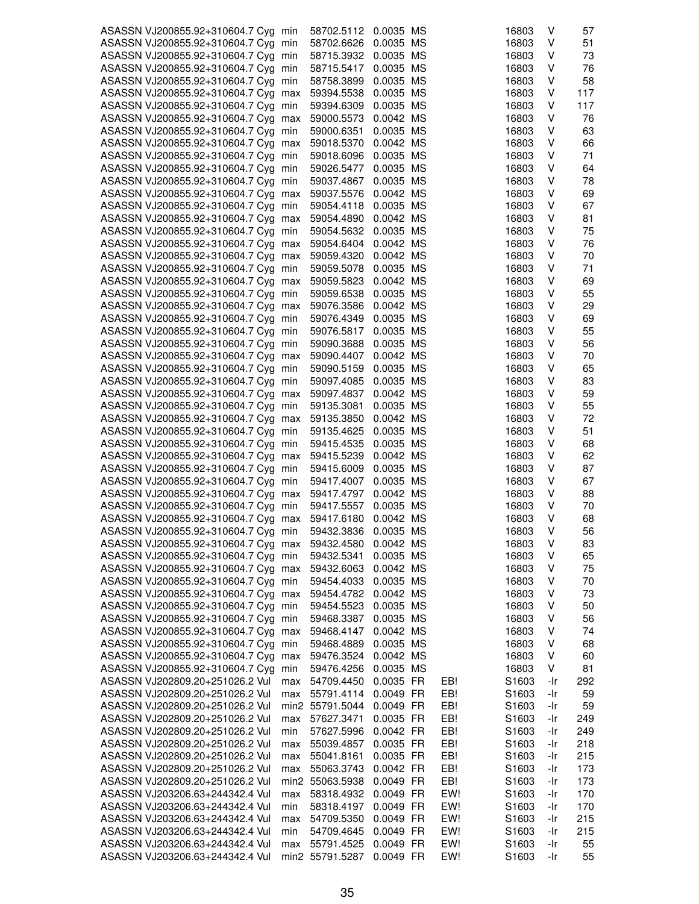| ASASSN VJ200855.92+310604.7 Cyg min |     | 58702.5112      | 0.0035 MS |     | 16803             | ٧   | 57  |
|-------------------------------------|-----|-----------------|-----------|-----|-------------------|-----|-----|
| ASASSN VJ200855.92+310604.7 Cyg min |     | 58702.6626      | 0.0035 MS |     | 16803             | V   | 51  |
|                                     |     |                 | 0.0035 MS |     |                   | V   |     |
| ASASSN VJ200855.92+310604.7 Cyg min |     | 58715.3932      |           |     | 16803             |     | 73  |
| ASASSN VJ200855.92+310604.7 Cyg min |     | 58715.5417      | 0.0035 MS |     | 16803             | V   | 76  |
| ASASSN VJ200855.92+310604.7 Cyg min |     | 58758.3899      | 0.0035 MS |     | 16803             | ٧   | 58  |
| ASASSN VJ200855.92+310604.7 Cyg max |     | 59394.5538      | 0.0035 MS |     | 16803             | ٧   | 117 |
| ASASSN VJ200855.92+310604.7 Cyg min |     | 59394.6309      | 0.0035 MS |     | 16803             | v   | 117 |
| ASASSN VJ200855.92+310604.7 Cyg max |     | 59000.5573      | 0.0042 MS |     | 16803             | ٧   | 76  |
| ASASSN VJ200855.92+310604.7 Cyg min |     | 59000.6351      | 0.0035 MS |     | 16803             | V   | 63  |
| ASASSN VJ200855.92+310604.7 Cyg max |     | 59018.5370      | 0.0042 MS |     | 16803             | V   | 66  |
|                                     |     |                 |           |     |                   | ٧   | 71  |
| ASASSN VJ200855.92+310604.7 Cyg min |     | 59018.6096      | 0.0035 MS |     | 16803             |     |     |
| ASASSN VJ200855.92+310604.7 Cyg min |     | 59026.5477      | 0.0035 MS |     | 16803             | ٧   | 64  |
| ASASSN VJ200855.92+310604.7 Cyg min |     | 59037.4867      | 0.0035 MS |     | 16803             | ٧   | 78  |
| ASASSN VJ200855.92+310604.7 Cyg max |     | 59037.5576      | 0.0042 MS |     | 16803             | V   | 69  |
| ASASSN VJ200855.92+310604.7 Cyg min |     | 59054.4118      | 0.0035 MS |     | 16803             | V   | 67  |
| ASASSN VJ200855.92+310604.7 Cyg max |     | 59054.4890      | 0.0042 MS |     | 16803             | V   | 81  |
| ASASSN VJ200855.92+310604.7 Cyg min |     | 59054.5632      | 0.0035 MS |     | 16803             | ٧   | 75  |
| ASASSN VJ200855.92+310604.7 Cyg max |     | 59054.6404      | 0.0042 MS |     | 16803             | ٧   | 76  |
|                                     |     |                 |           |     |                   |     |     |
| ASASSN VJ200855.92+310604.7 Cyg max |     | 59059.4320      | 0.0042 MS |     | 16803             | v   | 70  |
| ASASSN VJ200855.92+310604.7 Cyg min |     | 59059.5078      | 0.0035 MS |     | 16803             | V   | 71  |
| ASASSN VJ200855.92+310604.7 Cyg max |     | 59059.5823      | 0.0042 MS |     | 16803             | V   | 69  |
| ASASSN VJ200855.92+310604.7 Cyg min |     | 59059.6538      | 0.0035 MS |     | 16803             | ٧   | 55  |
| ASASSN VJ200855.92+310604.7 Cyg max |     | 59076.3586      | 0.0042 MS |     | 16803             | ٧   | 29  |
| ASASSN VJ200855.92+310604.7 Cyg min |     | 59076.4349      | 0.0035 MS |     | 16803             | ٧   | 69  |
| ASASSN VJ200855.92+310604.7 Cyg min |     | 59076.5817      | 0.0035 MS |     | 16803             | ٧   | 55  |
| ASASSN VJ200855.92+310604.7 Cyg min |     | 59090.3688      | 0.0035 MS |     | 16803             | V   | 56  |
|                                     |     |                 |           |     |                   | V   |     |
| ASASSN VJ200855.92+310604.7 Cyg max |     | 59090.4407      | 0.0042 MS |     | 16803             |     | 70  |
| ASASSN VJ200855.92+310604.7 Cyg min |     | 59090.5159      | 0.0035 MS |     | 16803             | ٧   | 65  |
| ASASSN VJ200855.92+310604.7 Cyg min |     | 59097.4085      | 0.0035 MS |     | 16803             | ٧   | 83  |
| ASASSN VJ200855.92+310604.7 Cyg max |     | 59097.4837      | 0.0042 MS |     | 16803             | v   | 59  |
| ASASSN VJ200855.92+310604.7 Cyg min |     | 59135.3081      | 0.0035 MS |     | 16803             | ٧   | 55  |
| ASASSN VJ200855.92+310604.7 Cyg max |     | 59135.3850      | 0.0042 MS |     | 16803             | V   | 72  |
| ASASSN VJ200855.92+310604.7 Cyg min |     | 59135.4625      | 0.0035 MS |     | 16803             | V   | 51  |
| ASASSN VJ200855.92+310604.7 Cyg min |     | 59415.4535      | 0.0035 MS |     | 16803             | ٧   | 68  |
| ASASSN VJ200855.92+310604.7 Cyg max |     | 59415.5239      | 0.0042 MS |     | 16803             | ٧   | 62  |
|                                     |     |                 |           |     |                   |     |     |
| ASASSN VJ200855.92+310604.7 Cyg     | min | 59415.6009      | 0.0035 MS |     | 16803             | ٧   | 87  |
| ASASSN VJ200855.92+310604.7 Cyg min |     | 59417.4007      | 0.0035 MS |     | 16803             | V   | 67  |
| ASASSN VJ200855.92+310604.7 Cyg max |     | 59417.4797      | 0.0042 MS |     | 16803             | V   | 88  |
| ASASSN VJ200855.92+310604.7 Cyg min |     | 59417.5557      | 0.0035 MS |     | 16803             | V   | 70  |
| ASASSN VJ200855.92+310604.7 Cyg max |     | 59417.6180      | 0.0042 MS |     | 16803             | ٧   | 68  |
| ASASSN VJ200855.92+310604.7 Cyg min |     | 59432.3836      | 0.0035 MS |     | 16803             | ٧   | 56  |
| ASASSN VJ200855.92+310604.7 Cyg max |     | 59432.4580      | 0.0042 MS |     | 16803             | ٧   | 83  |
| ASASSN VJ200855.92+310604.7 Cyg min |     | 59432.5341      | 0.0035 MS |     | 16803             | ٧   | 65  |
| ASASSN VJ200855.92+310604.7 Cyg max |     | 59432.6063      | 0.0042 MS |     | 16803             | V   | 75  |
|                                     |     |                 |           |     |                   |     |     |
| ASASSN VJ200855.92+310604.7 Cyg min |     | 59454.4033      | 0.0035 MS |     | 16803             | V   | 70  |
| ASASSN VJ200855.92+310604.7 Cyg max |     | 59454.4782      | 0.0042 MS |     | 16803             | ٧   | 73  |
| ASASSN VJ200855.92+310604.7 Cyg     | min | 59454.5523      | 0.0035 MS |     | 16803             | ٧   | 50  |
| ASASSN VJ200855.92+310604.7 Cyg     | min | 59468.3387      | 0.0035 MS |     | 16803             | ٧   | 56  |
| ASASSN VJ200855.92+310604.7 Cyg max |     | 59468.4147      | 0.0042 MS |     | 16803             | V   | 74  |
| ASASSN VJ200855.92+310604.7 Cyg     | min | 59468.4889      | 0.0035 MS |     | 16803             | V   | 68  |
| ASASSN VJ200855.92+310604.7 Cyg     | max | 59476.3524      | 0.0042 MS |     | 16803             | V   | 60  |
| ASASSN VJ200855.92+310604.7 Cyg     | min | 59476.4256      | 0.0035 MS |     | 16803             | V   | 81  |
| ASASSN VJ202809.20+251026.2 Vul     |     | 54709.4450      | 0.0035 FR |     | S1603             | -Ir | 292 |
|                                     | max |                 |           | EB! |                   |     |     |
| ASASSN VJ202809.20+251026.2 Vul     | max | 55791.4114      | 0.0049 FR | EB! | S1603             | -Ir | 59  |
| ASASSN VJ202809.20+251026.2 Vul     |     | min2 55791.5044 | 0.0049 FR | EB! | S1603             | -Ir | 59  |
| ASASSN VJ202809.20+251026.2 Vul     | max | 57627.3471      | 0.0035 FR | EB! | S1603             | -Ir | 249 |
| ASASSN VJ202809.20+251026.2 Vul     | min | 57627.5996      | 0.0042 FR | EB! | S1603             | -Ir | 249 |
| ASASSN VJ202809.20+251026.2 Vul     | max | 55039.4857      | 0.0035 FR | EB! | S <sub>1603</sub> | -Ir | 218 |
| ASASSN VJ202809.20+251026.2 Vul     | max | 55041.8161      | 0.0035 FR | EB! | S1603             | -Ir | 215 |
| ASASSN VJ202809.20+251026.2 Vul     | max | 55063.3743      | 0.0042 FR | EB! | S1603             | -Ir | 173 |
| ASASSN VJ202809.20+251026.2 Vul     |     | min2 55063.5938 | 0.0049 FR | EB! | S1603             | -Ir | 173 |
|                                     |     |                 |           |     |                   |     |     |
| ASASSN VJ203206.63+244342.4 Vul     | max | 58318.4932      | 0.0049 FR | EW! | S1603             | -Ir | 170 |
| ASASSN VJ203206.63+244342.4 Vul     | min | 58318.4197      | 0.0049 FR | EW! | S1603             | -Ir | 170 |
| ASASSN VJ203206.63+244342.4 Vul     | max | 54709.5350      | 0.0049 FR | EW! | S <sub>1603</sub> | -Ir | 215 |
| ASASSN VJ203206.63+244342.4 Vul     | min | 54709.4645      | 0.0049 FR | EW! | S1603             | -Ir | 215 |
| ASASSN VJ203206.63+244342.4 Vul     | max | 55791.4525      | 0.0049 FR | EW! | S1603             | -Ir | 55  |
| ASASSN VJ203206.63+244342.4 Vul     |     | min2 55791.5287 | 0.0049 FR | EW! | S1603             | -Ir | 55  |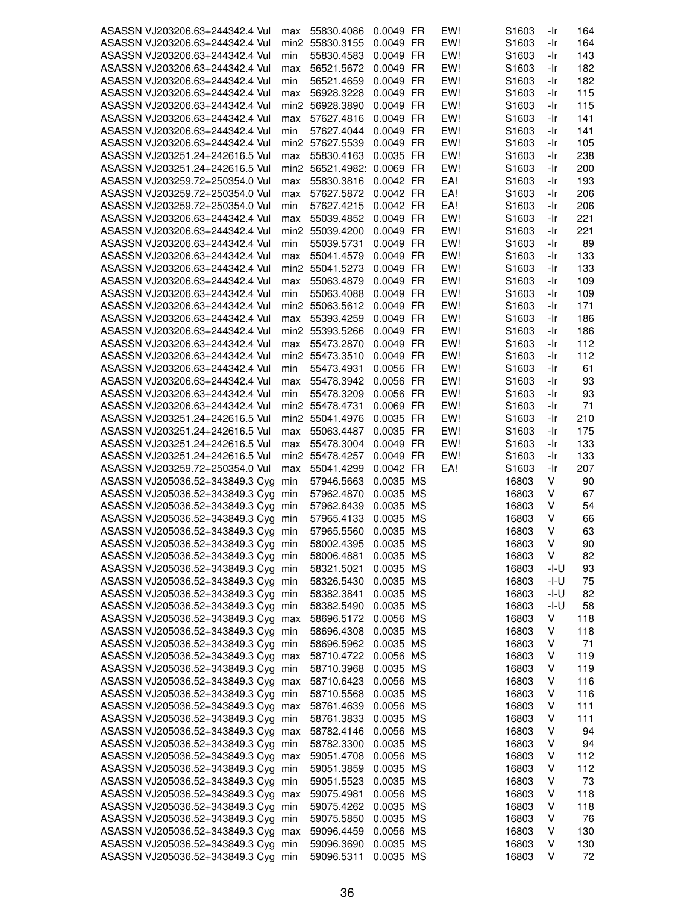| ASASSN VJ203206.63+244342.4 Vul                                            | max              | 55830.4086               | 0.0049 FR              | EW! | S1603             | -Ir    | 164       |
|----------------------------------------------------------------------------|------------------|--------------------------|------------------------|-----|-------------------|--------|-----------|
| ASASSN VJ203206.63+244342.4 Vul                                            |                  | min2 55830.3155          | 0.0049 FR              | EW! | S1603             | -Ir    | 164       |
| ASASSN VJ203206.63+244342.4 Vul                                            | min              | 55830.4583               | 0.0049 FR              | EW! | S <sub>1603</sub> | -Ir    | 143       |
|                                                                            |                  |                          |                        |     |                   |        |           |
| ASASSN VJ203206.63+244342.4 Vul                                            | max              | 56521.5672               | 0.0049 FR              | EW! | S <sub>1603</sub> | -Ir    | 182       |
| ASASSN VJ203206.63+244342.4 Vul                                            | min              | 56521.4659               | 0.0049 FR              | EW! | S <sub>1603</sub> | -Ir    | 182       |
| ASASSN VJ203206.63+244342.4 Vul                                            | max              | 56928.3228               | 0.0049 FR              | EW! | S <sub>1603</sub> | -Ir    | 115       |
| ASASSN VJ203206.63+244342.4 Vul                                            |                  | min2 56928.3890          | 0.0049 FR              | EW! | S <sub>1603</sub> | -Ir    | 115       |
| ASASSN VJ203206.63+244342.4 Vul                                            | max              | 57627.4816               | 0.0049 FR              | EW! | S <sub>1603</sub> | -Ir    | 141       |
| ASASSN VJ203206.63+244342.4 Vul                                            | min              | 57627.4044               | 0.0049 FR              | EW! | S <sub>1603</sub> | -Ir    | 141       |
| ASASSN VJ203206.63+244342.4 Vul                                            |                  | min2 57627.5539          | 0.0049 FR              | EW! | S1603             | -Ir    | 105       |
| ASASSN VJ203251.24+242616.5 Vul                                            | max              | 55830.4163               | 0.0035 FR              | EW! | S <sub>1603</sub> | -Ir    | 238       |
|                                                                            |                  |                          |                        |     |                   |        |           |
| ASASSN VJ203251.24+242616.5 Vul                                            | min2             | 56521.4982: 0.0069 FR    |                        | EW! | S <sub>1603</sub> | -Ir    | 200       |
| ASASSN VJ203259.72+250354.0 Vul                                            | max              | 55830.3816               | 0.0042 FR              | EA! | S <sub>1603</sub> | -Ir    | 193       |
| ASASSN VJ203259.72+250354.0 Vul                                            | max              | 57627.5872               | 0.0042 FR              | EA! | S <sub>1603</sub> | -Ir    | 206       |
| ASASSN VJ203259.72+250354.0 Vul                                            | min              | 57627.4215               | 0.0042 FR              | EA! | S1603             | -Ir    | 206       |
| ASASSN VJ203206.63+244342.4 Vul                                            | max              | 55039.4852               | 0.0049 FR              | EW! | S <sub>1603</sub> | -Ir    | 221       |
| ASASSN VJ203206.63+244342.4 Vul                                            |                  | min2 55039.4200          | 0.0049 FR              | EW! | S <sub>1603</sub> | -Ir    | 221       |
| ASASSN VJ203206.63+244342.4 Vul                                            | min              | 55039.5731               | 0.0049 FR              | EW! | S <sub>1603</sub> | -Ir    | 89        |
| ASASSN VJ203206.63+244342.4 Vul                                            | max              | 55041.4579               | 0.0049 FR              | EW! | S <sub>1603</sub> | -Ir    | 133       |
| ASASSN VJ203206.63+244342.4 Vul                                            |                  | min2 55041.5273          | 0.0049 FR              | EW! | S <sub>1603</sub> | -Ir    | 133       |
|                                                                            |                  |                          |                        |     |                   |        |           |
| ASASSN VJ203206.63+244342.4 Vul                                            | max              | 55063.4879               | 0.0049 FR              | EW! | S1603             | -Ir    | 109       |
| ASASSN VJ203206.63+244342.4 Vul                                            | min              | 55063.4088               | 0.0049 FR              | EW! | S1603             | -Ir    | 109       |
| ASASSN VJ203206.63+244342.4 Vul                                            |                  | min2 55063.5612          | 0.0049 FR              | EW! | S <sub>1603</sub> | -Ir    | 171       |
| ASASSN VJ203206.63+244342.4 Vul                                            | max              | 55393.4259               | 0.0049 FR              | EW! | S <sub>1603</sub> | -Ir    | 186       |
| ASASSN VJ203206.63+244342.4 Vul                                            |                  | min2 55393.5266          | 0.0049 FR              | EW! | S1603             | -Ir    | 186       |
| ASASSN VJ203206.63+244342.4 Vul                                            | max              | 55473.2870               | 0.0049 FR              | EW! | S <sub>1603</sub> | -Ir    | 112       |
| ASASSN VJ203206.63+244342.4 Vul                                            |                  | min2 55473.3510          | 0.0049 FR              | EW! | S <sub>1603</sub> | -Ir    | 112       |
| ASASSN VJ203206.63+244342.4 Vul                                            | min              | 55473.4931               | 0.0056 FR              | EW! | S1603             | -Ir    | 61        |
|                                                                            |                  |                          | 0.0056 FR              | EW! |                   |        |           |
| ASASSN VJ203206.63+244342.4 Vul                                            | max              | 55478.3942               |                        |     | S <sub>1603</sub> | -Ir    | 93        |
| ASASSN VJ203206.63+244342.4 Vul                                            | min              | 55478.3209               | 0.0056 FR              | EW! | S <sub>1603</sub> | -Ir    | 93        |
| ASASSN VJ203206.63+244342.4 Vul                                            |                  | min2 55478.4731          | 0.0069 FR              | EW! | S <sub>1603</sub> | -Ir    | 71        |
| ASASSN VJ203251.24+242616.5 Vul                                            | min <sub>2</sub> | 55041.4976               | 0.0035 FR              | EW! | S <sub>1603</sub> | -Ir    | 210       |
| ASASSN VJ203251.24+242616.5 Vul                                            | max              | 55063.4487               | 0.0035 FR              | EW! | S <sub>1603</sub> | -Ir    | 175       |
| ASASSN VJ203251.24+242616.5 Vul                                            | max              | 55478.3004               | 0.0049 FR              | EW! | S <sub>1603</sub> | -Ir    | 133       |
| ASASSN VJ203251.24+242616.5 Vul                                            | min2             | 55478.4257               | 0.0049 FR              | EW! | S <sub>1603</sub> | -Ir    | 133       |
| ASASSN VJ203259.72+250354.0 Vul                                            | max              | 55041.4299               | 0.0042 FR              | EA! | S1603             | -Ir    | 207       |
| ASASSN VJ205036.52+343849.3 Cyg                                            | min              | 57946.5663               | 0.0035 MS              |     | 16803             | V      | 90        |
|                                                                            |                  |                          |                        |     |                   |        |           |
| ASASSN VJ205036.52+343849.3 Cyg min                                        |                  | 57962.4870               | 0.0035 MS              |     | 16803             | V      | 67        |
| ASASSN VJ205036.52+343849.3 Cyg                                            | min              | 57962.6439               | 0.0035 MS              |     | 16803             | V      | 54        |
| ASASSN VJ205036.52+343849.3 Cyg                                            | min              | 57965.4133               | 0.0035 MS              |     | 16803             | V      | 66        |
| ASASSN VJ205036.52+343849.3 Cyg                                            | min              | 57965.5560               | 0.0035 MS              |     | 16803             | v      | 63        |
| ASASSN VJ205036.52+343849.3 Cyg min                                        |                  | 58002.4395               | 0.0035 MS              |     | 16803             | V      | 90        |
| ASASSN VJ205036.52+343849.3 Cyg min                                        |                  | 58006.4881               | 0.0035 MS              |     | 16803             | V      | 82        |
| ASASSN VJ205036.52+343849.3 Cyg min                                        |                  | 58321.5021               | 0.0035 MS              |     | 16803             | -l-U   | 93        |
| ASASSN VJ205036.52+343849.3 Cyg min                                        |                  | 58326.5430               | 0.0035 MS              |     | 16803             | -l-U   | 75        |
| ASASSN VJ205036.52+343849.3 Cyg min                                        |                  | 58382.3841               | 0.0035 MS              |     | 16803             | -I-U   | 82        |
| ASASSN VJ205036.52+343849.3 Cyg min                                        |                  |                          | 0.0035 MS              |     | 16803             | -I-U   | 58        |
|                                                                            |                  | 58382.5490               |                        |     |                   |        |           |
| ASASSN VJ205036.52+343849.3 Cyg max                                        |                  | 58696.5172               | 0.0056 MS              |     | 16803             | V      | 118       |
| ASASSN VJ205036.52+343849.3 Cyg min                                        |                  | 58696.4308               | 0.0035 MS              |     | 16803             | V      | 118       |
| ASASSN VJ205036.52+343849.3 Cyg min                                        |                  | 58696.5962               | 0.0035 MS              |     | 16803             | V      | 71        |
| ASASSN VJ205036.52+343849.3 Cyg max                                        |                  | 58710.4722               | 0.0056 MS              |     | 16803             | V      | 119       |
| ASASSN VJ205036.52+343849.3 Cyg min                                        |                  | 58710.3968               | 0.0035 MS              |     | 16803             | V      | 119       |
| ASASSN VJ205036.52+343849.3 Cyg max                                        |                  | 58710.6423               | 0.0056 MS              |     | 16803             | V      | 116       |
| ASASSN VJ205036.52+343849.3 Cyg min                                        |                  | 58710.5568               | 0.0035 MS              |     | 16803             | V      | 116       |
| ASASSN VJ205036.52+343849.3 Cyg max                                        |                  | 58761.4639               | 0.0056 MS              |     | 16803             | V      | 111       |
| ASASSN VJ205036.52+343849.3 Cyg min                                        |                  | 58761.3833               | 0.0035 MS              |     | 16803             | V      | 111       |
|                                                                            |                  |                          |                        |     |                   |        |           |
| ASASSN VJ205036.52+343849.3 Cyg max                                        |                  | 58782.4146               | 0.0056 MS              |     | 16803             | V      | 94        |
| ASASSN VJ205036.52+343849.3 Cyg min                                        |                  | 58782.3300               | 0.0035 MS              |     | 16803             | V      | 94        |
| ASASSN VJ205036.52+343849.3 Cyg max                                        |                  | 59051.4708               | 0.0056 MS              |     | 16803             | V      | 112       |
| ASASSN VJ205036.52+343849.3 Cyg min                                        |                  | 59051.3859               | 0.0035 MS              |     | 16803             | V      | 112       |
| ASASSN VJ205036.52+343849.3 Cyg min                                        |                  | 59051.5523               | 0.0035 MS              |     | 16803             | V      | 73        |
| ASASSN VJ205036.52+343849.3 Cyg max                                        |                  | 59075.4981               | 0.0056 MS              |     | 16803             | V      | 118       |
| ASASSN VJ205036.52+343849.3 Cyg min                                        |                  | 59075.4262               | 0.0035 MS              |     | 16803             | V      | 118       |
| ASASSN VJ205036.52+343849.3 Cyg min                                        |                  | 59075.5850               | 0.0035 MS              |     | 16803             | V      | 76        |
| ASASSN VJ205036.52+343849.3 Cyg max                                        |                  | 59096.4459               | 0.0056 MS              |     | 16803             | V      | 130       |
|                                                                            |                  |                          |                        |     |                   |        |           |
|                                                                            |                  |                          |                        |     |                   |        |           |
| ASASSN VJ205036.52+343849.3 Cyg min<br>ASASSN VJ205036.52+343849.3 Cyg min |                  | 59096.3690<br>59096.5311 | 0.0035 MS<br>0.0035 MS |     | 16803<br>16803    | V<br>V | 130<br>72 |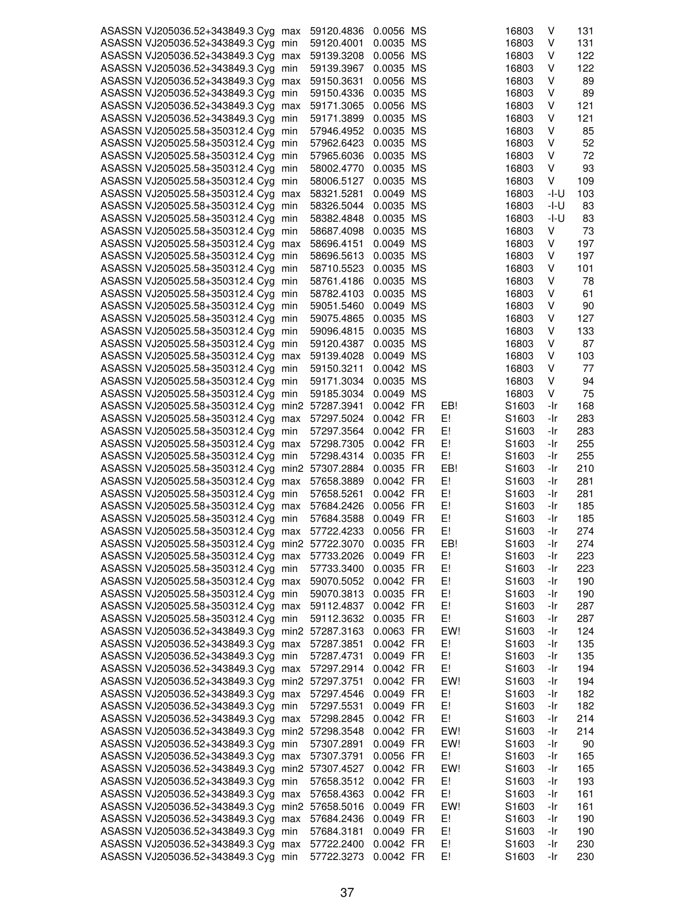| ASASSN VJ205036.52+343849.3 Cyg max             | 59120.4836 | 0.0056 MS |     | 16803             | ٧    | 131 |
|-------------------------------------------------|------------|-----------|-----|-------------------|------|-----|
|                                                 |            |           |     |                   |      |     |
| ASASSN VJ205036.52+343849.3 Cyg min             | 59120.4001 | 0.0035 MS |     | 16803             | ٧    | 131 |
| ASASSN VJ205036.52+343849.3 Cyg max             | 59139.3208 | 0.0056 MS |     | 16803             | V    | 122 |
| ASASSN VJ205036.52+343849.3 Cyg min             | 59139.3967 | 0.0035 MS |     | 16803             | ٧    | 122 |
| ASASSN VJ205036.52+343849.3 Cyg max             | 59150.3631 | 0.0056 MS |     | 16803             | ٧    | 89  |
| ASASSN VJ205036.52+343849.3 Cyg min             | 59150.4336 | 0.0035 MS |     | 16803             | V    | 89  |
|                                                 |            |           |     |                   |      |     |
| ASASSN VJ205036.52+343849.3 Cyg max             | 59171.3065 | 0.0056 MS |     | 16803             | V    | 121 |
| ASASSN VJ205036.52+343849.3 Cyg min             | 59171.3899 | 0.0035 MS |     | 16803             | ٧    | 121 |
| ASASSN VJ205025.58+350312.4 Cyg min             | 57946.4952 | 0.0035 MS |     | 16803             | ٧    | 85  |
| ASASSN VJ205025.58+350312.4 Cyg min             | 57962.6423 | 0.0035 MS |     | 16803             | ٧    | 52  |
|                                                 |            |           |     |                   |      |     |
| ASASSN VJ205025.58+350312.4 Cyg min             | 57965.6036 | 0.0035 MS |     | 16803             | ٧    | 72  |
| ASASSN VJ205025.58+350312.4 Cyg min             | 58002.4770 | 0.0035 MS |     | 16803             | ٧    | 93  |
| ASASSN VJ205025.58+350312.4 Cyg min             | 58006.5127 | 0.0035 MS |     | 16803             | ٧    | 109 |
| ASASSN VJ205025.58+350312.4 Cyg max             | 58321.5281 | 0.0049 MS |     | 16803             | -l-U | 103 |
|                                                 |            |           |     |                   |      |     |
| ASASSN VJ205025.58+350312.4 Cyg min             | 58326.5044 | 0.0035 MS |     | 16803             | -l-U | 83  |
| ASASSN VJ205025.58+350312.4 Cyg min             | 58382.4848 | 0.0035 MS |     | 16803             | -l-U | 83  |
| ASASSN VJ205025.58+350312.4 Cyg min             | 58687.4098 | 0.0035 MS |     | 16803             | ٧    | 73  |
| ASASSN VJ205025.58+350312.4 Cyg max             | 58696.4151 | 0.0049 MS |     | 16803             | V    | 197 |
|                                                 |            |           |     |                   |      |     |
| ASASSN VJ205025.58+350312.4 Cyg min             | 58696.5613 | 0.0035 MS |     | 16803             | V    | 197 |
| ASASSN VJ205025.58+350312.4 Cyg min             | 58710.5523 | 0.0035 MS |     | 16803             | V    | 101 |
| ASASSN VJ205025.58+350312.4 Cyg min             | 58761.4186 | 0.0035 MS |     | 16803             | V    | 78  |
| ASASSN VJ205025.58+350312.4 Cyg min             | 58782.4103 | 0.0035 MS |     | 16803             | ٧    | 61  |
|                                                 |            |           |     |                   |      |     |
| ASASSN VJ205025.58+350312.4 Cyg min             | 59051.5460 | 0.0049 MS |     | 16803             | ٧    | 90  |
| ASASSN VJ205025.58+350312.4 Cyg min             | 59075.4865 | 0.0035 MS |     | 16803             | V    | 127 |
| ASASSN VJ205025.58+350312.4 Cyg min             | 59096.4815 | 0.0035 MS |     | 16803             | ٧    | 133 |
|                                                 | 59120.4387 | 0.0035 MS |     | 16803             | V    | 87  |
| ASASSN VJ205025.58+350312.4 Cyg min             |            |           |     |                   |      |     |
| ASASSN VJ205025.58+350312.4 Cyg max             | 59139.4028 | 0.0049 MS |     | 16803             | V    | 103 |
| ASASSN VJ205025.58+350312.4 Cyg min             | 59150.3211 | 0.0042 MS |     | 16803             | ٧    | 77  |
| ASASSN VJ205025.58+350312.4 Cyg min             | 59171.3034 | 0.0035 MS |     | 16803             | v    | 94  |
| ASASSN VJ205025.58+350312.4 Cyg min             | 59185.3034 | 0.0049 MS |     | 16803             | V    | 75  |
|                                                 |            |           |     |                   |      |     |
| ASASSN VJ205025.58+350312.4 Cyg min2 57287.3941 |            | 0.0042 FR | EB! | S1603             | -Ir  | 168 |
| ASASSN VJ205025.58+350312.4 Cyg max             | 57297.5024 | 0.0042 FR | E!  | S1603             | -Ir  | 283 |
| ASASSN VJ205025.58+350312.4 Cyg min             | 57297.3564 | 0.0042 FR | E!  | S1603             | -Ir  | 283 |
| ASASSN VJ205025.58+350312.4 Cyg max             | 57298.7305 | 0.0042 FR | E!  | S <sub>1603</sub> | -Ir  | 255 |
|                                                 |            |           |     |                   |      |     |
| ASASSN VJ205025.58+350312.4 Cyg min             | 57298.4314 | 0.0035 FR | E!  | S <sub>1603</sub> | -Ir  | 255 |
| ASASSN VJ205025.58+350312.4 Cyg min2 57307.2884 |            | 0.0035 FR | EB! | S1603             | -Ir  | 210 |
| ASASSN VJ205025.58+350312.4 Cyg max             | 57658.3889 | 0.0042 FR | E!  | S1603             | -Ir  | 281 |
| ASASSN VJ205025.58+350312.4 Cyg min             | 57658.5261 | 0.0042 FR | E!  | S1603             | -Ir  | 281 |
|                                                 |            |           |     |                   |      |     |
| ASASSN VJ205025.58+350312.4 Cyg max             | 57684.2426 | 0.0056 FR | E!  | S1603             | -Ir  | 185 |
| ASASSN VJ205025.58+350312.4 Cyg min             | 57684.3588 | 0.0049 FR | E!  | S1603             | -Ir  | 185 |
| ASASSN VJ205025.58+350312.4 Cyg max             | 57722.4233 | 0.0056 FR | E!  | S1603             | -Ir  | 274 |
| ASASSN VJ205025.58+350312.4 Cyg min2 57722.3070 |            | 0.0035 FR | EB! | S1603             | -Ir  | 274 |
|                                                 |            |           |     |                   |      |     |
| ASASSN VJ205025.58+350312.4 Cyg max             | 57733.2026 | 0.0049 FR | E!  | S1603             | -Ir  | 223 |
| ASASSN VJ205025.58+350312.4 Cyg min             | 57733.3400 | 0.0035 FR | E!  | S1603             | -Ir  | 223 |
| ASASSN VJ205025.58+350312.4 Cyg max             | 59070.5052 | 0.0042 FR | E!  | S <sub>1603</sub> | -Ir  | 190 |
| ASASSN VJ205025.58+350312.4 Cyg min             | 59070.3813 | 0.0035 FR | E!  | S1603             | -Ir  | 190 |
| ASASSN VJ205025.58+350312.4 Cyg max             | 59112.4837 | 0.0042 FR | E!  | S1603             | -Ir  | 287 |
|                                                 |            |           |     |                   |      |     |
| ASASSN VJ205025.58+350312.4 Cyg min             | 59112.3632 | 0.0035 FR | E!  | S1603             | -Ir  | 287 |
| ASASSN VJ205036.52+343849.3 Cyg min2 57287.3163 |            | 0.0063 FR | EW! | S <sub>1603</sub> | -Ir  | 124 |
| ASASSN VJ205036.52+343849.3 Cyg max             | 57287.3851 | 0.0042 FR | E!  | S <sub>1603</sub> | -Ir  | 135 |
| ASASSN VJ205036.52+343849.3 Cyg min             | 57287.4731 | 0.0049 FR | E!  | S <sub>1603</sub> | -Ir  | 135 |
|                                                 |            |           |     |                   |      |     |
| ASASSN VJ205036.52+343849.3 Cyg max             | 57297.2914 | 0.0042 FR | E!  | S1603             | -Ir  | 194 |
| ASASSN VJ205036.52+343849.3 Cyg min2 57297.3751 |            | 0.0042 FR | EW! | S1603             | -Ir  | 194 |
| ASASSN VJ205036.52+343849.3 Cyg max             | 57297.4546 | 0.0049 FR | E!  | S <sub>1603</sub> | -Ir  | 182 |
| ASASSN VJ205036.52+343849.3 Cyg min             | 57297.5531 | 0.0049 FR | E!  | S1603             | -Ir  | 182 |
|                                                 |            |           |     |                   |      |     |
| ASASSN VJ205036.52+343849.3 Cyg max             | 57298.2845 | 0.0042 FR | E!  | S1603             | -Ir  | 214 |
| ASASSN VJ205036.52+343849.3 Cyg min2 57298.3548 |            | 0.0042 FR | EW! | S <sub>1603</sub> | -Ir  | 214 |
| ASASSN VJ205036.52+343849.3 Cyg min             | 57307.2891 | 0.0049 FR | EW! | S <sub>1603</sub> | -Ir  | 90  |
| ASASSN VJ205036.52+343849.3 Cyg max             | 57307.3791 | 0.0056 FR | E!  | S <sub>1603</sub> | -Ir  | 165 |
|                                                 |            |           |     |                   |      |     |
| ASASSN VJ205036.52+343849.3 Cyg min2 57307.4527 |            | 0.0042 FR | EW! | S <sub>1603</sub> | -Ir  | 165 |
| ASASSN VJ205036.52+343849.3 Cyg min             | 57658.3512 | 0.0042 FR | E!  | S <sub>1603</sub> | -Ir  | 193 |
| ASASSN VJ205036.52+343849.3 Cyg max             | 57658.4363 | 0.0042 FR | E!  | S <sub>1603</sub> | -Ir  | 161 |
| ASASSN VJ205036.52+343849.3 Cyg min2 57658.5016 |            | 0.0049 FR | EW! | S <sub>1603</sub> | -Ir  | 161 |
|                                                 |            |           |     |                   |      |     |
| ASASSN VJ205036.52+343849.3 Cyg max             | 57684.2436 | 0.0049 FR | E!  | S1603             | -Ir  | 190 |
| ASASSN VJ205036.52+343849.3 Cyg min             | 57684.3181 | 0.0049 FR | E!  | S1603             | -Ir  | 190 |
| ASASSN VJ205036.52+343849.3 Cyg max             | 57722.2400 | 0.0042 FR | E!  | S1603             | -Ir  | 230 |
| ASASSN VJ205036.52+343849.3 Cyg min             | 57722.3273 | 0.0042 FR | E!  | S1603             | -Ir  | 230 |
|                                                 |            |           |     |                   |      |     |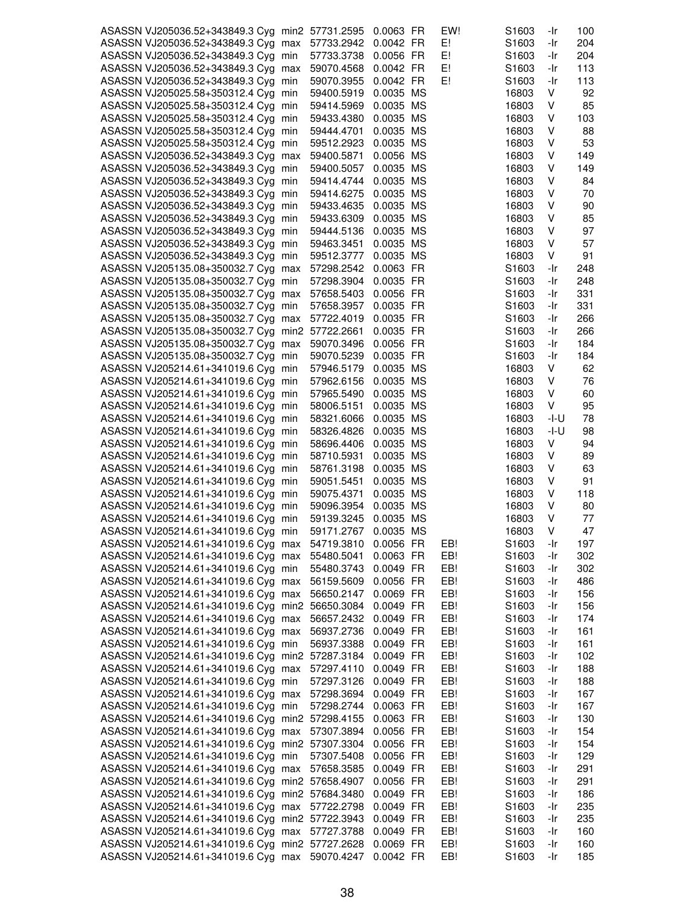| ASASSN VJ205036.52+343849.3 Cyg min2 57731.2595 |            | 0.0063 FR | EW! | S <sub>1603</sub> | -Ir  | 100 |
|-------------------------------------------------|------------|-----------|-----|-------------------|------|-----|
| ASASSN VJ205036.52+343849.3 Cyg max             | 57733.2942 | 0.0042 FR | E!  | S1603             | -Ir  | 204 |
| ASASSN VJ205036.52+343849.3 Cyg min             | 57733.3738 | 0.0056 FR | E!  | S1603             | -Ir  | 204 |
| ASASSN VJ205036.52+343849.3 Cyg max             |            | 0.0042 FR | E!  |                   |      | 113 |
|                                                 | 59070.4568 |           |     | S1603             | -Ir  |     |
| ASASSN VJ205036.52+343849.3 Cyg min             | 59070.3955 | 0.0042 FR | E!  | S <sub>1603</sub> | -Ir  | 113 |
| ASASSN VJ205025.58+350312.4 Cyg min             | 59400.5919 | 0.0035 MS |     | 16803             | v    | 92  |
| ASASSN VJ205025.58+350312.4 Cyg min             | 59414.5969 | 0.0035 MS |     | 16803             | V    | 85  |
| ASASSN VJ205025.58+350312.4 Cyg min             | 59433.4380 | 0.0035 MS |     | 16803             | ٧    | 103 |
| ASASSN VJ205025.58+350312.4 Cyg min             | 59444.4701 | 0.0035 MS |     | 16803             | ٧    | 88  |
| ASASSN VJ205025.58+350312.4 Cyg min             | 59512.2923 | 0.0035 MS |     | 16803             | v    | 53  |
| ASASSN VJ205036.52+343849.3 Cyg max             | 59400.5871 | 0.0056 MS |     | 16803             | V    | 149 |
| ASASSN VJ205036.52+343849.3 Cyg min             | 59400.5057 | 0.0035 MS |     | 16803             | V    | 149 |
| ASASSN VJ205036.52+343849.3 Cyg min             | 59414.4744 | 0.0035 MS |     | 16803             | ٧    | 84  |
| ASASSN VJ205036.52+343849.3 Cyg min             | 59414.6275 | 0.0035 MS |     | 16803             | V    | 70  |
| ASASSN VJ205036.52+343849.3 Cyg min             | 59433.4635 | 0.0035 MS |     | 16803             | V    | 90  |
| ASASSN VJ205036.52+343849.3 Cyg min             | 59433.6309 | 0.0035 MS |     | 16803             | V    | 85  |
| ASASSN VJ205036.52+343849.3 Cyg min             | 59444.5136 | 0.0035 MS |     | 16803             | ٧    | 97  |
|                                                 |            |           |     |                   | ٧    | 57  |
| ASASSN VJ205036.52+343849.3 Cyg min             | 59463.3451 | 0.0035 MS |     | 16803             |      |     |
| ASASSN VJ205036.52+343849.3 Cyg min             | 59512.3777 | 0.0035 MS |     | 16803             | V    | 91  |
| ASASSN VJ205135.08+350032.7 Cyg max             | 57298.2542 | 0.0063 FR |     | S1603             | -Ir  | 248 |
| ASASSN VJ205135.08+350032.7 Cyg min             | 57298.3904 | 0.0035 FR |     | S <sub>1603</sub> | -Ir  | 248 |
| ASASSN VJ205135.08+350032.7 Cyg max             | 57658.5403 | 0.0056 FR |     | S <sub>1603</sub> | -Ir  | 331 |
| ASASSN VJ205135.08+350032.7 Cyg min             | 57658.3957 | 0.0035 FR |     | S1603             | -Ir  | 331 |
| ASASSN VJ205135.08+350032.7 Cyg max             | 57722.4019 | 0.0035 FR |     | S <sub>1603</sub> | -Ir  | 266 |
| ASASSN VJ205135.08+350032.7 Cyg min2 57722.2661 |            | 0.0035 FR |     | S1603             | -Ir  | 266 |
| ASASSN VJ205135.08+350032.7 Cyg max             | 59070.3496 | 0.0056 FR |     | S <sub>1603</sub> | -Ir  | 184 |
| ASASSN VJ205135.08+350032.7 Cyg min             | 59070.5239 | 0.0035 FR |     | S <sub>1603</sub> | -Ir  | 184 |
| ASASSN VJ205214.61+341019.6 Cyg min             | 57946.5179 | 0.0035 MS |     | 16803             | V    | 62  |
| ASASSN VJ205214.61+341019.6 Cyg min             | 57962.6156 | 0.0035 MS |     | 16803             | v    | 76  |
| ASASSN VJ205214.61+341019.6 Cyg min             | 57965.5490 | 0.0035 MS |     | 16803             | V    | 60  |
| ASASSN VJ205214.61+341019.6 Cyg min             | 58006.5151 | 0.0035 MS |     | 16803             | ٧    | 95  |
| ASASSN VJ205214.61+341019.6 Cyg min             | 58321.6066 | 0.0035 MS |     | 16803             | -l-U | 78  |
| ASASSN VJ205214.61+341019.6 Cyg min             | 58326.4826 | 0.0035 MS |     | 16803             | -I-U | 98  |
|                                                 |            | 0.0035 MS |     |                   | V    | 94  |
| ASASSN VJ205214.61+341019.6 Cyg min             | 58696.4406 |           |     | 16803             |      |     |
| ASASSN VJ205214.61+341019.6 Cyg min             | 58710.5931 | 0.0035 MS |     | 16803             | V    | 89  |
| ASASSN VJ205214.61+341019.6 Cyg min             | 58761.3198 | 0.0035 MS |     | 16803             | ٧    | 63  |
| ASASSN VJ205214.61+341019.6 Cyg min             | 59051.5451 | 0.0035 MS |     | 16803             | ٧    | 91  |
| ASASSN VJ205214.61+341019.6 Cyg min             | 59075.4371 | 0.0035 MS |     | 16803             | V    | 118 |
| ASASSN VJ205214.61+341019.6 Cyg min             | 59096.3954 | 0.0035 MS |     | 16803             | v    | 80  |
| ASASSN VJ205214.61+341019.6 Cyg min             | 59139.3245 | 0.0035 MS |     | 16803             | V    | 77  |
| ASASSN VJ205214.61+341019.6 Cyg min             | 59171.2767 | 0.0035 MS |     | 16803             | v    | 47  |
| ASASSN VJ205214.61+341019.6 Cyg max             | 54719.3810 | 0.0056 FR | EB! | S1603             | -Ir  | 197 |
| ASASSN VJ205214.61+341019.6 Cyg max             | 55480.5041 | 0.0063 FR | EB! | S1603             | -Ir  | 302 |
| ASASSN VJ205214.61+341019.6 Cyg min             | 55480.3743 | 0.0049 FR | EB! | S <sub>1603</sub> | -Ir  | 302 |
| ASASSN VJ205214.61+341019.6 Cyg max             | 56159.5609 | 0.0056 FR | EB! | S <sub>1603</sub> | -Ir  | 486 |
| ASASSN VJ205214.61+341019.6 Cyg max             | 56650.2147 | 0.0069 FR | EB! | S1603             | -Ir  | 156 |
| ASASSN VJ205214.61+341019.6 Cyg min2 56650.3084 |            | 0.0049 FR | EB! | S1603             | -Ir  | 156 |
| ASASSN VJ205214.61+341019.6 Cyg max             | 56657.2432 | 0.0049 FR | EB! | S1603             | -Ir  | 174 |
| ASASSN VJ205214.61+341019.6 Cyg max             | 56937.2736 | 0.0049 FR | EB! | S <sub>1603</sub> | -Ir  | 161 |
| ASASSN VJ205214.61+341019.6 Cyg min             | 56937.3388 | 0.0049 FR | EB! | S <sub>1603</sub> | -Ir  | 161 |
| ASASSN VJ205214.61+341019.6 Cyg min2 57287.3184 |            | 0.0049 FR | EB! | S1603             | -Ir  | 102 |
| ASASSN VJ205214.61+341019.6 Cyg max             | 57297.4110 | 0.0049 FR | EB! | S1603             | -Ir  | 188 |
|                                                 |            |           | EB! |                   | -Ir  |     |
| ASASSN VJ205214.61+341019.6 Cyg min             | 57297.3126 | 0.0049 FR |     | S1603             |      | 188 |
| ASASSN VJ205214.61+341019.6 Cyg max             | 57298.3694 | 0.0049 FR | EB! | S <sub>1603</sub> | -Ir  | 167 |
| ASASSN VJ205214.61+341019.6 Cyg min             | 57298.2744 | 0.0063 FR | EB! | S1603             | -Ir  | 167 |
| ASASSN VJ205214.61+341019.6 Cyg min2 57298.4155 |            | 0.0063 FR | EB! | S1603             | -Ir  | 130 |
| ASASSN VJ205214.61+341019.6 Cyg max             | 57307.3894 | 0.0056 FR | EB! | S1603             | -Ir  | 154 |
| ASASSN VJ205214.61+341019.6 Cyg min2 57307.3304 |            | 0.0056 FR | EB! | S <sub>1603</sub> | -Ir  | 154 |
| ASASSN VJ205214.61+341019.6 Cyg min             | 57307.5408 | 0.0056 FR | EB! | S <sub>1603</sub> | -Ir  | 129 |
| ASASSN VJ205214.61+341019.6 Cyg max             | 57658.3585 | 0.0049 FR | EB! | S1603             | -Ir  | 291 |
| ASASSN VJ205214.61+341019.6 Cyg min2 57658.4907 |            | 0.0056 FR | EB! | S1603             | -Ir  | 291 |
| ASASSN VJ205214.61+341019.6 Cyg min2 57684.3480 |            | 0.0049 FR | EB! | S <sub>1603</sub> | -Ir  | 186 |
| ASASSN VJ205214.61+341019.6 Cyg max 57722.2798  |            | 0.0049 FR | EB! | S <sub>1603</sub> | -Ir  | 235 |
| ASASSN VJ205214.61+341019.6 Cyg min2 57722.3943 |            | 0.0049 FR | EB! | S <sub>1603</sub> | -Ir  | 235 |
| ASASSN VJ205214.61+341019.6 Cyg max 57727.3788  |            | 0.0049 FR | EB! | S1603             | -Ir  | 160 |
| ASASSN VJ205214.61+341019.6 Cyg min2 57727.2628 |            | 0.0069 FR | EB! | S1603             | -Ir  | 160 |
| ASASSN VJ205214.61+341019.6 Cyg max 59070.4247  |            | 0.0042 FR | EB! | S1603             | -Ir  | 185 |
|                                                 |            |           |     |                   |      |     |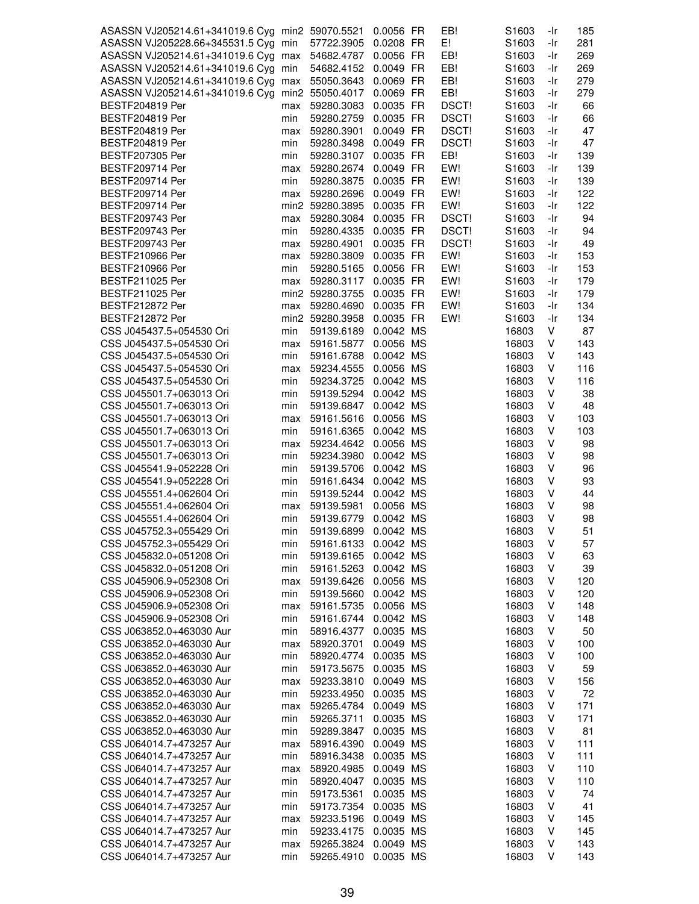| ASASSN VJ205214.61+341019.6 Cyg min2 59070.5521 |     |                 | 0.0056 FR              | EB!          | S <sub>1603</sub> | -Ir | 185 |
|-------------------------------------------------|-----|-----------------|------------------------|--------------|-------------------|-----|-----|
| ASASSN VJ205228.66+345531.5 Cyg min             |     | 57722.3905      | 0.0208 FR              | E!           | S1603             | -Ir | 281 |
| ASASSN VJ205214.61+341019.6 Cyg max             |     | 54682.4787      | 0.0056 FR              | EB!          | S <sub>1603</sub> | -Ir | 269 |
| ASASSN VJ205214.61+341019.6 Cyg min             |     | 54682.4152      | 0.0049 FR              | EB!          | S <sub>1603</sub> | -Ir | 269 |
| ASASSN VJ205214.61+341019.6 Cyg max             |     | 55050.3643      | 0.0069 FR              | EB!          | S <sub>1603</sub> | -Ir | 279 |
| ASASSN VJ205214.61+341019.6 Cyg min2 55050.4017 |     |                 | 0.0069 FR              | EB!          | S <sub>1603</sub> | -Ir | 279 |
| <b>BESTF204819 Per</b>                          | max | 59280.3083      | 0.0035 FR              | <b>DSCT!</b> | S1603             | -Ir | 66  |
| <b>BESTF204819 Per</b>                          | min | 59280.2759      | 0.0035 FR              | DSCT!        | S1603             | -Ir | 66  |
| <b>BESTF204819 Per</b>                          | max | 59280.3901      | 0.0049 FR              | DSCT!        | S1603             | -Ir | 47  |
| BESTF204819 Per                                 | min | 59280.3498      | 0.0049 FR              | <b>DSCT!</b> | S <sub>1603</sub> | -Ir | 47  |
| BESTF207305 Per                                 | min | 59280.3107      | 0.0035 FR              | EB!          | S <sub>1603</sub> | -Ir | 139 |
| BESTF209714 Per                                 | max | 59280.2674      | 0.0049 FR              | EW!          | S1603             | -Ir | 139 |
| BESTF209714 Per                                 | min | 59280.3875      | 0.0035 FR              | EW!          | S1603             | -Ir | 139 |
| BESTF209714 Per                                 | max | 59280.2696      | 0.0049 FR              | EW!          | S <sub>1603</sub> | -Ir | 122 |
| BESTF209714 Per                                 |     | min2 59280.3895 | 0.0035 FR              | EW!          | S <sub>1603</sub> | -Ir | 122 |
| BESTF209743 Per                                 | max | 59280.3084      | 0.0035 FR              | DSCT!        | S <sub>1603</sub> | -Ir | 94  |
| BESTF209743 Per                                 | min | 59280.4335      | 0.0035 FR              | DSCT!        | S <sub>1603</sub> | -Ir | 94  |
| BESTF209743 Per                                 | max | 59280.4901      | 0.0035 FR              | DSCT!        | S1603             | -Ir | 49  |
| <b>BESTF210966 Per</b>                          | max | 59280.3809      | 0.0035 FR              | EW!          | S <sub>1603</sub> | -Ir | 153 |
| <b>BESTF210966 Per</b>                          | min | 59280.5165      | 0.0056 FR              | EW!          | S1603             | -Ir | 153 |
| BESTF211025 Per                                 | max | 59280.3117      | 0.0035 FR              | EW!          | S <sub>1603</sub> | -Ir | 179 |
| BESTF211025 Per                                 |     | min2 59280.3755 | 0.0035 FR              | EW!          | S1603             | -Ir | 179 |
| BESTF212872 Per                                 | max | 59280.4690      | 0.0035 FR              | EW!          | S1603             | -Ir | 134 |
| BESTF212872 Per                                 |     | min2 59280.3958 | 0.0035 FR              | EW!          | S1603             | -Ir | 134 |
| CSS J045437.5+054530 Ori                        | min | 59139.6189      | 0.0042 MS              |              | 16803             | V   | 87  |
| CSS J045437.5+054530 Ori                        | max | 59161.5877      | 0.0056 MS              |              | 16803             | V   | 143 |
| CSS J045437.5+054530 Ori                        | min | 59161.6788      | 0.0042 MS              |              | 16803             | V   | 143 |
| CSS J045437.5+054530 Ori                        | max | 59234.4555      | 0.0056 MS              |              | 16803             | V   | 116 |
| CSS J045437.5+054530 Ori                        | min | 59234.3725      | 0.0042 MS              |              | 16803             | V   | 116 |
| CSS J045501.7+063013 Ori                        | min | 59139.5294      | 0.0042 MS              |              | 16803             | V   | 38  |
| CSS J045501.7+063013 Ori                        | min | 59139.6847      | 0.0042 MS              |              | 16803             | V   | 48  |
|                                                 |     |                 |                        |              | 16803             | V   | 103 |
| CSS J045501.7+063013 Ori                        | max | 59161.5616      | 0.0056 MS<br>0.0042 MS |              |                   |     |     |
| CSS J045501.7+063013 Ori                        | min | 59161.6365      |                        |              | 16803             | V   | 103 |
| CSS J045501.7+063013 Ori                        | max | 59234.4642      | 0.0056 MS              |              | 16803             | V   | 98  |
| CSS J045501.7+063013 Ori                        | min | 59234.3980      | 0.0042 MS              |              | 16803             | V   | 98  |
| CSS J045541.9+052228 Ori                        | min | 59139.5706      | 0.0042 MS              |              | 16803             | V   | 96  |
| CSS J045541.9+052228 Ori                        | min | 59161.6434      | 0.0042 MS              |              | 16803             | V   | 93  |
| CSS J045551.4+062604 Ori                        | min | 59139.5244      | 0.0042 MS              |              | 16803             | V   | 44  |
| CSS J045551.4+062604 Ori                        | max | 59139.5981      | 0.0056 MS              |              | 16803             | V   | 98  |
| CSS J045551.4+062604 Ori                        | min | 59139.6779      | 0.0042 MS              |              | 16803             | V   | 98  |
| CSS J045752.3+055429 Ori                        | min | 59139.6899      | 0.0042 MS              |              | 16803             | v   | 51  |
| CSS J045752.3+055429 Ori                        | min | 59161.6133      | 0.0042 MS              |              | 16803             | V   | 57  |
| CSS J045832.0+051208 Ori                        | min | 59139.6165      | 0.0042 MS              |              | 16803             | V   | 63  |
| CSS J045832.0+051208 Ori                        | min | 59161.5263      | 0.0042 MS              |              | 16803             | V   | 39  |
| CSS J045906.9+052308 Ori                        | max | 59139.6426      | 0.0056 MS              |              | 16803             | V   | 120 |
| CSS J045906.9+052308 Ori                        | min | 59139.5660      | 0.0042 MS              |              | 16803             | V   | 120 |
| CSS J045906.9+052308 Ori                        | max | 59161.5735      | 0.0056 MS              |              | 16803             | V   | 148 |
| CSS J045906.9+052308 Ori                        | min | 59161.6744      | 0.0042 MS              |              | 16803             | V   | 148 |
| CSS J063852.0+463030 Aur                        | min | 58916.4377      | 0.0035 MS              |              | 16803             | V   | 50  |
| CSS J063852.0+463030 Aur                        | max | 58920.3701      | 0.0049 MS              |              | 16803             | V   | 100 |
| CSS J063852.0+463030 Aur                        | min | 58920.4774      | 0.0035 MS              |              | 16803             | V   | 100 |
| CSS J063852.0+463030 Aur                        | min | 59173.5675      | 0.0035 MS              |              | 16803             | V   | 59  |
| CSS J063852.0+463030 Aur                        | max | 59233.3810      | 0.0049 MS              |              | 16803             | V   | 156 |
| CSS J063852.0+463030 Aur                        | min | 59233.4950      | 0.0035 MS              |              | 16803             | V   | 72  |
| CSS J063852.0+463030 Aur                        | max | 59265.4784      | 0.0049 MS              |              | 16803             | V   | 171 |
| CSS J063852.0+463030 Aur                        | min | 59265.3711      | 0.0035 MS              |              | 16803             | V   | 171 |
| CSS J063852.0+463030 Aur                        | min | 59289.3847      | 0.0035 MS              |              | 16803             | V   | 81  |
| CSS J064014.7+473257 Aur                        | max | 58916.4390      | 0.0049 MS              |              | 16803             | V   | 111 |
| CSS J064014.7+473257 Aur                        | min | 58916.3438      | 0.0035 MS              |              | 16803             | V   | 111 |
| CSS J064014.7+473257 Aur                        | max | 58920.4985      | 0.0049 MS              |              | 16803             | V   | 110 |
| CSS J064014.7+473257 Aur                        | min | 58920.4047      | 0.0035 MS              |              | 16803             | V   | 110 |
| CSS J064014.7+473257 Aur                        | min | 59173.5361      | 0.0035 MS              |              | 16803             | V   | 74  |
| CSS J064014.7+473257 Aur                        | min | 59173.7354      | 0.0035 MS              |              | 16803             | V   | 41  |
| CSS J064014.7+473257 Aur                        | max | 59233.5196      | 0.0049 MS              |              | 16803             | V   | 145 |
| CSS J064014.7+473257 Aur                        | min | 59233.4175      | 0.0035 MS              |              | 16803             | V   | 145 |
| CSS J064014.7+473257 Aur                        | max | 59265.3824      | 0.0049 MS              |              | 16803             | V   | 143 |
| CSS J064014.7+473257 Aur                        | min | 59265.4910      | 0.0035 MS              |              | 16803             | V   | 143 |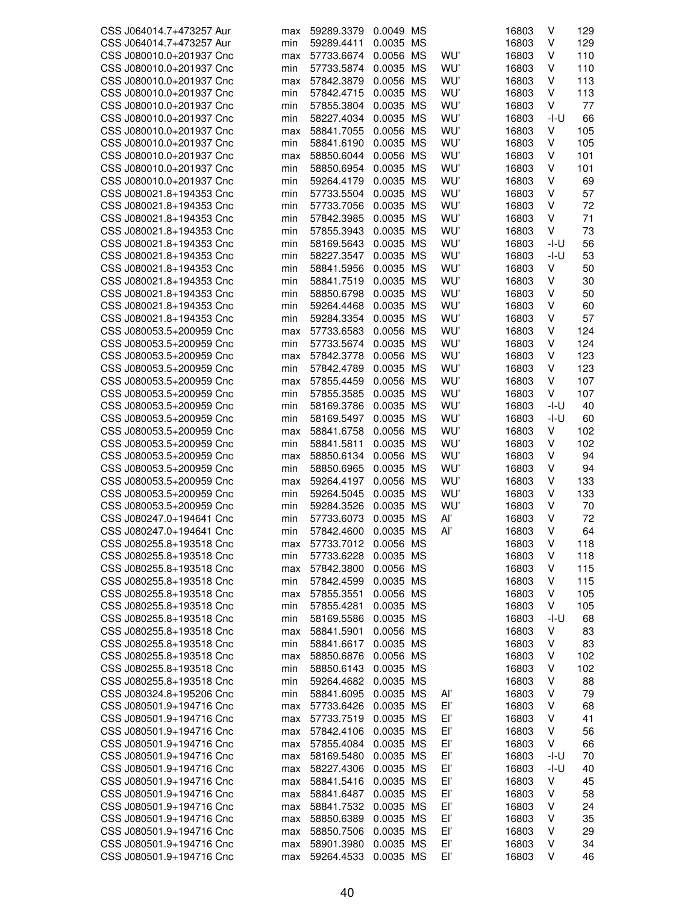| CSS J064014.7+473257 Aur | max | 59289.3379 | 0.0049 MS |           |     | 16803 | V      | 129 |
|--------------------------|-----|------------|-----------|-----------|-----|-------|--------|-----|
| CSS J064014.7+473257 Aur | min | 59289.4411 | 0.0035    | МS        |     | 16803 | V      | 129 |
| CSS J080010.0+201937 Cnc | max | 57733.6674 | 0.0056    | <b>MS</b> | WU' | 16803 | ٧      | 110 |
| CSS J080010.0+201937 Cnc | min | 57733.5874 | 0.0035    | <b>MS</b> | WU' | 16803 | ٧      | 110 |
| CSS J080010.0+201937 Cnc | max | 57842.3879 | 0.0056    | МS        | WU' | 16803 | ٧      | 113 |
| CSS J080010.0+201937 Cnc |     |            |           |           | WU' |       | V      |     |
|                          | min | 57842.4715 | 0.0035    | МS        |     | 16803 |        | 113 |
| CSS J080010.0+201937 Cnc | min | 57855.3804 | 0.0035    | МS        | WU' | 16803 | V      | 77  |
| CSS J080010.0+201937 Cnc | min | 58227.4034 | 0.0035    | МS        | WU' | 16803 | -I-U   | 66  |
| CSS J080010.0+201937 Cnc | max | 58841.7055 | 0.0056    | ΜS        | WU' | 16803 | V      | 105 |
| CSS J080010.0+201937 Cnc | min | 58841.6190 | 0.0035    | MS        | WU' | 16803 | V      | 105 |
| CSS J080010.0+201937 Cnc | max | 58850.6044 | 0.0056 MS |           | WU' | 16803 | V      | 101 |
| CSS J080010.0+201937 Cnc | min | 58850.6954 | 0.0035    | МS        | WU' | 16803 | V      | 101 |
| CSS J080010.0+201937 Cnc | min | 59264.4179 | 0.0035 MS |           | WU' | 16803 | V      | 69  |
| CSS J080021.8+194353 Cnc | min | 57733.5504 | 0.0035    | <b>MS</b> | WU' | 16803 | V      | 57  |
| CSS J080021.8+194353 Cnc | min | 57733.7056 | 0.0035    | <b>MS</b> | WU' | 16803 | V      | 72  |
| CSS J080021.8+194353 Cnc | min | 57842.3985 | 0.0035    | MS        | WU' | 16803 | V      | 71  |
|                          |     |            |           |           |     |       |        |     |
| CSS J080021.8+194353 Cnc | min | 57855.3943 | 0.0035    | МS        | WU' | 16803 | ٧      | 73  |
| CSS J080021.8+194353 Cnc | min | 58169.5643 | 0.0035    | МS        | WU' | 16803 | -I-U   | 56  |
| CSS J080021.8+194353 Cnc | min | 58227.3547 | 0.0035    | MS        | WU' | 16803 | $-I-U$ | 53  |
| CSS J080021.8+194353 Cnc | min | 58841.5956 | 0.0035    | <b>MS</b> | WU' | 16803 | V      | 50  |
| CSS J080021.8+194353 Cnc | min | 58841.7519 | 0.0035    | <b>MS</b> | WU' | 16803 | V      | 30  |
| CSS J080021.8+194353 Cnc | min | 58850.6798 | 0.0035    | МS        | WU' | 16803 | V      | 50  |
| CSS J080021.8+194353 Cnc | min | 59264.4468 | 0.0035    | МS        | WU' | 16803 | V      | 60  |
| CSS J080021.8+194353 Cnc | min | 59284.3354 | 0.0035    | MS        | WU' | 16803 | V      | 57  |
|                          |     |            |           |           |     |       |        |     |
| CSS J080053.5+200959 Cnc | max | 57733.6583 | 0.0056    | MS        | WU' | 16803 | V      | 124 |
| CSS J080053.5+200959 Cnc | min | 57733.5674 | 0.0035    | <b>MS</b> | WU' | 16803 | V      | 124 |
| CSS J080053.5+200959 Cnc | max | 57842.3778 | 0.0056    | ΜS        | WU' | 16803 | ٧      | 123 |
| CSS J080053.5+200959 Cnc | min | 57842.4789 | 0.0035    | <b>MS</b> | WU' | 16803 | ٧      | 123 |
| CSS J080053.5+200959 Cnc | max | 57855.4459 | 0.0056    | МS        | WU' | 16803 | V      | 107 |
| CSS J080053.5+200959 Cnc | min | 57855.3585 | 0.0035    | МS        | WU' | 16803 | V      | 107 |
| CSS J080053.5+200959 Cnc | min | 58169.3786 | 0.0035    | МS        | WU' | 16803 | -I-U   | 40  |
| CSS J080053.5+200959 Cnc | min | 58169.5497 | 0.0035    | ΜS        | WU' | 16803 | -l-U   | 60  |
| CSS J080053.5+200959 Cnc |     | 58841.6758 | 0.0056    | МS        | WU' | 16803 | V      | 102 |
|                          | max |            |           |           |     |       |        |     |
| CSS J080053.5+200959 Cnc | min | 58841.5811 | 0.0035    | МS        | WU' | 16803 | V      | 102 |
| CSS J080053.5+200959 Cnc | max | 58850.6134 | 0.0056    | МS        | WU' | 16803 | V      | 94  |
| CSS J080053.5+200959 Cnc | min | 58850.6965 | 0.0035    | <b>MS</b> | WU' | 16803 | V      | 94  |
| CSS J080053.5+200959 Cnc | max | 59264.4197 | 0.0056    | MS        | WU' | 16803 | V      | 133 |
| CSS J080053.5+200959 Cnc | min | 59264.5045 | 0.0035    | <b>MS</b> | WU' | 16803 | V      | 133 |
| CSS J080053.5+200959 Cnc | min | 59284.3526 | 0.0035    | <b>MS</b> | WU' | 16803 | V      | 70  |
| CSS J080247.0+194641 Cnc | min | 57733.6073 | 0.0035    | <b>MS</b> | Aľ  | 16803 | V      | 72  |
| CSS J080247.0+194641 Cnc | min | 57842.4600 | 0.0035    | <b>MS</b> | Al' | 16803 | v      | 64  |
| CSS J080255.8+193518 Cnc | max | 57733.7012 | 0.0056 MS |           |     | 16803 | ٧      | 118 |
| CSS J080255.8+193518 Cnc | min | 57733.6228 | 0.0035 MS |           |     | 16803 | ٧      | 118 |
| CSS J080255.8+193518 Cnc |     |            |           |           |     |       | V      |     |
|                          | max | 57842.3800 | 0.0056 MS |           |     | 16803 |        | 115 |
| CSS J080255.8+193518 Cnc | min | 57842.4599 | 0.0035 MS |           |     | 16803 | ٧      | 115 |
| CSS J080255.8+193518 Cnc | max | 57855.3551 | 0.0056 MS |           |     | 16803 | ٧      | 105 |
| CSS J080255.8+193518 Cnc | min | 57855.4281 | 0.0035 MS |           |     | 16803 | V      | 105 |
| CSS J080255.8+193518 Cnc | min | 58169.5586 | 0.0035 MS |           |     | 16803 | $-I-U$ | 68  |
| CSS J080255.8+193518 Cnc | max | 58841.5901 | 0.0056 MS |           |     | 16803 | ٧      | 83  |
| CSS J080255.8+193518 Cnc | min | 58841.6617 | 0.0035 MS |           |     | 16803 | V      | 83  |
| CSS J080255.8+193518 Cnc | max | 58850.6876 | 0.0056 MS |           |     | 16803 | V      | 102 |
| CSS J080255.8+193518 Cnc | min | 58850.6143 | 0.0035 MS |           |     | 16803 | ٧      | 102 |
| CSS J080255.8+193518 Cnc | min | 59264.4682 | 0.0035 MS |           |     | 16803 | ٧      | 88  |
|                          |     |            |           |           |     |       |        |     |
| CSS J080324.8+195206 Cnc | min | 58841.6095 | 0.0035 MS |           | Αľ  | 16803 | ٧      | 79  |
| CSS J080501.9+194716 Cnc | max | 57733.6426 | 0.0035 MS |           | Eľ  | 16803 | V      | 68  |
| CSS J080501.9+194716 Cnc | max | 57733.7519 | 0.0035 MS |           | Eľ  | 16803 | V      | 41  |
| CSS J080501.9+194716 Cnc | max | 57842.4106 | 0.0035 MS |           | Eľ  | 16803 | ٧      | 56  |
| CSS J080501.9+194716 Cnc | max | 57855.4084 | 0.0035 MS |           | Eľ  | 16803 | ٧      | 66  |
| CSS J080501.9+194716 Cnc | max | 58169.5480 | 0.0035 MS |           | Eľ  | 16803 | -I-U   | 70  |
| CSS J080501.9+194716 Cnc | max | 58227.4306 | 0.0035 MS |           | Eľ  | 16803 | -I-U   | 40  |
| CSS J080501.9+194716 Cnc | max | 58841.5416 | 0.0035 MS |           | Eľ  | 16803 | ٧      | 45  |
| CSS J080501.9+194716 Cnc |     | 58841.6487 | 0.0035 MS |           | Eľ  | 16803 | V      | 58  |
|                          | max |            |           |           |     |       |        |     |
| CSS J080501.9+194716 Cnc | max | 58841.7532 | 0.0035 MS |           | Eľ  | 16803 | ٧      | 24  |
| CSS J080501.9+194716 Cnc | max | 58850.6389 | 0.0035 MS |           | Eľ  | 16803 | ٧      | 35  |
| CSS J080501.9+194716 Cnc | max | 58850.7506 | 0.0035 MS |           | Eľ  | 16803 | ٧      | 29  |
| CSS J080501.9+194716 Cnc | max | 58901.3980 | 0.0035 MS |           | Eľ  | 16803 | ٧      | 34  |
| CSS J080501.9+194716 Cnc | max | 59264.4533 | 0.0035 MS |           | Eľ, | 16803 | V      | 46  |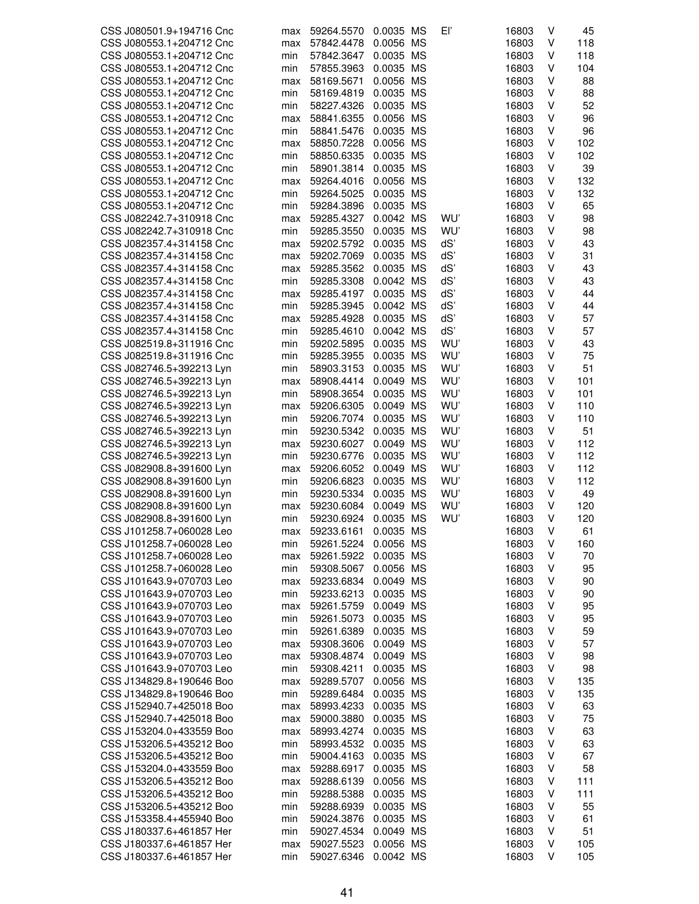| CSS J080501.9+194716 Cnc | max | 59264.5570 | 0.0035 MS |           | Εľ  | 16803 | V | 45  |
|--------------------------|-----|------------|-----------|-----------|-----|-------|---|-----|
| CSS J080553.1+204712 Cnc | max | 57842.4478 | 0.0056    | <b>MS</b> |     | 16803 | V | 118 |
| CSS J080553.1+204712 Cnc | min | 57842.3647 | 0.0035 MS |           |     | 16803 | V | 118 |
| CSS J080553.1+204712 Cnc | min | 57855.3963 | 0.0035 MS |           |     | 16803 | V | 104 |
| CSS J080553.1+204712 Cnc | max | 58169.5671 | 0.0056 MS |           |     | 16803 | V | 88  |
| CSS J080553.1+204712 Cnc | min | 58169.4819 | 0.0035 MS |           |     | 16803 | V | 88  |
| CSS J080553.1+204712 Cnc | min | 58227.4326 | 0.0035 MS |           |     | 16803 | V | 52  |
| CSS J080553.1+204712 Cnc | max | 58841.6355 | 0.0056    | ΜS        |     | 16803 | V | 96  |
| CSS J080553.1+204712 Cnc | min | 58841.5476 | 0.0035 MS |           |     | 16803 | V | 96  |
| CSS J080553.1+204712 Cnc | max | 58850.7228 | 0.0056 MS |           |     | 16803 | V | 102 |
| CSS J080553.1+204712 Cnc | min | 58850.6335 | 0.0035 MS |           |     | 16803 | V | 102 |
| CSS J080553.1+204712 Cnc | min | 58901.3814 | 0.0035 MS |           |     | 16803 | V | 39  |
| CSS J080553.1+204712 Cnc | max | 59264.4016 | 0.0056 MS |           |     | 16803 | V | 132 |
| CSS J080553.1+204712 Cnc | min | 59264.5025 | 0.0035    | ΜS        |     | 16803 | V | 132 |
| CSS J080553.1+204712 Cnc | min | 59284.3896 | 0.0035 MS |           |     | 16803 | V | 65  |
| CSS J082242.7+310918 Cnc | max | 59285.4327 | 0.0042 MS |           | WU' | 16803 | V | 98  |
| CSS J082242.7+310918 Cnc | min | 59285.3550 | 0.0035 MS |           | WU' | 16803 | V | 98  |
| CSS J082357.4+314158 Cnc |     | 59202.5792 | 0.0035 MS |           | dS' | 16803 | V | 43  |
| CSS J082357.4+314158 Cnc | max |            | 0.0035    | MS        | dS' | 16803 | V | 31  |
|                          | max | 59202.7069 | 0.0035 MS |           |     |       | V |     |
| CSS J082357.4+314158 Cnc | max | 59285.3562 |           |           | dS' | 16803 |   | 43  |
| CSS J082357.4+314158 Cnc | min | 59285.3308 | 0.0042 MS |           | dS' | 16803 | V | 43  |
| CSS J082357.4+314158 Cnc | max | 59285.4197 | 0.0035 MS |           | dS' | 16803 | V | 44  |
| CSS J082357.4+314158 Cnc | min | 59285.3945 | 0.0042 MS |           | dS' | 16803 | V | 44  |
| CSS J082357.4+314158 Cnc | max | 59285.4928 | 0.0035 MS |           | dS' | 16803 | V | 57  |
| CSS J082357.4+314158 Cnc | min | 59285.4610 | 0.0042 MS |           | dS' | 16803 | V | 57  |
| CSS J082519.8+311916 Cnc | min | 59202.5895 | 0.0035 MS |           | WU' | 16803 | V | 43  |
| CSS J082519.8+311916 Cnc | min | 59285.3955 | 0.0035 MS |           | WU' | 16803 | V | 75  |
| CSS J082746.5+392213 Lyn | min | 58903.3153 | 0.0035 MS |           | WU' | 16803 | V | 51  |
| CSS J082746.5+392213 Lyn | max | 58908.4414 | 0.0049 MS |           | WU' | 16803 | V | 101 |
| CSS J082746.5+392213 Lyn | min | 58908.3654 | 0.0035 MS |           | WU' | 16803 | V | 101 |
| CSS J082746.5+392213 Lyn | max | 59206.6305 | 0.0049    | ΜS        | WU' | 16803 | V | 110 |
| CSS J082746.5+392213 Lyn | min | 59206.7074 | 0.0035 MS |           | WU' | 16803 | V | 110 |
| CSS J082746.5+392213 Lyn | min | 59230.5342 | 0.0035 MS |           | WU' | 16803 | V | 51  |
| CSS J082746.5+392213 Lyn | max | 59230.6027 | 0.0049    | МS        | WU' | 16803 | V | 112 |
| CSS J082746.5+392213 Lyn | min | 59230.6776 | 0.0035 MS |           | WU' | 16803 | ٧ | 112 |
| CSS J082908.8+391600 Lyn | max | 59206.6052 | 0.0049    | ΜS        | WU' | 16803 | V | 112 |
| CSS J082908.8+391600 Lyn | min | 59206.6823 | 0.0035    | <b>MS</b> | WU' | 16803 | V | 112 |
| CSS J082908.8+391600 Lyn | min | 59230.5334 | 0.0035    | ΜS        | WU' | 16803 | V | 49  |
| CSS J082908.8+391600 Lyn | max | 59230.6084 | 0.0049    | МS        | WU' | 16803 | V | 120 |
| CSS J082908.8+391600 Lyn | min | 59230.6924 | 0.0035    | МS        | WU' | 16803 | V | 120 |
| CSS J101258.7+060028 Leo | max | 59233.6161 | 0.0035    | MS        |     | 16803 | V | 61  |
| CSS J101258.7+060028 Leo | min | 59261.5224 | 0.0056 MS |           |     | 16803 | V | 160 |
| CSS J101258.7+060028 Leo | max | 59261.5922 | 0.0035 MS |           |     | 16803 | V | 70  |
| CSS J101258.7+060028 Leo | min | 59308.5067 | 0.0056 MS |           |     | 16803 | V | 95  |
| CSS J101643.9+070703 Leo | max | 59233.6834 | 0.0049 MS |           |     | 16803 | ٧ | 90  |
| CSS J101643.9+070703 Leo | min | 59233.6213 | 0.0035 MS |           |     | 16803 | V | 90  |
| CSS J101643.9+070703 Leo | max | 59261.5759 | 0.0049 MS |           |     | 16803 | ٧ | 95  |
| CSS J101643.9+070703 Leo | min | 59261.5073 | 0.0035 MS |           |     | 16803 | V | 95  |
| CSS J101643.9+070703 Leo | min | 59261.6389 | 0.0035 MS |           |     | 16803 | V | 59  |
| CSS J101643.9+070703 Leo | max | 59308.3606 | 0.0049 MS |           |     | 16803 | ٧ | 57  |
| CSS J101643.9+070703 Leo | max | 59308.4874 | 0.0049 MS |           |     | 16803 | ٧ | 98  |
| CSS J101643.9+070703 Leo | min | 59308.4211 | 0.0035 MS |           |     | 16803 | ٧ | 98  |
| CSS J134829.8+190646 Boo | max | 59289.5707 | 0.0056 MS |           |     | 16803 | V | 135 |
| CSS J134829.8+190646 Boo | min | 59289.6484 | 0.0035 MS |           |     | 16803 | V | 135 |
|                          |     |            |           |           |     |       |   |     |
| CSS J152940.7+425018 Boo | max | 58993.4233 | 0.0035 MS |           |     | 16803 | V | 63  |
| CSS J152940.7+425018 Boo | max | 59000.3880 | 0.0035 MS |           |     | 16803 | ٧ | 75  |
| CSS J153204.0+433559 Boo | max | 58993.4274 | 0.0035 MS |           |     | 16803 | ٧ | 63  |
| CSS J153206.5+435212 Boo | min | 58993.4532 | 0.0035 MS |           |     | 16803 | ٧ | 63  |
| CSS J153206.5+435212 Boo | min | 59004.4163 | 0.0035 MS |           |     | 16803 | V | 67  |
| CSS J153204.0+433559 Boo | max | 59288.6917 | 0.0035 MS |           |     | 16803 | V | 58  |
| CSS J153206.5+435212 Boo | max | 59288.6139 | 0.0056 MS |           |     | 16803 | V | 111 |
| CSS J153206.5+435212 Boo | min | 59288.5388 | 0.0035 MS |           |     | 16803 | ٧ | 111 |
| CSS J153206.5+435212 Boo | min | 59288.6939 | 0.0035 MS |           |     | 16803 | V | 55  |
| CSS J153358.4+455940 Boo | min | 59024.3876 | 0.0035 MS |           |     | 16803 | ٧ | 61  |
| CSS J180337.6+461857 Her | min | 59027.4534 | 0.0049 MS |           |     | 16803 | V | 51  |
| CSS J180337.6+461857 Her | max | 59027.5523 | 0.0056 MS |           |     | 16803 | V | 105 |
| CSS J180337.6+461857 Her | min | 59027.6346 | 0.0042 MS |           |     | 16803 | V | 105 |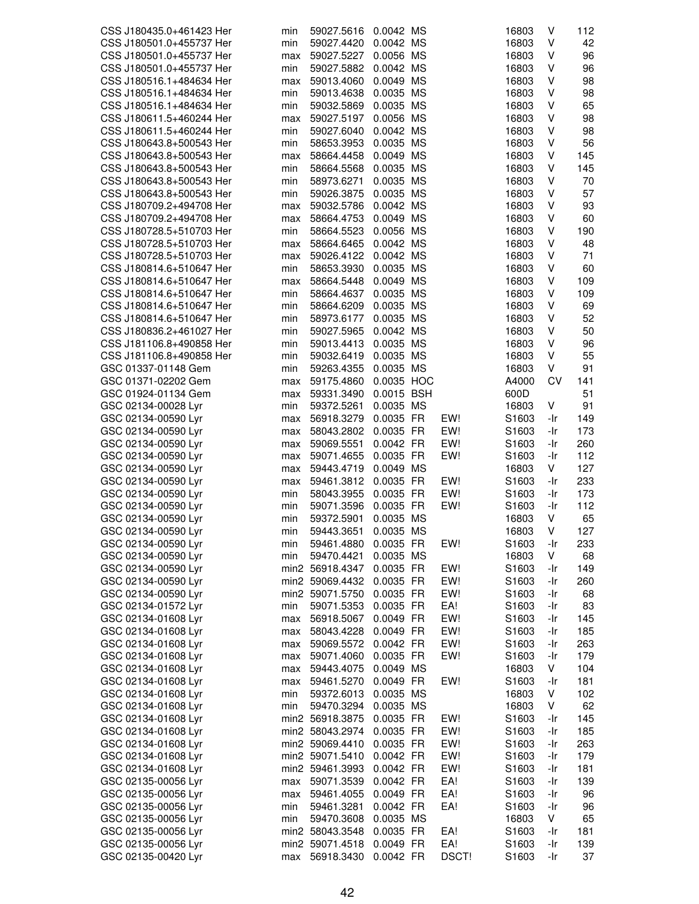| CSS J180435.0+461423 Her | min | 59027.5616      | 0.0042 MS  |       | 16803 | V   | 112 |
|--------------------------|-----|-----------------|------------|-------|-------|-----|-----|
| CSS J180501.0+455737 Her | min | 59027.4420      | 0.0042 MS  |       | 16803 | V   | 42  |
| CSS J180501.0+455737 Her | max | 59027.5227      | 0.0056 MS  |       | 16803 | ٧   | 96  |
| CSS J180501.0+455737 Her | min | 59027.5882      | 0.0042 MS  |       | 16803 | V   | 96  |
|                          |     |                 | 0.0049 MS  |       |       | V   | 98  |
| CSS J180516.1+484634 Her | max | 59013.4060      |            |       | 16803 |     |     |
| CSS J180516.1+484634 Her | min | 59013.4638      | 0.0035 MS  |       | 16803 | V   | 98  |
| CSS J180516.1+484634 Her | min | 59032.5869      | 0.0035 MS  |       | 16803 | V   | 65  |
| CSS J180611.5+460244 Her | max | 59027.5197      | 0.0056 MS  |       | 16803 | V   | 98  |
| CSS J180611.5+460244 Her | min | 59027.6040      | 0.0042 MS  |       | 16803 | V   | 98  |
| CSS J180643.8+500543 Her | min | 58653.3953      | 0.0035 MS  |       | 16803 | V   | 56  |
| CSS J180643.8+500543 Her | max | 58664.4458      | 0.0049 MS  |       | 16803 | V   | 145 |
| CSS J180643.8+500543 Her | min | 58664.5568      | 0.0035 MS  |       | 16803 | V   | 145 |
| CSS J180643.8+500543 Her | min | 58973.6271      | 0.0035 MS  |       | 16803 | V   | 70  |
|                          |     |                 |            |       |       |     |     |
| CSS J180643.8+500543 Her | min | 59026.3875      | 0.0035 MS  |       | 16803 | V   | 57  |
| CSS J180709.2+494708 Her | max | 59032.5786      | 0.0042 MS  |       | 16803 | ٧   | 93  |
| CSS J180709.2+494708 Her | max | 58664.4753      | 0.0049 MS  |       | 16803 | V   | 60  |
| CSS J180728.5+510703 Her | min | 58664.5523      | 0.0056 MS  |       | 16803 | V   | 190 |
| CSS J180728.5+510703 Her | max | 58664.6465      | 0.0042 MS  |       | 16803 | V   | 48  |
| CSS J180728.5+510703 Her | max | 59026.4122      | 0.0042 MS  |       | 16803 | V   | 71  |
| CSS J180814.6+510647 Her | min | 58653.3930      | 0.0035 MS  |       | 16803 | V   | 60  |
| CSS J180814.6+510647 Her | max | 58664.5448      | 0.0049 MS  |       | 16803 | v   | 109 |
| CSS J180814.6+510647 Her | min | 58664.4637      | 0.0035 MS  |       | 16803 | V   | 109 |
| CSS J180814.6+510647 Her | min | 58664.6209      | 0.0035 MS  |       | 16803 | ٧   | 69  |
|                          |     |                 |            |       |       |     |     |
| CSS J180814.6+510647 Her | min | 58973.6177      | 0.0035 MS  |       | 16803 | V   | 52  |
| CSS J180836.2+461027 Her | min | 59027.5965      | 0.0042 MS  |       | 16803 | V   | 50  |
| CSS J181106.8+490858 Her | min | 59013.4413      | 0.0035 MS  |       | 16803 | ٧   | 96  |
| CSS J181106.8+490858 Her | min | 59032.6419      | 0.0035 MS  |       | 16803 | V   | 55  |
| GSC 01337-01148 Gem      | min | 59263.4355      | 0.0035 MS  |       | 16803 | V   | 91  |
| GSC 01371-02202 Gem      | max | 59175.4860      | 0.0035 HOC |       | A4000 | CV  | 141 |
| GSC 01924-01134 Gem      | max | 59331.3490      | 0.0015 BSH |       | 600D  |     | 51  |
| GSC 02134-00028 Lyr      | min | 59372.5261      | 0.0035 MS  |       | 16803 | V   | 91  |
| GSC 02134-00590 Lyr      | max | 56918.3279      | 0.0035 FR  | EW!   | S1603 | -Ir | 149 |
| GSC 02134-00590 Lyr      | max | 58043.2802      | 0.0035 FR  | EW!   | S1603 | -Ir | 173 |
|                          |     |                 |            | EW!   |       | -Ir | 260 |
| GSC 02134-00590 Lyr      | max | 59069.5551      | 0.0042 FR  |       | S1603 |     |     |
| GSC 02134-00590 Lyr      | max | 59071.4655      | 0.0035 FR  | EW!   | S1603 | -Ir | 112 |
| GSC 02134-00590 Lyr      | max | 59443.4719      | 0.0049 MS  |       | 16803 | V   | 127 |
| GSC 02134-00590 Lyr      | max | 59461.3812      | 0.0035 FR  | EW!   | S1603 | -Ir | 233 |
| GSC 02134-00590 Lyr      | min | 58043.3955      | 0.0035 FR  | EW!   | S1603 | -Ir | 173 |
| GSC 02134-00590 Lyr      | min | 59071.3596      | 0.0035 FR  | EW!   | S1603 | -Ir | 112 |
| GSC 02134-00590 Lyr      | min | 59372.5901      | 0.0035 MS  |       | 16803 | V   | 65  |
| GSC 02134-00590 Lyr      | min | 59443.3651      | 0.0035 MS  |       | 16803 | V   | 127 |
| GSC 02134-00590 Lyr      | min | 59461.4880      | 0.0035 FR  | EW!   | S1603 | -Ir | 233 |
| GSC 02134-00590 Lyr      | min | 59470.4421      | 0.0035 MS  |       | 16803 | V   | 68  |
| GSC 02134-00590 Lyr      |     | min2 56918.4347 | 0.0035 FR  | EW!   | S1603 | -Ir | 149 |
| GSC 02134-00590 Lyr      |     | min2 59069.4432 | 0.0035 FR  | EW!   | S1603 | -Ir | 260 |
|                          |     |                 |            |       |       |     |     |
| GSC 02134-00590 Lyr      |     | min2 59071.5750 | 0.0035 FR  | EW!   | S1603 | -Ir | 68  |
| GSC 02134-01572 Lyr      | min | 59071.5353      | 0.0035 FR  | EA!   | S1603 | -Ir | 83  |
| GSC 02134-01608 Lyr      | max | 56918.5067      | 0.0049 FR  | EW!   | S1603 | -Ir | 145 |
| GSC 02134-01608 Lyr      | max | 58043.4228      | 0.0049 FR  | EW!   | S1603 | -Ir | 185 |
| GSC 02134-01608 Lyr      | max | 59069.5572      | 0.0042 FR  | EW!   | S1603 | -Ir | 263 |
| GSC 02134-01608 Lyr      | max | 59071.4060      | 0.0035 FR  | EW!   | S1603 | -Ir | 179 |
| GSC 02134-01608 Lyr      | max | 59443.4075      | 0.0049 MS  |       | 16803 | V   | 104 |
| GSC 02134-01608 Lyr      | max | 59461.5270      | 0.0049 FR  | EW!   | S1603 | -Ir | 181 |
| GSC 02134-01608 Lyr      | min | 59372.6013      | 0.0035 MS  |       | 16803 | V   | 102 |
| GSC 02134-01608 Lyr      | min | 59470.3294      | 0.0035 MS  |       | 16803 | V   | 62  |
| GSC 02134-01608 Lyr      |     | min2 56918.3875 | 0.0035 FR  | EW!   | S1603 | -Ir | 145 |
|                          |     |                 |            |       |       |     |     |
| GSC 02134-01608 Lyr      |     | min2 58043.2974 | 0.0035 FR  | EW!   | S1603 | -Ir | 185 |
| GSC 02134-01608 Lyr      |     | min2 59069.4410 | 0.0035 FR  | EW!   | S1603 | -Ir | 263 |
| GSC 02134-01608 Lyr      |     | min2 59071.5410 | 0.0042 FR  | EW!   | S1603 | -Ir | 179 |
| GSC 02134-01608 Lyr      |     | min2 59461.3993 | 0.0042 FR  | EW!   | S1603 | -Ir | 181 |
| GSC 02135-00056 Lyr      | max | 59071.3539      | 0.0042 FR  | EA!   | S1603 | -Ir | 139 |
| GSC 02135-00056 Lyr      | max | 59461.4055      | 0.0049 FR  | EA!   | S1603 | -Ir | 96  |
| GSC 02135-00056 Lyr      | min | 59461.3281      | 0.0042 FR  | EA!   | S1603 | -Ir | 96  |
| GSC 02135-00056 Lyr      | min | 59470.3608      | 0.0035 MS  |       | 16803 | V   | 65  |
| GSC 02135-00056 Lyr      |     | min2 58043.3548 | 0.0035 FR  | EA!   | S1603 | -Ir | 181 |
| GSC 02135-00056 Lyr      |     | min2 59071.4518 | 0.0049 FR  | EA!   | S1603 | -Ir | 139 |
| GSC 02135-00420 Lyr      | max | 56918.3430      | 0.0042 FR  | DSCT! | S1603 | -Ir | 37  |
|                          |     |                 |            |       |       |     |     |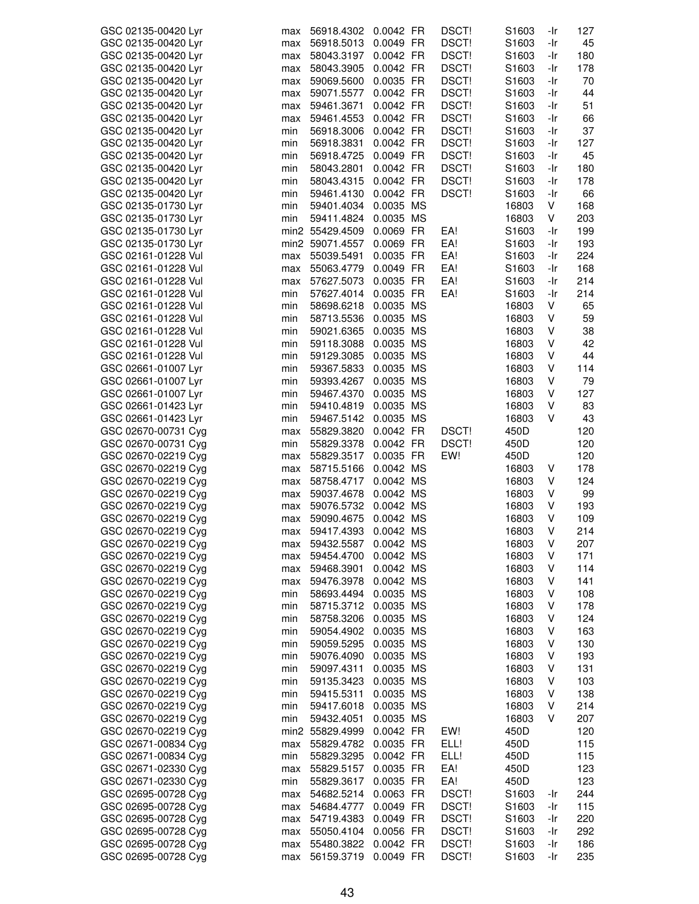| GSC 02135-00420 Lyr                        |            | 56918.4302               | 0.0042 FR              | DSCT!          | S1603             | -Ir        | 127        |
|--------------------------------------------|------------|--------------------------|------------------------|----------------|-------------------|------------|------------|
|                                            | max        |                          |                        |                |                   |            |            |
| GSC 02135-00420 Lyr                        | max        | 56918.5013               | 0.0049 FR              | DSCT!          | S1603             | -Ir        | 45         |
| GSC 02135-00420 Lyr                        | max        | 58043.3197               | 0.0042 FR              | DSCT!          | S1603             | -Ir        | 180        |
| GSC 02135-00420 Lyr                        | max        | 58043.3905               | 0.0042 FR              | DSCT!          | S1603             | -Ir        | 178        |
|                                            |            |                          |                        | DSCT!          |                   |            |            |
| GSC 02135-00420 Lyr                        | max        | 59069.5600               | 0.0035 FR              |                | S <sub>1603</sub> | -Ir        | 70         |
| GSC 02135-00420 Lyr                        | max        | 59071.5577               | 0.0042 FR              | DSCT!          | S1603             | -Ir        | 44         |
| GSC 02135-00420 Lyr                        | max        | 59461.3671               | 0.0042 FR              | DSCT!          | S1603             | -Ir        | 51         |
| GSC 02135-00420 Lyr                        | max        | 59461.4553               | 0.0042 FR              | DSCT!          | S1603             | -Ir        | 66         |
|                                            |            |                          |                        |                |                   |            |            |
| GSC 02135-00420 Lyr                        | min        | 56918.3006               | 0.0042 FR              | DSCT!          | S1603             | -Ir        | 37         |
| GSC 02135-00420 Lyr                        | min        | 56918.3831               | 0.0042 FR              | DSCT!          | S1603             | -Ir        | 127        |
| GSC 02135-00420 Lyr                        | min        | 56918.4725               | 0.0049 FR              | DSCT!          | S1603             | -Ir        | 45         |
| GSC 02135-00420 Lyr                        | min        | 58043.2801               | 0.0042 FR              | DSCT!          | S1603             | -Ir        | 180        |
|                                            |            |                          |                        |                |                   |            |            |
| GSC 02135-00420 Lyr                        | min        | 58043.4315               | 0.0042 FR              | DSCT!          | S1603             | -Ir        | 178        |
| GSC 02135-00420 Lyr                        | min        | 59461.4130               | 0.0042 FR              | DSCT!          | S1603             | -Ir        | 66         |
| GSC 02135-01730 Lyr                        | min        | 59401.4034               | 0.0035 MS              |                | 16803             | V          | 168        |
| GSC 02135-01730 Lyr                        | min        | 59411.4824               | 0.0035 MS              |                | 16803             | V          | 203        |
|                                            |            |                          |                        |                |                   |            |            |
| GSC 02135-01730 Lyr                        |            | min2 55429.4509          | 0.0069 FR              | EA!            | S1603             | -Ir        | 199        |
| GSC 02135-01730 Lyr                        |            | min2 59071.4557          | 0.0069 FR              | EA!            | S1603             | -Ir        | 193        |
| GSC 02161-01228 Vul                        | max        | 55039.5491               | 0.0035 FR              | EA!            | S <sub>1603</sub> | -Ir        | 224        |
| GSC 02161-01228 Vul                        | max        | 55063.4779               | 0.0049 FR              | EA!            | S1603             | -Ir        | 168        |
|                                            |            |                          |                        |                |                   |            |            |
| GSC 02161-01228 Vul                        | max        | 57627.5073               | 0.0035 FR              | EA!            | S1603             | -Ir        | 214        |
| GSC 02161-01228 Vul                        | min        | 57627.4014               | 0.0035 FR              | EA!            | S1603             | -Ir        | 214        |
| GSC 02161-01228 Vul                        | min        | 58698.6218               | 0.0035 MS              |                | 16803             | V          | 65         |
| GSC 02161-01228 Vul                        | min        | 58713.5536               | 0.0035 MS              |                | 16803             | V          | 59         |
|                                            |            |                          |                        |                |                   |            |            |
| GSC 02161-01228 Vul                        | min        | 59021.6365               | 0.0035 MS              |                | 16803             | V          | 38         |
| GSC 02161-01228 Vul                        | min        | 59118.3088               | 0.0035 MS              |                | 16803             | V          | 42         |
| GSC 02161-01228 Vul                        | min        | 59129.3085               | 0.0035 MS              |                | 16803             | V          | 44         |
| GSC 02661-01007 Lyr                        | min        | 59367.5833               | 0.0035 MS              |                | 16803             | V          | 114        |
| GSC 02661-01007 Lyr                        | min        | 59393.4267               | 0.0035 MS              |                | 16803             | V          | 79         |
|                                            |            |                          |                        |                |                   |            |            |
| GSC 02661-01007 Lyr                        | min        | 59467.4370               | 0.0035 MS              |                | 16803             | V          | 127        |
| GSC 02661-01423 Lyr                        | min        | 59410.4819               | 0.0035 MS              |                | 16803             | V          | 83         |
| GSC 02661-01423 Lyr                        | min        | 59467.5142               | 0.0035 MS              |                | 16803             | V          | 43         |
| GSC 02670-00731 Cyg                        | max        | 55829.3820               | 0.0042 FR              | DSCT!          | 450D              |            | 120        |
|                                            |            |                          |                        |                |                   |            |            |
| GSC 02670-00731 Cyg                        | min        | 55829.3378               | 0.0042 FR              | DSCT!          | 450D              |            | 120        |
| GSC 02670-02219 Cyg                        | max        | 55829.3517               | 0.0035 FR              | EW!            | 450D              |            | 120        |
| GSC 02670-02219 Cyg                        | max        | 58715.5166               | 0.0042 MS              |                | 16803             | V          | 178        |
| GSC 02670-02219 Cyg                        | max        | 58758.4717               | 0.0042 MS              |                | 16803             | V          | 124        |
| GSC 02670-02219 Cyg                        |            | 59037.4678               | 0.0042 MS              |                | 16803             | V          | 99         |
|                                            | max        |                          |                        |                |                   |            |            |
| GSC 02670-02219 Cyg                        | max        | 59076.5732               | 0.0042 MS              |                | 16803             | V          | 193        |
| GSC 02670-02219 Cyg                        | max        | 59090.4675               | 0.0042 MS              |                | 16803             | V          | 109        |
| GSC 02670-02219 Cyg                        | max        | 59417.4393               | 0.0042 MS              |                | 16803             | V          | 214        |
| GSC 02670-02219 Cyg                        | max        | 59432.5587               | 0.0042 MS              |                | 16803             | V          | 207        |
|                                            |            |                          |                        |                |                   |            |            |
| GSC 02670-02219 Cyg                        | max        | 59454.4700               | 0.0042 MS              |                | 16803             | V          | 171        |
| GSC 02670-02219 Cyg                        | max        | 59468.3901               | 0.0042 MS              |                | 16803             | V          | 114        |
| GSC 02670-02219 Cyg                        | max        | 59476.3978               | 0.0042 MS              |                | 16803             | V          | 141        |
| GSC 02670-02219 Cyg                        | min        | 58693.4494               | 0.0035 MS              |                | 16803             | V          | 108        |
|                                            |            |                          |                        |                |                   |            |            |
| GSC 02670-02219 Cyg                        | min        | 58715.3712               | 0.0035 MS              |                | 16803             | V          | 178        |
| GSC 02670-02219 Cyg                        | min        | 58758.3206               | 0.0035 MS              |                | 16803             | V          | 124        |
| GSC 02670-02219 Cyg                        | min        | 59054.4902               | 0.0035 MS              |                | 16803             | V          | 163        |
| GSC 02670-02219 Cyg                        | min        | 59059.5295               | 0.0035 MS              |                | 16803             | V          | 130        |
| GSC 02670-02219 Cyg                        | min        | 59076.4090               | 0.0035 MS              |                | 16803             | V          | 193        |
|                                            |            |                          |                        |                |                   |            |            |
| GSC 02670-02219 Cyg                        | min        | 59097.4311               | 0.0035 MS              |                | 16803             | V          | 131        |
| GSC 02670-02219 Cyg                        |            |                          |                        |                |                   |            |            |
| GSC 02670-02219 Cyg                        | min        | 59135.3423               | 0.0035 MS              |                | 16803             | V          | 103        |
|                                            |            |                          |                        |                |                   |            |            |
|                                            | min        | 59415.5311               | 0.0035 MS              |                | 16803             | V          | 138        |
| GSC 02670-02219 Cyg                        | min        | 59417.6018               | 0.0035 MS              |                | 16803             | V          | 214        |
| GSC 02670-02219 Cyg                        | min        | 59432.4051               | 0.0035 MS              |                | 16803             | V          | 207        |
| GSC 02670-02219 Cyg                        |            | min2 55829.4999          | 0.0042 FR              | EW!            | 450D              |            | 120        |
| GSC 02671-00834 Cyg                        | max        | 55829.4782               | 0.0035 FR              | ELL!           | 450D              |            | 115        |
|                                            |            |                          |                        |                |                   |            |            |
| GSC 02671-00834 Cyg                        | min        | 55829.3295               | 0.0042 FR              | ELL!           | 450D              |            | 115        |
| GSC 02671-02330 Cyg                        | max        | 55829.5157               | 0.0035 FR              | EA!            | 450D              |            | 123        |
| GSC 02671-02330 Cyg                        | min        | 55829.3617               | 0.0035 FR              | EA!            | 450D              |            | 123        |
| GSC 02695-00728 Cyg                        | max        | 54682.5214               | 0.0063 FR              | DSCT!          | S <sub>1603</sub> | -Ir        | 244        |
|                                            | max        | 54684.4777               | 0.0049 FR              |                | S <sub>1603</sub> | -Ir        |            |
| GSC 02695-00728 Cyg                        |            |                          |                        | DSCT!          |                   |            | 115        |
| GSC 02695-00728 Cyg                        | max        | 54719.4383               | 0.0049 FR              | DSCT!          | S1603             | -Ir        | 220        |
| GSC 02695-00728 Cyg                        | max        | 55050.4104               | 0.0056 FR              | DSCT!          | S1603             | -Ir        | 292        |
| GSC 02695-00728 Cyg<br>GSC 02695-00728 Cyg | max<br>max | 55480.3822<br>56159.3719 | 0.0042 FR<br>0.0049 FR | DSCT!<br>DSCT! | S1603<br>S1603    | -Ir<br>-Ir | 186<br>235 |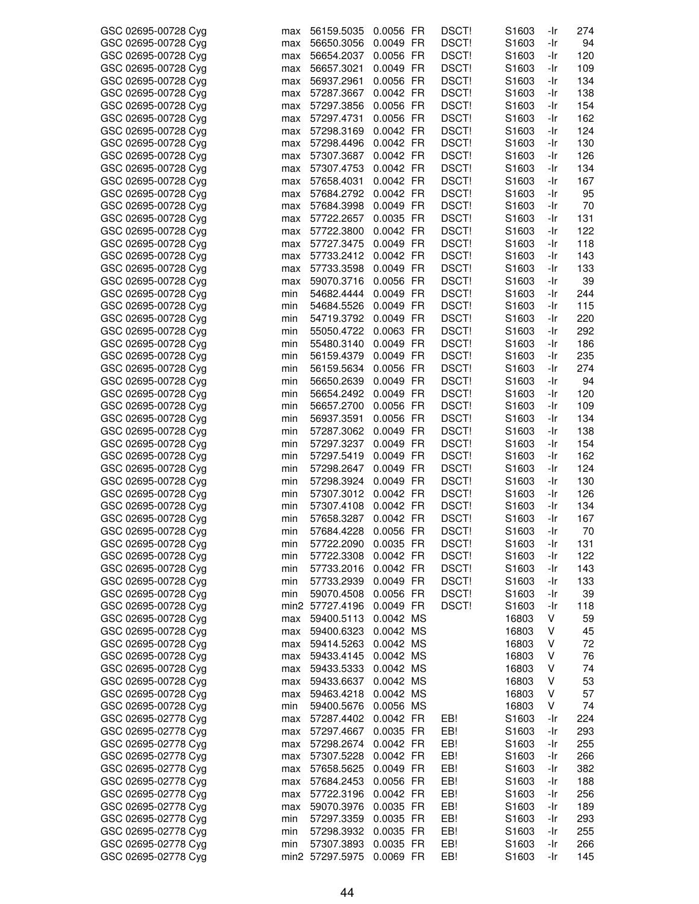| GSC 02695-00728 Cyg | max | 56159.5035      | 0.0056 FR | DSCT!        | S <sub>1603</sub> | -Ir | 274 |
|---------------------|-----|-----------------|-----------|--------------|-------------------|-----|-----|
| GSC 02695-00728 Cyg | max | 56650.3056      | 0.0049 FR | DSCT!        | S <sub>1603</sub> | -Ir | 94  |
| GSC 02695-00728 Cyg | max | 56654.2037      | 0.0056 FR | DSCT!        | S1603             | -Ir | 120 |
| GSC 02695-00728 Cyg | max | 56657.3021      | 0.0049 FR | <b>DSCT!</b> | S <sub>1603</sub> | -Ir | 109 |
| GSC 02695-00728 Cyg |     | 56937.2961      | 0.0056 FR | DSCT!        | S1603             | -Ir | 134 |
|                     | max |                 |           |              |                   |     |     |
| GSC 02695-00728 Cyg | max | 57287.3667      | 0.0042 FR | DSCT!        | S <sub>1603</sub> | -Ir | 138 |
| GSC 02695-00728 Cyg | max | 57297.3856      | 0.0056 FR | DSCT!        | S1603             | -Ir | 154 |
| GSC 02695-00728 Cyg | max | 57297.4731      | 0.0056 FR | DSCT!        | S <sub>1603</sub> | -Ir | 162 |
| GSC 02695-00728 Cyg | max | 57298.3169      | 0.0042 FR | DSCT!        | S1603             | -Ir | 124 |
|                     |     | 57298.4496      | 0.0042 FR |              |                   |     |     |
| GSC 02695-00728 Cyg | max |                 |           | DSCT!        | S <sub>1603</sub> | -Ir | 130 |
| GSC 02695-00728 Cyg | max | 57307.3687      | 0.0042 FR | DSCT!        | S <sub>1603</sub> | -Ir | 126 |
| GSC 02695-00728 Cyg | max | 57307.4753      | 0.0042 FR | DSCT!        | S1603             | -Ir | 134 |
| GSC 02695-00728 Cyg | max | 57658.4031      | 0.0042 FR | DSCT!        | S1603             | -Ir | 167 |
| GSC 02695-00728 Cyg | max | 57684.2792      | 0.0042 FR | DSCT!        | S1603             | -Ir | 95  |
|                     |     |                 |           |              |                   |     |     |
| GSC 02695-00728 Cyg | max | 57684.3998      | 0.0049 FR | DSCT!        | S1603             | -Ir | 70  |
| GSC 02695-00728 Cyg | max | 57722.2657      | 0.0035 FR | DSCT!        | S <sub>1603</sub> | -Ir | 131 |
| GSC 02695-00728 Cyg | max | 57722.3800      | 0.0042 FR | DSCT!        | S <sub>1603</sub> | -Ir | 122 |
| GSC 02695-00728 Cyg | max | 57727.3475      | 0.0049 FR | DSCT!        | S1603             | -Ir | 118 |
| GSC 02695-00728 Cyg | max | 57733.2412      | 0.0042 FR | DSCT!        | S <sub>1603</sub> | -Ir | 143 |
|                     |     |                 | 0.0049 FR |              |                   |     |     |
| GSC 02695-00728 Cyg | max | 57733.3598      |           | DSCT!        | S <sub>1603</sub> | -Ir | 133 |
| GSC 02695-00728 Cyg | max | 59070.3716      | 0.0056 FR | <b>DSCT!</b> | S <sub>1603</sub> | -Ir | 39  |
| GSC 02695-00728 Cyg | min | 54682.4444      | 0.0049 FR | DSCT!        | S <sub>1603</sub> | -Ir | 244 |
| GSC 02695-00728 Cyg | min | 54684.5526      | 0.0049 FR | DSCT!        | S1603             | -Ir | 115 |
| GSC 02695-00728 Cyg | min | 54719.3792      | 0.0049 FR | DSCT!        | S1603             | -Ir | 220 |
|                     |     |                 | 0.0063 FR |              |                   |     |     |
| GSC 02695-00728 Cyg | min | 55050.4722      |           | DSCT!        | S <sub>1603</sub> | -Ir | 292 |
| GSC 02695-00728 Cyg | min | 55480.3140      | 0.0049 FR | DSCT!        | S1603             | -Ir | 186 |
| GSC 02695-00728 Cyg | min | 56159.4379      | 0.0049 FR | DSCT!        | S1603             | -Ir | 235 |
| GSC 02695-00728 Cyg | min | 56159.5634      | 0.0056 FR | DSCT!        | S <sub>1603</sub> | -Ir | 274 |
| GSC 02695-00728 Cyg | min | 56650.2639      | 0.0049 FR | DSCT!        | S <sub>1603</sub> | -Ir | 94  |
| GSC 02695-00728 Cyg | min | 56654.2492      | 0.0049 FR | DSCT!        | S <sub>1603</sub> | -Ir | 120 |
|                     |     |                 |           |              |                   |     |     |
| GSC 02695-00728 Cyg | min | 56657.2700      | 0.0056 FR | DSCT!        | S <sub>1603</sub> | -Ir | 109 |
| GSC 02695-00728 Cyg | min | 56937.3591      | 0.0056 FR | DSCT!        | S1603             | -Ir | 134 |
| GSC 02695-00728 Cyg | min | 57287.3062      | 0.0049 FR | DSCT!        | S <sub>1603</sub> | -Ir | 138 |
| GSC 02695-00728 Cyg | min | 57297.3237      | 0.0049 FR | DSCT!        | S <sub>1603</sub> | -Ir | 154 |
| GSC 02695-00728 Cyg | min | 57297.5419      | 0.0049 FR | DSCT!        | S1603             | -Ir | 162 |
|                     |     |                 | 0.0049 FR | DSCT!        |                   |     |     |
| GSC 02695-00728 Cyg | min | 57298.2647      |           |              | S1603             | -Ir | 124 |
| GSC 02695-00728 Cyg | min | 57298.3924      | 0.0049 FR | DSCT!        | S1603             | -Ir | 130 |
| GSC 02695-00728 Cyg | min | 57307.3012      | 0.0042 FR | DSCT!        | S1603             | -Ir | 126 |
| GSC 02695-00728 Cyg | min | 57307.4108      | 0.0042 FR | DSCT!        | S <sub>1603</sub> | -Ir | 134 |
| GSC 02695-00728 Cyg | min | 57658.3287      | 0.0042 FR | DSCT!        | S1603             | -Ir | 167 |
| GSC 02695-00728 Cyg | min | 57684.4228      | 0.0056 FR | <b>DSCT!</b> | S1603             | -Ir | 70  |
|                     |     |                 |           |              |                   |     |     |
| GSC 02695-00728 Cyg | min | 57722.2090      | 0.0035 FR | DSCT!        | S1603             | -Ir | 131 |
| GSC 02695-00728 Cyg | min | 57722.3308      | 0.0042 FR | DSCT!        | S1603             | -Ir | 122 |
| GSC 02695-00728 Cvg | min | 57733.2016      | 0.0042 FR | DSCT!        | S <sub>1603</sub> | -Ir | 143 |
| GSC 02695-00728 Cyg | min | 57733.2939      | 0.0049 FR | DSCT!        | S1603             | -Ir | 133 |
| GSC 02695-00728 Cyg | min | 59070.4508      | 0.0056 FR | DSCT!        | S1603             | -Ir | 39  |
|                     |     |                 |           |              |                   |     |     |
| GSC 02695-00728 Cyg |     | min2 57727.4196 | 0.0049 FR | DSCT!        | S1603             | -Ir | 118 |
| GSC 02695-00728 Cyg | max | 59400.5113      | 0.0042 MS |              | 16803             | V   | 59  |
| GSC 02695-00728 Cyg | max | 59400.6323      | 0.0042 MS |              | 16803             | V   | 45  |
| GSC 02695-00728 Cyg | max | 59414.5263      | 0.0042 MS |              | 16803             | V   | 72  |
| GSC 02695-00728 Cyg | max | 59433.4145      | 0.0042 MS |              | 16803             | V   | 76  |
| GSC 02695-00728 Cyg |     | 59433.5333      | 0.0042 MS |              | 16803             | V   | 74  |
|                     | max |                 |           |              |                   |     |     |
| GSC 02695-00728 Cyg | max | 59433.6637      | 0.0042 MS |              | 16803             | V   | 53  |
| GSC 02695-00728 Cyg | max | 59463.4218      | 0.0042 MS |              | 16803             | V   | 57  |
| GSC 02695-00728 Cyg | min | 59400.5676      | 0.0056 MS |              | 16803             | V   | 74  |
| GSC 02695-02778 Cyg | max | 57287.4402      | 0.0042 FR | EB!          | S1603             | -Ir | 224 |
| GSC 02695-02778 Cyg | max | 57297.4667      | 0.0035 FR | EB!          | S <sub>1603</sub> | -Ir | 293 |
|                     |     |                 |           |              |                   |     |     |
| GSC 02695-02778 Cyg | max | 57298.2674      | 0.0042 FR | EB!          | S1603             | -Ir | 255 |
| GSC 02695-02778 Cyg | max | 57307.5228      | 0.0042 FR | EB!          | S1603             | -Ir | 266 |
| GSC 02695-02778 Cyg | max | 57658.5625      | 0.0049 FR | EB!          | S <sub>1603</sub> | -Ir | 382 |
| GSC 02695-02778 Cyg | max | 57684.2453      | 0.0056 FR | EB!          | S1603             | -Ir | 188 |
| GSC 02695-02778 Cyg | max | 57722.3196      | 0.0042 FR | EB!          | S1603             | -Ir | 256 |
|                     |     |                 |           | EB!          |                   |     |     |
| GSC 02695-02778 Cyg | max | 59070.3976      | 0.0035 FR |              | S <sub>1603</sub> | -Ir | 189 |
| GSC 02695-02778 Cyg | min | 57297.3359      | 0.0035 FR | EB!          | S1603             | -Ir | 293 |
| GSC 02695-02778 Cyg | min | 57298.3932      | 0.0035 FR | EB!          | S1603             | -Ir | 255 |
| GSC 02695-02778 Cyg | min | 57307.3893      | 0.0035 FR | EB!          | S1603             | -Ir | 266 |
| GSC 02695-02778 Cyg |     | min2 57297.5975 | 0.0069 FR | EB!          | S1603             | -Ir | 145 |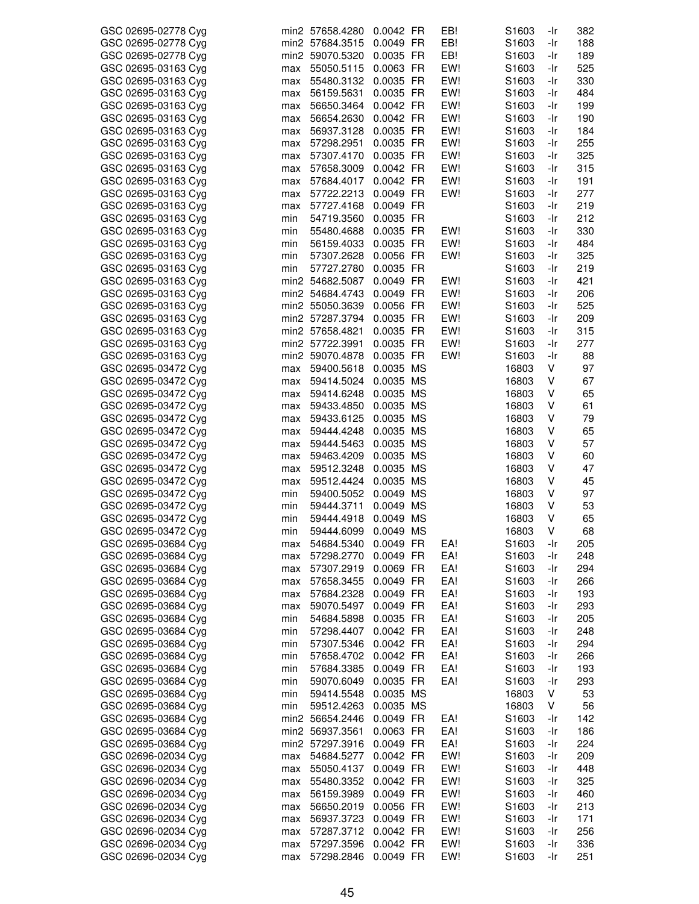| GSC 02695-02778 Cyg |     | min2 57658.4280 | 0.0042 FR | EB! | S1603             | -Ir | 382 |
|---------------------|-----|-----------------|-----------|-----|-------------------|-----|-----|
| GSC 02695-02778 Cyg |     | min2 57684.3515 | 0.0049 FR | EB! | S1603             | -Ir | 188 |
| GSC 02695-02778 Cyg |     | min2 59070.5320 | 0.0035 FR | EB! | S1603             | -Ir | 189 |
|                     |     |                 |           |     |                   |     |     |
| GSC 02695-03163 Cyg | max | 55050.5115      | 0.0063 FR | EW! | S1603             | -Ir | 525 |
| GSC 02695-03163 Cyg | max | 55480.3132      | 0.0035 FR | EW! | S1603             | -Ir | 330 |
| GSC 02695-03163 Cyg | max | 56159.5631      | 0.0035 FR | EW! | S1603             | -Ir | 484 |
| GSC 02695-03163 Cyg | max | 56650.3464      | 0.0042 FR | EW! | S1603             | -Ir | 199 |
|                     |     |                 |           |     |                   |     |     |
| GSC 02695-03163 Cyg | max | 56654.2630      | 0.0042 FR | EW! | S1603             | -Ir | 190 |
| GSC 02695-03163 Cyg | max | 56937.3128      | 0.0035 FR | EW! | S1603             | -Ir | 184 |
| GSC 02695-03163 Cyg | max | 57298.2951      | 0.0035 FR | EW! | S1603             | -Ir | 255 |
|                     |     |                 |           |     |                   |     |     |
| GSC 02695-03163 Cyg | max | 57307.4170      | 0.0035 FR | EW! | S1603             | -Ir | 325 |
| GSC 02695-03163 Cyg | max | 57658.3009      | 0.0042 FR | EW! | S1603             | -Ir | 315 |
| GSC 02695-03163 Cyg | max | 57684.4017      | 0.0042 FR | EW! | S1603             | -Ir | 191 |
| GSC 02695-03163 Cyg | max | 57722.2213      | 0.0049 FR | EW! | S1603             | -Ir | 277 |
|                     |     |                 |           |     |                   |     |     |
| GSC 02695-03163 Cyg | max | 57727.4168      | 0.0049 FR |     | S1603             | -Ir | 219 |
| GSC 02695-03163 Cyg | min | 54719.3560      | 0.0035 FR |     | S1603             | -Ir | 212 |
| GSC 02695-03163 Cyg | min | 55480.4688      | 0.0035 FR | EW! | S1603             | -Ir | 330 |
|                     |     |                 |           |     |                   |     |     |
| GSC 02695-03163 Cyg | min | 56159.4033      | 0.0035 FR | EW! | S1603             | -Ir | 484 |
| GSC 02695-03163 Cyg | min | 57307.2628      | 0.0056 FR | EW! | S1603             | -Ir | 325 |
| GSC 02695-03163 Cyg | min | 57727.2780      | 0.0035 FR |     | S1603             | -Ir | 219 |
| GSC 02695-03163 Cyg |     | min2 54682.5087 | 0.0049 FR | EW! | S1603             | -Ir | 421 |
|                     |     |                 |           |     |                   |     |     |
| GSC 02695-03163 Cyg |     | min2 54684.4743 | 0.0049 FR | EW! | S1603             | -Ir | 206 |
| GSC 02695-03163 Cyg |     | min2 55050.3639 | 0.0056 FR | EW! | S1603             | -Ir | 525 |
| GSC 02695-03163 Cyg |     | min2 57287.3794 | 0.0035 FR | EW! | S1603             | -Ir | 209 |
| GSC 02695-03163 Cyg |     | min2 57658.4821 | 0.0035 FR | EW! |                   | -Ir | 315 |
|                     |     |                 |           |     | S1603             |     |     |
| GSC 02695-03163 Cyg |     | min2 57722.3991 | 0.0035 FR | EW! | S1603             | -Ir | 277 |
| GSC 02695-03163 Cyg |     | min2 59070.4878 | 0.0035 FR | EW! | S1603             | -Ir | 88  |
| GSC 02695-03472 Cyg | max | 59400.5618      | 0.0035 MS |     | 16803             | V   | 97  |
|                     |     |                 |           |     |                   |     |     |
| GSC 02695-03472 Cyg | max | 59414.5024      | 0.0035 MS |     | 16803             | ٧   | 67  |
| GSC 02695-03472 Cyg | max | 59414.6248      | 0.0035 MS |     | 16803             | ٧   | 65  |
| GSC 02695-03472 Cyg | max | 59433.4850      | 0.0035 MS |     | 16803             | V   | 61  |
| GSC 02695-03472 Cyg | max | 59433.6125      | 0.0035 MS |     | 16803             | V   | 79  |
|                     |     |                 |           |     |                   |     |     |
| GSC 02695-03472 Cyg | max | 59444.4248      | 0.0035 MS |     | 16803             | V   | 65  |
| GSC 02695-03472 Cyg | max | 59444.5463      | 0.0035 MS |     | 16803             | V   | 57  |
| GSC 02695-03472 Cyg | max | 59463.4209      | 0.0035 MS |     | 16803             | ٧   | 60  |
| GSC 02695-03472 Cyg | max | 59512.3248      | 0.0035 MS |     | 16803             | ٧   | 47  |
|                     |     |                 |           |     |                   |     |     |
| GSC 02695-03472 Cyg | max | 59512.4424      | 0.0035 MS |     | 16803             | ٧   | 45  |
| GSC 02695-03472 Cyg | min | 59400.5052      | 0.0049 MS |     | 16803             | ٧   | 97  |
| GSC 02695-03472 Cyg | min | 59444.3711      | 0.0049 MS |     | 16803             | V   | 53  |
|                     |     | 59444.4918      | 0.0049 MS |     |                   | ٧   | 65  |
| GSC 02695-03472 Cyg | min |                 |           |     | 16803             |     |     |
| GSC 02695-03472 Cyg | min | 59444.6099      | 0.0049 MS |     | 16803             | V   | 68  |
| GSC 02695-03684 Cyg | max | 54684.5340      | 0.0049 FR | EA! | S1603             | -Ir | 205 |
| GSC 02695-03684 Cyg | max | 57298.2770      | 0.0049 FR | EA! | S1603             | -Ir | 248 |
|                     |     |                 |           |     |                   |     |     |
| GSC 02695-03684 Cyg | max | 57307.2919      | 0.0069 FR | EA! | S1603             | -Ir | 294 |
| GSC 02695-03684 Cyg | max | 57658.3455      | 0.0049 FR | EA! | S1603             | -Ir | 266 |
| GSC 02695-03684 Cyg | max | 57684.2328      | 0.0049 FR | EA! | S1603             | -Ir | 193 |
| GSC 02695-03684 Cyg | max | 59070.5497      | 0.0049 FR | EA! | S1603             | -Ir | 293 |
|                     |     |                 |           |     |                   |     |     |
| GSC 02695-03684 Cyg | min | 54684.5898      | 0.0035 FR | EA! | S1603             | -Ir | 205 |
| GSC 02695-03684 Cyg | min | 57298.4407      | 0.0042 FR | EA! | S <sub>1603</sub> | -Ir | 248 |
| GSC 02695-03684 Cyg | min | 57307.5346      | 0.0042 FR | EA! | S1603             | -Ir | 294 |
|                     |     |                 | 0.0042 FR | EA! | S1603             |     |     |
| GSC 02695-03684 Cyg | min | 57658.4702      |           |     |                   | -Ir | 266 |
| GSC 02695-03684 Cyg | min | 57684.3385      | 0.0049 FR | EA! | S1603             | -Ir | 193 |
| GSC 02695-03684 Cyg | min | 59070.6049      | 0.0035 FR | EA! | S1603             | -Ir | 293 |
| GSC 02695-03684 Cyg | min | 59414.5548      | 0.0035 MS |     | 16803             | V   | 53  |
|                     |     |                 |           |     |                   |     |     |
| GSC 02695-03684 Cyg | min | 59512.4263      | 0.0035 MS |     | 16803             | V   | 56  |
| GSC 02695-03684 Cyg |     | min2 56654.2446 | 0.0049 FR | EA! | S1603             | -Ir | 142 |
| GSC 02695-03684 Cyg |     | min2 56937.3561 | 0.0063 FR | EA! | S1603             | -Ir | 186 |
| GSC 02695-03684 Cyg |     | min2 57297.3916 | 0.0049 FR | EA! | S1603             | -Ir | 224 |
|                     |     |                 |           |     |                   |     |     |
| GSC 02696-02034 Cyg | max | 54684.5277      | 0.0042 FR | EW! | S1603             | -Ir | 209 |
| GSC 02696-02034 Cyg | max | 55050.4137      | 0.0049 FR | EW! | S1603             | -Ir | 448 |
| GSC 02696-02034 Cyg | max | 55480.3352      | 0.0042 FR | EW! | S1603             | -Ir | 325 |
| GSC 02696-02034 Cyg |     | 56159.3989      | 0.0049 FR | EW! | S1603             |     | 460 |
|                     | max |                 |           |     |                   | -Ir |     |
| GSC 02696-02034 Cyg | max | 56650.2019      | 0.0056 FR | EW! | S1603             | -Ir | 213 |
| GSC 02696-02034 Cyg | max | 56937.3723      | 0.0049 FR | EW! | S1603             | -Ir | 171 |
| GSC 02696-02034 Cyg | max | 57287.3712      | 0.0042 FR | EW! | S1603             | -Ir | 256 |
|                     |     |                 |           |     |                   |     |     |
| GSC 02696-02034 Cyg | max | 57297.3596      | 0.0042 FR | EW! | S1603             | -Ir | 336 |
| GSC 02696-02034 Cyg | max | 57298.2846      | 0.0049 FR | EW! | S1603             | -Ir | 251 |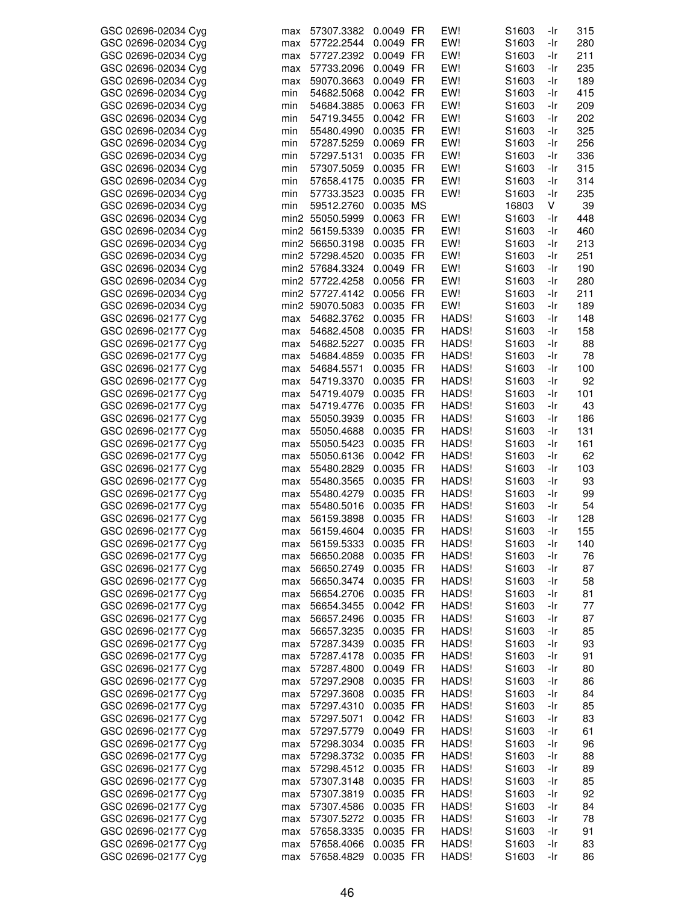| GSC 02696-02034 Cyg | max | 57307.3382      | 0.0049 FR | EW!   | S1603             | -Ir | 315 |
|---------------------|-----|-----------------|-----------|-------|-------------------|-----|-----|
| GSC 02696-02034 Cyg | max | 57722.2544      | 0.0049 FR | EW!   | S1603             | -Ir | 280 |
| GSC 02696-02034 Cyg | max | 57727.2392      | 0.0049 FR | EW!   | S1603             | -Ir | 211 |
| GSC 02696-02034 Cyg | max | 57733.2096      | 0.0049 FR | EW!   | S <sub>1603</sub> | -Ir | 235 |
|                     |     |                 |           |       |                   |     |     |
| GSC 02696-02034 Cyg | max | 59070.3663      | 0.0049 FR | EW!   | S1603             | -Ir | 189 |
| GSC 02696-02034 Cyg | min | 54682.5068      | 0.0042 FR | EW!   | S1603             | -Ir | 415 |
| GSC 02696-02034 Cyg | min | 54684.3885      | 0.0063 FR | EW!   | S1603             | -Ir | 209 |
| GSC 02696-02034 Cyg | min | 54719.3455      | 0.0042 FR | EW!   | S1603             | -Ir | 202 |
| GSC 02696-02034 Cyg | min | 55480.4990      | 0.0035 FR | EW!   | S1603             | -Ir | 325 |
|                     |     |                 |           |       |                   |     |     |
| GSC 02696-02034 Cyg | min | 57287.5259      | 0.0069 FR | EW!   | S <sub>1603</sub> | -Ir | 256 |
| GSC 02696-02034 Cyg | min | 57297.5131      | 0.0035 FR | EW!   | S1603             | -Ir | 336 |
| GSC 02696-02034 Cyg | min | 57307.5059      | 0.0035 FR | EW!   | S1603             | -Ir | 315 |
| GSC 02696-02034 Cyg | min | 57658.4175      | 0.0035 FR | EW!   | S1603             | -Ir | 314 |
|                     |     |                 |           |       |                   |     |     |
| GSC 02696-02034 Cyg | min | 57733.3523      | 0.0035 FR | EW!   | S1603             | -Ir | 235 |
| GSC 02696-02034 Cyg | min | 59512.2760      | 0.0035 MS |       | 16803             | V   | 39  |
| GSC 02696-02034 Cyg |     | min2 55050.5999 | 0.0063 FR | EW!   | S <sub>1603</sub> | -Ir | 448 |
| GSC 02696-02034 Cyg |     | min2 56159.5339 | 0.0035 FR | EW!   | S <sub>1603</sub> | -Ir | 460 |
| GSC 02696-02034 Cyg |     | min2 56650.3198 | 0.0035 FR | EW!   | S1603             | -Ir | 213 |
|                     |     |                 |           |       |                   |     |     |
| GSC 02696-02034 Cyg |     | min2 57298.4520 | 0.0035 FR | EW!   | S1603             | -Ir | 251 |
| GSC 02696-02034 Cyg |     | min2 57684.3324 | 0.0049 FR | EW!   | S1603             | -Ir | 190 |
| GSC 02696-02034 Cyg |     | min2 57722.4258 | 0.0056 FR | EW!   | S1603             | -Ir | 280 |
| GSC 02696-02034 Cyg |     | min2 57727.4142 | 0.0056 FR | EW!   | S1603             | -Ir | 211 |
| GSC 02696-02034 Cyg |     | min2 59070.5083 | 0.0035 FR | EW!   | S1603             | -Ir | 189 |
|                     |     |                 |           |       |                   |     |     |
| GSC 02696-02177 Cyg | max | 54682.3762      | 0.0035 FR | HADS! | S1603             | -Ir | 148 |
| GSC 02696-02177 Cyg | max | 54682.4508      | 0.0035 FR | HADS! | S1603             | -Ir | 158 |
| GSC 02696-02177 Cyg | max | 54682.5227      | 0.0035 FR | HADS! | S1603             | -Ir | 88  |
| GSC 02696-02177 Cyg | max | 54684.4859      | 0.0035 FR | HADS! | S1603             | -Ir | 78  |
| GSC 02696-02177 Cyg | max | 54684.5571      | 0.0035 FR | HADS! | S1603             | -Ir | 100 |
|                     |     |                 |           |       |                   |     |     |
| GSC 02696-02177 Cyg | max | 54719.3370      | 0.0035 FR | HADS! | S <sub>1603</sub> | -Ir | 92  |
| GSC 02696-02177 Cyg | max | 54719.4079      | 0.0035 FR | HADS! | S1603             | -Ir | 101 |
| GSC 02696-02177 Cyg | max | 54719.4776      | 0.0035 FR | HADS! | S1603             | -Ir | 43  |
| GSC 02696-02177 Cyg | max | 55050.3939      | 0.0035 FR | HADS! | S1603             | -Ir | 186 |
| GSC 02696-02177 Cyg | max | 55050.4688      | 0.0035 FR | HADS! | S <sub>1603</sub> | -Ir | 131 |
|                     |     |                 |           |       |                   |     |     |
| GSC 02696-02177 Cyg | max | 55050.5423      | 0.0035 FR | HADS! | S1603             | -Ir | 161 |
| GSC 02696-02177 Cyg | max | 55050.6136      | 0.0042 FR | HADS! | S1603             | -Ir | 62  |
| GSC 02696-02177 Cyg | max | 55480.2829      | 0.0035 FR | HADS! | S1603             | -Ir | 103 |
| GSC 02696-02177 Cyg | max | 55480.3565      | 0.0035 FR | HADS! | S1603             | -Ir | 93  |
| GSC 02696-02177 Cyg | max | 55480.4279      | 0.0035 FR | HADS! | S1603             | -Ir | 99  |
| GSC 02696-02177 Cyg | max | 55480.5016      | 0.0035 FR | HADS! | S1603             | -Ir | 54  |
|                     |     |                 |           |       |                   |     |     |
| GSC 02696-02177 Cyg | max | 56159.3898      | 0.0035 FR | HADS! | S <sub>1603</sub> | -Ir | 128 |
| GSC 02696-02177 Cyg | max | 56159.4604      | 0.0035 FR | HADS! | S1603             | -Ir | 155 |
| GSC 02696-02177 Cyg | max | 56159.5333      | 0.0035 FR | HADS! | S1603             | -Ir | 140 |
| GSC 02696-02177 Cyg | max | 56650.2088      | 0.0035 FR | HADS! | S1603             | -Ir | 76  |
| GSC 02696-02177 Cyg | max | 56650.2749      | 0.0035 FR | HADS! | S1603             | -Ir | 87  |
|                     |     |                 |           |       |                   |     |     |
| GSC 02696-02177 Cyg | max | 56650.3474      | 0.0035 FR | HADS! | S1603             | -Ir | 58  |
| GSC 02696-02177 Cyg | max | 56654.2706      | 0.0035 FR | HADS! | S1603             | -Ir | 81  |
| GSC 02696-02177 Cyg | max | 56654.3455      | 0.0042 FR | HADS! | S1603             | -Ir | 77  |
| GSC 02696-02177 Cyg | max | 56657.2496      | 0.0035 FR | HADS! | S1603             | -Ir | 87  |
| GSC 02696-02177 Cyg | max | 56657.3235      | 0.0035 FR | HADS! | S1603             | -Ir | 85  |
| GSC 02696-02177 Cyg |     | 57287.3439      | 0.0035 FR | HADS! | S <sub>1603</sub> | -Ir | 93  |
|                     | max |                 |           |       |                   |     |     |
| GSC 02696-02177 Cyg | max | 57287.4178      | 0.0035 FR | HADS! | S1603             | -Ir | 91  |
| GSC 02696-02177 Cyg | max | 57287.4800      | 0.0049 FR | HADS! | S1603             | -Ir | 80  |
| GSC 02696-02177 Cyg | max | 57297.2908      | 0.0035 FR | HADS! | S1603             | -Ir | 86  |
| GSC 02696-02177 Cyg | max | 57297.3608      | 0.0035 FR | HADS! | S1603             | -Ir | 84  |
|                     |     | 57297.4310      | 0.0035 FR | HADS! | S1603             |     |     |
| GSC 02696-02177 Cyg | max |                 |           |       |                   | -Ir | 85  |
| GSC 02696-02177 Cyg | max | 57297.5071      | 0.0042 FR | HADS! | S <sub>1603</sub> | -Ir | 83  |
| GSC 02696-02177 Cyg | max | 57297.5779      | 0.0049 FR | HADS! | S1603             | -Ir | 61  |
| GSC 02696-02177 Cyg | max | 57298.3034      | 0.0035 FR | HADS! | S1603             | -Ir | 96  |
| GSC 02696-02177 Cyg | max | 57298.3732      | 0.0035 FR | HADS! | S1603             | -Ir | 88  |
| GSC 02696-02177 Cyg |     | 57298.4512      | 0.0035 FR | HADS! | S1603             | -Ir | 89  |
|                     | max |                 |           |       |                   |     |     |
| GSC 02696-02177 Cyg | max | 57307.3148      | 0.0035 FR | HADS! | S1603             | -Ir | 85  |
| GSC 02696-02177 Cyg | max | 57307.3819      | 0.0035 FR | HADS! | S1603             | -Ir | 92  |
| GSC 02696-02177 Cyg | max | 57307.4586      | 0.0035 FR | HADS! | S <sub>1603</sub> | -Ir | 84  |
| GSC 02696-02177 Cyg | max | 57307.5272      | 0.0035 FR | HADS! | S1603             | -Ir | 78  |
| GSC 02696-02177 Cyg | max | 57658.3335      | 0.0035 FR | HADS! | S1603             | -Ir | 91  |
|                     |     |                 |           |       |                   |     |     |
| GSC 02696-02177 Cyg | max | 57658.4066      | 0.0035 FR | HADS! | S1603             | -Ir | 83  |
| GSC 02696-02177 Cyg | max | 57658.4829      | 0.0035 FR | HADS! | S1603             | -Ir | 86  |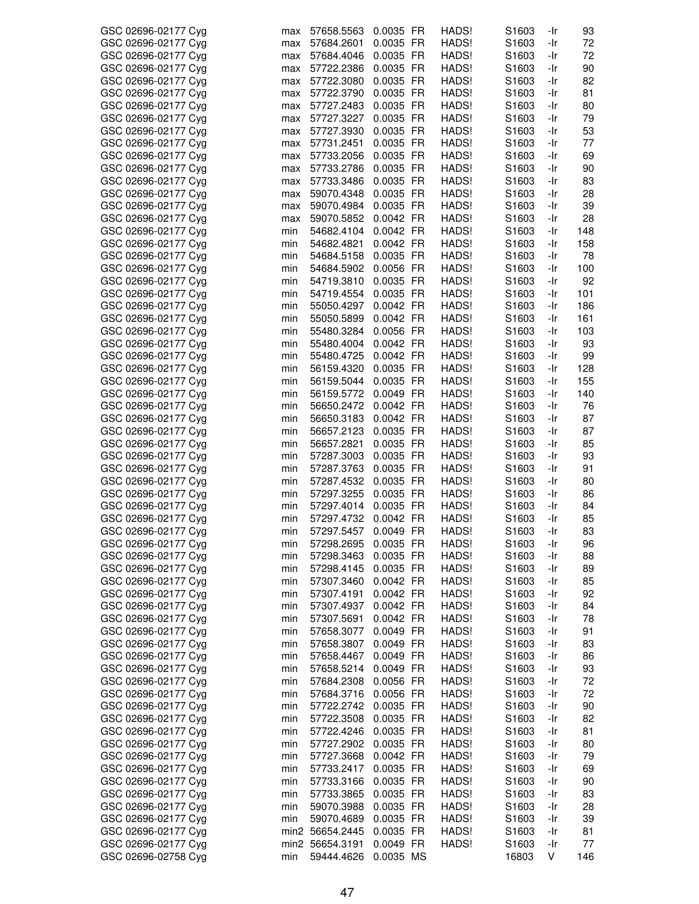| GSC 02696-02177 Cyg | max | 57658.5563      | 0.0035 FR | HADS! | S1603             | -Ir | 93  |
|---------------------|-----|-----------------|-----------|-------|-------------------|-----|-----|
| GSC 02696-02177 Cyg | max | 57684.2601      | 0.0035 FR | HADS! | S <sub>1603</sub> | -Ir | 72  |
| GSC 02696-02177 Cyg | max | 57684.4046      | 0.0035 FR | HADS! | S <sub>1603</sub> | -Ir | 72  |
| GSC 02696-02177 Cyg |     | 57722.2386      | 0.0035 FR | HADS! | S <sub>1603</sub> | -Ir | 90  |
|                     | max |                 |           |       |                   |     |     |
| GSC 02696-02177 Cyg | max | 57722.3080      | 0.0035 FR | HADS! | S1603             | -Ir | 82  |
| GSC 02696-02177 Cyg | max | 57722.3790      | 0.0035 FR | HADS! | S <sub>1603</sub> | -Ir | 81  |
| GSC 02696-02177 Cyg | max | 57727.2483      | 0.0035 FR | HADS! | S <sub>1603</sub> | -Ir | 80  |
|                     |     |                 |           |       |                   |     |     |
| GSC 02696-02177 Cyg | max | 57727.3227      | 0.0035 FR | HADS! | S <sub>1603</sub> | -Ir | 79  |
| GSC 02696-02177 Cyg | max | 57727.3930      | 0.0035 FR | HADS! | S <sub>1603</sub> | -Ir | 53  |
| GSC 02696-02177 Cyg | max | 57731.2451      | 0.0035 FR | HADS! | S <sub>1603</sub> | -Ir | 77  |
| GSC 02696-02177 Cyg | max | 57733.2056      | 0.0035 FR | HADS! | S <sub>1603</sub> | -Ir | 69  |
|                     |     |                 |           |       |                   |     |     |
| GSC 02696-02177 Cyg | max | 57733.2786      | 0.0035 FR | HADS! | S1603             | -Ir | 90  |
| GSC 02696-02177 Cyg | max | 57733.3486      | 0.0035 FR | HADS! | S1603             | -Ir | 83  |
| GSC 02696-02177 Cyg | max | 59070.4348      | 0.0035 FR | HADS! | S1603             | -Ir | 28  |
|                     |     |                 |           |       |                   |     |     |
| GSC 02696-02177 Cyg | max | 59070.4984      | 0.0035 FR | HADS! | S1603             | -Ir | 39  |
| GSC 02696-02177 Cyg | max | 59070.5852      | 0.0042 FR | HADS! | S <sub>1603</sub> | -Ir | 28  |
| GSC 02696-02177 Cyg | min | 54682.4104      | 0.0042 FR | HADS! | S <sub>1603</sub> | -Ir | 148 |
| GSC 02696-02177 Cyg | min | 54682.4821      | 0.0042 FR | HADS! | S <sub>1603</sub> | -Ir | 158 |
|                     |     |                 |           |       |                   |     |     |
| GSC 02696-02177 Cyg | min | 54684.5158      | 0.0035 FR | HADS! | S <sub>1603</sub> | -Ir | 78  |
| GSC 02696-02177 Cyg | min | 54684.5902      | 0.0056 FR | HADS! | S <sub>1603</sub> | -Ir | 100 |
| GSC 02696-02177 Cyg | min | 54719.3810      | 0.0035 FR | HADS! | S <sub>1603</sub> | -Ir | 92  |
| GSC 02696-02177 Cyg | min | 54719.4554      | 0.0035 FR | HADS! | S1603             | -Ir | 101 |
|                     |     |                 |           |       |                   |     |     |
| GSC 02696-02177 Cyg | min | 55050.4297      | 0.0042 FR | HADS! | S1603             | -Ir | 186 |
| GSC 02696-02177 Cyg | min | 55050.5899      | 0.0042 FR | HADS! | S1603             | -Ir | 161 |
| GSC 02696-02177 Cyg | min | 55480.3284      | 0.0056 FR | HADS! | S <sub>1603</sub> | -Ir | 103 |
|                     |     |                 | 0.0042 FR |       | S1603             |     | 93  |
| GSC 02696-02177 Cyg | min | 55480.4004      |           | HADS! |                   | -Ir |     |
| GSC 02696-02177 Cyg | min | 55480.4725      | 0.0042 FR | HADS! | S <sub>1603</sub> | -Ir | 99  |
| GSC 02696-02177 Cyg | min | 56159.4320      | 0.0035 FR | HADS! | S <sub>1603</sub> | -Ir | 128 |
| GSC 02696-02177 Cyg | min | 56159.5044      | 0.0035 FR | HADS! | S <sub>1603</sub> | -Ir | 155 |
|                     |     |                 |           |       |                   |     |     |
| GSC 02696-02177 Cyg | min | 56159.5772      | 0.0049 FR | HADS! | S <sub>1603</sub> | -Ir | 140 |
| GSC 02696-02177 Cyg | min | 56650.2472      | 0.0042 FR | HADS! | S <sub>1603</sub> | -Ir | 76  |
| GSC 02696-02177 Cyg | min | 56650.3183      | 0.0042 FR | HADS! | S1603             | -Ir | 87  |
| GSC 02696-02177 Cyg | min | 56657.2123      | 0.0035 FR | HADS! | S <sub>1603</sub> | -Ir | 87  |
|                     |     |                 |           |       |                   |     |     |
| GSC 02696-02177 Cyg | min | 56657.2821      | 0.0035 FR | HADS! | S <sub>1603</sub> | -Ir | 85  |
| GSC 02696-02177 Cyg | min | 57287.3003      | 0.0035 FR | HADS! | S1603             | -Ir | 93  |
| GSC 02696-02177 Cyg | min | 57287.3763      | 0.0035 FR | HADS! | S1603             | -Ir | 91  |
| GSC 02696-02177 Cyg | min | 57287.4532      | 0.0035 FR | HADS! | S <sub>1603</sub> | -Ir | 80  |
|                     |     |                 |           |       |                   |     |     |
| GSC 02696-02177 Cyg | min | 57297.3255      | 0.0035 FR | HADS! | S <sub>1603</sub> | -Ir | 86  |
| GSC 02696-02177 Cyg | min | 57297.4014      | 0.0035 FR | HADS! | S1603             | -Ir | 84  |
| GSC 02696-02177 Cyg | min | 57297.4732      | 0.0042 FR | HADS! | S1603             | -Ir | 85  |
| GSC 02696-02177 Cva | min | 57297.5457      | 0.0049 FR | HADS! | S <sub>1603</sub> | -Ir | 83  |
|                     |     |                 |           |       |                   |     |     |
| GSC 02696-02177 Cyg | min | 57298.2695      | 0.0035 FR | HADS! | S1603             | -Ir | 96  |
| GSC 02696-02177 Cyg | min | 57298.3463      | 0.0035 FR | HADS! | S <sub>1603</sub> | -Ir | 88  |
| GSC 02696-02177 Cyg | min | 57298.4145      | 0.0035 FR | HADS! | S <sub>1603</sub> | -Ir | 89  |
| GSC 02696-02177 Cyg | min | 57307.3460      | 0.0042 FR | HADS! | S1603             | -Ir | 85  |
|                     |     |                 |           |       |                   |     |     |
| GSC 02696-02177 Cyg | min | 57307.4191      | 0.0042 FR | HADS! | S <sub>1603</sub> | -Ir | 92  |
| GSC 02696-02177 Cyg | min | 57307.4937      | 0.0042 FR | HADS! | S <sub>1603</sub> | -Ir | 84  |
| GSC 02696-02177 Cyg | min | 57307.5691      | 0.0042 FR | HADS! | S1603             | -Ir | 78  |
|                     |     |                 |           |       |                   |     | 91  |
| GSC 02696-02177 Cyg | min | 57658.3077      | 0.0049 FR | HADS! | S1603             | -Ir |     |
| GSC 02696-02177 Cyg | min | 57658.3807      | 0.0049 FR | HADS! | S1603             | -Ir | 83  |
| GSC 02696-02177 Cyg | min | 57658.4467      | 0.0049 FR | HADS! | S1603             | -Ir | 86  |
| GSC 02696-02177 Cyg | min | 57658.5214      | 0.0049 FR | HADS! | S1603             | -Ir | 93  |
|                     |     |                 |           |       |                   |     |     |
| GSC 02696-02177 Cyg | min | 57684.2308      | 0.0056 FR | HADS! | S1603             | -Ir | 72  |
| GSC 02696-02177 Cyg | min | 57684.3716      | 0.0056 FR | HADS! | S1603             | -Ir | 72  |
| GSC 02696-02177 Cyg | min | 57722.2742      | 0.0035 FR | HADS! | S1603             | -Ir | 90  |
| GSC 02696-02177 Cyg | min | 57722.3508      | 0.0035 FR | HADS! | S <sub>1603</sub> | -Ir | 82  |
|                     |     |                 |           |       |                   |     |     |
| GSC 02696-02177 Cyg | min | 57722.4246      | 0.0035 FR | HADS! | S <sub>1603</sub> | -Ir | 81  |
| GSC 02696-02177 Cyg | min | 57727.2902      | 0.0035 FR | HADS! | S1603             | -Ir | 80  |
| GSC 02696-02177 Cyg | min | 57727.3668      | 0.0042 FR | HADS! | S1603             | -Ir | 79  |
| GSC 02696-02177 Cyg | min | 57733.2417      | 0.0035 FR | HADS! | S <sub>1603</sub> | -Ir | 69  |
|                     |     |                 |           |       |                   |     |     |
| GSC 02696-02177 Cyg | min | 57733.3166      | 0.0035 FR | HADS! | S1603             | -Ir | 90  |
| GSC 02696-02177 Cyg | min | 57733.3865      | 0.0035 FR | HADS! | S1603             | -Ir | 83  |
| GSC 02696-02177 Cyg | min | 59070.3988      | 0.0035 FR | HADS! | S1603             | -Ir | 28  |
| GSC 02696-02177 Cyg | min | 59070.4689      | 0.0035 FR | HADS! | S1603             | -Ir | 39  |
|                     |     |                 |           |       |                   |     |     |
| GSC 02696-02177 Cyg |     | min2 56654.2445 | 0.0035 FR | HADS! | S1603             | -Ir | 81  |
| GSC 02696-02177 Cyg |     | min2 56654.3191 | 0.0049 FR | HADS! | S1603             | -Ir | 77  |
| GSC 02696-02758 Cyg | min | 59444.4626      | 0.0035 MS |       | 16803             | V   | 146 |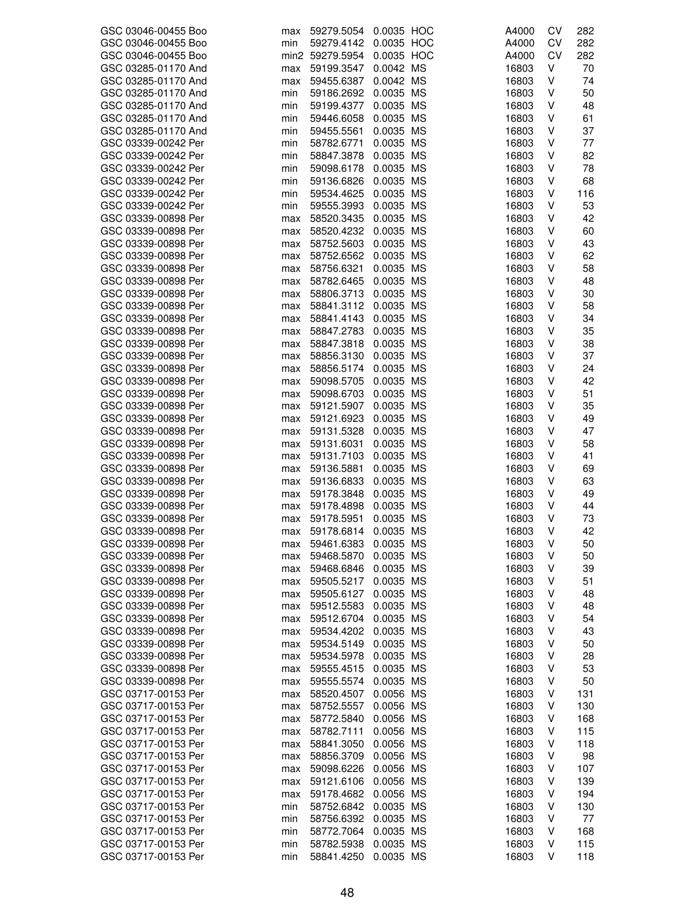| GSC 03046-00455 Boo | max | 59279.5054      | 0.0035 HOC | A4000 | CV | 282 |
|---------------------|-----|-----------------|------------|-------|----|-----|
| GSC 03046-00455 Boo | min | 59279.4142      | 0.0035 HOC | A4000 | CV | 282 |
| GSC 03046-00455 Boo |     | min2 59279.5954 | 0.0035 HOC | A4000 | CV | 282 |
| GSC 03285-01170 And | max | 59199.3547      | 0.0042 MS  | 16803 | v  | 70  |
| GSC 03285-01170 And | max | 59455.6387      | 0.0042 MS  | 16803 | V  | 74  |
| GSC 03285-01170 And | min | 59186.2692      | 0.0035 MS  | 16803 | V  | 50  |
| GSC 03285-01170 And | min | 59199.4377      | 0.0035 MS  | 16803 | V  | 48  |
| GSC 03285-01170 And |     |                 |            | 16803 | V  | 61  |
|                     | min | 59446.6058      | 0.0035 MS  |       |    |     |
| GSC 03285-01170 And | min | 59455.5561      | 0.0035 MS  | 16803 | V  | 37  |
| GSC 03339-00242 Per | min | 58782.6771      | 0.0035 MS  | 16803 | V  | 77  |
| GSC 03339-00242 Per | min | 58847.3878      | 0.0035 MS  | 16803 | V  | 82  |
| GSC 03339-00242 Per | min | 59098.6178      | 0.0035 MS  | 16803 | V  | 78  |
| GSC 03339-00242 Per | min | 59136.6826      | 0.0035 MS  | 16803 | V  | 68  |
| GSC 03339-00242 Per | min | 59534.4625      | 0.0035 MS  | 16803 | V  | 116 |
| GSC 03339-00242 Per | min | 59555.3993      | 0.0035 MS  | 16803 | V  | 53  |
| GSC 03339-00898 Per | max | 58520.3435      | 0.0035 MS  | 16803 | v  | 42  |
| GSC 03339-00898 Per | max | 58520.4232      | 0.0035 MS  | 16803 | V  | 60  |
| GSC 03339-00898 Per | max | 58752.5603      | 0.0035 MS  | 16803 | V  | 43  |
| GSC 03339-00898 Per | max | 58752.6562      | 0.0035 MS  | 16803 | V  | 62  |
| GSC 03339-00898 Per | max | 58756.6321      | 0.0035 MS  | 16803 | V  | 58  |
| GSC 03339-00898 Per | max | 58782.6465      | 0.0035 MS  | 16803 | V  | 48  |
| GSC 03339-00898 Per | max | 58806.3713      | 0.0035 MS  | 16803 | V  | 30  |
| GSC 03339-00898 Per | max | 58841.3112      | 0.0035 MS  | 16803 | V  | 58  |
| GSC 03339-00898 Per |     | 58841.4143      | 0.0035 MS  |       | V  | 34  |
|                     | max |                 |            | 16803 |    |     |
| GSC 03339-00898 Per | max | 58847.2783      | 0.0035 MS  | 16803 | V  | 35  |
| GSC 03339-00898 Per | max | 58847.3818      | 0.0035 MS  | 16803 | V  | 38  |
| GSC 03339-00898 Per | max | 58856.3130      | 0.0035 MS  | 16803 | V  | 37  |
| GSC 03339-00898 Per | max | 58856.5174      | 0.0035 MS  | 16803 | V  | 24  |
| GSC 03339-00898 Per | max | 59098.5705      | 0.0035 MS  | 16803 | V  | 42  |
| GSC 03339-00898 Per | max | 59098.6703      | 0.0035 MS  | 16803 | V  | 51  |
| GSC 03339-00898 Per | max | 59121.5907      | 0.0035 MS  | 16803 | V  | 35  |
| GSC 03339-00898 Per | max | 59121.6923      | 0.0035 MS  | 16803 | V  | 49  |
| GSC 03339-00898 Per | max | 59131.5328      | 0.0035 MS  | 16803 | V  | 47  |
| GSC 03339-00898 Per | max | 59131.6031      | 0.0035 MS  | 16803 | V  | 58  |
| GSC 03339-00898 Per | max | 59131.7103      | 0.0035 MS  | 16803 | V  | 41  |
| GSC 03339-00898 Per | max | 59136.5881      | 0.0035 MS  | 16803 | V  | 69  |
| GSC 03339-00898 Per | max | 59136.6833      | 0.0035 MS  | 16803 | V  | 63  |
| GSC 03339-00898 Per | max | 59178.3848      | 0.0035 MS  | 16803 | V  | 49  |
| GSC 03339-00898 Per | max | 59178.4898      | 0.0035 MS  | 16803 | v  | 44  |
| GSC 03339-00898 Per | max | 59178.5951      | 0.0035 MS  | 16803 | V  | 73  |
| GSC 03339-00898 Per | max | 59178.6814      | 0.0035 MS  | 16803 | V  | 42  |
| GSC 03339-00898 Per | max | 59461.6383      | 0.0035 MS  | 16803 | V  | 50  |
| GSC 03339-00898 Per |     | 59468.5870      | 0.0035 MS  | 16803 | V  | 50  |
| GSC 03339-00898 Per | max |                 | 0.0035 MS  | 16803 | ٧  |     |
|                     | max | 59468.6846      |            |       |    | 39  |
| GSC 03339-00898 Per | max | 59505.5217      | 0.0035 MS  | 16803 | ٧  | 51  |
| GSC 03339-00898 Per | max | 59505.6127      | 0.0035 MS  | 16803 | V  | 48  |
| GSC 03339-00898 Per | max | 59512.5583      | 0.0035 MS  | 16803 | ٧  | 48  |
| GSC 03339-00898 Per | max | 59512.6704      | 0.0035 MS  | 16803 | V  | 54  |
| GSC 03339-00898 Per | max | 59534.4202      | 0.0035 MS  | 16803 | V  | 43  |
| GSC 03339-00898 Per | max | 59534.5149      | 0.0035 MS  | 16803 | ٧  | 50  |
| GSC 03339-00898 Per | max | 59534.5978      | 0.0035 MS  | 16803 | ٧  | 28  |
| GSC 03339-00898 Per | max | 59555.4515      | 0.0035 MS  | 16803 | ٧  | 53  |
| GSC 03339-00898 Per | max | 59555.5574      | 0.0035 MS  | 16803 | V  | 50  |
| GSC 03717-00153 Per | max | 58520.4507      | 0.0056 MS  | 16803 | V  | 131 |
| GSC 03717-00153 Per | max | 58752.5557      | 0.0056 MS  | 16803 | V  | 130 |
| GSC 03717-00153 Per | max | 58772.5840      | 0.0056 MS  | 16803 | V  | 168 |
| GSC 03717-00153 Per | max | 58782.7111      | 0.0056 MS  | 16803 | ٧  | 115 |
| GSC 03717-00153 Per | max | 58841.3050      | 0.0056 MS  | 16803 | V  | 118 |
| GSC 03717-00153 Per | max | 58856.3709      | 0.0056 MS  | 16803 | V  | 98  |
| GSC 03717-00153 Per | max | 59098.6226      | 0.0056 MS  | 16803 | V  | 107 |
| GSC 03717-00153 Per | max | 59121.6106      | 0.0056 MS  | 16803 | V  | 139 |
| GSC 03717-00153 Per |     |                 |            |       | ٧  | 194 |
|                     | max | 59178.4682      | 0.0056 MS  | 16803 |    |     |
| GSC 03717-00153 Per | min | 58752.6842      | 0.0035 MS  | 16803 | V  | 130 |
| GSC 03717-00153 Per | min | 58756.6392      | 0.0035 MS  | 16803 | ٧  | 77  |
| GSC 03717-00153 Per | min | 58772.7064      | 0.0035 MS  | 16803 | V  | 168 |
| GSC 03717-00153 Per | min | 58782.5938      | 0.0035 MS  | 16803 | V  | 115 |
| GSC 03717-00153 Per | min | 58841.4250      | 0.0035 MS  | 16803 | V  | 118 |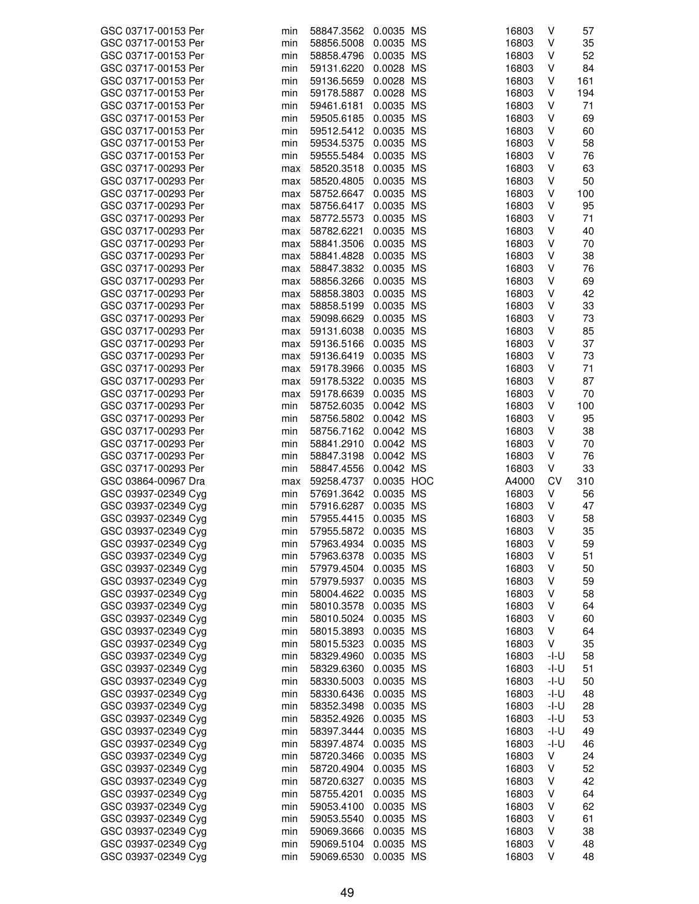| GSC 03717-00153 Per                        | min | 58847.3562 0.0035 MS |            | 16803 | V      | 57       |
|--------------------------------------------|-----|----------------------|------------|-------|--------|----------|
| GSC 03717-00153 Per                        | min | 58856.5008           | 0.0035 MS  | 16803 | V      | 35       |
| GSC 03717-00153 Per                        |     |                      |            | 16803 | V      | 52       |
|                                            | min | 58858.4796           | 0.0035 MS  |       |        |          |
| GSC 03717-00153 Per                        | min | 59131.6220           | 0.0028 MS  | 16803 | V      | 84       |
| GSC 03717-00153 Per                        | min | 59136.5659           | 0.0028 MS  | 16803 | ٧      | 161      |
| GSC 03717-00153 Per                        | min | 59178.5887           | 0.0028 MS  | 16803 | V      | 194      |
| GSC 03717-00153 Per                        | min | 59461.6181           | 0.0035 MS  | 16803 | V      | 71       |
| GSC 03717-00153 Per                        | min | 59505.6185           | 0.0035 MS  | 16803 | V      | 69       |
| GSC 03717-00153 Per                        | min | 59512.5412           | 0.0035 MS  | 16803 | V      | 60       |
|                                            |     |                      | 0.0035 MS  |       |        |          |
| GSC 03717-00153 Per                        | min | 59534.5375           |            | 16803 | V      | 58       |
| GSC 03717-00153 Per                        | min | 59555.5484           | 0.0035 MS  | 16803 | V      | 76       |
| GSC 03717-00293 Per                        | max | 58520.3518           | 0.0035 MS  | 16803 | V      | 63       |
| GSC 03717-00293 Per                        | max | 58520.4805           | 0.0035 MS  | 16803 | V      | 50       |
| GSC 03717-00293 Per                        | max | 58752.6647           | 0.0035 MS  | 16803 | V      | 100      |
| GSC 03717-00293 Per                        | max | 58756.6417           | 0.0035 MS  | 16803 | V      | 95       |
| GSC 03717-00293 Per                        | max | 58772.5573           | 0.0035 MS  | 16803 | V      | 71       |
| GSC 03717-00293 Per                        |     | 58782.6221           | 0.0035 MS  | 16803 | V      | 40       |
|                                            | max |                      |            |       |        |          |
| GSC 03717-00293 Per                        | max | 58841.3506           | 0.0035 MS  | 16803 | ٧      | 70       |
| GSC 03717-00293 Per                        | max | 58841.4828           | 0.0035 MS  | 16803 | V      | 38       |
| GSC 03717-00293 Per                        | max | 58847.3832           | 0.0035 MS  | 16803 | V      | 76       |
| GSC 03717-00293 Per                        | max | 58856.3266           | 0.0035 MS  | 16803 | V      | 69       |
| GSC 03717-00293 Per                        | max | 58858.3803           | 0.0035 MS  | 16803 | V      | 42       |
| GSC 03717-00293 Per                        | max | 58858.5199           | 0.0035 MS  | 16803 | V      | 33       |
| GSC 03717-00293 Per                        |     | 59098.6629           | 0.0035 MS  | 16803 | V      | 73       |
|                                            | max |                      |            |       |        |          |
| GSC 03717-00293 Per                        | max | 59131.6038           | 0.0035 MS  | 16803 | V      | 85       |
| GSC 03717-00293 Per                        | max | 59136.5166           | 0.0035 MS  | 16803 | V      | 37       |
| GSC 03717-00293 Per                        | max | 59136.6419           | 0.0035 MS  | 16803 | V      | 73       |
| GSC 03717-00293 Per                        | max | 59178.3966           | 0.0035 MS  | 16803 | V      | 71       |
| GSC 03717-00293 Per                        | max | 59178.5322           | 0.0035 MS  | 16803 | V      | 87       |
| GSC 03717-00293 Per                        | max | 59178.6639           | 0.0035 MS  | 16803 | V      | 70       |
| GSC 03717-00293 Per                        | min | 58752.6035           | 0.0042 MS  | 16803 | V      | 100      |
|                                            |     |                      |            |       | V      |          |
| GSC 03717-00293 Per                        | min | 58756.5802           | 0.0042 MS  | 16803 |        | 95       |
| GSC 03717-00293 Per                        | min | 58756.7162           | 0.0042 MS  | 16803 | V      | 38       |
| GSC 03717-00293 Per                        | min | 58841.2910           | 0.0042 MS  | 16803 | V      | 70       |
| GSC 03717-00293 Per                        | min | 58847.3198           | 0.0042 MS  | 16803 | V      | 76       |
| GSC 03717-00293 Per                        | min | 58847.4556           | 0.0042 MS  | 16803 | V      | 33       |
| GSC 03864-00967 Dra                        | max | 59258.4737           | 0.0035 HOC | A4000 | CV     | 310      |
|                                            |     |                      |            |       |        |          |
|                                            |     |                      |            |       |        |          |
| GSC 03937-02349 Cyg                        | min | 57691.3642           | 0.0035 MS  | 16803 | V      | 56       |
| GSC 03937-02349 Cyg                        | min | 57916.6287           | 0.0035 MS  | 16803 | v      | 47       |
| GSC 03937-02349 Cyg                        | min | 57955.4415           | 0.0035 MS  | 16803 | V      | 58       |
| GSC 03937-02349 Cyg                        | min | 57955.5872           | 0.0035 MS  | 16803 | V      | 35       |
| GSC 03937-02349 Cyg                        | min | 57963.4934           | 0.0035 MS  | 16803 | V      | 59       |
| GSC 03937-02349 Cyg                        | min | 57963.6378           | 0.0035 MS  | 16803 | V      | 51       |
|                                            | min |                      |            | 16803 | V      |          |
| GSC 03937-02349 Cyg                        |     | 57979.4504           | 0.0035 MS  |       |        | 50       |
| GSC 03937-02349 Cyg                        | min | 57979.5937           | 0.0035 MS  | 16803 | ٧      | 59       |
| GSC 03937-02349 Cyg                        | min | 58004.4622           | 0.0035 MS  | 16803 | ٧      | 58       |
| GSC 03937-02349 Cyg                        | min | 58010.3578           | 0.0035 MS  | 16803 | ٧      | 64       |
| GSC 03937-02349 Cyg                        | min | 58010.5024           | 0.0035 MS  | 16803 | V      | 60       |
| GSC 03937-02349 Cyg                        | min | 58015.3893           | 0.0035 MS  | 16803 | V      | 64       |
| GSC 03937-02349 Cyg                        | min | 58015.5323           | 0.0035 MS  | 16803 | V      | 35       |
| GSC 03937-02349 Cyg                        | min | 58329.4960           | 0.0035 MS  | 16803 | -l-U   | 58       |
|                                            |     |                      |            |       |        |          |
| GSC 03937-02349 Cyg                        | min | 58329.6360           | 0.0035 MS  | 16803 | -l-U   | 51       |
| GSC 03937-02349 Cyg                        | min | 58330.5003           | 0.0035 MS  | 16803 | $-I-U$ | 50       |
| GSC 03937-02349 Cyg                        | min | 58330.6436           | 0.0035 MS  | 16803 | -I-U   | 48       |
| GSC 03937-02349 Cyg                        | min | 58352.3498           | 0.0035 MS  | 16803 | -I-U   | 28       |
| GSC 03937-02349 Cyg                        | min | 58352.4926           | 0.0035 MS  | 16803 | -I-U   | 53       |
| GSC 03937-02349 Cyg                        | min | 58397.3444           | 0.0035 MS  | 16803 | -I-U   | 49       |
| GSC 03937-02349 Cyg                        | min | 58397.4874           | 0.0035 MS  | 16803 | $-I-U$ | 46       |
| GSC 03937-02349 Cyg                        | min | 58720.3466           | 0.0035 MS  | 16803 | V      | 24       |
|                                            | min |                      |            | 16803 | V      |          |
| GSC 03937-02349 Cyg                        |     | 58720.4904           | 0.0035 MS  |       |        | 52       |
| GSC 03937-02349 Cyg                        | min | 58720.6327           | 0.0035 MS  | 16803 | V      | 42       |
| GSC 03937-02349 Cyg                        | min | 58755.4201           | 0.0035 MS  | 16803 | V      | 64       |
| GSC 03937-02349 Cyg                        | min | 59053.4100           | 0.0035 MS  | 16803 | V      | 62       |
| GSC 03937-02349 Cyg                        | min | 59053.5540           | 0.0035 MS  | 16803 | V      | 61       |
| GSC 03937-02349 Cyg                        | min | 59069.3666           | 0.0035 MS  | 16803 | V      | 38       |
| GSC 03937-02349 Cyg<br>GSC 03937-02349 Cyg | min | 59069.5104           | 0.0035 MS  | 16803 | V      | 48<br>48 |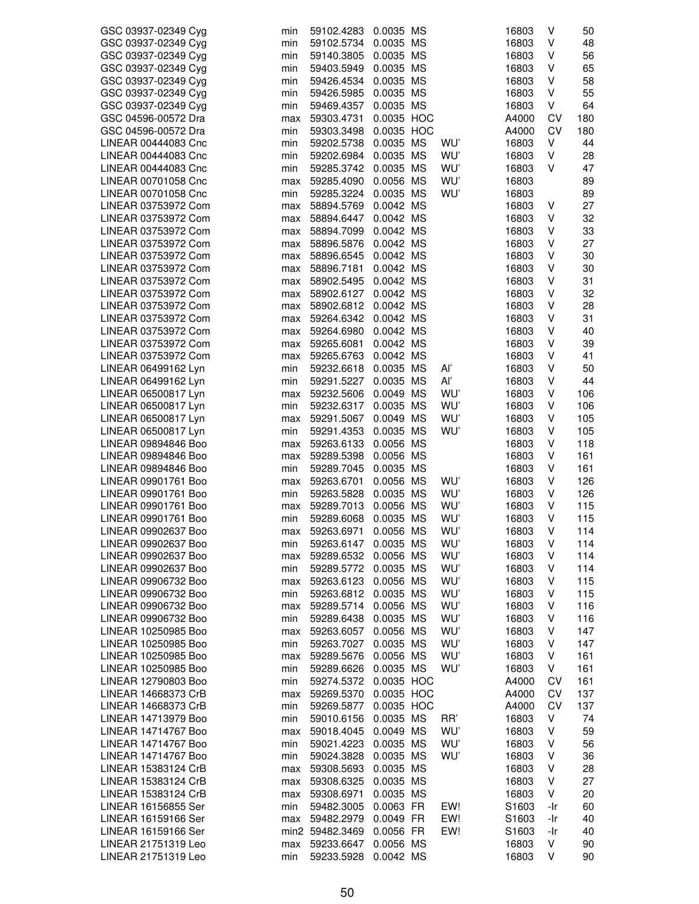| GSC 03937-02349 Cyg | min | 59102.4283      | 0.0035 MS  |     | 16803 | ٧   | 50  |
|---------------------|-----|-----------------|------------|-----|-------|-----|-----|
| GSC 03937-02349 Cyg | min | 59102.5734      | 0.0035 MS  |     | 16803 | V   | 48  |
| GSC 03937-02349 Cyg | min | 59140.3805      | 0.0035 MS  |     | 16803 | V   | 56  |
| GSC 03937-02349 Cyg | min | 59403.5949      | 0.0035 MS  |     | 16803 | ٧   | 65  |
| GSC 03937-02349 Cyg | min | 59426.4534      | 0.0035 MS  |     | 16803 | V   | 58  |
| GSC 03937-02349 Cyg | min | 59426.5985      | 0.0035 MS  |     | 16803 | V   | 55  |
| GSC 03937-02349 Cyg | min | 59469.4357      | 0.0035 MS  |     | 16803 | V   | 64  |
| GSC 04596-00572 Dra | max | 59303.4731      | 0.0035 HOC |     | A4000 | CV  | 180 |
| GSC 04596-00572 Dra | min | 59303.3498      | 0.0035 HOC |     | A4000 | CV  | 180 |
| LINEAR 00444083 Cnc | min | 59202.5738      | 0.0035 MS  | WU' | 16803 | V   | 44  |
| LINEAR 00444083 Cnc | min | 59202.6984      | 0.0035 MS  | WU' | 16803 | V   | 28  |
| LINEAR 00444083 Cnc | min | 59285.3742      | 0.0035 MS  | WU' | 16803 | V   | 47  |
| LINEAR 00701058 Cnc | max | 59285.4090      | 0.0056 MS  | WU' | 16803 |     | 89  |
| LINEAR 00701058 Cnc | min | 59285.3224      | 0.0035 MS  | WU' | 16803 |     | 89  |
| LINEAR 03753972 Com |     | 58894.5769      | 0.0042 MS  |     | 16803 | V   | 27  |
| LINEAR 03753972 Com | max | 58894.6447      | 0.0042 MS  |     | 16803 | V   | 32  |
|                     | max |                 | 0.0042 MS  |     |       | ٧   | 33  |
| LINEAR 03753972 Com | max | 58894.7099      |            |     | 16803 |     |     |
| LINEAR 03753972 Com | max | 58896.5876      | 0.0042 MS  |     | 16803 | V   | 27  |
| LINEAR 03753972 Com | max | 58896.6545      | 0.0042 MS  |     | 16803 | V   | 30  |
| LINEAR 03753972 Com | max | 58896.7181      | 0.0042 MS  |     | 16803 | V   | 30  |
| LINEAR 03753972 Com | max | 58902.5495      | 0.0042 MS  |     | 16803 | ٧   | 31  |
| LINEAR 03753972 Com | max | 58902.6127      | 0.0042 MS  |     | 16803 | ٧   | 32  |
| LINEAR 03753972 Com | max | 58902.6812      | 0.0042 MS  |     | 16803 | ٧   | 28  |
| LINEAR 03753972 Com | max | 59264.6342      | 0.0042 MS  |     | 16803 | V   | 31  |
| LINEAR 03753972 Com | max | 59264.6980      | 0.0042 MS  |     | 16803 | ٧   | 40  |
| LINEAR 03753972 Com | max | 59265.6081      | 0.0042 MS  |     | 16803 | V   | 39  |
| LINEAR 03753972 Com | max | 59265.6763      | 0.0042 MS  |     | 16803 | ٧   | 41  |
| LINEAR 06499162 Lyn | min | 59232.6618      | 0.0035 MS  | Aľ  | 16803 | V   | 50  |
| LINEAR 06499162 Lyn | min | 59291.5227      | 0.0035 MS  | Al' | 16803 | V   | 44  |
| LINEAR 06500817 Lyn | max | 59232.5606      | 0.0049 MS  | WU' | 16803 | ٧   | 106 |
| LINEAR 06500817 Lyn | min | 59232.6317      | 0.0035 MS  | WU' | 16803 | V   | 106 |
| LINEAR 06500817 Lyn | max | 59291.5067      | 0.0049 MS  | WU' | 16803 | ٧   | 105 |
| LINEAR 06500817 Lyn | min | 59291.4353      | 0.0035 MS  | WU' | 16803 | V   | 105 |
| LINEAR 09894846 Boo | max | 59263.6133      | 0.0056 MS  |     | 16803 | V   | 118 |
| LINEAR 09894846 Boo | max | 59289.5398      | 0.0056 MS  |     | 16803 | ٧   | 161 |
| LINEAR 09894846 Boo | min | 59289.7045      | 0.0035 MS  |     | 16803 | ٧   | 161 |
| LINEAR 09901761 Boo | max | 59263.6701      | 0.0056 MS  | WU' | 16803 | V   | 126 |
| LINEAR 09901761 Boo | min | 59263.5828      | 0.0035 MS  | WU' | 16803 | ٧   | 126 |
| LINEAR 09901761 Boo | max | 59289.7013      | 0.0056 MS  | WU' | 16803 | ٧   | 115 |
| LINEAR 09901761 Boo | min | 59289.6068      | 0.0035 MS  | WU' | 16803 | ٧   | 115 |
| LINEAR 09902637 Boo |     | 59263.6971      | 0.0056 MS  | WU' | 16803 | V   | 114 |
|                     | max |                 |            |     |       |     |     |
| LINEAR 09902637 Boo | min | 59263.6147      | 0.0035 MS  | WU' | 16803 | ٧   | 114 |
| LINEAR 09902637 Boo | max | 59289.6532      | 0.0056 MS  | WU' | 16803 | V   | 114 |
| LINEAR 09902637 Boo | min | 59289.5772      | 0.0035 MS  | WU' | 16803 | V   | 114 |
| LINEAR 09906732 Boo | max | 59263.6123      | 0.0056 MS  | WU' | 16803 | V   | 115 |
| LINEAR 09906732 Boo | min | 59263.6812      | 0.0035 MS  | WU' | 16803 | V   | 115 |
| LINEAR 09906732 Boo | max | 59289.5714      | 0.0056 MS  | WU' | 16803 | ٧   | 116 |
| LINEAR 09906732 Boo | min | 59289.6438      | 0.0035 MS  | WU' | 16803 | V   | 116 |
| LINEAR 10250985 Boo | max | 59263.6057      | 0.0056 MS  | WU' | 16803 | V   | 147 |
| LINEAR 10250985 Boo | min | 59263.7027      | 0.0035 MS  | WU' | 16803 | V   | 147 |
| LINEAR 10250985 Boo | max | 59289.5676      | 0.0056 MS  | WU' | 16803 | V   | 161 |
| LINEAR 10250985 Boo | min | 59289.6626      | 0.0035 MS  | WU' | 16803 | V   | 161 |
| LINEAR 12790803 Boo | min | 59274.5372      | 0.0035 HOC |     | A4000 | CV  | 161 |
| LINEAR 14668373 CrB | max | 59269.5370      | 0.0035 HOC |     | A4000 | CV  | 137 |
| LINEAR 14668373 CrB | min | 59269.5877      | 0.0035 HOC |     | A4000 | CV  | 137 |
| LINEAR 14713979 Boo | min | 59010.6156      | 0.0035 MS  | RR' | 16803 | V   | 74  |
| LINEAR 14714767 Boo | max | 59018.4045      | 0.0049 MS  | WU' | 16803 | V   | 59  |
| LINEAR 14714767 Boo | min | 59021.4223      | 0.0035 MS  | WU' | 16803 | ٧   | 56  |
| LINEAR 14714767 Boo | min | 59024.3828      | 0.0035 MS  | WU' | 16803 | ٧   | 36  |
| LINEAR 15383124 CrB | max | 59308.5693      | 0.0035 MS  |     | 16803 | V   | 28  |
| LINEAR 15383124 CrB | max | 59308.6325      | 0.0035 MS  |     | 16803 | V   | 27  |
| LINEAR 15383124 CrB | max | 59308.6971      | 0.0035 MS  |     | 16803 | V   | 20  |
| LINEAR 16156855 Ser | min | 59482.3005      | 0.0063 FR  | EW! | S1603 | -Ir | 60  |
| LINEAR 16159166 Ser | max | 59482.2979      | 0.0049 FR  | EW! | S1603 | -Ir | 40  |
| LINEAR 16159166 Ser |     | min2 59482.3469 | 0.0056 FR  | EW! | S1603 | -Ir | 40  |
| LINEAR 21751319 Leo | max | 59233.6647      | 0.0056 MS  |     | 16803 | V   | 90  |
| LINEAR 21751319 Leo | min | 59233.5928      | 0.0042 MS  |     | 16803 | V   | 90  |
|                     |     |                 |            |     |       |     |     |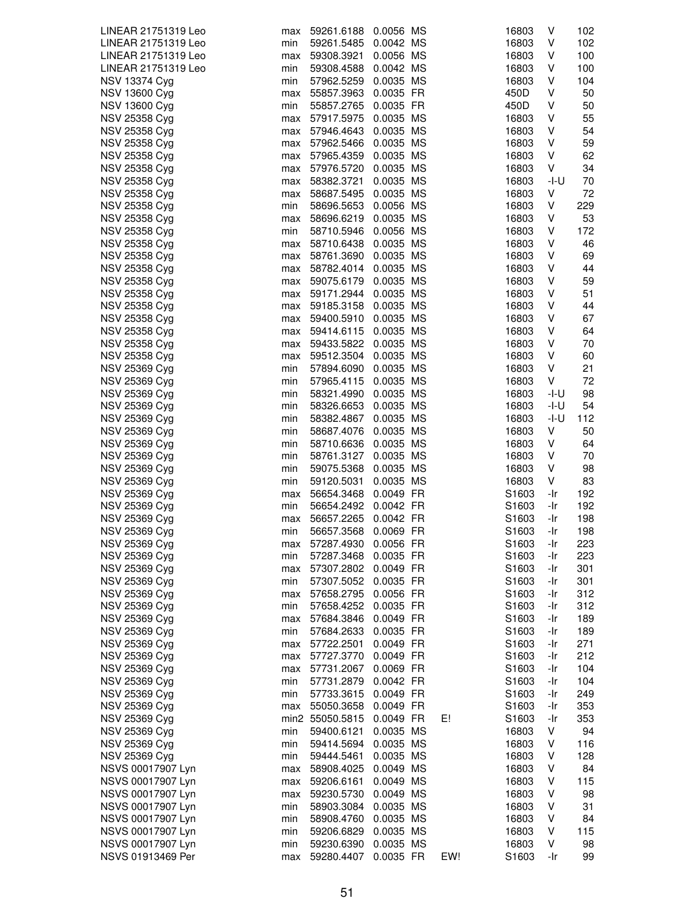| LINEAR 21751319 Leo  | max | 59261.6188 0.0056 MS |           |     | 16803 | V    | 102 |
|----------------------|-----|----------------------|-----------|-----|-------|------|-----|
| LINEAR 21751319 Leo  | min | 59261.5485 0.0042 MS |           |     | 16803 | V    | 102 |
| LINEAR 21751319 Leo  | max | 59308.3921           | 0.0056 MS |     | 16803 | ٧    | 100 |
| LINEAR 21751319 Leo  |     |                      |           |     |       |      |     |
|                      | min | 59308.4588           | 0.0042 MS |     | 16803 | v    | 100 |
| NSV 13374 Cyg        | min | 57962.5259           | 0.0035 MS |     | 16803 | ٧    | 104 |
| <b>NSV 13600 Cyg</b> | max | 55857.3963           | 0.0035 FR |     | 450D  | V    | 50  |
| NSV 13600 Cyg        | min | 55857.2765 0.0035 FR |           |     | 450D  | V    | 50  |
| NSV 25358 Cyg        | max | 57917.5975           | 0.0035 MS |     | 16803 | ٧    | 55  |
| NSV 25358 Cyg        | max | 57946.4643           | 0.0035 MS |     | 16803 | V    | 54  |
| <b>NSV 25358 Cyg</b> | max | 57962.5466           | 0.0035 MS |     | 16803 | ٧    | 59  |
| NSV 25358 Cyg        | max | 57965.4359           | 0.0035 MS |     | 16803 | ٧    | 62  |
|                      |     |                      |           |     |       |      |     |
| NSV 25358 Cyg        | max | 57976.5720 0.0035 MS |           |     | 16803 | V    | 34  |
| <b>NSV 25358 Cyg</b> | max | 58382.3721           | 0.0035 MS |     | 16803 | -I-U | 70  |
| NSV 25358 Cyg        | max | 58687.5495           | 0.0035 MS |     | 16803 | ٧    | 72  |
| NSV 25358 Cyg        | min | 58696.5653           | 0.0056 MS |     | 16803 | ٧    | 229 |
| NSV 25358 Cyg        | max | 58696.6219           | 0.0035 MS |     | 16803 | V    | 53  |
| NSV 25358 Cyg        | min | 58710.5946           | 0.0056 MS |     | 16803 | ٧    | 172 |
| NSV 25358 Cyg        | max | 58710.6438 0.0035 MS |           |     | 16803 | ٧    | 46  |
| <b>NSV 25358 Cyg</b> | max | 58761.3690           | 0.0035 MS |     | 16803 | ٧    | 69  |
| <b>NSV 25358 Cyg</b> |     |                      | 0.0035 MS |     |       | ٧    | 44  |
|                      | max | 58782.4014           |           |     | 16803 |      |     |
| NSV 25358 Cyg        | max | 59075.6179           | 0.0035 MS |     | 16803 | V    | 59  |
| <b>NSV 25358 Cyg</b> | max | 59171.2944           | 0.0035 MS |     | 16803 | ٧    | 51  |
| <b>NSV 25358 Cyg</b> | max | 59185.3158           | 0.0035 MS |     | 16803 | ٧    | 44  |
| <b>NSV 25358 Cyg</b> | max | 59400.5910 0.0035 MS |           |     | 16803 | ٧    | 67  |
| NSV 25358 Cyg        | max | 59414.6115 0.0035 MS |           |     | 16803 | ٧    | 64  |
| NSV 25358 Cyg        | max | 59433.5822           | 0.0035 MS |     | 16803 | ٧    | 70  |
| <b>NSV 25358 Cyg</b> | max | 59512.3504           | 0.0035 MS |     | 16803 | ٧    | 60  |
| NSV 25369 Cyg        | min | 57894.6090           | 0.0035 MS |     | 16803 | ٧    | 21  |
| NSV 25369 Cyg        |     |                      | 0.0035 MS |     |       | V    | 72  |
|                      | min | 57965.4115           |           |     | 16803 |      |     |
| <b>NSV 25369 Cyg</b> | min | 58321.4990 0.0035 MS |           |     | 16803 | -I-U | 98  |
| <b>NSV 25369 Cyg</b> | min | 58326.6653           | 0.0035 MS |     | 16803 | -I-U | 54  |
| NSV 25369 Cyg        | min | 58382.4867           | 0.0035 MS |     | 16803 | -I-U | 112 |
| NSV 25369 Cyg        | min | 58687.4076           | 0.0035 MS |     | 16803 | ٧    | 50  |
| NSV 25369 Cyg        | min | 58710.6636           | 0.0035 MS |     | 16803 | ٧    | 64  |
| <b>NSV 25369 Cyg</b> | min | 58761.3127           | 0.0035 MS |     | 16803 | V    | 70  |
| NSV 25369 Cyg        | min | 59075.5368           | 0.0035 MS |     | 16803 | ٧    | 98  |
| NSV 25369 Cyg        | min | 59120.5031           | 0.0035 MS |     | 16803 | V    | 83  |
| NSV 25369 Cyg        | max | 56654.3468           | 0.0049 FR |     | S1603 | -Ir  | 192 |
|                      |     |                      |           |     |       |      |     |
| NSV 25369 Cyg        | min | 56654.2492 0.0042 FR |           |     | S1603 | -Ir  | 192 |
| NSV 25369 Cyg        | max | 56657.2265           | 0.0042 FR |     | S1603 | -Ir  | 198 |
| NSV 25369 Cyg        | min | 56657.3568           | 0.0069 FR |     | S1603 | -Ir  | 198 |
| <b>NSV 25369 Cyg</b> | max | 57287.4930           | 0.0056 FR |     | S1603 | -Ir  | 223 |
| <b>NSV 25369 Cyg</b> | min | 57287.3468           | 0.0035 FR |     | S1603 | -Ir  | 223 |
| NSV 25369 Cyg        | max | 57307.2802 0.0049 FR |           |     | S1603 | -Ir  | 301 |
| NSV 25369 Cyg        | min | 57307.5052           | 0.0035 FR |     | S1603 | -Ir  | 301 |
| NSV 25369 Cyg        | max | 57658.2795           | 0.0056 FR |     | S1603 | -Ir  | 312 |
| <b>NSV 25369 Cyg</b> | min | 57658.4252 0.0035 FR |           |     | S1603 | -Ir  | 312 |
| <b>NSV 25369 Cyg</b> |     | 57684.3846           | 0.0049 FR |     | S1603 | -Ir  | 189 |
|                      | max |                      |           |     |       |      |     |
| <b>NSV 25369 Cyg</b> | min | 57684.2633           | 0.0035 FR |     | S1603 | -Ir  | 189 |
| <b>NSV 25369 Cyg</b> | max | 57722.2501           | 0.0049 FR |     | S1603 | -Ir  | 271 |
| NSV 25369 Cyg        | max | 57727.3770           | 0.0049 FR |     | S1603 | -Ir  | 212 |
| NSV 25369 Cyg        | max | 57731.2067           | 0.0069 FR |     | S1603 | -Ir  | 104 |
| NSV 25369 Cyg        | min | 57731.2879           | 0.0042 FR |     | S1603 | -Ir  | 104 |
| NSV 25369 Cyg        | min | 57733.3615           | 0.0049 FR |     | S1603 | -Ir  | 249 |
| NSV 25369 Cyg        | max | 55050.3658           | 0.0049 FR |     | S1603 | -Ir  | 353 |
| NSV 25369 Cyg        |     | min2 55050.5815      | 0.0049 FR | E!  | S1603 | -Ir  | 353 |
| NSV 25369 Cyg        | min | 59400.6121           | 0.0035 MS |     | 16803 | ٧    | 94  |
| NSV 25369 Cyg        |     |                      |           |     |       | V    |     |
|                      | min | 59414.5694           | 0.0035 MS |     | 16803 |      | 116 |
| NSV 25369 Cyg        | min | 59444.5461           | 0.0035 MS |     | 16803 | ٧    | 128 |
| NSVS 00017907 Lyn    | max | 58908.4025           | 0.0049 MS |     | 16803 | ٧    | 84  |
| NSVS 00017907 Lyn    | max | 59206.6161           | 0.0049 MS |     | 16803 | V    | 115 |
| NSVS 00017907 Lyn    | max | 59230.5730           | 0.0049 MS |     | 16803 | ٧    | 98  |
| NSVS 00017907 Lyn    | min | 58903.3084           | 0.0035 MS |     | 16803 | ٧    | 31  |
| NSVS 00017907 Lyn    | min | 58908.4760           | 0.0035 MS |     | 16803 | ٧    | 84  |
| NSVS 00017907 Lyn    | min | 59206.6829           | 0.0035 MS |     | 16803 | ٧    | 115 |
| NSVS 00017907 Lyn    | min | 59230.6390           | 0.0035 MS |     | 16803 | V    | 98  |
| NSVS 01913469 Per    |     | 59280.4407           | 0.0035 FR | EW! | S1603 | -Ir  | 99  |
|                      | max |                      |           |     |       |      |     |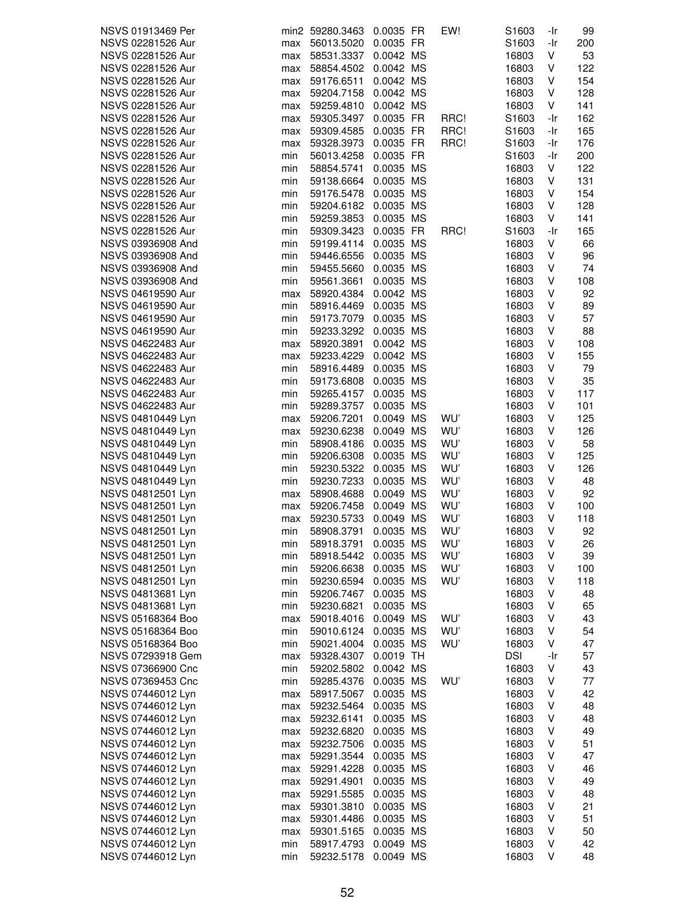| NSVS 01913469 Per |     | min2 59280.3463 | 0.0035 FR | EW!  | S1603      | -Ir | 99  |
|-------------------|-----|-----------------|-----------|------|------------|-----|-----|
|                   |     |                 |           |      |            |     |     |
| NSVS 02281526 Aur | max | 56013.5020      | 0.0035 FR |      | S1603      | -Ir | 200 |
| NSVS 02281526 Aur | max | 58531.3337      | 0.0042 MS |      | 16803      | V   | 53  |
| NSVS 02281526 Aur | max | 58854.4502      | 0.0042 MS |      | 16803      | ٧   | 122 |
| NSVS 02281526 Aur | max | 59176.6511      | 0.0042 MS |      | 16803      | ٧   | 154 |
| NSVS 02281526 Aur | max | 59204.7158      | 0.0042 MS |      | 16803      | V   | 128 |
| NSVS 02281526 Aur | max | 59259.4810      | 0.0042 MS |      | 16803      | V   | 141 |
|                   |     |                 |           |      |            |     |     |
| NSVS 02281526 Aur | max | 59305.3497      | 0.0035 FR | RRC! | S1603      | -Ir | 162 |
| NSVS 02281526 Aur | max | 59309.4585      | 0.0035 FR | RRC! | S1603      | -Ir | 165 |
| NSVS 02281526 Aur | max | 59328.3973      | 0.0035 FR | RRC! | S1603      | -Ir | 176 |
| NSVS 02281526 Aur | min | 56013.4258      | 0.0035 FR |      | S1603      | -Ir | 200 |
| NSVS 02281526 Aur | min | 58854.5741      | 0.0035 MS |      | 16803      | V   | 122 |
| NSVS 02281526 Aur | min | 59138.6664      | 0.0035 MS |      | 16803      | V   | 131 |
| NSVS 02281526 Aur | min | 59176.5478      | 0.0035 MS |      | 16803      | V   | 154 |
|                   |     |                 |           |      |            |     |     |
| NSVS 02281526 Aur | min | 59204.6182      | 0.0035 MS |      | 16803      | ٧   | 128 |
| NSVS 02281526 Aur | min | 59259.3853      | 0.0035 MS |      | 16803      | V   | 141 |
| NSVS 02281526 Aur | min | 59309.3423      | 0.0035 FR | RRC! | S1603      | -Ir | 165 |
| NSVS 03936908 And | min | 59199.4114      | 0.0035 MS |      | 16803      | V   | 66  |
| NSVS 03936908 And | min | 59446.6556      | 0.0035 MS |      | 16803      | V   | 96  |
| NSVS 03936908 And | min | 59455.5660      | 0.0035 MS |      | 16803      | V   | 74  |
| NSVS 03936908 And | min | 59561.3661      | 0.0035 MS |      | 16803      | V   | 108 |
|                   |     |                 |           |      |            |     |     |
| NSVS 04619590 Aur | max | 58920.4384      | 0.0042 MS |      | 16803      | ٧   | 92  |
| NSVS 04619590 Aur | min | 58916.4469      | 0.0035 MS |      | 16803      | V   | 89  |
| NSVS 04619590 Aur | min | 59173.7079      | 0.0035 MS |      | 16803      | V   | 57  |
| NSVS 04619590 Aur | min | 59233.3292      | 0.0035 MS |      | 16803      | ٧   | 88  |
| NSVS 04622483 Aur | max | 58920.3891      | 0.0042 MS |      | 16803      | ٧   | 108 |
| NSVS 04622483 Aur | max | 59233.4229      | 0.0042 MS |      | 16803      | ٧   | 155 |
| NSVS 04622483 Aur | min | 58916.4489      | 0.0035 MS |      | 16803      | ٧   | 79  |
| NSVS 04622483 Aur | min |                 | 0.0035 MS |      |            | ٧   | 35  |
|                   |     | 59173.6808      |           |      | 16803      |     |     |
| NSVS 04622483 Aur | min | 59265.4157      | 0.0035 MS |      | 16803      | ٧   | 117 |
| NSVS 04622483 Aur | min | 59289.3757      | 0.0035 MS |      | 16803      | V   | 101 |
| NSVS 04810449 Lyn | max | 59206.7201      | 0.0049 MS | WU'  | 16803      | V   | 125 |
| NSVS 04810449 Lyn | max | 59230.6238      | 0.0049 MS | WU'  | 16803      | V   | 126 |
| NSVS 04810449 Lyn | min | 58908.4186      | 0.0035 MS | WU'  | 16803      | ٧   | 58  |
| NSVS 04810449 Lyn | min | 59206.6308      | 0.0035 MS | WU'  | 16803      | ٧   | 125 |
| NSVS 04810449 Lyn | min | 59230.5322      | 0.0035 MS | WU'  | 16803      | ٧   | 126 |
|                   |     |                 |           |      |            |     |     |
| NSVS 04810449 Lyn | min | 59230.7233      | 0.0035 MS | WU'  | 16803      | ٧   | 48  |
| NSVS 04812501 Lyn | max | 58908.4688      | 0.0049 MS | WU'  | 16803      | ٧   | 92  |
| NSVS 04812501 Lyn | max | 59206.7458      | 0.0049 MS | WU'  | 16803      | ٧   | 100 |
| NSVS 04812501 Lyn | max | 59230.5733      | 0.0049 MS | WU'  | 16803      | V   | 118 |
| NSVS 04812501 Lyn | min | 58908.3791      | 0.0035 MS | WU'  | 16803      | V   | 92  |
| NSVS 04812501 Lyn | min | 58918.3791      | 0.0035 MS | WU'  | 16803      | V   | 26  |
| NSVS 04812501 Lyn | min | 58918.5442      | 0.0035 MS | WU'  | 16803      | V   | 39  |
| NSVS 04812501 Lyn | min | 59206.6638      | 0.0035 MS | WU'  | 16803      | ٧   | 100 |
|                   |     |                 |           |      |            |     |     |
| NSVS 04812501 Lyn | min | 59230.6594      | 0.0035 MS | WU'  | 16803      | V   | 118 |
| NSVS 04813681 Lyn | min | 59206.7467      | 0.0035 MS |      | 16803      | ٧   | 48  |
| NSVS 04813681 Lyn | min | 59230.6821      | 0.0035 MS |      | 16803      | ٧   | 65  |
| NSVS 05168364 Boo | max | 59018.4016      | 0.0049 MS | WU'  | 16803      | V   | 43  |
| NSVS 05168364 Boo | min | 59010.6124      | 0.0035 MS | WU'  | 16803      | V   | 54  |
| NSVS 05168364 Boo | min | 59021.4004      | 0.0035 MS | WU'  | 16803      | V   | 47  |
| NSVS 07293918 Gem | max | 59328.4307      | 0.0019 TH |      | <b>DSI</b> | -Ir | 57  |
| NSVS 07366900 Cnc |     |                 | 0.0042 MS |      |            | V   |     |
|                   | min | 59202.5802      |           |      | 16803      |     | 43  |
| NSVS 07369453 Cnc | min | 59285.4376      | 0.0035 MS | WU'  | 16803      | V   | 77  |
| NSVS 07446012 Lyn | max | 58917.5067      | 0.0035 MS |      | 16803      | ٧   | 42  |
| NSVS 07446012 Lyn | max | 59232.5464      | 0.0035 MS |      | 16803      | ٧   | 48  |
| NSVS 07446012 Lyn | max | 59232.6141      | 0.0035 MS |      | 16803      | ٧   | 48  |
| NSVS 07446012 Lyn | max | 59232.6820      | 0.0035 MS |      | 16803      | ٧   | 49  |
| NSVS 07446012 Lyn | max | 59232.7506      | 0.0035 MS |      | 16803      | V   | 51  |
| NSVS 07446012 Lyn | max | 59291.3544      | 0.0035 MS |      | 16803      | V   | 47  |
|                   |     |                 |           |      |            |     |     |
| NSVS 07446012 Lyn | max | 59291.4228      | 0.0035 MS |      | 16803      | V   | 46  |
| NSVS 07446012 Lyn | max | 59291.4901      | 0.0035 MS |      | 16803      | ٧   | 49  |
| NSVS 07446012 Lyn | max | 59291.5585      | 0.0035 MS |      | 16803      | V   | 48  |
| NSVS 07446012 Lyn | max | 59301.3810      | 0.0035 MS |      | 16803      | V   | 21  |
| NSVS 07446012 Lyn | max | 59301.4486      | 0.0035 MS |      | 16803      | ٧   | 51  |
| NSVS 07446012 Lyn | max | 59301.5165      | 0.0035 MS |      | 16803      | V   | 50  |
| NSVS 07446012 Lyn | min | 58917.4793      | 0.0049 MS |      | 16803      | ٧   | 42  |
| NSVS 07446012 Lyn | min | 59232.5178      | 0.0049 MS |      | 16803      | V   | 48  |
|                   |     |                 |           |      |            |     |     |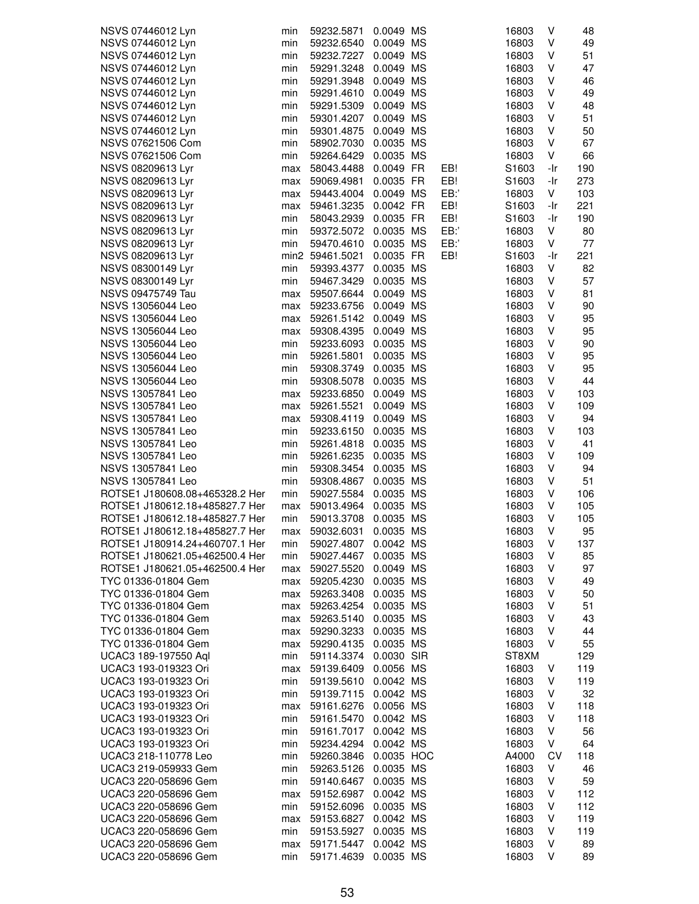| NSVS 07446012 Lyn              | min | 59232.5871      | 0.0049 MS  |     | 16803             | ٧   | 48  |
|--------------------------------|-----|-----------------|------------|-----|-------------------|-----|-----|
| NSVS 07446012 Lyn              | min | 59232.6540      | 0.0049 MS  |     | 16803             | ٧   | 49  |
| NSVS 07446012 Lyn              | min | 59232.7227      | 0.0049 MS  |     | 16803             | ٧   | 51  |
| NSVS 07446012 Lyn              | min | 59291.3248      | 0.0049 MS  |     | 16803             | ٧   | 47  |
| NSVS 07446012 Lyn              | min | 59291.3948      | 0.0049 MS  |     | 16803             | ٧   | 46  |
| NSVS 07446012 Lyn              | min | 59291.4610      | 0.0049 MS  |     | 16803             | ٧   | 49  |
|                                |     |                 | 0.0049 MS  |     |                   |     |     |
| NSVS 07446012 Lyn              | min | 59291.5309      |            |     | 16803             | ٧   | 48  |
| NSVS 07446012 Lyn              | min | 59301.4207      | 0.0049 MS  |     | 16803             | ٧   | 51  |
| NSVS 07446012 Lyn              | min | 59301.4875      | 0.0049 MS  |     | 16803             | ٧   | 50  |
| NSVS 07621506 Com              | min | 58902.7030      | 0.0035 MS  |     | 16803             | ٧   | 67  |
| NSVS 07621506 Com              | min | 59264.6429      | 0.0035 MS  |     | 16803             | ٧   | 66  |
| NSVS 08209613 Lyr              | max | 58043.4488      | 0.0049 FR  | EB! | S1603             | -Ir | 190 |
| NSVS 08209613 Lyr              | max | 59069.4981      | 0.0035 FR  | EB! | S1603             | -Ir | 273 |
| NSVS 08209613 Lyr              | max | 59443.4004      | 0.0049 MS  | EB: | 16803             | V   | 103 |
| NSVS 08209613 Lyr              | max | 59461.3235      | 0.0042 FR  | EB! | S <sub>1603</sub> | -Ir | 221 |
| NSVS 08209613 Lyr              | min | 58043.2939      | 0.0035 FR  | EB! | S1603             | -Ir | 190 |
| NSVS 08209613 Lyr              | min | 59372.5072      | 0.0035 MS  | EB: | 16803             | ٧   | 80  |
| NSVS 08209613 Lyr              | min | 59470.4610      | 0.0035 MS  | EB: | 16803             | V   | 77  |
| NSVS 08209613 Lyr              |     | min2 59461.5021 | 0.0035 FR  | EB! | S1603             | -Ir | 221 |
| NSVS 08300149 Lyr              | min | 59393.4377      | 0.0035 MS  |     | 16803             | V   | 82  |
| NSVS 08300149 Lyr              | min | 59467.3429      | 0.0035 MS  |     | 16803             | ٧   | 57  |
| NSVS 09475749 Tau              | max | 59507.6644      | 0.0049 MS  |     | 16803             | ٧   | 81  |
| NSVS 13056044 Leo              |     | 59233.6756      | 0.0049 MS  |     | 16803             | ٧   | 90  |
|                                | max |                 |            |     |                   |     |     |
| NSVS 13056044 Leo              | max | 59261.5142      | 0.0049 MS  |     | 16803             | ٧   | 95  |
| NSVS 13056044 Leo              | max | 59308.4395      | 0.0049 MS  |     | 16803             | ٧   | 95  |
| NSVS 13056044 Leo              | min | 59233.6093      | 0.0035 MS  |     | 16803             | ٧   | 90  |
| NSVS 13056044 Leo              | min | 59261.5801      | 0.0035 MS  |     | 16803             | ٧   | 95  |
| NSVS 13056044 Leo              | min | 59308.3749      | 0.0035 MS  |     | 16803             | ٧   | 95  |
| NSVS 13056044 Leo              | min | 59308.5078      | 0.0035 MS  |     | 16803             | ٧   | 44  |
| NSVS 13057841 Leo              | max | 59233.6850      | 0.0049 MS  |     | 16803             | ٧   | 103 |
| NSVS 13057841 Leo              | max | 59261.5521      | 0.0049 MS  |     | 16803             | ٧   | 109 |
| NSVS 13057841 Leo              | max | 59308.4119      | 0.0049 MS  |     | 16803             | V   | 94  |
| NSVS 13057841 Leo              | min | 59233.6150      | 0.0035 MS  |     | 16803             | ٧   | 103 |
| NSVS 13057841 Leo              | min | 59261.4818      | 0.0035 MS  |     | 16803             | ٧   | 41  |
| NSVS 13057841 Leo              | min | 59261.6235      | 0.0035 MS  |     | 16803             | ٧   | 109 |
| NSVS 13057841 Leo              | min | 59308.3454      | 0.0035 MS  |     | 16803             | V   | 94  |
| NSVS 13057841 Leo              | min | 59308.4867      | 0.0035 MS  |     | 16803             | ٧   | 51  |
| ROTSE1 J180608.08+465328.2 Her | min | 59027.5584      | 0.0035 MS  |     | 16803             | ٧   | 106 |
| ROTSE1 J180612.18+485827.7 Her | max | 59013.4964      | 0.0035 MS  |     | 16803             | ٧   | 105 |
| ROTSE1 J180612.18+485827.7 Her | min | 59013.3708      | 0.0035 MS  |     | 16803             | ٧   | 105 |
| ROTSE1 J180612.18+485827.7 Her | max | 59032.6031      | 0.0035 MS  |     | 16803             | V   | 95  |
| ROTSE1 J180914.24+460707.1 Her |     |                 |            |     | 16803             | V   |     |
|                                | min | 59027.4807      | 0.0042 MS  |     |                   |     | 137 |
| ROTSE1 J180621.05+462500.4 Her | min | 59027.4467      | 0.0035 MS  |     | 16803             | V   | 85  |
| ROTSE1 J180621.05+462500.4 Her | max | 59027.5520      | 0.0049 MS  |     | 16803             | ٧   | 97  |
| TYC 01336-01804 Gem            | max | 59205.4230      | 0.0035 MS  |     | 16803             | ٧   | 49  |
| TYC 01336-01804 Gem            | max | 59263.3408      | 0.0035 MS  |     | 16803             | ٧   | 50  |
| TYC 01336-01804 Gem            | max | 59263.4254      | 0.0035 MS  |     | 16803             | ٧   | 51  |
| TYC 01336-01804 Gem            | max | 59263.5140      | 0.0035 MS  |     | 16803             | ٧   | 43  |
| TYC 01336-01804 Gem            | max | 59290.3233      | 0.0035 MS  |     | 16803             | V   | 44  |
| TYC 01336-01804 Gem            | max | 59290.4135      | 0.0035 MS  |     | 16803             | V   | 55  |
| UCAC3 189-197550 Aql           | min | 59114.3374      | 0.0030 SIR |     | ST8XM             |     | 129 |
| UCAC3 193-019323 Ori           | max | 59139.6409      | 0.0056 MS  |     | 16803             | V   | 119 |
| UCAC3 193-019323 Ori           | min | 59139.5610      | 0.0042 MS  |     | 16803             | ٧   | 119 |
| UCAC3 193-019323 Ori           | min | 59139.7115      | 0.0042 MS  |     | 16803             | V   | 32  |
| UCAC3 193-019323 Ori           | max | 59161.6276      | 0.0056 MS  |     | 16803             | V   | 118 |
| UCAC3 193-019323 Ori           | min | 59161.5470      | 0.0042 MS  |     | 16803             | V   | 118 |
| UCAC3 193-019323 Ori           | min | 59161.7017      | 0.0042 MS  |     | 16803             | ٧   | 56  |
| UCAC3 193-019323 Ori           | min | 59234.4294      | 0.0042 MS  |     | 16803             | V   | 64  |
| UCAC3 218-110778 Leo           | min | 59260.3846      | 0.0035 HOC |     | A4000             | CV  | 118 |
| UCAC3 219-059933 Gem           | min | 59263.5126      | 0.0035 MS  |     | 16803             | V   | 46  |
|                                |     |                 |            |     |                   |     |     |
| UCAC3 220-058696 Gem           | min | 59140.6467      | 0.0035 MS  |     | 16803             | V   | 59  |
| UCAC3 220-058696 Gem           | max | 59152.6987      | 0.0042 MS  |     | 16803             | V   | 112 |
| UCAC3 220-058696 Gem           | min | 59152.6096      | 0.0035 MS  |     | 16803             | V   | 112 |
| UCAC3 220-058696 Gem           | max | 59153.6827      | 0.0042 MS  |     | 16803             | ٧   | 119 |
| UCAC3 220-058696 Gem           | min | 59153.5927      | 0.0035 MS  |     | 16803             | ٧   | 119 |
| UCAC3 220-058696 Gem           | max | 59171.5447      | 0.0042 MS  |     | 16803             | V   | 89  |
| UCAC3 220-058696 Gem           | min | 59171.4639      | 0.0035 MS  |     | 16803             | V   | 89  |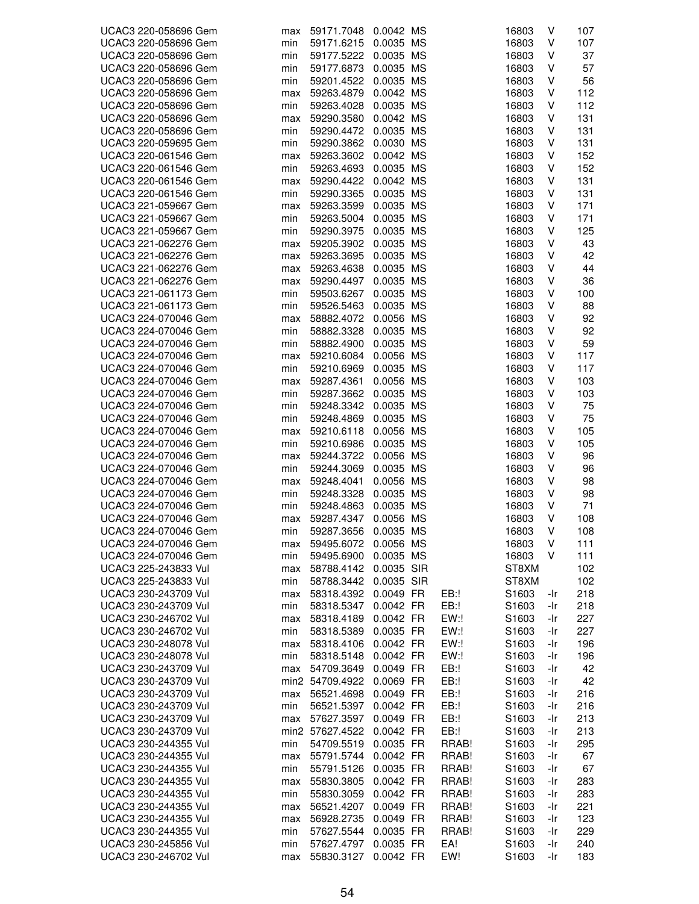| UCAC3 220-058696 Gem | max | 59171.7048      | 0.0042 MS  |        | 16803             | V   | 107 |
|----------------------|-----|-----------------|------------|--------|-------------------|-----|-----|
| UCAC3 220-058696 Gem | min | 59171.6215      | 0.0035 MS  |        | 16803             | V   | 107 |
| UCAC3 220-058696 Gem | min | 59177.5222      | 0.0035 MS  |        | 16803             | V   | 37  |
| UCAC3 220-058696 Gem | min | 59177.6873      | 0.0035 MS  |        | 16803             | V   | 57  |
| UCAC3 220-058696 Gem | min | 59201.4522      | 0.0035 MS  |        | 16803             | ٧   | 56  |
| UCAC3 220-058696 Gem | max | 59263.4879      | 0.0042 MS  |        | 16803             | V   | 112 |
| UCAC3 220-058696 Gem | min | 59263.4028      | 0.0035 MS  |        | 16803             | V   | 112 |
| UCAC3 220-058696 Gem | max | 59290.3580      | 0.0042 MS  |        | 16803             | V   | 131 |
| UCAC3 220-058696 Gem |     | 59290.4472      |            |        | 16803             | V   | 131 |
|                      | min |                 | 0.0035 MS  |        |                   |     |     |
| UCAC3 220-059695 Gem | min | 59290.3862      | 0.0030 MS  |        | 16803             | V   | 131 |
| UCAC3 220-061546 Gem | max | 59263.3602      | 0.0042 MS  |        | 16803             | ٧   | 152 |
| UCAC3 220-061546 Gem | min | 59263.4693      | 0.0035 MS  |        | 16803             | V   | 152 |
| UCAC3 220-061546 Gem | max | 59290.4422      | 0.0042 MS  |        | 16803             | V   | 131 |
| UCAC3 220-061546 Gem | min | 59290.3365      | 0.0035 MS  |        | 16803             | V   | 131 |
| UCAC3 221-059667 Gem | max | 59263.3599      | 0.0035 MS  |        | 16803             | ٧   | 171 |
| UCAC3 221-059667 Gem | min | 59263.5004      | 0.0035 MS  |        | 16803             | V   | 171 |
| UCAC3 221-059667 Gem | min | 59290.3975      | 0.0035 MS  |        | 16803             | V   | 125 |
| UCAC3 221-062276 Gem | max | 59205.3902      | 0.0035 MS  |        | 16803             | V   | 43  |
| UCAC3 221-062276 Gem | max | 59263.3695      | 0.0035 MS  |        | 16803             | V   | 42  |
| UCAC3 221-062276 Gem | max | 59263.4638      | 0.0035 MS  |        | 16803             | V   | 44  |
| UCAC3 221-062276 Gem | max | 59290.4497      | 0.0035 MS  |        | 16803             | V   | 36  |
| UCAC3 221-061173 Gem | min | 59503.6267      | 0.0035 MS  |        | 16803             | ٧   | 100 |
| UCAC3 221-061173 Gem | min | 59526.5463      | 0.0035 MS  |        | 16803             | V   | 88  |
| UCAC3 224-070046 Gem | max | 58882.4072      | 0.0056 MS  |        | 16803             | V   | 92  |
| UCAC3 224-070046 Gem | min | 58882.3328      | 0.0035 MS  |        | 16803             | V   | 92  |
| UCAC3 224-070046 Gem | min | 58882.4900      | 0.0035 MS  |        | 16803             | ٧   | 59  |
| UCAC3 224-070046 Gem | max | 59210.6084      | 0.0056 MS  |        | 16803             | V   | 117 |
| UCAC3 224-070046 Gem | min | 59210.6969      | 0.0035 MS  |        | 16803             | V   | 117 |
| UCAC3 224-070046 Gem |     |                 | 0.0056 MS  |        |                   | V   |     |
|                      | max | 59287.4361      |            |        | 16803             | V   | 103 |
| UCAC3 224-070046 Gem | min | 59287.3662      | 0.0035 MS  |        | 16803             |     | 103 |
| UCAC3 224-070046 Gem | min | 59248.3342      | 0.0035 MS  |        | 16803             | V   | 75  |
| UCAC3 224-070046 Gem | min | 59248.4869      | 0.0035 MS  |        | 16803             | V   | 75  |
| UCAC3 224-070046 Gem | max | 59210.6118      | 0.0056 MS  |        | 16803             | V   | 105 |
| UCAC3 224-070046 Gem | min | 59210.6986      | 0.0035 MS  |        | 16803             | V   | 105 |
| UCAC3 224-070046 Gem | max | 59244.3722      | 0.0056 MS  |        | 16803             | V   | 96  |
| UCAC3 224-070046 Gem | min | 59244.3069      | 0.0035 MS  |        | 16803             | V   | 96  |
| UCAC3 224-070046 Gem | max | 59248.4041      | 0.0056 MS  |        | 16803             | V   | 98  |
| UCAC3 224-070046 Gem | min | 59248.3328      | 0.0035 MS  |        | 16803             | V   | 98  |
| UCAC3 224-070046 Gem | min | 59248.4863      | 0.0035 MS  |        | 16803             | V   | 71  |
| UCAC3 224-070046 Gem | max | 59287.4347      | 0.0056 MS  |        | 16803             | V   | 108 |
| UCAC3 224-070046 Gem | min | 59287.3656      | 0.0035 MS  |        | 16803             | V   | 108 |
| UCAC3 224-070046 Gem | max | 59495.6072      | 0.0056 MS  |        | 16803             | V   | 111 |
| UCAC3 224-070046 Gem | min | 59495.6900      | 0.0035 MS  |        | 16803             | V   | 111 |
| UCAC3 225-243833 Vul | max | 58788.4142      | 0.0035 SIR |        | ST8XM             |     | 102 |
| UCAC3 225-243833 Vul | min | 58788.3442      | 0.0035 SIR |        | ST8XM             |     | 102 |
| UCAC3 230-243709 Vul | max | 58318.4392      | 0.0049 FR  | EB:!   | S1603             | -Ir | 218 |
| UCAC3 230-243709 Vul | min | 58318.5347      | 0.0042 FR  | EB:!   | S1603             | -Ir | 218 |
| UCAC3 230-246702 Vul | max | 58318.4189      | 0.0042 FR  | EW:    | S1603             | -Ir | 227 |
| UCAC3 230-246702 Vul | min | 58318.5389      | 0.0035 FR  | EW:    | S1603             | -Ir | 227 |
| UCAC3 230-248078 Vul | max | 58318.4106      | 0.0042 FR  | EW:    | S1603             | -Ir | 196 |
| UCAC3 230-248078 Vul | min | 58318.5148      | 0.0042 FR  | EW:!   | S <sub>1603</sub> | -Ir | 196 |
| UCAC3 230-243709 Vul | max | 54709.3649      | 0.0049 FR  | EB:!   | S1603             | -Ir | 42  |
| UCAC3 230-243709 Vul |     | min2 54709.4922 | 0.0069 FR  | EB:!   | S1603             | -Ir | 42  |
| UCAC3 230-243709 Vul | max | 56521.4698      | 0.0049 FR  | $EB$ : | S1603             | -Ir | 216 |
| UCAC3 230-243709 Vul |     |                 | 0.0042 FR  | $EB$ : | S1603             |     | 216 |
|                      | min | 56521.5397      |            |        |                   | -Ir |     |
| UCAC3 230-243709 Vul | max | 57627.3597      | 0.0049 FR  | $EB$ : | S1603             | -Ir | 213 |
| UCAC3 230-243709 Vul |     | min2 57627.4522 | 0.0042 FR  | EB:!   | S1603             | -Ir | 213 |
| UCAC3 230-244355 Vul | min | 54709.5519      | 0.0035 FR  | RRAB!  | S1603             | -Ir | 295 |
| UCAC3 230-244355 Vul | max | 55791.5744      | 0.0042 FR  | RRAB!  | S1603             | -Ir | 67  |
| UCAC3 230-244355 Vul | min | 55791.5126      | 0.0035 FR  | RRAB!  | S1603             | -Ir | 67  |
| UCAC3 230-244355 Vul | max | 55830.3805      | 0.0042 FR  | RRAB!  | S1603             | -Ir | 283 |
| UCAC3 230-244355 Vul | min | 55830.3059      | 0.0042 FR  | RRAB!  | S <sub>1603</sub> | -Ir | 283 |
| UCAC3 230-244355 Vul | max | 56521.4207      | 0.0049 FR  | RRAB!  | S1603             | -Ir | 221 |
| UCAC3 230-244355 Vul | max | 56928.2735      | 0.0049 FR  | RRAB!  | S1603             | -Ir | 123 |
| UCAC3 230-244355 Vul | min | 57627.5544      | 0.0035 FR  | RRAB!  | S1603             | -Ir | 229 |
| UCAC3 230-245856 Vul | min | 57627.4797      | 0.0035 FR  | EA!    | S1603             | -Ir | 240 |
| UCAC3 230-246702 Vul | max | 55830.3127      | 0.0042 FR  | EW!    | S1603             | -Ir | 183 |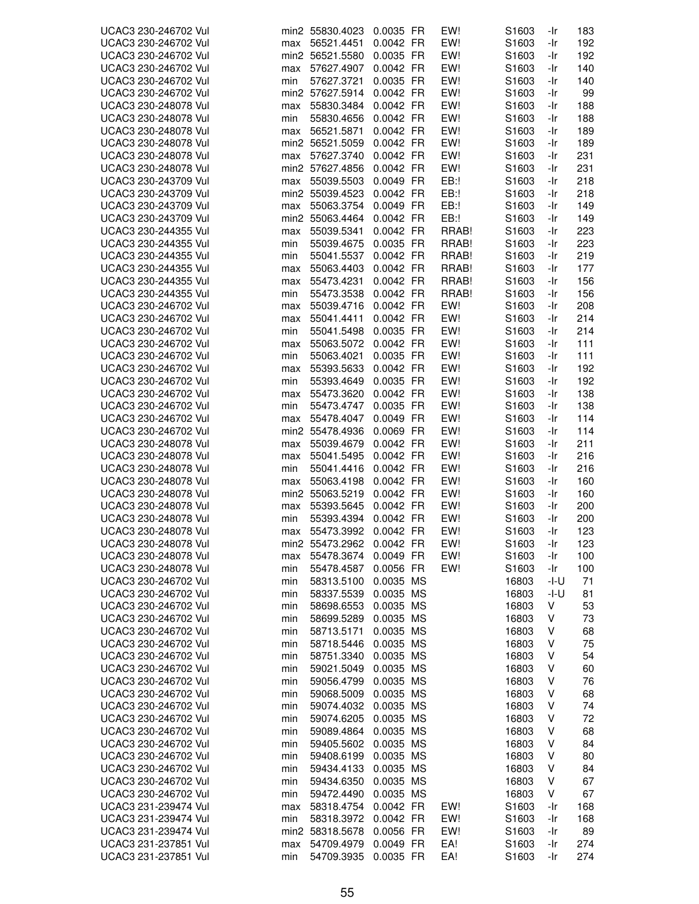| UCAC3 230-246702 Vul |     | min2 55830.4023 | 0.0035 FR | EW!    | S1603             | -Ir  | 183 |
|----------------------|-----|-----------------|-----------|--------|-------------------|------|-----|
| UCAC3 230-246702 Vul | max | 56521.4451      | 0.0042 FR | EW!    | S1603             | -Ir  | 192 |
| UCAC3 230-246702 Vul |     | min2 56521.5580 | 0.0035 FR | EW!    | S1603             | -Ir  | 192 |
| UCAC3 230-246702 Vul | max | 57627.4907      | 0.0042 FR | EW!    | S1603             | -Ir  | 140 |
| UCAC3 230-246702 Vul | min | 57627.3721      | 0.0035 FR | EW!    | S1603             | -Ir  | 140 |
| UCAC3 230-246702 Vul |     | min2 57627.5914 | 0.0042 FR | EW!    | S1603             | -Ir  | 99  |
|                      |     |                 | 0.0042 FR | EW!    |                   |      |     |
| UCAC3 230-248078 Vul | max | 55830.3484      |           |        | S <sub>1603</sub> | -Ir  | 188 |
| UCAC3 230-248078 Vul | min | 55830.4656      | 0.0042 FR | EW!    | S <sub>1603</sub> | -Ir  | 188 |
| UCAC3 230-248078 Vul | max | 56521.5871      | 0.0042 FR | EW!    | S1603             | -Ir  | 189 |
| UCAC3 230-248078 Vul |     | min2 56521.5059 | 0.0042 FR | EW!    | S1603             | -Ir  | 189 |
| UCAC3 230-248078 Vul | max | 57627.3740      | 0.0042 FR | EW!    | S1603             | -Ir  | 231 |
| UCAC3 230-248078 Vul |     | min2 57627.4856 | 0.0042 FR | EW!    | S1603             | -Ir  | 231 |
| UCAC3 230-243709 Vul | max | 55039.5503      | 0.0049 FR | EB:!   | S <sub>1603</sub> | -Ir  | 218 |
| UCAC3 230-243709 Vul |     | min2 55039.4523 | 0.0042 FR | $EB$ : | S1603             | -Ir  | 218 |
| UCAC3 230-243709 Vul | max | 55063.3754      | 0.0049 FR | EB:!   | S1603             | -Ir  | 149 |
| UCAC3 230-243709 Vul |     | min2 55063.4464 | 0.0042 FR | EB:!   | S1603             | -Ir  | 149 |
| UCAC3 230-244355 Vul | max | 55039.5341      | 0.0042 FR | RRAB!  | S1603             | -Ir  | 223 |
|                      |     |                 |           |        |                   |      |     |
| UCAC3 230-244355 Vul | min | 55039.4675      | 0.0035 FR | RRAB!  | S1603             | -Ir  | 223 |
| UCAC3 230-244355 Vul | min | 55041.5537      | 0.0042 FR | RRAB!  | S1603             | -Ir  | 219 |
| UCAC3 230-244355 Vul | max | 55063.4403      | 0.0042 FR | RRAB!  | S <sub>1603</sub> | -Ir  | 177 |
| UCAC3 230-244355 Vul | max | 55473.4231      | 0.0042 FR | RRAB!  | S1603             | -Ir  | 156 |
| UCAC3 230-244355 Vul | min | 55473.3538      | 0.0042 FR | RRAB!  | S1603             | -Ir  | 156 |
| UCAC3 230-246702 Vul | max | 55039.4716      | 0.0042 FR | EW!    | S1603             | -Ir  | 208 |
| UCAC3 230-246702 Vul | max | 55041.4411      | 0.0042 FR | EW!    | S1603             | -Ir  | 214 |
| UCAC3 230-246702 Vul | min | 55041.5498      | 0.0035 FR | EW!    | S1603             | -Ir  | 214 |
| UCAC3 230-246702 Vul | max | 55063.5072      | 0.0042 FR | EW!    | S1603             | -Ir  | 111 |
| UCAC3 230-246702 Vul | min | 55063.4021      | 0.0035 FR | EW!    | S1603             | -Ir  | 111 |
|                      |     |                 |           | EW!    |                   |      |     |
| UCAC3 230-246702 Vul | max | 55393.5633      | 0.0042 FR |        | S1603             | -Ir  | 192 |
| UCAC3 230-246702 Vul | min | 55393.4649      | 0.0035 FR | EW!    | S <sub>1603</sub> | -Ir  | 192 |
| UCAC3 230-246702 Vul | max | 55473.3620      | 0.0042 FR | EW!    | S <sub>1603</sub> | -Ir  | 138 |
| UCAC3 230-246702 Vul | min | 55473.4747      | 0.0035 FR | EW!    | S <sub>1603</sub> | -Ir  | 138 |
| UCAC3 230-246702 Vul | max | 55478.4047      | 0.0049 FR | EW!    | S1603             | -Ir  | 114 |
| UCAC3 230-246702 Vul |     | min2 55478.4936 | 0.0069 FR | EW!    | S1603             | -Ir  | 114 |
| UCAC3 230-248078 Vul | max | 55039.4679      | 0.0042 FR | EW!    | S1603             | -Ir  | 211 |
| UCAC3 230-248078 Vul | max | 55041.5495      | 0.0042 FR | EW!    | S1603             | -Ir  | 216 |
| UCAC3 230-248078 Vul | min | 55041.4416      | 0.0042 FR | EW!    | S1603             | -Ir  | 216 |
| UCAC3 230-248078 Vul | max | 55063.4198      | 0.0042 FR | EW!    | S1603             | -Ir  | 160 |
| UCAC3 230-248078 Vul |     | min2 55063.5219 | 0.0042 FR | EW!    | S <sub>1603</sub> | -Ir  | 160 |
| UCAC3 230-248078 Vul | max | 55393.5645      | 0.0042 FR | EW!    | S1603             | -Ir  | 200 |
|                      |     |                 | 0.0042 FR | EW!    | S1603             | -Ir  | 200 |
| UCAC3 230-248078 Vul | min | 55393.4394      |           |        |                   |      |     |
| UCAC3 230-248078 Vul | max | 55473.3992      | 0.0042 FR | EW!    | S1603             | -Ir  | 123 |
| UCAC3 230-248078 Vul |     | min2 55473.2962 | 0.0042 FR | EW!    | S1603             | -Ir  | 123 |
| UCAC3 230-248078 Vul | max | 55478.3674      | 0.0049 FR | EW!    | S1603             | -Ir  | 100 |
| UCAC3 230-248078 Vul | min | 55478.4587      | 0.0056 FR | EW!    | S <sub>1603</sub> | -Ir  | 100 |
| UCAC3 230-246702 Vul | min | 58313.5100      | 0.0035 MS |        | 16803             | -l-U | 71  |
| UCAC3 230-246702 Vul | min | 58337.5539      | 0.0035 MS |        | 16803             | -I-U | 81  |
| UCAC3 230-246702 Vul | min | 58698.6553      | 0.0035 MS |        | 16803             | V    | 53  |
| UCAC3 230-246702 Vul | min | 58699.5289      | 0.0035 MS |        | 16803             | V    | 73  |
| UCAC3 230-246702 Vul | min | 58713.5171      | 0.0035 MS |        | 16803             | V    | 68  |
| UCAC3 230-246702 Vul | min | 58718.5446      | 0.0035 MS |        | 16803             | V    | 75  |
|                      |     |                 |           |        |                   |      |     |
| UCAC3 230-246702 Vul | min | 58751.3340      | 0.0035 MS |        | 16803             | ٧    | 54  |
| UCAC3 230-246702 Vul | min | 59021.5049      | 0.0035 MS |        | 16803             | ٧    | 60  |
| UCAC3 230-246702 Vul | min | 59056.4799      | 0.0035 MS |        | 16803             | ٧    | 76  |
| UCAC3 230-246702 Vul | min | 59068.5009      | 0.0035 MS |        | 16803             | V    | 68  |
| UCAC3 230-246702 Vul | min | 59074.4032      | 0.0035 MS |        | 16803             | ٧    | 74  |
| UCAC3 230-246702 Vul | min | 59074.6205      | 0.0035 MS |        | 16803             | V    | 72  |
| UCAC3 230-246702 Vul | min | 59089.4864      | 0.0035 MS |        | 16803             | V    | 68  |
| UCAC3 230-246702 Vul | min | 59405.5602      | 0.0035 MS |        | 16803             | V    | 84  |
| UCAC3 230-246702 Vul | min | 59408.6199      | 0.0035 MS |        | 16803             | V    | 80  |
| UCAC3 230-246702 Vul | min | 59434.4133      | 0.0035 MS |        | 16803             | ٧    | 84  |
| UCAC3 230-246702 Vul | min | 59434.6350      | 0.0035 MS |        | 16803             | V    | 67  |
|                      |     |                 |           |        |                   |      |     |
| UCAC3 230-246702 Vul | min | 59472.4490      | 0.0035 MS |        | 16803             | V    | 67  |
| UCAC3 231-239474 Vul | max | 58318.4754      | 0.0042 FR | EW!    | S1603             | -Ir  | 168 |
| UCAC3 231-239474 Vul | min | 58318.3972      | 0.0042 FR | EW!    | S1603             | -Ir  | 168 |
| UCAC3 231-239474 Vul |     | min2 58318.5678 | 0.0056 FR | EW!    | S1603             | -Ir  | 89  |
| UCAC3 231-237851 Vul | max | 54709.4979      | 0.0049 FR | EA!    | S1603             | -Ir  | 274 |
| UCAC3 231-237851 Vul | min | 54709.3935      | 0.0035 FR | EA!    | S1603             | -Ir  | 274 |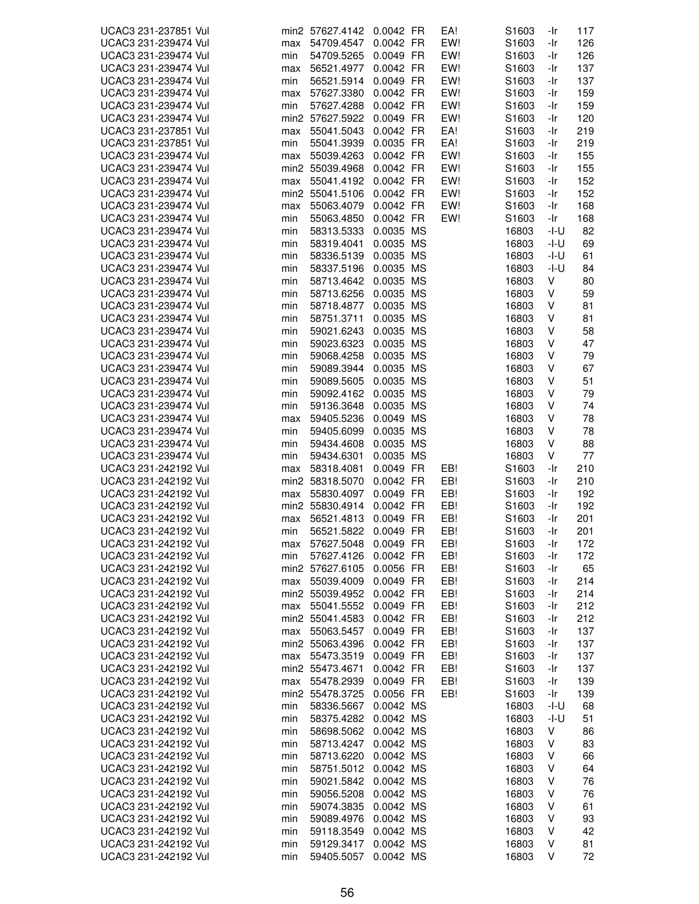| UCAC3 231-237851 Vul |     | min2 57627.4142 0.0042 FR |                     | EA! | S <sub>1603</sub> | -Ir        | 117 |
|----------------------|-----|---------------------------|---------------------|-----|-------------------|------------|-----|
| UCAC3 231-239474 Vul | max | 54709.4547                | 0.0042 FR           | EW! | S1603             | -Ir        | 126 |
| UCAC3 231-239474 Vul | min | 54709.5265                | 0.0049 FR           | EW! | S1603             | -Ir        | 126 |
| UCAC3 231-239474 Vul | max | 56521.4977                | 0.0042 FR           | EW! | S1603             | -Ir        | 137 |
| UCAC3 231-239474 Vul | min | 56521.5914                | 0.0049 FR           | EW! | S1603             | -Ir        | 137 |
| UCAC3 231-239474 Vul | max | 57627.3380                | 0.0042 FR           | EW! | S1603             | -Ir        | 159 |
| UCAC3 231-239474 Vul | min | 57627.4288                | 0.0042 FR           | EW! | S1603             | -Ir        | 159 |
| UCAC3 231-239474 Vul |     | min2 57627.5922           | 0.0049 FR           | EW! | S <sub>1603</sub> | -Ir        | 120 |
| UCAC3 231-237851 Vul | max | 55041.5043                | 0.0042 FR           | EA! | S1603             | -Ir        | 219 |
| UCAC3 231-237851 Vul | min | 55041.3939                | 0.0035 FR           | EA! | S <sub>1603</sub> | -Ir        | 219 |
| UCAC3 231-239474 Vul | max | 55039.4263                | 0.0042 FR           | EW! | S1603             | -Ir        | 155 |
| UCAC3 231-239474 Vul |     | min2 55039.4968           | 0.0042 FR           | EW! | S1603             | -Ir        | 155 |
| UCAC3 231-239474 Vul | max | 55041.4192                | 0.0042 FR           | EW! | S1603             | -Ir        | 152 |
| UCAC3 231-239474 Vul |     | min2 55041.5106           | 0.0042 FR           | EW! | S1603             | -Ir        | 152 |
| UCAC3 231-239474 Vul |     |                           | 0.0042 FR           | EW! | S <sub>1603</sub> |            |     |
| UCAC3 231-239474 Vul | max | 55063.4079                | 0.0042 FR           | EW! | S <sub>1603</sub> | -Ir<br>-Ir | 168 |
|                      | min | 55063.4850                |                     |     |                   |            | 168 |
| UCAC3 231-239474 Vul | min | 58313.5333                | 0.0035 MS           |     | 16803             | -I-U       | 82  |
| UCAC3 231-239474 Vul | min | 58319.4041                | 0.0035 MS           |     | 16803             | -I-U       | 69  |
| UCAC3 231-239474 Vul | min | 58336.5139                | 0.0035 MS           |     | 16803             | -I-U       | 61  |
| UCAC3 231-239474 Vul | min | 58337.5196                | 0.0035 MS           |     | 16803             | -I-U       | 84  |
| UCAC3 231-239474 Vul | min | 58713.4642                | 0.0035 MS           |     | 16803             | V          | 80  |
| UCAC3 231-239474 Vul | min | 58713.6256                | 0.0035 MS           |     | 16803             | V          | 59  |
| UCAC3 231-239474 Vul | min | 58718.4877                | 0.0035 MS           |     | 16803             | V          | 81  |
| UCAC3 231-239474 Vul | min | 58751.3711                | 0.0035 MS           |     | 16803             | V          | 81  |
| UCAC3 231-239474 Vul | min | 59021.6243                | 0.0035 MS           |     | 16803             | V          | 58  |
| UCAC3 231-239474 Vul | min | 59023.6323                | 0.0035<br><b>MS</b> |     | 16803             | ٧          | 47  |
| UCAC3 231-239474 Vul | min | 59068.4258                | 0.0035 MS           |     | 16803             | ٧          | 79  |
| UCAC3 231-239474 Vul | min | 59089.3944                | 0.0035 MS           |     | 16803             | V          | 67  |
| UCAC3 231-239474 Vul | min | 59089.5605                | 0.0035 MS           |     | 16803             | ٧          | 51  |
| UCAC3 231-239474 Vul | min | 59092.4162                | 0.0035 MS           |     | 16803             | ٧          | 79  |
| UCAC3 231-239474 Vul | min | 59136.3648                | 0.0035 MS           |     | 16803             | ٧          | 74  |
| UCAC3 231-239474 Vul | max | 59405.5236                | 0.0049 MS           |     | 16803             | ٧          | 78  |
| UCAC3 231-239474 Vul | min | 59405.6099                | 0.0035 MS           |     | 16803             | ٧          | 78  |
| UCAC3 231-239474 Vul | min | 59434.4608                | 0.0035 MS           |     | 16803             | ٧          | 88  |
| UCAC3 231-239474 Vul | min | 59434.6301                | 0.0035 MS           |     | 16803             | V          | 77  |
| UCAC3 231-242192 Vul | max | 58318.4081                | 0.0049 FR           | EB! | S1603             | -Ir        | 210 |
| UCAC3 231-242192 Vul |     | min2 58318.5070           | 0.0042 FR           | EB! | S1603             | -Ir        | 210 |
| UCAC3 231-242192 Vul | max | 55830.4097                | 0.0049 FR           | EB! | S <sub>1603</sub> | -Ir        | 192 |
| UCAC3 231-242192 Vul |     | min2 55830.4914           | 0.0042 FR           | EB! | S1603             | -Ir        | 192 |
| UCAC3 231-242192 Vul | max | 56521.4813                | 0.0049 FR           | EB! | S1603             | -Ir        | 201 |
| UCAC3 231-242192 Vul | min | 56521.5822                | 0.0049 FR           | EB! | S1603             | -Ir        | 201 |
|                      |     |                           |                     |     |                   |            |     |
| UCAC3 231-242192 Vul | max | 57627.5048                | 0.0049 FR           | EB! | S1603             | -Ir        | 172 |
| UCAC3 231-242192 Vul | min | 57627.4126                | 0.0042 FR           | EB! | S1603             | -Ir        | 172 |
| UCAC3 231-242192 Vul |     | min2 57627.6105           | 0.0056 FR           | EB! | S <sub>1603</sub> | -Ir        | 65  |
| UCAC3 231-242192 Vul | max | 55039.4009                | 0.0049 FR           | EB! | S1603             | -Ir        | 214 |
| UCAC3 231-242192 Vul |     | min2 55039.4952           | 0.0042 FR           | EB! | S1603             | -Ir        | 214 |
| UCAC3 231-242192 Vul | max | 55041.5552                | 0.0049 FR           | EB! | S1603             | -Ir        | 212 |
| UCAC3 231-242192 Vul |     | min2 55041.4583           | 0.0042 FR           | EB! | S <sub>1603</sub> | -Ir        | 212 |
| UCAC3 231-242192 Vul | max | 55063.5457                | 0.0049 FR           | EB! | S1603             | -Ir        | 137 |
| UCAC3 231-242192 Vul |     | min2 55063.4396           | 0.0042 FR           | EB! | S1603             | -Ir        | 137 |
| UCAC3 231-242192 Vul | max | 55473.3519                | 0.0049 FR           | EB! | S1603             | -Ir        | 137 |
| UCAC3 231-242192 Vul |     | min2 55473.4671           | 0.0042 FR           | EB! | S1603             | -Ir        | 137 |
| UCAC3 231-242192 Vul | max | 55478.2939                | 0.0049 FR           | EB! | S <sub>1603</sub> | -Ir        | 139 |
| UCAC3 231-242192 Vul |     | min2 55478.3725           | 0.0056 FR           | EB! | S1603             | -Ir        | 139 |
| UCAC3 231-242192 Vul | min | 58336.5667                | 0.0042 MS           |     | 16803             | -I-U       | 68  |
| UCAC3 231-242192 Vul | min | 58375.4282                | 0.0042 MS           |     | 16803             | -I-U       | 51  |
| UCAC3 231-242192 Vul | min | 58698.5062                | 0.0042 MS           |     | 16803             | ٧          | 86  |
| UCAC3 231-242192 Vul | min | 58713.4247                | 0.0042 MS           |     | 16803             | V          | 83  |
| UCAC3 231-242192 Vul | min | 58713.6220                | 0.0042 MS           |     | 16803             | V          | 66  |
| UCAC3 231-242192 Vul | min | 58751.5012                | 0.0042 MS           |     | 16803             | V          | 64  |
| UCAC3 231-242192 Vul | min | 59021.5842                | 0.0042 MS           |     | 16803             | V          | 76  |
| UCAC3 231-242192 Vul | min | 59056.5208                | 0.0042 MS           |     | 16803             | V          | 76  |
| UCAC3 231-242192 Vul | min | 59074.3835                | 0.0042 MS           |     | 16803             | V          | 61  |
| UCAC3 231-242192 Vul | min | 59089.4976                | 0.0042 MS           |     | 16803             | V          | 93  |
| UCAC3 231-242192 Vul | min | 59118.3549                | 0.0042 MS           |     | 16803             | ٧          | 42  |
| UCAC3 231-242192 Vul | min | 59129.3417                | 0.0042 MS           |     | 16803             | V          | 81  |
| UCAC3 231-242192 Vul | min | 59405.5057                | 0.0042 MS           |     | 16803             | V          | 72  |
|                      |     |                           |                     |     |                   |            |     |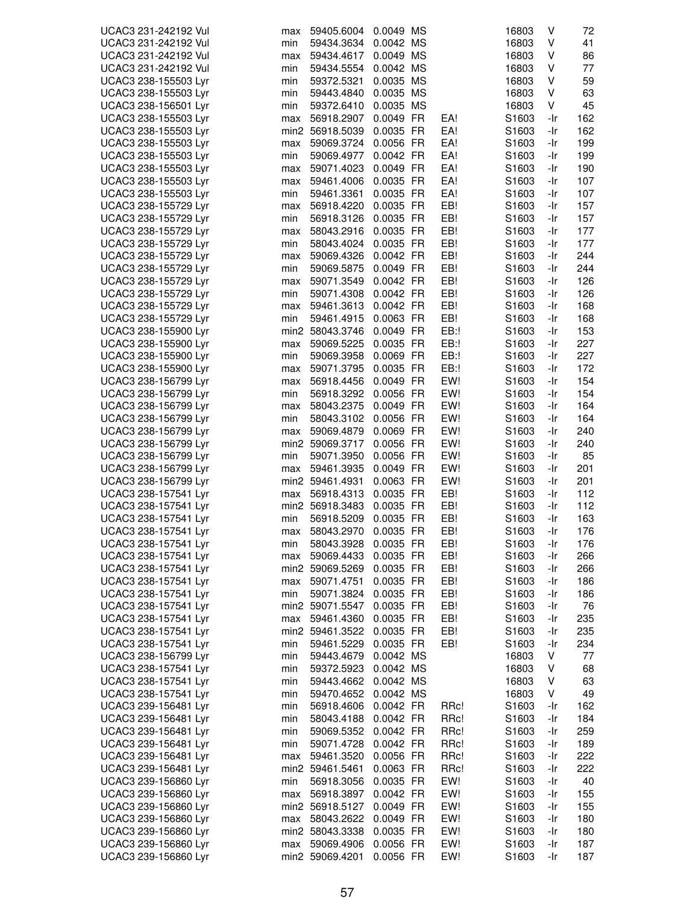| UCAC3 231-242192 Vul | max | 59405.6004               | 0.0049 MS              |             | 16803             | V   | 72  |
|----------------------|-----|--------------------------|------------------------|-------------|-------------------|-----|-----|
| UCAC3 231-242192 Vul | min | 59434.3634               | 0.0042 MS              |             | 16803             | V   | 41  |
| UCAC3 231-242192 Vul | max | 59434.4617               | 0.0049 MS              |             | 16803             | V   | 86  |
| UCAC3 231-242192 Vul | min | 59434.5554               | 0.0042 MS              |             | 16803             | V   | 77  |
| UCAC3 238-155503 Lyr | min | 59372.5321               | 0.0035 MS              |             | 16803             | V   | 59  |
| UCAC3 238-155503 Lyr | min | 59443.4840               | 0.0035 MS              |             | 16803             | V   | 63  |
| UCAC3 238-156501 Lyr | min | 59372.6410               | 0.0035 MS              |             | 16803             | V   | 45  |
| UCAC3 238-155503 Lyr | max | 56918.2907               | 0.0049 FR              | EA!         | S1603             | -Ir | 162 |
| UCAC3 238-155503 Lyr |     | min2 56918.5039          | 0.0035 FR              | EA!         | S1603             | -Ir | 162 |
| UCAC3 238-155503 Lyr | max | 59069.3724               | 0.0056 FR              | EA!         | S1603             | -Ir | 199 |
| UCAC3 238-155503 Lyr | min | 59069.4977               | 0.0042 FR              | EA!         | S1603             | -Ir | 199 |
| UCAC3 238-155503 Lyr | max | 59071.4023               | 0.0049 FR              | EA!         | S1603             | -Ir | 190 |
| UCAC3 238-155503 Lyr | max | 59461.4006               | 0.0035 FR              | EA!         | S1603             | -Ir | 107 |
| UCAC3 238-155503 Lyr | min | 59461.3361               | 0.0035 FR              | EA!         | S1603             | -Ir | 107 |
| UCAC3 238-155729 Lyr | max | 56918.4220               | 0.0035 FR              | EB!         | S1603             | -Ir | 157 |
| UCAC3 238-155729 Lyr | min | 56918.3126               | 0.0035 FR              | EB!         | S <sub>1603</sub> | -Ir | 157 |
| UCAC3 238-155729 Lyr | max | 58043.2916               | 0.0035 FR              | EB!         | S1603             | -Ir | 177 |
| UCAC3 238-155729 Lyr | min | 58043.4024               | 0.0035 FR              | EB!         | S1603             | -Ir | 177 |
| UCAC3 238-155729 Lyr | max | 59069.4326               | 0.0042 FR              | EB!         | S1603             | -Ir | 244 |
|                      |     |                          | 0.0049 FR              | EB!         | S1603             |     | 244 |
| UCAC3 238-155729 Lyr | min | 59069.5875<br>59071.3549 | 0.0042 FR              | EB!         |                   | -Ir | 126 |
| UCAC3 238-155729 Lyr | max |                          |                        | EB!         | S1603             | -Ir |     |
| UCAC3 238-155729 Lyr | min | 59071.4308               | 0.0042 FR              |             | S1603             | -Ir | 126 |
| UCAC3 238-155729 Lyr | max | 59461.3613               | 0.0042 FR              | EB!         | S1603             | -Ir | 168 |
| UCAC3 238-155729 Lyr | min | 59461.4915               | 0.0063 FR              | EB!         | S1603             | -Ir | 168 |
| UCAC3 238-155900 Lyr |     | min2 58043.3746          | 0.0049 FR              | EB:!        | S1603             | -Ir | 153 |
| UCAC3 238-155900 Lyr | max | 59069.5225               | 0.0035 FR              | EB:!        | S1603             | -Ir | 227 |
| UCAC3 238-155900 Lyr | min | 59069.3958               | 0.0069 FR              | EB:!        | S1603             | -Ir | 227 |
| UCAC3 238-155900 Lyr | max | 59071.3795               | 0.0035 FR              | EB:!        | S1603             | -Ir | 172 |
| UCAC3 238-156799 Lyr | max | 56918.4456               | 0.0049 FR              | EW!         | S1603             | -Ir | 154 |
| UCAC3 238-156799 Lyr | min | 56918.3292               | 0.0056 FR              | EW!         | S1603             | -Ir | 154 |
| UCAC3 238-156799 Lyr | max | 58043.2375               | 0.0049 FR              | EW!         | S1603             | -Ir | 164 |
| UCAC3 238-156799 Lyr | min | 58043.3102               | 0.0056 FR              | EW!         | S1603             | -Ir | 164 |
| UCAC3 238-156799 Lyr | max | 59069.4879               | 0.0069 FR              | EW!         | S1603             | -Ir | 240 |
| UCAC3 238-156799 Lyr |     | min2 59069.3717          | 0.0056 FR              | EW!         | S1603             | -Ir | 240 |
| UCAC3 238-156799 Lyr | min | 59071.3950               | 0.0056 FR              | EW!         | S1603             | -Ir | 85  |
| UCAC3 238-156799 Lyr | max | 59461.3935               | 0.0049 FR              | EW!         | S1603             | -Ir | 201 |
| UCAC3 238-156799 Lyr |     | min2 59461.4931          | 0.0063 FR              | EW!         | S1603             | -Ir | 201 |
| UCAC3 238-157541 Lyr | max | 56918.4313               | 0.0035 FR              | EB!         | S1603             | -Ir | 112 |
| UCAC3 238-157541 Lyr |     | min2 56918.3483          | 0.0035 FR              | EB!         | S <sub>1603</sub> | -Ir | 112 |
| UCAC3 238-157541 Lyr | min | 56918.5209               | 0.0035 FR              | EB!         | S1603             | -Ir | 163 |
| UCAC3 238-157541 Lyr | max | 58043.2970               | 0.0035 FR              | EB!         | S1603             | -Ir | 176 |
| UCAC3 238-157541 Lyr | min | 58043.3928               | 0.0035 FR              | EB!         | S <sub>1603</sub> | -Ir | 176 |
| UCAC3 238-157541 Lyr | max | 59069.4433               | 0.0035 FR              | EB!         | S1603             | -Ir | 266 |
| UCAC3 238-157541 Lyr |     | min2 59069.5269          | 0.0035 FR              | EB!         | S1603             | -Ir | 266 |
| UCAC3 238-157541 Lyr | max | 59071.4751               | 0.0035 FR              | EB!         | S1603             | -Ir | 186 |
| UCAC3 238-157541 Lyr | min | 59071.3824               | 0.0035 FR              | EB!         | S1603             | -Ir | 186 |
| UCAC3 238-157541 Lyr |     | min2 59071.5547          | 0.0035 FR              | EB!         | S1603             | -Ir | 76  |
| UCAC3 238-157541 Lyr | max | 59461.4360               | 0.0035 FR              | EB!         | S1603             | -Ir | 235 |
| UCAC3 238-157541 Lyr |     | min2 59461.3522          | 0.0035 FR              | EB!         | S1603             | -Ir | 235 |
| UCAC3 238-157541 Lyr | min | 59461.5229               | 0.0035 FR              | EB!         | S1603             | -Ir | 234 |
| UCAC3 238-156799 Lyr | min | 59443.4679               | 0.0042 MS              |             | 16803             | V   | 77  |
| UCAC3 238-157541 Lyr | min | 59372.5923               | 0.0042 MS              |             | 16803             | V   | 68  |
| UCAC3 238-157541 Lyr | min | 59443.4662               | 0.0042 MS              |             | 16803             | V   | 63  |
| UCAC3 238-157541 Lyr | min | 59470.4652               | 0.0042 MS              |             | 16803             | V   | 49  |
| UCAC3 239-156481 Lyr | min | 56918.4606               | 0.0042 FR              | RRc!        | S1603             | -Ir | 162 |
| UCAC3 239-156481 Lyr | min | 58043.4188               | 0.0042 FR              | RRc!        | S1603             | -Ir | 184 |
| UCAC3 239-156481 Lyr | min | 59069.5352               | 0.0042 FR              | RRc!        | S1603             | -Ir | 259 |
| UCAC3 239-156481 Lyr | min | 59071.4728               | 0.0042 FR              | RRc!        | S1603             | -Ir | 189 |
| UCAC3 239-156481 Lyr | max | 59461.3520               | 0.0056 FR              | RRc!        | S1603             | -Ir | 222 |
|                      |     |                          |                        |             |                   |     |     |
| UCAC3 239-156481 Lyr |     | min2 59461.5461          | 0.0063 FR<br>0.0035 FR | RRc!<br>EW! | S1603<br>S1603    | -Ir | 222 |
| UCAC3 239-156860 Lyr | min | 56918.3056               |                        | EW!         |                   | -Ir | 40  |
| UCAC3 239-156860 Lyr | max | 56918.3897               | 0.0042 FR              |             | S1603             | -Ir | 155 |
| UCAC3 239-156860 Lyr |     | min2 56918.5127          | 0.0049 FR              | EW!         | S1603             | -Ir | 155 |
| UCAC3 239-156860 Lyr | max | 58043.2622               | 0.0049 FR              | EW!         | S1603             | -Ir | 180 |
| UCAC3 239-156860 Lyr |     | min2 58043.3338          | 0.0035 FR              | EW!         | S1603             | -Ir | 180 |
| UCAC3 239-156860 Lyr | max | 59069.4906               | 0.0056 FR              | EW!         | S1603             | -Ir | 187 |
| UCAC3 239-156860 Lyr |     | min2 59069.4201          | 0.0056 FR              | EW!         | S1603             | -Ir | 187 |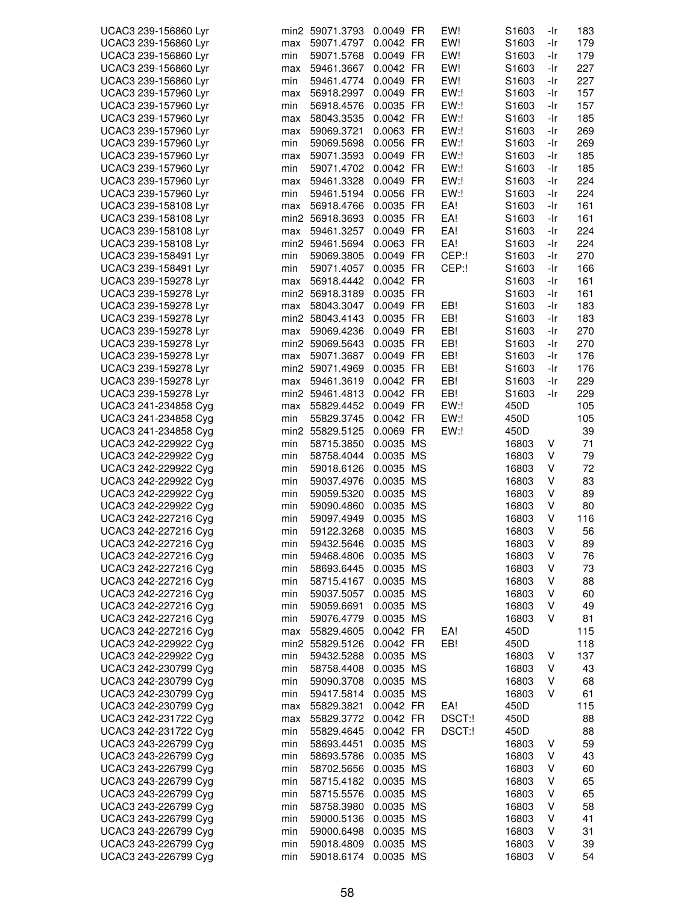| UCAC3 239-156860 Lyr |     | min2 59071.3793 | 0.0049 FR              | EW!    | S1603             | -Ir    | 183 |
|----------------------|-----|-----------------|------------------------|--------|-------------------|--------|-----|
| UCAC3 239-156860 Lyr | max | 59071.4797      | 0.0042 FR              | EW!    | S <sub>1603</sub> | -Ir    | 179 |
| UCAC3 239-156860 Lyr | min | 59071.5768      | 0.0049 FR              | EW!    | S <sub>1603</sub> | -Ir    | 179 |
| UCAC3 239-156860 Lyr | max | 59461.3667      | 0.0042 FR              | EW!    | S <sub>1603</sub> | -Ir    | 227 |
| UCAC3 239-156860 Lyr | min | 59461.4774      | 0.0049 FR              | EW!    | S1603             | -Ir    | 227 |
| UCAC3 239-157960 Lyr | max | 56918.2997      | 0.0049 FR              | EW:!   | S1603             | -Ir    | 157 |
| UCAC3 239-157960 Lyr | min | 56918.4576      | 0.0035 FR              | EW:!   | S1603             | -Ir    | 157 |
| UCAC3 239-157960 Lyr | max | 58043.3535      | 0.0042 FR              | EW:    | S <sub>1603</sub> | -Ir    | 185 |
| UCAC3 239-157960 Lyr | max | 59069.3721      | 0.0063 FR              | EW:    | S <sub>1603</sub> | -Ir    | 269 |
| UCAC3 239-157960 Lyr | min | 59069.5698      | 0.0056 FR              | EW:    | S <sub>1603</sub> | -Ir    | 269 |
| UCAC3 239-157960 Lyr | max | 59071.3593      | 0.0049 FR              | EW:    | S1603             | -Ir    | 185 |
| UCAC3 239-157960 Lyr | min | 59071.4702      | 0.0042 FR              | EW:!   | S <sub>1603</sub> | -Ir    | 185 |
| UCAC3 239-157960 Lyr | max | 59461.3328      | 0.0049 FR              | EW:!   | S1603             | -Ir    | 224 |
| UCAC3 239-157960 Lyr | min | 59461.5194      | 0.0056 FR              | EW:    | S1603             | -Ir    | 224 |
| UCAC3 239-158108 Lyr | max | 56918.4766      | 0.0035 FR              | EA!    | S <sub>1603</sub> | -Ir    | 161 |
| UCAC3 239-158108 Lyr |     | min2 56918.3693 | 0.0035 FR              | EA!    | S <sub>1603</sub> | -Ir    | 161 |
| UCAC3 239-158108 Lyr | max | 59461.3257      | 0.0049 FR              | EA!    | S1603             | -Ir    | 224 |
| UCAC3 239-158108 Lyr |     | min2 59461.5694 | 0.0063 FR              | EA!    | S1603             | -Ir    | 224 |
| UCAC3 239-158491 Lyr | min | 59069.3805      | 0.0049 FR              | CEP:!  | S1603             | -Ir    | 270 |
| UCAC3 239-158491 Lyr | min | 59071.4057      | 0.0035 FR              | CEP:!  | S1603             | -Ir    | 166 |
| UCAC3 239-159278 Lyr | max | 56918.4442      | 0.0042 FR              |        | S <sub>1603</sub> | -Ir    | 161 |
| UCAC3 239-159278 Lyr |     | min2 56918.3189 | 0.0035 FR              |        | S <sub>1603</sub> | -Ir    | 161 |
| UCAC3 239-159278 Lyr | max | 58043.3047      | 0.0049 FR              | EB!    | S1603             | -Ir    | 183 |
| UCAC3 239-159278 Lyr |     | min2 58043.4143 | 0.0035 FR              | EB!    | S <sub>1603</sub> | -Ir    | 183 |
| UCAC3 239-159278 Lyr | max | 59069.4236      | 0.0049 FR              | EB!    | S <sub>1603</sub> | -Ir    | 270 |
| UCAC3 239-159278 Lyr |     | min2 59069.5643 | 0.0035 FR              | EB!    | S <sub>1603</sub> | -Ir    | 270 |
| UCAC3 239-159278 Lyr | max | 59071.3687      | 0.0049 FR              | EB!    | S1603             | -Ir    | 176 |
| UCAC3 239-159278 Lyr |     | min2 59071.4969 | 0.0035 FR              | EB!    | S <sub>1603</sub> | -Ir    | 176 |
| UCAC3 239-159278 Lyr | max | 59461.3619      | 0.0042 FR              | EB!    | S1603             | -Ir    | 229 |
| UCAC3 239-159278 Lyr |     | min2 59461.4813 | 0.0042 FR              | EB!    | S <sub>1603</sub> | -Ir    | 229 |
| UCAC3 241-234858 Cyg | max | 55829.4452      | 0.0049 FR              | EW:    | 450D              |        | 105 |
| UCAC3 241-234858 Cyg |     |                 |                        | EW:    | 450D              |        |     |
|                      | min | 55829.3745      | 0.0042 FR              |        |                   |        | 105 |
| UCAC3 241-234858 Cyg |     | min2 55829.5125 | 0.0069 FR              | EW:    | 450D              |        | 39  |
| UCAC3 242-229922 Cyg | min | 58715.3850      | 0.0035 MS              |        | 16803             | V      | 71  |
| UCAC3 242-229922 Cyg | min | 58758.4044      | 0.0035 MS              |        | 16803             | V      | 79  |
| UCAC3 242-229922 Cyg | min | 59018.6126      | 0.0035 MS              |        | 16803             | V      | 72  |
| UCAC3 242-229922 Cyg | min | 59037.4976      | 0.0035 MS              |        | 16803             | V      | 83  |
| UCAC3 242-229922 Cyg | min | 59059.5320      | 0.0035 MS              |        | 16803             | V      | 89  |
| UCAC3 242-229922 Cyg | min | 59090.4860      | 0.0035 MS              |        | 16803             | V      | 80  |
| UCAC3 242-227216 Cyg | min | 59097.4949      | 0.0035 MS<br>0.0035 MS |        | 16803             | V<br>V | 116 |
| UCAC3 242-227216 Cyg | min | 59122.3268      |                        |        | 16803             |        | 56  |
| UCAC3 242-227216 Cyg | min | 59432.5646      | 0.0035 MS              |        | 16803             | V      | 89  |
| UCAC3 242-227216 Cyg | min | 59468.4806      | 0.0035 MS              |        | 16803             | V      | 76  |
| UCAC3 242-227216 Cyg | min | 58693.6445      | 0.0035 MS              |        | 16803             | V      | 73  |
| UCAC3 242-227216 Cyg | min | 58715.4167      | 0.0035 MS              |        | 16803             | ٧      | 88  |
| UCAC3 242-227216 Cyg | min | 59037.5057      | 0.0035 MS              |        | 16803             | V      | 60  |
| UCAC3 242-227216 Cyg | min | 59059.6691      | 0.0035 MS              |        | 16803             | V      | 49  |
| UCAC3 242-227216 Cyg | min | 59076.4779      | 0.0035 MS              |        | 16803             | V      | 81  |
| UCAC3 242-227216 Cyg | max | 55829.4605      | 0.0042 FR              | EA!    | 450D              |        | 115 |
| UCAC3 242-229922 Cyg |     | min2 55829.5126 | 0.0042 FR              | EB!    | 450D              |        | 118 |
| UCAC3 242-229922 Cyg | min | 59432.5288      | 0.0035 MS              |        | 16803             | V      | 137 |
| UCAC3 242-230799 Cyg | min | 58758.4408      | 0.0035 MS              |        | 16803             | V      | 43  |
| UCAC3 242-230799 Cyg | min | 59090.3708      | 0.0035 MS              |        | 16803             | V      | 68  |
| UCAC3 242-230799 Cyg | min | 59417.5814      | 0.0035 MS              |        | 16803             | V      | 61  |
| UCAC3 242-230799 Cyg | max | 55829.3821      | 0.0042 FR              | EA!    | 450D              |        | 115 |
| UCAC3 242-231722 Cyg | max | 55829.3772      | 0.0042 FR              | DSCT:! | 450D              |        | 88  |
| UCAC3 242-231722 Cyg | min | 55829.4645      | 0.0042 FR              | DSCT:! | 450D              |        | 88  |
| UCAC3 243-226799 Cyg | min | 58693.4451      | 0.0035 MS              |        | 16803             | V      | 59  |
| UCAC3 243-226799 Cyg | min | 58693.5786      | 0.0035 MS              |        | 16803             | V      | 43  |
| UCAC3 243-226799 Cyg | min | 58702.5656      | 0.0035 MS              |        | 16803             | V      | 60  |
| UCAC3 243-226799 Cyg | min | 58715.4182      | 0.0035 MS              |        | 16803             | V      | 65  |
| UCAC3 243-226799 Cyg | min | 58715.5576      | 0.0035 MS              |        | 16803             | V      | 65  |
| UCAC3 243-226799 Cyg | min | 58758.3980      | 0.0035 MS              |        | 16803             | V      | 58  |
| UCAC3 243-226799 Cyg | min | 59000.5136      | 0.0035 MS              |        | 16803             | V      | 41  |
| UCAC3 243-226799 Cyg | min | 59000.6498      | 0.0035 MS              |        | 16803             | V      | 31  |
| UCAC3 243-226799 Cyg | min | 59018.4809      | 0.0035 MS              |        | 16803             | V      | 39  |
| UCAC3 243-226799 Cyg | min | 59018.6174      | 0.0035 MS              |        | 16803             | V      | 54  |
|                      |     |                 |                        |        |                   |        |     |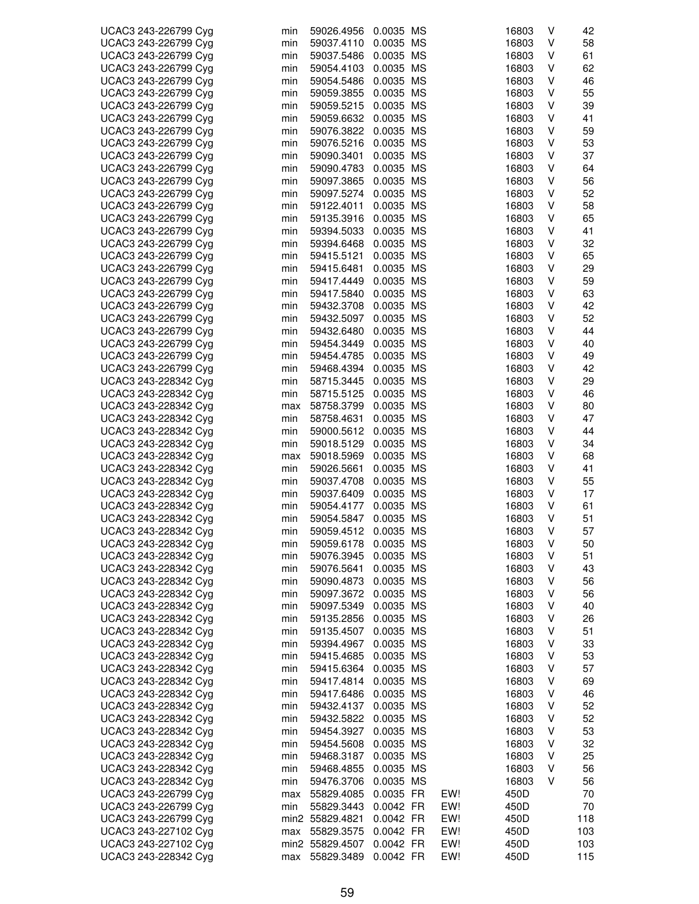| UCAC3 243-226799 Cyg | min | 59026.4956      | 0.0035 MS |     | 16803 | ٧ | 42  |
|----------------------|-----|-----------------|-----------|-----|-------|---|-----|
| UCAC3 243-226799 Cyg | min | 59037.4110      | 0.0035 MS |     | 16803 | ٧ | 58  |
| UCAC3 243-226799 Cyg | min | 59037.5486      | 0.0035 MS |     | 16803 | ٧ | 61  |
| UCAC3 243-226799 Cyg | min | 59054.4103      | 0.0035 MS |     | 16803 | ٧ | 62  |
| UCAC3 243-226799 Cyg | min | 59054.5486      | 0.0035 MS |     | 16803 | ٧ | 46  |
| UCAC3 243-226799 Cyg | min | 59059.3855      | 0.0035 MS |     | 16803 | V | 55  |
| UCAC3 243-226799 Cyg | min | 59059.5215      | 0.0035 MS |     | 16803 | ٧ | 39  |
| UCAC3 243-226799 Cyg |     |                 |           |     |       | V | 41  |
|                      | min | 59059.6632      | 0.0035 MS |     | 16803 |   |     |
| UCAC3 243-226799 Cyg | min | 59076.3822      | 0.0035 MS |     | 16803 | ٧ | 59  |
| UCAC3 243-226799 Cyg | min | 59076.5216      | 0.0035 MS |     | 16803 | ٧ | 53  |
| UCAC3 243-226799 Cyg | min | 59090.3401      | 0.0035 MS |     | 16803 | V | 37  |
| UCAC3 243-226799 Cyg | min | 59090.4783      | 0.0035 MS |     | 16803 | ٧ | 64  |
| UCAC3 243-226799 Cyg | min | 59097.3865      | 0.0035 MS |     | 16803 | V | 56  |
| UCAC3 243-226799 Cyg | min | 59097.5274      | 0.0035 MS |     | 16803 | ٧ | 52  |
| UCAC3 243-226799 Cyg | min | 59122.4011      | 0.0035 MS |     | 16803 | ٧ | 58  |
| UCAC3 243-226799 Cyg | min | 59135.3916      | 0.0035 MS |     | 16803 | ٧ | 65  |
| UCAC3 243-226799 Cyg | min | 59394.5033      | 0.0035 MS |     | 16803 | ٧ | 41  |
| UCAC3 243-226799 Cyg | min | 59394.6468      | 0.0035 MS |     | 16803 | ٧ | 32  |
| UCAC3 243-226799 Cyg | min | 59415.5121      | 0.0035 MS |     | 16803 | V | 65  |
| UCAC3 243-226799 Cyg | min | 59415.6481      | 0.0035 MS |     | 16803 | V | 29  |
| UCAC3 243-226799 Cyg | min | 59417.4449      | 0.0035 MS |     | 16803 | ٧ | 59  |
| UCAC3 243-226799 Cyg | min | 59417.5840      | 0.0035 MS |     | 16803 | ٧ | 63  |
| UCAC3 243-226799 Cyg |     | 59432.3708      |           |     |       | ٧ | 42  |
|                      | min |                 | 0.0035 MS |     | 16803 |   |     |
| UCAC3 243-226799 Cyg | min | 59432.5097      | 0.0035 MS |     | 16803 | ٧ | 52  |
| UCAC3 243-226799 Cyg | min | 59432.6480      | 0.0035 MS |     | 16803 | ٧ | 44  |
| UCAC3 243-226799 Cyg | min | 59454.3449      | 0.0035 MS |     | 16803 | ٧ | 40  |
| UCAC3 243-226799 Cyg | min | 59454.4785      | 0.0035 MS |     | 16803 | ٧ | 49  |
| UCAC3 243-226799 Cyg | min | 59468.4394      | 0.0035 MS |     | 16803 | V | 42  |
| UCAC3 243-228342 Cyg | min | 58715.3445      | 0.0035 MS |     | 16803 | ٧ | 29  |
| UCAC3 243-228342 Cyg | min | 58715.5125      | 0.0035 MS |     | 16803 | ٧ | 46  |
| UCAC3 243-228342 Cyg | max | 58758.3799      | 0.0035 MS |     | 16803 | V | 80  |
| UCAC3 243-228342 Cyg | min | 58758.4631      | 0.0035 MS |     | 16803 | ٧ | 47  |
| UCAC3 243-228342 Cyg | min | 59000.5612      | 0.0035 MS |     | 16803 | ٧ | 44  |
| UCAC3 243-228342 Cyg | min | 59018.5129      | 0.0035 MS |     | 16803 | V | 34  |
| UCAC3 243-228342 Cyg | max | 59018.5969      | 0.0035 MS |     | 16803 | ٧ | 68  |
| UCAC3 243-228342 Cyg | min | 59026.5661      | 0.0035 MS |     | 16803 | V | 41  |
| UCAC3 243-228342 Cyg | min | 59037.4708      | 0.0035 MS |     | 16803 | ٧ | 55  |
| UCAC3 243-228342 Cyg | min | 59037.6409      | 0.0035 MS |     | 16803 | ٧ | 17  |
|                      |     |                 |           |     | 16803 | ٧ |     |
| UCAC3 243-228342 Cyg | min | 59054.4177      | 0.0035 MS |     |       |   | 61  |
| UCAC3 243-228342 Cyg | min | 59054.5847      | 0.0035 MS |     | 16803 | ٧ | 51  |
| UCAC3 243-228342 Cyg | min | 59059.4512      | 0.0035 MS |     | 16803 | V | 57  |
| UCAC3 243-228342 Cyg | min | 59059.6178      | 0.0035 MS |     | 16803 | V | 50  |
| UCAC3 243-228342 Cyg | min | 59076.3945      | 0.0035 MS |     | 16803 | V | 51  |
| UCAC3 243-228342 Cyg | min | 59076.5641      | 0.0035 MS |     | 16803 | ٧ | 43  |
| UCAC3 243-228342 Cyg | min | 59090.4873      | 0.0035 MS |     | 16803 | ٧ | 56  |
| UCAC3 243-228342 Cyg | min | 59097.3672      | 0.0035 MS |     | 16803 | ٧ | 56  |
| UCAC3 243-228342 Cyg | min | 59097.5349      | 0.0035 MS |     | 16803 | ٧ | 40  |
| UCAC3 243-228342 Cyg | min | 59135.2856      | 0.0035 MS |     | 16803 | ٧ | 26  |
| UCAC3 243-228342 Cyg | min | 59135.4507      | 0.0035 MS |     | 16803 | ٧ | 51  |
| UCAC3 243-228342 Cyg | min | 59394.4967      | 0.0035 MS |     | 16803 | ٧ | 33  |
| UCAC3 243-228342 Cyg | min | 59415.4685      | 0.0035 MS |     | 16803 | ٧ | 53  |
| UCAC3 243-228342 Cyg | min | 59415.6364      | 0.0035 MS |     | 16803 | ٧ | 57  |
| UCAC3 243-228342 Cyg | min | 59417.4814      | 0.0035 MS |     | 16803 | ٧ | 69  |
| UCAC3 243-228342 Cyg | min | 59417.6486      | 0.0035 MS |     | 16803 | V | 46  |
| UCAC3 243-228342 Cyg | min | 59432.4137      | 0.0035 MS |     | 16803 | ٧ | 52  |
|                      |     |                 |           |     |       |   |     |
| UCAC3 243-228342 Cyg | min | 59432.5822      | 0.0035 MS |     | 16803 | ٧ | 52  |
| UCAC3 243-228342 Cyg | min | 59454.3927      | 0.0035 MS |     | 16803 | ٧ | 53  |
| UCAC3 243-228342 Cyg | min | 59454.5608      | 0.0035 MS |     | 16803 | ٧ | 32  |
| UCAC3 243-228342 Cyg | min | 59468.3187      | 0.0035 MS |     | 16803 | ٧ | 25  |
| UCAC3 243-228342 Cyg | min | 59468.4855      | 0.0035 MS |     | 16803 | ٧ | 56  |
| UCAC3 243-228342 Cyg | min | 59476.3706      | 0.0035 MS |     | 16803 | v | 56  |
| UCAC3 243-226799 Cyg | max | 55829.4085      | 0.0035 FR | EW! | 450D  |   | 70  |
| UCAC3 243-226799 Cyg | min | 55829.3443      | 0.0042 FR | EW! | 450D  |   | 70  |
| UCAC3 243-226799 Cyg |     | min2 55829.4821 | 0.0042 FR | EW! | 450D  |   | 118 |
| UCAC3 243-227102 Cyg | max | 55829.3575      | 0.0042 FR | EW! | 450D  |   | 103 |
| UCAC3 243-227102 Cyg |     | min2 55829.4507 | 0.0042 FR | EW! | 450D  |   | 103 |
| UCAC3 243-228342 Cyg | max | 55829.3489      | 0.0042 FR | EW! | 450D  |   | 115 |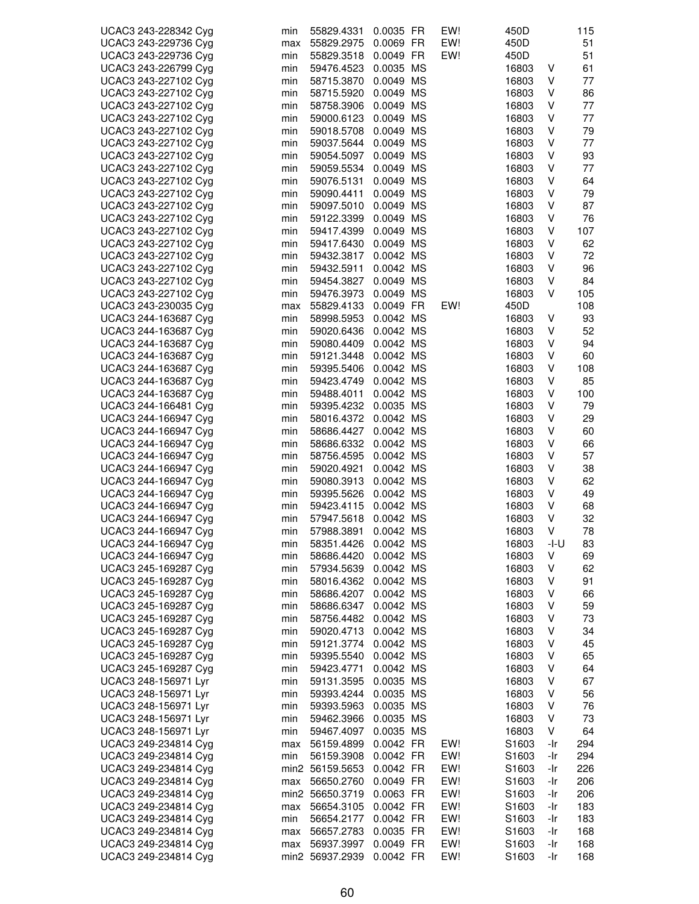| UCAC3 243-228342 Cyg | min | 55829.4331      | 0.0035 FR              | EW! | 450D           |      | 115 |
|----------------------|-----|-----------------|------------------------|-----|----------------|------|-----|
| UCAC3 243-229736 Cyg | max | 55829.2975      | 0.0069 FR              | EW! | 450D           |      | 51  |
| UCAC3 243-229736 Cyg | min | 55829.3518      | 0.0049 FR              | EW! | 450D           |      | 51  |
| UCAC3 243-226799 Cyg | min | 59476.4523      | 0.0035 MS              |     | 16803          | V    | 61  |
| UCAC3 243-227102 Cyg | min | 58715.3870      | 0.0049 MS              |     | 16803          | V    | 77  |
| UCAC3 243-227102 Cyg | min | 58715.5920      | 0.0049 MS              |     | 16803          | V    | 86  |
| UCAC3 243-227102 Cyg | min | 58758.3906      | 0.0049 MS              |     | 16803          | V    | 77  |
| UCAC3 243-227102 Cyg | min | 59000.6123      | 0.0049 MS              |     | 16803          | V    | 77  |
| UCAC3 243-227102 Cyg | min | 59018.5708      | 0.0049 MS              |     | 16803          | V    | 79  |
| UCAC3 243-227102 Cyg | min | 59037.5644      | 0.0049 MS              |     | 16803          | V    | 77  |
| UCAC3 243-227102 Cyg | min | 59054.5097      | 0.0049 MS              |     | 16803          | V    | 93  |
| UCAC3 243-227102 Cyg | min | 59059.5534      | 0.0049 MS              |     | 16803          | V    | 77  |
| UCAC3 243-227102 Cyg | min | 59076.5131      | 0.0049 MS              |     | 16803          | V    | 64  |
| UCAC3 243-227102 Cyg | min | 59090.4411      | 0.0049 MS              |     | 16803          | V    | 79  |
| UCAC3 243-227102 Cyg | min | 59097.5010      | 0.0049 MS              |     | 16803          | V    | 87  |
| UCAC3 243-227102 Cyg | min | 59122.3399      | 0.0049 MS              |     | 16803          | V    | 76  |
| UCAC3 243-227102 Cyg | min | 59417.4399      | 0.0049 MS              |     | 16803          | V    | 107 |
| UCAC3 243-227102 Cyg | min | 59417.6430      | 0.0049 MS              |     | 16803          | V    | 62  |
| UCAC3 243-227102 Cyg |     |                 | 0.0042 MS              |     |                | V    | 72  |
| UCAC3 243-227102 Cyg | min | 59432.3817      |                        |     | 16803          | V    | 96  |
|                      | min | 59432.5911      | 0.0042 MS<br>0.0049 MS |     | 16803          | V    | 84  |
| UCAC3 243-227102 Cyg | min | 59454.3827      |                        |     | 16803<br>16803 | V    |     |
| UCAC3 243-227102 Cyg | min | 59476.3973      | 0.0049 MS              |     |                |      | 105 |
| UCAC3 243-230035 Cyg | max | 55829.4133      | 0.0049 FR              | EW! | 450D           |      | 108 |
| UCAC3 244-163687 Cyg | min | 58998.5953      | 0.0042 MS              |     | 16803          | V    | 93  |
| UCAC3 244-163687 Cyg | min | 59020.6436      | 0.0042 MS              |     | 16803          | V    | 52  |
| UCAC3 244-163687 Cyg | min | 59080.4409      | 0.0042 MS              |     | 16803          | V    | 94  |
| UCAC3 244-163687 Cyg | min | 59121.3448      | 0.0042 MS              |     | 16803          | V    | 60  |
| UCAC3 244-163687 Cyg | min | 59395.5406      | 0.0042 MS              |     | 16803          | V    | 108 |
| UCAC3 244-163687 Cyg | min | 59423.4749      | 0.0042 MS              |     | 16803          | V    | 85  |
| UCAC3 244-163687 Cyg | min | 59488.4011      | 0.0042 MS              |     | 16803          | V    | 100 |
| UCAC3 244-166481 Cyg | min | 59395.4232      | 0.0035 MS              |     | 16803          | V    | 79  |
| UCAC3 244-166947 Cyg | min | 58016.4372      | 0.0042 MS              |     | 16803          | V    | 29  |
| UCAC3 244-166947 Cyg | min | 58686.4427      | 0.0042 MS              |     | 16803          | V    | 60  |
| UCAC3 244-166947 Cyg | min | 58686.6332      | 0.0042 MS              |     | 16803          | V    | 66  |
| UCAC3 244-166947 Cyg | min | 58756.4595      | 0.0042 MS              |     | 16803          | V    | 57  |
| UCAC3 244-166947 Cyg | min | 59020.4921      | 0.0042 MS              |     | 16803          | V    | 38  |
| UCAC3 244-166947 Cyg | min | 59080.3913      | 0.0042 MS              |     | 16803          | V    | 62  |
| UCAC3 244-166947 Cyg | min | 59395.5626      | 0.0042 MS              |     | 16803          | V    | 49  |
| UCAC3 244-166947 Cyg | min | 59423.4115      | 0.0042 MS              |     | 16803          | V    | 68  |
| UCAC3 244-166947 Cyg | min | 57947.5618      | 0.0042 MS              |     | 16803          | V    | 32  |
| UCAC3 244-166947 Cyg | min | 57988.3891      | 0.0042 MS              |     | 16803          | V    | 78  |
| UCAC3 244-166947 Cyg | min | 58351.4426      | 0.0042 MS              |     | 16803          | -I-U | 83  |
| UCAC3 244-166947 Cyg | min | 58686.4420      | 0.0042 MS              |     | 16803          | V    | 69  |
| UCAC3 245-169287 Cyg | min | 57934.5639      | 0.0042 MS              |     | 16803          | V    | 62  |
| UCAC3 245-169287 Cyg | min | 58016.4362      | 0.0042 MS              |     | 16803          | ٧    | 91  |
| UCAC3 245-169287 Cyg | min | 58686.4207      | 0.0042 MS              |     | 16803          | V    | 66  |
| UCAC3 245-169287 Cyg | min | 58686.6347      | 0.0042 MS              |     | 16803          | ٧    | 59  |
| UCAC3 245-169287 Cyg | min | 58756.4482      | 0.0042 MS              |     | 16803          | V    | 73  |
| UCAC3 245-169287 Cyg | min | 59020.4713      | 0.0042 MS              |     | 16803          | V    | 34  |
| UCAC3 245-169287 Cyg | min | 59121.3774      | 0.0042 MS              |     | 16803          | V    | 45  |
| UCAC3 245-169287 Cyg | min | 59395.5540      | 0.0042 MS              |     | 16803          | ٧    | 65  |
| UCAC3 245-169287 Cyg | min | 59423.4771      | 0.0042 MS              |     | 16803          | V    | 64  |
| UCAC3 248-156971 Lyr | min | 59131.3595      | 0.0035 MS              |     | 16803          | V    | 67  |
| UCAC3 248-156971 Lyr | min | 59393.4244      | 0.0035 MS              |     | 16803          | V    | 56  |
| UCAC3 248-156971 Lyr | min | 59393.5963      | 0.0035 MS              |     | 16803          | V    | 76  |
| UCAC3 248-156971 Lyr | min | 59462.3966      | 0.0035 MS              |     | 16803          | V    | 73  |
| UCAC3 248-156971 Lyr | min | 59467.4097      | 0.0035 MS              |     | 16803          | ٧    | 64  |
| UCAC3 249-234814 Cyg | max | 56159.4899      | 0.0042 FR              | EW! | S1603          | -Ir  | 294 |
| UCAC3 249-234814 Cyg | min | 56159.3908      | 0.0042 FR              | EW! | S1603          | -Ir  | 294 |
| UCAC3 249-234814 Cyg |     | min2 56159.5653 | 0.0042 FR              | EW! | S1603          | -Ir  | 226 |
| UCAC3 249-234814 Cyg | max | 56650.2760      | 0.0049 FR              | EW! | S1603          | -Ir  | 206 |
| UCAC3 249-234814 Cyg |     | min2 56650.3719 | 0.0063 FR              | EW! | S1603          | -Ir  | 206 |
| UCAC3 249-234814 Cyg | max | 56654.3105      | 0.0042 FR              | EW! | S1603          | -Ir  | 183 |
| UCAC3 249-234814 Cyg | min | 56654.2177      | 0.0042 FR              | EW! | S1603          | -Ir  | 183 |
| UCAC3 249-234814 Cyg | max | 56657.2783      | 0.0035 FR              | EW! | S1603          | -Ir  | 168 |
| UCAC3 249-234814 Cyg | max | 56937.3997      | 0.0049 FR              | EW! | S1603          | -Ir  | 168 |
| UCAC3 249-234814 Cyg |     | min2 56937.2939 | 0.0042 FR              | EW! | S1603          | -Ir  | 168 |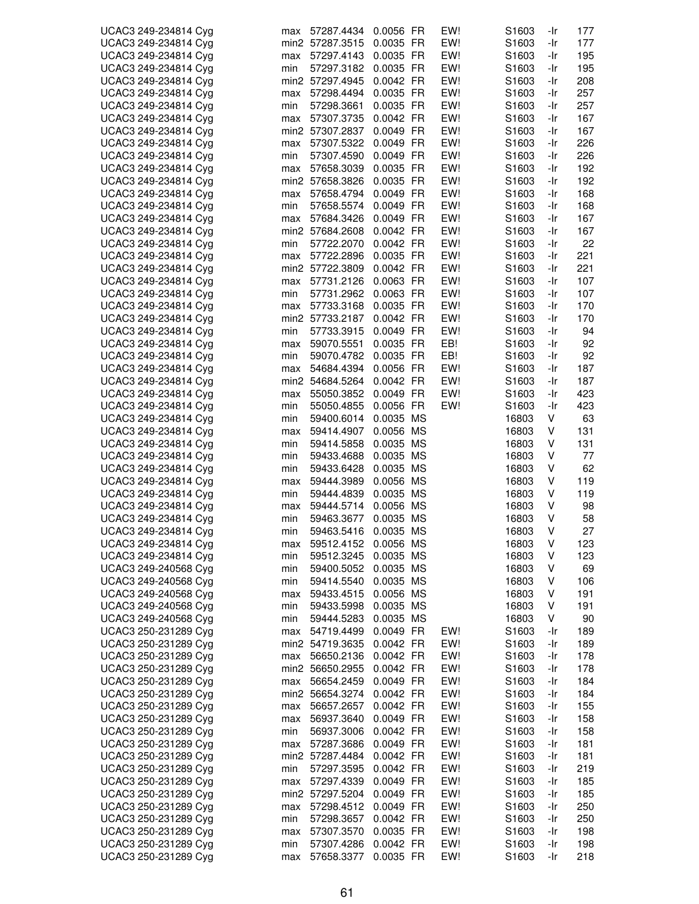| UCAC3 249-234814 Cyg | max | 57287.4434      | 0.0056 FR | EW! | S1603             | -Ir | 177 |
|----------------------|-----|-----------------|-----------|-----|-------------------|-----|-----|
| UCAC3 249-234814 Cyg |     | min2 57287.3515 | 0.0035 FR | EW! | S1603             | -Ir | 177 |
| UCAC3 249-234814 Cyg | max | 57297.4143      | 0.0035 FR | EW! | S1603             | -Ir | 195 |
|                      |     |                 |           |     |                   |     |     |
| UCAC3 249-234814 Cyg | min | 57297.3182      | 0.0035 FR | EW! | S1603             | -Ir | 195 |
| UCAC3 249-234814 Cyg |     | min2 57297.4945 | 0.0042 FR | EW! | S <sub>1603</sub> | -Ir | 208 |
| UCAC3 249-234814 Cyg | max | 57298.4494      | 0.0035 FR | EW! | S1603             | -Ir | 257 |
| UCAC3 249-234814 Cyg | min | 57298.3661      | 0.0035 FR | EW! | S1603             | -Ir | 257 |
|                      |     |                 |           |     |                   |     |     |
| UCAC3 249-234814 Cyg | max | 57307.3735      | 0.0042 FR | EW! | S <sub>1603</sub> | -Ir | 167 |
| UCAC3 249-234814 Cyg |     | min2 57307.2837 | 0.0049 FR | EW! | S1603             | -Ir | 167 |
| UCAC3 249-234814 Cyg | max | 57307.5322      | 0.0049 FR | EW! | S1603             | -Ir | 226 |
|                      |     |                 |           |     |                   |     |     |
| UCAC3 249-234814 Cyg | min | 57307.4590      | 0.0049 FR | EW! | S <sub>1603</sub> | -Ir | 226 |
| UCAC3 249-234814 Cyg | max | 57658.3039      | 0.0035 FR | EW! | S1603             | -Ir | 192 |
| UCAC3 249-234814 Cyg |     | min2 57658.3826 | 0.0035 FR | EW! | S1603             | -Ir | 192 |
| UCAC3 249-234814 Cyg |     | 57658.4794      | 0.0049 FR | EW! | S1603             | -Ir | 168 |
|                      | max |                 |           |     |                   |     |     |
| UCAC3 249-234814 Cyg | min | 57658.5574      | 0.0049 FR | EW! | S1603             | -Ir | 168 |
| UCAC3 249-234814 Cyg | max | 57684.3426      | 0.0049 FR | EW! | S1603             | -Ir | 167 |
| UCAC3 249-234814 Cyg |     | min2 57684.2608 | 0.0042 FR | EW! | S <sub>1603</sub> | -Ir | 167 |
|                      |     |                 |           |     |                   |     |     |
| UCAC3 249-234814 Cyg | min | 57722.2070      | 0.0042 FR | EW! | S1603             | -Ir | 22  |
| UCAC3 249-234814 Cyg | max | 57722.2896      | 0.0035 FR | EW! | S1603             | -Ir | 221 |
| UCAC3 249-234814 Cyg |     | min2 57722.3809 | 0.0042 FR | EW! | S1603             | -Ir | 221 |
| UCAC3 249-234814 Cyg | max | 57731.2126      | 0.0063 FR | EW! | S <sub>1603</sub> | -Ir | 107 |
|                      |     |                 |           |     |                   |     |     |
| UCAC3 249-234814 Cyg | min | 57731.2962      | 0.0063 FR | EW! | S <sub>1603</sub> | -Ir | 107 |
| UCAC3 249-234814 Cyg | max | 57733.3168      | 0.0035 FR | EW! | S <sub>1603</sub> | -Ir | 170 |
| UCAC3 249-234814 Cyg |     | min2 57733.2187 | 0.0042 FR | EW! | S1603             | -Ir | 170 |
|                      |     |                 |           | EW! |                   |     |     |
| UCAC3 249-234814 Cyg | min | 57733.3915      | 0.0049 FR |     | S1603             | -Ir | 94  |
| UCAC3 249-234814 Cyg | max | 59070.5551      | 0.0035 FR | EB! | S1603             | -Ir | 92  |
| UCAC3 249-234814 Cyg | min | 59070.4782      | 0.0035 FR | EB! | S1603             | -Ir | 92  |
| UCAC3 249-234814 Cyg | max | 54684.4394      | 0.0056 FR | EW! | S <sub>1603</sub> | -Ir | 187 |
|                      |     |                 |           |     |                   |     |     |
| UCAC3 249-234814 Cyg |     | min2 54684.5264 | 0.0042 FR | EW! | S <sub>1603</sub> | -Ir | 187 |
| UCAC3 249-234814 Cyg | max | 55050.3852      | 0.0049 FR | EW! | S1603             | -Ir | 423 |
| UCAC3 249-234814 Cyg | min | 55050.4855      | 0.0056 FR | EW! | S <sub>1603</sub> | -Ir | 423 |
| UCAC3 249-234814 Cyg | min | 59400.6014      | 0.0035 MS |     | 16803             | V   | 63  |
|                      |     |                 |           |     |                   |     |     |
| UCAC3 249-234814 Cyg | max | 59414.4907      | 0.0056 MS |     | 16803             | V   | 131 |
| UCAC3 249-234814 Cyg | min | 59414.5858      | 0.0035 MS |     | 16803             | V   | 131 |
| UCAC3 249-234814 Cyg | min | 59433.4688      | 0.0035 MS |     | 16803             | V   | 77  |
| UCAC3 249-234814 Cyg |     | 59433.6428      | 0.0035 MS |     |                   | V   | 62  |
|                      | min |                 |           |     | 16803             |     |     |
| UCAC3 249-234814 Cyg | max | 59444.3989      | 0.0056 MS |     | 16803             | V   | 119 |
| UCAC3 249-234814 Cyg | min | 59444.4839      | 0.0035 MS |     | 16803             | V   | 119 |
| UCAC3 249-234814 Cyg | max | 59444.5714      | 0.0056 MS |     | 16803             | V   | 98  |
|                      |     |                 |           |     |                   |     |     |
| UCAC3 249-234814 Cyg | min | 59463.3677      | 0.0035 MS |     | 16803             | ٧   | 58  |
| UCAC3 249-234814 Cyg | min | 59463.5416      | 0.0035 MS |     | 16803             | V   | 27  |
| UCAC3 249-234814 Cyg | max | 59512.4152      | 0.0056 MS |     | 16803             | V   | 123 |
| UCAC3 249-234814 Cyg | min | 59512.3245      | 0.0035 MS |     | 16803             | V   | 123 |
|                      |     |                 |           |     |                   |     |     |
| UCAC3 249-240568 Cyg | min | 59400.5052      | 0.0035 MS |     | 16803             | V   | 69  |
| UCAC3 249-240568 Cyg | min | 59414.5540      | 0.0035 MS |     | 16803             | V   | 106 |
| UCAC3 249-240568 Cyg | max | 59433.4515      | 0.0056 MS |     | 16803             | V   | 191 |
| UCAC3 249-240568 Cyg |     | 59433.5998      | 0.0035 MS |     |                   | V   |     |
|                      | min |                 |           |     | 16803             |     | 191 |
| UCAC3 249-240568 Cyg | min | 59444.5283      | 0.0035 MS |     | 16803             | V   | 90  |
| UCAC3 250-231289 Cyg | max | 54719.4499      | 0.0049 FR | EW! | S1603             | -Ir | 189 |
| UCAC3 250-231289 Cyg |     | min2 54719.3635 | 0.0042 FR | EW! | S1603             | -Ir | 189 |
|                      |     |                 |           |     |                   |     |     |
| UCAC3 250-231289 Cyg | max | 56650.2136      | 0.0042 FR | EW! | S1603             | -Ir | 178 |
| UCAC3 250-231289 Cyg |     | min2 56650.2955 | 0.0042 FR | EW! | S <sub>1603</sub> | -Ir | 178 |
| UCAC3 250-231289 Cyg | max | 56654.2459      | 0.0049 FR | EW! | S <sub>1603</sub> | -Ir | 184 |
| UCAC3 250-231289 Cyg |     | min2 56654.3274 | 0.0042 FR | EW! | S1603             | -Ir | 184 |
|                      |     |                 |           |     |                   |     |     |
| UCAC3 250-231289 Cyg | max | 56657.2657      | 0.0042 FR | EW! | S <sub>1603</sub> | -Ir | 155 |
| UCAC3 250-231289 Cyg | max | 56937.3640      | 0.0049 FR | EW! | S <sub>1603</sub> | -Ir | 158 |
| UCAC3 250-231289 Cyg | min | 56937.3006      | 0.0042 FR | EW! | S1603             | -Ir | 158 |
|                      |     |                 |           | EW! |                   |     |     |
| UCAC3 250-231289 Cyg | max | 57287.3686      | 0.0049 FR |     | S1603             | -Ir | 181 |
| UCAC3 250-231289 Cyg |     | min2 57287.4484 | 0.0042 FR | EW! | S1603             | -Ir | 181 |
| UCAC3 250-231289 Cyg | min | 57297.3595      | 0.0042 FR | EW! | S1603             | -Ir | 219 |
| UCAC3 250-231289 Cyg | max | 57297.4339      | 0.0049 FR | EW! | S1603             | -Ir | 185 |
|                      |     |                 |           |     |                   |     |     |
| UCAC3 250-231289 Cyg |     | min2 57297.5204 | 0.0049 FR | EW! | S1603             | -Ir | 185 |
| UCAC3 250-231289 Cyg | max | 57298.4512      | 0.0049 FR | EW! | S <sub>1603</sub> | -Ir | 250 |
| UCAC3 250-231289 Cyg | min | 57298.3657      | 0.0042 FR | EW! | S1603             | -Ir | 250 |
| UCAC3 250-231289 Cyg | max | 57307.3570      | 0.0035 FR | EW! | S1603             | -Ir | 198 |
|                      |     |                 |           |     |                   |     |     |
| UCAC3 250-231289 Cyg | min | 57307.4286      | 0.0042 FR | EW! | S1603             | -Ir | 198 |
| UCAC3 250-231289 Cyg | max | 57658.3377      | 0.0035 FR | EW! | S1603             | -Ir | 218 |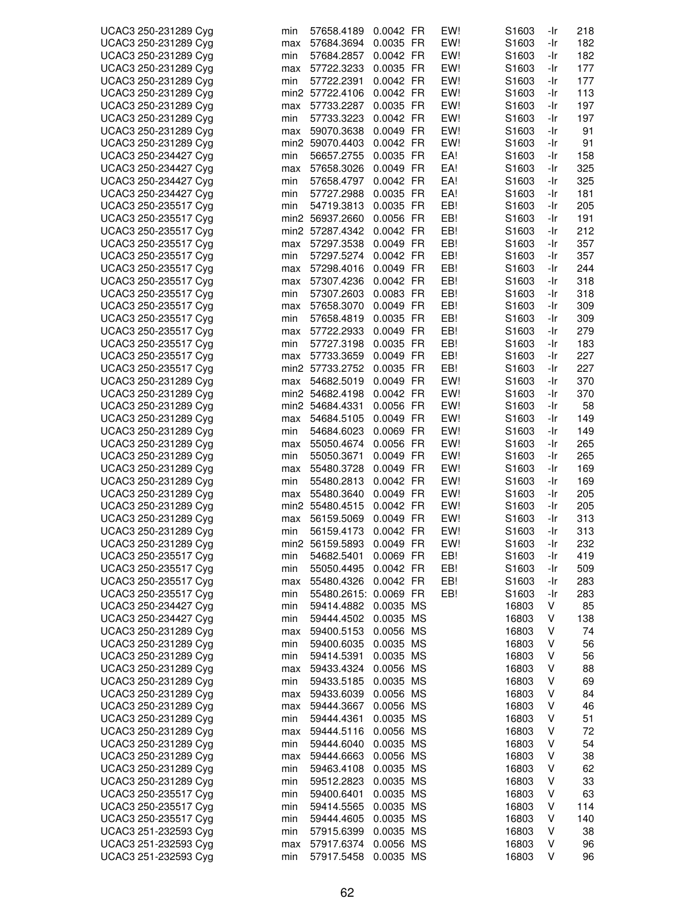| UCAC3 250-231289 Cyg | min | 57658.4189            | 0.0042 FR | EW! | S <sub>1603</sub> | -Ir | 218 |
|----------------------|-----|-----------------------|-----------|-----|-------------------|-----|-----|
|                      |     |                       |           |     |                   |     |     |
| UCAC3 250-231289 Cyg | max | 57684.3694            | 0.0035 FR | EW! | S <sub>1603</sub> | -Ir | 182 |
| UCAC3 250-231289 Cyg | min | 57684.2857            | 0.0042 FR | EW! | S <sub>1603</sub> | -Ir | 182 |
| UCAC3 250-231289 Cyg | max | 57722.3233            | 0.0035 FR | EW! | S1603             | -Ir | 177 |
| UCAC3 250-231289 Cyg | min | 57722.2391            | 0.0042 FR | EW! | S <sub>1603</sub> | -Ir | 177 |
| UCAC3 250-231289 Cyg |     | min2 57722.4106       | 0.0042 FR | EW! | S1603             | -Ir | 113 |
|                      |     |                       |           |     |                   |     |     |
| UCAC3 250-231289 Cyg | max | 57733.2287            | 0.0035 FR | EW! | S <sub>1603</sub> | -Ir | 197 |
| UCAC3 250-231289 Cyg | min | 57733.3223            | 0.0042 FR | EW! | S1603             | -Ir | 197 |
| UCAC3 250-231289 Cyg | max | 59070.3638            | 0.0049 FR | EW! | S1603             | -Ir | 91  |
| UCAC3 250-231289 Cyg |     | min2 59070.4403       | 0.0042 FR | EW! | S <sub>1603</sub> | -Ir | 91  |
|                      |     |                       |           | EA! |                   |     |     |
| UCAC3 250-234427 Cyg | min | 56657.2755            | 0.0035 FR |     | S <sub>1603</sub> | -Ir | 158 |
| UCAC3 250-234427 Cyg | max | 57658.3026            | 0.0049 FR | EA! | S1603             | -Ir | 325 |
| UCAC3 250-234427 Cyg | min | 57658.4797            | 0.0042 FR | EA! | S1603             | -Ir | 325 |
| UCAC3 250-234427 Cyg | min | 57727.2988            | 0.0035 FR | EA! | S1603             | -Ir | 181 |
| UCAC3 250-235517 Cyg | min | 54719.3813            | 0.0035 FR | EB! | S <sub>1603</sub> | -Ir | 205 |
|                      |     |                       |           |     |                   |     |     |
| UCAC3 250-235517 Cyg |     | min2 56937.2660       | 0.0056 FR | EB! | S <sub>1603</sub> | -Ir | 191 |
| UCAC3 250-235517 Cyg |     | min2 57287.4342       | 0.0042 FR | EB! | S1603             | -Ir | 212 |
| UCAC3 250-235517 Cyg | max | 57297.3538            | 0.0049 FR | EB! | S1603             | -Ir | 357 |
| UCAC3 250-235517 Cyg | min | 57297.5274            | 0.0042 FR | EB! | S <sub>1603</sub> | -Ir | 357 |
| UCAC3 250-235517 Cyg | max | 57298.4016            | 0.0049 FR | EB! | S1603             | -Ir | 244 |
|                      |     |                       |           |     |                   |     |     |
| UCAC3 250-235517 Cyg | max | 57307.4236            | 0.0042 FR | EB! | S <sub>1603</sub> | -Ir | 318 |
| UCAC3 250-235517 Cyg | min | 57307.2603            | 0.0083 FR | EB! | S <sub>1603</sub> | -Ir | 318 |
| UCAC3 250-235517 Cyg | max | 57658.3070            | 0.0049 FR | EB! | S1603             | -Ir | 309 |
| UCAC3 250-235517 Cyg | min | 57658.4819            | 0.0035 FR | EB! | S1603             | -Ir | 309 |
| UCAC3 250-235517 Cyg |     | 57722.2933            | 0.0049 FR | EB! |                   | -Ir | 279 |
|                      | max |                       |           |     | S1603             |     |     |
| UCAC3 250-235517 Cyg | min | 57727.3198            | 0.0035 FR | EB! | S1603             | -Ir | 183 |
| UCAC3 250-235517 Cyg | max | 57733.3659            | 0.0049 FR | EB! | S1603             | -Ir | 227 |
| UCAC3 250-235517 Cyg |     | min2 57733.2752       | 0.0035 FR | EB! | S1603             | -Ir | 227 |
| UCAC3 250-231289 Cyg | max | 54682.5019            | 0.0049 FR | EW! | S1603             | -Ir | 370 |
| UCAC3 250-231289 Cyg |     | min2 54682.4198       | 0.0042 FR | EW! | S <sub>1603</sub> | -Ir | 370 |
|                      |     |                       |           |     |                   |     |     |
| UCAC3 250-231289 Cyg |     | min2 54684.4331       | 0.0056 FR | EW! | S1603             | -Ir | 58  |
| UCAC3 250-231289 Cyg | max | 54684.5105            | 0.0049 FR | EW! | S1603             | -Ir | 149 |
| UCAC3 250-231289 Cyg | min | 54684.6023            | 0.0069 FR | EW! | S <sub>1603</sub> | -Ir | 149 |
| UCAC3 250-231289 Cyg | max | 55050.4674            | 0.0056 FR | EW! | S <sub>1603</sub> | -Ir | 265 |
|                      |     |                       | 0.0049 FR | EW! |                   |     |     |
| UCAC3 250-231289 Cyg | min | 55050.3671            |           |     | S1603             | -Ir | 265 |
| UCAC3 250-231289 Cyg | max | 55480.3728            | 0.0049 FR | EW! | S1603             | -Ir | 169 |
| UCAC3 250-231289 Cyg | min | 55480.2813            | 0.0042 FR | EW! | S1603             | -Ir | 169 |
| UCAC3 250-231289 Cyg | max | 55480.3640            | 0.0049 FR | EW! | S <sub>1603</sub> | -Ir | 205 |
| UCAC3 250-231289 Cyg |     | min2 55480.4515       | 0.0042 FR | EW! | S <sub>1603</sub> | -Ir | 205 |
|                      |     |                       | 0.0049 FR | EW! |                   | -Ir | 313 |
| UCAC3 250-231289 Cyg | max | 56159.5069            |           |     | S1603             |     |     |
| UCAC3 250-231289 Cyg | min | 56159.4173            | 0.0042 FR | EW! | S1603             | -Ir | 313 |
| UCAC3 250-231289 Cyg |     | min2 56159.5893       | 0.0049 FR | EW! | S1603             | -Ir | 232 |
| UCAC3 250-235517 Cyg | min | 54682.5401            | 0.0069 FR | EB! | S1603             | -Ir | 419 |
| UCAC3 250-235517 Cyg | min | 55050.4495            | 0.0042 FR | EB! | S <sub>1603</sub> | -Ir | 509 |
|                      |     |                       |           |     |                   |     |     |
| UCAC3 250-235517 Cyg | max | 55480.4326            | 0.0042 FR | EB! | S1603             | -Ir | 283 |
| UCAC3 250-235517 Cyg | min | 55480.2615: 0.0069 FR |           | EB! | S1603             | -Ir | 283 |
| UCAC3 250-234427 Cyg | min | 59414.4882            | 0.0035 MS |     | 16803             | V   | 85  |
| UCAC3 250-234427 Cyg | min | 59444.4502            | 0.0035 MS |     | 16803             | V   | 138 |
| UCAC3 250-231289 Cyg | max | 59400.5153            | 0.0056 MS |     | 16803             | V   | 74  |
|                      |     |                       |           |     |                   |     |     |
| UCAC3 250-231289 Cyg | min | 59400.6035            | 0.0035 MS |     | 16803             | ٧   | 56  |
| UCAC3 250-231289 Cyg | min | 59414.5391            | 0.0035 MS |     | 16803             | V   | 56  |
| UCAC3 250-231289 Cyg | max | 59433.4324            | 0.0056 MS |     | 16803             | V   | 88  |
| UCAC3 250-231289 Cyg | min | 59433.5185            | 0.0035 MS |     | 16803             | V   | 69  |
| UCAC3 250-231289 Cyg | max | 59433.6039            | 0.0056 MS |     | 16803             | V   | 84  |
|                      |     |                       |           |     |                   |     |     |
| UCAC3 250-231289 Cyg | max | 59444.3667            | 0.0056 MS |     | 16803             | ٧   | 46  |
| UCAC3 250-231289 Cyg | min | 59444.4361            | 0.0035 MS |     | 16803             | ٧   | 51  |
| UCAC3 250-231289 Cyg | max | 59444.5116            | 0.0056 MS |     | 16803             | ٧   | 72  |
| UCAC3 250-231289 Cyg | min | 59444.6040            | 0.0035 MS |     | 16803             | ٧   | 54  |
| UCAC3 250-231289 Cyg | max | 59444.6663            | 0.0056 MS |     | 16803             | V   | 38  |
|                      |     |                       |           |     |                   |     |     |
| UCAC3 250-231289 Cyg | min | 59463.4108            | 0.0035 MS |     | 16803             | V   | 62  |
| UCAC3 250-231289 Cyg | min | 59512.2823            | 0.0035 MS |     | 16803             | V   | 33  |
| UCAC3 250-235517 Cyg | min | 59400.6401            | 0.0035 MS |     | 16803             | V   | 63  |
| UCAC3 250-235517 Cyg | min | 59414.5565            | 0.0035 MS |     | 16803             | ٧   | 114 |
| UCAC3 250-235517 Cyg | min | 59444.4605            | 0.0035 MS |     | 16803             | V   | 140 |
|                      |     |                       |           |     |                   |     |     |
| UCAC3 251-232593 Cyg | min | 57915.6399            | 0.0035 MS |     | 16803             | ٧   | 38  |
| UCAC3 251-232593 Cyg | max | 57917.6374            | 0.0056 MS |     | 16803             | ٧   | 96  |
| UCAC3 251-232593 Cyg | min | 57917.5458            | 0.0035 MS |     | 16803             | V   | 96  |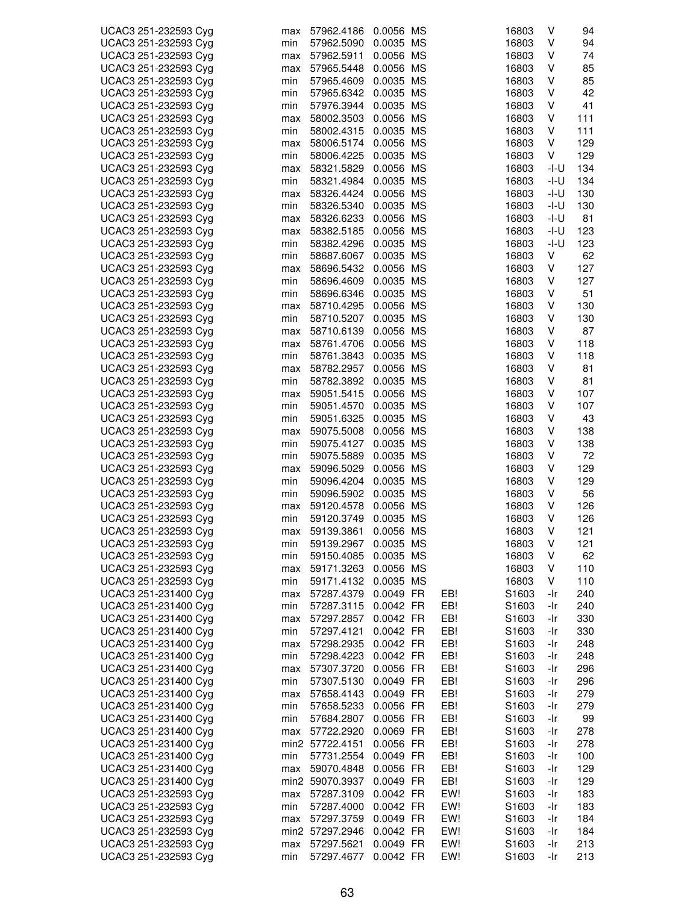| UCAC3 251-232593 Cyg                         | max        | 57962.4186      | 0.0056 MS |     | 16803 | V      | 94        |
|----------------------------------------------|------------|-----------------|-----------|-----|-------|--------|-----------|
| UCAC3 251-232593 Cyg                         | min        | 57962.5090      | 0.0035 MS |     | 16803 | V      | 94        |
| UCAC3 251-232593 Cyg                         | max        | 57962.5911      | 0.0056 MS |     | 16803 | V      | 74        |
| UCAC3 251-232593 Cyg                         | max        | 57965.5448      | 0.0056 MS |     | 16803 | V      | 85        |
| UCAC3 251-232593 Cyg                         | min        | 57965.4609      | 0.0035 MS |     | 16803 | V      | 85        |
| UCAC3 251-232593 Cyg                         | min        | 57965.6342      | 0.0035 MS |     | 16803 | V      | 42        |
| UCAC3 251-232593 Cyg                         | min        | 57976.3944      | 0.0035 MS |     | 16803 | V      | 41        |
| UCAC3 251-232593 Cyg                         | max        | 58002.3503      | 0.0056 MS |     | 16803 | V      | 111       |
| UCAC3 251-232593 Cyg                         | min        | 58002.4315      | 0.0035 MS |     | 16803 | V      | 111       |
| UCAC3 251-232593 Cyg                         | max        | 58006.5174      | 0.0056 MS |     | 16803 | V      | 129       |
| UCAC3 251-232593 Cyg                         | min        | 58006.4225      | 0.0035 MS |     | 16803 | V      | 129       |
| UCAC3 251-232593 Cyg                         | max        | 58321.5829      | 0.0056 MS |     | 16803 | -I-U   | 134       |
| UCAC3 251-232593 Cyg                         | min        | 58321.4984      | 0.0035 MS |     | 16803 | -I-U   | 134       |
| UCAC3 251-232593 Cyg                         | max        | 58326.4424      | 0.0056 MS |     | 16803 | $-I-U$ | 130       |
| UCAC3 251-232593 Cyg                         | min        | 58326.5340      | 0.0035 MS |     | 16803 | -I-U   | 130       |
| UCAC3 251-232593 Cyg                         | max        | 58326.6233      | 0.0056 MS |     | 16803 | -I-U   | 81        |
| UCAC3 251-232593 Cyg                         | max        | 58382.5185      | 0.0056 MS |     | 16803 | -l-U   | 123       |
| UCAC3 251-232593 Cyg                         | min        | 58382.4296      | 0.0035 MS |     | 16803 | -I-U   | 123       |
| UCAC3 251-232593 Cyg                         | min        | 58687.6067      | 0.0035 MS |     | 16803 | V      | 62        |
| UCAC3 251-232593 Cyg                         | max        | 58696.5432      | 0.0056 MS |     | 16803 | V      | 127       |
| UCAC3 251-232593 Cyg                         | min        | 58696.4609      | 0.0035 MS |     | 16803 | V      | 127       |
| UCAC3 251-232593 Cyg                         | min        | 58696.6346      | 0.0035 MS |     | 16803 | V      | 51        |
| UCAC3 251-232593 Cyg                         | max        | 58710.4295      | 0.0056 MS |     | 16803 | V      | 130       |
| UCAC3 251-232593 Cyg                         | min        | 58710.5207      | 0.0035 MS |     | 16803 | V      | 130       |
| UCAC3 251-232593 Cyg                         |            | 58710.6139      | 0.0056 MS |     | 16803 | V      | 87        |
| UCAC3 251-232593 Cyg                         | max        | 58761.4706      | 0.0056 MS |     | 16803 | V      | 118       |
| UCAC3 251-232593 Cyg                         | max<br>min | 58761.3843      | 0.0035 MS |     | 16803 | V      | 118       |
|                                              |            |                 | 0.0056 MS |     |       | V      |           |
| UCAC3 251-232593 Cyg                         | max        | 58782.2957      | 0.0035 MS |     | 16803 | V      | 81        |
| UCAC3 251-232593 Cyg<br>UCAC3 251-232593 Cyg | min        | 58782.3892      |           |     | 16803 | V      | 81<br>107 |
|                                              | max        | 59051.5415      | 0.0056 MS |     | 16803 | V      | 107       |
| UCAC3 251-232593 Cyg                         | min        | 59051.4570      | 0.0035 MS |     | 16803 | V      | 43        |
| UCAC3 251-232593 Cyg                         | min        | 59051.6325      | 0.0035 MS |     | 16803 |        |           |
| UCAC3 251-232593 Cyg                         | max        | 59075.5008      | 0.0056 MS |     | 16803 | V      | 138       |
| UCAC3 251-232593 Cyg                         | min        | 59075.4127      | 0.0035 MS |     | 16803 | V      | 138       |
| UCAC3 251-232593 Cyg                         | min        | 59075.5889      | 0.0035 MS |     | 16803 | V      | 72        |
| UCAC3 251-232593 Cyg                         | max        | 59096.5029      | 0.0056 MS |     | 16803 | V      | 129       |
| UCAC3 251-232593 Cyg                         | min        | 59096.4204      | 0.0035 MS |     | 16803 | V      | 129       |
| UCAC3 251-232593 Cyg                         | min        | 59096.5902      | 0.0035 MS |     | 16803 | V      | 56        |
| UCAC3 251-232593 Cyg                         | max        | 59120.4578      | 0.0056 MS |     | 16803 | V      | 126       |
| UCAC3 251-232593 Cyg                         | min        | 59120.3749      | 0.0035 MS |     | 16803 | V      | 126       |
| UCAC3 251-232593 Cyg                         | max        | 59139.3861      | 0.0056 MS |     | 16803 | V      | 121       |
| UCAC3 251-232593 Cyg                         | min        | 59139.2967      | 0.0035 MS |     | 16803 | V      | 121       |
| UCAC3 251-232593 Cyg                         | min        | 59150.4085      | 0.0035 MS |     | 16803 | V      | 62        |
| UCAC3 251-232593 Cyg                         | max        | 59171.3263      | 0.0056 MS |     | 16803 | V      | 110       |
| UCAC3 251-232593 Cyg                         | min        | 59171.4132      | 0.0035 MS |     | 16803 | V      | 110       |
| UCAC3 251-231400 Cyg                         | max        | 57287.4379      | 0.0049 FR | EB! | S1603 | -Ir    | 240       |
| UCAC3 251-231400 Cyg                         | min        | 57287.3115      | 0.0042 FR | EB! | S1603 | -Ir    | 240       |
| UCAC3 251-231400 Cyg                         | max        | 57297.2857      | 0.0042 FR | EB! | S1603 | -Ir    | 330       |
| UCAC3 251-231400 Cyg                         | min        | 57297.4121      | 0.0042 FR | EB! | S1603 | -Ir    | 330       |
| UCAC3 251-231400 Cyg                         | max        | 57298.2935      | 0.0042 FR | EB! | S1603 | -Ir    | 248       |
| UCAC3 251-231400 Cyg                         | min        | 57298.4223      | 0.0042 FR | EB! | S1603 | -Ir    | 248       |
| UCAC3 251-231400 Cyg                         | max        | 57307.3720      | 0.0056 FR | EB! | S1603 | -Ir    | 296       |
| UCAC3 251-231400 Cyg                         | min        | 57307.5130      | 0.0049 FR | EB! | S1603 | -Ir    | 296       |
| UCAC3 251-231400 Cyg                         | max        | 57658.4143      | 0.0049 FR | EB! | S1603 | -Ir    | 279       |
| UCAC3 251-231400 Cyg                         | min        | 57658.5233      | 0.0056 FR | EB! | S1603 | -Ir    | 279       |
| UCAC3 251-231400 Cyg                         | min        | 57684.2807      | 0.0056 FR | EB! | S1603 | -Ir    | 99        |
| UCAC3 251-231400 Cyg                         | max        | 57722.2920      | 0.0069 FR | EB! | S1603 | -Ir    | 278       |
| UCAC3 251-231400 Cyg                         |            | min2 57722.4151 | 0.0056 FR | EB! | S1603 | -Ir    | 278       |
| UCAC3 251-231400 Cyg                         | min        | 57731.2554      | 0.0049 FR | EB! | S1603 | -Ir    | 100       |
| UCAC3 251-231400 Cyg                         | max        | 59070.4848      | 0.0056 FR | EB! | S1603 | -Ir    | 129       |
| UCAC3 251-231400 Cyg                         |            | min2 59070.3937 | 0.0049 FR | EB! | S1603 | -Ir    | 129       |
| UCAC3 251-232593 Cyg                         | max        | 57287.3109      | 0.0042 FR | EW! | S1603 | -Ir    | 183       |
| UCAC3 251-232593 Cyg                         | min        | 57287.4000      | 0.0042 FR | EW! | S1603 | -Ir    | 183       |
| UCAC3 251-232593 Cyg                         | max        | 57297.3759      | 0.0049 FR | EW! | S1603 | -Ir    | 184       |
| UCAC3 251-232593 Cyg                         |            | min2 57297.2946 | 0.0042 FR | EW! | S1603 | -Ir    | 184       |
| UCAC3 251-232593 Cyg                         | max        | 57297.5621      | 0.0049 FR | EW! | S1603 | -Ir    | 213       |
| UCAC3 251-232593 Cyg                         | min        | 57297.4677      | 0.0042 FR | EW! | S1603 | -Ir    | 213       |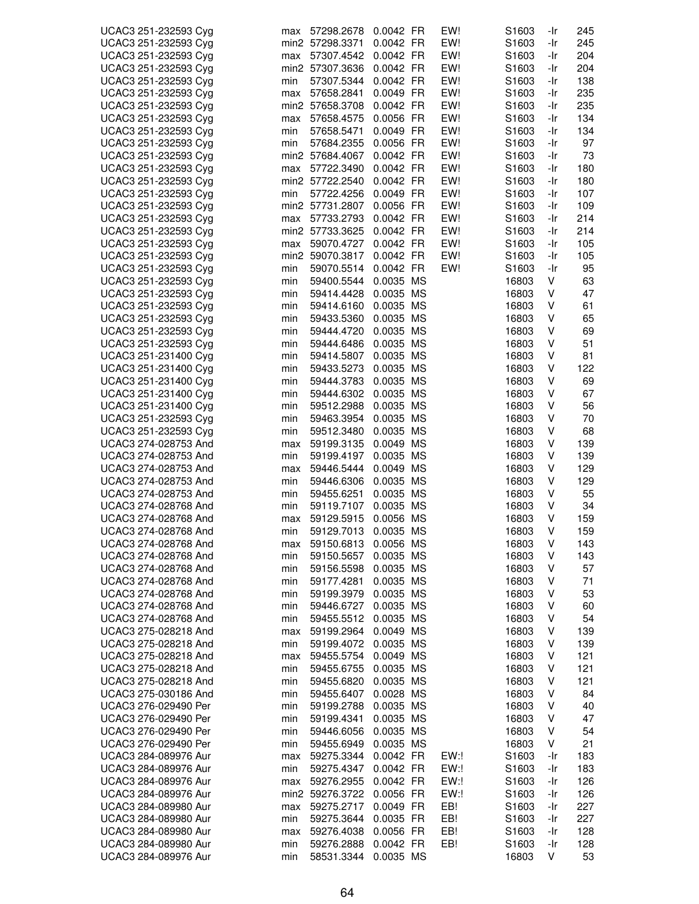| UCAC3 251-232593 Cyg | max | 57298.2678           | 0.0042 FR | EW! | S1603             | -Ir | 245 |
|----------------------|-----|----------------------|-----------|-----|-------------------|-----|-----|
| UCAC3 251-232593 Cyg |     | min2 57298.3371      | 0.0042 FR | EW! | S1603             | -Ir | 245 |
| UCAC3 251-232593 Cyg | max | 57307.4542           | 0.0042 FR | EW! | S <sub>1603</sub> | -Ir | 204 |
| UCAC3 251-232593 Cyg |     | min2 57307.3636      | 0.0042 FR | EW! | S <sub>1603</sub> | -Ir | 204 |
|                      |     |                      | 0.0042 FR | EW! |                   |     | 138 |
| UCAC3 251-232593 Cyg | min | 57307.5344           |           |     | S1603             | -Ir |     |
| UCAC3 251-232593 Cyg | max | 57658.2841           | 0.0049 FR | EW! | S <sub>1603</sub> | -Ir | 235 |
| UCAC3 251-232593 Cyg |     | min2 57658.3708      | 0.0042 FR | EW! | S <sub>1603</sub> | -Ir | 235 |
| UCAC3 251-232593 Cyg | max | 57658.4575           | 0.0056 FR | EW! | S <sub>1603</sub> | -Ir | 134 |
| UCAC3 251-232593 Cyg |     |                      |           | EW! | S <sub>1603</sub> |     | 134 |
|                      | min | 57658.5471           | 0.0049 FR |     |                   | -Ir |     |
| UCAC3 251-232593 Cyg | min | 57684.2355           | 0.0056 FR | EW! | S <sub>1603</sub> | -Ir | 97  |
| UCAC3 251-232593 Cyg |     | min2 57684.4067      | 0.0042 FR | EW! | S <sub>1603</sub> | -Ir | 73  |
| UCAC3 251-232593 Cyg | max | 57722.3490           | 0.0042 FR | EW! | S1603             | -Ir | 180 |
| UCAC3 251-232593 Cyg |     | min2 57722.2540      | 0.0042 FR | EW! |                   | -Ir |     |
|                      |     |                      |           |     | S1603             |     | 180 |
| UCAC3 251-232593 Cyg | min | 57722.4256           | 0.0049 FR | EW! | S1603             | -Ir | 107 |
| UCAC3 251-232593 Cyg |     | min2 57731.2807      | 0.0056 FR | EW! | S1603             | -Ir | 109 |
| UCAC3 251-232593 Cyg | max | 57733.2793           | 0.0042 FR | EW! | S <sub>1603</sub> | -Ir | 214 |
| UCAC3 251-232593 Cyg |     | min2 57733.3625      | 0.0042 FR | EW! | S1603             | -Ir | 214 |
|                      |     |                      |           |     |                   |     |     |
| UCAC3 251-232593 Cyg | max | 59070.4727           | 0.0042 FR | EW! | S1603             | -Ir | 105 |
| UCAC3 251-232593 Cyg |     | min2 59070.3817      | 0.0042 FR | EW! | S <sub>1603</sub> | -Ir | 105 |
| UCAC3 251-232593 Cyg | min | 59070.5514           | 0.0042 FR | EW! | S <sub>1603</sub> | -Ir | 95  |
| UCAC3 251-232593 Cyg | min | 59400.5544           | 0.0035 MS |     | 16803             | V   | 63  |
|                      |     |                      |           |     |                   |     |     |
| UCAC3 251-232593 Cyg | min | 59414.4428           | 0.0035 MS |     | 16803             | V   | 47  |
| UCAC3 251-232593 Cyg | min | 59414.6160           | 0.0035 MS |     | 16803             | V   | 61  |
| UCAC3 251-232593 Cyg | min | 59433.5360           | 0.0035 MS |     | 16803             | V   | 65  |
| UCAC3 251-232593 Cyg | min | 59444.4720           | 0.0035 MS |     | 16803             | V   | 69  |
| UCAC3 251-232593 Cyg |     |                      | 0.0035 MS |     | 16803             | V   | 51  |
|                      | min | 59444.6486           |           |     |                   |     |     |
| UCAC3 251-231400 Cyg | min | 59414.5807           | 0.0035 MS |     | 16803             | ٧   | 81  |
| UCAC3 251-231400 Cyg | min | 59433.5273           | 0.0035 MS |     | 16803             | ٧   | 122 |
| UCAC3 251-231400 Cyg | min | 59444.3783           | 0.0035 MS |     | 16803             | V   | 69  |
| UCAC3 251-231400 Cyg | min | 59444.6302 0.0035 MS |           |     | 16803             | V   | 67  |
|                      |     |                      |           |     |                   |     |     |
| UCAC3 251-231400 Cyg | min | 59512.2988           | 0.0035 MS |     | 16803             | V   | 56  |
| UCAC3 251-232593 Cyg | min | 59463.3954           | 0.0035 MS |     | 16803             | V   | 70  |
| UCAC3 251-232593 Cyg | min | 59512.3480           | 0.0035 MS |     | 16803             | V   | 68  |
| UCAC3 274-028753 And | max | 59199.3135           | 0.0049 MS |     | 16803             | V   | 139 |
|                      |     |                      |           |     |                   |     |     |
| UCAC3 274-028753 And | min | 59199.4197           | 0.0035 MS |     | 16803             | V   | 139 |
| UCAC3 274-028753 And | max | 59446.5444           | 0.0049 MS |     | 16803             | V   | 129 |
| UCAC3 274-028753 And | min | 59446.6306           | 0.0035 MS |     | 16803             | V   | 129 |
| UCAC3 274-028753 And | min | 59455.6251           | 0.0035 MS |     | 16803             | V   | 55  |
| UCAC3 274-028768 And | min | 59119.7107           | 0.0035 MS |     | 16803             | ٧   | 34  |
|                      |     |                      |           |     |                   |     |     |
| UCAC3 274-028768 And | max | 59129.5915           | 0.0056 MS |     | 16803             | V   | 159 |
| UCAC3 274-028768 And | min | 59129.7013           | 0.0035 MS |     | 16803             | V   | 159 |
| UCAC3 274-028768 And | max | 59150.6813           | 0.0056 MS |     | 16803             | V   | 143 |
| UCAC3 274-028768 And | min | 59150.5657           | 0.0035 MS |     | 16803             | V   | 143 |
|                      |     |                      |           |     |                   |     |     |
| UCAC3 274-028768 And | min | 59156.5598           | 0.0035 MS |     | 16803             | V   | 57  |
| UCAC3 274-028768 And | min | 59177.4281           | 0.0035 MS |     | 16803             | ٧   | 71  |
| UCAC3 274-028768 And | min | 59199.3979           | 0.0035 MS |     | 16803             | V   | 53  |
| UCAC3 274-028768 And | min | 59446.6727           | 0.0035 MS |     | 16803             | V   | 60  |
|                      |     |                      |           |     |                   |     |     |
| UCAC3 274-028768 And | min | 59455.5512           | 0.0035 MS |     | 16803             | V   | 54  |
| UCAC3 275-028218 And | max | 59199.2964           | 0.0049 MS |     | 16803             | V   | 139 |
| UCAC3 275-028218 And | min | 59199.4072           | 0.0035 MS |     | 16803             | V   | 139 |
| UCAC3 275-028218 And | max | 59455.5754           | 0.0049 MS |     | 16803             | V   | 121 |
| UCAC3 275-028218 And |     | 59455.6755           | 0.0035 MS |     |                   | V   | 121 |
|                      | min |                      |           |     | 16803             |     |     |
| UCAC3 275-028218 And | min | 59455.6820           | 0.0035 MS |     | 16803             | V   | 121 |
| UCAC3 275-030186 And | min | 59455.6407           | 0.0028 MS |     | 16803             | V   | 84  |
| UCAC3 276-029490 Per | min | 59199.2788           | 0.0035 MS |     | 16803             | V   | 40  |
| UCAC3 276-029490 Per | min | 59199.4341           | 0.0035 MS |     | 16803             | V   | 47  |
|                      |     |                      |           |     |                   |     |     |
| UCAC3 276-029490 Per | min | 59446.6056           | 0.0035 MS |     | 16803             | V   | 54  |
| UCAC3 276-029490 Per | min | 59455.6949           | 0.0035 MS |     | 16803             | V   | 21  |
| UCAC3 284-089976 Aur | max | 59275.3344           | 0.0042 FR | EW: | S1603             | -Ir | 183 |
| UCAC3 284-089976 Aur | min | 59275.4347           | 0.0042 FR | EW: | S <sub>1603</sub> | -Ir | 183 |
|                      |     |                      |           |     |                   |     |     |
| UCAC3 284-089976 Aur | max | 59276.2955           | 0.0042 FR | EW: | S <sub>1603</sub> | -Ir | 126 |
| UCAC3 284-089976 Aur |     | min2 59276.3722      | 0.0056 FR | EW: | S <sub>1603</sub> | -Ir | 126 |
| UCAC3 284-089980 Aur | max | 59275.2717           | 0.0049 FR | EB! | S1603             | -Ir | 227 |
| UCAC3 284-089980 Aur | min | 59275.3644           | 0.0035 FR | EB! | S1603             | -Ir | 227 |
| UCAC3 284-089980 Aur |     | 59276.4038           | 0.0056 FR | EB! | S1603             | -Ir | 128 |
|                      | max |                      |           |     |                   |     |     |
| UCAC3 284-089980 Aur | min | 59276.2888           | 0.0042 FR | EB! | S1603             | -Ir | 128 |
| UCAC3 284-089976 Aur | min | 58531.3344           | 0.0035 MS |     | 16803             | V   | 53  |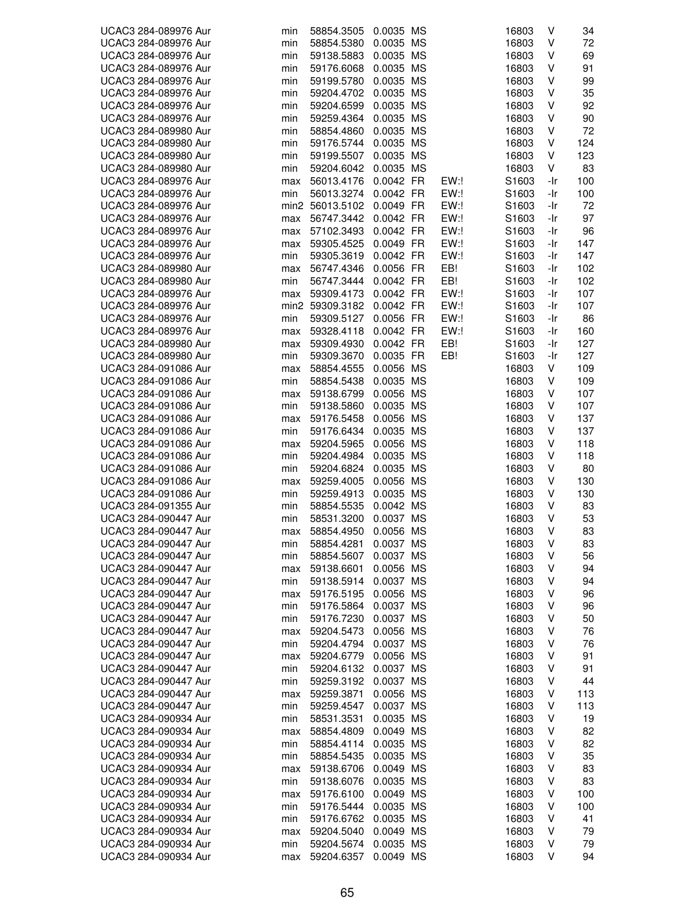| UCAC3 284-089976 Aur                         | min | 58854.3505      | 0.0035 MS |      | 16803 | V   | 34  |
|----------------------------------------------|-----|-----------------|-----------|------|-------|-----|-----|
| UCAC3 284-089976 Aur                         | min | 58854.5380      | 0.0035 MS |      | 16803 | V   | 72  |
| UCAC3 284-089976 Aur                         | min | 59138.5883      | 0.0035 MS |      | 16803 | V   | 69  |
| UCAC3 284-089976 Aur                         | min | 59176.6068      | 0.0035 MS |      | 16803 | V   | 91  |
| UCAC3 284-089976 Aur                         | min | 59199.5780      | 0.0035 MS |      | 16803 | V   | 99  |
| UCAC3 284-089976 Aur                         | min | 59204.4702      | 0.0035 MS |      | 16803 | V   | 35  |
| UCAC3 284-089976 Aur                         | min | 59204.6599      | 0.0035 MS |      | 16803 | V   | 92  |
| UCAC3 284-089976 Aur                         | min | 59259.4364      | 0.0035 MS |      | 16803 | V   | 90  |
| UCAC3 284-089980 Aur                         | min | 58854.4860      | 0.0035 MS |      | 16803 | V   | 72  |
| UCAC3 284-089980 Aur                         | min | 59176.5744      | 0.0035 MS |      | 16803 | V   | 124 |
| UCAC3 284-089980 Aur                         | min | 59199.5507      | 0.0035 MS |      | 16803 | V   | 123 |
| UCAC3 284-089980 Aur                         | min | 59204.6042      | 0.0035 MS |      | 16803 | V   | 83  |
| UCAC3 284-089976 Aur                         | max | 56013.4176      | 0.0042 FR | EW:  | S1603 | -Ir | 100 |
| UCAC3 284-089976 Aur                         | min | 56013.3274      | 0.0042 FR | EW:  | S1603 | -Ir | 100 |
| UCAC3 284-089976 Aur                         |     | min2 56013.5102 | 0.0049 FR | EW:  | S1603 | -Ir | 72  |
| UCAC3 284-089976 Aur                         | max | 56747.3442      | 0.0042 FR | EW:! | S1603 | -Ir | 97  |
| UCAC3 284-089976 Aur                         |     | 57102.3493      | 0.0042 FR | EW:! | S1603 | -Ir | 96  |
|                                              | max |                 |           | EW:  |       | -Ir | 147 |
| UCAC3 284-089976 Aur<br>UCAC3 284-089976 Aur | max | 59305.4525      | 0.0049 FR | EW:! | S1603 |     |     |
|                                              | min | 59305.3619      | 0.0042 FR |      | S1603 | -Ir | 147 |
| UCAC3 284-089980 Aur                         | max | 56747.4346      | 0.0056 FR | EB!  | S1603 | -Ir | 102 |
| UCAC3 284-089980 Aur                         | min | 56747.3444      | 0.0042 FR | EB!  | S1603 | -Ir | 102 |
| UCAC3 284-089976 Aur                         | max | 59309.4173      | 0.0042 FR | EW:! | S1603 | -Ir | 107 |
| UCAC3 284-089976 Aur                         |     | min2 59309.3182 | 0.0042 FR | EW:! | S1603 | -Ir | 107 |
| UCAC3 284-089976 Aur                         | min | 59309.5127      | 0.0056 FR | EW:! | S1603 | -Ir | 86  |
| UCAC3 284-089976 Aur                         | max | 59328.4118      | 0.0042 FR | EW:  | S1603 | -Ir | 160 |
| UCAC3 284-089980 Aur                         | max | 59309.4930      | 0.0042 FR | EB!  | S1603 | -Ir | 127 |
| UCAC3 284-089980 Aur                         | min | 59309.3670      | 0.0035 FR | EB!  | S1603 | -Ir | 127 |
| UCAC3 284-091086 Aur                         | max | 58854.4555      | 0.0056 MS |      | 16803 | V   | 109 |
| UCAC3 284-091086 Aur                         | min | 58854.5438      | 0.0035 MS |      | 16803 | V   | 109 |
| UCAC3 284-091086 Aur                         | max | 59138.6799      | 0.0056 MS |      | 16803 | V   | 107 |
| UCAC3 284-091086 Aur                         | min | 59138.5860      | 0.0035 MS |      | 16803 | V   | 107 |
| UCAC3 284-091086 Aur                         | max | 59176.5458      | 0.0056 MS |      | 16803 | V   | 137 |
| UCAC3 284-091086 Aur                         | min | 59176.6434      | 0.0035 MS |      | 16803 | V   | 137 |
| UCAC3 284-091086 Aur                         | max | 59204.5965      | 0.0056 MS |      | 16803 | V   | 118 |
| UCAC3 284-091086 Aur                         | min | 59204.4984      | 0.0035 MS |      | 16803 | V   | 118 |
| UCAC3 284-091086 Aur                         | min | 59204.6824      | 0.0035 MS |      | 16803 | V   | 80  |
| UCAC3 284-091086 Aur                         | max | 59259.4005      | 0.0056 MS |      | 16803 | V   | 130 |
| UCAC3 284-091086 Aur                         | min | 59259.4913      | 0.0035 MS |      | 16803 | V   | 130 |
| UCAC3 284-091355 Aur                         | min | 58854.5535      | 0.0042 MS |      | 16803 | V   | 83  |
| UCAC3 284-090447 Aur                         | min | 58531.3200      | 0.0037 MS |      | 16803 | V   | 53  |
| UCAC3 284-090447 Aur                         | max | 58854.4950      | 0.0056 MS |      | 16803 | V   | 83  |
| UCAC3 284-090447 Aur                         | min | 58854.4281      | 0.0037 MS |      | 16803 | V   | 83  |
| UCAC3 284-090447 Aur                         | min | 58854.5607      | 0.0037 MS |      | 16803 | V   | 56  |
| UCAC3 284-090447 Aur                         | max | 59138.6601      | 0.0056 MS |      | 16803 | ٧   | 94  |
| UCAC3 284-090447 Aur                         | min | 59138.5914      | 0.0037 MS |      | 16803 | ٧   | 94  |
| UCAC3 284-090447 Aur                         | max | 59176.5195      | 0.0056 MS |      | 16803 | V   | 96  |
| UCAC3 284-090447 Aur                         | min | 59176.5864      | 0.0037 MS |      | 16803 | V   | 96  |
| UCAC3 284-090447 Aur                         | min | 59176.7230      | 0.0037 MS |      | 16803 | V   | 50  |
| UCAC3 284-090447 Aur                         | max | 59204.5473      | 0.0056 MS |      | 16803 | V   | 76  |
| UCAC3 284-090447 Aur                         | min | 59204.4794      | 0.0037 MS |      | 16803 | ٧   | 76  |
| UCAC3 284-090447 Aur                         | max | 59204.6779      | 0.0056 MS |      | 16803 | ٧   | 91  |
| UCAC3 284-090447 Aur                         | min | 59204.6132      | 0.0037 MS |      | 16803 | ٧   | 91  |
| UCAC3 284-090447 Aur                         | min | 59259.3192      | 0.0037 MS |      | 16803 | V   | 44  |
| UCAC3 284-090447 Aur                         |     | 59259.3871      | 0.0056 MS |      | 16803 | V   | 113 |
|                                              | max |                 |           |      |       |     |     |
| UCAC3 284-090447 Aur                         | min | 59259.4547      | 0.0037 MS |      | 16803 | V   | 113 |
| UCAC3 284-090934 Aur                         | min | 58531.3531      | 0.0035 MS |      | 16803 | ٧   | 19  |
| UCAC3 284-090934 Aur                         | max | 58854.4809      | 0.0049 MS |      | 16803 | V   | 82  |
| UCAC3 284-090934 Aur                         | min | 58854.4114      | 0.0035 MS |      | 16803 | ٧   | 82  |
| UCAC3 284-090934 Aur                         | min | 58854.5435      | 0.0035 MS |      | 16803 | V   | 35  |
| UCAC3 284-090934 Aur                         | max | 59138.6706      | 0.0049 MS |      | 16803 | V   | 83  |
| UCAC3 284-090934 Aur                         | min | 59138.6076      | 0.0035 MS |      | 16803 | V   | 83  |
| UCAC3 284-090934 Aur                         | max | 59176.6100      | 0.0049 MS |      | 16803 | ٧   | 100 |
| UCAC3 284-090934 Aur                         | min | 59176.5444      | 0.0035 MS |      | 16803 | V   | 100 |
| UCAC3 284-090934 Aur                         | min | 59176.6762      | 0.0035 MS |      | 16803 | V   | 41  |
| UCAC3 284-090934 Aur                         | max | 59204.5040      | 0.0049 MS |      | 16803 | V   | 79  |
| UCAC3 284-090934 Aur                         | min | 59204.5674      | 0.0035 MS |      | 16803 | V   | 79  |
| UCAC3 284-090934 Aur                         | max | 59204.6357      | 0.0049 MS |      | 16803 | v   | 94  |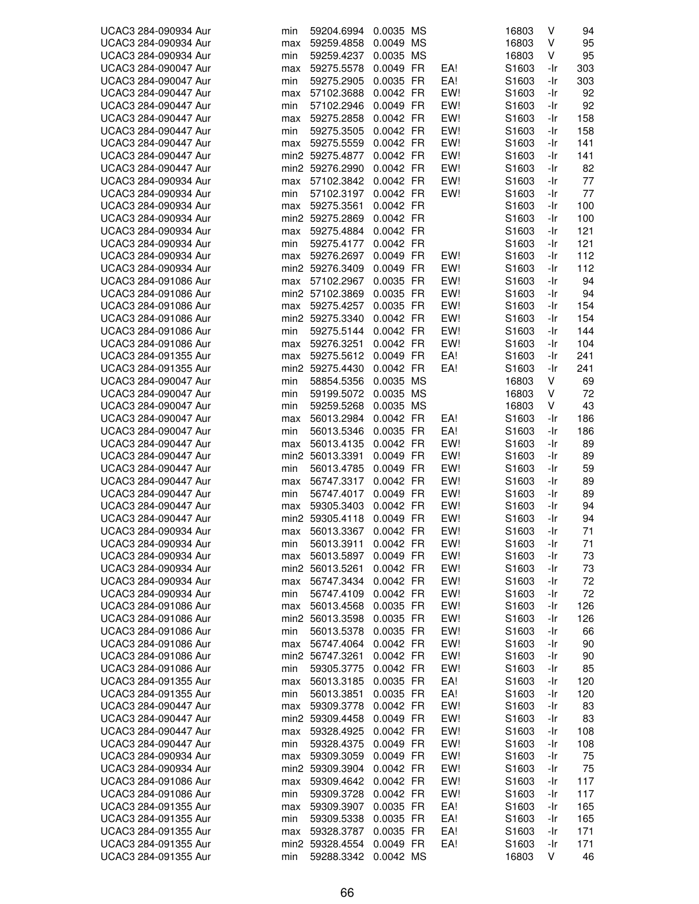| UCAC3 284-090934 Aur | min        | 59204.6994      | 0.0035 MS |     | 16803             | V   | 94  |
|----------------------|------------|-----------------|-----------|-----|-------------------|-----|-----|
| UCAC3 284-090934 Aur | max        | 59259.4858      | 0.0049 MS |     | 16803             | V   | 95  |
| UCAC3 284-090934 Aur | min        | 59259.4237      | 0.0035 MS |     | 16803             | V   | 95  |
| UCAC3 284-090047 Aur | max        | 59275.5578      | 0.0049 FR | EA! | S1603             | -Ir | 303 |
| UCAC3 284-090047 Aur | min        | 59275.2905      | 0.0035 FR | EA! | S <sub>1603</sub> | -Ir | 303 |
| UCAC3 284-090447 Aur | max        | 57102.3688      | 0.0042 FR | EW! | S1603             | -Ir | 92  |
| UCAC3 284-090447 Aur | min        | 57102.2946      | 0.0049 FR | EW! | S1603             | -Ir | 92  |
| UCAC3 284-090447 Aur | max        | 59275.2858      | 0.0042 FR | EW! | S <sub>1603</sub> | -Ir | 158 |
| UCAC3 284-090447 Aur | min        | 59275.3505      | 0.0042 FR | EW! | S <sub>1603</sub> | -Ir | 158 |
| UCAC3 284-090447 Aur | max        | 59275.5559      | 0.0042 FR | EW! | S <sub>1603</sub> | -Ir | 141 |
| UCAC3 284-090447 Aur |            | min2 59275.4877 | 0.0042 FR | EW! | S <sub>1603</sub> | -Ir | 141 |
| UCAC3 284-090447 Aur |            | min2 59276.2990 | 0.0042 FR | EW! | S1603             | -Ir | 82  |
| UCAC3 284-090934 Aur | max        | 57102.3842      | 0.0042 FR | EW! | S <sub>1603</sub> | -Ir | 77  |
| UCAC3 284-090934 Aur | min        | 57102.3197      | 0.0042 FR | EW! | S <sub>1603</sub> | -Ir | 77  |
| UCAC3 284-090934 Aur | max        | 59275.3561      | 0.0042 FR |     | S1603             | -Ir | 100 |
| UCAC3 284-090934 Aur |            | min2 59275.2869 | 0.0042 FR |     | S <sub>1603</sub> | -Ir | 100 |
| UCAC3 284-090934 Aur |            |                 | 0.0042 FR |     |                   | -Ir | 121 |
|                      | max        | 59275.4884      |           |     | S1603             |     |     |
| UCAC3 284-090934 Aur | min        | 59275.4177      | 0.0042 FR |     | S1603             | -Ir | 121 |
| UCAC3 284-090934 Aur | max        | 59276.2697      | 0.0049 FR | EW! | S1603             | -Ir | 112 |
| UCAC3 284-090934 Aur |            | min2 59276.3409 | 0.0049 FR | EW! | S <sub>1603</sub> | -Ir | 112 |
| UCAC3 284-091086 Aur | max        | 57102.2967      | 0.0035 FR | EW! | S <sub>1603</sub> | -Ir | 94  |
| UCAC3 284-091086 Aur |            | min2 57102.3869 | 0.0035 FR | EW! | S <sub>1603</sub> | -Ir | 94  |
| UCAC3 284-091086 Aur | max        | 59275.4257      | 0.0035 FR | EW! | S1603             | -Ir | 154 |
| UCAC3 284-091086 Aur |            | min2 59275.3340 | 0.0042 FR | EW! | S1603             | -Ir | 154 |
| UCAC3 284-091086 Aur | min        | 59275.5144      | 0.0042 FR | EW! | S1603             | -Ir | 144 |
| UCAC3 284-091086 Aur | max        | 59276.3251      | 0.0042 FR | EW! | S <sub>1603</sub> | -Ir | 104 |
| UCAC3 284-091355 Aur | max        | 59275.5612      | 0.0049 FR | EA! | S <sub>1603</sub> | -Ir | 241 |
| UCAC3 284-091355 Aur |            | min2 59275.4430 | 0.0042 FR | EA! | S1603             | -Ir | 241 |
| UCAC3 284-090047 Aur | min        | 58854.5356      | 0.0035 MS |     | 16803             | V   | 69  |
| UCAC3 284-090047 Aur | min        | 59199.5072      | 0.0035 MS |     | 16803             | V   | 72  |
| UCAC3 284-090047 Aur | min        | 59259.5268      | 0.0035 MS |     | 16803             | V   | 43  |
| UCAC3 284-090047 Aur | max        | 56013.2984      | 0.0042 FR | EA! | S1603             | -Ir | 186 |
| UCAC3 284-090047 Aur | min        | 56013.5346      | 0.0035 FR | EA! | S <sub>1603</sub> | -Ir | 186 |
| UCAC3 284-090447 Aur | max        | 56013.4135      | 0.0042 FR | EW! | S <sub>1603</sub> | -Ir | 89  |
| UCAC3 284-090447 Aur |            | min2 56013.3391 | 0.0049 FR | EW! | S1603             | -Ir | 89  |
| UCAC3 284-090447 Aur | min        | 56013.4785      | 0.0049 FR | EW! | S1603             | -Ir | 59  |
| UCAC3 284-090447 Aur | max        | 56747.3317      | 0.0042 FR | EW! | S <sub>1603</sub> | -Ir | 89  |
| UCAC3 284-090447 Aur | min        | 56747.4017      | 0.0049 FR | EW! | S <sub>1603</sub> | -Ir | 89  |
| UCAC3 284-090447 Aur | max        | 59305.3403      | 0.0042 FR | EW! | S <sub>1603</sub> | -Ir | 94  |
| UCAC3 284-090447 Aur |            | min2 59305.4118 | 0.0049 FR | EW! | S1603             | -Ir | 94  |
| UCAC3 284-090934 Aur | max        | 56013.3367      | 0.0042 FR | EW! | S1603             | -Ir | 71  |
| UCAC3 284-090934 Aur | min        | 56013.3911      | 0.0042 FR | EW! | S1603             | -Ir | 71  |
| UCAC3 284-090934 Aur | max        | 56013.5897      | 0.0049 FR | EW! | S1603             | -Ir | 73  |
| UCAC3 284-090934 Aur |            | min2 56013.5261 | 0.0042 FR | EW! | S <sub>1603</sub> | -Ir | 73  |
| UCAC3 284-090934 Aur | max        | 56747.3434      | 0.0042 FR | EW! | S1603             | -Ir | 72  |
| UCAC3 284-090934 Aur | min        | 56747.4109      | 0.0042 FR | EW! | S1603             | -Ir | 72  |
| UCAC3 284-091086 Aur | max        | 56013.4568      | 0.0035 FR | EW! | S1603             | -Ir | 126 |
| UCAC3 284-091086 Aur |            | min2 56013.3598 | 0.0035 FR | EW! | S <sub>1603</sub> | -Ir | 126 |
| UCAC3 284-091086 Aur | min        | 56013.5378      | 0.0035 FR | EW! | S1603             | -Ir | 66  |
| UCAC3 284-091086 Aur | max        | 56747.4064      | 0.0042 FR | EW! | S1603             | -Ir | 90  |
| UCAC3 284-091086 Aur |            | min2 56747.3261 | 0.0042 FR | EW! | S1603             | -Ir | 90  |
| UCAC3 284-091086 Aur | min        | 59305.3775      | 0.0042 FR | EW! | S1603             | -Ir | 85  |
| UCAC3 284-091355 Aur | max        | 56013.3185      | 0.0035 FR | EA! | S1603             | -Ir | 120 |
| UCAC3 284-091355 Aur | min        | 56013.3851      | 0.0035 FR | EA! | S1603             | -Ir | 120 |
| UCAC3 284-090447 Aur | max        | 59309.3778      | 0.0042 FR | EW! | S1603             | -Ir | 83  |
| UCAC3 284-090447 Aur |            | min2 59309.4458 | 0.0049 FR | EW! | S1603             | -Ir | 83  |
| UCAC3 284-090447 Aur |            | 59328.4925      | 0.0042 FR | EW! | S1603             | -Ir | 108 |
| UCAC3 284-090447 Aur | max<br>min | 59328.4375      | 0.0049 FR | EW! | S1603             | -Ir | 108 |
| UCAC3 284-090934 Aur |            | 59309.3059      | 0.0049 FR | EW! | S1603             | -Ir | 75  |
|                      | max        |                 |           |     |                   |     |     |
| UCAC3 284-090934 Aur |            | min2 59309.3904 | 0.0042 FR | EW! | S <sub>1603</sub> | -Ir | 75  |
| UCAC3 284-091086 Aur | max        | 59309.4642      | 0.0042 FR | EW! | S <sub>1603</sub> | -Ir | 117 |
| UCAC3 284-091086 Aur | min        | 59309.3728      | 0.0042 FR | EW! | S <sub>1603</sub> | -Ir | 117 |
| UCAC3 284-091355 Aur | max        | 59309.3907      | 0.0035 FR | EA! | S1603             | -Ir | 165 |
| UCAC3 284-091355 Aur | min        | 59309.5338      | 0.0035 FR | EA! | S1603             | -Ir | 165 |
| UCAC3 284-091355 Aur | max        | 59328.3787      | 0.0035 FR | EA! | S1603             | -Ir | 171 |
| UCAC3 284-091355 Aur |            | min2 59328.4554 | 0.0049 FR | EA! | S1603             | -Ir | 171 |
| UCAC3 284-091355 Aur | min        | 59288.3342      | 0.0042 MS |     | 16803             | V   | 46  |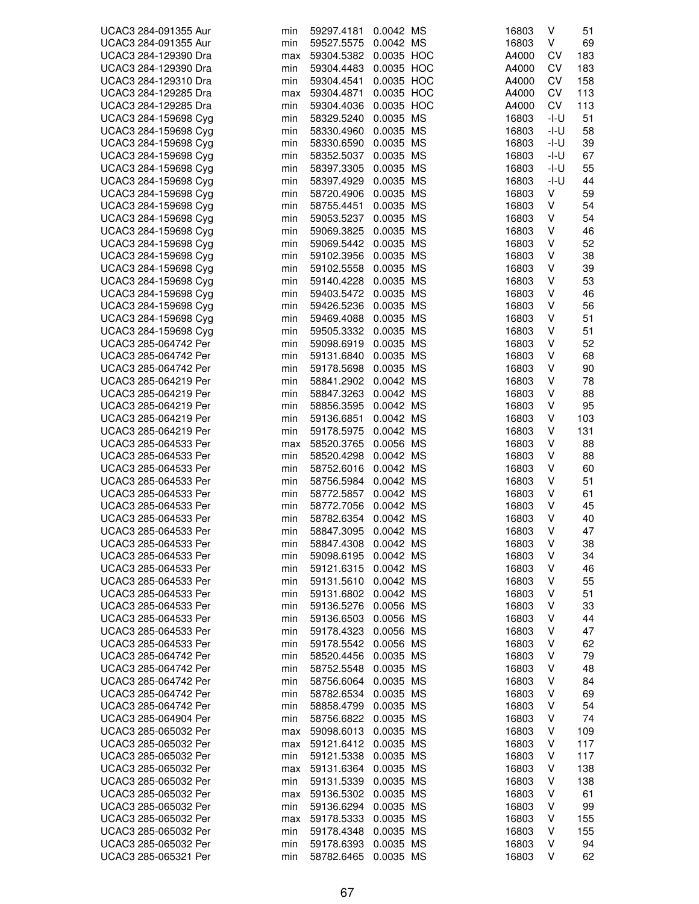| UCAC3 284-091355 Aur                         | min        | 59297.4181               | 0.0042 MS  | 16803          | ٧    | 51  |
|----------------------------------------------|------------|--------------------------|------------|----------------|------|-----|
| UCAC3 284-091355 Aur                         | min        | 59527.5575               | 0.0042 MS  | 16803          | V    | 69  |
| UCAC3 284-129390 Dra                         | max        | 59304.5382               | 0.0035 HOC | A4000          | CV   | 183 |
| UCAC3 284-129390 Dra                         | min        | 59304.4483               | 0.0035 HOC | A4000          | CV   | 183 |
| UCAC3 284-129310 Dra                         | min        | 59304.4541               | 0.0035 HOC | A4000          | CV   | 158 |
| UCAC3 284-129285 Dra                         | max        | 59304.4871               | 0.0035 HOC | A4000          | CV   | 113 |
| UCAC3 284-129285 Dra                         | min        | 59304.4036               | 0.0035 HOC | A4000          | CV   | 113 |
| UCAC3 284-159698 Cyg                         | min        | 58329.5240               | 0.0035 MS  | 16803          | -I-U | 51  |
| UCAC3 284-159698 Cyg                         | min        | 58330.4960               | 0.0035 MS  | 16803          | -l-U | 58  |
| UCAC3 284-159698 Cyg                         | min        | 58330.6590               | 0.0035 MS  | 16803          | -l-U | 39  |
| UCAC3 284-159698 Cyg                         | min        | 58352.5037               | 0.0035 MS  | 16803          | -l-U | 67  |
| UCAC3 284-159698 Cyg                         | min        | 58397.3305               | 0.0035 MS  | 16803          | -I-U | 55  |
| UCAC3 284-159698 Cyg                         | min        | 58397.4929               | 0.0035 MS  | 16803          | -I-U | 44  |
| UCAC3 284-159698 Cyg                         | min        | 58720.4906               | 0.0035 MS  | 16803          | ٧    | 59  |
| UCAC3 284-159698 Cyg                         | min        | 58755.4451               | 0.0035 MS  | 16803          | ٧    | 54  |
| UCAC3 284-159698 Cyg                         | min        | 59053.5237               | 0.0035 MS  | 16803          | ٧    | 54  |
| UCAC3 284-159698 Cyg                         | min        | 59069.3825               | 0.0035 MS  | 16803          | ٧    | 46  |
| UCAC3 284-159698 Cyg                         | min        | 59069.5442               | 0.0035 MS  | 16803          | ٧    | 52  |
| UCAC3 284-159698 Cyg                         | min        | 59102.3956               | 0.0035 MS  | 16803          | V    | 38  |
| UCAC3 284-159698 Cyg                         | min        | 59102.5558               | 0.0035 MS  | 16803          | ٧    | 39  |
| UCAC3 284-159698 Cyg                         | min        | 59140.4228               | 0.0035 MS  | 16803          | V    | 53  |
| UCAC3 284-159698 Cyg                         | min        | 59403.5472               | 0.0035 MS  | 16803          | ٧    | 46  |
| UCAC3 284-159698 Cyg                         | min        | 59426.5236               | 0.0035 MS  | 16803          | ٧    | 56  |
| UCAC3 284-159698 Cyg                         | min        | 59469.4088               | 0.0035 MS  | 16803          | V    | 51  |
|                                              |            |                          |            |                |      |     |
| UCAC3 284-159698 Cyg                         | min        | 59505.3332               | 0.0035 MS  | 16803          | ٧    | 51  |
| UCAC3 285-064742 Per                         | min        | 59098.6919               | 0.0035 MS  | 16803          | ٧    | 52  |
| UCAC3 285-064742 Per                         | min        | 59131.6840               | 0.0035 MS  | 16803          | ٧    | 68  |
| UCAC3 285-064742 Per                         | min        | 59178.5698               | 0.0035 MS  | 16803          | ٧    | 90  |
| UCAC3 285-064219 Per                         | min        | 58841.2902               | 0.0042 MS  | 16803          | V    | 78  |
| UCAC3 285-064219 Per                         | min        | 58847.3263               | 0.0042 MS  | 16803          | ٧    | 88  |
| UCAC3 285-064219 Per                         | min        | 58856.3595               | 0.0042 MS  | 16803          | ٧    | 95  |
| UCAC3 285-064219 Per                         | min        | 59136.6851               | 0.0042 MS  | 16803          | V    | 103 |
| UCAC3 285-064219 Per                         | min        | 59178.5975               | 0.0042 MS  | 16803          | ٧    | 131 |
| UCAC3 285-064533 Per                         | max        | 58520.3765               | 0.0056 MS  | 16803          | ٧    | 88  |
| UCAC3 285-064533 Per                         | min        | 58520.4298               | 0.0042 MS  | 16803          | ٧    | 88  |
| UCAC3 285-064533 Per                         | min        | 58752.6016               | 0.0042 MS  | 16803          | ٧    | 60  |
| UCAC3 285-064533 Per                         | min        | 58756.5984               | 0.0042 MS  | 16803          | ٧    | 51  |
| UCAC3 285-064533 Per                         | min        | 58772.5857               | 0.0042 MS  | 16803          | ٧    | 61  |
| UCAC3 285-064533 Per                         | min        | 58772.7056               | 0.0042 MS  | 16803          | ٧    | 45  |
| UCAC3 285-064533 Per                         | min        | 58782.6354               | 0.0042 MS  | 16803          | ٧    | 40  |
| UCAC3 285-064533 Per                         | min        | 58847.3095               | 0.0042 MS  | 16803          | V    | 47  |
| UCAC3 285-064533 Per                         | min        | 58847.4308               | 0.0042 MS  | 16803          | ٧    | 38  |
| UCAC3 285-064533 Per                         | min        | 59098.6195               | 0.0042 MS  | 16803          | ٧    | 34  |
| UCAC3 285-064533 Per                         | min        | 59121.6315               | 0.0042 MS  | 16803          | ٧    | 46  |
| UCAC3 285-064533 Per                         | min        | 59131.5610               | 0.0042 MS  | 16803          | ٧    | 55  |
| UCAC3 285-064533 Per                         | min        | 59131.6802               | 0.0042 MS  | 16803          | ٧    | 51  |
| UCAC3 285-064533 Per                         | min        | 59136.5276               | 0.0056 MS  | 16803          | ٧    | 33  |
| UCAC3 285-064533 Per                         | min        | 59136.6503               | 0.0056 MS  | 16803          | ٧    | 44  |
| UCAC3 285-064533 Per                         | min        | 59178.4323               | 0.0056 MS  | 16803          | V    | 47  |
| UCAC3 285-064533 Per                         | min        | 59178.5542               | 0.0056 MS  | 16803          | V    | 62  |
| UCAC3 285-064742 Per                         | min        | 58520.4456               | 0.0035 MS  | 16803          | ٧    | 79  |
| UCAC3 285-064742 Per                         | min        | 58752.5548               | 0.0035 MS  | 16803          | V    | 48  |
| UCAC3 285-064742 Per                         | min        | 58756.6064               | 0.0035 MS  | 16803          | ٧    | 84  |
| UCAC3 285-064742 Per                         | min        | 58782.6534               | 0.0035 MS  | 16803          | ٧    | 69  |
| UCAC3 285-064742 Per                         | min        | 58858.4799               | 0.0035 MS  | 16803          | ٧    | 54  |
| UCAC3 285-064904 Per                         | min        | 58756.6822               | 0.0035 MS  | 16803          | ٧    | 74  |
| UCAC3 285-065032 Per                         | max        | 59098.6013               | 0.0035 MS  | 16803          | ٧    | 109 |
|                                              |            |                          | 0.0035 MS  |                | ٧    | 117 |
| UCAC3 285-065032 Per<br>UCAC3 285-065032 Per | max<br>min | 59121.6412<br>59121.5338 | 0.0035 MS  | 16803<br>16803 | ٧    | 117 |
|                                              |            |                          |            |                |      |     |
| UCAC3 285-065032 Per                         | max        | 59131.6364               | 0.0035 MS  | 16803          | ٧    | 138 |
| UCAC3 285-065032 Per                         | min        | 59131.5339               | 0.0035 MS  | 16803          | V    | 138 |
| UCAC3 285-065032 Per                         | max        | 59136.5302               | 0.0035 MS  | 16803          | V    | 61  |
| UCAC3 285-065032 Per                         | min        | 59136.6294               | 0.0035 MS  | 16803          | V    | 99  |
| UCAC3 285-065032 Per                         | max        | 59178.5333               | 0.0035 MS  | 16803          | ٧    | 155 |
| UCAC3 285-065032 Per                         | min        | 59178.4348               | 0.0035 MS  | 16803          | ٧    | 155 |
| UCAC3 285-065032 Per                         | min        | 59178.6393               | 0.0035 MS  | 16803          | ٧    | 94  |
| UCAC3 285-065321 Per                         | min        | 58782.6465               | 0.0035 MS  | 16803          | V    | 62  |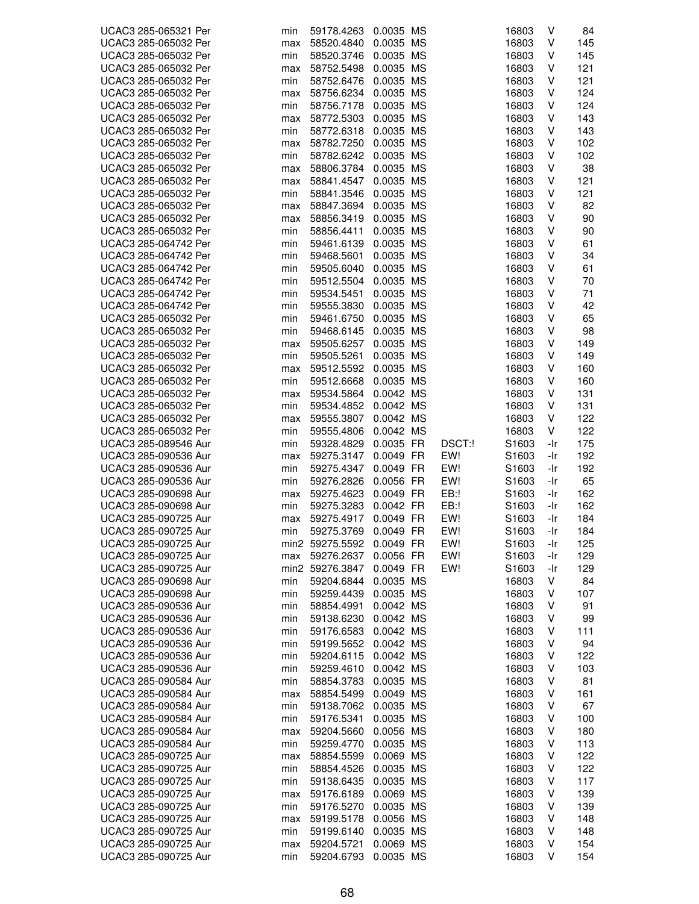| UCAC3 285-065321 Per                         | min        | 59178.4263               | 0.0035 MS              |        | 16803             | ٧      | 84         |
|----------------------------------------------|------------|--------------------------|------------------------|--------|-------------------|--------|------------|
| UCAC3 285-065032 Per                         | max        | 58520.4840               | 0.0035 MS              |        | 16803             | ٧      | 145        |
| UCAC3 285-065032 Per                         | min        | 58520.3746               | 0.0035 MS              |        | 16803             | ٧      | 145        |
| UCAC3 285-065032 Per                         | max        | 58752.5498               | 0.0035 MS              |        | 16803             | ٧      | 121        |
| UCAC3 285-065032 Per                         | min        | 58752.6476               | 0.0035 MS              |        | 16803             | v      | 121        |
| UCAC3 285-065032 Per                         | max        | 58756.6234               | 0.0035 MS              |        | 16803             | V      | 124        |
| UCAC3 285-065032 Per                         | min        | 58756.7178               | 0.0035 MS              |        | 16803             | V      | 124        |
| UCAC3 285-065032 Per                         | max        | 58772.5303               | 0.0035 MS              |        | 16803             | V      | 143        |
| UCAC3 285-065032 Per                         | min        | 58772.6318               | 0.0035 MS              |        | 16803             | ٧      | 143        |
| UCAC3 285-065032 Per                         | max        | 58782.7250               | 0.0035 MS              |        | 16803             | V      | 102        |
| UCAC3 285-065032 Per                         | min        | 58782.6242               | 0.0035 MS              |        | 16803             | V      | 102        |
| UCAC3 285-065032 Per                         | max        | 58806.3784               | 0.0035 MS              |        | 16803             | V      | 38         |
| UCAC3 285-065032 Per                         | max        | 58841.4547               | 0.0035 MS              |        | 16803             | ٧      | 121        |
| UCAC3 285-065032 Per                         | min        | 58841.3546               | 0.0035 MS              |        | 16803             | ٧      | 121        |
| UCAC3 285-065032 Per                         | max        | 58847.3694               | 0.0035 MS              |        | 16803             | ٧      | 82         |
| UCAC3 285-065032 Per                         | max        | 58856.3419               | 0.0035 MS              |        | 16803             | V      | 90         |
| UCAC3 285-065032 Per                         | min        | 58856.4411               | 0.0035 MS              |        | 16803             | V      | 90         |
| UCAC3 285-064742 Per                         | min        | 59461.6139               | 0.0035 MS              |        | 16803             | V      | 61         |
| UCAC3 285-064742 Per                         |            |                          | 0.0035 MS              |        |                   | V      |            |
|                                              | min        | 59468.5601               |                        |        | 16803             |        | 34         |
| UCAC3 285-064742 Per                         | min        | 59505.6040               | 0.0035 MS              |        | 16803             | ٧      | 61         |
| UCAC3 285-064742 Per                         | min        | 59512.5504               | 0.0035 MS              |        | 16803             | ٧      | 70         |
| UCAC3 285-064742 Per                         | min        | 59534.5451               | 0.0035 MS              |        | 16803             | ٧      | 71         |
| UCAC3 285-064742 Per                         | min        | 59555.3830               | 0.0035 MS              |        | 16803             | V      | 42         |
| UCAC3 285-065032 Per                         | min        | 59461.6750               | 0.0035 MS              |        | 16803             | V      | 65         |
| UCAC3 285-065032 Per                         | min        | 59468.6145               | 0.0035 MS              |        | 16803             | V      | 98         |
| UCAC3 285-065032 Per                         | max        | 59505.6257               | 0.0035 MS              |        | 16803             | ٧      | 149        |
| UCAC3 285-065032 Per                         | min        | 59505.5261               | 0.0035 MS              |        | 16803             | ٧      | 149        |
| UCAC3 285-065032 Per                         | max        | 59512.5592               | 0.0035 MS              |        | 16803             | V      | 160        |
| UCAC3 285-065032 Per                         | min        | 59512.6668               | 0.0035 MS              |        | 16803             | V      | 160        |
| UCAC3 285-065032 Per                         | max        | 59534.5864               | 0.0042 MS              |        | 16803             | V      | 131        |
| UCAC3 285-065032 Per                         | min        | 59534.4852               | 0.0042 MS              |        | 16803             | V      | 131        |
| UCAC3 285-065032 Per                         | max        | 59555.3807               | 0.0042 MS              |        | 16803             | ٧      | 122        |
| UCAC3 285-065032 Per                         | min        | 59555.4806               | 0.0042 MS              |        | 16803             | V      | 122        |
| UCAC3 285-089546 Aur                         | min        | 59328.4829               | 0.0035 FR              | DSCT:! | S1603             | -Ir    | 175        |
| UCAC3 285-090536 Aur                         | max        | 59275.3147               | 0.0049 FR              | EW!    | S1603             | -Ir    | 192        |
| UCAC3 285-090536 Aur                         | min        | 59275.4347               | 0.0049 FR              | EW!    | S1603             | -Ir    | 192        |
| UCAC3 285-090536 Aur                         | min        | 59276.2826               | 0.0056 FR              | EW!    | S1603             | -Ir    | 65         |
| UCAC3 285-090698 Aur                         | max        | 59275.4623               | 0.0049 FR              | EB:!   | S <sub>1603</sub> | -Ir    | 162        |
| UCAC3 285-090698 Aur                         | min        | 59275.3283               | 0.0042 FR              | $EB$ : | S1603             | -Ir    | 162        |
| UCAC3 285-090725 Aur                         | max        | 59275.4917               | 0.0049 FR              | EW!    | S1603             | -Ir    | 184        |
| UCAC3 285-090725 Aur                         | min        | 59275.3769               | 0.0049 FR              | EW!    | S1603             | -Ir    | 184        |
| UCAC3 285-090725 Aur                         |            | min2 59275.5592          | 0.0049 FR              | EW!    | S1603             | -Ir    | 125        |
| UCAC3 285-090725 Aur                         | max        | 59276.2637               | 0.0056 FR              | EW!    | S1603             | -Ir    | 129        |
| UCAC3 285-090725 Aur                         |            | min2 59276.3847          | 0.0049 FR              | EW!    | S1603             | -Ir    | 129        |
| UCAC3 285-090698 Aur                         | min        | 59204.6844               | 0.0035 MS              |        | 16803             | V      | 84         |
| UCAC3 285-090698 Aur                         | min        | 59259.4439               | 0.0035 MS              |        | 16803             | V      | 107        |
| UCAC3 285-090536 Aur                         | min        | 58854.4991               | 0.0042 MS              |        | 16803             | ٧      | 91         |
| UCAC3 285-090536 Aur                         | min        | 59138.6230               | 0.0042 MS              |        | 16803             | ٧      | 99         |
| UCAC3 285-090536 Aur                         | min        | 59176.6583               | 0.0042 MS              |        | 16803             | V      | 111        |
| UCAC3 285-090536 Aur                         | min        | 59199.5652               | 0.0042 MS              |        | 16803             | ٧      | 94         |
| UCAC3 285-090536 Aur                         | min        | 59204.6115               | 0.0042 MS              |        | 16803             | ٧      | 122        |
| UCAC3 285-090536 Aur                         | min        | 59259.4610               | 0.0042 MS              |        | 16803             | ٧      | 103        |
| UCAC3 285-090584 Aur                         | min        | 58854.3783               | 0.0035 MS              |        | 16803             | ٧      | 81         |
| UCAC3 285-090584 Aur                         | max        | 58854.5499               | 0.0049 MS              |        | 16803             | V      | 161        |
| UCAC3 285-090584 Aur                         | min        | 59138.7062               | 0.0035 MS              |        | 16803             | V      | 67         |
| UCAC3 285-090584 Aur                         | min        | 59176.5341               | 0.0035 MS              |        | 16803             | ٧      | 100        |
| UCAC3 285-090584 Aur                         | max        | 59204.5660               | 0.0056 MS              |        | 16803             | V      | 180        |
| UCAC3 285-090584 Aur                         | min        | 59259.4770               | 0.0035 MS              |        | 16803             | ٧      | 113        |
| UCAC3 285-090725 Aur                         | max        | 58854.5599               | 0.0069 MS              |        | 16803             | ٧      | 122        |
|                                              |            |                          |                        |        |                   |        |            |
| UCAC3 285-090725 Aur<br>UCAC3 285-090725 Aur | min        | 58854.4526               | 0.0035 MS<br>0.0035 MS |        | 16803<br>16803    | ٧<br>V | 122<br>117 |
| UCAC3 285-090725 Aur                         | min        | 59138.6435               |                        |        |                   | ٧      |            |
|                                              | max        | 59176.6189               | 0.0069 MS              |        | 16803             |        | 139        |
| UCAC3 285-090725 Aur                         | min        | 59176.5270               | 0.0035 MS              |        | 16803             | ٧      | 139        |
| UCAC3 285-090725 Aur                         | max        | 59199.5178               | 0.0056 MS              |        | 16803             | ٧      | 148        |
| UCAC3 285-090725 Aur                         | min        | 59199.6140               | 0.0035 MS              |        | 16803             | ٧      | 148        |
| UCAC3 285-090725 Aur<br>UCAC3 285-090725 Aur | max<br>min | 59204.5721<br>59204.6793 | 0.0069 MS<br>0.0035 MS |        | 16803<br>16803    | V<br>V | 154<br>154 |
|                                              |            |                          |                        |        |                   |        |            |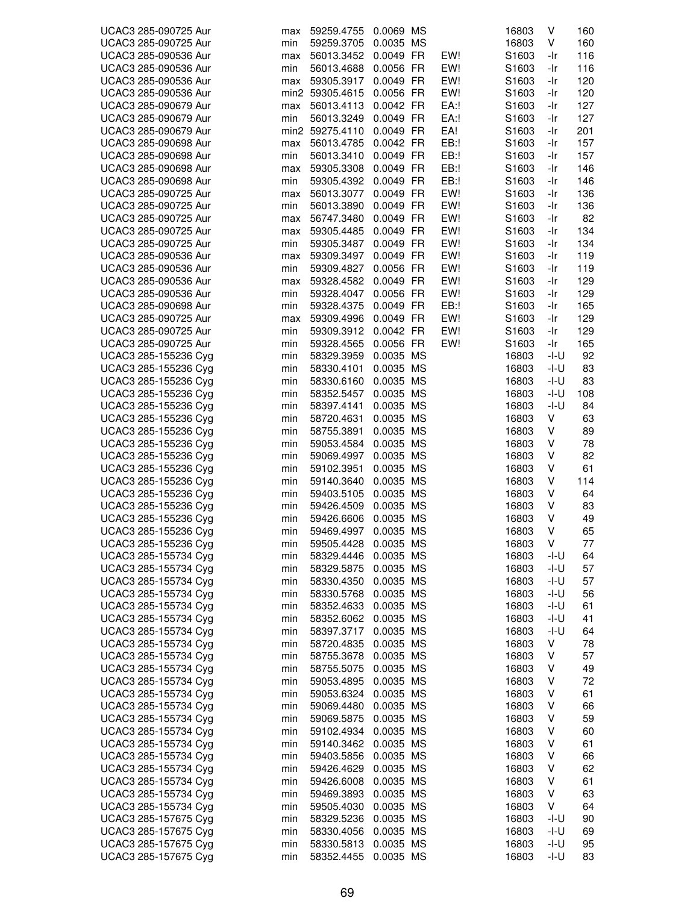| UCAC3 285-090725 Aur | max | 59259.4755      | 0.0069 MS |         | 16803             | ٧    | 160 |
|----------------------|-----|-----------------|-----------|---------|-------------------|------|-----|
| UCAC3 285-090725 Aur | min | 59259.3705      | 0.0035 MS |         | 16803             | V    | 160 |
| UCAC3 285-090536 Aur | max | 56013.3452      | 0.0049 FR | EW!     | S1603             | -Ir  | 116 |
| UCAC3 285-090536 Aur | min | 56013.4688      | 0.0056 FR | EW!     | S1603             | -Ir  | 116 |
| UCAC3 285-090536 Aur | max | 59305.3917      | 0.0049 FR | EW!     | S1603             | -Ir  | 120 |
| UCAC3 285-090536 Aur |     |                 | 0.0056 FR | EW!     |                   | -Ir  | 120 |
|                      |     | min2 59305.4615 |           |         | S1603             |      |     |
| UCAC3 285-090679 Aur | max | 56013.4113      | 0.0042 FR | $EA$ :! | S1603             | -Ir  | 127 |
| UCAC3 285-090679 Aur | min | 56013.3249      | 0.0049 FR | $EA$ :! | S1603             | -Ir  | 127 |
| UCAC3 285-090679 Aur |     | min2 59275.4110 | 0.0049 FR | EA!     | S <sub>1603</sub> | -Ir  | 201 |
| UCAC3 285-090698 Aur | max | 56013.4785      | 0.0042 FR | EB:!    | S1603             | -Ir  | 157 |
| UCAC3 285-090698 Aur | min | 56013.3410      | 0.0049 FR | EB:!    | S1603             | -Ir  | 157 |
| UCAC3 285-090698 Aur | max | 59305.3308      | 0.0049 FR | EB:!    | S1603             | -Ir  | 146 |
| UCAC3 285-090698 Aur | min | 59305.4392      | 0.0049 FR | EB:!    | S1603             | -Ir  | 146 |
| UCAC3 285-090725 Aur | max | 56013.3077      | 0.0049 FR | EW!     | S1603             | -Ir  | 136 |
| UCAC3 285-090725 Aur | min | 56013.3890      | 0.0049 FR | EW!     | S <sub>1603</sub> | -Ir  | 136 |
| UCAC3 285-090725 Aur | max | 56747.3480      | 0.0049 FR | EW!     | S <sub>1603</sub> | -Ir  | 82  |
|                      |     |                 |           | EW!     |                   |      |     |
| UCAC3 285-090725 Aur | max | 59305.4485      | 0.0049 FR |         | S1603             | -Ir  | 134 |
| UCAC3 285-090725 Aur | min | 59305.3487      | 0.0049 FR | EW!     | S1603             | -Ir  | 134 |
| UCAC3 285-090536 Aur | max | 59309.3497      | 0.0049 FR | EW!     | S1603             | -Ir  | 119 |
| UCAC3 285-090536 Aur | min | 59309.4827      | 0.0056 FR | EW!     | S1603             | -Ir  | 119 |
| UCAC3 285-090536 Aur | max | 59328.4582      | 0.0049 FR | EW!     | S1603             | -Ir  | 129 |
| UCAC3 285-090536 Aur | min | 59328.4047      | 0.0056 FR | EW!     | S <sub>1603</sub> | -Ir  | 129 |
| UCAC3 285-090698 Aur | min | 59328.4375      | 0.0049 FR | EB:!    | S1603             | -Ir  | 165 |
| UCAC3 285-090725 Aur | max | 59309.4996      | 0.0049 FR | EW!     | S1603             | -Ir  | 129 |
| UCAC3 285-090725 Aur | min | 59309.3912      | 0.0042 FR | EW!     | S1603             | -Ir  | 129 |
| UCAC3 285-090725 Aur | min | 59328.4565      | 0.0056 FR | EW!     | S1603             | -Ir  | 165 |
| UCAC3 285-155236 Cyg | min | 58329.3959      | 0.0035 MS |         | 16803             | -l-U | 92  |
| UCAC3 285-155236 Cyg |     |                 | 0.0035 MS |         | 16803             | -I-U | 83  |
|                      | min | 58330.4101      |           |         |                   |      |     |
| UCAC3 285-155236 Cyg | min | 58330.6160      | 0.0035 MS |         | 16803             | -I-U | 83  |
| UCAC3 285-155236 Cyg | min | 58352.5457      | 0.0035 MS |         | 16803             | -I-U | 108 |
| UCAC3 285-155236 Cyg | min | 58397.4141      | 0.0035 MS |         | 16803             | -I-U | 84  |
| UCAC3 285-155236 Cyg | min | 58720.4631      | 0.0035 MS |         | 16803             | V    | 63  |
| UCAC3 285-155236 Cyg | min | 58755.3891      | 0.0035 MS |         | 16803             | ٧    | 89  |
| UCAC3 285-155236 Cyg | min | 59053.4584      | 0.0035 MS |         | 16803             | ٧    | 78  |
| UCAC3 285-155236 Cyg | min | 59069.4997      | 0.0035 MS |         | 16803             | V    | 82  |
| UCAC3 285-155236 Cyg | min | 59102.3951      | 0.0035 MS |         | 16803             | ٧    | 61  |
| UCAC3 285-155236 Cyg | min | 59140.3640      | 0.0035 MS |         | 16803             | ٧    | 114 |
| UCAC3 285-155236 Cyg | min | 59403.5105      | 0.0035 MS |         | 16803             | ٧    | 64  |
| UCAC3 285-155236 Cyg | min | 59426.4509      | 0.0035 MS |         | 16803             | ٧    | 83  |
| UCAC3 285-155236 Cyg | min | 59426.6606      | 0.0035 MS |         | 16803             | V    | 49  |
| UCAC3 285-155236 Cyg | min | 59469.4997      | 0.0035 MS |         | 16803             | V    | 65  |
| UCAC3 285-155236 Cyg | min | 59505.4428      | 0.0035 MS |         | 16803             | V    | 77  |
| UCAC3 285-155734 Cyg | min | 58329.4446      | 0.0035 MS |         | 16803             | -l-U | 64  |
| UCAC3 285-155734 Cyg | min | 58329.5875      | 0.0035 MS |         | 16803             | -l-U | 57  |
|                      |     |                 |           |         |                   |      |     |
| UCAC3 285-155734 Cyg | min | 58330.4350      | 0.0035 MS |         | 16803             | -l-U | 57  |
| UCAC3 285-155734 Cyg | min | 58330.5768      | 0.0035 MS |         | 16803             | -I-U | 56  |
| UCAC3 285-155734 Cyg | min | 58352.4633      | 0.0035 MS |         | 16803             | -I-U | 61  |
| UCAC3 285-155734 Cyg | min | 58352.6062      | 0.0035 MS |         | 16803             | -l-U | 41  |
| UCAC3 285-155734 Cyg | min | 58397.3717      | 0.0035 MS |         | 16803             | -l-U | 64  |
| UCAC3 285-155734 Cyg | min | 58720.4835      | 0.0035 MS |         | 16803             | V    | 78  |
| UCAC3 285-155734 Cyg | min | 58755.3678      | 0.0035 MS |         | 16803             | ٧    | 57  |
| UCAC3 285-155734 Cyg | min | 58755.5075      | 0.0035 MS |         | 16803             | V    | 49  |
| UCAC3 285-155734 Cyg | min | 59053.4895      | 0.0035 MS |         | 16803             | ٧    | 72  |
| UCAC3 285-155734 Cyg | min | 59053.6324      | 0.0035 MS |         | 16803             | V    | 61  |
| UCAC3 285-155734 Cyg | min | 59069.4480      | 0.0035 MS |         | 16803             | V    | 66  |
| UCAC3 285-155734 Cyg | min | 59069.5875      | 0.0035 MS |         | 16803             | V    | 59  |
| UCAC3 285-155734 Cyg | min | 59102.4934      | 0.0035 MS |         | 16803             | V    | 60  |
|                      |     |                 |           |         |                   |      |     |
| UCAC3 285-155734 Cyg | min | 59140.3462      | 0.0035 MS |         | 16803             | V    | 61  |
| UCAC3 285-155734 Cyg | min | 59403.5856      | 0.0035 MS |         | 16803             | V    | 66  |
| UCAC3 285-155734 Cyg | min | 59426.4629      | 0.0035 MS |         | 16803             | ٧    | 62  |
| UCAC3 285-155734 Cyg | min | 59426.6008      | 0.0035 MS |         | 16803             | V    | 61  |
| UCAC3 285-155734 Cyg | min | 59469.3893      | 0.0035 MS |         | 16803             | ٧    | 63  |
| UCAC3 285-155734 Cyg | min | 59505.4030      | 0.0035 MS |         | 16803             | V    | 64  |
| UCAC3 285-157675 Cyg | min | 58329.5236      | 0.0035 MS |         | 16803             | -I-U | 90  |
| UCAC3 285-157675 Cyg | min | 58330.4056      | 0.0035 MS |         | 16803             | -I-U | 69  |
| UCAC3 285-157675 Cyg | min | 58330.5813      | 0.0035 MS |         | 16803             | -l-U | 95  |
| UCAC3 285-157675 Cyg | min | 58352.4455      | 0.0035 MS |         | 16803             | -l-U | 83  |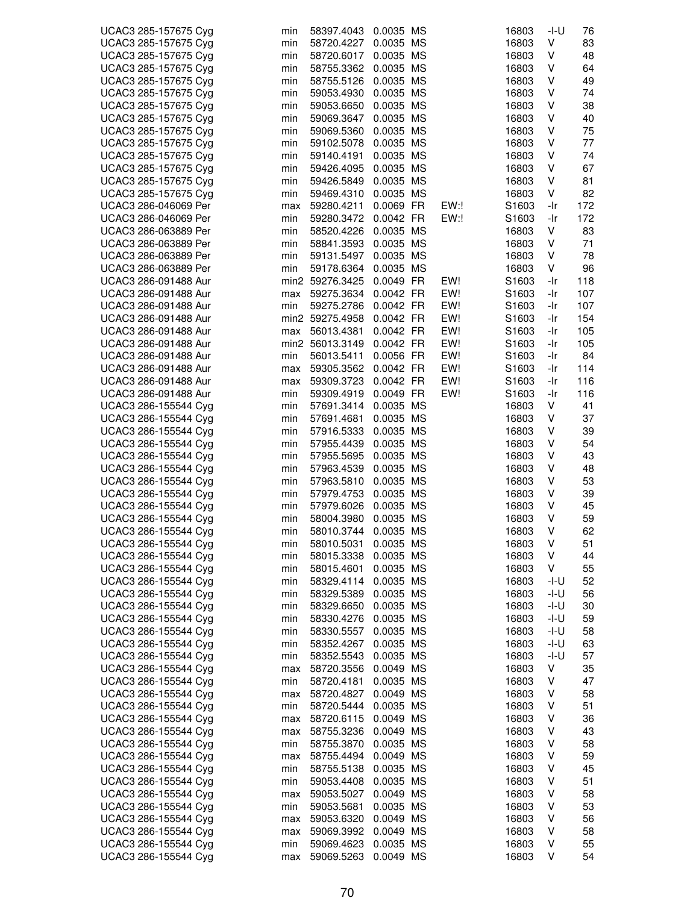| UCAC3 285-157675 Cyg                         | min        | 58397.4043                    | 0.0035 MS              |            | 16803          | $-I-U$     | 76        |
|----------------------------------------------|------------|-------------------------------|------------------------|------------|----------------|------------|-----------|
| UCAC3 285-157675 Cyg                         | min        | 58720.4227                    | 0.0035 MS              |            | 16803          | V          | 83        |
| UCAC3 285-157675 Cyg                         | min        | 58720.6017                    | 0.0035 MS              |            | 16803          | V          | 48        |
| UCAC3 285-157675 Cyg                         | min        | 58755.3362                    | 0.0035 MS              |            | 16803          | ٧          | 64        |
| UCAC3 285-157675 Cyg                         | min        | 58755.5126                    | 0.0035 MS              |            | 16803          | V          | 49        |
| UCAC3 285-157675 Cyg                         | min        | 59053.4930                    | 0.0035 MS              |            | 16803          | V          | 74        |
| UCAC3 285-157675 Cyg                         | min        | 59053.6650                    | 0.0035 MS              |            | 16803          | V          | 38        |
| UCAC3 285-157675 Cyg                         | min        | 59069.3647                    | 0.0035 MS              |            | 16803          | V          | 40        |
| UCAC3 285-157675 Cyg                         | min        | 59069.5360                    | 0.0035 MS              |            | 16803          | V          | 75        |
| UCAC3 285-157675 Cyg                         | min        | 59102.5078                    | 0.0035 MS              |            | 16803          | V          | 77        |
| UCAC3 285-157675 Cyg                         | min        | 59140.4191                    | 0.0035 MS              |            | 16803          | V          | 74        |
| UCAC3 285-157675 Cyg                         | min        | 59426.4095                    | 0.0035 MS              |            | 16803          | V          | 67        |
| UCAC3 285-157675 Cyg                         | min        | 59426.5849                    | 0.0035 MS              |            | 16803          | V          | 81        |
| UCAC3 285-157675 Cyg                         | min        | 59469.4310                    | 0.0035 MS              |            | 16803          | V          | 82        |
| UCAC3 286-046069 Per                         | max        | 59280.4211                    | 0.0069 FR              | EW:        | S1603          | -Ir        | 172       |
| UCAC3 286-046069 Per                         | min        | 59280.3472                    | 0.0042 FR              | EW:!       | S1603          | -Ir        | 172       |
| UCAC3 286-063889 Per                         | min        | 58520.4226                    | 0.0035 MS              |            | 16803          | V          | 83        |
| UCAC3 286-063889 Per                         | min        | 58841.3593                    | 0.0035 MS              |            | 16803          | V          | 71        |
| UCAC3 286-063889 Per                         | min        | 59131.5497                    | 0.0035 MS              |            | 16803          | V          | 78        |
| UCAC3 286-063889 Per                         | min        | 59178.6364                    | 0.0035 MS              |            | 16803          | V          | 96        |
| UCAC3 286-091488 Aur                         |            | min2 59276.3425               | 0.0049 FR              | EW!        | S1603          | -Ir        | 118       |
| UCAC3 286-091488 Aur                         | max        | 59275.3634                    | 0.0042 FR              | EW!        | S1603          | -Ir        | 107       |
| UCAC3 286-091488 Aur                         | min        | 59275.2786<br>min2 59275.4958 | 0.0042 FR              | EW!        | S1603          | -Ir        | 107       |
| UCAC3 286-091488 Aur                         |            |                               | 0.0042 FR              | EW!        | S1603          | -Ir        | 154       |
| UCAC3 286-091488 Aur<br>UCAC3 286-091488 Aur | max        | 56013.4381                    | 0.0042 FR              | EW!<br>EW! | S1603<br>S1603 | -Ir        | 105       |
| UCAC3 286-091488 Aur                         | min        | min2 56013.3149<br>56013.5411 | 0.0042 FR<br>0.0056 FR | EW!        | S1603          | -Ir<br>-Ir | 105<br>84 |
|                                              |            |                               | 0.0042 FR              | EW!        |                | -Ir        | 114       |
| UCAC3 286-091488 Aur<br>UCAC3 286-091488 Aur | max        | 59305.3562<br>59309.3723      | 0.0042 FR              | EW!        | S1603<br>S1603 | -Ir        | 116       |
| UCAC3 286-091488 Aur                         | max<br>min | 59309.4919                    | 0.0049 FR              | EW!        | S1603          | -Ir        | 116       |
| UCAC3 286-155544 Cyg                         | min        | 57691.3414                    | 0.0035 MS              |            | 16803          | V          | 41        |
| UCAC3 286-155544 Cyg                         | min        | 57691.4681                    | 0.0035 MS              |            | 16803          | V          | 37        |
| UCAC3 286-155544 Cyg                         | min        | 57916.5333                    | 0.0035 MS              |            | 16803          | V          | 39        |
| UCAC3 286-155544 Cyg                         | min        | 57955.4439                    | 0.0035 MS              |            | 16803          | V          | 54        |
| UCAC3 286-155544 Cyg                         | min        | 57955.5695                    | 0.0035 MS              |            | 16803          | V          | 43        |
| UCAC3 286-155544 Cyg                         | min        | 57963.4539                    | 0.0035 MS              |            | 16803          | V          | 48        |
| UCAC3 286-155544 Cyg                         | min        | 57963.5810                    | 0.0035 MS              |            | 16803          | V          | 53        |
| UCAC3 286-155544 Cyg                         | min        | 57979.4753                    | 0.0035 MS              |            | 16803          | V          | 39        |
| UCAC3 286-155544 Cyg                         | min        | 57979.6026                    | 0.0035 MS              |            | 16803          | V          | 45        |
| UCAC3 286-155544 Cyg                         | min        | 58004.3980                    | 0.0035 MS              |            | 16803          | V          | 59        |
| UCAC3 286-155544 Cyg                         | min        | 58010.3744                    | 0.0035 MS              |            | 16803          | V          | 62        |
| UCAC3 286-155544 Cyg                         | min        | 58010.5031                    | 0.0035 MS              |            | 16803          | V          | 51        |
| UCAC3 286-155544 Cyg                         | min        | 58015.3338                    | 0.0035 MS              |            | 16803          | V          | 44        |
| UCAC3 286-155544 Cyg                         | min        | 58015.4601                    | 0.0035 MS              |            | 16803          | V          | 55        |
| UCAC3 286-155544 Cyg                         | min        | 58329.4114                    | 0.0035 MS              |            | 16803          | -l-U       | 52        |
| UCAC3 286-155544 Cyg                         | min        | 58329.5389                    | 0.0035 MS              |            | 16803          | -I-U       | 56        |
| UCAC3 286-155544 Cyg                         | min        | 58329.6650                    | 0.0035 MS              |            | 16803          | $-I-U$     | 30        |
| UCAC3 286-155544 Cyg                         | min        | 58330.4276                    | 0.0035 MS              |            | 16803          | -I-U       | 59        |
| UCAC3 286-155544 Cyg                         | min        | 58330.5557                    | 0.0035 MS              |            | 16803          | -I-U       | 58        |
| UCAC3 286-155544 Cyg                         | min        | 58352.4267                    | 0.0035 MS              |            | 16803          | -I-U       | 63        |
| UCAC3 286-155544 Cyg                         | min        | 58352.5543                    | 0.0035 MS              |            | 16803          | $-I-U$     | 57        |
| UCAC3 286-155544 Cyg                         | max        | 58720.3556                    | 0.0049 MS              |            | 16803          | V          | 35        |
| UCAC3 286-155544 Cyg                         | min        | 58720.4181                    | 0.0035 MS              |            | 16803          | V          | 47        |
| UCAC3 286-155544 Cyg                         | max        | 58720.4827                    | 0.0049 MS              |            | 16803          | V          | 58        |
| UCAC3 286-155544 Cyg                         | min        | 58720.5444                    | 0.0035 MS              |            | 16803          | V          | 51        |
| UCAC3 286-155544 Cyg                         | max        | 58720.6115                    | 0.0049 MS              |            | 16803          | ٧          | 36        |
| UCAC3 286-155544 Cyg                         | max        | 58755.3236                    | 0.0049 MS              |            | 16803          | V          | 43        |
| UCAC3 286-155544 Cyg                         | min        | 58755.3870                    | 0.0035 MS              |            | 16803          | V          | 58        |
| UCAC3 286-155544 Cyg                         | max        | 58755.4494                    | 0.0049 MS              |            | 16803          | V          | 59        |
| UCAC3 286-155544 Cyg                         | min        | 58755.5138                    | 0.0035 MS              |            | 16803          | V          | 45        |
| UCAC3 286-155544 Cyg                         | min        | 59053.4408                    | 0.0035 MS              |            | 16803          | ٧          | 51        |
| UCAC3 286-155544 Cyg                         | max        | 59053.5027                    | 0.0049 MS              |            | 16803          | ٧          | 58        |
| UCAC3 286-155544 Cyg                         | min        | 59053.5681                    | 0.0035 MS              |            | 16803          | V          | 53        |
| UCAC3 286-155544 Cyg                         | max        | 59053.6320                    | 0.0049 MS              |            | 16803          | V          | 56        |
| UCAC3 286-155544 Cyg                         | max        | 59069.3992                    | 0.0049 MS              |            | 16803          | V          | 58        |
| UCAC3 286-155544 Cyg                         | min        | 59069.4623                    | 0.0035 MS              |            | 16803          | V          | 55        |
| UCAC3 286-155544 Cyg                         | max        | 59069.5263                    | 0.0049 MS              |            | 16803          | ٧          | 54        |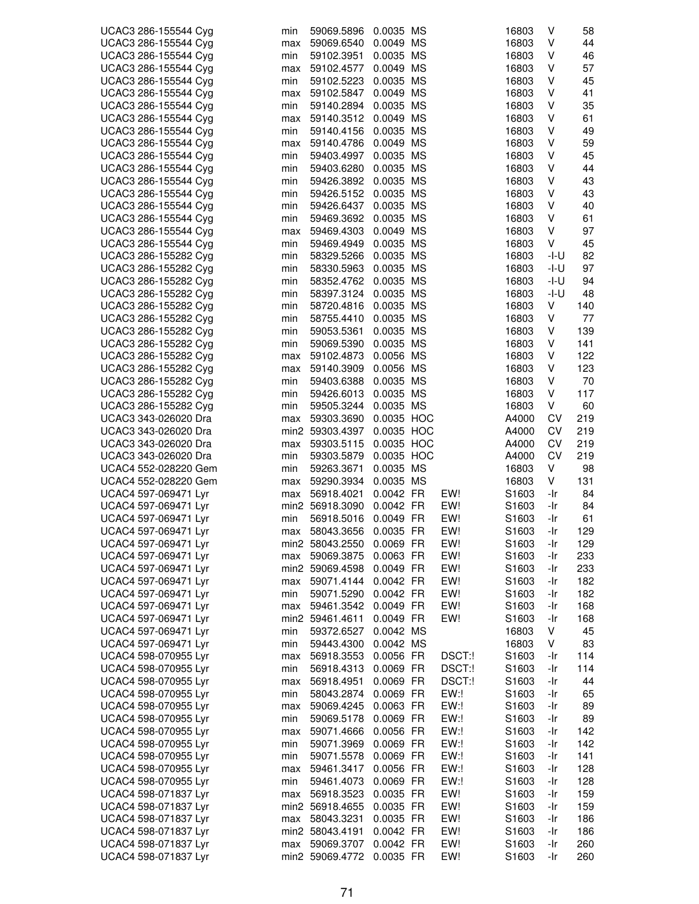| UCAC3 286-155544 Cyg | min | 59069.5896      | 0.0035 MS  |        | 16803             | V    | 58  |
|----------------------|-----|-----------------|------------|--------|-------------------|------|-----|
| UCAC3 286-155544 Cyg | max | 59069.6540      | 0.0049 MS  |        | 16803             | V    | 44  |
| UCAC3 286-155544 Cyg | min | 59102.3951      | 0.0035 MS  |        | 16803             | V    | 46  |
| UCAC3 286-155544 Cyg | max | 59102.4577      | 0.0049 MS  |        | 16803             | V    | 57  |
| UCAC3 286-155544 Cyg | min | 59102.5223      | 0.0035 MS  |        | 16803             | V    | 45  |
| UCAC3 286-155544 Cyg | max | 59102.5847      | 0.0049 MS  |        | 16803             | V    | 41  |
| UCAC3 286-155544 Cyg | min | 59140.2894      | 0.0035 MS  |        | 16803             | V    | 35  |
| UCAC3 286-155544 Cyg | max | 59140.3512      | 0.0049 MS  |        | 16803             | V    | 61  |
| UCAC3 286-155544 Cyg | min | 59140.4156      | 0.0035 MS  |        | 16803             | V    | 49  |
| UCAC3 286-155544 Cyg | max | 59140.4786      | 0.0049 MS  |        | 16803             | V    | 59  |
| UCAC3 286-155544 Cyg | min | 59403.4997      | 0.0035 MS  |        | 16803             | V    | 45  |
| UCAC3 286-155544 Cyg | min | 59403.6280      | 0.0035 MS  |        | 16803             | V    | 44  |
| UCAC3 286-155544 Cyg | min | 59426.3892      | 0.0035 MS  |        | 16803             | V    | 43  |
| UCAC3 286-155544 Cyg | min | 59426.5152      | 0.0035 MS  |        | 16803             | V    | 43  |
| UCAC3 286-155544 Cyg | min | 59426.6437      | 0.0035 MS  |        | 16803             | V    | 40  |
| UCAC3 286-155544 Cyg | min | 59469.3692      | 0.0035 MS  |        | 16803             | V    | 61  |
| UCAC3 286-155544 Cyg | max | 59469.4303      | 0.0049 MS  |        | 16803             | V    | 97  |
| UCAC3 286-155544 Cyg | min | 59469.4949      | 0.0035 MS  |        | 16803             | V    | 45  |
| UCAC3 286-155282 Cyg | min | 58329.5266      | 0.0035 MS  |        | 16803             | -I-U | 82  |
| UCAC3 286-155282 Cyg | min | 58330.5963      | 0.0035 MS  |        | 16803             | -I-U | 97  |
| UCAC3 286-155282 Cyg | min | 58352.4762      | 0.0035 MS  |        | 16803             | -I-U | 94  |
| UCAC3 286-155282 Cyg | min | 58397.3124      | 0.0035 MS  |        | 16803             | -I-U | 48  |
| UCAC3 286-155282 Cyg | min | 58720.4816      | 0.0035 MS  |        | 16803             | V    | 140 |
| UCAC3 286-155282 Cyg |     |                 | 0.0035 MS  |        |                   | V    | 77  |
|                      | min | 58755.4410      |            |        | 16803             |      |     |
| UCAC3 286-155282 Cyg | min | 59053.5361      | 0.0035 MS  |        | 16803             | V    | 139 |
| UCAC3 286-155282 Cyg | min | 59069.5390      | 0.0035 MS  |        | 16803             | V    | 141 |
| UCAC3 286-155282 Cyg | max | 59102.4873      | 0.0056 MS  |        | 16803             | V    | 122 |
| UCAC3 286-155282 Cyg | max | 59140.3909      | 0.0056 MS  |        | 16803             | V    | 123 |
| UCAC3 286-155282 Cyg | min | 59403.6388      | 0.0035 MS  |        | 16803             | V    | 70  |
| UCAC3 286-155282 Cyg | min | 59426.6013      | 0.0035 MS  |        | 16803             | V    | 117 |
| UCAC3 286-155282 Cyg | min | 59505.3244      | 0.0035 MS  |        | 16803             | V    | 60  |
| UCAC3 343-026020 Dra | max | 59303.3690      | 0.0035 HOC |        | A4000             | CV   | 219 |
| UCAC3 343-026020 Dra |     | min2 59303.4397 | 0.0035 HOC |        | A4000             | CV   | 219 |
| UCAC3 343-026020 Dra | max | 59303.5115      | 0.0035 HOC |        | A4000             | CV   | 219 |
| UCAC3 343-026020 Dra | min | 59303.5879      | 0.0035 HOC |        | A4000             | CV   | 219 |
| UCAC4 552-028220 Gem | min | 59263.3671      | 0.0035 MS  |        | 16803             | V    | 98  |
| UCAC4 552-028220 Gem | max | 59290.3934      | 0.0035 MS  |        | 16803             | V    | 131 |
| UCAC4 597-069471 Lyr | max | 56918.4021      | 0.0042 FR  | EW!    | S1603             | -Ir  | 84  |
| UCAC4 597-069471 Lyr |     | min2 56918.3090 | 0.0042 FR  | EW!    | S <sub>1603</sub> | -Ir  | 84  |
| UCAC4 597-069471 Lyr | min | 56918.5016      | 0.0049 FR  | EW!    | S1603             | -Ir  | 61  |
| UCAC4 597-069471 Lyr | max | 58043.3656      | 0.0035 FR  | EW!    | S1603             | -Ir  | 129 |
| UCAC4 597-069471 Lyr |     | min2 58043.2550 | 0.0069 FR  | EW!    | S1603             | -Ir  | 129 |
| UCAC4 597-069471 Lyr | max | 59069.3875      | 0.0063 FR  | EW!    | S1603             | -Ir  | 233 |
| UCAC4 597-069471 Lyr |     | min2 59069.4598 | 0.0049 FR  | EW!    | S1603             | -Ir  | 233 |
| UCAC4 597-069471 Lyr | max | 59071.4144      | 0.0042 FR  | EW!    | S1603             | -Ir  | 182 |
| UCAC4 597-069471 Lyr | min | 59071.5290      | 0.0042 FR  | EW!    | S1603             | -Ir  | 182 |
| UCAC4 597-069471 Lyr | max | 59461.3542      | 0.0049 FR  | EW!    | S1603             | -Ir  | 168 |
| UCAC4 597-069471 Lyr |     | min2 59461.4611 | 0.0049 FR  | EW!    | S1603             | -Ir  | 168 |
| UCAC4 597-069471 Lyr | min | 59372.6527      | 0.0042 MS  |        | 16803             | V    | 45  |
| UCAC4 597-069471 Lyr | min | 59443.4300      | 0.0042 MS  |        | 16803             | V    | 83  |
| UCAC4 598-070955 Lyr | max | 56918.3553      | 0.0056 FR  | DSCT:! | S1603             | -Ir  | 114 |
| UCAC4 598-070955 Lyr | min | 56918.4313      | 0.0069 FR  | DSCT:! | S1603             | -Ir  | 114 |
| UCAC4 598-070955 Lyr | max | 56918.4951      | 0.0069 FR  | DSCT:! | S1603             | -Ir  | 44  |
| UCAC4 598-070955 Lyr | min | 58043.2874      | 0.0069 FR  | EW!    | S1603             | -Ir  | 65  |
| UCAC4 598-070955 Lyr | max | 59069.4245      | 0.0063 FR  | EW!    | S <sub>1603</sub> | -Ir  | 89  |
| UCAC4 598-070955 Lyr | min | 59069.5178      | 0.0069 FR  | EW:    | S1603             | -Ir  | 89  |
| UCAC4 598-070955 Lyr | max | 59071.4666      | 0.0056 FR  | EW:    | S1603             | -Ir  | 142 |
| UCAC4 598-070955 Lyr | min | 59071.3969      | 0.0069 FR  | EW:    | S1603             | -Ir  | 142 |
|                      |     |                 |            | EW:    |                   |      |     |
| UCAC4 598-070955 Lyr | min | 59071.5578      | 0.0069 FR  |        | S1603             | -Ir  | 141 |
| UCAC4 598-070955 Lyr | max | 59461.3417      | 0.0056 FR  | EW!    | S1603             | -Ir  | 128 |
| UCAC4 598-070955 Lyr | min | 59461.4073      | 0.0069 FR  | EW:    | S1603             | -Ir  | 128 |
| UCAC4 598-071837 Lyr | max | 56918.3523      | 0.0035 FR  | EW!    | S1603             | -Ir  | 159 |
| UCAC4 598-071837 Lyr |     | min2 56918.4655 | 0.0035 FR  | EW!    | S1603             | -Ir  | 159 |
| UCAC4 598-071837 Lyr | max | 58043.3231      | 0.0035 FR  | EW!    | S1603             | -Ir  | 186 |
| UCAC4 598-071837 Lyr |     | min2 58043.4191 | 0.0042 FR  | EW!    | S1603             | -Ir  | 186 |
| UCAC4 598-071837 Lyr | max | 59069.3707      | 0.0042 FR  | EW!    | S1603             | -Ir  | 260 |
| UCAC4 598-071837 Lyr |     | min2 59069.4772 | 0.0035 FR  | EW!    | S1603             | -Ir  | 260 |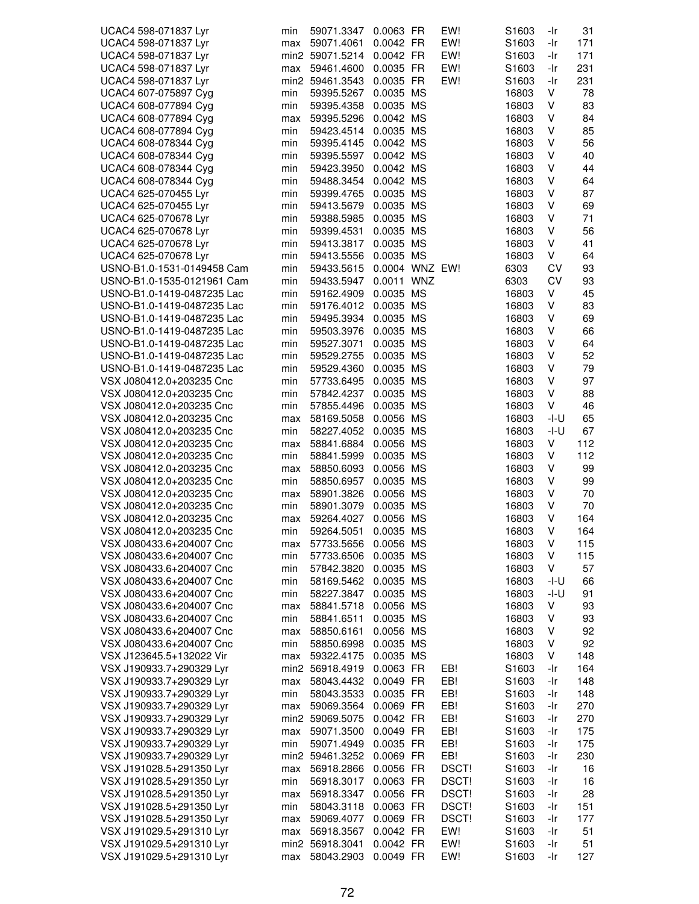| UCAC4 598-071837 Lyr       | min | 59071.3347      | 0.0063 FR      |           | EW!   | S <sub>1603</sub> | -Ir  | 31  |
|----------------------------|-----|-----------------|----------------|-----------|-------|-------------------|------|-----|
| UCAC4 598-071837 Lyr       | max | 59071.4061      | 0.0042 FR      |           | EW!   | S1603             | -Ir  | 171 |
| UCAC4 598-071837 Lyr       |     | min2 59071.5214 | 0.0042 FR      |           | EW!   | S <sub>1603</sub> | -Ir  | 171 |
| UCAC4 598-071837 Lyr       | max | 59461.4600      | 0.0035 FR      |           | EW!   | S1603             | -Ir  | 231 |
| UCAC4 598-071837 Lyr       |     | min2 59461.3543 | 0.0035 FR      |           | EW!   | S1603             | -Ir  | 231 |
|                            |     |                 | 0.0035 MS      |           |       | 16803             | V    | 78  |
| UCAC4 607-075897 Cyg       | min | 59395.5267      |                |           |       |                   |      |     |
| UCAC4 608-077894 Cyg       | min | 59395.4358      | 0.0035 MS      |           |       | 16803             | ٧    | 83  |
| UCAC4 608-077894 Cyg       | max | 59395.5296      | 0.0042 MS      |           |       | 16803             | ٧    | 84  |
| UCAC4 608-077894 Cyg       | min | 59423.4514      | 0.0035 MS      |           |       | 16803             | ٧    | 85  |
| UCAC4 608-078344 Cyg       | min | 59395.4145      | 0.0042 MS      |           |       | 16803             | ٧    | 56  |
| UCAC4 608-078344 Cyg       | min | 59395.5597      | 0.0042 MS      |           |       | 16803             | ٧    | 40  |
| UCAC4 608-078344 Cyg       | min | 59423.3950      | 0.0042 MS      |           |       | 16803             | ٧    | 44  |
| UCAC4 608-078344 Cyg       | min | 59488.3454      | 0.0042 MS      |           |       | 16803             | ٧    | 64  |
| UCAC4 625-070455 Lyr       | min | 59399.4765      | 0.0035 MS      |           |       | 16803             | V    | 87  |
| UCAC4 625-070455 Lyr       | min | 59413.5679      | 0.0035 MS      |           |       | 16803             | V    | 69  |
| UCAC4 625-070678 Lyr       | min | 59388.5985      | 0.0035 MS      |           |       | 16803             | ٧    | 71  |
| UCAC4 625-070678 Lyr       | min | 59399.4531      | 0.0035 MS      |           |       | 16803             | ٧    | 56  |
| UCAC4 625-070678 Lyr       | min | 59413.3817      | 0.0035 MS      |           |       | 16803             | ٧    | 41  |
| UCAC4 625-070678 Lyr       | min | 59413.5556      | 0.0035 MS      |           |       | 16803             | V    | 64  |
| USNO-B1.0-1531-0149458 Cam | min | 59433.5615      | 0.0004 WNZ EW! |           |       | 6303              | CV   | 93  |
| USNO-B1.0-1535-0121961 Cam | min | 59433.5947      | 0.0011 WNZ     |           |       | 6303              | CV   | 93  |
| USNO-B1.0-1419-0487235 Lac | min | 59162.4909      | 0.0035 MS      |           |       | 16803             | ٧    | 45  |
| USNO-B1.0-1419-0487235 Lac | min | 59176.4012      | 0.0035 MS      |           |       | 16803             | ٧    | 83  |
| USNO-B1.0-1419-0487235 Lac | min | 59495.3934      | 0.0035 MS      |           |       | 16803             | ٧    | 69  |
| USNO-B1.0-1419-0487235 Lac | min | 59503.3976      | 0.0035 MS      |           |       | 16803             | ٧    | 66  |
| USNO-B1.0-1419-0487235 Lac | min | 59527.3071      | 0.0035 MS      |           |       | 16803             | V    | 64  |
| USNO-B1.0-1419-0487235 Lac | min | 59529.2755      | 0.0035 MS      |           |       | 16803             | ٧    | 52  |
| USNO-B1.0-1419-0487235 Lac | min | 59529.4360      | 0.0035 MS      |           |       | 16803             | ٧    | 79  |
|                            |     |                 |                |           |       |                   |      |     |
| VSX J080412.0+203235 Cnc   | min | 57733.6495      | 0.0035 MS      |           |       | 16803             | ٧    | 97  |
| VSX J080412.0+203235 Cnc   | min | 57842.4237      | 0.0035 MS      |           |       | 16803             | ٧    | 88  |
| VSX J080412.0+203235 Cnc   | min | 57855.4496      | 0.0035 MS      |           |       | 16803             | V    | 46  |
| VSX J080412.0+203235 Cnc   | max | 58169.5058      | 0.0056 MS      |           |       | 16803             | -l-U | 65  |
| VSX J080412.0+203235 Cnc   | min | 58227.4052      | 0.0035         | <b>MS</b> |       | 16803             | -I-U | 67  |
| VSX J080412.0+203235 Cnc   | max | 58841.6884      | 0.0056 MS      |           |       | 16803             | ٧    | 112 |
| VSX J080412.0+203235 Cnc   | min | 58841.5999      | 0.0035 MS      |           |       | 16803             | V    | 112 |
| VSX J080412.0+203235 Cnc   | max | 58850.6093      | 0.0056 MS      |           |       | 16803             | ٧    | 99  |
| VSX J080412.0+203235 Cnc   | min | 58850.6957      | 0.0035 MS      |           |       | 16803             | V    | 99  |
| VSX J080412.0+203235 Cnc   | max | 58901.3826      | 0.0056 MS      |           |       | 16803             | V    | 70  |
| VSX J080412.0+203235 Cnc   | min | 58901.3079      | 0.0035 MS      |           |       | 16803             | ٧    | 70  |
| VSX J080412.0+203235 Cnc   | max | 59264.4027      | 0.0056 MS      |           |       | 16803             | ٧    | 164 |
| VSX J080412.0+203235 Cnc   | min | 59264.5051      | 0.0035 MS      |           |       | 16803             | v    | 164 |
| VSX J080433.6+204007 Cnc   | max | 57733.5656      | 0.0056 MS      |           |       | 16803             | V    | 115 |
| VSX J080433.6+204007 Cnc   | min | 57733.6506      | 0.0035 MS      |           |       | 16803             | ٧    | 115 |
| VSX J080433.6+204007 Cnc   | min | 57842.3820      | 0.0035 MS      |           |       | 16803             | V    | 57  |
| VSX J080433.6+204007 Cnc   | min | 58169.5462      | 0.0035 MS      |           |       | 16803             | -l-U | 66  |
| VSX J080433.6+204007 Cnc   | min | 58227.3847      | 0.0035 MS      |           |       | 16803             | -I-U | 91  |
| VSX J080433.6+204007 Cnc   | max | 58841.5718      | 0.0056 MS      |           |       | 16803             | ٧    | 93  |
| VSX J080433.6+204007 Cnc   | min | 58841.6511      | 0.0035 MS      |           |       | 16803             | ٧    | 93  |
| VSX J080433.6+204007 Cnc   | max | 58850.6161      | 0.0056 MS      |           |       | 16803             | ٧    | 92  |
| VSX J080433.6+204007 Cnc   | min | 58850.6998      | 0.0035 MS      |           |       | 16803             | V    | 92  |
| VSX J123645.5+132022 Vir   | max | 59322.4175      | 0.0035 MS      |           |       | 16803             | V    | 148 |
| VSX J190933.7+290329 Lyr   |     | min2 56918.4919 | 0.0063 FR      |           | EB!   | S1603             | -Ir  | 164 |
| VSX J190933.7+290329 Lyr   | max | 58043.4432      | 0.0049 FR      |           | EB!   | S1603             | -Ir  | 148 |
| VSX J190933.7+290329 Lyr   | min | 58043.3533      | 0.0035 FR      |           | EB!   | S1603             | -Ir  | 148 |
| VSX J190933.7+290329 Lyr   | max | 59069.3564      | 0.0069 FR      |           | EB!   | S <sub>1603</sub> | -Ir  | 270 |
| VSX J190933.7+290329 Lyr   |     | min2 59069.5075 | 0.0042 FR      |           | EB!   | S1603             | -Ir  | 270 |
| VSX J190933.7+290329 Lyr   |     | 59071.3500      | 0.0049 FR      |           | EB!   | S <sub>1603</sub> | -Ir  | 175 |
|                            | max |                 |                |           |       |                   |      |     |
| VSX J190933.7+290329 Lyr   | min | 59071.4949      | 0.0035 FR      |           | EB!   | S <sub>1603</sub> | -Ir  | 175 |
| VSX J190933.7+290329 Lyr   |     | min2 59461.3252 | 0.0069 FR      |           | EB!   | S1603             | -Ir  | 230 |
| VSX J191028.5+291350 Lyr   | max | 56918.2866      | 0.0056 FR      |           | DSCT! | S1603             | -Ir  | 16  |
| VSX J191028.5+291350 Lyr   | min | 56918.3017      | 0.0063 FR      |           | DSCT! | S <sub>1603</sub> | -Ir  | 16  |
| VSX J191028.5+291350 Lyr   | max | 56918.3347      | 0.0056 FR      |           | DSCT! | S1603             | -Ir  | 28  |
| VSX J191028.5+291350 Lyr   | min | 58043.3118      | 0.0063 FR      |           | DSCT! | S1603             | -Ir  | 151 |
| VSX J191028.5+291350 Lyr   | max | 59069.4077      | 0.0069 FR      |           | DSCT! | S1603             | -Ir  | 177 |
| VSX J191029.5+291310 Lyr   | max | 56918.3567      | 0.0042 FR      |           | EW!   | S1603             | -Ir  | 51  |
| VSX J191029.5+291310 Lyr   |     | min2 56918.3041 | 0.0042 FR      |           | EW!   | S1603             | -Ir  | 51  |
| VSX J191029.5+291310 Lyr   | max | 58043.2903      | 0.0049 FR      |           | EW!   | S1603             | -Ir  | 127 |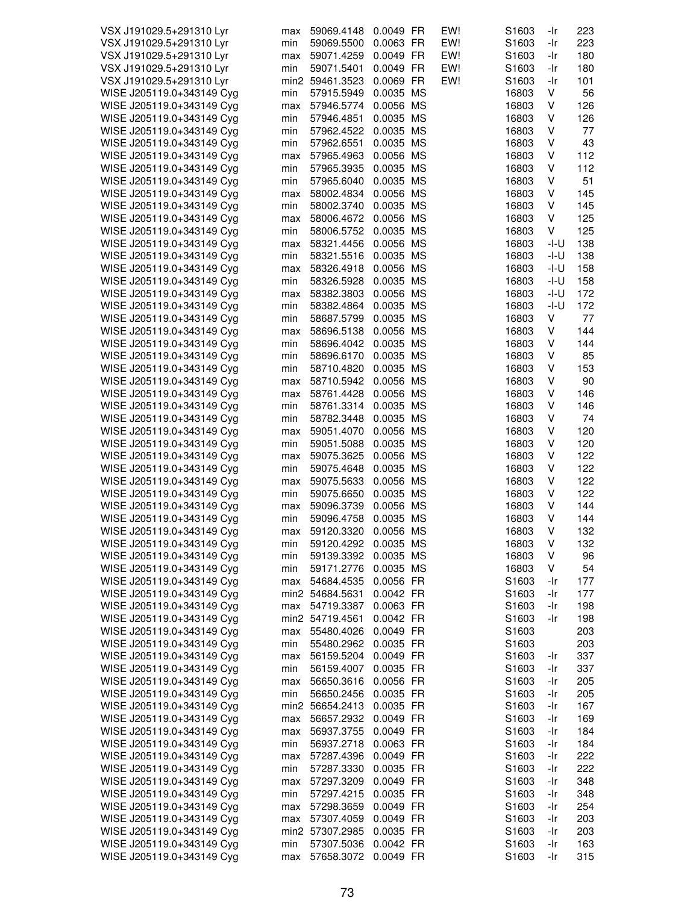| VSX J191029.5+291310 Lyr  | max | 59069.4148      | 0.0049 FR | EW! | S1603             | -Ir    | 223 |
|---------------------------|-----|-----------------|-----------|-----|-------------------|--------|-----|
|                           |     |                 |           |     |                   |        |     |
| VSX J191029.5+291310 Lyr  | min | 59069.5500      | 0.0063 FR | EW! | S1603             | -Ir    | 223 |
| VSX J191029.5+291310 Lyr  | max | 59071.4259      | 0.0049 FR | EW! | S <sub>1603</sub> | -Ir    | 180 |
| VSX J191029.5+291310 Lyr  | min | 59071.5401      | 0.0049 FR | EW! | S <sub>1603</sub> | -Ir    | 180 |
| VSX J191029.5+291310 Lyr  |     | min2 59461.3523 | 0.0069 FR | EW! | S1603             | -Ir    | 101 |
|                           |     |                 |           |     |                   |        |     |
| WISE J205119.0+343149 Cyg | min | 57915.5949      | 0.0035 MS |     | 16803             | V      | 56  |
| WISE J205119.0+343149 Cyg | max | 57946.5774      | 0.0056 MS |     | 16803             | V      | 126 |
| WISE J205119.0+343149 Cyg | min | 57946.4851      | 0.0035 MS |     | 16803             | V      | 126 |
| WISE J205119.0+343149 Cyg | min | 57962.4522      | 0.0035 MS |     | 16803             | V      | 77  |
|                           |     |                 | 0.0035 MS |     |                   |        |     |
| WISE J205119.0+343149 Cyg | min | 57962.6551      |           |     | 16803             | V      | 43  |
| WISE J205119.0+343149 Cyg | max | 57965.4963      | 0.0056 MS |     | 16803             | V      | 112 |
| WISE J205119.0+343149 Cyg | min | 57965.3935      | 0.0035 MS |     | 16803             | ٧      | 112 |
| WISE J205119.0+343149 Cyg | min | 57965.6040      | 0.0035 MS |     | 16803             | V      | 51  |
|                           |     |                 |           |     |                   | V      |     |
| WISE J205119.0+343149 Cyg | max | 58002.4834      | 0.0056 MS |     | 16803             |        | 145 |
| WISE J205119.0+343149 Cyg | min | 58002.3740      | 0.0035 MS |     | 16803             | V      | 145 |
| WISE J205119.0+343149 Cyg | max | 58006.4672      | 0.0056 MS |     | 16803             | V      | 125 |
| WISE J205119.0+343149 Cyg | min | 58006.5752      | 0.0035 MS |     | 16803             | V      | 125 |
| WISE J205119.0+343149 Cyg | max | 58321.4456      | 0.0056 MS |     | 16803             | -I-U   | 138 |
|                           |     |                 |           |     |                   |        |     |
| WISE J205119.0+343149 Cyg | min | 58321.5516      | 0.0035 MS |     | 16803             | $-I-U$ | 138 |
| WISE J205119.0+343149 Cyg | max | 58326.4918      | 0.0056 MS |     | 16803             | $-I-U$ | 158 |
| WISE J205119.0+343149 Cyg | min | 58326.5928      | 0.0035 MS |     | 16803             | $-I-U$ | 158 |
| WISE J205119.0+343149 Cyg | max | 58382.3803      | 0.0056 MS |     | 16803             | -I-U   | 172 |
|                           |     |                 |           |     |                   |        |     |
| WISE J205119.0+343149 Cyg | min | 58382.4864      | 0.0035 MS |     | 16803             | -l-U   | 172 |
| WISE J205119.0+343149 Cyg | min | 58687.5799      | 0.0035 MS |     | 16803             | V      | 77  |
| WISE J205119.0+343149 Cyg | max | 58696.5138      | 0.0056 MS |     | 16803             | V      | 144 |
| WISE J205119.0+343149 Cyg | min | 58696.4042      | 0.0035 MS |     | 16803             | V      | 144 |
|                           |     |                 |           |     |                   |        |     |
| WISE J205119.0+343149 Cyg | min | 58696.6170      | 0.0035 MS |     | 16803             | V      | 85  |
| WISE J205119.0+343149 Cyg | min | 58710.4820      | 0.0035 MS |     | 16803             | V      | 153 |
| WISE J205119.0+343149 Cyg | max | 58710.5942      | 0.0056 MS |     | 16803             | V      | 90  |
| WISE J205119.0+343149 Cyg | max | 58761.4428      | 0.0056 MS |     | 16803             | V      | 146 |
|                           |     |                 |           |     |                   | V      |     |
| WISE J205119.0+343149 Cyg | min | 58761.3314      | 0.0035 MS |     | 16803             |        | 146 |
| WISE J205119.0+343149 Cyg | min | 58782.3448      | 0.0035 MS |     | 16803             | V      | 74  |
| WISE J205119.0+343149 Cyg | max | 59051.4070      | 0.0056 MS |     | 16803             | V      | 120 |
| WISE J205119.0+343149 Cyg | min | 59051.5088      | 0.0035 MS |     | 16803             | V      | 120 |
| WISE J205119.0+343149 Cyg | max | 59075.3625      | 0.0056 MS |     | 16803             | ٧      | 122 |
|                           |     |                 |           |     |                   |        |     |
| WISE J205119.0+343149 Cyg | min | 59075.4648      | 0.0035 MS |     | 16803             | V      | 122 |
| WISE J205119.0+343149 Cyg | max | 59075.5633      | 0.0056 MS |     | 16803             | V      | 122 |
| WISE J205119.0+343149 Cyg | min | 59075.6650      | 0.0035 MS |     | 16803             | V      | 122 |
| WISE J205119.0+343149 Cyg | max | 59096.3739      | 0.0056 MS |     | 16803             | V      | 144 |
|                           |     |                 |           |     |                   | V      |     |
| WISE J205119.0+343149 Cyg | min | 59096.4758      | 0.0035 MS |     | 16803             |        | 144 |
| WISE J205119.0+343149 Cyg | max | 59120.3320      | 0.0056 MS |     | 16803             | v      | 132 |
| WISE J205119.0+343149 Cyg | min | 59120.4292      | 0.0035 MS |     | 16803             | V      | 132 |
| WISE J205119.0+343149 Cyg | min | 59139.3392      | 0.0035 MS |     | 16803             | V      | 96  |
| WISE J205119.0+343149 Cyg |     | 59171.2776      | 0.0035 MS |     | 16803             | V      | 54  |
|                           | min |                 |           |     |                   |        |     |
| WISE J205119.0+343149 Cyg | max | 54684.4535      | 0.0056 FR |     | S1603             | -Ir    | 177 |
| WISE J205119.0+343149 Cyg |     | min2 54684.5631 | 0.0042 FR |     | S1603             | -Ir    | 177 |
| WISE J205119.0+343149 Cyg | max | 54719.3387      | 0.0063 FR |     | S1603             | -Ir    | 198 |
| WISE J205119.0+343149 Cyg |     | min2 54719.4561 | 0.0042 FR |     | S1603             | -Ir    | 198 |
|                           |     |                 |           |     |                   |        |     |
| WISE J205119.0+343149 Cyg | max | 55480.4026      | 0.0049 FR |     | S <sub>1603</sub> |        | 203 |
| WISE J205119.0+343149 Cyg | min | 55480.2962      | 0.0035 FR |     | S <sub>1603</sub> |        | 203 |
| WISE J205119.0+343149 Cyg | max | 56159.5204      | 0.0049 FR |     | S <sub>1603</sub> | -Ir    | 337 |
| WISE J205119.0+343149 Cyg | min | 56159.4007      | 0.0035 FR |     | S <sub>1603</sub> | -Ir    | 337 |
|                           |     |                 |           |     |                   |        |     |
| WISE J205119.0+343149 Cyg | max | 56650.3616      | 0.0056 FR |     | S1603             | -Ir    | 205 |
| WISE J205119.0+343149 Cyg | min | 56650.2456      | 0.0035 FR |     | S <sub>1603</sub> | -Ir    | 205 |
| WISE J205119.0+343149 Cyg |     | min2 56654.2413 | 0.0035 FR |     | S <sub>1603</sub> | -Ir    | 167 |
| WISE J205119.0+343149 Cyg | max | 56657.2932      | 0.0049 FR |     | S1603             | -Ir    | 169 |
|                           |     |                 |           |     |                   |        |     |
| WISE J205119.0+343149 Cyg | max | 56937.3755      | 0.0049 FR |     | S1603             | -Ir    | 184 |
| WISE J205119.0+343149 Cyg | min | 56937.2718      | 0.0063 FR |     | S <sub>1603</sub> | -Ir    | 184 |
| WISE J205119.0+343149 Cyg | max | 57287.4396      | 0.0049 FR |     | S1603             | -Ir    | 222 |
| WISE J205119.0+343149 Cyg | min | 57287.3330      | 0.0035 FR |     | S1603             | -Ir    | 222 |
|                           |     |                 |           |     |                   |        |     |
| WISE J205119.0+343149 Cyg | max | 57297.3209      | 0.0049 FR |     | S <sub>1603</sub> | -Ir    | 348 |
| WISE J205119.0+343149 Cyg | min | 57297.4215      | 0.0035 FR |     | S <sub>1603</sub> | -Ir    | 348 |
| WISE J205119.0+343149 Cyg | max | 57298.3659      | 0.0049 FR |     | S <sub>1603</sub> | -Ir    | 254 |
| WISE J205119.0+343149 Cyg | max | 57307.4059      | 0.0049 FR |     | S1603             | -Ir    | 203 |
| WISE J205119.0+343149 Cyg |     | min2 57307.2985 | 0.0035 FR |     | S1603             | -Ir    | 203 |
|                           |     |                 |           |     |                   |        |     |
| WISE J205119.0+343149 Cyg | min | 57307.5036      | 0.0042 FR |     | S1603             | -Ir    | 163 |
| WISE J205119.0+343149 Cyg | max | 57658.3072      | 0.0049 FR |     | S1603             | -Ir    | 315 |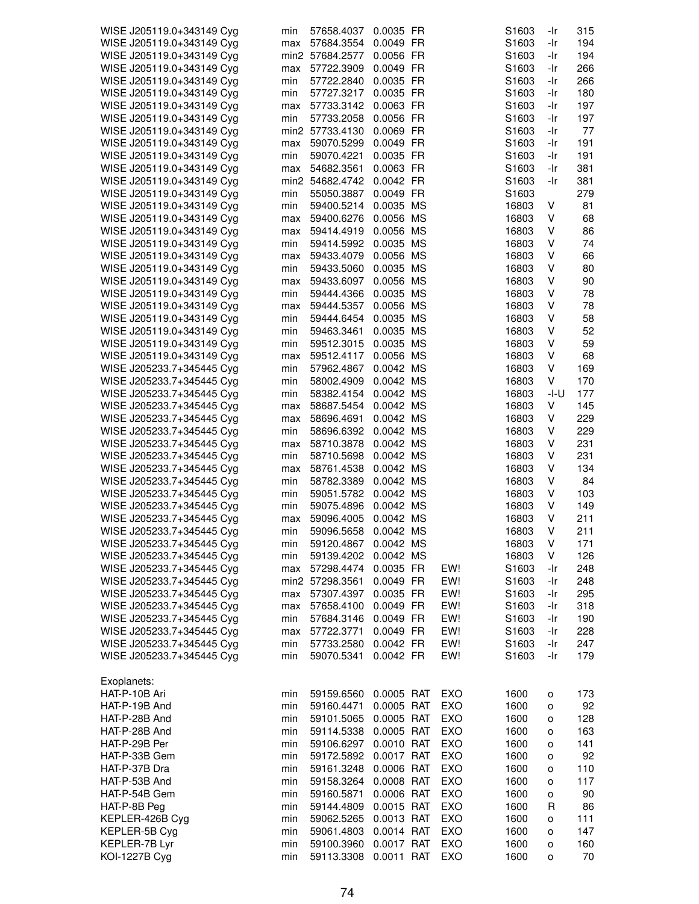| WISE J205119.0+343149 Cyg             | min        | 57658.4037               | 0.0035 FR                |            | S1603             | -Ir    | 315       |
|---------------------------------------|------------|--------------------------|--------------------------|------------|-------------------|--------|-----------|
| WISE J205119.0+343149 Cyg             | max        | 57684.3554               | 0.0049 FR                |            | S1603             | -Ir    | 194       |
| WISE J205119.0+343149 Cyg             |            | min2 57684.2577          | 0.0056 FR                |            | S <sub>1603</sub> | -Ir    | 194       |
| WISE J205119.0+343149 Cyg             | max        | 57722.3909               | 0.0049 FR                |            | S1603             | -Ir    | 266       |
| WISE J205119.0+343149 Cyg             | min        | 57722.2840               | 0.0035 FR                |            | S <sub>1603</sub> | -Ir    | 266       |
| WISE J205119.0+343149 Cyg             | min        | 57727.3217               | 0.0035 FR                |            | S1603             | -Ir    | 180       |
| WISE J205119.0+343149 Cyg             | max        | 57733.3142               | 0.0063 FR                |            | S1603             | -Ir    | 197       |
| WISE J205119.0+343149 Cyg             | min        | 57733.2058               | 0.0056 FR                |            | S1603             | -Ir    | 197       |
| WISE J205119.0+343149 Cyg             |            | min2 57733.4130          | 0.0069 FR                |            | S1603             | -Ir    | 77        |
| WISE J205119.0+343149 Cyg             | max        | 59070.5299               | 0.0049 FR                |            | S1603             | -Ir    | 191       |
| WISE J205119.0+343149 Cyg             | min        | 59070.4221               | 0.0035 FR                |            | S1603             | -Ir    | 191       |
| WISE J205119.0+343149 Cyg             | max        | 54682.3561               | 0.0063 FR                |            | S1603             | -Ir    | 381       |
| WISE J205119.0+343149 Cyg             |            | min2 54682.4742          | 0.0042 FR                |            | S1603             | -Ir    | 381       |
| WISE J205119.0+343149 Cyg             | min        | 55050.3887               | 0.0049 FR                |            | S1603             |        | 279       |
| WISE J205119.0+343149 Cyg             | min        | 59400.5214               | 0.0035 MS                |            | 16803             | V      | 81        |
| WISE J205119.0+343149 Cyg             | max        | 59400.6276               | 0.0056 MS                |            | 16803             | V      | 68        |
| WISE J205119.0+343149 Cyg             | max        | 59414.4919               | 0.0056 MS                |            | 16803             | V      | 86        |
| WISE J205119.0+343149 Cyg             | min        | 59414.5992               | 0.0035 MS                |            | 16803             | V      | 74        |
| WISE J205119.0+343149 Cyg             | max        | 59433.4079               | 0.0056 MS                |            | 16803             | V      | 66        |
| WISE J205119.0+343149 Cyg             | min        | 59433.5060               | 0.0035 MS                |            | 16803             | V      | 80        |
| WISE J205119.0+343149 Cyg             | max        | 59433.6097               | 0.0056 MS                |            | 16803             | V      | 90        |
| WISE J205119.0+343149 Cyg             | min        | 59444.4366               | 0.0035 MS                |            | 16803             | V      | 78        |
| WISE J205119.0+343149 Cyg             | max        | 59444.5357               | 0.0056 MS                |            | 16803             | V      | 78        |
| WISE J205119.0+343149 Cyg             | min        | 59444.6454               | 0.0035 MS                |            | 16803             | V      | 58        |
|                                       |            |                          | 0.0035 MS                |            |                   | V      | 52        |
| WISE J205119.0+343149 Cyg             | min        | 59463.3461               |                          |            | 16803             |        |           |
| WISE J205119.0+343149 Cyg             | min        | 59512.3015               | 0.0035 MS                |            | 16803             | V      | 59        |
| WISE J205119.0+343149 Cyg             | max        | 59512.4117               | 0.0056 MS                |            | 16803             | V      | 68        |
| WISE J205233.7+345445 Cyg             | min        | 57962.4867               | 0.0042 MS                |            | 16803             | V      | 169       |
| WISE J205233.7+345445 Cyg             | min        | 58002.4909               | 0.0042 MS                |            | 16803             | V      | 170       |
| WISE J205233.7+345445 Cyg             | min        | 58382.4154               | 0.0042 MS                |            | 16803             | $-I-U$ | 177       |
| WISE J205233.7+345445 Cyg             | max        | 58687.5454               | 0.0042 MS                |            | 16803             | V      | 145       |
| WISE J205233.7+345445 Cyg             | max        | 58696.4691               | 0.0042 MS                |            | 16803             | V      | 229       |
| WISE J205233.7+345445 Cyg             | min        | 58696.6392               | 0.0042 MS                |            | 16803             | V      | 229       |
| WISE J205233.7+345445 Cyg             | max        | 58710.3878               | 0.0042 MS                |            | 16803             | V      | 231       |
| WISE J205233.7+345445 Cyg             | min        | 58710.5698               | 0.0042 MS                |            | 16803             | V      | 231       |
| WISE J205233.7+345445 Cyg             | max        | 58761.4538               | 0.0042 MS                |            | 16803             | V      | 134       |
| WISE J205233.7+345445 Cyg             | min        | 58782.3389               | 0.0042 MS                |            | 16803             | V      | 84        |
| WISE J205233.7+345445 Cyg             | min        | 59051.5782               | 0.0042 MS                |            | 16803             | V      | 103       |
| WISE J205233.7+345445 Cyg             | min        | 59075.4896               | 0.0042 MS                |            | 16803             | V      | 149       |
| WISE J205233.7+345445 Cyg             | max        | 59096.4005               | 0.0042 MS                |            | 16803             | V      | 211       |
| WISE J205233.7+345445 Cyg             | min        | 59096.5658               | 0.0042 MS                |            | 16803             | V      | 211       |
| WISE J205233.7+345445 Cyg             | min        | 59120.4867               | 0.0042 MS                |            | 16803             | V      | 171       |
| WISE J205233.7+345445 Cyg             | min        | 59139.4202               | 0.0042 MS                |            | 16803             | V      | 126       |
| WISE J205233.7+345445 Cyg             | max        | 57298.4474               | 0.0035 FR                | EW!        | S1603             | -Ir    | 248       |
| WISE J205233.7+345445 Cyg             |            | min2 57298.3561          | 0.0049 FR                | EW!        | S1603             | -Ir    | 248       |
| WISE J205233.7+345445 Cyg             | max        | 57307.4397               | 0.0035 FR                | EW!        | S1603             | -Ir    | 295       |
| WISE J205233.7+345445 Cyg             | max        | 57658.4100               | 0.0049 FR                | EW!        | S1603             | -Ir    | 318       |
| WISE J205233.7+345445 Cyg             | min        | 57684.3146               | 0.0049 FR                | EW!        | S1603             | -Ir    | 190       |
| WISE J205233.7+345445 Cyg             | max        | 57722.3771               | 0.0049 FR                | EW!        | S1603             | -Ir    | 228       |
| WISE J205233.7+345445 Cyg             | min        | 57733.2580               | 0.0042 FR                | EW!        | S1603             | -Ir    | 247       |
| WISE J205233.7+345445 Cyg             | min        | 59070.5341               | 0.0042 FR                | EW!        | S <sub>1603</sub> | -Ir    | 179       |
| Exoplanets:                           |            |                          |                          |            |                   |        |           |
| HAT-P-10B Ari                         | min        | 59159.6560               | 0.0005 RAT               | EXO        | 1600              | o      | 173       |
| HAT-P-19B And                         | min        | 59160.4471               | 0.0005 RAT               | EXO        | 1600              | о      | 92        |
| HAT-P-28B And                         | min        | 59101.5065               | 0.0005 RAT               | EXO        | 1600              | o      | 128       |
| HAT-P-28B And                         | min        | 59114.5338               | 0.0005 RAT               | EXO        | 1600              | 0      | 163       |
| HAT-P-29B Per                         | min        | 59106.6297               | 0.0010 RAT               | EXO        | 1600              | o      | 141       |
| HAT-P-33B Gem                         | min        | 59172.5892               | 0.0017 RAT               | EXO        | 1600              | 0      | 92        |
| HAT-P-37B Dra                         | min        | 59161.3248               | 0.0006 RAT               | EXO        | 1600              | 0      | 110       |
| HAT-P-53B And                         | min        | 59158.3264               | 0.0008 RAT               | EXO        | 1600              | o      | 117       |
| HAT-P-54B Gem                         |            |                          | 0.0006 RAT               | EXO        | 1600              | о      | 90        |
|                                       |            |                          |                          |            |                   |        |           |
|                                       | min        | 59160.5871               |                          |            |                   |        |           |
| HAT-P-8B Peg                          | min        | 59144.4809               | 0.0015 RAT               | EXO        | 1600              | R      | 86        |
| KEPLER-426B Cyg                       | min        | 59062.5265               | 0.0013 RAT               | EXO        | 1600              | о      | 111       |
| KEPLER-5B Cyg                         | min        | 59061.4803               | 0.0014 RAT               | EXO        | 1600              | 0      | 147       |
| KEPLER-7B Lyr<br><b>KOI-1227B Cyg</b> | min<br>min | 59100.3960<br>59113.3308 | 0.0017 RAT<br>0.0011 RAT | EXO<br>EXO | 1600<br>1600      | o<br>о | 160<br>70 |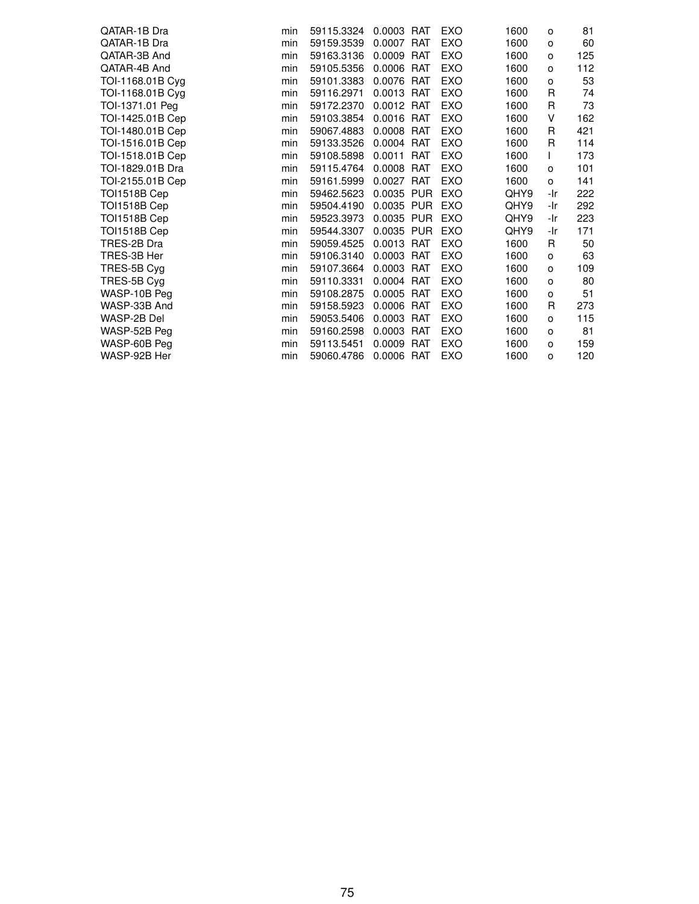| QATAR-1B Dra     | min | 59115.3324 | 0.0003 RAT |            | <b>EXO</b> | 1600 | o   | 81  |
|------------------|-----|------------|------------|------------|------------|------|-----|-----|
| QATAR-1B Dra     | min | 59159.3539 | 0.0007     | <b>RAT</b> | EXO        | 1600 | o   | 60  |
| QATAR-3B And     | min | 59163.3136 | 0.0009     | RAT        | EXO        | 1600 | o   | 125 |
| QATAR-4B And     | min | 59105.5356 | 0.0006     | <b>RAT</b> | <b>EXO</b> | 1600 | o   | 112 |
| TOI-1168.01B Cyg | min | 59101.3383 | 0.0076     | <b>RAT</b> | EXO        | 1600 | о   | 53  |
| TOI-1168.01B Cyg | min | 59116.2971 | 0.0013 RAT |            | EXO        | 1600 | R   | 74  |
| TOI-1371.01 Peg  | min | 59172.2370 | 0.0012 RAT |            | EXO        | 1600 | R   | 73  |
| TOI-1425.01B Cep | min | 59103.3854 | 0.0016 RAT |            | EXO        | 1600 | V   | 162 |
| TOI-1480.01B Cep | min | 59067.4883 | 0.0008 RAT |            | EXO        | 1600 | R   | 421 |
| TOI-1516.01B Cep | min | 59133.3526 | 0.0004     | <b>RAT</b> | EXO        | 1600 | R   | 114 |
| TOI-1518.01B Cep | min | 59108.5898 | 0.0011     | <b>RAT</b> | EXO        | 1600 |     | 173 |
| TOI-1829.01B Dra | min | 59115.4764 | 0.0008     | RAT        | EXO        | 1600 | o   | 101 |
| TOI-2155.01B Cep | min | 59161.5999 | 0.0027     | <b>RAT</b> | <b>EXO</b> | 1600 | o   | 141 |
| TOI1518B Cep     | min | 59462.5623 | 0.0035 PUR |            | EXO        | QHY9 | -Ir | 222 |
| TOI1518B Cep     | min | 59504.4190 | 0.0035 PUR |            | EXO        | QHY9 | -Ir | 292 |
| TOI1518B Cep     | min | 59523.3973 | 0.0035     | PUR        | EXO        | QHY9 | -Ir | 223 |
| TOI1518B Cep     | min | 59544.3307 | 0.0035 PUR |            | EXO        | QHY9 | -Ir | 171 |
| TRES-2B Dra      | min | 59059.4525 | 0.0013     | <b>RAT</b> | EXO        | 1600 | R   | 50  |
| TRES-3B Her      | min | 59106.3140 | 0.0003     | <b>RAT</b> | <b>EXO</b> | 1600 | o   | 63  |
| TRES-5B Cyg      | min | 59107.3664 | 0.0003     | <b>RAT</b> | EXO        | 1600 | o   | 109 |
| TRES-5B Cyg      | min | 59110.3331 | 0.0004     | <b>RAT</b> | EXO        | 1600 | о   | 80  |
| WASP-10B Peg     | min | 59108.2875 | 0.0005     | <b>RAT</b> | EXO        | 1600 | о   | 51  |
| WASP-33B And     | min | 59158.5923 | 0.0006     | <b>RAT</b> | EXO        | 1600 | R   | 273 |
| WASP-2B Del      | min | 59053.5406 | 0.0003     | RAT        | <b>EXO</b> | 1600 | о   | 115 |
| WASP-52B Peg     | min | 59160.2598 | 0.0003     | <b>RAT</b> | EXO        | 1600 | o   | 81  |
| WASP-60B Peg     | min | 59113.5451 | 0.0009     | <b>RAT</b> | EXO        | 1600 | o   | 159 |
| WASP-92B Her     | min | 59060.4786 | 0.0006 RAT |            | EXO        | 1600 | o   | 120 |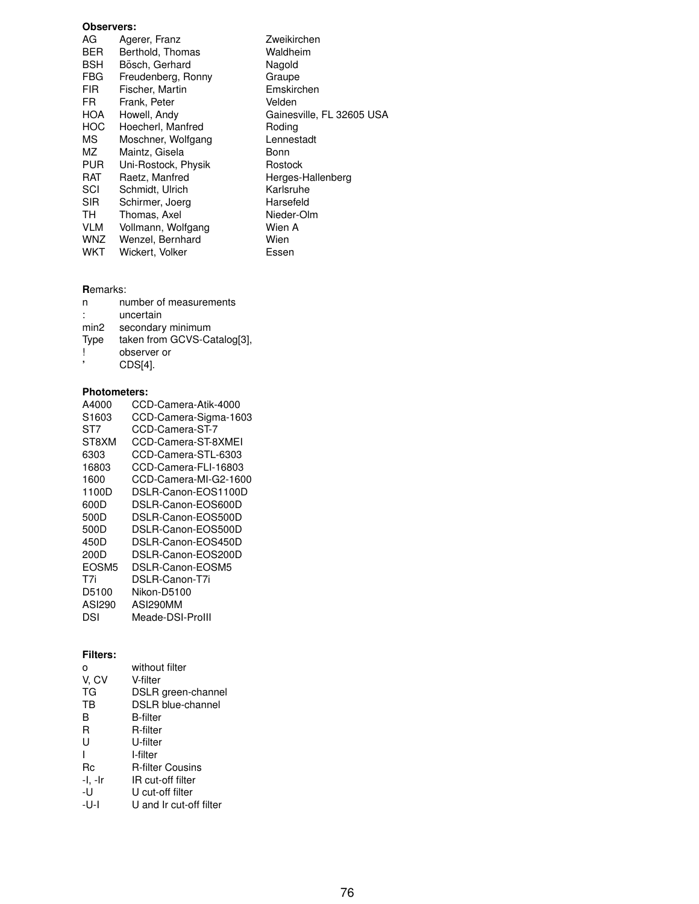## **Observers:**

| AG         | Agerer, Franz       | Zweikirchen               |
|------------|---------------------|---------------------------|
| <b>BER</b> | Berthold, Thomas    | Waldheim                  |
| <b>BSH</b> | Bösch, Gerhard      | Nagold                    |
| <b>FBG</b> | Freudenberg, Ronny  | Graupe                    |
| <b>FIR</b> | Fischer, Martin     | Emskirchen                |
| FR.        | Frank, Peter        | Velden                    |
| <b>HOA</b> | Howell, Andy        | Gainesville, FL 32605 USA |
| <b>HOC</b> | Hoecherl, Manfred   | Rodina                    |
| МS         | Moschner, Wolfgang  | Lennestadt                |
| ΜZ         | Maintz, Gisela      | Bonn                      |
| <b>PUR</b> | Uni-Rostock, Physik | Rostock                   |
| RAT        | Raetz, Manfred      | Herges-Hallenberg         |
| SCI        | Schmidt, Ulrich     | Karlsruhe                 |
| <b>SIR</b> | Schirmer, Joerg     | Harsefeld                 |
| TH.        | Thomas, Axel        | Nieder-Olm                |
| <b>VLM</b> | Vollmann, Wolfgang  | Wien A                    |
| <b>WNZ</b> | Wenzel, Bernhard    | Wien                      |
| WKT        | Wickert, Volker     | Essen                     |

## **R**emarks:

| n                | number of measurements      |
|------------------|-----------------------------|
|                  | uncertain                   |
| min <sub>2</sub> | secondary minimum           |
| <b>Type</b>      | taken from GCVS-Catalog[3], |
|                  | observer or                 |
|                  | CDS[4].                     |

#### **Photometers:**

| A4000           | CCD-Camera-Atik-4000  |
|-----------------|-----------------------|
| S1603           | CCD-Camera-Sigma-1603 |
| ST <sub>7</sub> | CCD-Camera-ST-7       |
| ST8XM           | CCD-Camera-ST-8XMEI   |
| 6303            | CCD-Camera-STL-6303   |
| 16803           | CCD-Camera-FLI-16803  |
| 1600            | CCD-Camera-MI-G2-1600 |
| 1100D           | DSLR-Canon-EOS1100D   |
| 600D            | DSLR-Canon-EOS600D    |
| 500D            | DSLR-Canon-EOS500D    |
| 500D            | DSLR-Canon-EOS500D    |
| 450D            | DSLR-Canon-EOS450D    |
| 200D            | DSLR-Canon-EOS200D    |
| EOSM5           | DSLR-Canon-EOSM5      |
| T7i             | DSLR-Canon-T7i        |
| D5100           | Nikon-D5100           |
| ASI290          | ASI290MM              |
| DSI             | Meade-DSI-Prolll      |

### **Filters:**

| O       | without filter           |
|---------|--------------------------|
| V, CV   | V-filter                 |
| ТG      | DSLR green-channel       |
| ТB      | <b>DSLR blue-channel</b> |
| в       | <b>B-filter</b>          |
| R       | R-filter                 |
| U       | U-filter                 |
|         | I-filter                 |
| Rc      | <b>R-filter Cousins</b>  |
| -I. -Ir | IR cut-off filter        |
| -U      | U cut-off filter         |
| -U-I    | U and Ir cut-off filter  |